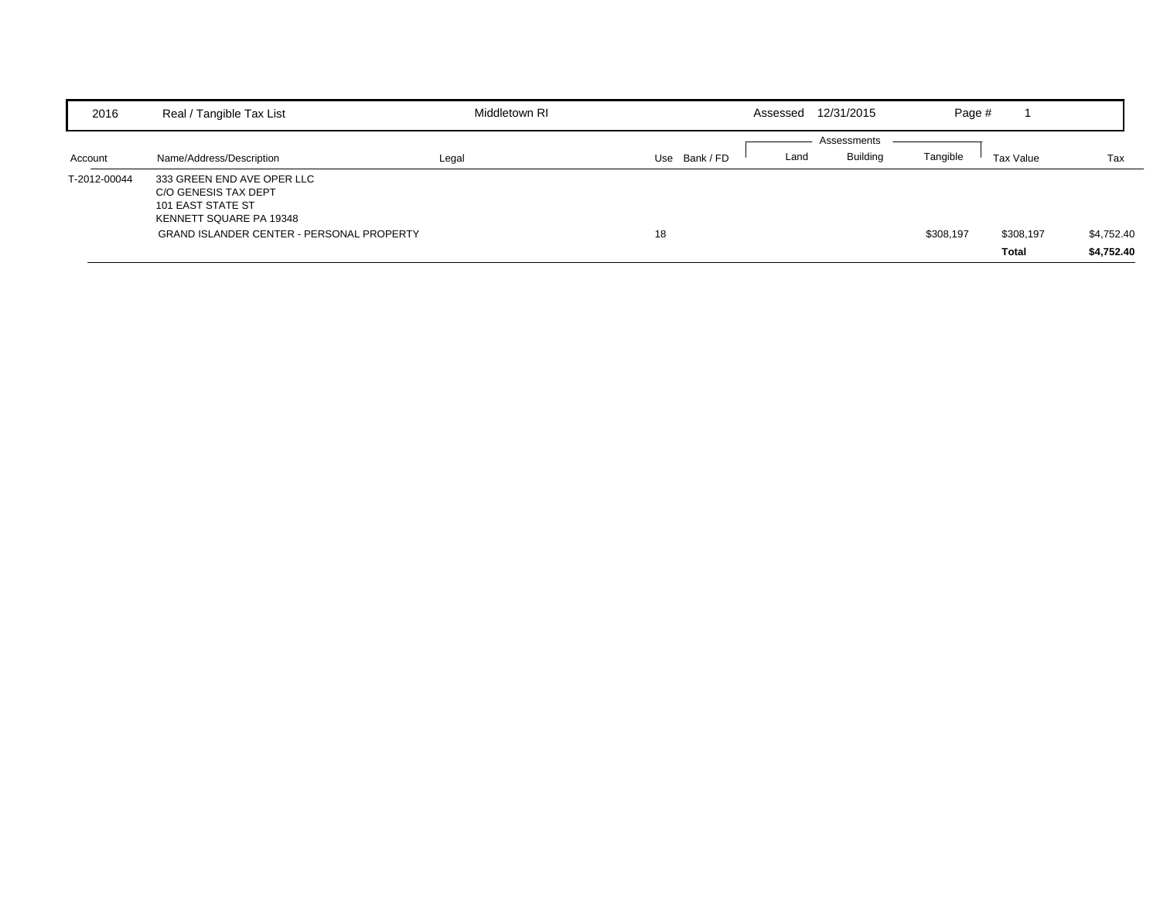| 2016         | Real / Tangible Tax List                                                                           | Middletown RI |                  | Assessed | 12/31/2015      | Page #    |           |            |
|--------------|----------------------------------------------------------------------------------------------------|---------------|------------------|----------|-----------------|-----------|-----------|------------|
|              |                                                                                                    |               |                  |          | Assessments     |           |           |            |
| Account      | Name/Address/Description                                                                           | Legal         | Bank / FD<br>Use | Land     | <b>Building</b> | Tangible  | Tax Value | Tax        |
| T-2012-00044 | 333 GREEN END AVE OPER LLC<br>C/O GENESIS TAX DEPT<br>101 EAST STATE ST<br>KENNETT SQUARE PA 19348 |               |                  |          |                 |           |           |            |
|              | <b>GRAND ISLANDER CENTER - PERSONAL PROPERTY</b>                                                   |               | 18               |          |                 | \$308,197 | \$308,197 | \$4,752.40 |
|              |                                                                                                    |               |                  |          |                 |           | Total     | \$4,752.40 |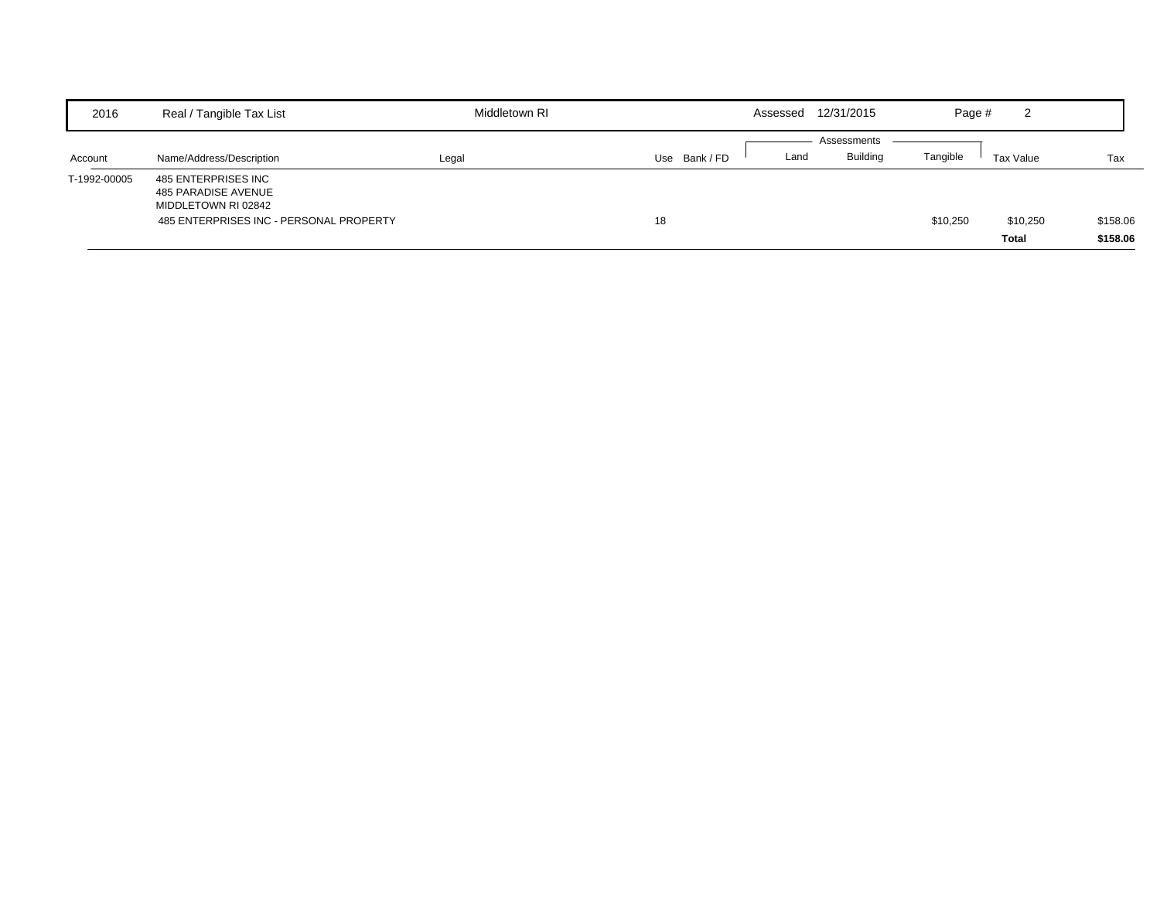| 2016         | Real / Tangible Tax List                                                                                     | Middletown RI |             | Assessed | 12/31/2015      | Page #   | ົ<br>∠    |          |
|--------------|--------------------------------------------------------------------------------------------------------------|---------------|-------------|----------|-----------------|----------|-----------|----------|
|              |                                                                                                              |               |             |          | Assessments     |          |           |          |
| Account      | Name/Address/Description                                                                                     | Legal         | Use Bank/FD | Land     | <b>Building</b> | Tangible | Tax Value | Tax      |
| T-1992-00005 | 485 ENTERPRISES INC<br>485 PARADISE AVENUE<br>MIDDLETOWN RI 02842<br>485 ENTERPRISES INC - PERSONAL PROPERTY |               | 18          |          |                 | \$10,250 | \$10,250  | \$158.06 |
|              |                                                                                                              |               |             |          |                 |          | Total     | \$158.06 |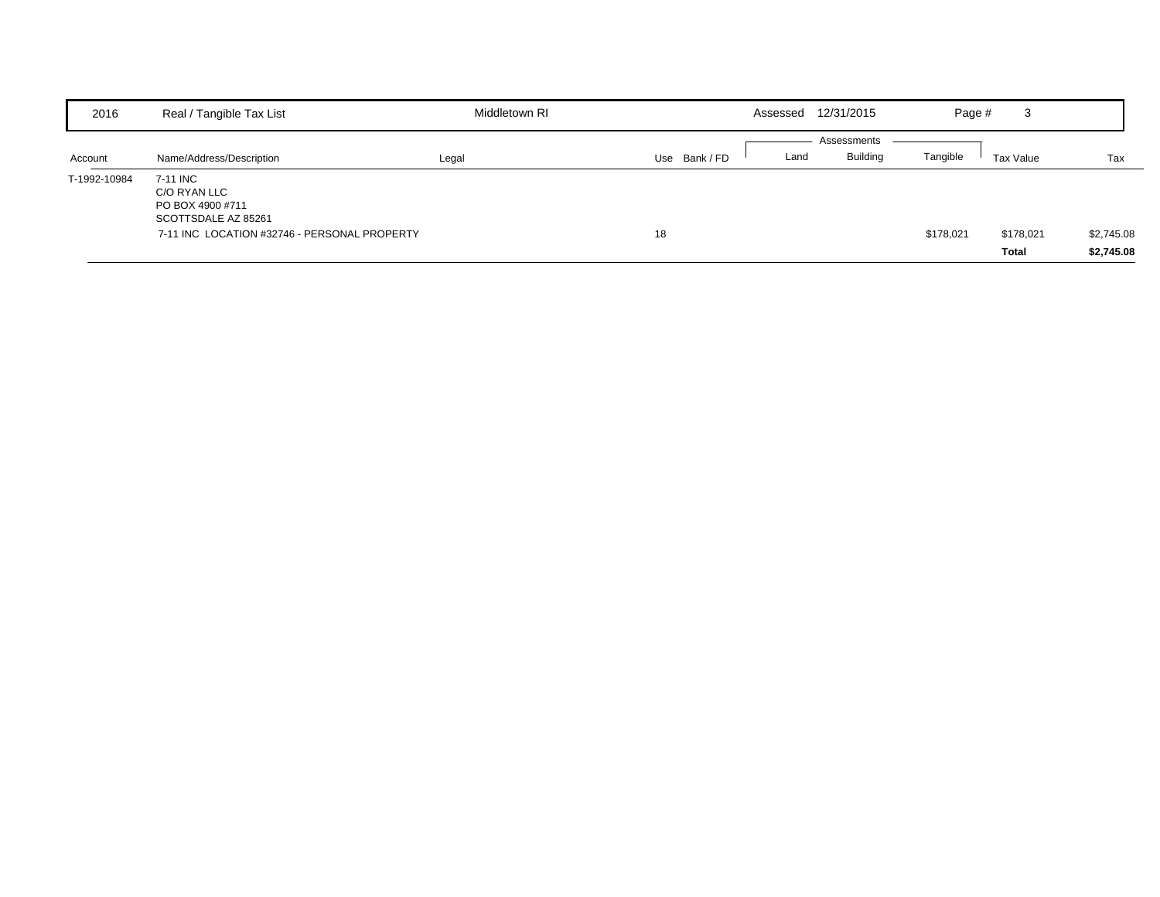| 2016         | Real / Tangible Tax List                                                                                            | Middletown RI |             | Assessed | 12/31/2015                     | Page #    | 3                  |                          |
|--------------|---------------------------------------------------------------------------------------------------------------------|---------------|-------------|----------|--------------------------------|-----------|--------------------|--------------------------|
| Account      | Name/Address/Description                                                                                            | Legal         | Use Bank/FD | Land     | Assessments<br><b>Building</b> | Tangible  | Tax Value          | Tax                      |
| T-1992-10984 | 7-11 INC<br>C/O RYAN LLC<br>PO BOX 4900 #711<br>SCOTTSDALE AZ 85261<br>7-11 INC LOCATION #32746 - PERSONAL PROPERTY |               | 18          |          |                                | \$178,021 | \$178,021<br>Total | \$2,745.08<br>\$2,745.08 |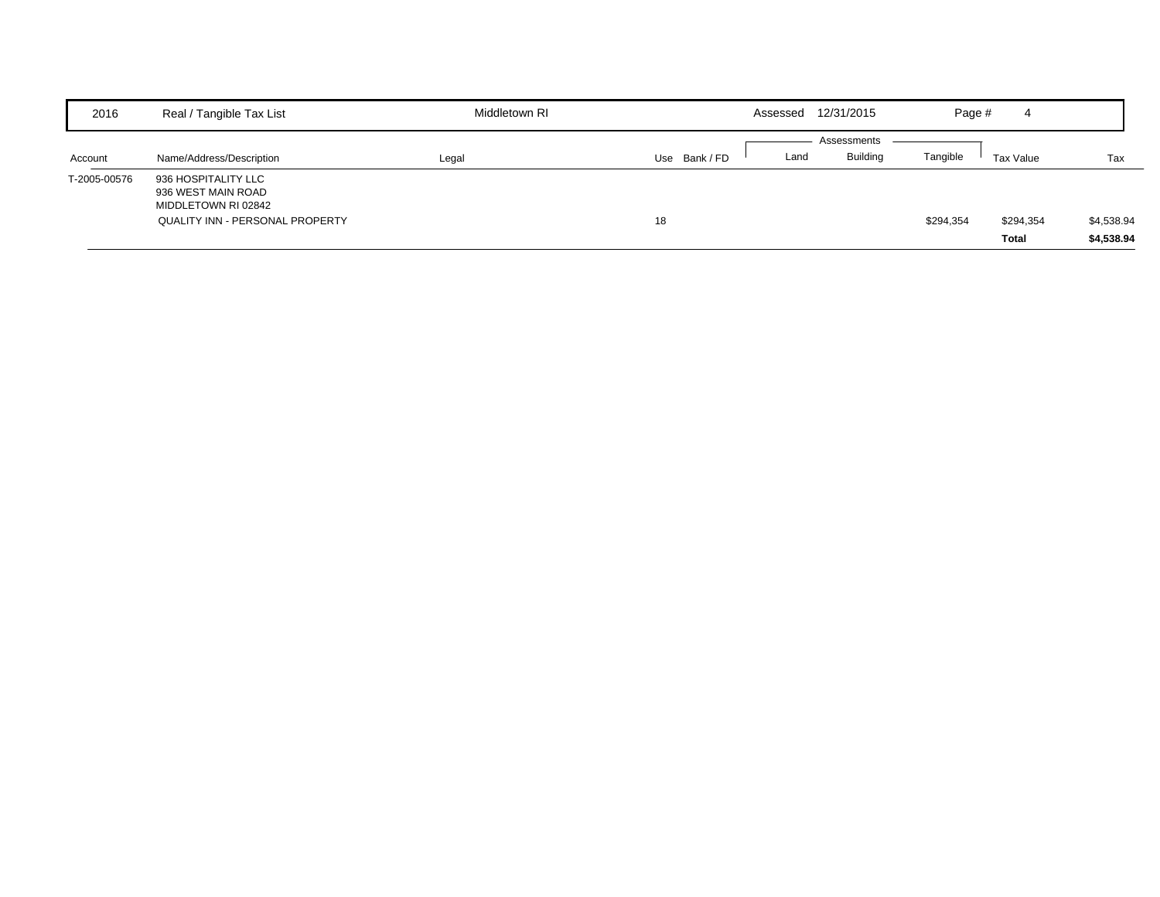| 2016         | Real / Tangible Tax List                                                                                   | Middletown RI | 12/31/2015<br>Assessed               | Page #<br>$\overline{4}$                                    |
|--------------|------------------------------------------------------------------------------------------------------------|---------------|--------------------------------------|-------------------------------------------------------------|
| Account      | Name/Address/Description                                                                                   | Legal         | Assessments<br>Use Bank / FD<br>Land | <b>Building</b><br>Tangible<br>Tax Value<br>Tax             |
| T-2005-00576 | 936 HOSPITALITY LLC<br>936 WEST MAIN ROAD<br>MIDDLETOWN RI 02842<br><b>QUALITY INN - PERSONAL PROPERTY</b> |               | 18                                   | \$4,538.94<br>\$294,354<br>\$294,354<br>\$4,538.94<br>Total |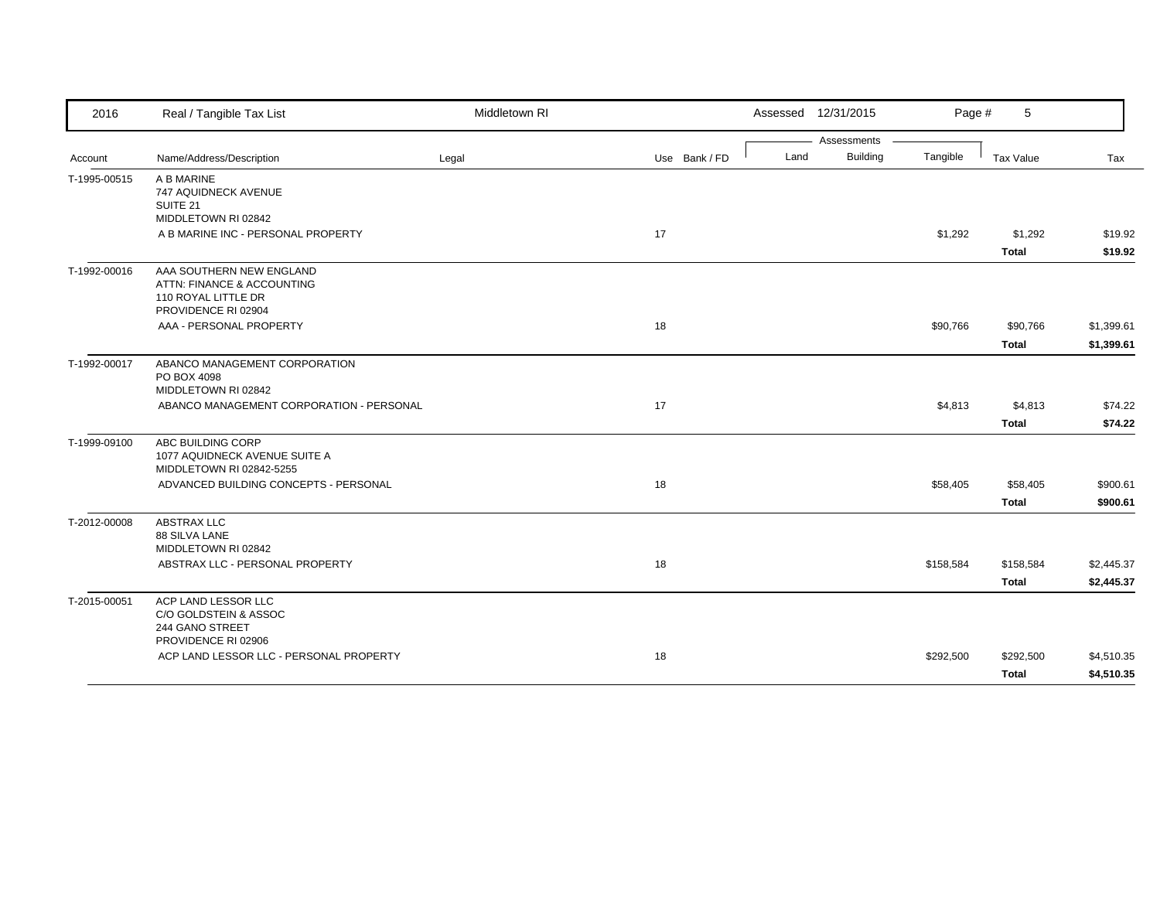| 2016         | Real / Tangible Tax List                                                                             | Middletown RI |               |      | Assessed 12/31/2015 | Page #    | 5            |            |
|--------------|------------------------------------------------------------------------------------------------------|---------------|---------------|------|---------------------|-----------|--------------|------------|
|              |                                                                                                      |               |               |      | Assessments         |           |              |            |
| Account      | Name/Address/Description                                                                             | Legal         | Use Bank / FD | Land | <b>Building</b>     | Tangible  | Tax Value    | Tax        |
| T-1995-00515 | A B MARINE<br>747 AQUIDNECK AVENUE<br>SUITE 21                                                       |               |               |      |                     |           |              |            |
|              | MIDDLETOWN RI 02842                                                                                  |               |               |      |                     |           |              |            |
|              | A B MARINE INC - PERSONAL PROPERTY                                                                   |               | 17            |      |                     | \$1,292   | \$1,292      | \$19.92    |
|              |                                                                                                      |               |               |      |                     |           | <b>Total</b> | \$19.92    |
| T-1992-00016 | AAA SOUTHERN NEW ENGLAND<br>ATTN: FINANCE & ACCOUNTING<br>110 ROYAL LITTLE DR<br>PROVIDENCE RI 02904 |               |               |      |                     |           |              |            |
|              | AAA - PERSONAL PROPERTY                                                                              |               | 18            |      |                     | \$90,766  | \$90,766     | \$1,399.61 |
|              |                                                                                                      |               |               |      |                     |           | <b>Total</b> | \$1,399.61 |
| T-1992-00017 | ABANCO MANAGEMENT CORPORATION<br>PO BOX 4098<br>MIDDLETOWN RI 02842                                  |               |               |      |                     |           |              |            |
|              | ABANCO MANAGEMENT CORPORATION - PERSONAL                                                             |               | 17            |      |                     | \$4,813   | \$4,813      | \$74.22    |
|              |                                                                                                      |               |               |      |                     |           | <b>Total</b> | \$74.22    |
| T-1999-09100 | ABC BUILDING CORP<br>1077 AQUIDNECK AVENUE SUITE A<br>MIDDLETOWN RI 02842-5255                       |               |               |      |                     |           |              |            |
|              | ADVANCED BUILDING CONCEPTS - PERSONAL                                                                |               | 18            |      |                     | \$58,405  | \$58,405     | \$900.61   |
|              |                                                                                                      |               |               |      |                     |           | <b>Total</b> | \$900.61   |
| T-2012-00008 | <b>ABSTRAX LLC</b><br>88 SILVA LANE<br>MIDDLETOWN RI 02842                                           |               |               |      |                     |           |              |            |
|              | ABSTRAX LLC - PERSONAL PROPERTY                                                                      |               | 18            |      |                     | \$158,584 | \$158,584    | \$2,445.37 |
|              |                                                                                                      |               |               |      |                     |           | Total        | \$2,445.37 |
| T-2015-00051 | ACP LAND LESSOR LLC<br>C/O GOLDSTEIN & ASSOC<br>244 GANO STREET<br>PROVIDENCE RI 02906               |               |               |      |                     |           |              |            |
|              | ACP LAND LESSOR LLC - PERSONAL PROPERTY                                                              |               | 18            |      |                     | \$292,500 | \$292,500    | \$4,510.35 |
|              |                                                                                                      |               |               |      |                     |           | Total        | \$4,510.35 |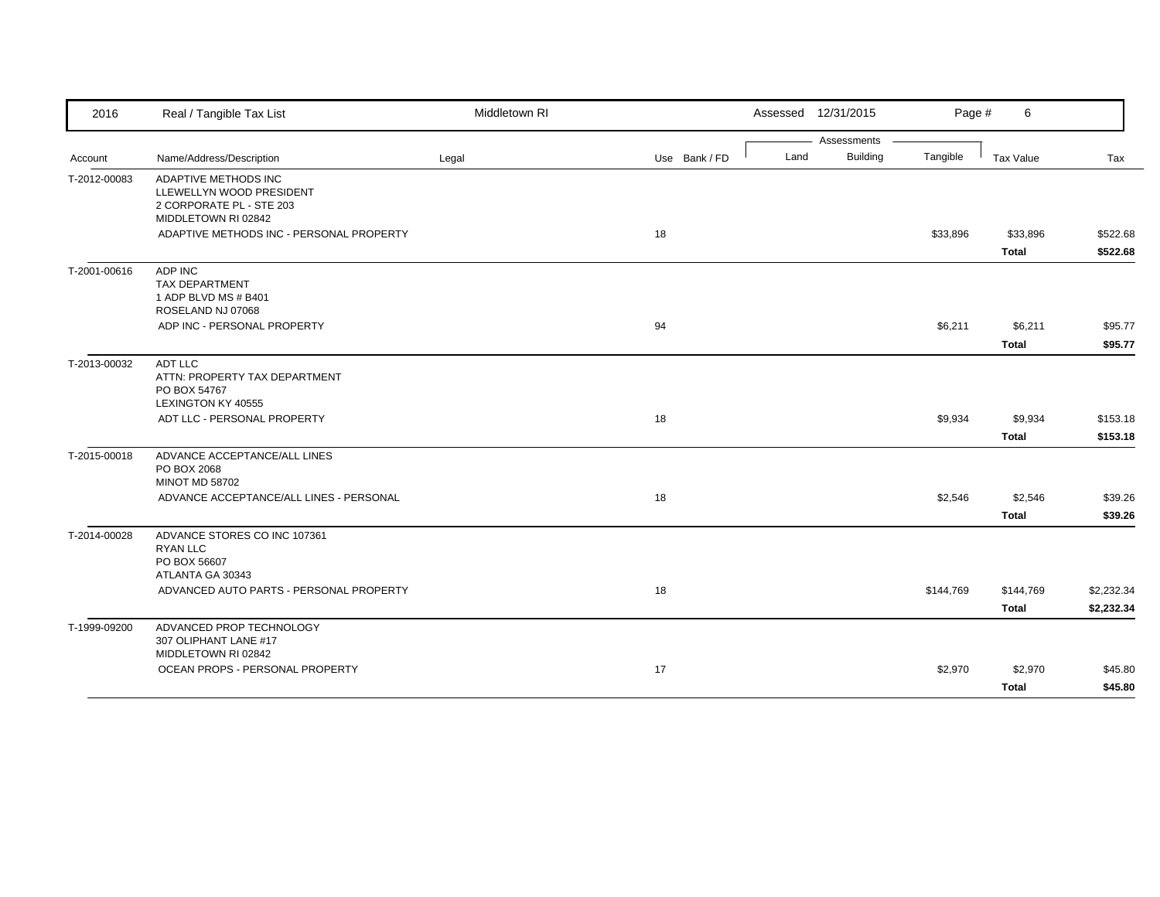| 2016         | Real / Tangible Tax List                                                                            | Middletown RI |               |      | Assessed 12/31/2015            | Page #    | 6            |            |
|--------------|-----------------------------------------------------------------------------------------------------|---------------|---------------|------|--------------------------------|-----------|--------------|------------|
|              |                                                                                                     |               |               |      | Assessments<br><b>Building</b> |           |              |            |
| Account      | Name/Address/Description                                                                            | Legal         | Use Bank / FD | Land |                                | Tangible  | Tax Value    | Tax        |
| T-2012-00083 | ADAPTIVE METHODS INC<br>LLEWELLYN WOOD PRESIDENT<br>2 CORPORATE PL - STE 203<br>MIDDLETOWN RI 02842 |               |               |      |                                |           |              |            |
|              | ADAPTIVE METHODS INC - PERSONAL PROPERTY                                                            |               | 18            |      |                                | \$33,896  | \$33,896     | \$522.68   |
|              |                                                                                                     |               |               |      |                                |           | <b>Total</b> | \$522.68   |
| T-2001-00616 | ADP INC<br><b>TAX DEPARTMENT</b><br>1 ADP BLVD MS # B401<br>ROSELAND NJ 07068                       |               |               |      |                                |           |              |            |
|              | ADP INC - PERSONAL PROPERTY                                                                         |               | 94            |      |                                | \$6,211   | \$6,211      | \$95.77    |
|              |                                                                                                     |               |               |      |                                |           | <b>Total</b> | \$95.77    |
| T-2013-00032 | ADT LLC<br>ATTN: PROPERTY TAX DEPARTMENT<br>PO BOX 54767<br>LEXINGTON KY 40555                      |               |               |      |                                |           |              |            |
|              | ADT LLC - PERSONAL PROPERTY                                                                         |               | 18            |      |                                | \$9,934   | \$9,934      | \$153.18   |
|              |                                                                                                     |               |               |      |                                |           | <b>Total</b> | \$153.18   |
| T-2015-00018 | ADVANCE ACCEPTANCE/ALL LINES<br>PO BOX 2068<br><b>MINOT MD 58702</b>                                |               |               |      |                                |           |              |            |
|              | ADVANCE ACCEPTANCE/ALL LINES - PERSONAL                                                             |               | 18            |      |                                | \$2,546   | \$2,546      | \$39.26    |
|              |                                                                                                     |               |               |      |                                |           | <b>Total</b> | \$39.26    |
| T-2014-00028 | ADVANCE STORES CO INC 107361<br><b>RYAN LLC</b><br>PO BOX 56607<br>ATLANTA GA 30343                 |               |               |      |                                |           |              |            |
|              | ADVANCED AUTO PARTS - PERSONAL PROPERTY                                                             |               | 18            |      |                                | \$144,769 | \$144,769    | \$2,232.34 |
|              |                                                                                                     |               |               |      |                                |           | <b>Total</b> | \$2,232.34 |
| T-1999-09200 | ADVANCED PROP TECHNOLOGY<br>307 OLIPHANT LANE #17<br>MIDDLETOWN RI 02842                            |               |               |      |                                |           |              |            |
|              | OCEAN PROPS - PERSONAL PROPERTY                                                                     |               | 17            |      |                                | \$2,970   | \$2,970      | \$45.80    |
|              |                                                                                                     |               |               |      |                                |           | <b>Total</b> | \$45.80    |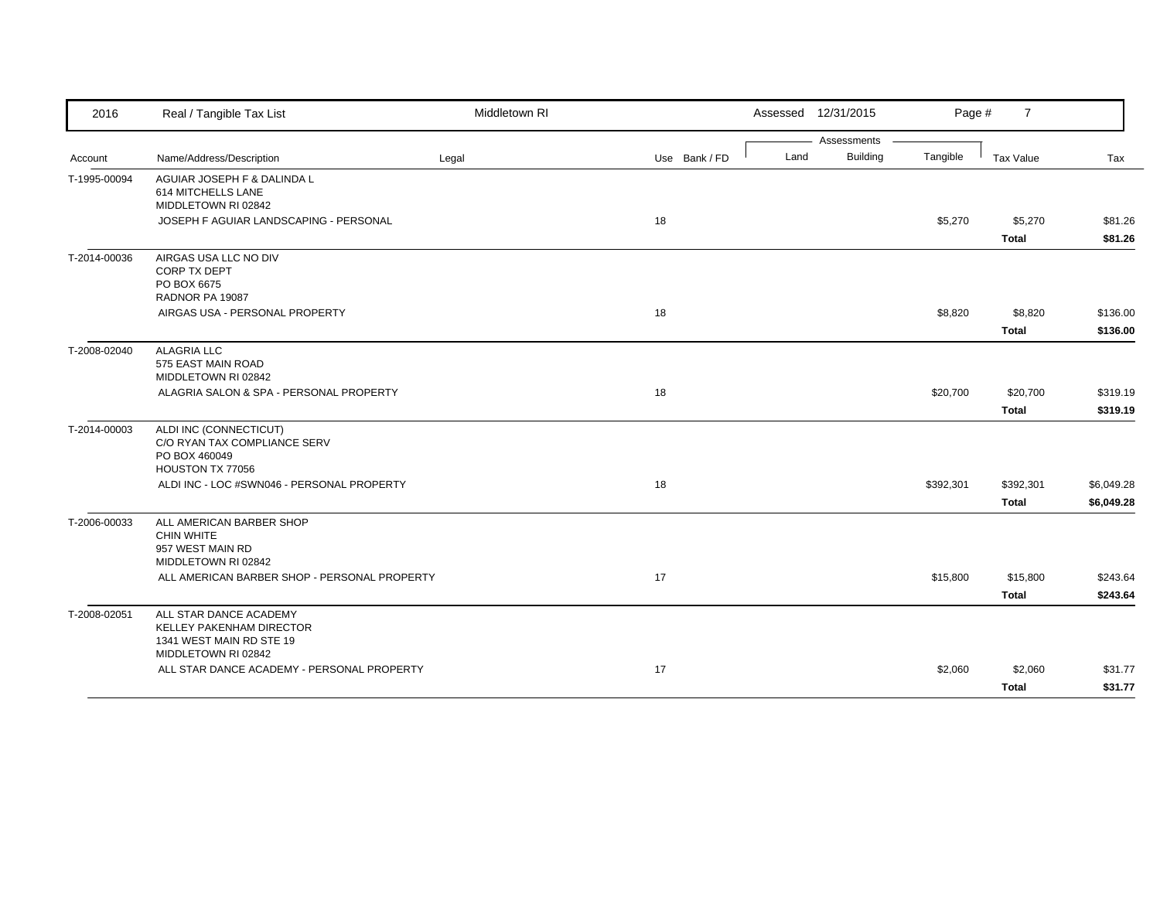| 2016         | Real / Tangible Tax List                                                                                     | Middletown RI |               |      | Assessed 12/31/2015 | Page #    | $\overline{7}$   |            |
|--------------|--------------------------------------------------------------------------------------------------------------|---------------|---------------|------|---------------------|-----------|------------------|------------|
|              |                                                                                                              |               |               |      | Assessments         |           |                  |            |
| Account      | Name/Address/Description                                                                                     | Legal         | Use Bank / FD | Land | <b>Building</b>     | Tangible  | <b>Tax Value</b> | Tax        |
| T-1995-00094 | AGUIAR JOSEPH F & DALINDA L<br>614 MITCHELLS LANE<br>MIDDLETOWN RI 02842                                     |               |               |      |                     |           |                  |            |
|              | JOSEPH F AGUIAR LANDSCAPING - PERSONAL                                                                       |               | 18            |      |                     | \$5,270   | \$5,270          | \$81.26    |
|              |                                                                                                              |               |               |      |                     |           | <b>Total</b>     | \$81.26    |
| T-2014-00036 | AIRGAS USA LLC NO DIV<br>CORP TX DEPT<br>PO BOX 6675                                                         |               |               |      |                     |           |                  |            |
|              | RADNOR PA 19087<br>AIRGAS USA - PERSONAL PROPERTY                                                            |               | 18            |      |                     | \$8,820   | \$8,820          | \$136.00   |
|              |                                                                                                              |               |               |      |                     |           |                  |            |
|              |                                                                                                              |               |               |      |                     |           | <b>Total</b>     | \$136.00   |
| T-2008-02040 | <b>ALAGRIA LLC</b><br>575 EAST MAIN ROAD<br>MIDDLETOWN RI 02842                                              |               |               |      |                     |           |                  |            |
|              | ALAGRIA SALON & SPA - PERSONAL PROPERTY                                                                      |               | 18            |      |                     | \$20,700  | \$20,700         | \$319.19   |
|              |                                                                                                              |               |               |      |                     |           | <b>Total</b>     | \$319.19   |
| T-2014-00003 | ALDI INC (CONNECTICUT)<br>C/O RYAN TAX COMPLIANCE SERV<br>PO BOX 460049<br>HOUSTON TX 77056                  |               |               |      |                     |           |                  |            |
|              | ALDI INC - LOC #SWN046 - PERSONAL PROPERTY                                                                   |               | 18            |      |                     | \$392,301 | \$392,301        | \$6,049.28 |
|              |                                                                                                              |               |               |      |                     |           | <b>Total</b>     | \$6,049.28 |
| T-2006-00033 | ALL AMERICAN BARBER SHOP<br><b>CHIN WHITE</b><br>957 WEST MAIN RD<br>MIDDLETOWN RI 02842                     |               |               |      |                     |           |                  |            |
|              | ALL AMERICAN BARBER SHOP - PERSONAL PROPERTY                                                                 |               | 17            |      |                     | \$15,800  | \$15,800         | \$243.64   |
|              |                                                                                                              |               |               |      |                     |           | <b>Total</b>     | \$243.64   |
| T-2008-02051 | ALL STAR DANCE ACADEMY<br><b>KELLEY PAKENHAM DIRECTOR</b><br>1341 WEST MAIN RD STE 19<br>MIDDLETOWN RI 02842 |               |               |      |                     |           |                  |            |
|              | ALL STAR DANCE ACADEMY - PERSONAL PROPERTY                                                                   |               | 17            |      |                     | \$2,060   | \$2,060          | \$31.77    |
|              |                                                                                                              |               |               |      |                     |           | <b>Total</b>     | \$31.77    |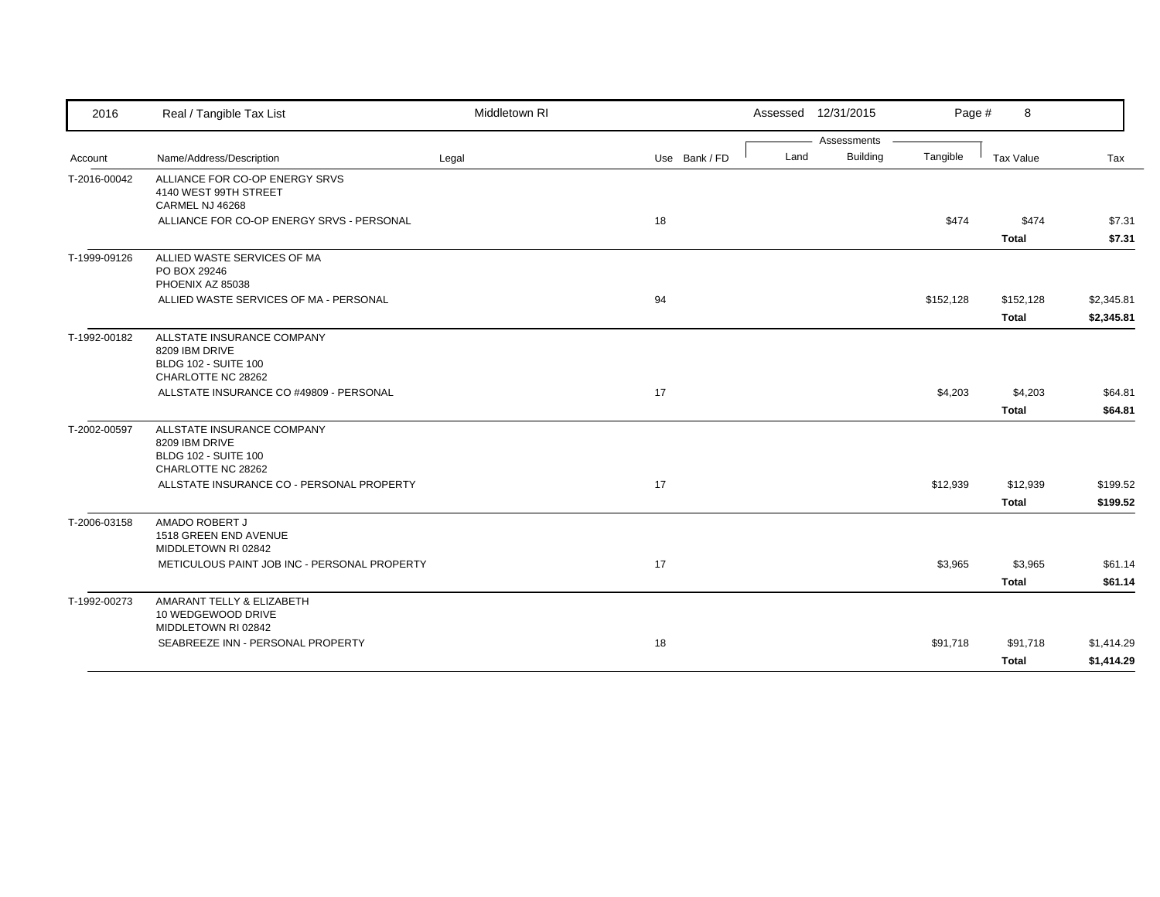| 2016         | Real / Tangible Tax List                                                    | Middletown RI |               |      | Assessed 12/31/2015            | Page #    | 8            |            |
|--------------|-----------------------------------------------------------------------------|---------------|---------------|------|--------------------------------|-----------|--------------|------------|
|              |                                                                             |               |               | Land | Assessments<br><b>Building</b> | Tangible  |              |            |
| Account      | Name/Address/Description                                                    | Legal         | Use Bank / FD |      |                                |           | Tax Value    | Tax        |
| T-2016-00042 | ALLIANCE FOR CO-OP ENERGY SRVS<br>4140 WEST 99TH STREET<br>CARMEL NJ 46268  |               |               |      |                                |           |              |            |
|              | ALLIANCE FOR CO-OP ENERGY SRVS - PERSONAL                                   |               | 18            |      |                                | \$474     | \$474        | \$7.31     |
|              |                                                                             |               |               |      |                                |           | <b>Total</b> | \$7.31     |
| T-1999-09126 | ALLIED WASTE SERVICES OF MA<br>PO BOX 29246<br>PHOENIX AZ 85038             |               |               |      |                                |           |              |            |
|              | ALLIED WASTE SERVICES OF MA - PERSONAL                                      |               | 94            |      |                                | \$152,128 | \$152,128    | \$2,345.81 |
|              |                                                                             |               |               |      |                                |           | <b>Total</b> | \$2,345.81 |
| T-1992-00182 | ALLSTATE INSURANCE COMPANY<br>8209 IBM DRIVE<br><b>BLDG 102 - SUITE 100</b> |               |               |      |                                |           |              |            |
|              | CHARLOTTE NC 28262                                                          |               |               |      |                                |           |              |            |
|              | ALLSTATE INSURANCE CO #49809 - PERSONAL                                     |               | 17            |      |                                | \$4,203   | \$4,203      | \$64.81    |
|              |                                                                             |               |               |      |                                |           | <b>Total</b> | \$64.81    |
| T-2002-00597 | ALLSTATE INSURANCE COMPANY<br>8209 IBM DRIVE<br><b>BLDG 102 - SUITE 100</b> |               |               |      |                                |           |              |            |
|              | CHARLOTTE NC 28262<br>ALLSTATE INSURANCE CO - PERSONAL PROPERTY             |               | 17            |      |                                | \$12,939  | \$12,939     | \$199.52   |
|              |                                                                             |               |               |      |                                |           | <b>Total</b> | \$199.52   |
| T-2006-03158 | AMADO ROBERT J<br>1518 GREEN END AVENUE<br>MIDDLETOWN RI 02842              |               |               |      |                                |           |              |            |
|              | METICULOUS PAINT JOB INC - PERSONAL PROPERTY                                |               | 17            |      |                                | \$3,965   | \$3,965      | \$61.14    |
|              |                                                                             |               |               |      |                                |           | <b>Total</b> | \$61.14    |
| T-1992-00273 | AMARANT TELLY & ELIZABETH<br>10 WEDGEWOOD DRIVE<br>MIDDLETOWN RI 02842      |               |               |      |                                |           |              |            |
|              | SEABREEZE INN - PERSONAL PROPERTY                                           |               | 18            |      |                                | \$91,718  | \$91,718     | \$1,414.29 |
|              |                                                                             |               |               |      |                                |           | Total        | \$1,414.29 |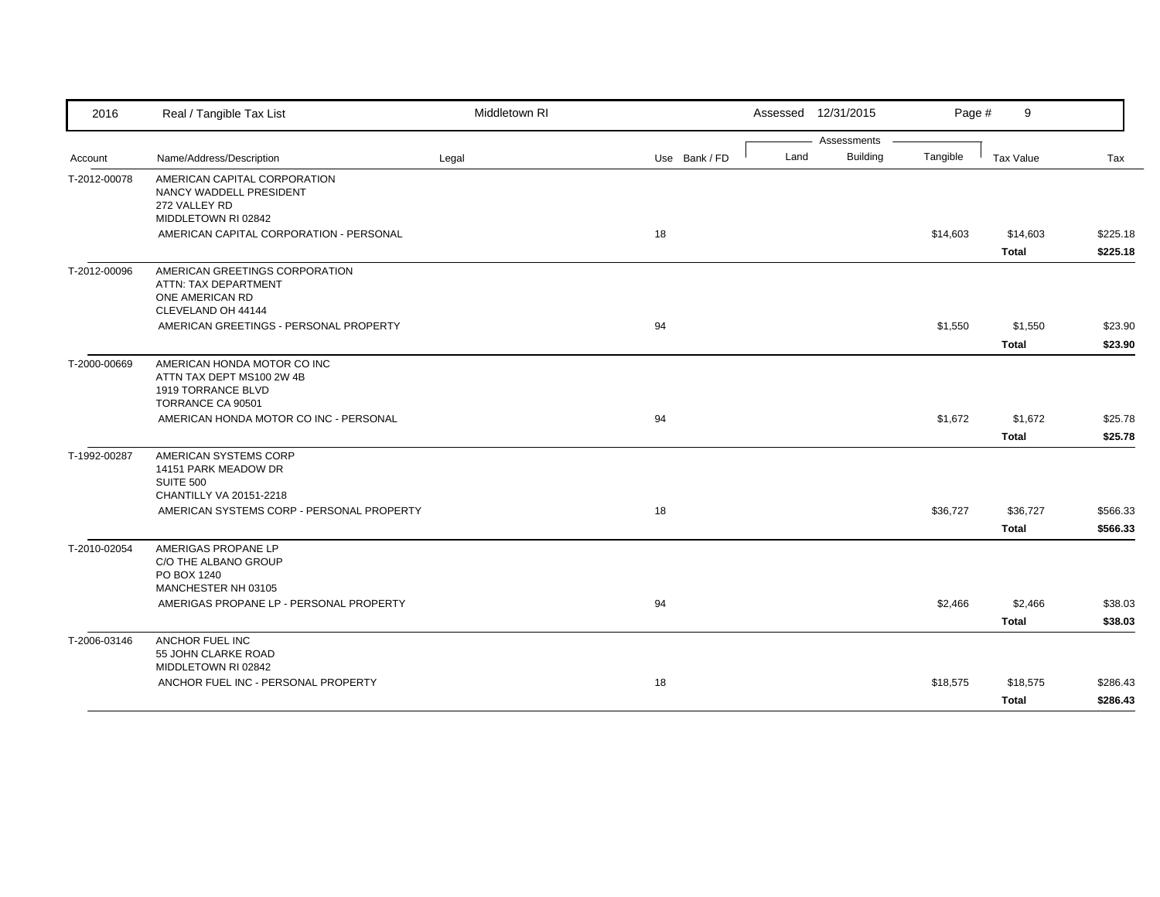| 2016         | Real / Tangible Tax List                                                                                                                      | Middletown RI |               | Assessed 12/31/2015                    | Page #   | 9                       |                      |
|--------------|-----------------------------------------------------------------------------------------------------------------------------------------------|---------------|---------------|----------------------------------------|----------|-------------------------|----------------------|
| Account      | Name/Address/Description                                                                                                                      | Legal         | Use Bank / FD | Assessments<br><b>Building</b><br>Land | Tangible | Tax Value               | Tax                  |
| T-2012-00078 | AMERICAN CAPITAL CORPORATION<br>NANCY WADDELL PRESIDENT<br>272 VALLEY RD<br>MIDDLETOWN RI 02842<br>AMERICAN CAPITAL CORPORATION - PERSONAL    |               | 18            |                                        | \$14,603 | \$14,603                | \$225.18             |
| T-2012-00096 | AMERICAN GREETINGS CORPORATION<br>ATTN: TAX DEPARTMENT<br>ONE AMERICAN RD<br>CLEVELAND OH 44144<br>AMERICAN GREETINGS - PERSONAL PROPERTY     |               | 94            |                                        | \$1,550  | <b>Total</b><br>\$1,550 | \$225.18<br>\$23.90  |
|              |                                                                                                                                               |               |               |                                        |          | <b>Total</b>            | \$23.90              |
| T-2000-00669 | AMERICAN HONDA MOTOR CO INC<br>ATTN TAX DEPT MS100 2W 4B<br>1919 TORRANCE BLVD<br>TORRANCE CA 90501<br>AMERICAN HONDA MOTOR CO INC - PERSONAL |               | 94            |                                        | \$1,672  | \$1,672                 | \$25.78              |
|              |                                                                                                                                               |               |               |                                        |          | <b>Total</b>            | \$25.78              |
| T-1992-00287 | AMERICAN SYSTEMS CORP<br>14151 PARK MEADOW DR<br><b>SUITE 500</b><br>CHANTILLY VA 20151-2218<br>AMERICAN SYSTEMS CORP - PERSONAL PROPERTY     |               | 18            |                                        | \$36,727 | \$36,727<br>Total       | \$566.33<br>\$566.33 |
| T-2010-02054 | AMERIGAS PROPANE LP<br>C/O THE ALBANO GROUP<br>PO BOX 1240<br>MANCHESTER NH 03105                                                             |               |               |                                        |          |                         |                      |
|              | AMERIGAS PROPANE LP - PERSONAL PROPERTY                                                                                                       |               | 94            |                                        | \$2,466  | \$2,466<br><b>Total</b> | \$38.03<br>\$38.03   |
| T-2006-03146 | ANCHOR FUEL INC<br>55 JOHN CLARKE ROAD<br>MIDDLETOWN RI 02842                                                                                 |               |               |                                        |          |                         |                      |
|              | ANCHOR FUEL INC - PERSONAL PROPERTY                                                                                                           |               | 18            |                                        | \$18,575 | \$18,575<br>Total       | \$286.43<br>\$286.43 |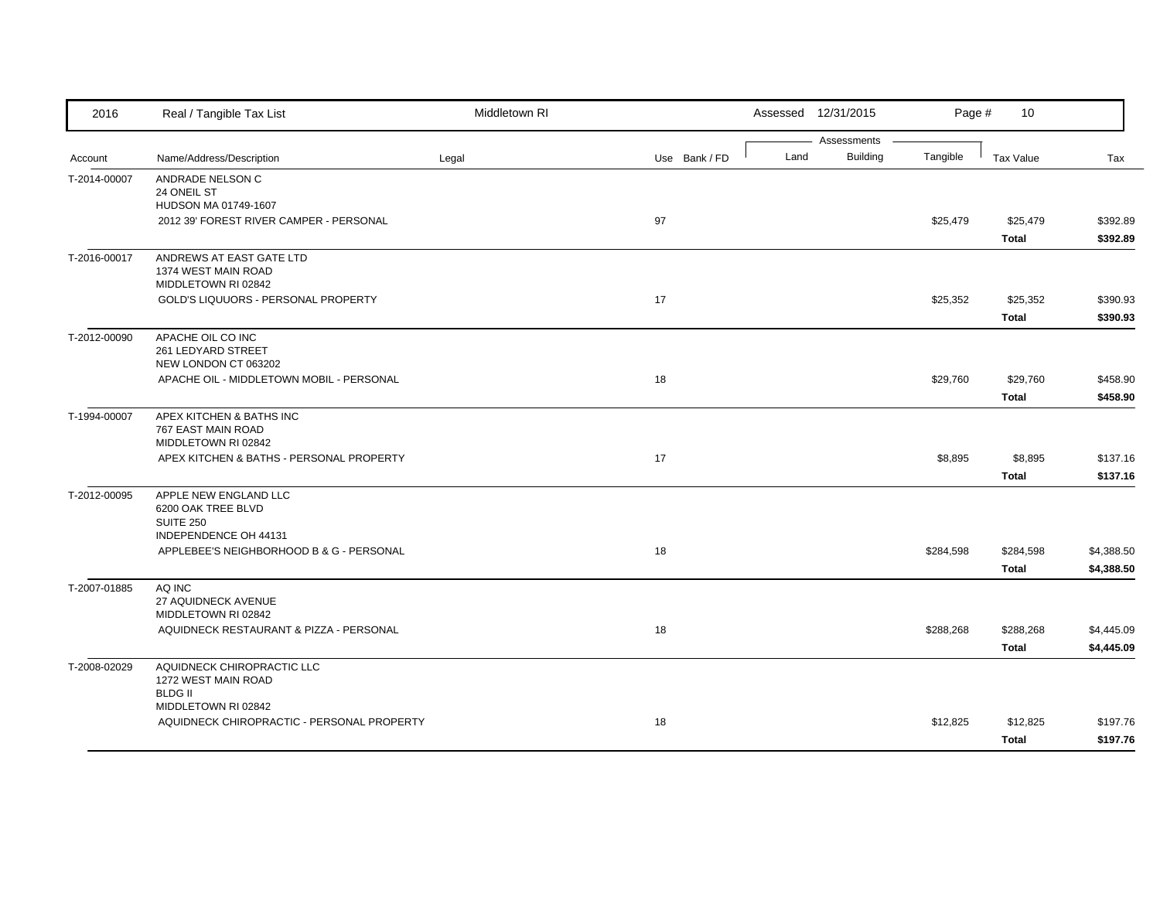| 2016         | Real / Tangible Tax List                                       | Middletown RI |               |      | Assessed 12/31/2015            | Page #    | 10                        |                          |
|--------------|----------------------------------------------------------------|---------------|---------------|------|--------------------------------|-----------|---------------------------|--------------------------|
| Account      | Name/Address/Description                                       | Legal         | Use Bank / FD | Land | Assessments<br><b>Building</b> | Tangible  | <b>Tax Value</b>          | Tax                      |
|              |                                                                |               |               |      |                                |           |                           |                          |
| T-2014-00007 | ANDRADE NELSON C<br>24 ONEIL ST                                |               |               |      |                                |           |                           |                          |
|              | HUDSON MA 01749-1607                                           |               |               |      |                                |           |                           |                          |
|              | 2012 39' FOREST RIVER CAMPER - PERSONAL                        |               | 97            |      |                                | \$25,479  | \$25,479                  | \$392.89                 |
|              |                                                                |               |               |      |                                |           | <b>Total</b>              | \$392.89                 |
| T-2016-00017 | ANDREWS AT EAST GATE LTD                                       |               |               |      |                                |           |                           |                          |
|              | 1374 WEST MAIN ROAD<br>MIDDLETOWN RI 02842                     |               |               |      |                                |           |                           |                          |
|              | GOLD'S LIQUUORS - PERSONAL PROPERTY                            |               | 17            |      |                                | \$25,352  | \$25,352                  | \$390.93                 |
|              |                                                                |               |               |      |                                |           | <b>Total</b>              | \$390.93                 |
| T-2012-00090 | APACHE OIL CO INC                                              |               |               |      |                                |           |                           |                          |
|              | 261 LEDYARD STREET                                             |               |               |      |                                |           |                           |                          |
|              | NEW LONDON CT 063202                                           |               |               |      |                                |           |                           |                          |
|              | APACHE OIL - MIDDLETOWN MOBIL - PERSONAL                       |               | 18            |      |                                | \$29,760  | \$29,760<br><b>Total</b>  | \$458.90<br>\$458.90     |
|              | APEX KITCHEN & BATHS INC                                       |               |               |      |                                |           |                           |                          |
| T-1994-00007 | 767 EAST MAIN ROAD                                             |               |               |      |                                |           |                           |                          |
|              | MIDDLETOWN RI 02842                                            |               |               |      |                                |           |                           |                          |
|              | APEX KITCHEN & BATHS - PERSONAL PROPERTY                       |               | 17            |      |                                | \$8,895   | \$8,895                   | \$137.16                 |
|              |                                                                |               |               |      |                                |           | <b>Total</b>              | \$137.16                 |
| T-2012-00095 | APPLE NEW ENGLAND LLC                                          |               |               |      |                                |           |                           |                          |
|              | 6200 OAK TREE BLVD<br><b>SUITE 250</b>                         |               |               |      |                                |           |                           |                          |
|              | INDEPENDENCE OH 44131                                          |               |               |      |                                |           |                           |                          |
|              | APPLEBEE'S NEIGHBORHOOD B & G - PERSONAL                       |               | 18            |      |                                | \$284,598 | \$284,598                 | \$4,388.50               |
|              |                                                                |               |               |      |                                |           | <b>Total</b>              | \$4,388.50               |
| T-2007-01885 | AQ INC                                                         |               |               |      |                                |           |                           |                          |
|              | 27 AQUIDNECK AVENUE                                            |               |               |      |                                |           |                           |                          |
|              | MIDDLETOWN RI 02842<br>AQUIDNECK RESTAURANT & PIZZA - PERSONAL |               | 18            |      |                                |           |                           |                          |
|              |                                                                |               |               |      |                                | \$288,268 | \$288,268<br><b>Total</b> | \$4,445.09<br>\$4,445.09 |
| T-2008-02029 | AQUIDNECK CHIROPRACTIC LLC                                     |               |               |      |                                |           |                           |                          |
|              | 1272 WEST MAIN ROAD                                            |               |               |      |                                |           |                           |                          |
|              | <b>BLDG II</b>                                                 |               |               |      |                                |           |                           |                          |
|              | MIDDLETOWN RI 02842                                            |               |               |      |                                |           |                           |                          |
|              | AQUIDNECK CHIROPRACTIC - PERSONAL PROPERTY                     |               | 18            |      |                                | \$12,825  | \$12,825                  | \$197.76                 |
|              |                                                                |               |               |      |                                |           | Total                     | \$197.76                 |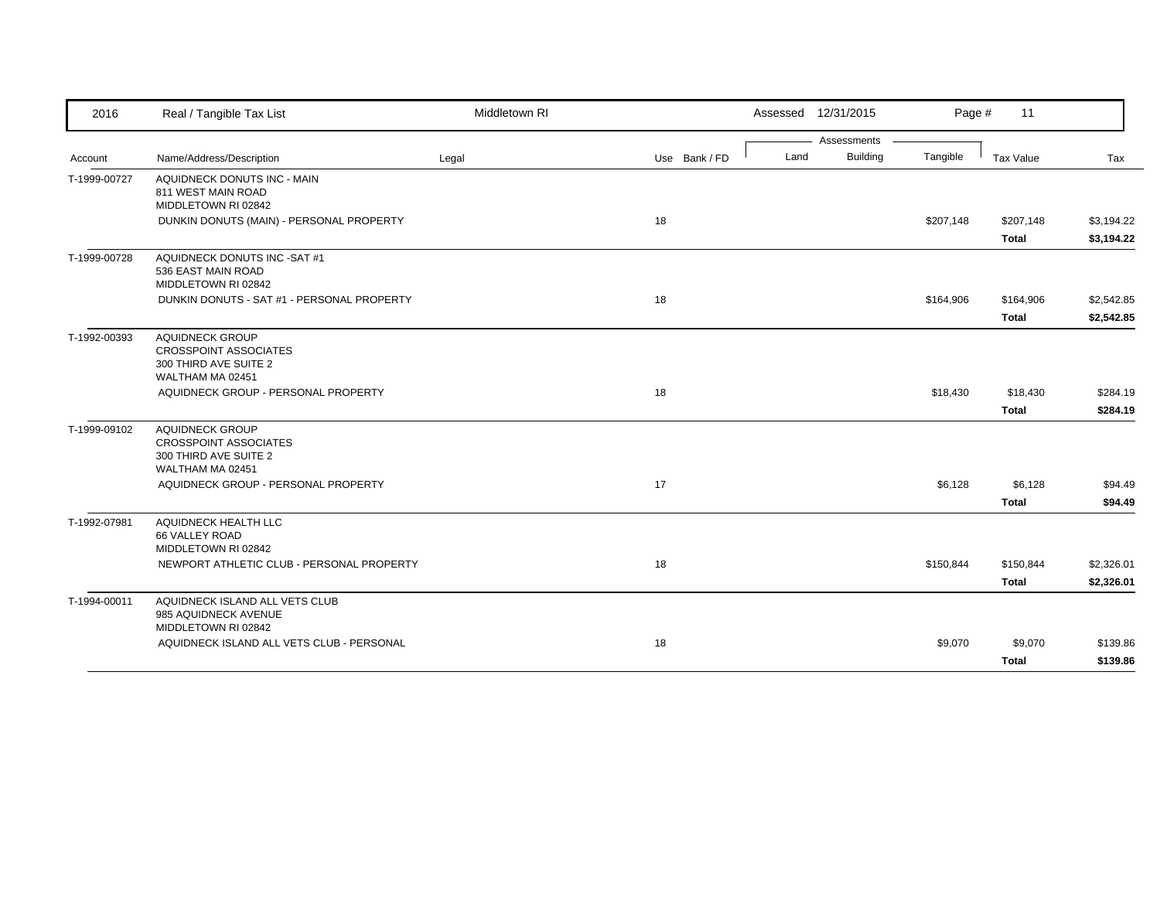| 2016         | Real / Tangible Tax List                                                                            | Middletown RI |               | Assessed 12/31/2015 |                 | Page #    | 11                        |                          |
|--------------|-----------------------------------------------------------------------------------------------------|---------------|---------------|---------------------|-----------------|-----------|---------------------------|--------------------------|
|              |                                                                                                     |               |               |                     | Assessments     |           |                           |                          |
| Account      | Name/Address/Description                                                                            | Legal         | Use Bank / FD | Land                | <b>Building</b> | Tangible  | Tax Value                 | Tax                      |
| T-1999-00727 | AQUIDNECK DONUTS INC - MAIN<br>811 WEST MAIN ROAD<br>MIDDLETOWN RI 02842                            |               |               |                     |                 |           |                           |                          |
|              | DUNKIN DONUTS (MAIN) - PERSONAL PROPERTY                                                            |               | 18            |                     |                 | \$207,148 | \$207,148<br><b>Total</b> | \$3,194.22<br>\$3,194.22 |
| T-1999-00728 | AQUIDNECK DONUTS INC -SAT #1<br>536 EAST MAIN ROAD<br>MIDDLETOWN RI 02842                           |               |               |                     |                 |           |                           |                          |
|              | DUNKIN DONUTS - SAT #1 - PERSONAL PROPERTY                                                          |               | 18            |                     |                 | \$164,906 | \$164,906                 | \$2,542.85               |
|              |                                                                                                     |               |               |                     |                 |           | <b>Total</b>              | \$2,542.85               |
| T-1992-00393 | <b>AQUIDNECK GROUP</b><br><b>CROSSPOINT ASSOCIATES</b><br>300 THIRD AVE SUITE 2<br>WALTHAM MA 02451 |               |               |                     |                 |           |                           |                          |
|              | AQUIDNECK GROUP - PERSONAL PROPERTY                                                                 |               | 18            |                     |                 | \$18,430  | \$18,430                  | \$284.19                 |
|              |                                                                                                     |               |               |                     |                 |           | <b>Total</b>              | \$284.19                 |
| T-1999-09102 | AQUIDNECK GROUP<br><b>CROSSPOINT ASSOCIATES</b><br>300 THIRD AVE SUITE 2<br>WALTHAM MA 02451        |               |               |                     |                 |           |                           |                          |
|              | AQUIDNECK GROUP - PERSONAL PROPERTY                                                                 |               | 17            |                     |                 | \$6,128   | \$6,128                   | \$94.49                  |
|              |                                                                                                     |               |               |                     |                 |           | <b>Total</b>              | \$94.49                  |
| T-1992-07981 | AQUIDNECK HEALTH LLC<br>66 VALLEY ROAD<br>MIDDLETOWN RI 02842                                       |               |               |                     |                 |           |                           |                          |
|              | NEWPORT ATHLETIC CLUB - PERSONAL PROPERTY                                                           |               | 18            |                     |                 | \$150,844 | \$150,844                 | \$2,326.01               |
|              |                                                                                                     |               |               |                     |                 |           | <b>Total</b>              | \$2,326.01               |
| T-1994-00011 | AQUIDNECK ISLAND ALL VETS CLUB<br>985 AQUIDNECK AVENUE<br>MIDDLETOWN RI 02842                       |               |               |                     |                 |           |                           |                          |
|              | AQUIDNECK ISLAND ALL VETS CLUB - PERSONAL                                                           |               | 18            |                     |                 | \$9,070   | \$9,070                   | \$139.86                 |
|              |                                                                                                     |               |               |                     |                 |           | <b>Total</b>              | \$139.86                 |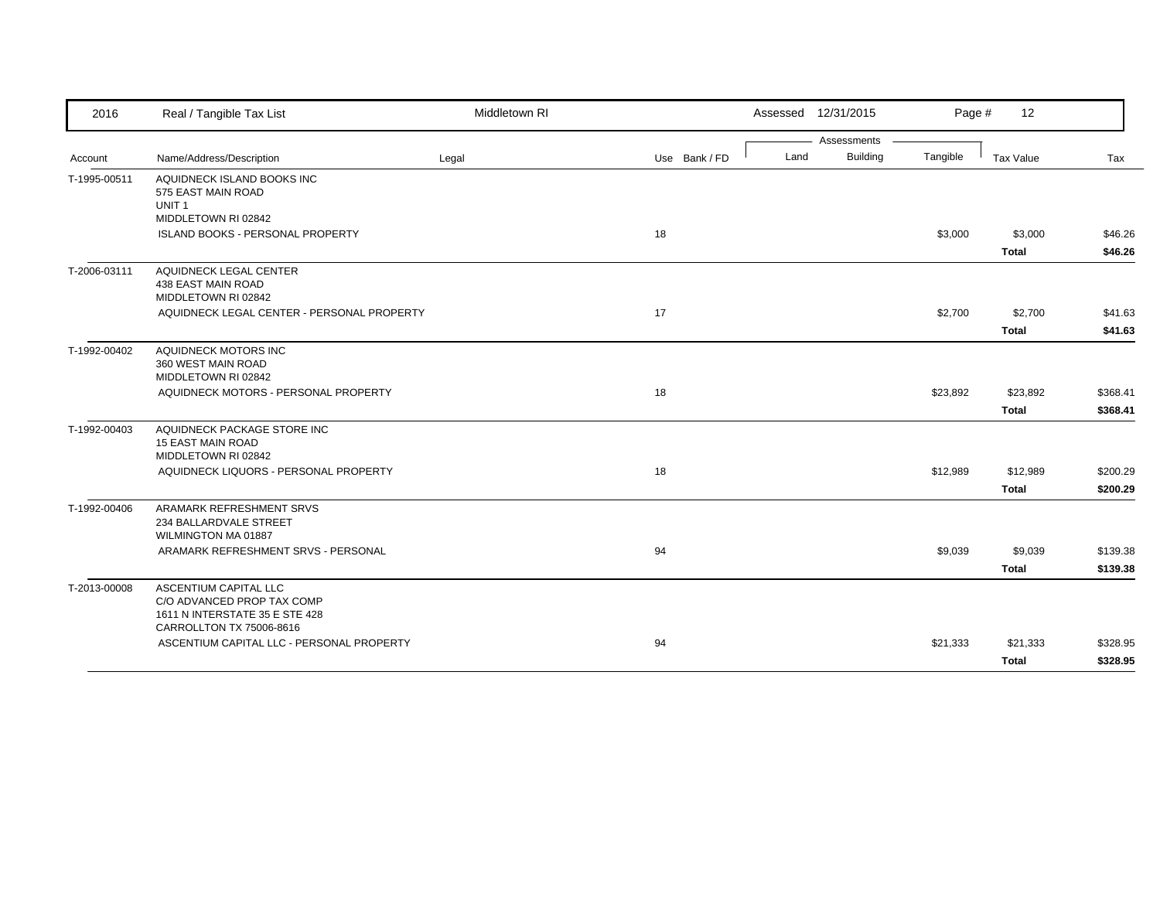| 2016         | Real / Tangible Tax List                                                                                          | Middletown RI |               | Assessed 12/31/2015 |                 | Page #   | 12           |          |
|--------------|-------------------------------------------------------------------------------------------------------------------|---------------|---------------|---------------------|-----------------|----------|--------------|----------|
|              |                                                                                                                   |               |               |                     | Assessments     |          |              |          |
| Account      | Name/Address/Description                                                                                          | Legal         | Use Bank / FD | Land                | <b>Building</b> | Tangible | Tax Value    | Tax      |
| T-1995-00511 | AQUIDNECK ISLAND BOOKS INC<br>575 EAST MAIN ROAD<br>UNIT <sub>1</sub>                                             |               |               |                     |                 |          |              |          |
|              | MIDDLETOWN RI 02842<br>ISLAND BOOKS - PERSONAL PROPERTY                                                           |               | 18            |                     |                 | \$3,000  | \$3,000      | \$46.26  |
|              |                                                                                                                   |               |               |                     |                 |          | <b>Total</b> | \$46.26  |
| T-2006-03111 | AQUIDNECK LEGAL CENTER<br>438 EAST MAIN ROAD<br>MIDDLETOWN RI 02842                                               |               |               |                     |                 |          |              |          |
|              | AQUIDNECK LEGAL CENTER - PERSONAL PROPERTY                                                                        |               | 17            |                     |                 | \$2,700  | \$2,700      | \$41.63  |
|              |                                                                                                                   |               |               |                     |                 |          | <b>Total</b> | \$41.63  |
| T-1992-00402 | AQUIDNECK MOTORS INC<br>360 WEST MAIN ROAD<br>MIDDLETOWN RI 02842                                                 |               |               |                     |                 |          |              |          |
|              | AQUIDNECK MOTORS - PERSONAL PROPERTY                                                                              |               | 18            |                     |                 | \$23,892 | \$23,892     | \$368.41 |
|              |                                                                                                                   |               |               |                     |                 |          | <b>Total</b> | \$368.41 |
| T-1992-00403 | AQUIDNECK PACKAGE STORE INC<br><b>15 EAST MAIN ROAD</b><br>MIDDLETOWN RI 02842                                    |               |               |                     |                 |          |              |          |
|              | AQUIDNECK LIQUORS - PERSONAL PROPERTY                                                                             |               | 18            |                     |                 | \$12,989 | \$12,989     | \$200.29 |
|              |                                                                                                                   |               |               |                     |                 |          | <b>Total</b> | \$200.29 |
| T-1992-00406 | ARAMARK REFRESHMENT SRVS<br>234 BALLARDVALE STREET<br>WILMINGTON MA 01887                                         |               |               |                     |                 |          |              |          |
|              | ARAMARK REFRESHMENT SRVS - PERSONAL                                                                               |               | 94            |                     |                 | \$9,039  | \$9,039      | \$139.38 |
|              |                                                                                                                   |               |               |                     |                 |          | <b>Total</b> | \$139.38 |
| T-2013-00008 | ASCENTIUM CAPITAL LLC<br>C/O ADVANCED PROP TAX COMP<br>1611 N INTERSTATE 35 E STE 428<br>CARROLLTON TX 75006-8616 |               |               |                     |                 |          |              |          |
|              | ASCENTIUM CAPITAL LLC - PERSONAL PROPERTY                                                                         |               | 94            |                     |                 | \$21,333 | \$21,333     | \$328.95 |
|              |                                                                                                                   |               |               |                     |                 |          | <b>Total</b> | \$328.95 |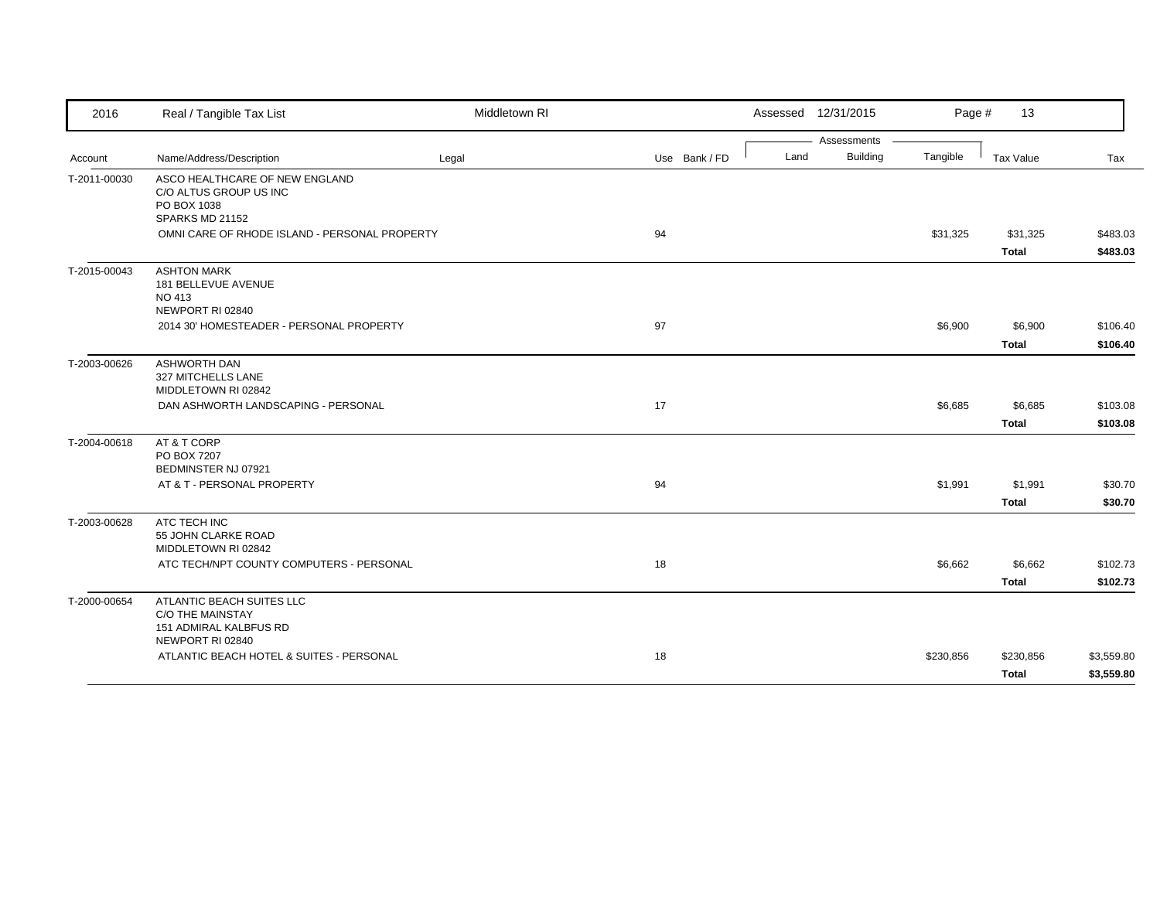| 2016         | Real / Tangible Tax List                                                                           | Middletown RI |               |      | Assessed 12/31/2015 | Page #    | 13           |            |
|--------------|----------------------------------------------------------------------------------------------------|---------------|---------------|------|---------------------|-----------|--------------|------------|
|              |                                                                                                    |               |               |      | Assessments         |           |              |            |
| Account      | Name/Address/Description                                                                           | Legal         | Use Bank / FD | Land | <b>Building</b>     | Tangible  | Tax Value    | Tax        |
| T-2011-00030 | ASCO HEALTHCARE OF NEW ENGLAND<br>C/O ALTUS GROUP US INC<br>PO BOX 1038<br>SPARKS MD 21152         |               |               |      |                     |           |              |            |
|              | OMNI CARE OF RHODE ISLAND - PERSONAL PROPERTY                                                      |               | 94            |      |                     | \$31,325  | \$31,325     | \$483.03   |
|              |                                                                                                    |               |               |      |                     |           | <b>Total</b> | \$483.03   |
| T-2015-00043 | <b>ASHTON MARK</b><br>181 BELLEVUE AVENUE<br>NO 413<br>NEWPORT RI 02840                            |               |               |      |                     |           |              |            |
|              | 2014 30' HOMESTEADER - PERSONAL PROPERTY                                                           |               | 97            |      |                     | \$6,900   | \$6,900      | \$106.40   |
|              |                                                                                                    |               |               |      |                     |           | <b>Total</b> | \$106.40   |
| T-2003-00626 | <b>ASHWORTH DAN</b><br>327 MITCHELLS LANE<br>MIDDLETOWN RI 02842                                   |               |               |      |                     |           |              |            |
|              | DAN ASHWORTH LANDSCAPING - PERSONAL                                                                |               | 17            |      |                     | \$6,685   | \$6,685      | \$103.08   |
|              |                                                                                                    |               |               |      |                     |           | <b>Total</b> | \$103.08   |
| T-2004-00618 | AT & T CORP<br>PO BOX 7207<br>BEDMINSTER NJ 07921                                                  |               |               |      |                     |           |              |            |
|              | AT & T - PERSONAL PROPERTY                                                                         |               | 94            |      |                     | \$1,991   | \$1,991      | \$30.70    |
|              |                                                                                                    |               |               |      |                     |           | <b>Total</b> | \$30.70    |
| T-2003-00628 | ATC TECH INC<br>55 JOHN CLARKE ROAD<br>MIDDLETOWN RI 02842                                         |               |               |      |                     |           |              |            |
|              | ATC TECH/NPT COUNTY COMPUTERS - PERSONAL                                                           |               | 18            |      |                     | \$6,662   | \$6,662      | \$102.73   |
|              |                                                                                                    |               |               |      |                     |           | <b>Total</b> | \$102.73   |
| T-2000-00654 | ATLANTIC BEACH SUITES LLC<br><b>C/O THE MAINSTAY</b><br>151 ADMIRAL KALBFUS RD<br>NEWPORT RI 02840 |               |               |      |                     |           |              |            |
|              | ATLANTIC BEACH HOTEL & SUITES - PERSONAL                                                           |               | 18            |      |                     | \$230,856 | \$230,856    | \$3,559.80 |
|              |                                                                                                    |               |               |      |                     |           | Total        | \$3,559.80 |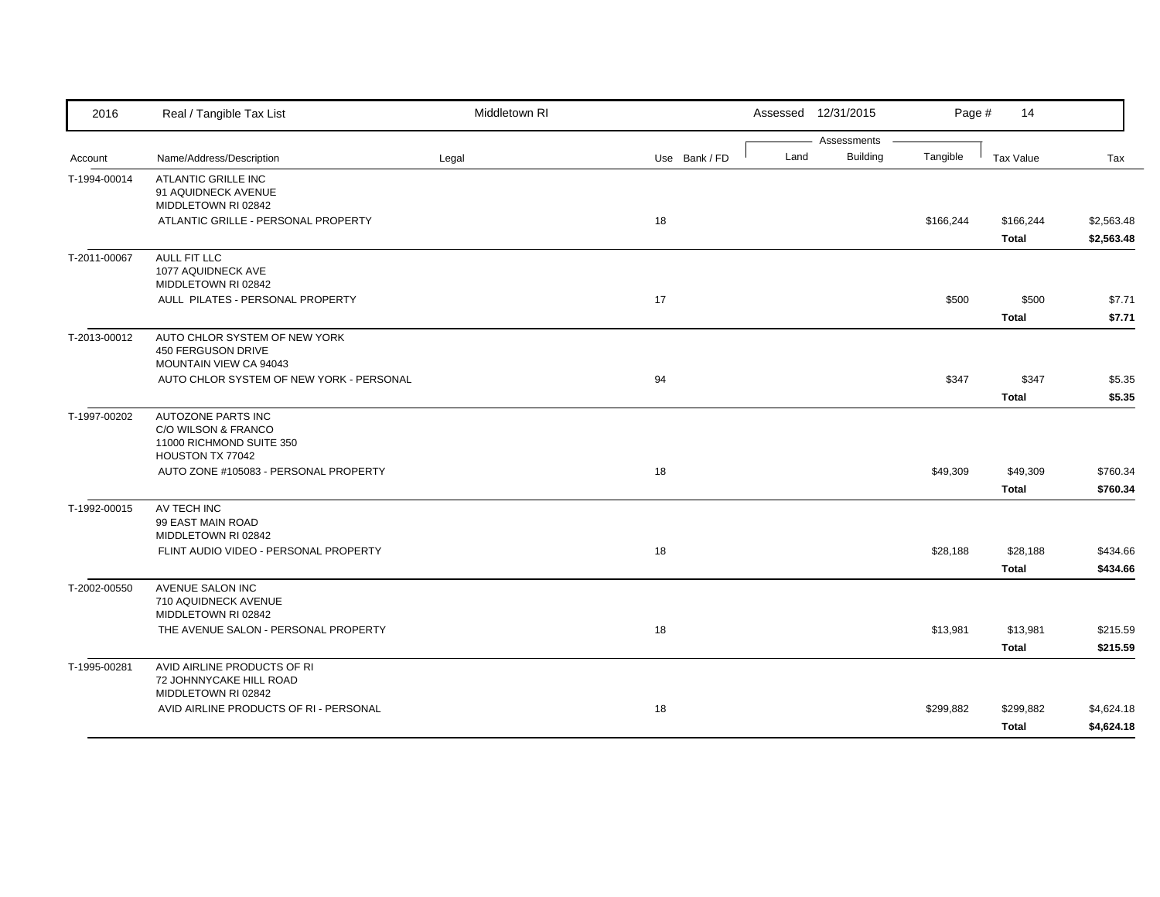| 2016         | Real / Tangible Tax List                                           | Middletown RI |               |      | Assessed 12/31/2015 | Page #    | 14               |            |
|--------------|--------------------------------------------------------------------|---------------|---------------|------|---------------------|-----------|------------------|------------|
|              |                                                                    |               |               |      | Assessments         |           |                  |            |
| Account      | Name/Address/Description                                           | Legal         | Use Bank / FD | Land | <b>Building</b>     | Tangible  | <b>Tax Value</b> | Tax        |
| T-1994-00014 | <b>ATLANTIC GRILLE INC</b><br>91 AQUIDNECK AVENUE                  |               |               |      |                     |           |                  |            |
|              | MIDDLETOWN RI 02842                                                |               |               |      |                     |           |                  |            |
|              | ATLANTIC GRILLE - PERSONAL PROPERTY                                |               | 18            |      |                     | \$166,244 | \$166,244        | \$2,563.48 |
|              |                                                                    |               |               |      |                     |           | <b>Total</b>     | \$2,563.48 |
| T-2011-00067 | <b>AULL FIT LLC</b>                                                |               |               |      |                     |           |                  |            |
|              | 1077 AQUIDNECK AVE                                                 |               |               |      |                     |           |                  |            |
|              | MIDDLETOWN RI 02842                                                |               |               |      |                     |           |                  |            |
|              | AULL PILATES - PERSONAL PROPERTY                                   |               | 17            |      |                     | \$500     | \$500            | \$7.71     |
|              |                                                                    |               |               |      |                     |           | <b>Total</b>     | \$7.71     |
| T-2013-00012 | AUTO CHLOR SYSTEM OF NEW YORK                                      |               |               |      |                     |           |                  |            |
|              | <b>450 FERGUSON DRIVE</b>                                          |               |               |      |                     |           |                  |            |
|              | MOUNTAIN VIEW CA 94043<br>AUTO CHLOR SYSTEM OF NEW YORK - PERSONAL |               | 94            |      |                     | \$347     | \$347            |            |
|              |                                                                    |               |               |      |                     |           |                  | \$5.35     |
|              |                                                                    |               |               |      |                     |           | <b>Total</b>     | \$5.35     |
| T-1997-00202 | AUTOZONE PARTS INC<br>C/O WILSON & FRANCO                          |               |               |      |                     |           |                  |            |
|              | 11000 RICHMOND SUITE 350                                           |               |               |      |                     |           |                  |            |
|              | HOUSTON TX 77042                                                   |               |               |      |                     |           |                  |            |
|              | AUTO ZONE #105083 - PERSONAL PROPERTY                              |               | 18            |      |                     | \$49,309  | \$49,309         | \$760.34   |
|              |                                                                    |               |               |      |                     |           | <b>Total</b>     | \$760.34   |
| T-1992-00015 | AV TECH INC                                                        |               |               |      |                     |           |                  |            |
|              | 99 EAST MAIN ROAD                                                  |               |               |      |                     |           |                  |            |
|              | MIDDLETOWN RI 02842                                                |               |               |      |                     |           |                  |            |
|              | FLINT AUDIO VIDEO - PERSONAL PROPERTY                              |               | 18            |      |                     | \$28,188  | \$28,188         | \$434.66   |
|              |                                                                    |               |               |      |                     |           | <b>Total</b>     | \$434.66   |
| T-2002-00550 | <b>AVENUE SALON INC</b>                                            |               |               |      |                     |           |                  |            |
|              | 710 AQUIDNECK AVENUE                                               |               |               |      |                     |           |                  |            |
|              | MIDDLETOWN RI 02842                                                |               |               |      |                     |           |                  |            |
|              | THE AVENUE SALON - PERSONAL PROPERTY                               |               | 18            |      |                     | \$13,981  | \$13,981         | \$215.59   |
|              |                                                                    |               |               |      |                     |           | <b>Total</b>     | \$215.59   |
| T-1995-00281 | AVID AIRLINE PRODUCTS OF RI                                        |               |               |      |                     |           |                  |            |
|              | 72 JOHNNYCAKE HILL ROAD<br>MIDDLETOWN RI 02842                     |               |               |      |                     |           |                  |            |
|              | AVID AIRLINE PRODUCTS OF RI - PERSONAL                             |               | 18            |      |                     | \$299,882 | \$299,882        | \$4,624.18 |
|              |                                                                    |               |               |      |                     |           | <b>Total</b>     | \$4,624.18 |
|              |                                                                    |               |               |      |                     |           |                  |            |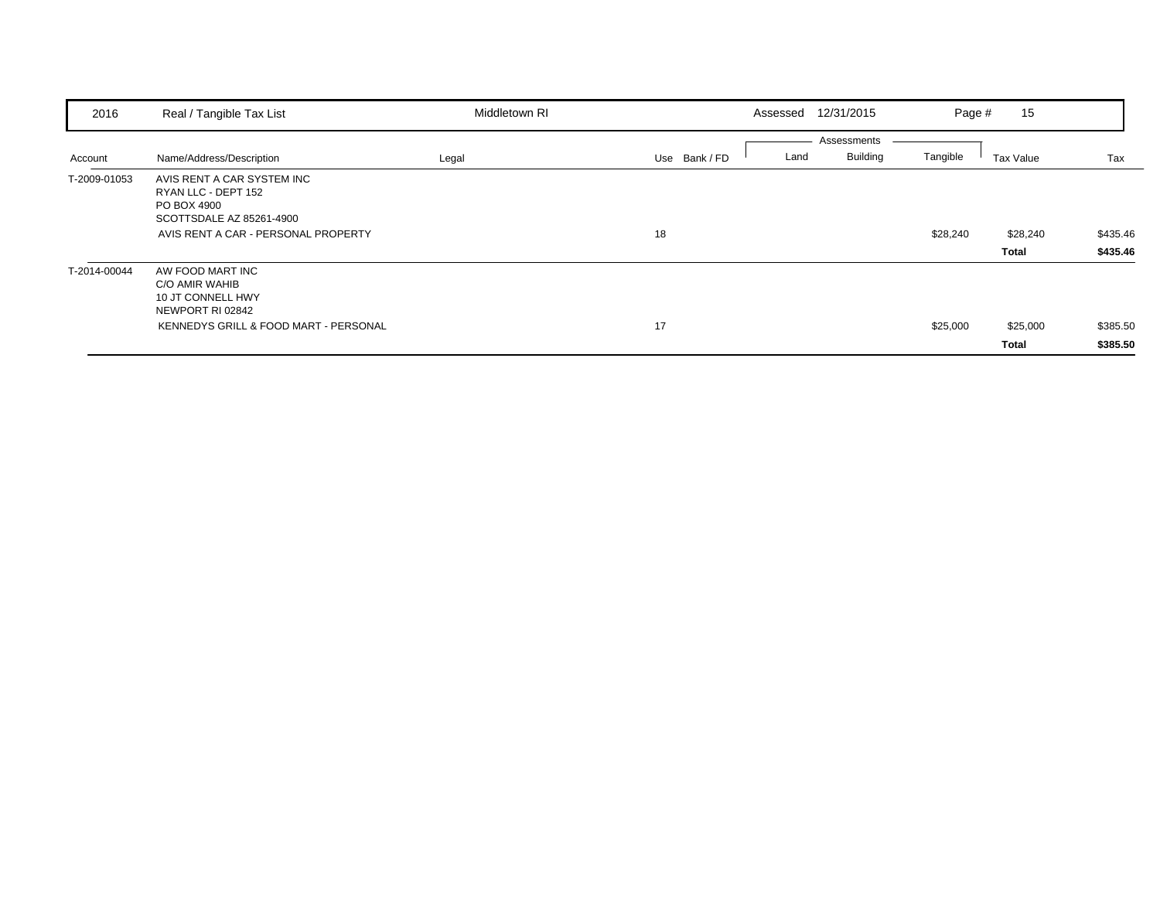| 2016         | Real / Tangible Tax List                                                                     | Middletown RI |               | Assessed | 12/31/2015                     | Page #   | 15                |                      |
|--------------|----------------------------------------------------------------------------------------------|---------------|---------------|----------|--------------------------------|----------|-------------------|----------------------|
| Account      | Name/Address/Description                                                                     | Legal         | Use Bank / FD | Land     | Assessments<br><b>Building</b> | Tangible | Tax Value         | Tax                  |
| T-2009-01053 | AVIS RENT A CAR SYSTEM INC<br>RYAN LLC - DEPT 152<br>PO BOX 4900<br>SCOTTSDALE AZ 85261-4900 |               |               |          |                                |          |                   |                      |
|              | AVIS RENT A CAR - PERSONAL PROPERTY                                                          |               | 18            |          |                                | \$28,240 | \$28,240<br>Total | \$435.46<br>\$435.46 |
| T-2014-00044 | AW FOOD MART INC<br>C/O AMIR WAHIB<br>10 JT CONNELL HWY<br>NEWPORT RI 02842                  |               |               |          |                                |          |                   |                      |
|              | KENNEDYS GRILL & FOOD MART - PERSONAL                                                        |               | 17            |          |                                | \$25,000 | \$25,000<br>Total | \$385.50<br>\$385.50 |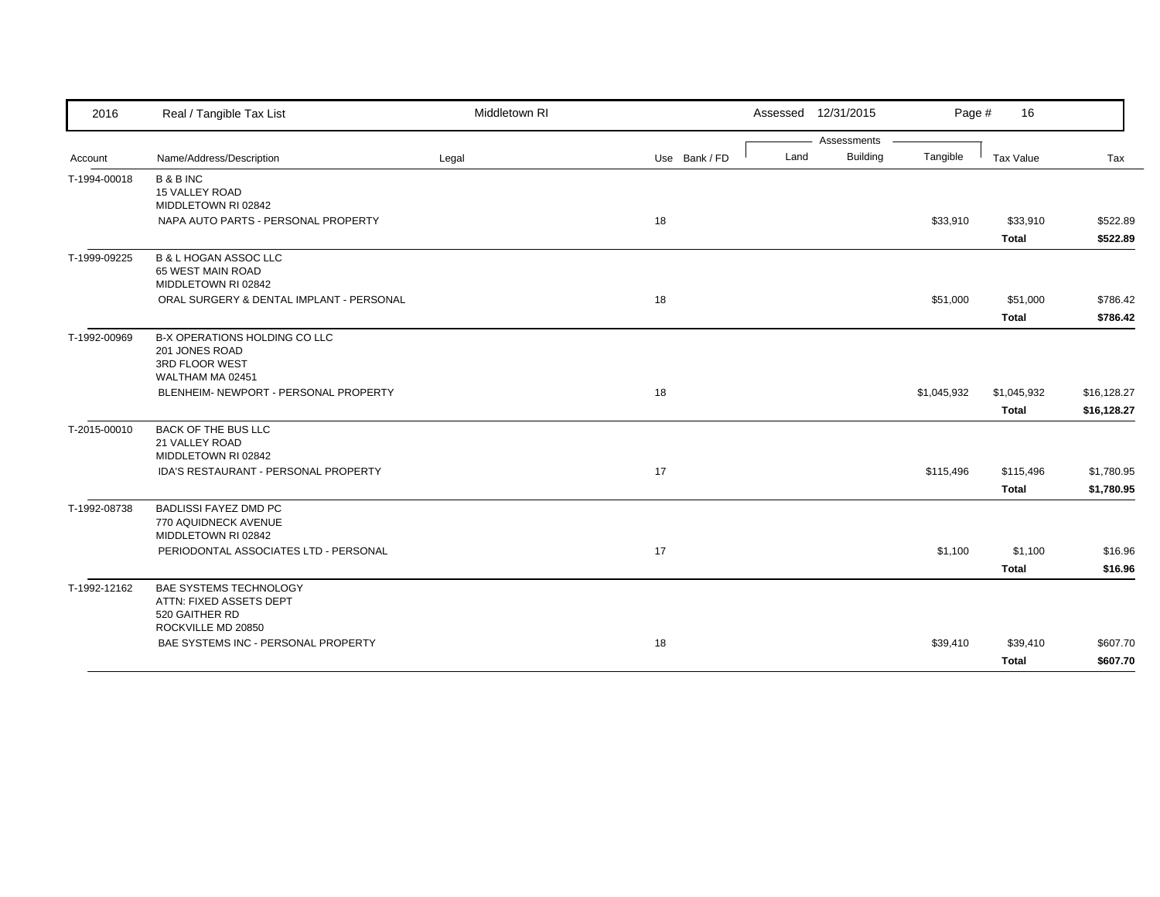| 2016         | Real / Tangible Tax List                                                                  | Middletown RI |               | Assessed 12/31/2015 |             | Page #      | 16                          |                            |
|--------------|-------------------------------------------------------------------------------------------|---------------|---------------|---------------------|-------------|-------------|-----------------------------|----------------------------|
|              |                                                                                           |               |               |                     | Assessments |             |                             |                            |
| Account      | Name/Address/Description                                                                  | Legal         | Use Bank / FD | Land                | Building    | Tangible    | Tax Value                   | Tax                        |
| T-1994-00018 | <b>B&amp;BINC</b><br>15 VALLEY ROAD                                                       |               |               |                     |             |             |                             |                            |
|              | MIDDLETOWN RI 02842<br>NAPA AUTO PARTS - PERSONAL PROPERTY                                |               | 18            |                     |             | \$33,910    | \$33,910<br><b>Total</b>    | \$522.89<br>\$522.89       |
| T-1999-09225 | <b>B &amp; L HOGAN ASSOC LLC</b><br>65 WEST MAIN ROAD<br>MIDDLETOWN RI 02842              |               |               |                     |             |             |                             |                            |
|              | ORAL SURGERY & DENTAL IMPLANT - PERSONAL                                                  |               | 18            |                     |             | \$51,000    | \$51,000<br><b>Total</b>    | \$786.42<br>\$786.42       |
| T-1992-00969 | B-X OPERATIONS HOLDING CO LLC<br>201 JONES ROAD<br>3RD FLOOR WEST<br>WALTHAM MA 02451     |               |               |                     |             |             |                             |                            |
|              | BLENHEIM- NEWPORT - PERSONAL PROPERTY                                                     |               | 18            |                     |             | \$1,045,932 | \$1,045,932<br><b>Total</b> | \$16,128.27<br>\$16,128.27 |
| T-2015-00010 | <b>BACK OF THE BUS LLC</b><br>21 VALLEY ROAD<br>MIDDLETOWN RI 02842                       |               |               |                     |             |             |                             |                            |
|              | <b>IDA'S RESTAURANT - PERSONAL PROPERTY</b>                                               |               | 17            |                     |             | \$115,496   | \$115,496<br><b>Total</b>   | \$1,780.95<br>\$1,780.95   |
| T-1992-08738 | <b>BADLISSI FAYEZ DMD PC</b><br>770 AQUIDNECK AVENUE<br>MIDDLETOWN RI 02842               |               |               |                     |             |             |                             |                            |
|              | PERIODONTAL ASSOCIATES LTD - PERSONAL                                                     |               | 17            |                     |             | \$1,100     | \$1,100<br><b>Total</b>     | \$16.96<br>\$16.96         |
| T-1992-12162 | BAE SYSTEMS TECHNOLOGY<br>ATTN: FIXED ASSETS DEPT<br>520 GAITHER RD<br>ROCKVILLE MD 20850 |               |               |                     |             |             |                             |                            |
|              | BAE SYSTEMS INC - PERSONAL PROPERTY                                                       |               | 18            |                     |             | \$39,410    | \$39,410<br><b>Total</b>    | \$607.70<br>\$607.70       |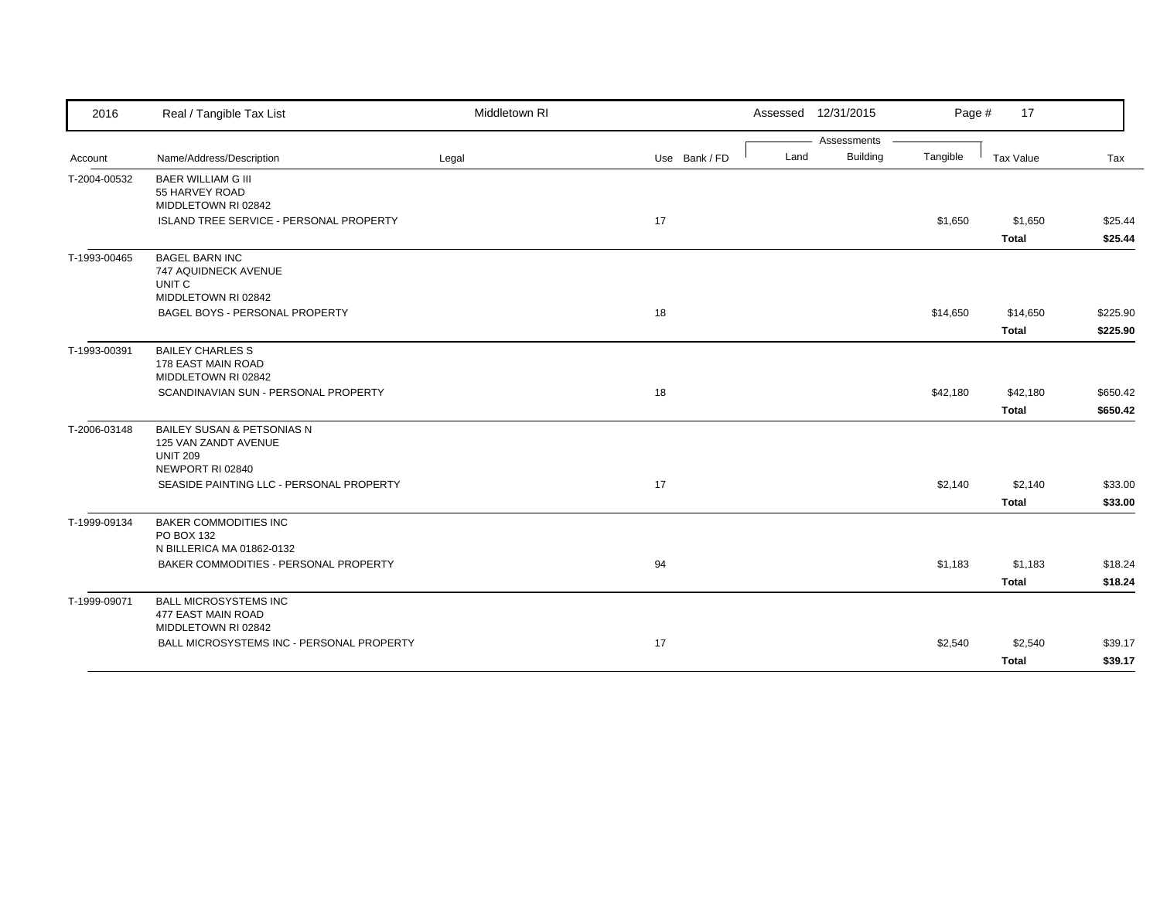| 2016         | Real / Tangible Tax List                                                                  | Middletown RI |               |      | Assessed 12/31/2015 | Page #   | 17           |          |
|--------------|-------------------------------------------------------------------------------------------|---------------|---------------|------|---------------------|----------|--------------|----------|
|              |                                                                                           |               |               |      | Assessments         |          |              |          |
| Account      | Name/Address/Description                                                                  | Legal         | Use Bank / FD | Land | <b>Building</b>     | Tangible | Tax Value    | Tax      |
| T-2004-00532 | <b>BAER WILLIAM G III</b><br>55 HARVEY ROAD<br>MIDDLETOWN RI 02842                        |               |               |      |                     |          |              |          |
|              | ISLAND TREE SERVICE - PERSONAL PROPERTY                                                   |               | 17            |      |                     | \$1,650  | \$1,650      | \$25.44  |
|              |                                                                                           |               |               |      |                     |          | <b>Total</b> | \$25.44  |
| T-1993-00465 | <b>BAGEL BARN INC</b><br>747 AQUIDNECK AVENUE<br>UNIT C<br>MIDDLETOWN RI 02842            |               |               |      |                     |          |              |          |
|              | BAGEL BOYS - PERSONAL PROPERTY                                                            |               | 18            |      |                     | \$14,650 | \$14,650     | \$225.90 |
|              |                                                                                           |               |               |      |                     |          | <b>Total</b> | \$225.90 |
| T-1993-00391 | <b>BAILEY CHARLES S</b><br>178 EAST MAIN ROAD<br>MIDDLETOWN RI 02842                      |               |               |      |                     |          |              |          |
|              | SCANDINAVIAN SUN - PERSONAL PROPERTY                                                      |               | 18            |      |                     | \$42,180 | \$42,180     | \$650.42 |
|              |                                                                                           |               |               |      |                     |          | <b>Total</b> | \$650.42 |
| T-2006-03148 | BAILEY SUSAN & PETSONIAS N<br>125 VAN ZANDT AVENUE<br><b>UNIT 209</b><br>NEWPORT RI 02840 |               |               |      |                     |          |              |          |
|              | SEASIDE PAINTING LLC - PERSONAL PROPERTY                                                  |               | 17            |      |                     | \$2,140  | \$2,140      | \$33.00  |
|              |                                                                                           |               |               |      |                     |          | <b>Total</b> | \$33.00  |
| T-1999-09134 | <b>BAKER COMMODITIES INC</b><br>PO BOX 132<br>N BILLERICA MA 01862-0132                   |               |               |      |                     |          |              |          |
|              | BAKER COMMODITIES - PERSONAL PROPERTY                                                     |               | 94            |      |                     | \$1,183  | \$1,183      | \$18.24  |
|              |                                                                                           |               |               |      |                     |          | <b>Total</b> | \$18.24  |
| T-1999-09071 | <b>BALL MICROSYSTEMS INC</b><br>477 EAST MAIN ROAD                                        |               |               |      |                     |          |              |          |
|              | MIDDLETOWN RI 02842<br>BALL MICROSYSTEMS INC - PERSONAL PROPERTY                          |               | 17            |      |                     | \$2,540  | \$2,540      | \$39.17  |
|              |                                                                                           |               |               |      |                     |          | <b>Total</b> | \$39.17  |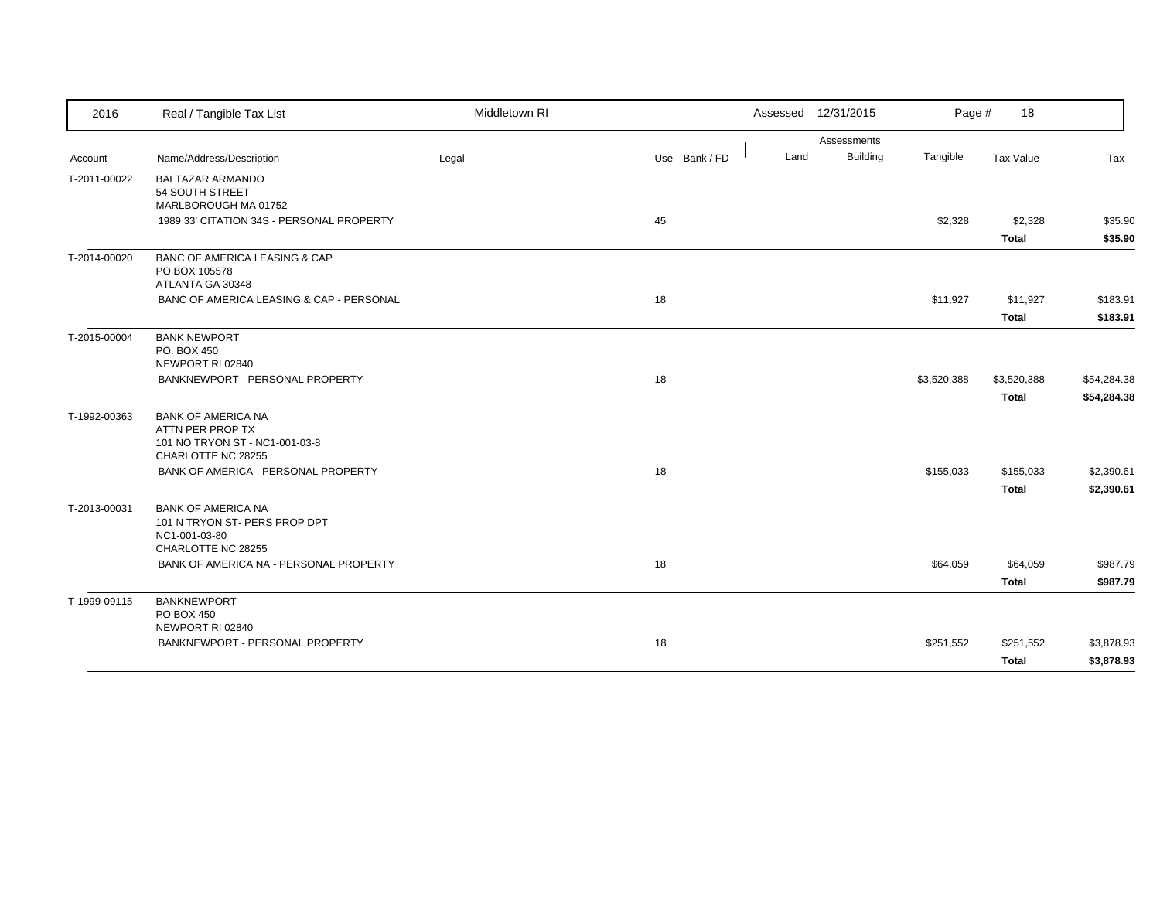| 2016         | Real / Tangible Tax List                                                                              | Middletown RI |               |      | Assessed 12/31/2015     | Page #      | 18                        |                            |
|--------------|-------------------------------------------------------------------------------------------------------|---------------|---------------|------|-------------------------|-------------|---------------------------|----------------------------|
| Account      | Name/Address/Description                                                                              | Legal         | Use Bank / FD | Land | Assessments<br>Building | Tangible    | Tax Value                 | Tax                        |
| T-2011-00022 | <b>BALTAZAR ARMANDO</b><br>54 SOUTH STREET<br>MARLBOROUGH MA 01752                                    |               |               |      |                         |             |                           |                            |
|              | 1989 33' CITATION 34S - PERSONAL PROPERTY                                                             |               | 45            |      |                         | \$2,328     | \$2,328<br>Total          | \$35.90<br>\$35.90         |
| T-2014-00020 | <b>BANC OF AMERICA LEASING &amp; CAP</b><br>PO BOX 105578<br>ATLANTA GA 30348                         |               |               |      |                         |             |                           |                            |
|              | BANC OF AMERICA LEASING & CAP - PERSONAL                                                              |               | 18            |      |                         | \$11,927    | \$11,927<br><b>Total</b>  | \$183.91<br>\$183.91       |
| T-2015-00004 | <b>BANK NEWPORT</b><br>PO. BOX 450<br>NEWPORT RI 02840                                                |               |               |      |                         |             |                           |                            |
|              | BANKNEWPORT - PERSONAL PROPERTY                                                                       |               | 18            |      |                         | \$3,520,388 | \$3,520,388<br>Total      | \$54,284.38<br>\$54,284.38 |
| T-1992-00363 | <b>BANK OF AMERICA NA</b><br>ATTN PER PROP TX<br>101 NO TRYON ST - NC1-001-03-8<br>CHARLOTTE NC 28255 |               |               |      |                         |             |                           |                            |
|              | BANK OF AMERICA - PERSONAL PROPERTY                                                                   |               | 18            |      |                         | \$155,033   | \$155,033<br><b>Total</b> | \$2,390.61<br>\$2,390.61   |
| T-2013-00031 | <b>BANK OF AMERICA NA</b><br>101 N TRYON ST- PERS PROP DPT<br>NC1-001-03-80<br>CHARLOTTE NC 28255     |               |               |      |                         |             |                           |                            |
|              | BANK OF AMERICA NA - PERSONAL PROPERTY                                                                |               | 18            |      |                         | \$64,059    | \$64,059<br><b>Total</b>  | \$987.79<br>\$987.79       |
| T-1999-09115 | <b>BANKNEWPORT</b><br>PO BOX 450<br>NEWPORT RI 02840                                                  |               |               |      |                         |             |                           |                            |
|              | BANKNEWPORT - PERSONAL PROPERTY                                                                       |               | 18            |      |                         | \$251,552   | \$251,552<br><b>Total</b> | \$3,878.93<br>\$3,878.93   |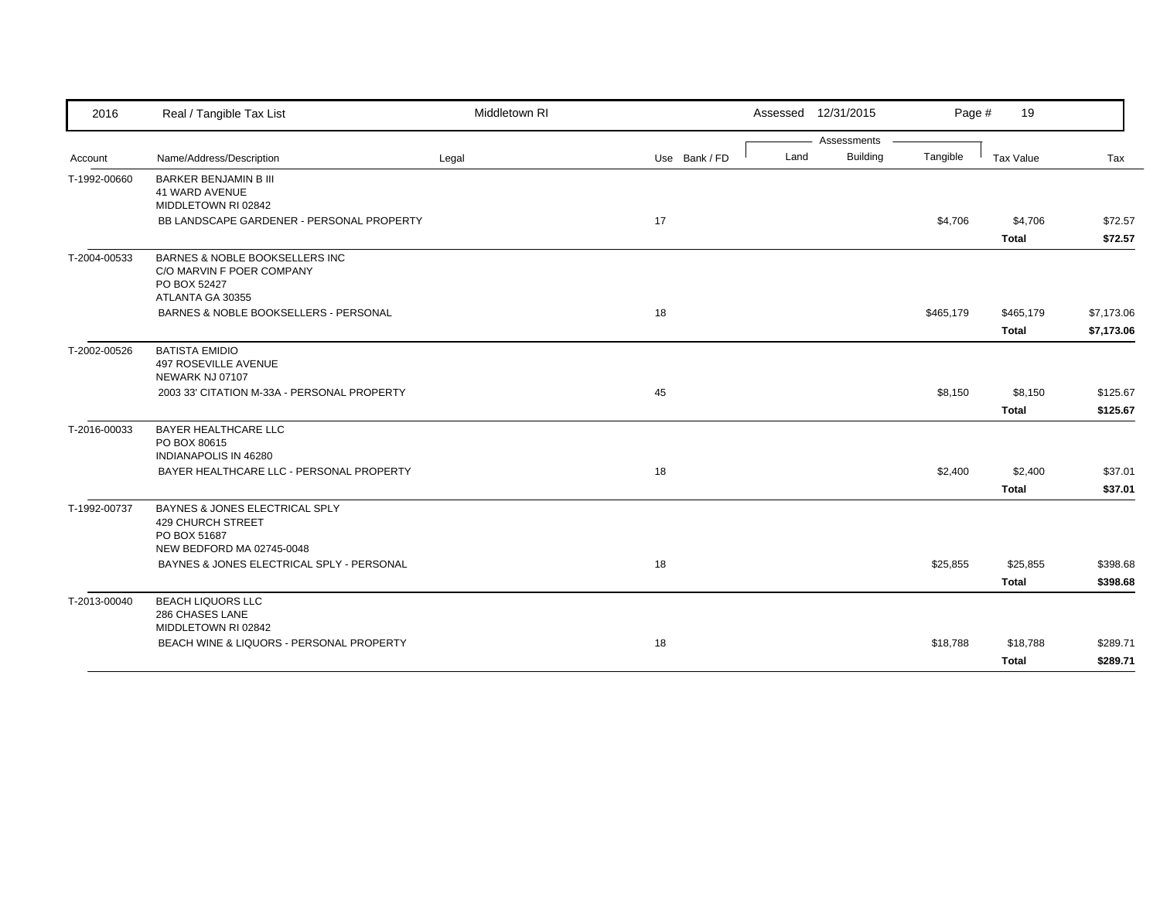| 2016         | Real / Tangible Tax List                                       | Middletown RI |               |      | Assessed 12/31/2015            | Page #    | 19           |            |
|--------------|----------------------------------------------------------------|---------------|---------------|------|--------------------------------|-----------|--------------|------------|
|              | Name/Address/Description                                       |               | Use Bank / FD | Land | Assessments<br><b>Building</b> | Tangible  | Tax Value    | Tax        |
| Account      |                                                                | Legal         |               |      |                                |           |              |            |
| T-1992-00660 | <b>BARKER BENJAMIN B III</b>                                   |               |               |      |                                |           |              |            |
|              | 41 WARD AVENUE<br>MIDDLETOWN RI 02842                          |               |               |      |                                |           |              |            |
|              | BB LANDSCAPE GARDENER - PERSONAL PROPERTY                      |               | 17            |      |                                | \$4,706   | \$4,706      | \$72.57    |
|              |                                                                |               |               |      |                                |           | <b>Total</b> | \$72.57    |
| T-2004-00533 | BARNES & NOBLE BOOKSELLERS INC                                 |               |               |      |                                |           |              |            |
|              | C/O MARVIN F POER COMPANY<br>PO BOX 52427                      |               |               |      |                                |           |              |            |
|              | ATLANTA GA 30355                                               |               |               |      |                                |           |              |            |
|              | BARNES & NOBLE BOOKSELLERS - PERSONAL                          |               | 18            |      |                                | \$465,179 | \$465,179    | \$7,173.06 |
|              |                                                                |               |               |      |                                |           | <b>Total</b> | \$7,173.06 |
| T-2002-00526 | <b>BATISTA EMIDIO</b>                                          |               |               |      |                                |           |              |            |
|              | 497 ROSEVILLE AVENUE                                           |               |               |      |                                |           |              |            |
|              | NEWARK NJ 07107<br>2003 33' CITATION M-33A - PERSONAL PROPERTY |               | 45            |      |                                | \$8,150   | \$8,150      | \$125.67   |
|              |                                                                |               |               |      |                                |           | <b>Total</b> | \$125.67   |
|              |                                                                |               |               |      |                                |           |              |            |
| T-2016-00033 | BAYER HEALTHCARE LLC<br>PO BOX 80615                           |               |               |      |                                |           |              |            |
|              | INDIANAPOLIS IN 46280                                          |               |               |      |                                |           |              |            |
|              | BAYER HEALTHCARE LLC - PERSONAL PROPERTY                       |               | 18            |      |                                | \$2,400   | \$2,400      | \$37.01    |
|              |                                                                |               |               |      |                                |           | <b>Total</b> | \$37.01    |
| T-1992-00737 | BAYNES & JONES ELECTRICAL SPLY                                 |               |               |      |                                |           |              |            |
|              | <b>429 CHURCH STREET</b><br>PO BOX 51687                       |               |               |      |                                |           |              |            |
|              | NEW BEDFORD MA 02745-0048                                      |               |               |      |                                |           |              |            |
|              | BAYNES & JONES ELECTRICAL SPLY - PERSONAL                      |               | 18            |      |                                | \$25,855  | \$25,855     | \$398.68   |
|              |                                                                |               |               |      |                                |           | <b>Total</b> | \$398.68   |
| T-2013-00040 | <b>BEACH LIQUORS LLC</b>                                       |               |               |      |                                |           |              |            |
|              | 286 CHASES LANE<br>MIDDLETOWN RI 02842                         |               |               |      |                                |           |              |            |
|              | BEACH WINE & LIQUORS - PERSONAL PROPERTY                       |               | 18            |      |                                | \$18,788  | \$18,788     | \$289.71   |
|              |                                                                |               |               |      |                                |           | <b>Total</b> | \$289.71   |
|              |                                                                |               |               |      |                                |           |              |            |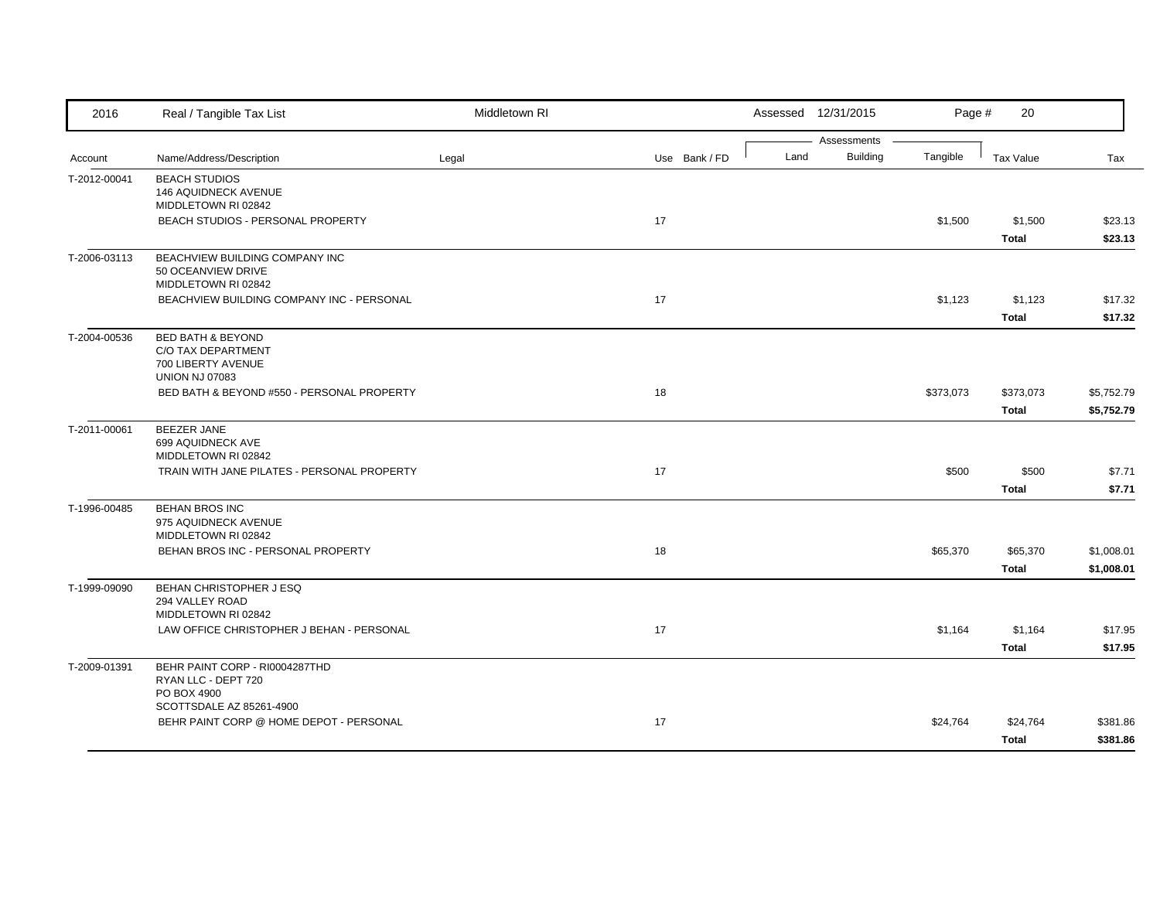| 2016         | Real / Tangible Tax List                                                                          | Middletown RI |               |      | Assessed 12/31/2015            | Page #    | 20                        |                          |
|--------------|---------------------------------------------------------------------------------------------------|---------------|---------------|------|--------------------------------|-----------|---------------------------|--------------------------|
| Account      | Name/Address/Description                                                                          | Legal         | Use Bank / FD | Land | Assessments<br><b>Building</b> | Tangible  | <b>Tax Value</b>          | Tax                      |
| T-2012-00041 | <b>BEACH STUDIOS</b><br>146 AQUIDNECK AVENUE<br>MIDDLETOWN RI 02842                               |               |               |      |                                |           |                           |                          |
|              | BEACH STUDIOS - PERSONAL PROPERTY                                                                 |               | 17            |      |                                | \$1,500   | \$1,500<br><b>Total</b>   | \$23.13<br>\$23.13       |
| T-2006-03113 | BEACHVIEW BUILDING COMPANY INC<br>50 OCEANVIEW DRIVE<br>MIDDLETOWN RI 02842                       |               |               |      |                                |           |                           |                          |
|              | BEACHVIEW BUILDING COMPANY INC - PERSONAL                                                         |               | 17            |      |                                | \$1,123   | \$1,123<br><b>Total</b>   | \$17.32<br>\$17.32       |
| T-2004-00536 | <b>BED BATH &amp; BEYOND</b><br>C/O TAX DEPARTMENT<br>700 LIBERTY AVENUE<br><b>UNION NJ 07083</b> |               |               |      |                                |           |                           |                          |
|              | BED BATH & BEYOND #550 - PERSONAL PROPERTY                                                        |               | 18            |      |                                | \$373,073 | \$373,073<br><b>Total</b> | \$5,752.79<br>\$5,752.79 |
| T-2011-00061 | <b>BEEZER JANE</b><br>699 AQUIDNECK AVE<br>MIDDLETOWN RI 02842                                    |               |               |      |                                |           |                           |                          |
|              | TRAIN WITH JANE PILATES - PERSONAL PROPERTY                                                       |               | 17            |      |                                | \$500     | \$500<br><b>Total</b>     | \$7.71<br>\$7.71         |
| T-1996-00485 | <b>BEHAN BROS INC</b><br>975 AQUIDNECK AVENUE<br>MIDDLETOWN RI 02842                              |               |               |      |                                |           |                           |                          |
|              | BEHAN BROS INC - PERSONAL PROPERTY                                                                |               | 18            |      |                                | \$65,370  | \$65,370<br><b>Total</b>  | \$1,008.01<br>\$1,008.01 |
| T-1999-09090 | BEHAN CHRISTOPHER J ESQ<br>294 VALLEY ROAD<br>MIDDLETOWN RI 02842                                 |               |               |      |                                |           |                           |                          |
|              | LAW OFFICE CHRISTOPHER J BEHAN - PERSONAL                                                         |               | 17            |      |                                | \$1,164   | \$1,164<br><b>Total</b>   | \$17.95<br>\$17.95       |
| T-2009-01391 | BEHR PAINT CORP - RI0004287THD<br>RYAN LLC - DEPT 720<br>PO BOX 4900                              |               |               |      |                                |           |                           |                          |
|              | SCOTTSDALE AZ 85261-4900<br>BEHR PAINT CORP @ HOME DEPOT - PERSONAL                               |               | 17            |      |                                | \$24,764  | \$24,764<br><b>Total</b>  | \$381.86<br>\$381.86     |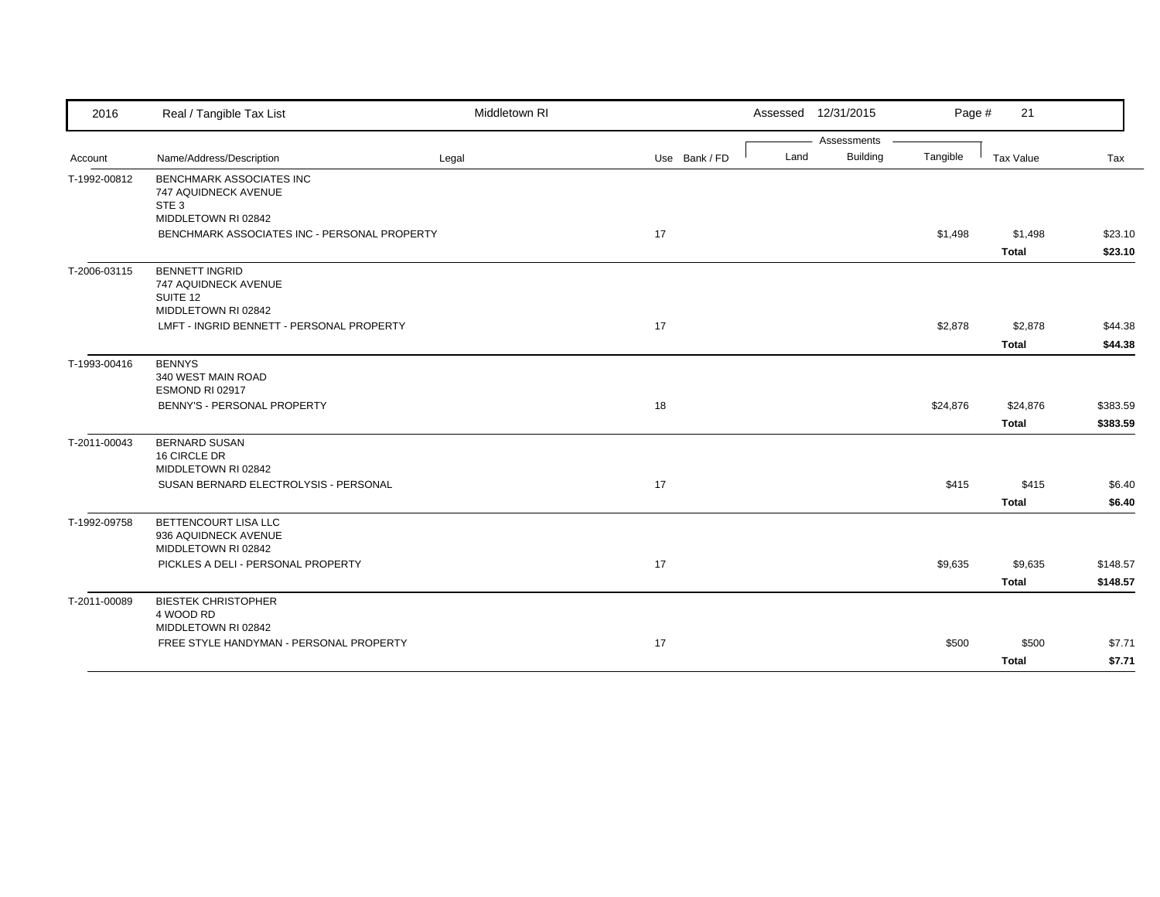| 2016         | Real / Tangible Tax List                                                         | Middletown RI |               |      | Assessed 12/31/2015 | Page #   | 21                      |                      |
|--------------|----------------------------------------------------------------------------------|---------------|---------------|------|---------------------|----------|-------------------------|----------------------|
|              |                                                                                  |               |               |      | Assessments         |          |                         |                      |
| Account      | Name/Address/Description                                                         | Legal         | Use Bank / FD | Land | <b>Building</b>     | Tangible | Tax Value               | Tax                  |
| T-1992-00812 | <b>BENCHMARK ASSOCIATES INC</b><br>747 AQUIDNECK AVENUE<br>STE <sub>3</sub>      |               |               |      |                     |          |                         |                      |
|              | MIDDLETOWN RI 02842<br>BENCHMARK ASSOCIATES INC - PERSONAL PROPERTY              |               | 17            |      |                     | \$1,498  | \$1,498<br>Total        | \$23.10<br>\$23.10   |
| T-2006-03115 | <b>BENNETT INGRID</b><br>747 AQUIDNECK AVENUE<br>SUITE 12<br>MIDDLETOWN RI 02842 |               |               |      |                     |          |                         |                      |
|              | LMFT - INGRID BENNETT - PERSONAL PROPERTY                                        |               | 17            |      |                     | \$2,878  | \$2,878<br><b>Total</b> | \$44.38<br>\$44.38   |
| T-1993-00416 | <b>BENNYS</b><br>340 WEST MAIN ROAD<br>ESMOND RI 02917                           |               |               |      |                     |          |                         |                      |
|              | BENNY'S - PERSONAL PROPERTY                                                      |               | 18            |      |                     | \$24,876 | \$24,876<br>Total       | \$383.59<br>\$383.59 |
| T-2011-00043 | <b>BERNARD SUSAN</b><br>16 CIRCLE DR<br>MIDDLETOWN RI 02842                      |               |               |      |                     |          |                         |                      |
|              | SUSAN BERNARD ELECTROLYSIS - PERSONAL                                            |               | 17            |      |                     | \$415    | \$415<br><b>Total</b>   | \$6.40<br>\$6.40     |
| T-1992-09758 | BETTENCOURT LISA LLC<br>936 AQUIDNECK AVENUE<br>MIDDLETOWN RI 02842              |               |               |      |                     |          |                         |                      |
|              | PICKLES A DELI - PERSONAL PROPERTY                                               |               | 17            |      |                     | \$9,635  | \$9,635<br><b>Total</b> | \$148.57<br>\$148.57 |
| T-2011-00089 | <b>BIESTEK CHRISTOPHER</b><br>4 WOOD RD<br>MIDDLETOWN RI 02842                   |               |               |      |                     |          |                         |                      |
|              | FREE STYLE HANDYMAN - PERSONAL PROPERTY                                          |               | 17            |      |                     | \$500    | \$500<br><b>Total</b>   | \$7.71<br>\$7.71     |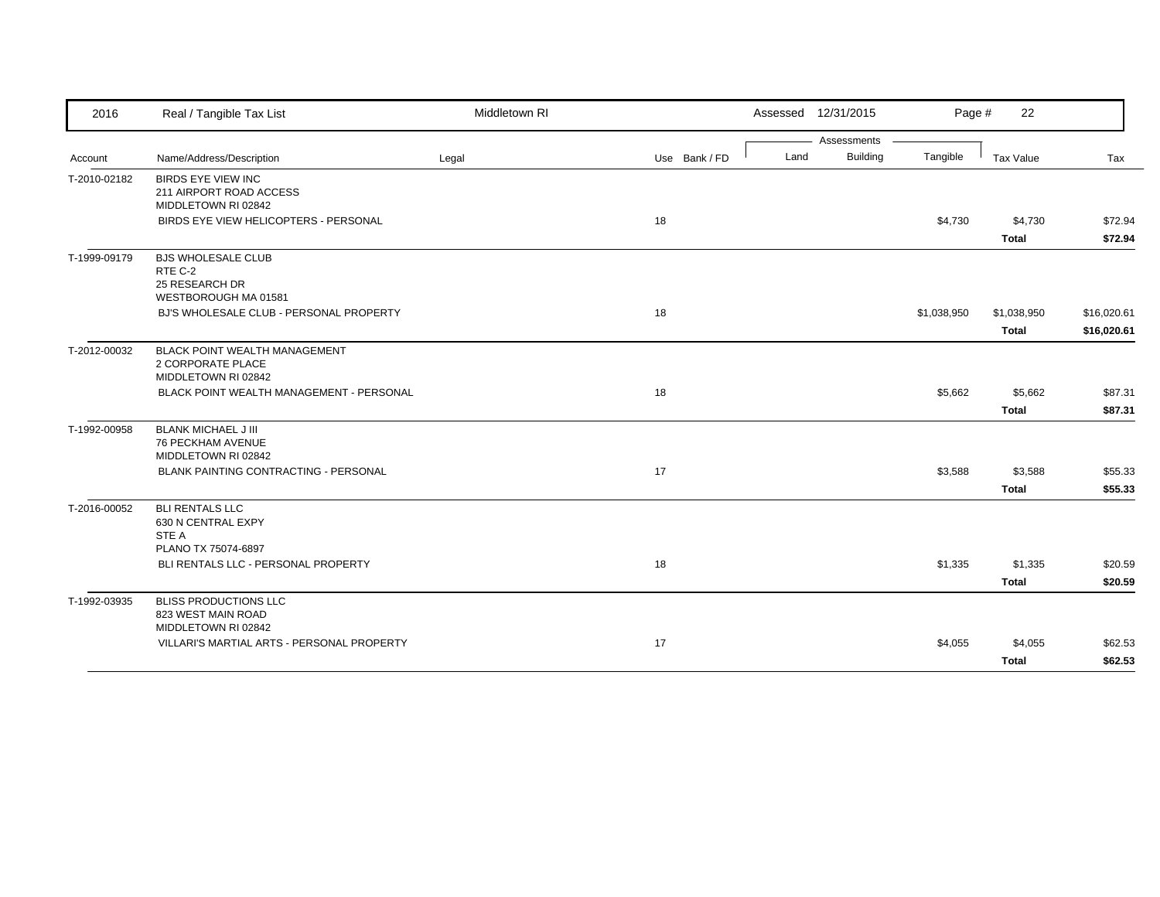| 2016         | Real / Tangible Tax List                                                                                        | Middletown RI |               |      | Assessed 12/31/2015 | Page #      | 22                      |                    |
|--------------|-----------------------------------------------------------------------------------------------------------------|---------------|---------------|------|---------------------|-------------|-------------------------|--------------------|
|              |                                                                                                                 |               |               |      | Assessments         |             |                         |                    |
| Account      | Name/Address/Description                                                                                        | Legal         | Use Bank / FD | Land | <b>Building</b>     | Tangible    | Tax Value               | Tax                |
| T-2010-02182 | <b>BIRDS EYE VIEW INC</b><br>211 AIRPORT ROAD ACCESS<br>MIDDLETOWN RI 02842                                     |               |               |      |                     |             |                         |                    |
|              | BIRDS EYE VIEW HELICOPTERS - PERSONAL                                                                           |               | 18            |      |                     | \$4,730     | \$4,730                 | \$72.94            |
|              |                                                                                                                 |               |               |      |                     |             | <b>Total</b>            | \$72.94            |
| T-1999-09179 | <b>BJS WHOLESALE CLUB</b><br>RTE C-2<br>25 RESEARCH DR<br>WESTBOROUGH MA 01581                                  |               |               |      |                     |             |                         |                    |
|              | BJ'S WHOLESALE CLUB - PERSONAL PROPERTY                                                                         |               | 18            |      |                     | \$1,038,950 | \$1,038,950             | \$16,020.61        |
|              |                                                                                                                 |               |               |      |                     |             | <b>Total</b>            | \$16,020.61        |
| T-2012-00032 | <b>BLACK POINT WEALTH MANAGEMENT</b><br>2 CORPORATE PLACE<br>MIDDLETOWN RI 02842                                |               |               |      |                     |             |                         |                    |
|              | BLACK POINT WEALTH MANAGEMENT - PERSONAL                                                                        |               | 18            |      |                     | \$5,662     | \$5,662                 | \$87.31            |
|              |                                                                                                                 |               |               |      |                     |             | <b>Total</b>            | \$87.31            |
| T-1992-00958 | <b>BLANK MICHAEL J III</b><br>76 PECKHAM AVENUE<br>MIDDLETOWN RI 02842<br>BLANK PAINTING CONTRACTING - PERSONAL |               | 17            |      |                     | \$3,588     | \$3,588<br><b>Total</b> | \$55.33<br>\$55.33 |
| T-2016-00052 | <b>BLI RENTALS LLC</b><br>630 N CENTRAL EXPY<br>STE A                                                           |               |               |      |                     |             |                         |                    |
|              | PLANO TX 75074-6897                                                                                             |               |               |      |                     |             |                         |                    |
|              | BLI RENTALS LLC - PERSONAL PROPERTY                                                                             |               | 18            |      |                     | \$1,335     | \$1,335                 | \$20.59            |
|              |                                                                                                                 |               |               |      |                     |             | <b>Total</b>            | \$20.59            |
| T-1992-03935 | <b>BLISS PRODUCTIONS LLC</b><br>823 WEST MAIN ROAD<br>MIDDLETOWN RI 02842                                       |               |               |      |                     |             |                         |                    |
|              | VILLARI'S MARTIAL ARTS - PERSONAL PROPERTY                                                                      |               | 17            |      |                     | \$4,055     | \$4,055                 | \$62.53            |
|              |                                                                                                                 |               |               |      |                     |             | <b>Total</b>            | \$62.53            |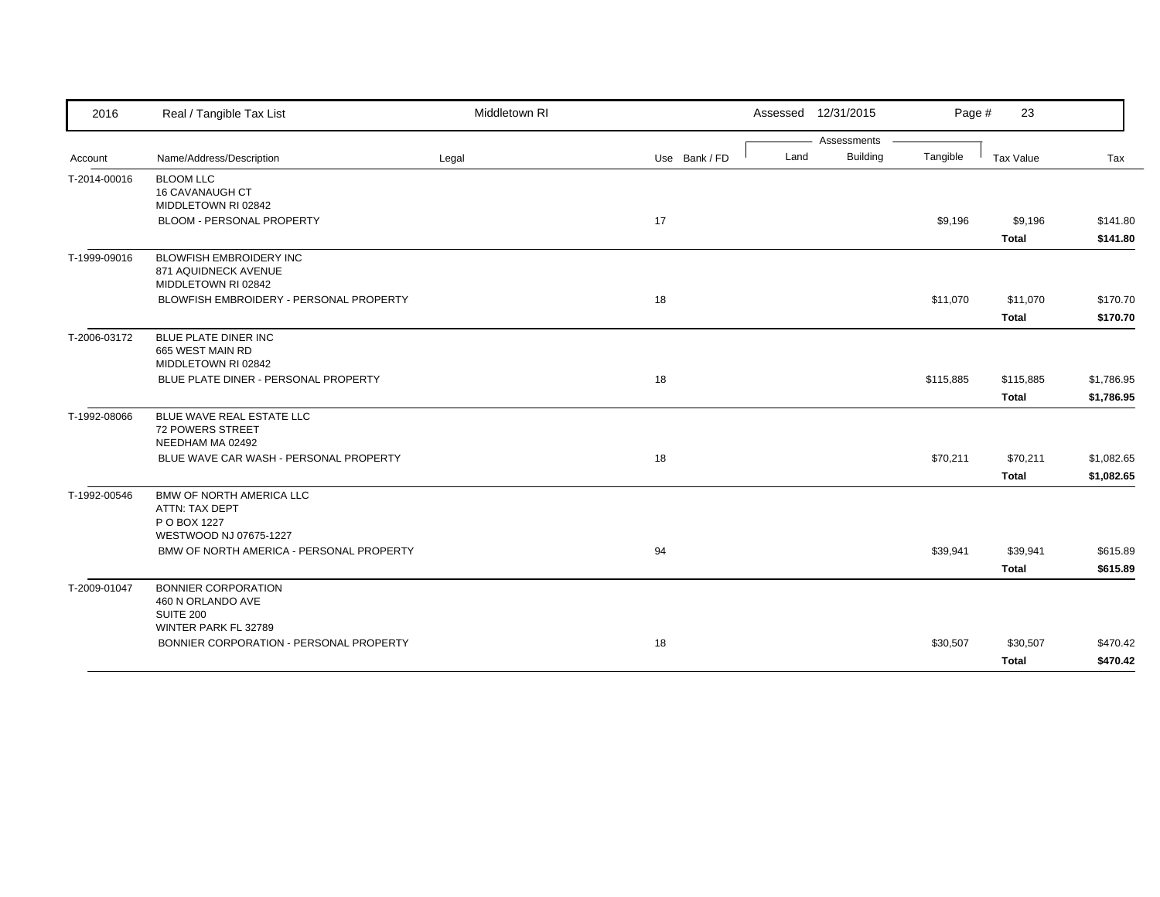| 2016         | Real / Tangible Tax List                                                                    | Middletown RI |               | Assessed 12/31/2015 |                 | Page #    | 23           |            |
|--------------|---------------------------------------------------------------------------------------------|---------------|---------------|---------------------|-----------------|-----------|--------------|------------|
|              |                                                                                             |               |               |                     | Assessments     |           |              |            |
| Account      | Name/Address/Description                                                                    | Legal         | Use Bank / FD | Land                | <b>Building</b> | Tangible  | Tax Value    | Tax        |
| T-2014-00016 | <b>BLOOM LLC</b><br><b>16 CAVANAUGH CT</b><br>MIDDLETOWN RI 02842                           |               |               |                     |                 |           |              |            |
|              | BLOOM - PERSONAL PROPERTY                                                                   |               | 17            |                     |                 | \$9,196   | \$9,196      | \$141.80   |
|              |                                                                                             |               |               |                     |                 |           | <b>Total</b> | \$141.80   |
| T-1999-09016 | <b>BLOWFISH EMBROIDERY INC</b><br>871 AQUIDNECK AVENUE<br>MIDDLETOWN RI 02842               |               |               |                     |                 |           |              |            |
|              | BLOWFISH EMBROIDERY - PERSONAL PROPERTY                                                     |               | 18            |                     |                 | \$11,070  | \$11,070     | \$170.70   |
|              |                                                                                             |               |               |                     |                 |           | <b>Total</b> | \$170.70   |
| T-2006-03172 | BLUE PLATE DINER INC<br>665 WEST MAIN RD<br>MIDDLETOWN RI 02842                             |               |               |                     |                 |           |              |            |
|              | BLUE PLATE DINER - PERSONAL PROPERTY                                                        |               | 18            |                     |                 | \$115,885 | \$115,885    | \$1,786.95 |
|              |                                                                                             |               |               |                     |                 |           | <b>Total</b> | \$1,786.95 |
| T-1992-08066 | BLUE WAVE REAL ESTATE LLC<br><b>72 POWERS STREET</b><br>NEEDHAM MA 02492                    |               |               |                     |                 |           |              |            |
|              | BLUE WAVE CAR WASH - PERSONAL PROPERTY                                                      |               | 18            |                     |                 | \$70,211  | \$70,211     | \$1,082.65 |
|              |                                                                                             |               |               |                     |                 |           | <b>Total</b> | \$1,082.65 |
| T-1992-00546 | <b>BMW OF NORTH AMERICA LLC</b><br>ATTN: TAX DEPT<br>P O BOX 1227<br>WESTWOOD NJ 07675-1227 |               |               |                     |                 |           |              |            |
|              | BMW OF NORTH AMERICA - PERSONAL PROPERTY                                                    |               | 94            |                     |                 | \$39,941  | \$39,941     | \$615.89   |
|              |                                                                                             |               |               |                     |                 |           | <b>Total</b> | \$615.89   |
| T-2009-01047 | <b>BONNIER CORPORATION</b><br>460 N ORLANDO AVE<br>SUITE 200<br>WINTER PARK FL 32789        |               |               |                     |                 |           |              |            |
|              | BONNIER CORPORATION - PERSONAL PROPERTY                                                     |               | 18            |                     |                 | \$30,507  | \$30,507     | \$470.42   |
|              |                                                                                             |               |               |                     |                 |           | <b>Total</b> | \$470.42   |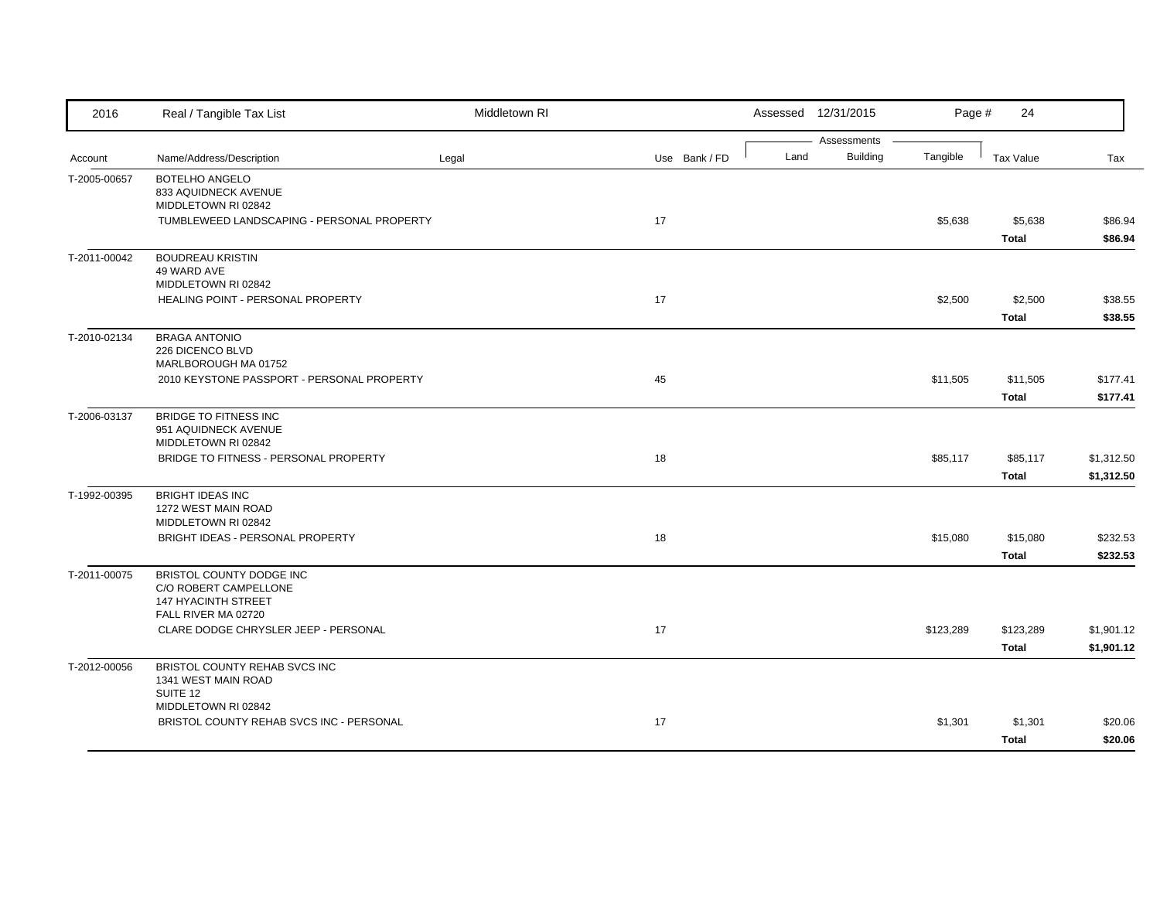| 2016         | Real / Tangible Tax List                                                                               | Middletown RI |               |      | Assessed 12/31/2015            | Page #    | 24                        |                          |
|--------------|--------------------------------------------------------------------------------------------------------|---------------|---------------|------|--------------------------------|-----------|---------------------------|--------------------------|
| Account      | Name/Address/Description                                                                               | Legal         | Use Bank / FD | Land | Assessments<br><b>Building</b> | Tangible  | <b>Tax Value</b>          | Tax                      |
| T-2005-00657 | <b>BOTELHO ANGELO</b><br>833 AQUIDNECK AVENUE<br>MIDDLETOWN RI 02842                                   |               |               |      |                                |           |                           |                          |
|              | TUMBLEWEED LANDSCAPING - PERSONAL PROPERTY                                                             |               | 17            |      |                                | \$5,638   | \$5,638<br><b>Total</b>   | \$86.94<br>\$86.94       |
| T-2011-00042 | <b>BOUDREAU KRISTIN</b><br>49 WARD AVE<br>MIDDLETOWN RI 02842                                          |               |               |      |                                |           |                           |                          |
|              | HEALING POINT - PERSONAL PROPERTY                                                                      |               | 17            |      |                                | \$2,500   | \$2,500<br><b>Total</b>   | \$38.55<br>\$38.55       |
| T-2010-02134 | <b>BRAGA ANTONIO</b><br>226 DICENCO BLVD<br>MARLBOROUGH MA 01752                                       |               |               |      |                                |           |                           |                          |
|              | 2010 KEYSTONE PASSPORT - PERSONAL PROPERTY                                                             |               | 45            |      |                                | \$11,505  | \$11,505<br><b>Total</b>  | \$177.41<br>\$177.41     |
| T-2006-03137 | <b>BRIDGE TO FITNESS INC</b><br>951 AQUIDNECK AVENUE<br>MIDDLETOWN RI 02842                            |               |               |      |                                |           |                           |                          |
|              | BRIDGE TO FITNESS - PERSONAL PROPERTY                                                                  |               | 18            |      |                                | \$85,117  | \$85,117<br><b>Total</b>  | \$1,312.50<br>\$1,312.50 |
| T-1992-00395 | <b>BRIGHT IDEAS INC</b><br>1272 WEST MAIN ROAD<br>MIDDLETOWN RI 02842                                  |               |               |      |                                |           |                           |                          |
|              | BRIGHT IDEAS - PERSONAL PROPERTY                                                                       |               | 18            |      |                                | \$15,080  | \$15,080<br><b>Total</b>  | \$232.53<br>\$232.53     |
| T-2011-00075 | BRISTOL COUNTY DODGE INC<br>C/O ROBERT CAMPELLONE<br><b>147 HYACINTH STREET</b><br>FALL RIVER MA 02720 |               |               |      |                                |           |                           |                          |
|              | CLARE DODGE CHRYSLER JEEP - PERSONAL                                                                   |               | 17            |      |                                | \$123,289 | \$123,289<br><b>Total</b> | \$1,901.12<br>\$1,901.12 |
| T-2012-00056 | BRISTOL COUNTY REHAB SVCS INC<br>1341 WEST MAIN ROAD<br>SUITE 12                                       |               |               |      |                                |           |                           |                          |
|              | MIDDLETOWN RI 02842<br>BRISTOL COUNTY REHAB SVCS INC - PERSONAL                                        |               | 17            |      |                                | \$1,301   | \$1,301<br><b>Total</b>   | \$20.06<br>\$20.06       |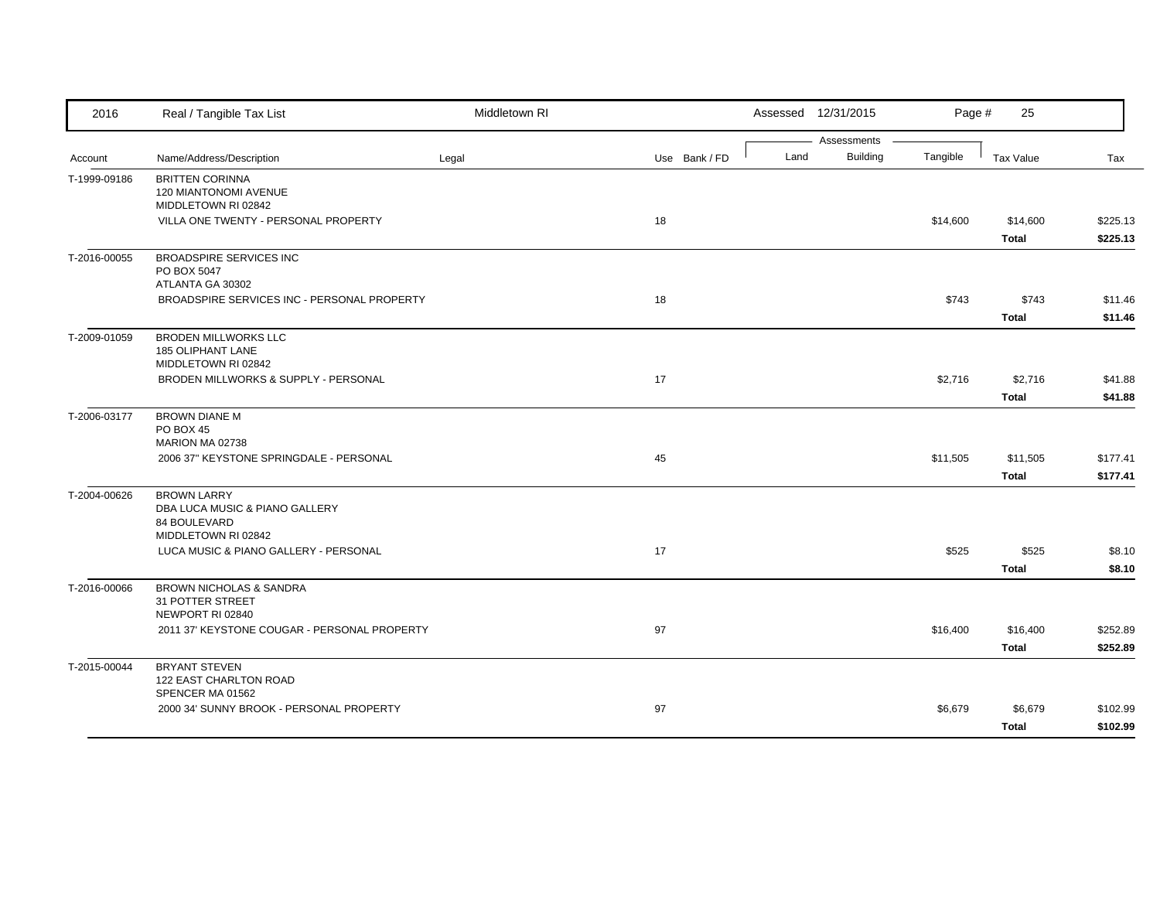| 2016         | Real / Tangible Tax List                                                                           | Middletown RI |               |      | Assessed 12/31/2015            | Page #   | 25                       |                      |
|--------------|----------------------------------------------------------------------------------------------------|---------------|---------------|------|--------------------------------|----------|--------------------------|----------------------|
|              | Name/Address/Description                                                                           |               | Use Bank / FD | Land | Assessments<br><b>Building</b> | Tangible | Tax Value                | Tax                  |
| Account      |                                                                                                    | Legal         |               |      |                                |          |                          |                      |
| T-1999-09186 | <b>BRITTEN CORINNA</b><br>120 MIANTONOMI AVENUE<br>MIDDLETOWN RI 02842                             |               |               |      |                                |          |                          |                      |
|              | VILLA ONE TWENTY - PERSONAL PROPERTY                                                               |               | 18            |      |                                | \$14,600 | \$14,600<br><b>Total</b> | \$225.13<br>\$225.13 |
| T-2016-00055 | <b>BROADSPIRE SERVICES INC</b><br>PO BOX 5047<br>ATLANTA GA 30302                                  |               |               |      |                                |          |                          |                      |
|              | BROADSPIRE SERVICES INC - PERSONAL PROPERTY                                                        |               | 18            |      |                                | \$743    | \$743<br><b>Total</b>    | \$11.46<br>\$11.46   |
| T-2009-01059 | <b>BRODEN MILLWORKS LLC</b><br>185 OLIPHANT LANE<br>MIDDLETOWN RI 02842                            |               |               |      |                                |          |                          |                      |
|              | BRODEN MILLWORKS & SUPPLY - PERSONAL                                                               |               | 17            |      |                                | \$2,716  | \$2,716<br><b>Total</b>  | \$41.88<br>\$41.88   |
| T-2006-03177 | <b>BROWN DIANE M</b><br>PO BOX 45<br>MARION MA 02738                                               |               |               |      |                                |          |                          |                      |
|              | 2006 37" KEYSTONE SPRINGDALE - PERSONAL                                                            |               | 45            |      |                                | \$11,505 | \$11,505<br><b>Total</b> | \$177.41<br>\$177.41 |
| T-2004-00626 | <b>BROWN LARRY</b><br>DBA LUCA MUSIC & PIANO GALLERY<br><b>84 BOULEVARD</b><br>MIDDLETOWN RI 02842 |               |               |      |                                |          |                          |                      |
|              | LUCA MUSIC & PIANO GALLERY - PERSONAL                                                              |               | 17            |      |                                | \$525    | \$525<br><b>Total</b>    | \$8.10<br>\$8.10     |
| T-2016-00066 | <b>BROWN NICHOLAS &amp; SANDRA</b><br>31 POTTER STREET<br>NEWPORT RI 02840                         |               |               |      |                                |          |                          |                      |
|              | 2011 37' KEYSTONE COUGAR - PERSONAL PROPERTY                                                       |               | 97            |      |                                | \$16,400 | \$16,400<br><b>Total</b> | \$252.89<br>\$252.89 |
| T-2015-00044 | <b>BRYANT STEVEN</b><br>122 EAST CHARLTON ROAD                                                     |               |               |      |                                |          |                          |                      |
|              | SPENCER MA 01562<br>2000 34' SUNNY BROOK - PERSONAL PROPERTY                                       |               | 97            |      |                                | \$6,679  | \$6,679<br><b>Total</b>  | \$102.99<br>\$102.99 |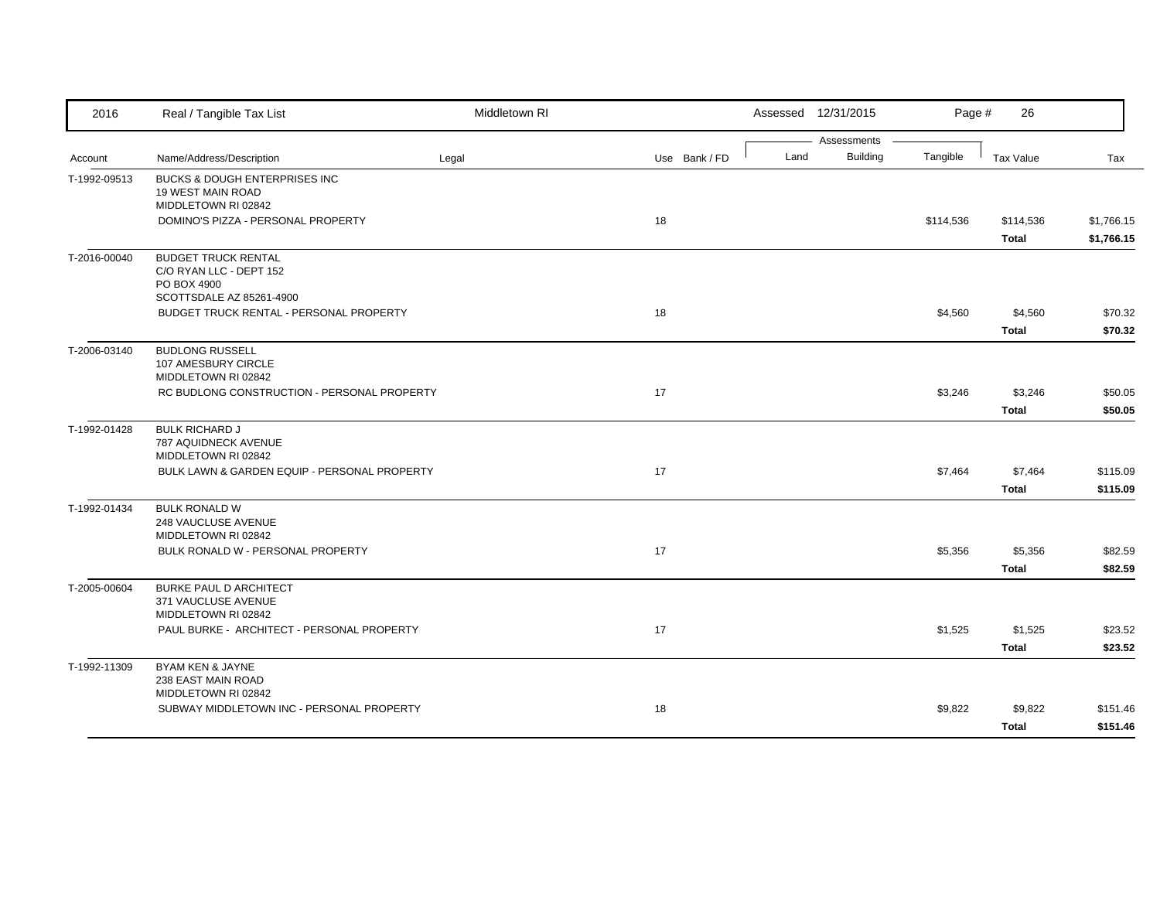| 2016         | Real / Tangible Tax List                                                                         | Middletown RI |               |      | Assessed 12/31/2015            | Page #    | 26                        |                          |
|--------------|--------------------------------------------------------------------------------------------------|---------------|---------------|------|--------------------------------|-----------|---------------------------|--------------------------|
| Account      | Name/Address/Description                                                                         | Legal         | Use Bank / FD | Land | Assessments<br><b>Building</b> | Tangible  | Tax Value                 | Tax                      |
| T-1992-09513 | <b>BUCKS &amp; DOUGH ENTERPRISES INC</b><br>19 WEST MAIN ROAD<br>MIDDLETOWN RI 02842             |               |               |      |                                |           |                           |                          |
|              | DOMINO'S PIZZA - PERSONAL PROPERTY                                                               |               | 18            |      |                                | \$114,536 | \$114,536<br><b>Total</b> | \$1,766.15<br>\$1,766.15 |
| T-2016-00040 | <b>BUDGET TRUCK RENTAL</b><br>C/O RYAN LLC - DEPT 152<br>PO BOX 4900<br>SCOTTSDALE AZ 85261-4900 |               |               |      |                                |           |                           |                          |
|              | BUDGET TRUCK RENTAL - PERSONAL PROPERTY                                                          |               | 18            |      |                                | \$4,560   | \$4,560<br><b>Total</b>   | \$70.32<br>\$70.32       |
| T-2006-03140 | <b>BUDLONG RUSSELL</b><br>107 AMESBURY CIRCLE<br>MIDDLETOWN RI 02842                             |               |               |      |                                |           |                           |                          |
|              | RC BUDLONG CONSTRUCTION - PERSONAL PROPERTY                                                      |               | 17            |      |                                | \$3,246   | \$3,246<br>Total          | \$50.05<br>\$50.05       |
| T-1992-01428 | <b>BULK RICHARD J</b><br>787 AQUIDNECK AVENUE<br>MIDDLETOWN RI 02842                             |               |               |      |                                |           |                           |                          |
|              | BULK LAWN & GARDEN EQUIP - PERSONAL PROPERTY                                                     |               | 17            |      |                                | \$7,464   | \$7,464<br><b>Total</b>   | \$115.09<br>\$115.09     |
| T-1992-01434 | <b>BULK RONALD W</b><br>248 VAUCLUSE AVENUE<br>MIDDLETOWN RI 02842                               |               |               |      |                                |           |                           |                          |
|              | BULK RONALD W - PERSONAL PROPERTY                                                                |               | 17            |      |                                | \$5,356   | \$5,356<br><b>Total</b>   | \$82.59<br>\$82.59       |
| T-2005-00604 | <b>BURKE PAUL D ARCHITECT</b><br>371 VAUCLUSE AVENUE<br>MIDDLETOWN RI 02842                      |               |               |      |                                |           |                           |                          |
|              | PAUL BURKE - ARCHITECT - PERSONAL PROPERTY                                                       |               | 17            |      |                                | \$1,525   | \$1,525<br>Total          | \$23.52<br>\$23.52       |
| T-1992-11309 | BYAM KEN & JAYNE<br>238 EAST MAIN ROAD<br>MIDDLETOWN RI 02842                                    |               |               |      |                                |           |                           |                          |
|              | SUBWAY MIDDLETOWN INC - PERSONAL PROPERTY                                                        |               | 18            |      |                                | \$9,822   | \$9,822<br><b>Total</b>   | \$151.46<br>\$151.46     |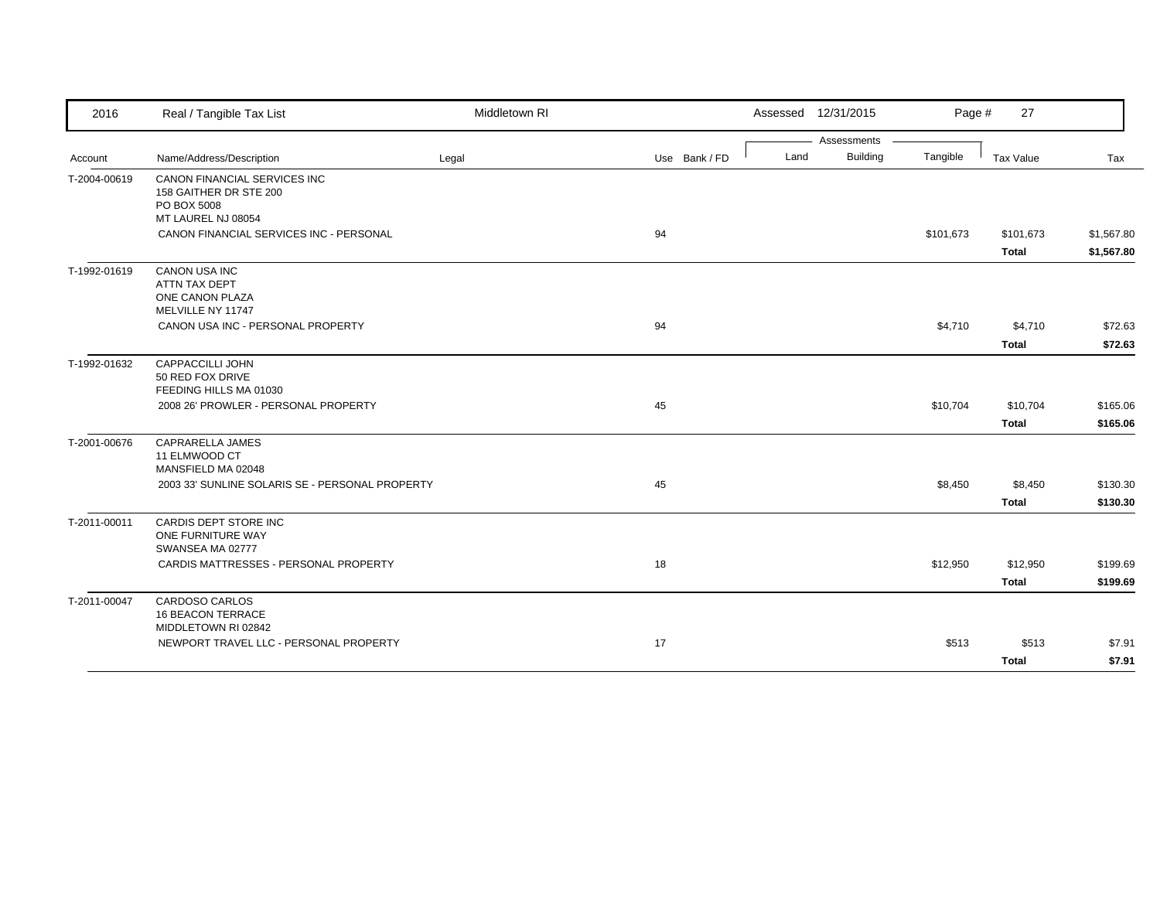| 2016         | Real / Tangible Tax List                        | Middletown RI |               |      | Assessed 12/31/2015 | Page #    | 27                        |                          |
|--------------|-------------------------------------------------|---------------|---------------|------|---------------------|-----------|---------------------------|--------------------------|
|              |                                                 |               |               |      | Assessments         |           |                           |                          |
| Account      | Name/Address/Description                        | Legal         | Use Bank / FD | Land | <b>Building</b>     | Tangible  | Tax Value                 | Tax                      |
| T-2004-00619 | CANON FINANCIAL SERVICES INC                    |               |               |      |                     |           |                           |                          |
|              | 158 GAITHER DR STE 200                          |               |               |      |                     |           |                           |                          |
|              | PO BOX 5008                                     |               |               |      |                     |           |                           |                          |
|              | MT LAUREL NJ 08054                              |               |               |      |                     |           |                           |                          |
|              | CANON FINANCIAL SERVICES INC - PERSONAL         |               | 94            |      |                     | \$101,673 | \$101,673<br><b>Total</b> | \$1,567.80<br>\$1,567.80 |
| T-1992-01619 | <b>CANON USA INC</b>                            |               |               |      |                     |           |                           |                          |
|              | ATTN TAX DEPT                                   |               |               |      |                     |           |                           |                          |
|              | ONE CANON PLAZA                                 |               |               |      |                     |           |                           |                          |
|              | MELVILLE NY 11747                               |               |               |      |                     |           |                           |                          |
|              | CANON USA INC - PERSONAL PROPERTY               |               | 94            |      |                     | \$4,710   | \$4,710                   | \$72.63                  |
|              |                                                 |               |               |      |                     |           | <b>Total</b>              | \$72.63                  |
| T-1992-01632 | <b>CAPPACCILLI JOHN</b>                         |               |               |      |                     |           |                           |                          |
|              | 50 RED FOX DRIVE                                |               |               |      |                     |           |                           |                          |
|              | FEEDING HILLS MA 01030                          |               |               |      |                     |           |                           |                          |
|              | 2008 26' PROWLER - PERSONAL PROPERTY            |               | 45            |      |                     | \$10,704  | \$10,704                  | \$165.06                 |
|              |                                                 |               |               |      |                     |           | Total                     | \$165.06                 |
| T-2001-00676 | CAPRARELLA JAMES                                |               |               |      |                     |           |                           |                          |
|              | 11 ELMWOOD CT<br>MANSFIELD MA 02048             |               |               |      |                     |           |                           |                          |
|              | 2003 33' SUNLINE SOLARIS SE - PERSONAL PROPERTY |               | 45            |      |                     | \$8,450   | \$8,450                   | \$130.30                 |
|              |                                                 |               |               |      |                     |           |                           |                          |
|              |                                                 |               |               |      |                     |           | <b>Total</b>              | \$130.30                 |
| T-2011-00011 | CARDIS DEPT STORE INC                           |               |               |      |                     |           |                           |                          |
|              | ONE FURNITURE WAY                               |               |               |      |                     |           |                           |                          |
|              | SWANSEA MA 02777                                |               |               |      |                     |           |                           |                          |
|              | CARDIS MATTRESSES - PERSONAL PROPERTY           |               | 18            |      |                     | \$12,950  | \$12,950                  | \$199.69                 |
|              |                                                 |               |               |      |                     |           | <b>Total</b>              | \$199.69                 |
| T-2011-00047 | <b>CARDOSO CARLOS</b>                           |               |               |      |                     |           |                           |                          |
|              | <b>16 BEACON TERRACE</b>                        |               |               |      |                     |           |                           |                          |
|              | MIDDLETOWN RI 02842                             |               |               |      |                     |           |                           |                          |
|              | NEWPORT TRAVEL LLC - PERSONAL PROPERTY          |               | 17            |      |                     | \$513     | \$513                     | \$7.91                   |
|              |                                                 |               |               |      |                     |           | <b>Total</b>              | \$7.91                   |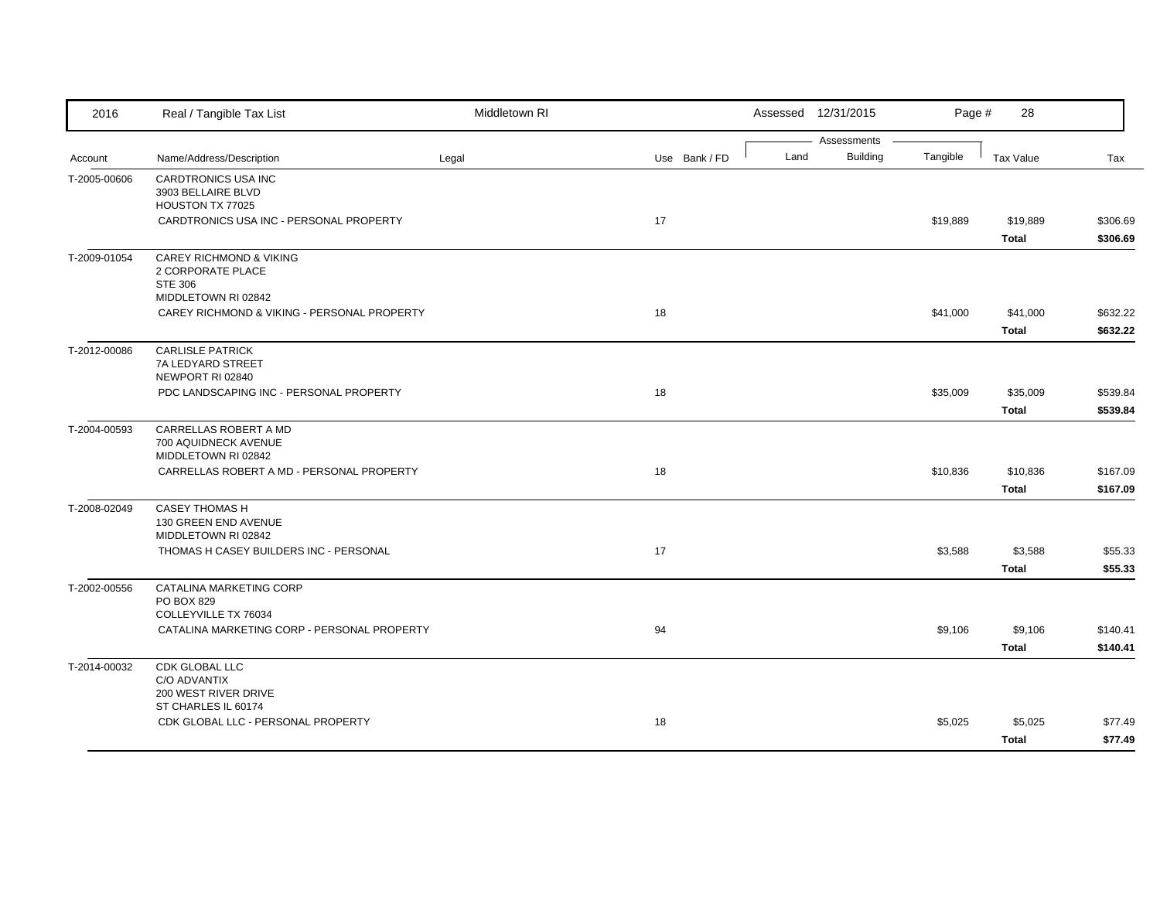| 2016         | Real / Tangible Tax List                                                                         | Middletown RI |               |      | Assessed 12/31/2015            | Page #   | 28                       |                      |
|--------------|--------------------------------------------------------------------------------------------------|---------------|---------------|------|--------------------------------|----------|--------------------------|----------------------|
| Account      | Name/Address/Description                                                                         | Legal         | Use Bank / FD | Land | Assessments<br><b>Building</b> | Tangible | <b>Tax Value</b>         | Tax                  |
| T-2005-00606 | CARDTRONICS USA INC<br>3903 BELLAIRE BLVD<br>HOUSTON TX 77025                                    |               |               |      |                                |          |                          |                      |
|              | CARDTRONICS USA INC - PERSONAL PROPERTY                                                          |               | 17            |      |                                | \$19,889 | \$19,889<br><b>Total</b> | \$306.69<br>\$306.69 |
| T-2009-01054 | <b>CAREY RICHMOND &amp; VIKING</b><br>2 CORPORATE PLACE<br><b>STE 306</b><br>MIDDLETOWN RI 02842 |               |               |      |                                |          |                          |                      |
|              | CAREY RICHMOND & VIKING - PERSONAL PROPERTY                                                      |               | 18            |      |                                | \$41,000 | \$41,000<br>Total        | \$632.22<br>\$632.22 |
| T-2012-00086 | <b>CARLISLE PATRICK</b><br>7A LEDYARD STREET<br>NEWPORT RI 02840                                 |               |               |      |                                |          |                          |                      |
|              | PDC LANDSCAPING INC - PERSONAL PROPERTY                                                          |               | 18            |      |                                | \$35,009 | \$35,009<br><b>Total</b> | \$539.84<br>\$539.84 |
| T-2004-00593 | CARRELLAS ROBERT A MD<br>700 AQUIDNECK AVENUE<br>MIDDLETOWN RI 02842                             |               |               |      |                                |          |                          |                      |
|              | CARRELLAS ROBERT A MD - PERSONAL PROPERTY                                                        |               | 18            |      |                                | \$10,836 | \$10,836<br><b>Total</b> | \$167.09<br>\$167.09 |
| T-2008-02049 | <b>CASEY THOMAS H</b><br>130 GREEN END AVENUE<br>MIDDLETOWN RI 02842                             |               |               |      |                                |          |                          |                      |
|              | THOMAS H CASEY BUILDERS INC - PERSONAL                                                           |               | 17            |      |                                | \$3,588  | \$3,588<br><b>Total</b>  | \$55.33<br>\$55.33   |
| T-2002-00556 | CATALINA MARKETING CORP<br>PO BOX 829<br>COLLEYVILLE TX 76034                                    |               |               |      |                                |          |                          |                      |
|              | CATALINA MARKETING CORP - PERSONAL PROPERTY                                                      |               | 94            |      |                                | \$9,106  | \$9,106<br><b>Total</b>  | \$140.41<br>\$140.41 |
| T-2014-00032 | CDK GLOBAL LLC<br>C/O ADVANTIX<br>200 WEST RIVER DRIVE                                           |               |               |      |                                |          |                          |                      |
|              | ST CHARLES IL 60174<br>CDK GLOBAL LLC - PERSONAL PROPERTY                                        |               | 18            |      |                                | \$5,025  | \$5,025<br><b>Total</b>  | \$77.49<br>\$77.49   |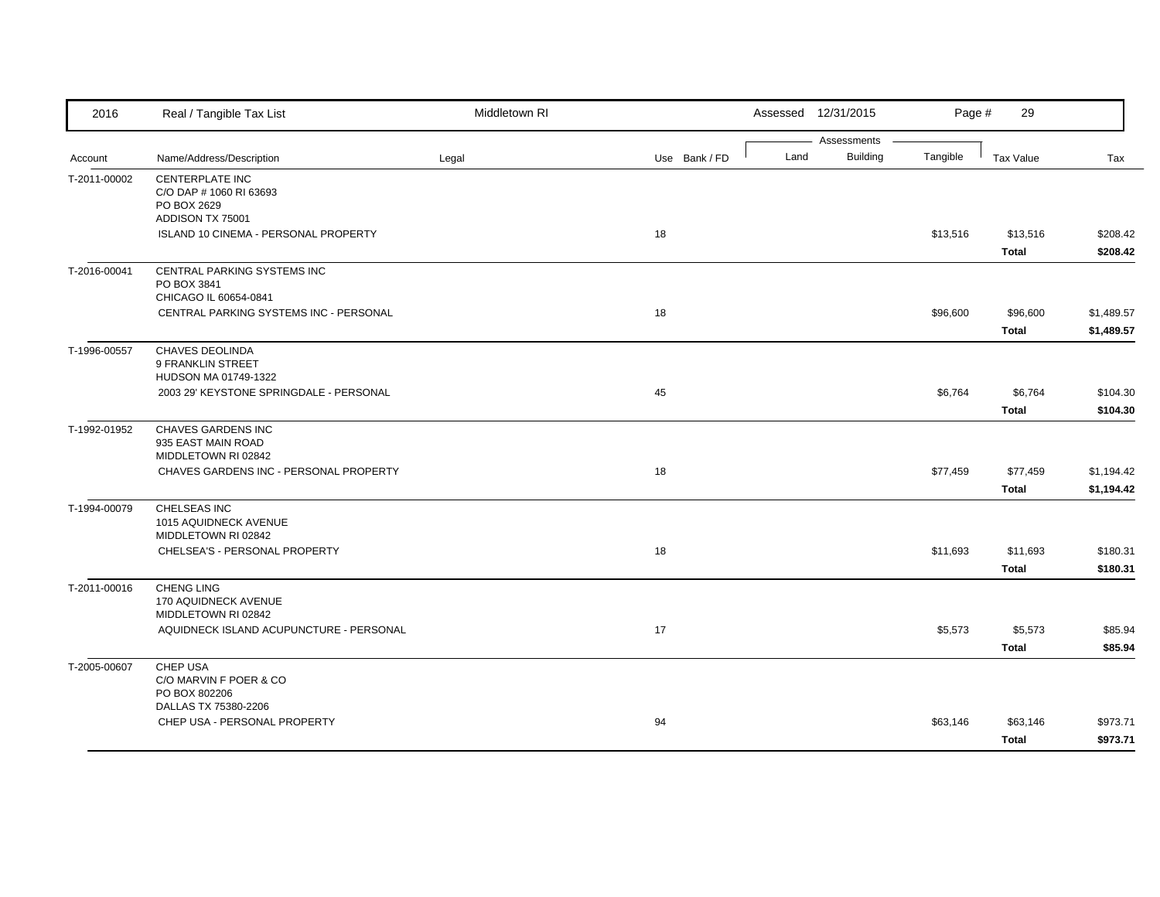| 2016         | Real / Tangible Tax List                                                      | Middletown RI |               |      | Assessed 12/31/2015            | Page #   | 29                       |                          |
|--------------|-------------------------------------------------------------------------------|---------------|---------------|------|--------------------------------|----------|--------------------------|--------------------------|
| Account      | Name/Address/Description                                                      | Legal         | Use Bank / FD | Land | Assessments<br><b>Building</b> | Tangible | <b>Tax Value</b>         | Tax                      |
| T-2011-00002 | CENTERPLATE INC<br>C/O DAP # 1060 RI 63693<br>PO BOX 2629<br>ADDISON TX 75001 |               |               |      |                                |          |                          |                          |
|              | ISLAND 10 CINEMA - PERSONAL PROPERTY                                          |               | 18            |      |                                | \$13,516 | \$13,516<br><b>Total</b> | \$208.42<br>\$208.42     |
| T-2016-00041 | CENTRAL PARKING SYSTEMS INC<br>PO BOX 3841<br>CHICAGO IL 60654-0841           |               |               |      |                                |          |                          |                          |
|              | CENTRAL PARKING SYSTEMS INC - PERSONAL                                        |               | 18            |      |                                | \$96,600 | \$96,600<br><b>Total</b> | \$1,489.57<br>\$1,489.57 |
| T-1996-00557 | <b>CHAVES DEOLINDA</b><br>9 FRANKLIN STREET<br>HUDSON MA 01749-1322           |               |               |      |                                |          |                          |                          |
|              | 2003 29' KEYSTONE SPRINGDALE - PERSONAL                                       |               | 45            |      |                                | \$6,764  | \$6,764<br><b>Total</b>  | \$104.30<br>\$104.30     |
| T-1992-01952 | CHAVES GARDENS INC<br>935 EAST MAIN ROAD<br>MIDDLETOWN RI 02842               |               |               |      |                                |          |                          |                          |
|              | CHAVES GARDENS INC - PERSONAL PROPERTY                                        |               | 18            |      |                                | \$77,459 | \$77,459<br><b>Total</b> | \$1,194.42<br>\$1,194.42 |
| T-1994-00079 | CHELSEAS INC<br>1015 AQUIDNECK AVENUE<br>MIDDLETOWN RI 02842                  |               |               |      |                                |          |                          |                          |
|              | CHELSEA'S - PERSONAL PROPERTY                                                 |               | 18            |      |                                | \$11,693 | \$11,693<br><b>Total</b> | \$180.31<br>\$180.31     |
| T-2011-00016 | <b>CHENG LING</b><br>170 AQUIDNECK AVENUE<br>MIDDLETOWN RI 02842              |               |               |      |                                |          |                          |                          |
|              | AQUIDNECK ISLAND ACUPUNCTURE - PERSONAL                                       |               | 17            |      |                                | \$5,573  | \$5,573<br><b>Total</b>  | \$85.94<br>\$85.94       |
| T-2005-00607 | CHEP USA<br>C/O MARVIN F POER & CO<br>PO BOX 802206                           |               |               |      |                                |          |                          |                          |
|              | DALLAS TX 75380-2206<br>CHEP USA - PERSONAL PROPERTY                          |               | 94            |      |                                | \$63,146 | \$63,146<br><b>Total</b> | \$973.71<br>\$973.71     |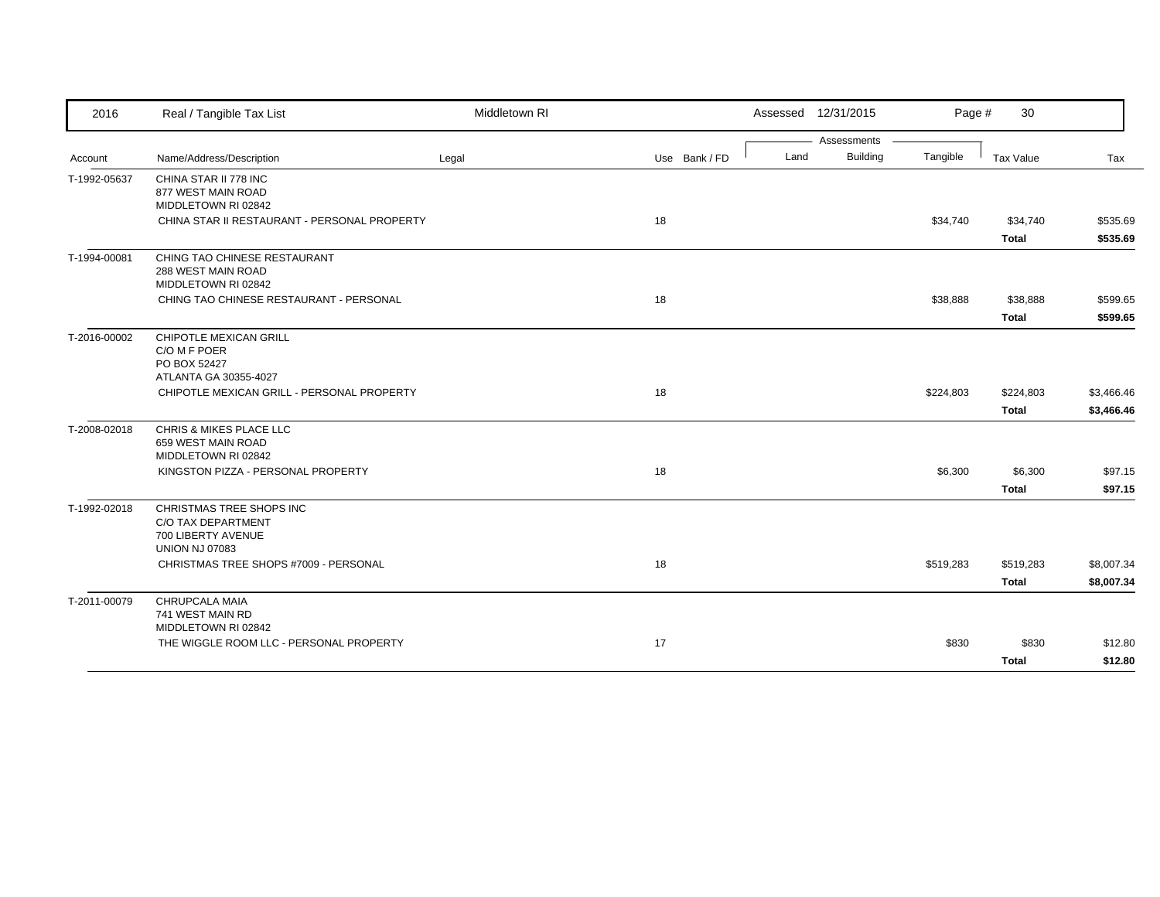| 2016         | Real / Tangible Tax List                                                  | Middletown RI |               | Assessed 12/31/2015     | Page #    | 30           |            |
|--------------|---------------------------------------------------------------------------|---------------|---------------|-------------------------|-----------|--------------|------------|
|              |                                                                           |               |               | Assessments             |           |              |            |
| Account      | Name/Address/Description                                                  | Legal         | Use Bank / FD | <b>Building</b><br>Land | Tangible  | Tax Value    | Tax        |
| T-1992-05637 | CHINA STAR II 778 INC<br>877 WEST MAIN ROAD                               |               |               |                         |           |              |            |
|              | MIDDLETOWN RI 02842<br>CHINA STAR II RESTAURANT - PERSONAL PROPERTY       |               | 18            |                         | \$34,740  | \$34,740     | \$535.69   |
|              |                                                                           |               |               |                         |           |              |            |
|              |                                                                           |               |               |                         |           | <b>Total</b> | \$535.69   |
| T-1994-00081 | CHING TAO CHINESE RESTAURANT<br>288 WEST MAIN ROAD<br>MIDDLETOWN RI 02842 |               |               |                         |           |              |            |
|              | CHING TAO CHINESE RESTAURANT - PERSONAL                                   |               | 18            |                         | \$38,888  | \$38,888     | \$599.65   |
|              |                                                                           |               |               |                         |           | <b>Total</b> | \$599.65   |
| T-2016-00002 | CHIPOTLE MEXICAN GRILL<br>C/O M F POER                                    |               |               |                         |           |              |            |
|              | PO BOX 52427                                                              |               |               |                         |           |              |            |
|              | ATLANTA GA 30355-4027                                                     |               |               |                         |           |              |            |
|              | CHIPOTLE MEXICAN GRILL - PERSONAL PROPERTY                                |               | 18            |                         | \$224,803 | \$224,803    | \$3,466.46 |
|              |                                                                           |               |               |                         |           | <b>Total</b> | \$3,466.46 |
| T-2008-02018 | CHRIS & MIKES PLACE LLC<br>659 WEST MAIN ROAD                             |               |               |                         |           |              |            |
|              | MIDDLETOWN RI 02842<br>KINGSTON PIZZA - PERSONAL PROPERTY                 |               | 18            |                         | \$6,300   | \$6,300      | \$97.15    |
|              |                                                                           |               |               |                         |           | <b>Total</b> | \$97.15    |
| T-1992-02018 | CHRISTMAS TREE SHOPS INC<br>C/O TAX DEPARTMENT<br>700 LIBERTY AVENUE      |               |               |                         |           |              |            |
|              | <b>UNION NJ 07083</b>                                                     |               |               |                         |           |              |            |
|              | CHRISTMAS TREE SHOPS #7009 - PERSONAL                                     |               | 18            |                         | \$519,283 | \$519,283    | \$8,007.34 |
|              |                                                                           |               |               |                         |           | <b>Total</b> | \$8,007.34 |
| T-2011-00079 | CHRUPCALA MAIA<br>741 WEST MAIN RD                                        |               |               |                         |           |              |            |
|              | MIDDLETOWN RI 02842                                                       |               |               |                         |           |              |            |
|              | THE WIGGLE ROOM LLC - PERSONAL PROPERTY                                   |               | 17            |                         | \$830     | \$830        | \$12.80    |
|              |                                                                           |               |               |                         |           | <b>Total</b> | \$12.80    |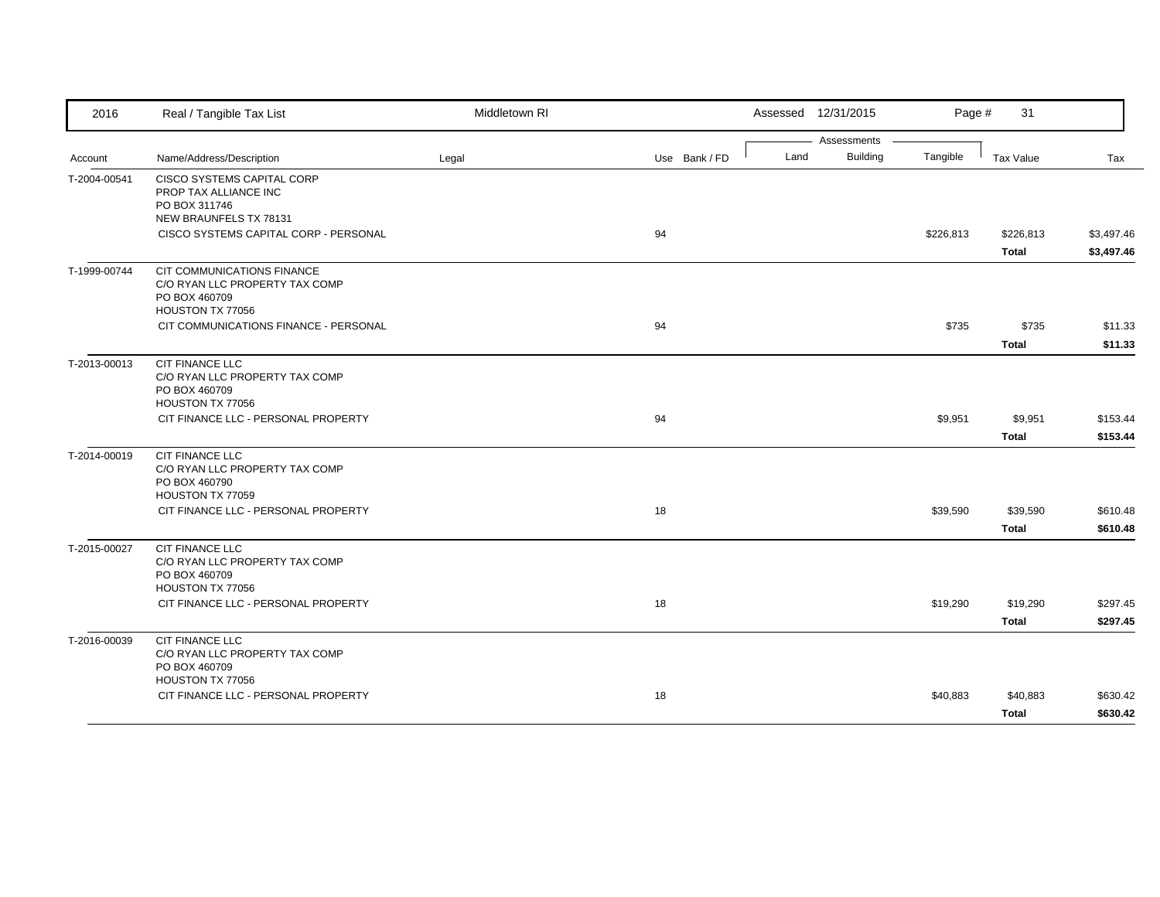| 2016         | Real / Tangible Tax List                                                                          | Middletown RI |               | Assessed 12/31/2015                    | Page #    | 31                        |                          |
|--------------|---------------------------------------------------------------------------------------------------|---------------|---------------|----------------------------------------|-----------|---------------------------|--------------------------|
| Account      | Name/Address/Description                                                                          | Legal         | Use Bank / FD | Assessments<br><b>Building</b><br>Land | Tangible  | Tax Value                 | Tax                      |
| T-2004-00541 | CISCO SYSTEMS CAPITAL CORP<br>PROP TAX ALLIANCE INC<br>PO BOX 311746<br>NEW BRAUNFELS TX 78131    |               |               |                                        |           |                           |                          |
|              | CISCO SYSTEMS CAPITAL CORP - PERSONAL                                                             |               | 94            |                                        | \$226,813 | \$226,813<br><b>Total</b> | \$3,497.46<br>\$3,497.46 |
| T-1999-00744 | CIT COMMUNICATIONS FINANCE<br>C/O RYAN LLC PROPERTY TAX COMP<br>PO BOX 460709<br>HOUSTON TX 77056 |               |               |                                        |           |                           |                          |
|              | CIT COMMUNICATIONS FINANCE - PERSONAL                                                             |               | 94            |                                        | \$735     | \$735<br><b>Total</b>     | \$11.33<br>\$11.33       |
| T-2013-00013 | CIT FINANCE LLC<br>C/O RYAN LLC PROPERTY TAX COMP<br>PO BOX 460709<br>HOUSTON TX 77056            |               |               |                                        |           |                           |                          |
|              | CIT FINANCE LLC - PERSONAL PROPERTY                                                               |               | 94            |                                        | \$9,951   | \$9,951<br><b>Total</b>   | \$153.44<br>\$153.44     |
| T-2014-00019 | <b>CIT FINANCE LLC</b><br>C/O RYAN LLC PROPERTY TAX COMP<br>PO BOX 460790<br>HOUSTON TX 77059     |               |               |                                        |           |                           |                          |
|              | CIT FINANCE LLC - PERSONAL PROPERTY                                                               |               | 18            |                                        | \$39,590  | \$39,590<br><b>Total</b>  | \$610.48<br>\$610.48     |
| T-2015-00027 | <b>CIT FINANCE LLC</b><br>C/O RYAN LLC PROPERTY TAX COMP<br>PO BOX 460709<br>HOUSTON TX 77056     |               |               |                                        |           |                           |                          |
|              | CIT FINANCE LLC - PERSONAL PROPERTY                                                               |               | 18            |                                        | \$19,290  | \$19,290<br><b>Total</b>  | \$297.45<br>\$297.45     |
| T-2016-00039 | CIT FINANCE LLC<br>C/O RYAN LLC PROPERTY TAX COMP<br>PO BOX 460709<br>HOUSTON TX 77056            |               |               |                                        |           |                           |                          |
|              | CIT FINANCE LLC - PERSONAL PROPERTY                                                               |               | 18            |                                        | \$40,883  | \$40,883<br>Total         | \$630.42<br>\$630.42     |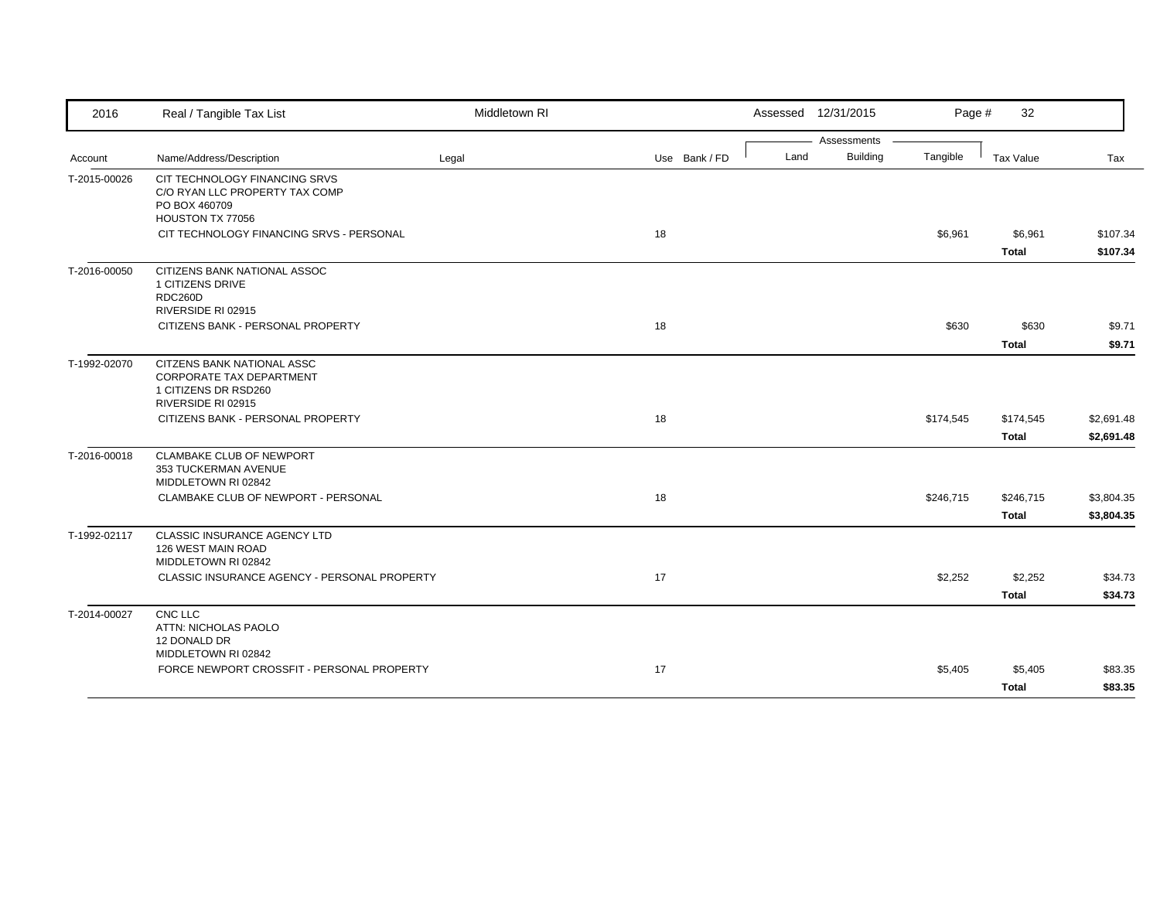| 2016         | Real / Tangible Tax List                                                                                    | Middletown RI |               |      | Assessed 12/31/2015            | Page #    | 32                        |                          |
|--------------|-------------------------------------------------------------------------------------------------------------|---------------|---------------|------|--------------------------------|-----------|---------------------------|--------------------------|
| Account      | Name/Address/Description                                                                                    | Legal         | Use Bank / FD | Land | Assessments<br><b>Building</b> | Tangible  | Tax Value                 | Tax                      |
| T-2015-00026 | CIT TECHNOLOGY FINANCING SRVS<br>C/O RYAN LLC PROPERTY TAX COMP<br>PO BOX 460709<br>HOUSTON TX 77056        |               |               |      |                                |           |                           |                          |
|              | CIT TECHNOLOGY FINANCING SRVS - PERSONAL                                                                    |               | 18            |      |                                | \$6,961   | \$6,961<br><b>Total</b>   | \$107.34<br>\$107.34     |
| T-2016-00050 | CITIZENS BANK NATIONAL ASSOC<br>1 CITIZENS DRIVE<br>RDC260D<br>RIVERSIDE RI 02915                           |               |               |      |                                |           |                           |                          |
|              | CITIZENS BANK - PERSONAL PROPERTY                                                                           |               | 18            |      |                                | \$630     | \$630<br><b>Total</b>     | \$9.71<br>\$9.71         |
| T-1992-02070 | CITZENS BANK NATIONAL ASSC<br><b>CORPORATE TAX DEPARTMENT</b><br>1 CITIZENS DR RSD260<br>RIVERSIDE RI 02915 |               |               |      |                                |           |                           |                          |
|              | CITIZENS BANK - PERSONAL PROPERTY                                                                           |               | 18            |      |                                | \$174,545 | \$174,545<br><b>Total</b> | \$2,691.48<br>\$2,691.48 |
| T-2016-00018 | CLAMBAKE CLUB OF NEWPORT<br>353 TUCKERMAN AVENUE<br>MIDDLETOWN RI 02842                                     |               |               |      |                                |           |                           |                          |
|              | CLAMBAKE CLUB OF NEWPORT - PERSONAL                                                                         |               | 18            |      |                                | \$246,715 | \$246,715<br>Total        | \$3,804.35<br>\$3,804.35 |
| T-1992-02117 | CLASSIC INSURANCE AGENCY LTD<br>126 WEST MAIN ROAD<br>MIDDLETOWN RI 02842                                   |               |               |      |                                |           |                           |                          |
|              | CLASSIC INSURANCE AGENCY - PERSONAL PROPERTY                                                                |               | 17            |      |                                | \$2,252   | \$2,252<br><b>Total</b>   | \$34.73<br>\$34.73       |
| T-2014-00027 | CNC LLC<br>ATTN: NICHOLAS PAOLO<br>12 DONALD DR                                                             |               |               |      |                                |           |                           |                          |
|              | MIDDLETOWN RI 02842<br>FORCE NEWPORT CROSSFIT - PERSONAL PROPERTY                                           |               | 17            |      |                                | \$5,405   | \$5,405<br><b>Total</b>   | \$83.35<br>\$83.35       |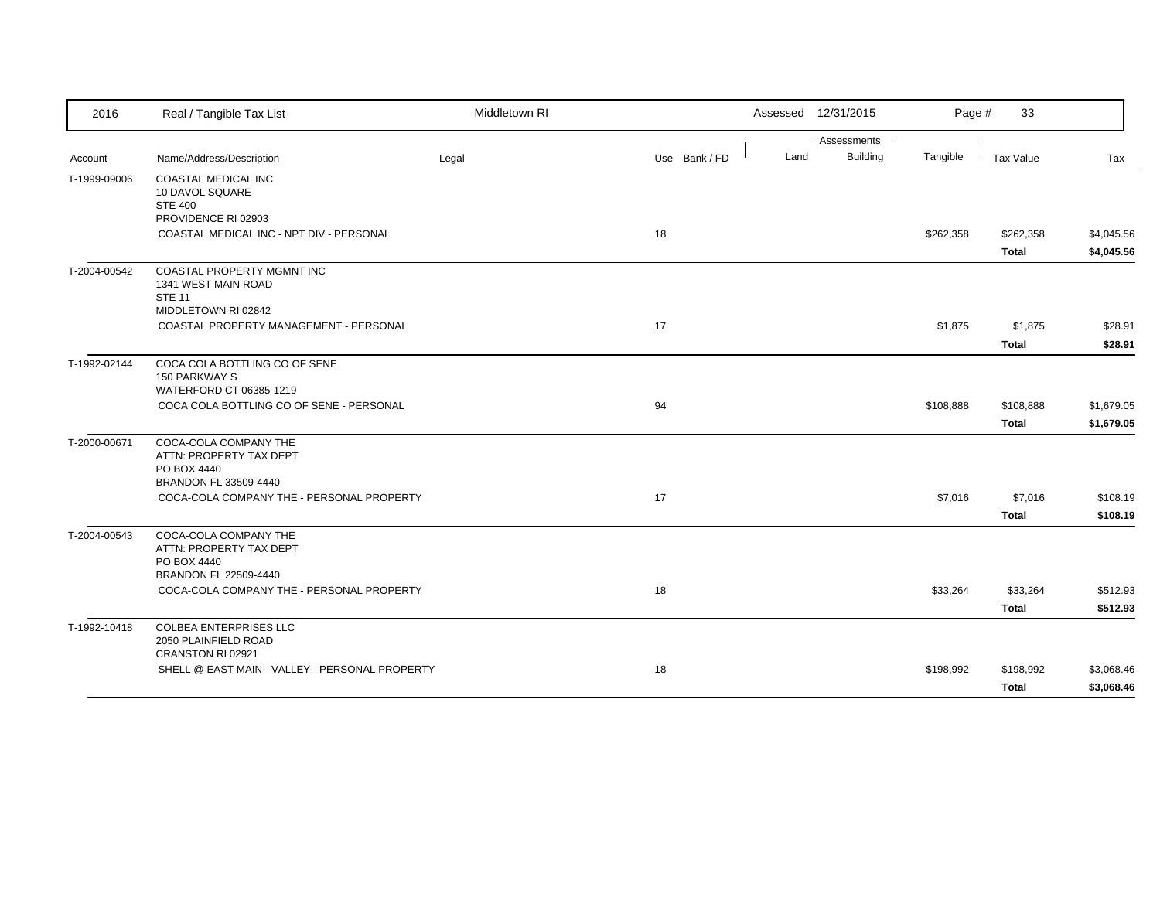| 2016         | Real / Tangible Tax List                                                                  | Middletown RI |               |      | Assessed 12/31/2015            | Page #    | 33                        |                          |
|--------------|-------------------------------------------------------------------------------------------|---------------|---------------|------|--------------------------------|-----------|---------------------------|--------------------------|
| Account      | Name/Address/Description                                                                  | Legal         | Use Bank / FD | Land | Assessments<br><b>Building</b> | Tangible  | Tax Value                 | Tax                      |
| T-1999-09006 | <b>COASTAL MEDICAL INC</b><br>10 DAVOL SQUARE<br><b>STE 400</b><br>PROVIDENCE RI 02903    |               |               |      |                                |           |                           |                          |
|              | COASTAL MEDICAL INC - NPT DIV - PERSONAL                                                  |               | 18            |      |                                | \$262,358 | \$262,358<br><b>Total</b> | \$4,045.56<br>\$4,045.56 |
| T-2004-00542 | COASTAL PROPERTY MGMNT INC<br>1341 WEST MAIN ROAD<br><b>STE 11</b><br>MIDDLETOWN RI 02842 |               |               |      |                                |           |                           |                          |
|              | COASTAL PROPERTY MANAGEMENT - PERSONAL                                                    |               | 17            |      |                                | \$1,875   | \$1,875<br><b>Total</b>   | \$28.91<br>\$28.91       |
| T-1992-02144 | COCA COLA BOTTLING CO OF SENE<br>150 PARKWAY S<br>WATERFORD CT 06385-1219                 |               |               |      |                                |           |                           |                          |
|              | COCA COLA BOTTLING CO OF SENE - PERSONAL                                                  |               | 94            |      |                                | \$108,888 | \$108,888<br><b>Total</b> | \$1,679.05<br>\$1,679.05 |
| T-2000-00671 | COCA-COLA COMPANY THE<br>ATTN: PROPERTY TAX DEPT<br>PO BOX 4440<br>BRANDON FL 33509-4440  |               |               |      |                                |           |                           |                          |
|              | COCA-COLA COMPANY THE - PERSONAL PROPERTY                                                 |               | 17            |      |                                | \$7,016   | \$7,016<br><b>Total</b>   | \$108.19<br>\$108.19     |
| T-2004-00543 | COCA-COLA COMPANY THE<br>ATTN: PROPERTY TAX DEPT<br>PO BOX 4440<br>BRANDON FL 22509-4440  |               |               |      |                                |           |                           |                          |
|              | COCA-COLA COMPANY THE - PERSONAL PROPERTY                                                 |               | 18            |      |                                | \$33,264  | \$33,264<br><b>Total</b>  | \$512.93<br>\$512.93     |
| T-1992-10418 | <b>COLBEA ENTERPRISES LLC</b><br>2050 PLAINFIELD ROAD                                     |               |               |      |                                |           |                           |                          |
|              | CRANSTON RI 02921<br>SHELL @ EAST MAIN - VALLEY - PERSONAL PROPERTY                       |               | 18            |      |                                | \$198,992 | \$198,992<br><b>Total</b> | \$3,068.46<br>\$3,068.46 |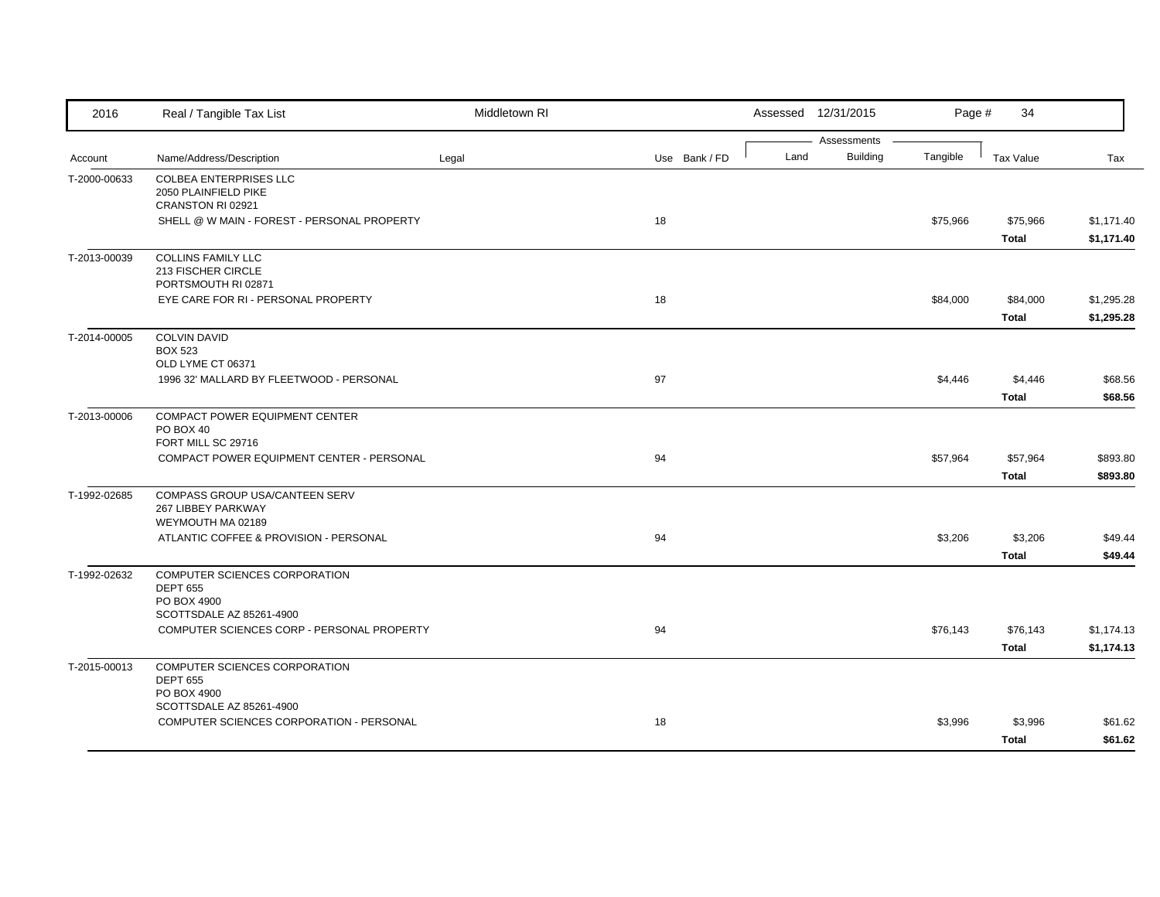| 2016         | Real / Tangible Tax List                                                   | Middletown RI |               |      | Assessed 12/31/2015            | Page #   | 34                       |                          |
|--------------|----------------------------------------------------------------------------|---------------|---------------|------|--------------------------------|----------|--------------------------|--------------------------|
| Account      | Name/Address/Description                                                   | Legal         | Use Bank / FD | Land | Assessments<br><b>Building</b> | Tangible | <b>Tax Value</b>         | Tax                      |
| T-2000-00633 | <b>COLBEA ENTERPRISES LLC</b><br>2050 PLAINFIELD PIKE<br>CRANSTON RI 02921 |               |               |      |                                |          |                          |                          |
|              | SHELL @ W MAIN - FOREST - PERSONAL PROPERTY                                |               | 18            |      |                                | \$75,966 | \$75,966<br><b>Total</b> | \$1,171.40<br>\$1,171.40 |
| T-2013-00039 | <b>COLLINS FAMILY LLC</b><br>213 FISCHER CIRCLE<br>PORTSMOUTH RI 02871     |               |               |      |                                |          |                          |                          |
|              | EYE CARE FOR RI - PERSONAL PROPERTY                                        |               | 18            |      |                                | \$84,000 | \$84,000<br><b>Total</b> | \$1,295.28<br>\$1,295.28 |
| T-2014-00005 | <b>COLVIN DAVID</b><br><b>BOX 523</b><br>OLD LYME CT 06371                 |               |               |      |                                |          |                          |                          |
|              | 1996 32' MALLARD BY FLEETWOOD - PERSONAL                                   |               | 97            |      |                                | \$4,446  | \$4,446<br><b>Total</b>  | \$68.56<br>\$68.56       |
| T-2013-00006 | COMPACT POWER EQUIPMENT CENTER<br>PO BOX 40<br>FORT MILL SC 29716          |               |               |      |                                |          |                          |                          |
|              | COMPACT POWER EQUIPMENT CENTER - PERSONAL                                  |               | 94            |      |                                | \$57,964 | \$57,964<br><b>Total</b> | \$893.80<br>\$893.80     |
| T-1992-02685 | COMPASS GROUP USA/CANTEEN SERV<br>267 LIBBEY PARKWAY<br>WEYMOUTH MA 02189  |               |               |      |                                |          |                          |                          |
|              | ATLANTIC COFFEE & PROVISION - PERSONAL                                     |               | 94            |      |                                | \$3,206  | \$3,206<br>Total         | \$49.44<br>\$49.44       |
| T-1992-02632 | COMPUTER SCIENCES CORPORATION<br><b>DEPT 655</b><br>PO BOX 4900            |               |               |      |                                |          |                          |                          |
|              | SCOTTSDALE AZ 85261-4900<br>COMPUTER SCIENCES CORP - PERSONAL PROPERTY     |               | 94            |      |                                | \$76,143 | \$76,143<br><b>Total</b> | \$1,174.13<br>\$1,174.13 |
| T-2015-00013 | COMPUTER SCIENCES CORPORATION<br><b>DEPT 655</b><br>PO BOX 4900            |               |               |      |                                |          |                          |                          |
|              | SCOTTSDALE AZ 85261-4900<br>COMPUTER SCIENCES CORPORATION - PERSONAL       |               | 18            |      |                                | \$3,996  | \$3,996<br><b>Total</b>  | \$61.62<br>\$61.62       |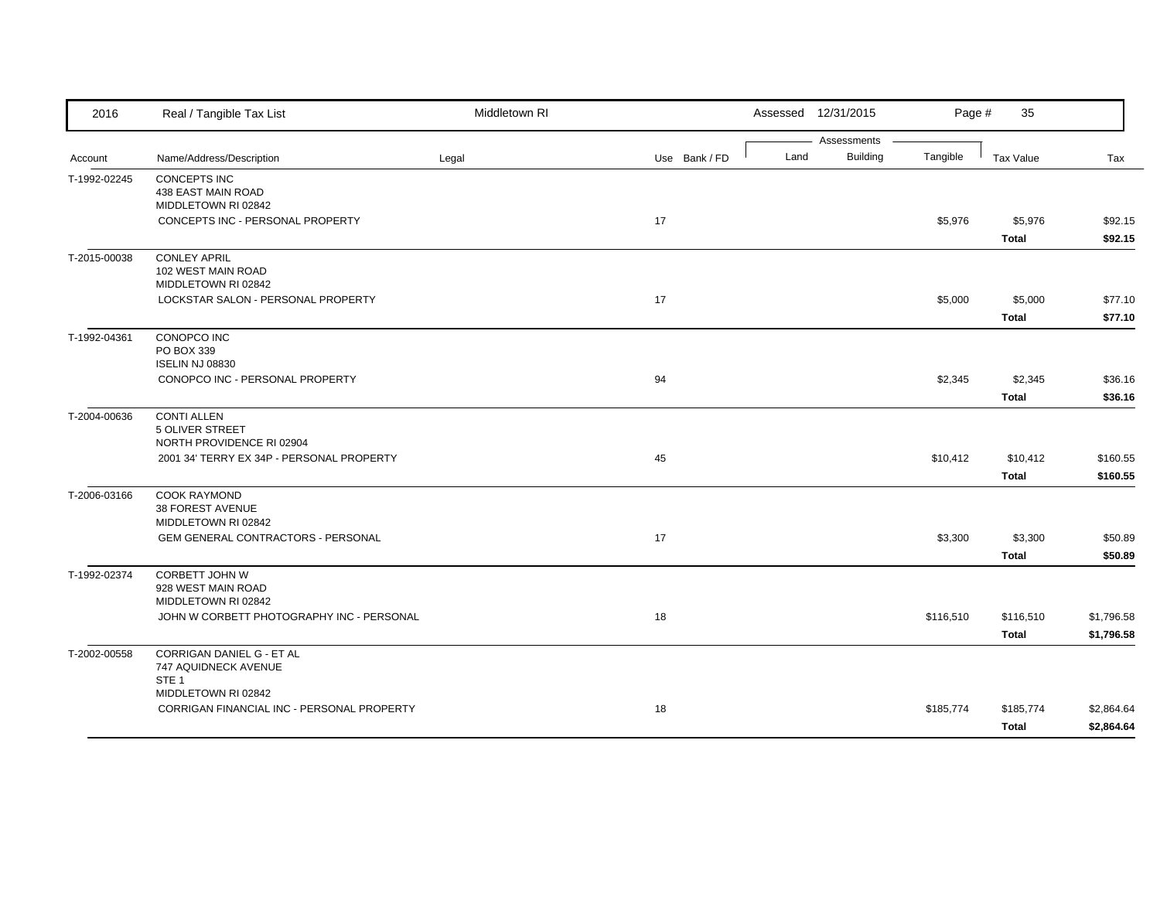| 2016         | Real / Tangible Tax List                            | Middletown RI |               | Assessed 12/31/2015     | Page #    | 35               |            |
|--------------|-----------------------------------------------------|---------------|---------------|-------------------------|-----------|------------------|------------|
|              |                                                     |               |               | Assessments             |           |                  |            |
| Account      | Name/Address/Description                            | Legal         | Use Bank / FD | <b>Building</b><br>Land | Tangible  | <b>Tax Value</b> | Tax        |
| T-1992-02245 | <b>CONCEPTS INC</b>                                 |               |               |                         |           |                  |            |
|              | 438 EAST MAIN ROAD<br>MIDDLETOWN RI 02842           |               |               |                         |           |                  |            |
|              | CONCEPTS INC - PERSONAL PROPERTY                    |               | 17            |                         | \$5,976   | \$5,976          | \$92.15    |
|              |                                                     |               |               |                         |           | <b>Total</b>     | \$92.15    |
| T-2015-00038 | <b>CONLEY APRIL</b>                                 |               |               |                         |           |                  |            |
|              | 102 WEST MAIN ROAD                                  |               |               |                         |           |                  |            |
|              | MIDDLETOWN RI 02842                                 |               |               |                         |           |                  |            |
|              | LOCKSTAR SALON - PERSONAL PROPERTY                  |               | 17            |                         | \$5,000   | \$5,000          | \$77.10    |
|              |                                                     |               |               |                         |           | <b>Total</b>     | \$77.10    |
| T-1992-04361 | CONOPCO INC                                         |               |               |                         |           |                  |            |
|              | PO BOX 339                                          |               |               |                         |           |                  |            |
|              | <b>ISELIN NJ 08830</b>                              |               |               |                         |           |                  |            |
|              | CONOPCO INC - PERSONAL PROPERTY                     |               | 94            |                         | \$2,345   | \$2,345          | \$36.16    |
|              |                                                     |               |               |                         |           | <b>Total</b>     | \$36.16    |
| T-2004-00636 | <b>CONTI ALLEN</b>                                  |               |               |                         |           |                  |            |
|              | <b>5 OLIVER STREET</b><br>NORTH PROVIDENCE RI 02904 |               |               |                         |           |                  |            |
|              | 2001 34' TERRY EX 34P - PERSONAL PROPERTY           |               | 45            |                         | \$10,412  | \$10,412         | \$160.55   |
|              |                                                     |               |               |                         |           | <b>Total</b>     | \$160.55   |
| T-2006-03166 | <b>COOK RAYMOND</b>                                 |               |               |                         |           |                  |            |
|              | 38 FOREST AVENUE                                    |               |               |                         |           |                  |            |
|              | MIDDLETOWN RI 02842                                 |               |               |                         |           |                  |            |
|              | GEM GENERAL CONTRACTORS - PERSONAL                  |               | 17            |                         | \$3,300   | \$3,300          | \$50.89    |
|              |                                                     |               |               |                         |           | <b>Total</b>     | \$50.89    |
| T-1992-02374 | <b>CORBETT JOHN W</b>                               |               |               |                         |           |                  |            |
|              | 928 WEST MAIN ROAD                                  |               |               |                         |           |                  |            |
|              | MIDDLETOWN RI 02842                                 |               |               |                         |           |                  |            |
|              | JOHN W CORBETT PHOTOGRAPHY INC - PERSONAL           |               | 18            |                         | \$116,510 | \$116,510        | \$1,796.58 |
|              |                                                     |               |               |                         |           | <b>Total</b>     | \$1,796.58 |
| T-2002-00558 | CORRIGAN DANIEL G - ET AL                           |               |               |                         |           |                  |            |
|              | 747 AQUIDNECK AVENUE<br>STE <sub>1</sub>            |               |               |                         |           |                  |            |
|              | MIDDLETOWN RI 02842                                 |               |               |                         |           |                  |            |
|              | CORRIGAN FINANCIAL INC - PERSONAL PROPERTY          |               | 18            |                         | \$185,774 | \$185,774        | \$2,864.64 |
|              |                                                     |               |               |                         |           | <b>Total</b>     | \$2,864.64 |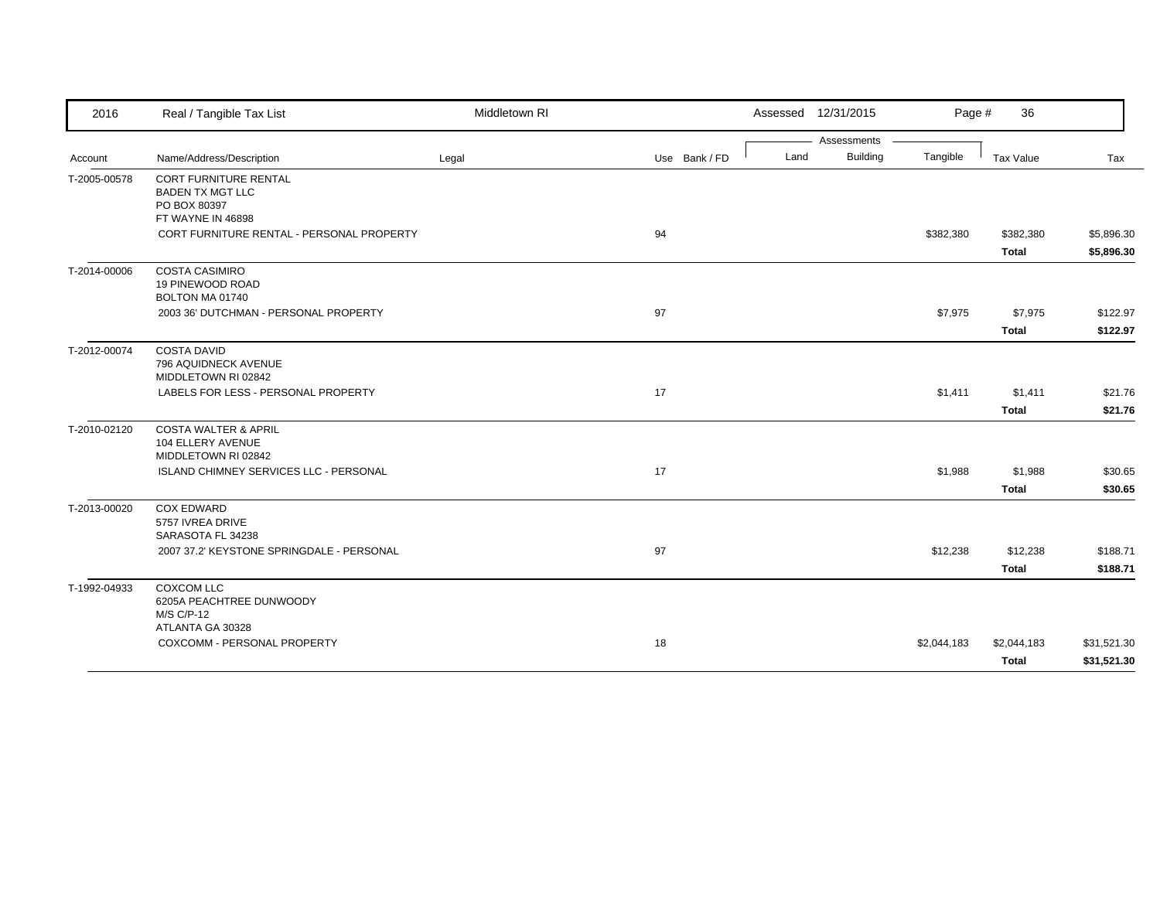| 2016         | Real / Tangible Tax List                                                                     | Middletown RI |               |      | Assessed 12/31/2015 | Page #      | 36           |             |
|--------------|----------------------------------------------------------------------------------------------|---------------|---------------|------|---------------------|-------------|--------------|-------------|
|              |                                                                                              |               |               |      | Assessments         |             |              |             |
| Account      | Name/Address/Description                                                                     | Legal         | Use Bank / FD | Land | <b>Building</b>     | Tangible    | Tax Value    | Tax         |
| T-2005-00578 | <b>CORT FURNITURE RENTAL</b><br><b>BADEN TX MGT LLC</b><br>PO BOX 80397<br>FT WAYNE IN 46898 |               |               |      |                     |             |              |             |
|              | CORT FURNITURE RENTAL - PERSONAL PROPERTY                                                    |               | 94            |      |                     | \$382,380   | \$382,380    | \$5,896.30  |
|              |                                                                                              |               |               |      |                     |             | <b>Total</b> | \$5,896.30  |
| T-2014-00006 | <b>COSTA CASIMIRO</b><br>19 PINEWOOD ROAD<br>BOLTON MA 01740                                 |               |               |      |                     |             |              |             |
|              | 2003 36' DUTCHMAN - PERSONAL PROPERTY                                                        |               | 97            |      |                     | \$7,975     | \$7,975      | \$122.97    |
|              |                                                                                              |               |               |      |                     |             | <b>Total</b> | \$122.97    |
| T-2012-00074 | <b>COSTA DAVID</b><br>796 AQUIDNECK AVENUE<br>MIDDLETOWN RI 02842                            |               |               |      |                     |             |              |             |
|              | LABELS FOR LESS - PERSONAL PROPERTY                                                          |               | 17            |      |                     | \$1,411     | \$1,411      | \$21.76     |
|              |                                                                                              |               |               |      |                     |             | <b>Total</b> | \$21.76     |
| T-2010-02120 | <b>COSTA WALTER &amp; APRIL</b><br>104 ELLERY AVENUE<br>MIDDLETOWN RI 02842                  |               |               |      |                     |             |              |             |
|              | <b>ISLAND CHIMNEY SERVICES LLC - PERSONAL</b>                                                |               | 17            |      |                     | \$1,988     | \$1,988      | \$30.65     |
|              |                                                                                              |               |               |      |                     |             | <b>Total</b> | \$30.65     |
| T-2013-00020 | <b>COX EDWARD</b><br>5757 IVREA DRIVE<br>SARASOTA FL 34238                                   |               |               |      |                     |             |              |             |
|              | 2007 37.2' KEYSTONE SPRINGDALE - PERSONAL                                                    |               | 97            |      |                     | \$12,238    | \$12,238     | \$188.71    |
|              |                                                                                              |               |               |      |                     |             | <b>Total</b> | \$188.71    |
| T-1992-04933 | COXCOM LLC<br>6205A PEACHTREE DUNWOODY<br>M/S C/P-12<br>ATLANTA GA 30328                     |               |               |      |                     |             |              |             |
|              | COXCOMM - PERSONAL PROPERTY                                                                  |               | 18            |      |                     | \$2,044,183 | \$2,044,183  | \$31,521.30 |
|              |                                                                                              |               |               |      |                     |             | Total        | \$31,521.30 |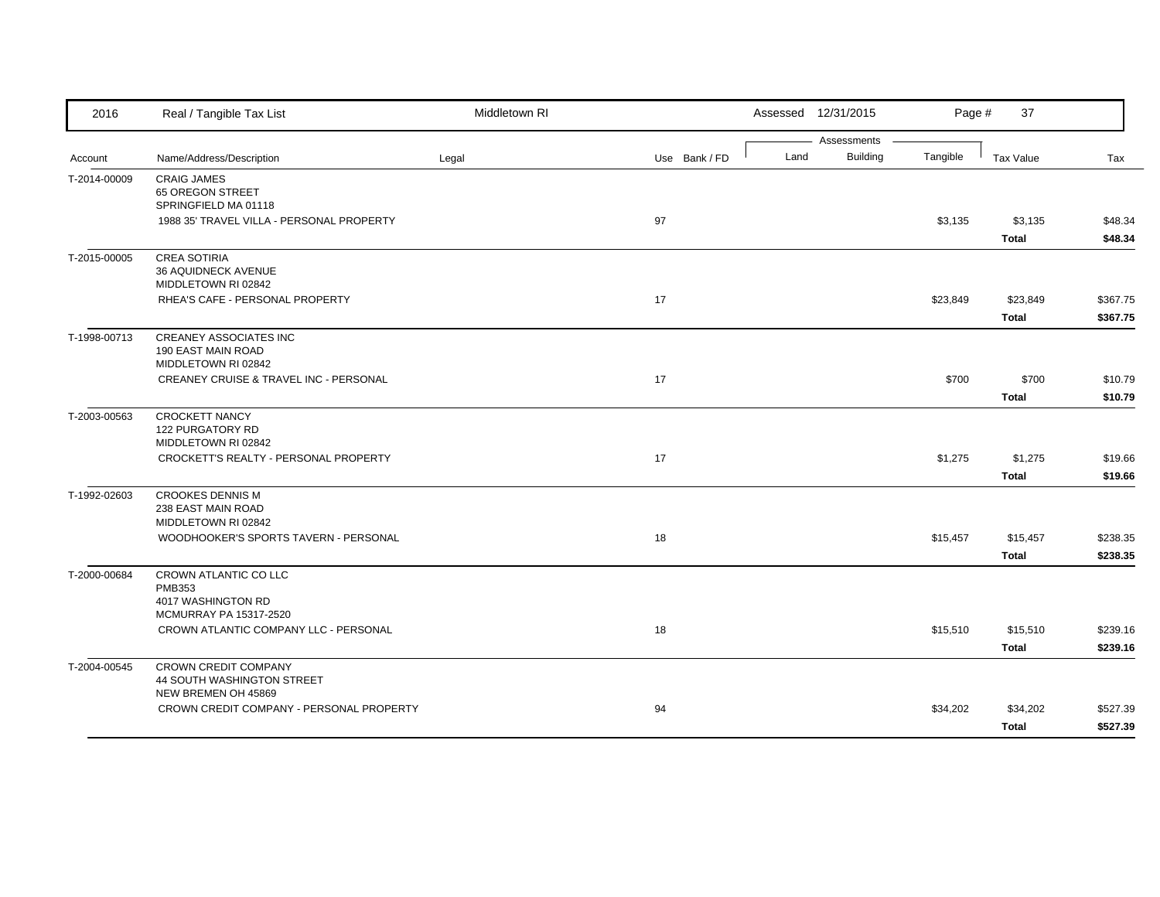| 2016         | Real / Tangible Tax List                          | Middletown RI |               |      | Assessed 12/31/2015            | Page #   | 37           |          |
|--------------|---------------------------------------------------|---------------|---------------|------|--------------------------------|----------|--------------|----------|
| Account      | Name/Address/Description                          | Legal         | Use Bank / FD | Land | Assessments<br><b>Building</b> | Tangible | Tax Value    | Tax      |
|              |                                                   |               |               |      |                                |          |              |          |
| T-2014-00009 | <b>CRAIG JAMES</b><br>65 OREGON STREET            |               |               |      |                                |          |              |          |
|              | SPRINGFIELD MA 01118                              |               |               |      |                                |          |              |          |
|              | 1988 35' TRAVEL VILLA - PERSONAL PROPERTY         |               | 97            |      |                                | \$3,135  | \$3,135      | \$48.34  |
|              |                                                   |               |               |      |                                |          | <b>Total</b> | \$48.34  |
| T-2015-00005 | <b>CREA SOTIRIA</b>                               |               |               |      |                                |          |              |          |
|              | 36 AQUIDNECK AVENUE                               |               |               |      |                                |          |              |          |
|              | MIDDLETOWN RI 02842                               |               |               |      |                                |          |              |          |
|              | RHEA'S CAFE - PERSONAL PROPERTY                   |               | 17            |      |                                | \$23,849 | \$23,849     | \$367.75 |
|              |                                                   |               |               |      |                                |          | <b>Total</b> | \$367.75 |
| T-1998-00713 | <b>CREANEY ASSOCIATES INC</b>                     |               |               |      |                                |          |              |          |
|              | 190 EAST MAIN ROAD<br>MIDDLETOWN RI 02842         |               |               |      |                                |          |              |          |
|              | <b>CREANEY CRUISE &amp; TRAVEL INC - PERSONAL</b> |               | 17            |      |                                | \$700    | \$700        | \$10.79  |
|              |                                                   |               |               |      |                                |          | <b>Total</b> | \$10.79  |
| T-2003-00563 | <b>CROCKETT NANCY</b>                             |               |               |      |                                |          |              |          |
|              | 122 PURGATORY RD                                  |               |               |      |                                |          |              |          |
|              | MIDDLETOWN RI 02842                               |               |               |      |                                |          |              |          |
|              | CROCKETT'S REALTY - PERSONAL PROPERTY             |               | 17            |      |                                | \$1,275  | \$1,275      | \$19.66  |
|              |                                                   |               |               |      |                                |          | <b>Total</b> | \$19.66  |
| T-1992-02603 | <b>CROOKES DENNIS M</b>                           |               |               |      |                                |          |              |          |
|              | 238 EAST MAIN ROAD                                |               |               |      |                                |          |              |          |
|              | MIDDLETOWN RI 02842                               |               |               |      |                                |          |              |          |
|              | WOODHOOKER'S SPORTS TAVERN - PERSONAL             |               | 18            |      |                                | \$15,457 | \$15,457     | \$238.35 |
|              |                                                   |               |               |      |                                |          | <b>Total</b> | \$238.35 |
| T-2000-00684 | CROWN ATLANTIC CO LLC                             |               |               |      |                                |          |              |          |
|              | <b>PMB353</b><br>4017 WASHINGTON RD               |               |               |      |                                |          |              |          |
|              | MCMURRAY PA 15317-2520                            |               |               |      |                                |          |              |          |
|              | CROWN ATLANTIC COMPANY LLC - PERSONAL             |               | 18            |      |                                | \$15,510 | \$15,510     | \$239.16 |
|              |                                                   |               |               |      |                                |          | <b>Total</b> | \$239.16 |
| T-2004-00545 | <b>CROWN CREDIT COMPANY</b>                       |               |               |      |                                |          |              |          |
|              | 44 SOUTH WASHINGTON STREET                        |               |               |      |                                |          |              |          |
|              | NEW BREMEN OH 45869                               |               |               |      |                                |          |              |          |
|              | CROWN CREDIT COMPANY - PERSONAL PROPERTY          |               | 94            |      |                                | \$34,202 | \$34,202     | \$527.39 |
|              |                                                   |               |               |      |                                |          | <b>Total</b> | \$527.39 |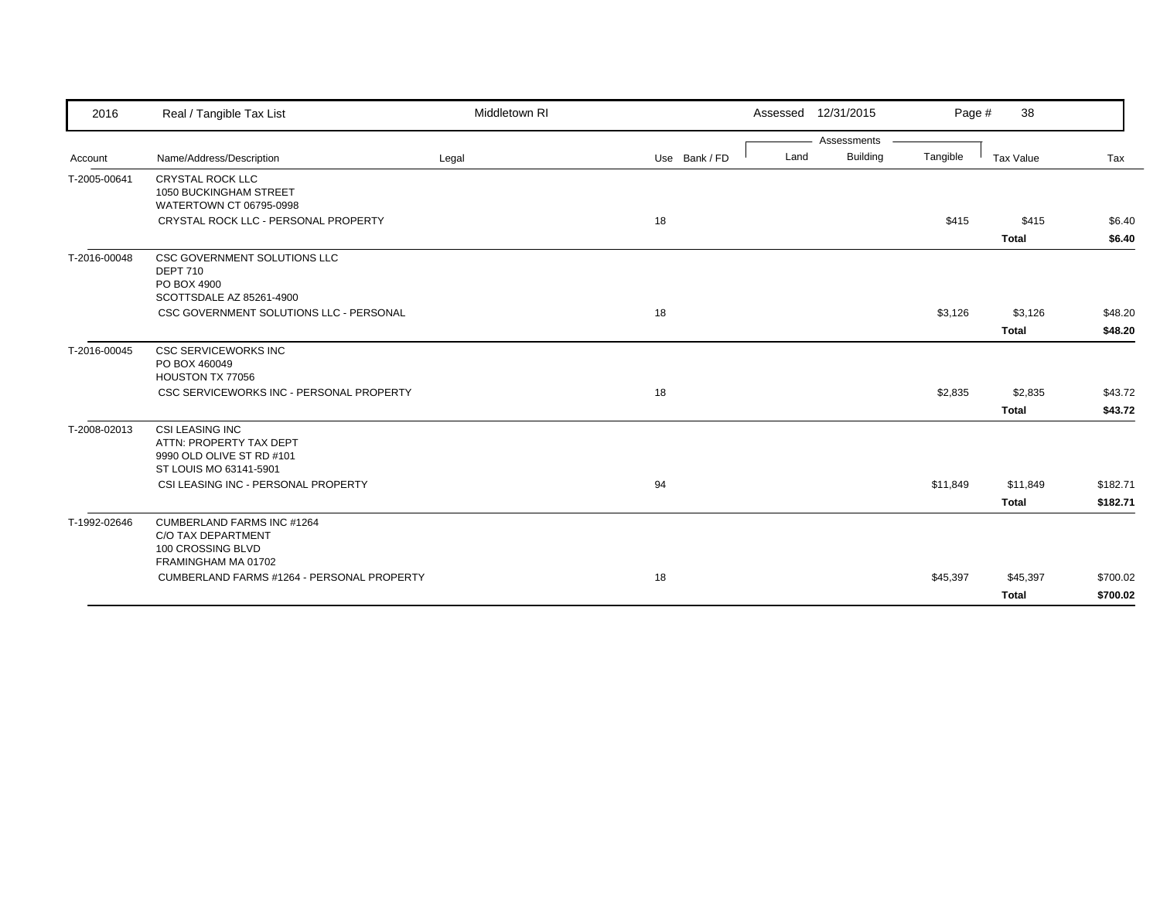| Account      |                                                                                                          |       |    |               |      |             | Page #   |              |          |
|--------------|----------------------------------------------------------------------------------------------------------|-------|----|---------------|------|-------------|----------|--------------|----------|
|              |                                                                                                          |       |    |               |      | Assessments |          |              |          |
|              | Name/Address/Description                                                                                 | Legal |    | Use Bank / FD | Land | Building    | Tangible | Tax Value    | Tax      |
| T-2005-00641 | <b>CRYSTAL ROCK LLC</b><br>1050 BUCKINGHAM STREET<br>WATERTOWN CT 06795-0998                             |       |    |               |      |             |          |              |          |
|              | CRYSTAL ROCK LLC - PERSONAL PROPERTY                                                                     |       | 18 |               |      |             | \$415    | \$415        | \$6.40   |
|              |                                                                                                          |       |    |               |      |             |          | <b>Total</b> | \$6.40   |
| T-2016-00048 | CSC GOVERNMENT SOLUTIONS LLC<br><b>DEPT 710</b><br>PO BOX 4900<br>SCOTTSDALE AZ 85261-4900               |       |    |               |      |             |          |              |          |
|              | CSC GOVERNMENT SOLUTIONS LLC - PERSONAL                                                                  |       | 18 |               |      |             | \$3,126  | \$3,126      | \$48.20  |
|              |                                                                                                          |       |    |               |      |             |          | <b>Total</b> | \$48.20  |
| T-2016-00045 | <b>CSC SERVICEWORKS INC</b><br>PO BOX 460049<br>HOUSTON TX 77056                                         |       |    |               |      |             |          |              |          |
|              | CSC SERVICEWORKS INC - PERSONAL PROPERTY                                                                 |       | 18 |               |      |             | \$2,835  | \$2,835      | \$43.72  |
|              |                                                                                                          |       |    |               |      |             |          | <b>Total</b> | \$43.72  |
| T-2008-02013 | <b>CSI LEASING INC</b><br>ATTN: PROPERTY TAX DEPT<br>9990 OLD OLIVE ST RD #101<br>ST LOUIS MO 63141-5901 |       |    |               |      |             |          |              |          |
|              | CSI LEASING INC - PERSONAL PROPERTY                                                                      |       | 94 |               |      |             | \$11,849 | \$11,849     | \$182.71 |
|              |                                                                                                          |       |    |               |      |             |          | <b>Total</b> | \$182.71 |
| T-1992-02646 | <b>CUMBERLAND FARMS INC #1264</b><br>C/O TAX DEPARTMENT<br>100 CROSSING BLVD<br>FRAMINGHAM MA 01702      |       |    |               |      |             |          |              |          |
|              | CUMBERLAND FARMS #1264 - PERSONAL PROPERTY                                                               |       | 18 |               |      |             | \$45,397 | \$45,397     | \$700.02 |
|              |                                                                                                          |       |    |               |      |             |          | <b>Total</b> | \$700.02 |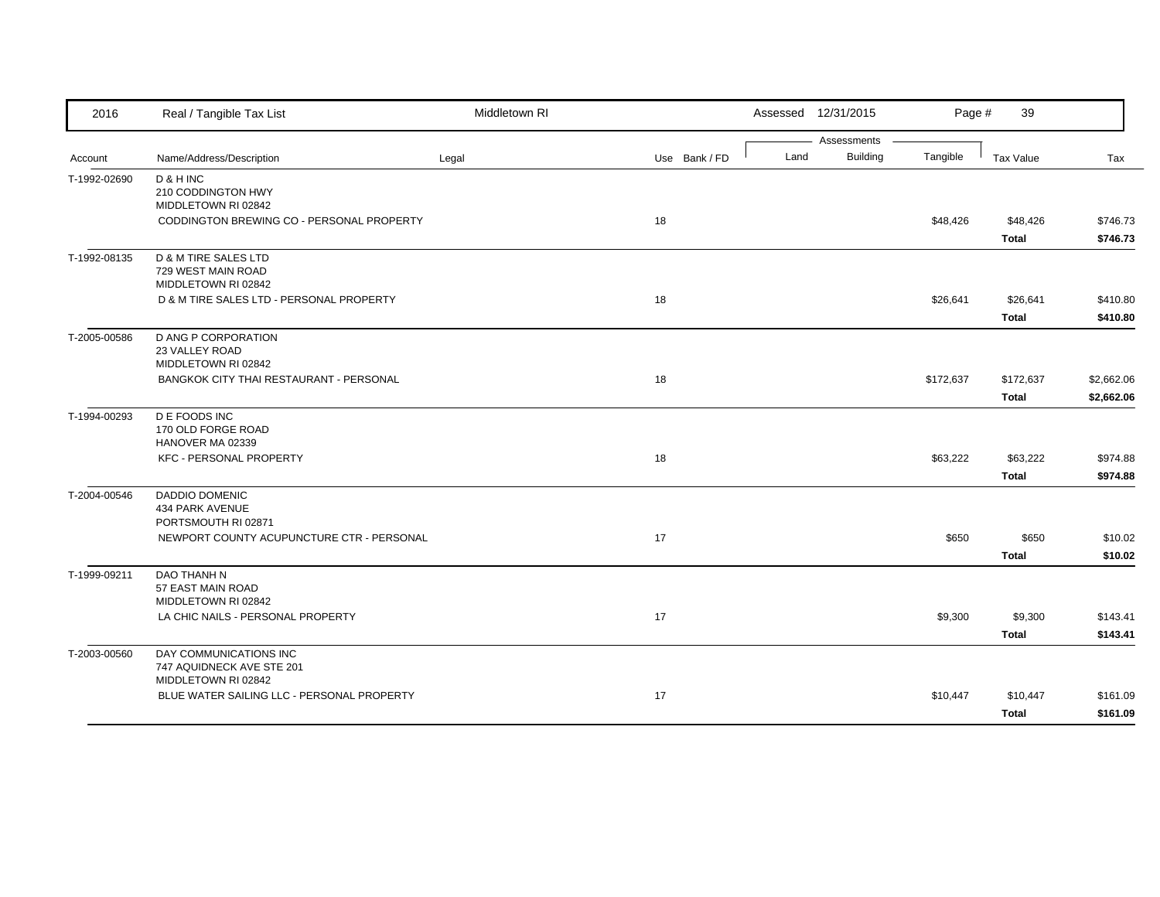| 2016         | Real / Tangible Tax List                                                   | Middletown RI |               |      | Assessed 12/31/2015            | Page #    | 39                        |                          |
|--------------|----------------------------------------------------------------------------|---------------|---------------|------|--------------------------------|-----------|---------------------------|--------------------------|
| Account      | Name/Address/Description                                                   | Legal         | Use Bank / FD | Land | Assessments<br><b>Building</b> | Tangible  | Tax Value                 | Tax                      |
| T-1992-02690 | D & H INC<br>210 CODDINGTON HWY<br>MIDDLETOWN RI 02842                     |               |               |      |                                |           |                           |                          |
|              | CODDINGTON BREWING CO - PERSONAL PROPERTY                                  |               | 18            |      |                                | \$48,426  | \$48,426<br><b>Total</b>  | \$746.73<br>\$746.73     |
| T-1992-08135 | D & M TIRE SALES LTD<br>729 WEST MAIN ROAD<br>MIDDLETOWN RI 02842          |               |               |      |                                |           |                           |                          |
|              | D & M TIRE SALES LTD - PERSONAL PROPERTY                                   |               | 18            |      |                                | \$26,641  | \$26,641<br><b>Total</b>  | \$410.80<br>\$410.80     |
| T-2005-00586 | <b>D ANG P CORPORATION</b><br>23 VALLEY ROAD<br>MIDDLETOWN RI 02842        |               |               |      |                                |           |                           |                          |
|              | BANGKOK CITY THAI RESTAURANT - PERSONAL                                    |               | 18            |      |                                | \$172,637 | \$172,637<br><b>Total</b> | \$2,662.06<br>\$2,662.06 |
| T-1994-00293 | <b>DE FOODS INC</b><br>170 OLD FORGE ROAD<br>HANOVER MA 02339              |               |               |      |                                |           |                           |                          |
|              | <b>KFC - PERSONAL PROPERTY</b>                                             |               | 18            |      |                                | \$63,222  | \$63,222<br><b>Total</b>  | \$974.88<br>\$974.88     |
| T-2004-00546 | DADDIO DOMENIC<br>434 PARK AVENUE<br>PORTSMOUTH RI 02871                   |               |               |      |                                |           |                           |                          |
|              | NEWPORT COUNTY ACUPUNCTURE CTR - PERSONAL                                  |               | 17            |      |                                | \$650     | \$650<br><b>Total</b>     | \$10.02<br>\$10.02       |
| T-1999-09211 | DAO THANH N<br>57 EAST MAIN ROAD<br>MIDDLETOWN RI 02842                    |               |               |      |                                |           |                           |                          |
|              | LA CHIC NAILS - PERSONAL PROPERTY                                          |               | 17            |      |                                | \$9,300   | \$9,300<br><b>Total</b>   | \$143.41<br>\$143.41     |
| T-2003-00560 | DAY COMMUNICATIONS INC<br>747 AQUIDNECK AVE STE 201<br>MIDDLETOWN RI 02842 |               |               |      |                                |           |                           |                          |
|              | BLUE WATER SAILING LLC - PERSONAL PROPERTY                                 |               | 17            |      |                                | \$10,447  | \$10,447<br><b>Total</b>  | \$161.09<br>\$161.09     |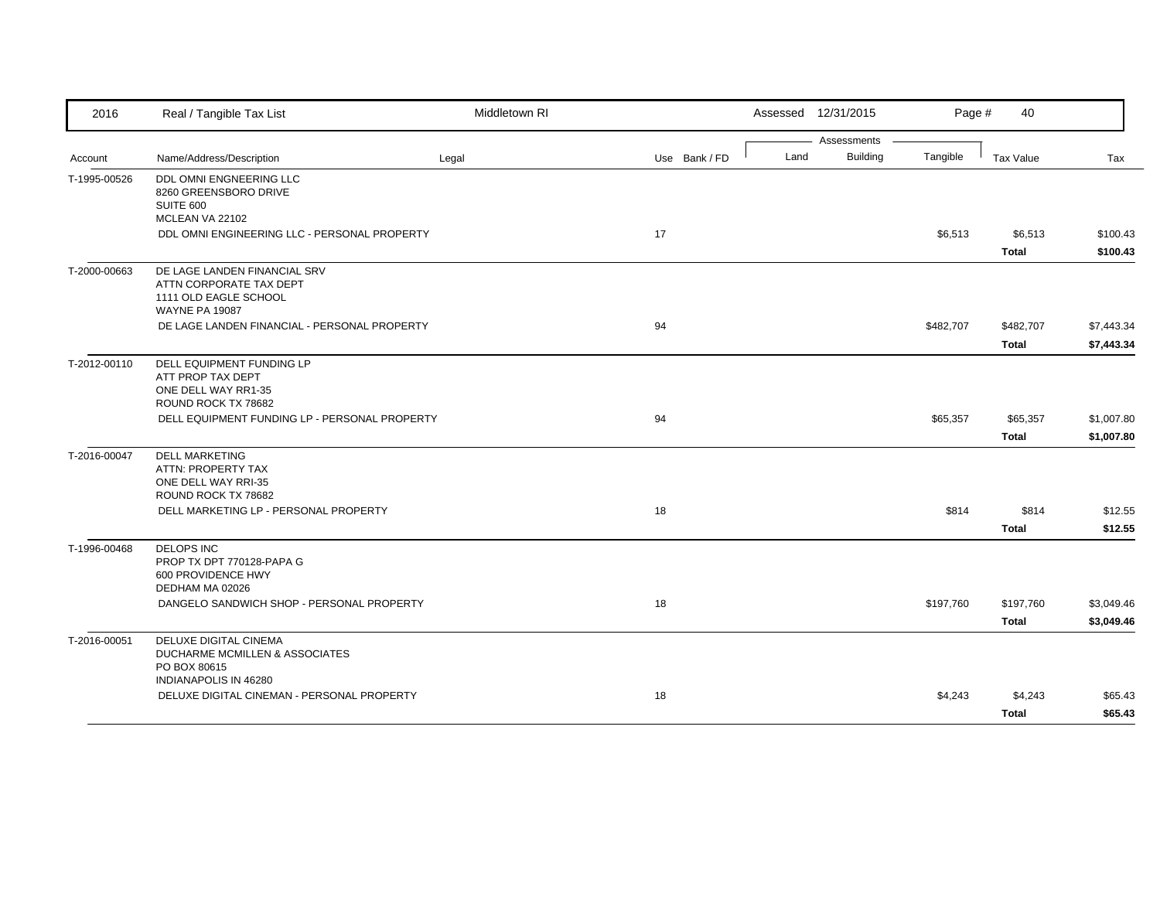| 2016         | Real / Tangible Tax List                                                                                                                             | Middletown RI |               |      | Assessed 12/31/2015            | Page #    | 40                                        |                                     |
|--------------|------------------------------------------------------------------------------------------------------------------------------------------------------|---------------|---------------|------|--------------------------------|-----------|-------------------------------------------|-------------------------------------|
| Account      | Name/Address/Description                                                                                                                             | Legal         | Use Bank / FD | Land | Assessments<br><b>Building</b> | Tangible  | Tax Value                                 | Tax                                 |
| T-1995-00526 | DDL OMNI ENGNEERING LLC<br>8260 GREENSBORO DRIVE<br>SUITE 600<br>MCLEAN VA 22102<br>DDL OMNI ENGINEERING LLC - PERSONAL PROPERTY                     |               | 17            |      |                                | \$6,513   | \$6,513<br><b>Total</b>                   | \$100.43<br>\$100.43                |
| T-2000-00663 | DE LAGE LANDEN FINANCIAL SRV<br>ATTN CORPORATE TAX DEPT<br>1111 OLD EAGLE SCHOOL<br><b>WAYNE PA 19087</b>                                            |               |               |      |                                |           |                                           |                                     |
|              | DE LAGE LANDEN FINANCIAL - PERSONAL PROPERTY                                                                                                         |               | 94            |      |                                | \$482,707 | \$482,707<br><b>Total</b>                 | \$7,443.34<br>\$7,443.34            |
| T-2012-00110 | <b>DELL EQUIPMENT FUNDING LP</b><br>ATT PROP TAX DEPT<br>ONE DELL WAY RR1-35<br>ROUND ROCK TX 78682<br>DELL EQUIPMENT FUNDING LP - PERSONAL PROPERTY |               | 94            |      |                                | \$65,357  | \$65,357<br><b>Total</b>                  | \$1,007.80<br>\$1,007.80            |
| T-2016-00047 | <b>DELL MARKETING</b><br>ATTN: PROPERTY TAX<br>ONE DELL WAY RRI-35<br>ROUND ROCK TX 78682<br>DELL MARKETING LP - PERSONAL PROPERTY                   |               | 18            |      |                                | \$814     | \$814                                     | \$12.55                             |
| T-1996-00468 | <b>DELOPS INC</b><br>PROP TX DPT 770128-PAPA G<br>600 PROVIDENCE HWY<br>DEDHAM MA 02026<br>DANGELO SANDWICH SHOP - PERSONAL PROPERTY                 |               | 18            |      |                                | \$197,760 | <b>Total</b><br>\$197,760<br><b>Total</b> | \$12.55<br>\$3,049.46<br>\$3,049.46 |
| T-2016-00051 | DELUXE DIGITAL CINEMA<br>DUCHARME MCMILLEN & ASSOCIATES<br>PO BOX 80615<br><b>INDIANAPOLIS IN 46280</b>                                              |               |               |      |                                |           |                                           |                                     |
|              | DELUXE DIGITAL CINEMAN - PERSONAL PROPERTY                                                                                                           |               | 18            |      |                                | \$4,243   | \$4,243<br><b>Total</b>                   | \$65.43<br>\$65.43                  |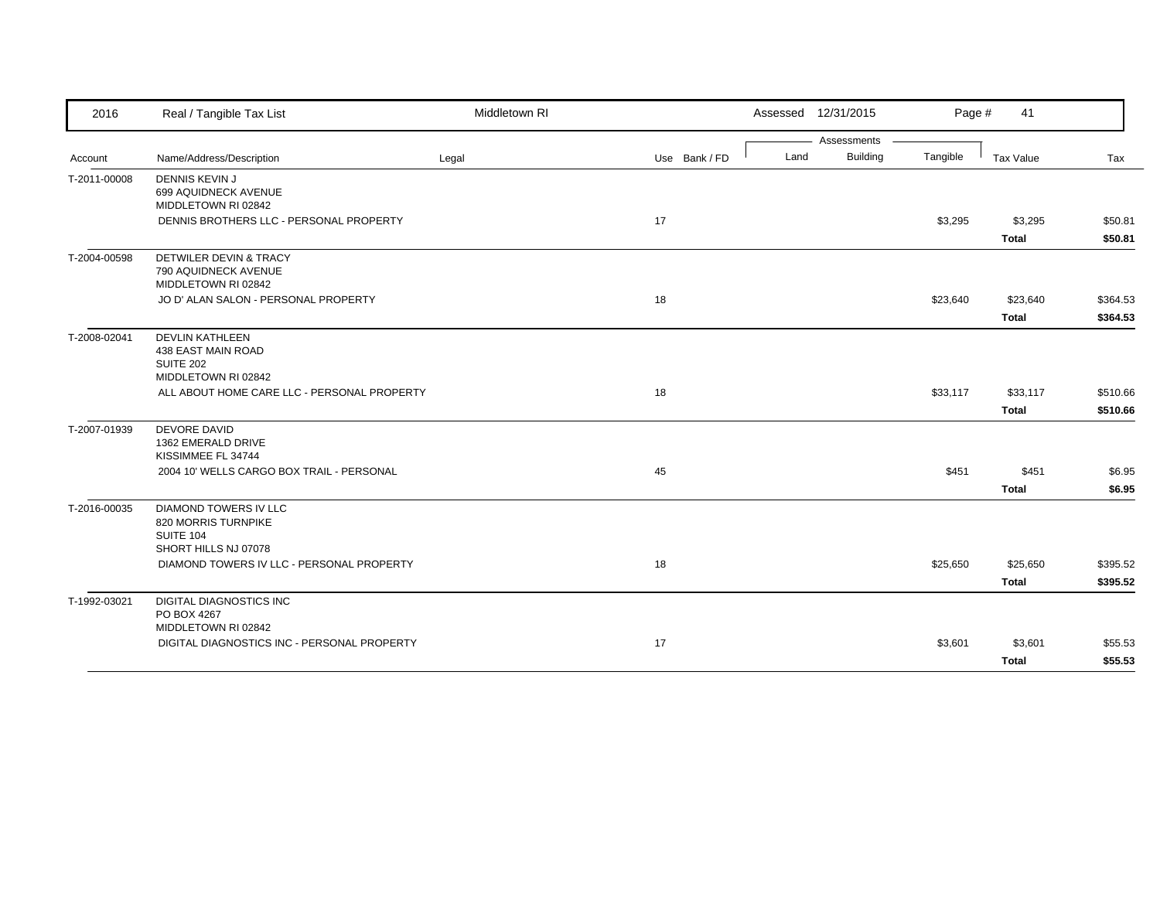| 2016         | Real / Tangible Tax List                    | Middletown RI |               |      | Assessed 12/31/2015            | Page #   | 41           |          |
|--------------|---------------------------------------------|---------------|---------------|------|--------------------------------|----------|--------------|----------|
|              |                                             |               |               | Land | Assessments<br><b>Building</b> |          |              |          |
| Account      | Name/Address/Description                    | Legal         | Use Bank / FD |      |                                | Tangible | Tax Value    | Tax      |
| T-2011-00008 | <b>DENNIS KEVIN J</b>                       |               |               |      |                                |          |              |          |
|              | 699 AQUIDNECK AVENUE<br>MIDDLETOWN RI 02842 |               |               |      |                                |          |              |          |
|              | DENNIS BROTHERS LLC - PERSONAL PROPERTY     |               | 17            |      |                                | \$3,295  | \$3,295      | \$50.81  |
|              |                                             |               |               |      |                                |          | <b>Total</b> | \$50.81  |
| T-2004-00598 | DETWILER DEVIN & TRACY                      |               |               |      |                                |          |              |          |
|              | 790 AQUIDNECK AVENUE                        |               |               |      |                                |          |              |          |
|              | MIDDLETOWN RI 02842                         |               |               |      |                                |          |              |          |
|              | JO D' ALAN SALON - PERSONAL PROPERTY        |               | 18            |      |                                | \$23,640 | \$23,640     | \$364.53 |
|              |                                             |               |               |      |                                |          | <b>Total</b> | \$364.53 |
| T-2008-02041 | <b>DEVLIN KATHLEEN</b>                      |               |               |      |                                |          |              |          |
|              | 438 EAST MAIN ROAD                          |               |               |      |                                |          |              |          |
|              | SUITE 202<br>MIDDLETOWN RI 02842            |               |               |      |                                |          |              |          |
|              | ALL ABOUT HOME CARE LLC - PERSONAL PROPERTY |               | 18            |      |                                | \$33,117 | \$33,117     | \$510.66 |
|              |                                             |               |               |      |                                |          | <b>Total</b> | \$510.66 |
|              | <b>DEVORE DAVID</b>                         |               |               |      |                                |          |              |          |
| T-2007-01939 | 1362 EMERALD DRIVE                          |               |               |      |                                |          |              |          |
|              | KISSIMMEE FL 34744                          |               |               |      |                                |          |              |          |
|              | 2004 10' WELLS CARGO BOX TRAIL - PERSONAL   |               | 45            |      |                                | \$451    | \$451        | \$6.95   |
|              |                                             |               |               |      |                                |          | <b>Total</b> | \$6.95   |
| T-2016-00035 | <b>DIAMOND TOWERS IV LLC</b>                |               |               |      |                                |          |              |          |
|              | 820 MORRIS TURNPIKE                         |               |               |      |                                |          |              |          |
|              | <b>SUITE 104</b><br>SHORT HILLS NJ 07078    |               |               |      |                                |          |              |          |
|              | DIAMOND TOWERS IV LLC - PERSONAL PROPERTY   |               | 18            |      |                                | \$25,650 | \$25,650     | \$395.52 |
|              |                                             |               |               |      |                                |          | <b>Total</b> | \$395.52 |
|              |                                             |               |               |      |                                |          |              |          |
| T-1992-03021 | DIGITAL DIAGNOSTICS INC<br>PO BOX 4267      |               |               |      |                                |          |              |          |
|              | MIDDLETOWN RI 02842                         |               |               |      |                                |          |              |          |
|              | DIGITAL DIAGNOSTICS INC - PERSONAL PROPERTY |               | 17            |      |                                | \$3,601  | \$3,601      | \$55.53  |
|              |                                             |               |               |      |                                |          | <b>Total</b> | \$55.53  |
|              |                                             |               |               |      |                                |          |              |          |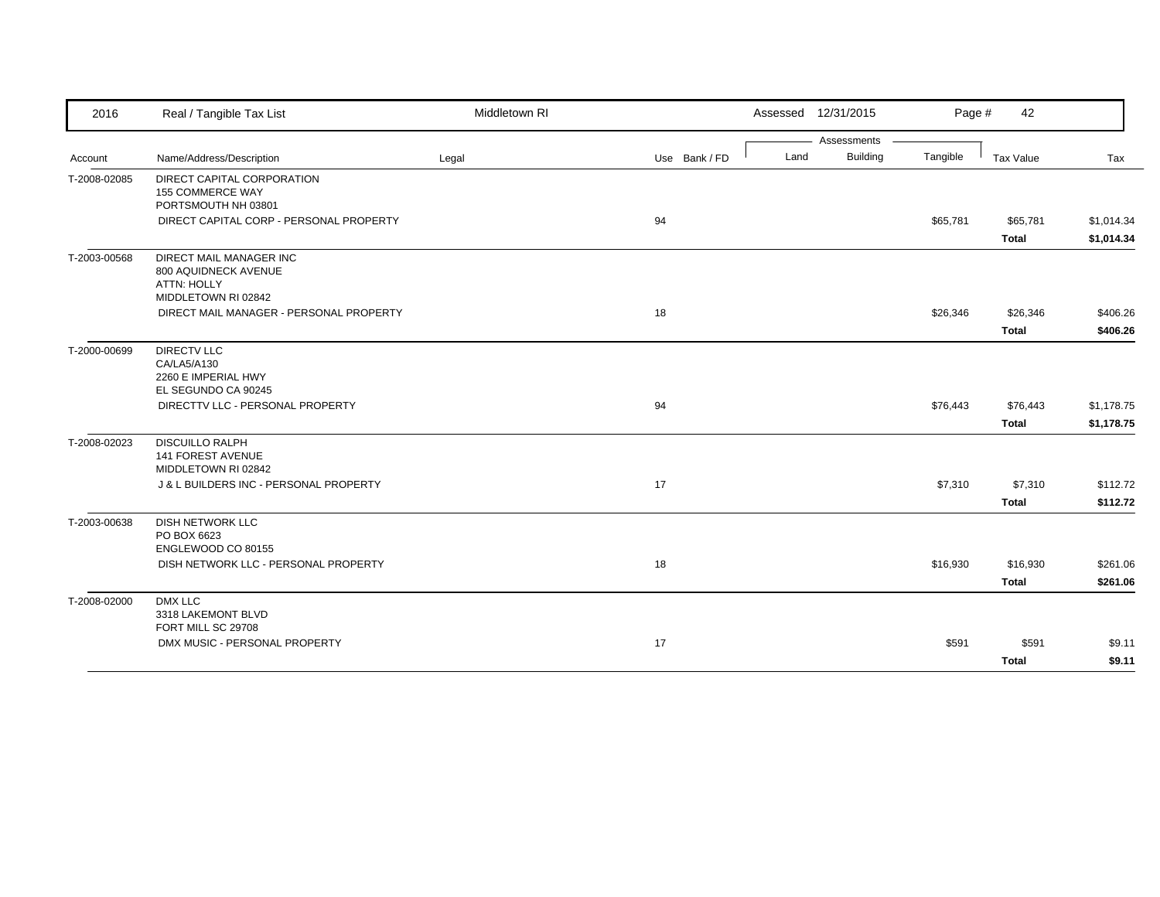| 2016         | Real / Tangible Tax List                                                                            | Middletown RI |               |      | Assessed 12/31/2015 | Page #   | 42                       |                          |
|--------------|-----------------------------------------------------------------------------------------------------|---------------|---------------|------|---------------------|----------|--------------------------|--------------------------|
|              |                                                                                                     |               |               |      | Assessments         |          |                          |                          |
| Account      | Name/Address/Description                                                                            | Legal         | Use Bank / FD | Land | <b>Building</b>     | Tangible | Tax Value                | Tax                      |
| T-2008-02085 | DIRECT CAPITAL CORPORATION<br>155 COMMERCE WAY<br>PORTSMOUTH NH 03801                               |               |               |      |                     |          |                          |                          |
|              | DIRECT CAPITAL CORP - PERSONAL PROPERTY                                                             |               | 94            |      |                     | \$65,781 | \$65,781<br><b>Total</b> | \$1,014.34<br>\$1,014.34 |
| T-2003-00568 | <b>DIRECT MAIL MANAGER INC</b><br>800 AQUIDNECK AVENUE<br><b>ATTN: HOLLY</b><br>MIDDLETOWN RI 02842 |               |               |      |                     |          |                          |                          |
|              | DIRECT MAIL MANAGER - PERSONAL PROPERTY                                                             |               | 18            |      |                     | \$26,346 | \$26,346                 | \$406.26                 |
|              |                                                                                                     |               |               |      |                     |          | <b>Total</b>             | \$406.26                 |
| T-2000-00699 | <b>DIRECTV LLC</b><br>CA/LA5/A130<br>2260 E IMPERIAL HWY<br>EL SEGUNDO CA 90245                     |               |               |      |                     |          |                          |                          |
|              | DIRECTTV LLC - PERSONAL PROPERTY                                                                    |               | 94            |      |                     | \$76,443 | \$76,443                 | \$1,178.75               |
|              |                                                                                                     |               |               |      |                     |          | <b>Total</b>             | \$1,178.75               |
| T-2008-02023 | <b>DISCUILLO RALPH</b><br><b>141 FOREST AVENUE</b><br>MIDDLETOWN RI 02842                           |               |               |      |                     |          |                          |                          |
|              | J & L BUILDERS INC - PERSONAL PROPERTY                                                              |               | 17            |      |                     | \$7,310  | \$7,310                  | \$112.72                 |
|              |                                                                                                     |               |               |      |                     |          | <b>Total</b>             | \$112.72                 |
| T-2003-00638 | DISH NETWORK LLC<br>PO BOX 6623<br>ENGLEWOOD CO 80155                                               |               |               |      |                     |          |                          |                          |
|              | DISH NETWORK LLC - PERSONAL PROPERTY                                                                |               | 18            |      |                     | \$16,930 | \$16,930                 | \$261.06                 |
|              |                                                                                                     |               |               |      |                     |          | <b>Total</b>             | \$261.06                 |
| T-2008-02000 | DMX LLC<br>3318 LAKEMONT BLVD<br>FORT MILL SC 29708                                                 |               |               |      |                     |          |                          |                          |
|              | DMX MUSIC - PERSONAL PROPERTY                                                                       |               | 17            |      |                     | \$591    | \$591                    | \$9.11                   |
|              |                                                                                                     |               |               |      |                     |          | <b>Total</b>             | \$9.11                   |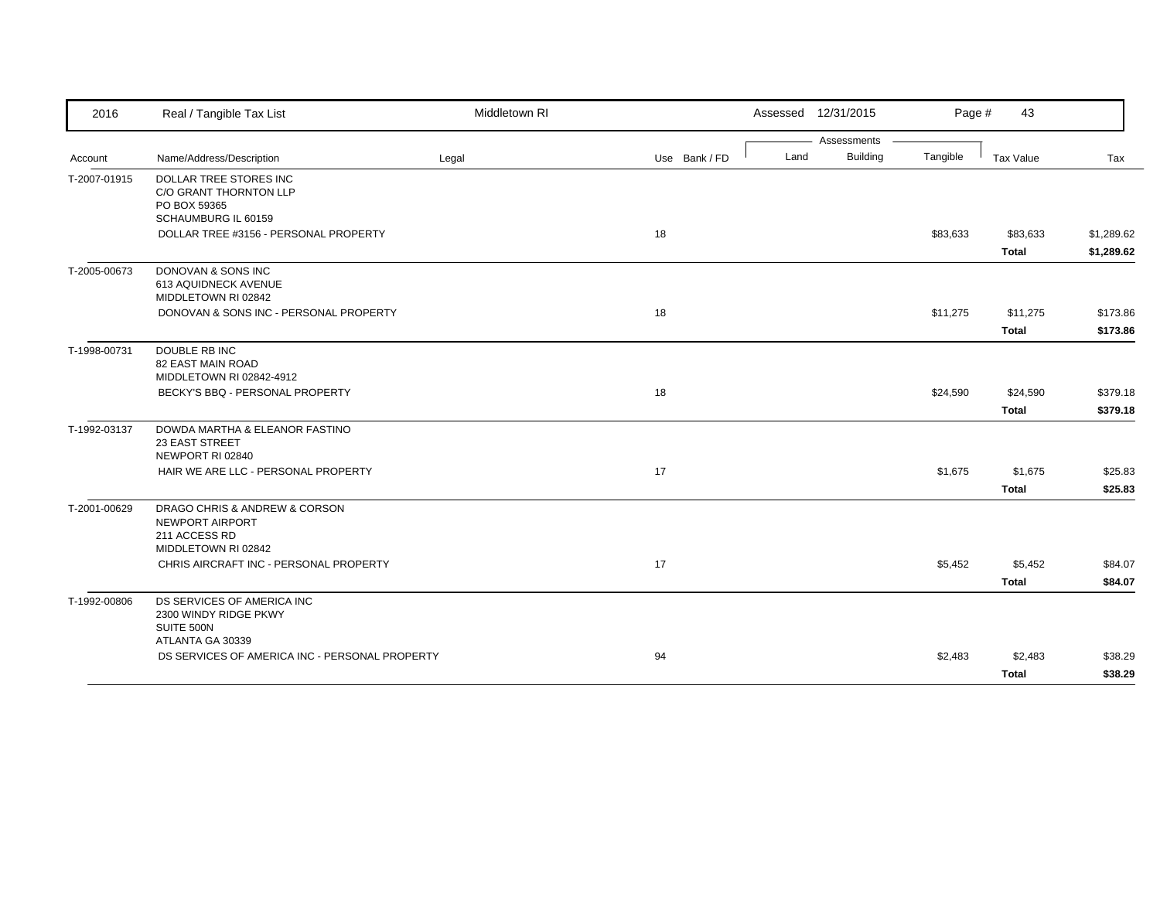| 2016         | Real / Tangible Tax List                                                                 | Middletown RI |               | Assessed 12/31/2015 |                 | Page #   | 43           |            |
|--------------|------------------------------------------------------------------------------------------|---------------|---------------|---------------------|-----------------|----------|--------------|------------|
|              |                                                                                          |               |               |                     | Assessments     |          |              |            |
| Account      | Name/Address/Description                                                                 | Legal         | Use Bank / FD | Land                | <b>Building</b> | Tangible | Tax Value    | Tax        |
| T-2007-01915 | DOLLAR TREE STORES INC<br>C/O GRANT THORNTON LLP<br>PO BOX 59365                         |               |               |                     |                 |          |              |            |
|              | SCHAUMBURG IL 60159                                                                      |               |               |                     |                 |          |              |            |
|              | DOLLAR TREE #3156 - PERSONAL PROPERTY                                                    |               | 18            |                     |                 | \$83,633 | \$83,633     | \$1,289.62 |
|              |                                                                                          |               |               |                     |                 |          | <b>Total</b> | \$1,289.62 |
| T-2005-00673 | DONOVAN & SONS INC<br>613 AQUIDNECK AVENUE<br>MIDDLETOWN RI 02842                        |               |               |                     |                 |          |              |            |
|              | DONOVAN & SONS INC - PERSONAL PROPERTY                                                   |               | 18            |                     |                 | \$11,275 | \$11,275     | \$173.86   |
|              |                                                                                          |               |               |                     |                 |          | <b>Total</b> | \$173.86   |
| T-1998-00731 | <b>DOUBLE RB INC</b><br><b>82 EAST MAIN ROAD</b><br>MIDDLETOWN RI 02842-4912             |               |               |                     |                 |          |              |            |
|              | BECKY'S BBQ - PERSONAL PROPERTY                                                          |               | 18            |                     |                 | \$24,590 | \$24,590     | \$379.18   |
|              |                                                                                          |               |               |                     |                 |          | <b>Total</b> | \$379.18   |
| T-1992-03137 | DOWDA MARTHA & ELEANOR FASTINO<br>23 EAST STREET<br>NEWPORT RI 02840                     |               |               |                     |                 |          |              |            |
|              | HAIR WE ARE LLC - PERSONAL PROPERTY                                                      |               | 17            |                     |                 | \$1,675  | \$1,675      | \$25.83    |
|              |                                                                                          |               |               |                     |                 |          | <b>Total</b> | \$25.83    |
| T-2001-00629 | DRAGO CHRIS & ANDREW & CORSON<br>NEWPORT AIRPORT<br>211 ACCESS RD<br>MIDDLETOWN RI 02842 |               |               |                     |                 |          |              |            |
|              | CHRIS AIRCRAFT INC - PERSONAL PROPERTY                                                   |               | 17            |                     |                 | \$5,452  | \$5,452      | \$84.07    |
|              |                                                                                          |               |               |                     |                 |          | <b>Total</b> | \$84.07    |
| T-1992-00806 | DS SERVICES OF AMERICA INC<br>2300 WINDY RIDGE PKWY<br>SUITE 500N<br>ATLANTA GA 30339    |               |               |                     |                 |          |              |            |
|              | DS SERVICES OF AMERICA INC - PERSONAL PROPERTY                                           |               | 94            |                     |                 | \$2,483  | \$2,483      | \$38.29    |
|              |                                                                                          |               |               |                     |                 |          | <b>Total</b> | \$38.29    |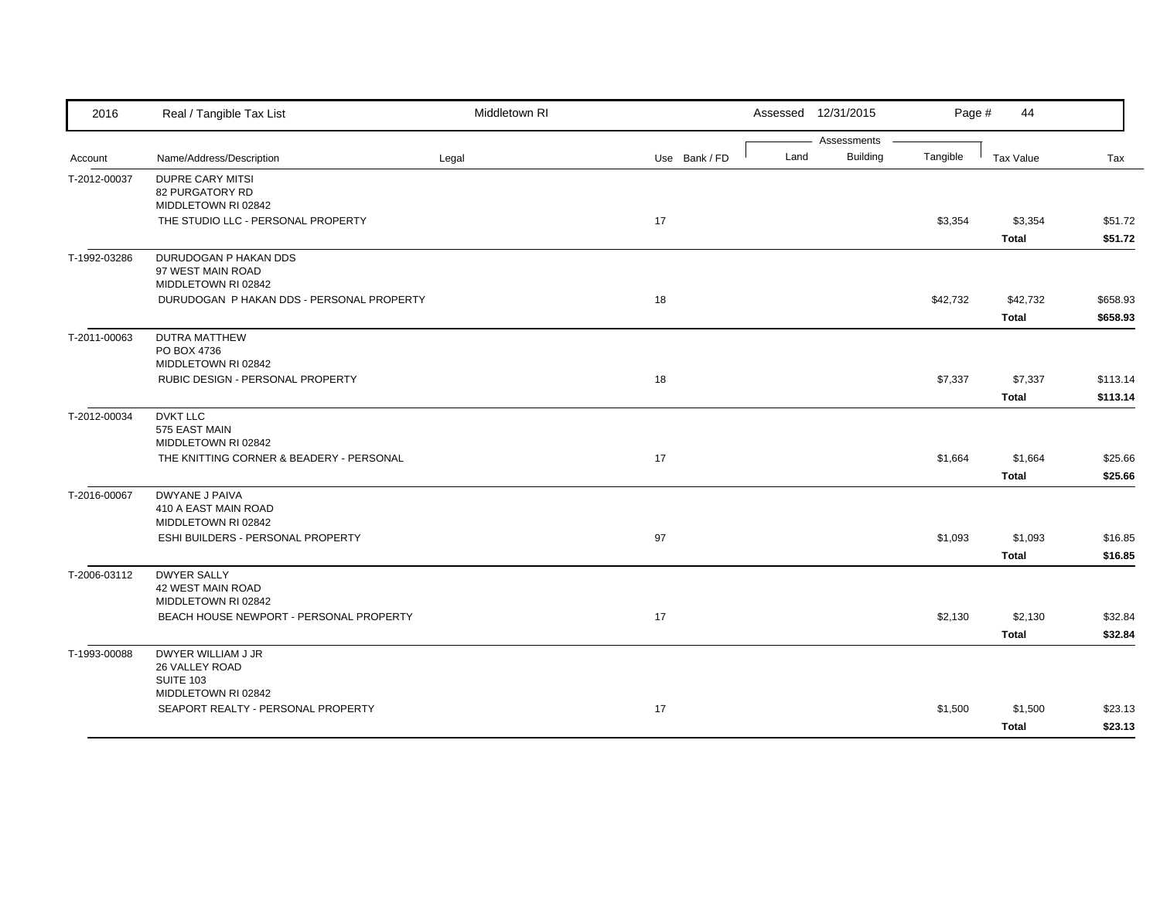| 2016         | Real / Tangible Tax List                                         | Middletown RI |               |      | Assessed 12/31/2015            | Page #   | 44           |          |
|--------------|------------------------------------------------------------------|---------------|---------------|------|--------------------------------|----------|--------------|----------|
| Account      | Name/Address/Description                                         | Legal         | Use Bank / FD | Land | Assessments<br><b>Building</b> | Tangible | Tax Value    | Tax      |
|              |                                                                  |               |               |      |                                |          |              |          |
| T-2012-00037 | <b>DUPRE CARY MITSI</b><br>82 PURGATORY RD                       |               |               |      |                                |          |              |          |
|              | MIDDLETOWN RI 02842                                              |               |               |      |                                |          |              |          |
|              | THE STUDIO LLC - PERSONAL PROPERTY                               |               | 17            |      |                                | \$3,354  | \$3,354      | \$51.72  |
|              |                                                                  |               |               |      |                                |          | <b>Total</b> | \$51.72  |
| T-1992-03286 | DURUDOGAN P HAKAN DDS                                            |               |               |      |                                |          |              |          |
|              | 97 WEST MAIN ROAD                                                |               |               |      |                                |          |              |          |
|              | MIDDLETOWN RI 02842<br>DURUDOGAN P HAKAN DDS - PERSONAL PROPERTY |               | 18            |      |                                | \$42,732 | \$42,732     | \$658.93 |
|              |                                                                  |               |               |      |                                |          |              |          |
|              |                                                                  |               |               |      |                                |          | Total        | \$658.93 |
| T-2011-00063 | <b>DUTRA MATTHEW</b><br>PO BOX 4736                              |               |               |      |                                |          |              |          |
|              | MIDDLETOWN RI 02842                                              |               |               |      |                                |          |              |          |
|              | RUBIC DESIGN - PERSONAL PROPERTY                                 |               | 18            |      |                                | \$7,337  | \$7,337      | \$113.14 |
|              |                                                                  |               |               |      |                                |          | <b>Total</b> | \$113.14 |
| T-2012-00034 | <b>DVKT LLC</b>                                                  |               |               |      |                                |          |              |          |
|              | 575 EAST MAIN                                                    |               |               |      |                                |          |              |          |
|              | MIDDLETOWN RI 02842                                              |               |               |      |                                |          |              |          |
|              | THE KNITTING CORNER & BEADERY - PERSONAL                         |               | 17            |      |                                | \$1,664  | \$1,664      | \$25.66  |
|              |                                                                  |               |               |      |                                |          | <b>Total</b> | \$25.66  |
| T-2016-00067 | <b>DWYANE J PAIVA</b>                                            |               |               |      |                                |          |              |          |
|              | 410 A EAST MAIN ROAD<br>MIDDLETOWN RI 02842                      |               |               |      |                                |          |              |          |
|              | ESHI BUILDERS - PERSONAL PROPERTY                                |               | 97            |      |                                | \$1,093  | \$1,093      | \$16.85  |
|              |                                                                  |               |               |      |                                |          | <b>Total</b> | \$16.85  |
| T-2006-03112 | <b>DWYER SALLY</b>                                               |               |               |      |                                |          |              |          |
|              | 42 WEST MAIN ROAD                                                |               |               |      |                                |          |              |          |
|              | MIDDLETOWN RI 02842                                              |               |               |      |                                |          |              |          |
|              | BEACH HOUSE NEWPORT - PERSONAL PROPERTY                          |               | 17            |      |                                | \$2,130  | \$2,130      | \$32.84  |
|              |                                                                  |               |               |      |                                |          | <b>Total</b> | \$32.84  |
| T-1993-00088 | DWYER WILLIAM J JR                                               |               |               |      |                                |          |              |          |
|              | 26 VALLEY ROAD                                                   |               |               |      |                                |          |              |          |
|              | <b>SUITE 103</b><br>MIDDLETOWN RI 02842                          |               |               |      |                                |          |              |          |
|              | SEAPORT REALTY - PERSONAL PROPERTY                               |               | 17            |      |                                | \$1,500  | \$1,500      | \$23.13  |
|              |                                                                  |               |               |      |                                |          | <b>Total</b> | \$23.13  |
|              |                                                                  |               |               |      |                                |          |              |          |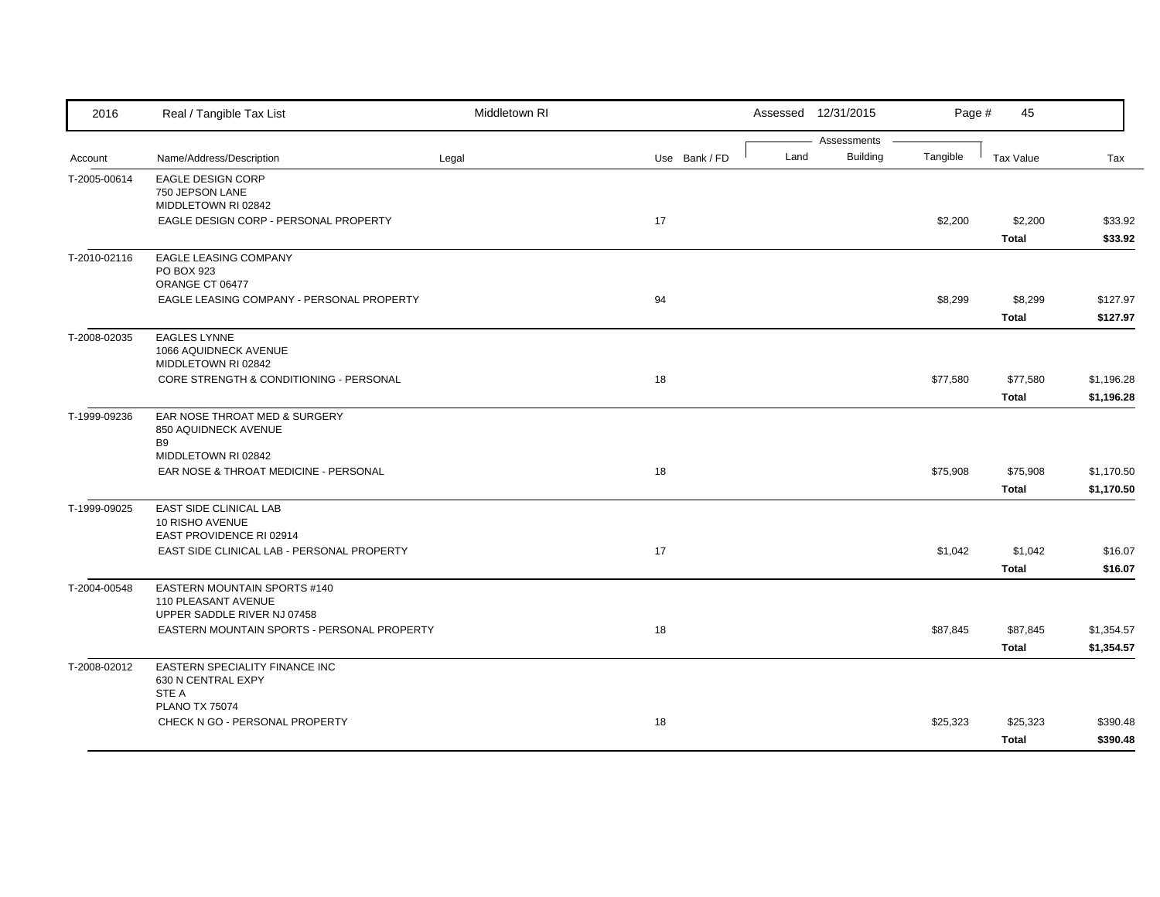| 2016         | Real / Tangible Tax List                                                           | Middletown RI |               |      | Assessed 12/31/2015            | Page #   | 45                       |                          |
|--------------|------------------------------------------------------------------------------------|---------------|---------------|------|--------------------------------|----------|--------------------------|--------------------------|
| Account      | Name/Address/Description                                                           | Legal         | Use Bank / FD | Land | Assessments<br><b>Building</b> | Tangible | <b>Tax Value</b>         | Tax                      |
| T-2005-00614 | <b>EAGLE DESIGN CORP</b><br>750 JEPSON LANE<br>MIDDLETOWN RI 02842                 |               |               |      |                                |          |                          |                          |
|              | EAGLE DESIGN CORP - PERSONAL PROPERTY                                              |               | 17            |      |                                | \$2,200  | \$2,200<br><b>Total</b>  | \$33.92<br>\$33.92       |
| T-2010-02116 | EAGLE LEASING COMPANY<br>PO BOX 923<br>ORANGE CT 06477                             |               |               |      |                                |          |                          |                          |
|              | EAGLE LEASING COMPANY - PERSONAL PROPERTY                                          |               | 94            |      |                                | \$8,299  | \$8,299<br><b>Total</b>  | \$127.97<br>\$127.97     |
| T-2008-02035 | <b>EAGLES LYNNE</b><br>1066 AQUIDNECK AVENUE<br>MIDDLETOWN RI 02842                |               |               |      |                                |          |                          |                          |
|              | CORE STRENGTH & CONDITIONING - PERSONAL                                            |               | 18            |      |                                | \$77,580 | \$77,580<br><b>Total</b> | \$1,196.28<br>\$1,196.28 |
| T-1999-09236 | EAR NOSE THROAT MED & SURGERY<br>850 AQUIDNECK AVENUE<br><b>B</b> 9                |               |               |      |                                |          |                          |                          |
|              | MIDDLETOWN RI 02842<br>EAR NOSE & THROAT MEDICINE - PERSONAL                       |               | 18            |      |                                | \$75,908 | \$75,908<br>Total        | \$1,170.50<br>\$1,170.50 |
| T-1999-09025 | EAST SIDE CLINICAL LAB<br>10 RISHO AVENUE<br>EAST PROVIDENCE RI 02914              |               |               |      |                                |          |                          |                          |
|              | EAST SIDE CLINICAL LAB - PERSONAL PROPERTY                                         |               | 17            |      |                                | \$1,042  | \$1,042<br><b>Total</b>  | \$16.07<br>\$16.07       |
| T-2004-00548 | EASTERN MOUNTAIN SPORTS #140<br>110 PLEASANT AVENUE<br>UPPER SADDLE RIVER NJ 07458 |               |               |      |                                |          |                          |                          |
|              | EASTERN MOUNTAIN SPORTS - PERSONAL PROPERTY                                        |               | 18            |      |                                | \$87,845 | \$87,845<br><b>Total</b> | \$1,354.57<br>\$1,354.57 |
| T-2008-02012 | EASTERN SPECIALITY FINANCE INC<br>630 N CENTRAL EXPY<br>STE A                      |               |               |      |                                |          |                          |                          |
|              | <b>PLANO TX 75074</b><br>CHECK N GO - PERSONAL PROPERTY                            |               | 18            |      |                                | \$25,323 | \$25,323<br>Total        | \$390.48<br>\$390.48     |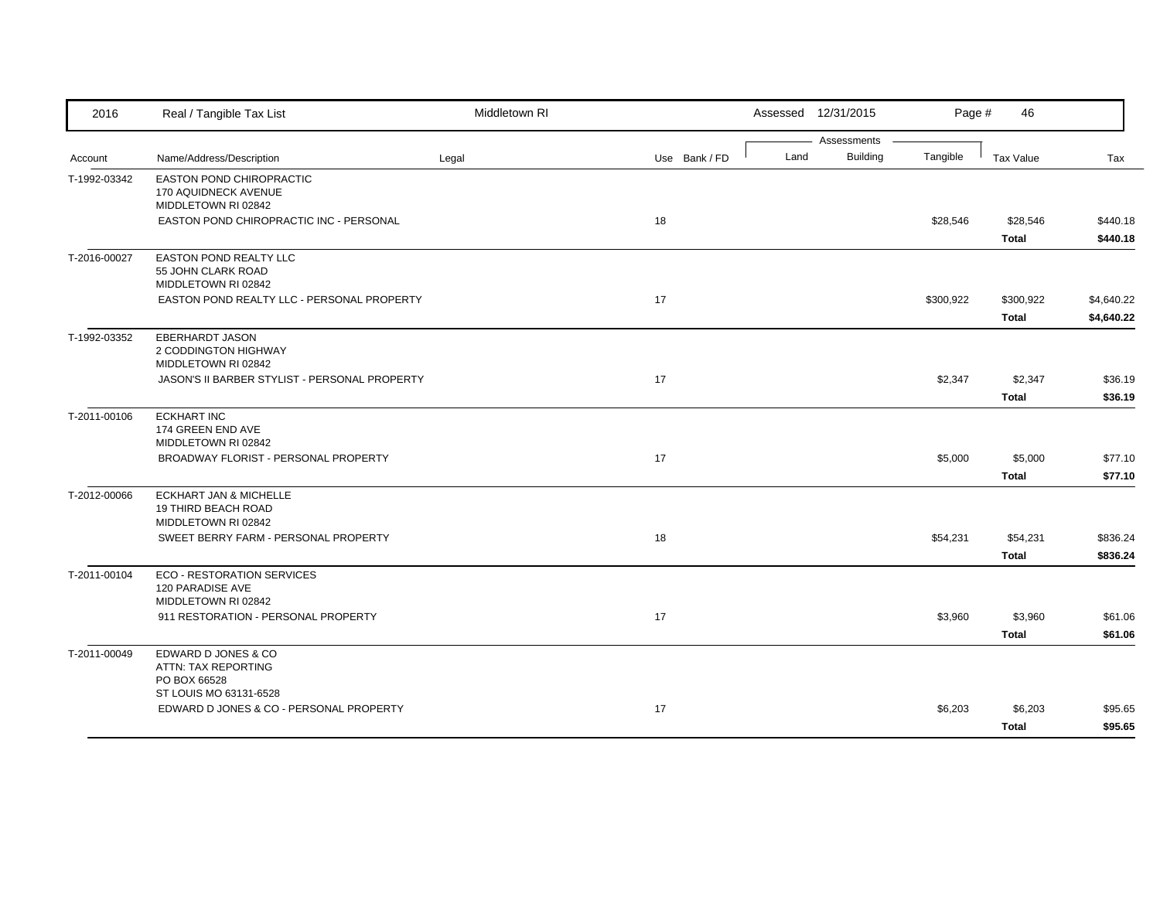| 2016         | Real / Tangible Tax List                                    | Middletown RI |               |      | Assessed 12/31/2015            | Page #    | 46           |            |
|--------------|-------------------------------------------------------------|---------------|---------------|------|--------------------------------|-----------|--------------|------------|
|              | Name/Address/Description                                    |               | Use Bank / FD | Land | Assessments<br><b>Building</b> | Tangible  | Tax Value    | Tax        |
| Account      |                                                             | Legal         |               |      |                                |           |              |            |
| T-1992-03342 | EASTON POND CHIROPRACTIC<br>170 AQUIDNECK AVENUE            |               |               |      |                                |           |              |            |
|              | MIDDLETOWN RI 02842                                         |               |               |      |                                |           |              |            |
|              | EASTON POND CHIROPRACTIC INC - PERSONAL                     |               | 18            |      |                                | \$28,546  | \$28,546     | \$440.18   |
|              |                                                             |               |               |      |                                |           | <b>Total</b> | \$440.18   |
| T-2016-00027 | EASTON POND REALTY LLC                                      |               |               |      |                                |           |              |            |
|              | 55 JOHN CLARK ROAD<br>MIDDLETOWN RI 02842                   |               |               |      |                                |           |              |            |
|              | EASTON POND REALTY LLC - PERSONAL PROPERTY                  |               | 17            |      |                                | \$300,922 | \$300,922    | \$4,640.22 |
|              |                                                             |               |               |      |                                |           | <b>Total</b> | \$4,640.22 |
| T-1992-03352 | <b>EBERHARDT JASON</b>                                      |               |               |      |                                |           |              |            |
|              | 2 CODDINGTON HIGHWAY                                        |               |               |      |                                |           |              |            |
|              | MIDDLETOWN RI 02842                                         |               |               |      |                                |           |              |            |
|              | JASON'S II BARBER STYLIST - PERSONAL PROPERTY               |               | 17            |      |                                | \$2,347   | \$2,347      | \$36.19    |
|              |                                                             |               |               |      |                                |           | <b>Total</b> | \$36.19    |
| T-2011-00106 | <b>ECKHART INC</b><br>174 GREEN END AVE                     |               |               |      |                                |           |              |            |
|              | MIDDLETOWN RI 02842                                         |               |               |      |                                |           |              |            |
|              | BROADWAY FLORIST - PERSONAL PROPERTY                        |               | 17            |      |                                | \$5,000   | \$5,000      | \$77.10    |
|              |                                                             |               |               |      |                                |           | <b>Total</b> | \$77.10    |
| T-2012-00066 | <b>ECKHART JAN &amp; MICHELLE</b>                           |               |               |      |                                |           |              |            |
|              | 19 THIRD BEACH ROAD                                         |               |               |      |                                |           |              |            |
|              | MIDDLETOWN RI 02842<br>SWEET BERRY FARM - PERSONAL PROPERTY |               | 18            |      |                                | \$54,231  | \$54,231     | \$836.24   |
|              |                                                             |               |               |      |                                |           | <b>Total</b> | \$836.24   |
|              |                                                             |               |               |      |                                |           |              |            |
| T-2011-00104 | <b>ECO - RESTORATION SERVICES</b><br>120 PARADISE AVE       |               |               |      |                                |           |              |            |
|              | MIDDLETOWN RI 02842                                         |               |               |      |                                |           |              |            |
|              | 911 RESTORATION - PERSONAL PROPERTY                         |               | 17            |      |                                | \$3,960   | \$3,960      | \$61.06    |
|              |                                                             |               |               |      |                                |           | <b>Total</b> | \$61.06    |
| T-2011-00049 | EDWARD D JONES & CO                                         |               |               |      |                                |           |              |            |
|              | ATTN: TAX REPORTING<br>PO BOX 66528                         |               |               |      |                                |           |              |            |
|              | ST LOUIS MO 63131-6528                                      |               |               |      |                                |           |              |            |
|              | EDWARD D JONES & CO - PERSONAL PROPERTY                     |               | 17            |      |                                | \$6,203   | \$6,203      | \$95.65    |
|              |                                                             |               |               |      |                                |           | <b>Total</b> | \$95.65    |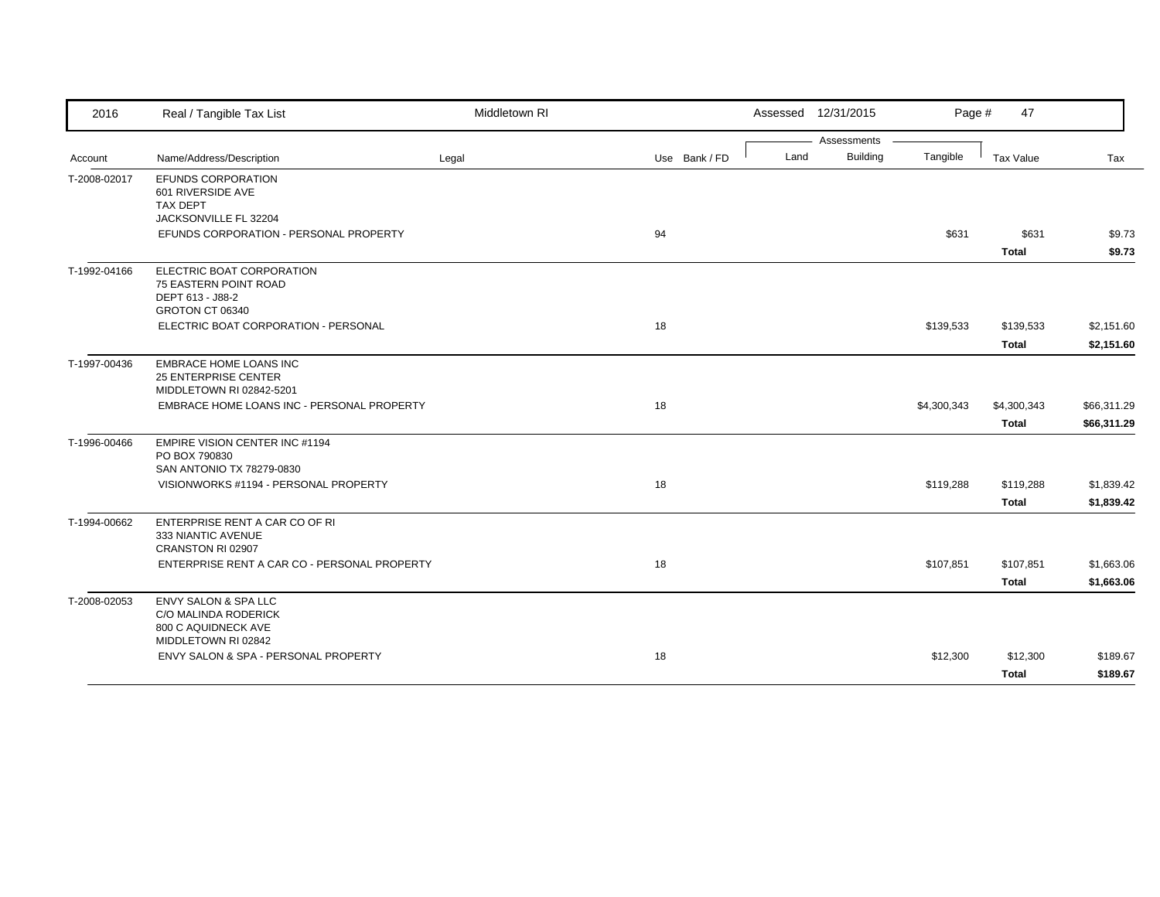| 2016         | Real / Tangible Tax List                                                                              | Middletown RI |               |      | Assessed 12/31/2015 | Page #      | 47           |             |
|--------------|-------------------------------------------------------------------------------------------------------|---------------|---------------|------|---------------------|-------------|--------------|-------------|
|              |                                                                                                       |               |               |      | Assessments         |             |              |             |
| Account      | Name/Address/Description                                                                              | Legal         | Use Bank / FD | Land | <b>Building</b>     | Tangible    | Tax Value    | Tax         |
| T-2008-02017 | <b>EFUNDS CORPORATION</b><br>601 RIVERSIDE AVE<br><b>TAX DEPT</b>                                     |               |               |      |                     |             |              |             |
|              | JACKSONVILLE FL 32204                                                                                 |               |               |      |                     |             |              |             |
|              | EFUNDS CORPORATION - PERSONAL PROPERTY                                                                |               | 94            |      |                     | \$631       | \$631        | \$9.73      |
|              |                                                                                                       |               |               |      |                     |             | <b>Total</b> | \$9.73      |
| T-1992-04166 | ELECTRIC BOAT CORPORATION<br>75 EASTERN POINT ROAD<br>DEPT 613 - J88-2<br>GROTON CT 06340             |               |               |      |                     |             |              |             |
|              | ELECTRIC BOAT CORPORATION - PERSONAL                                                                  |               | 18            |      |                     | \$139,533   | \$139,533    | \$2,151.60  |
|              |                                                                                                       |               |               |      |                     |             | <b>Total</b> | \$2,151.60  |
| T-1997-00436 | <b>EMBRACE HOME LOANS INC</b><br><b>25 ENTERPRISE CENTER</b><br>MIDDLETOWN RI 02842-5201              |               |               |      |                     |             |              |             |
|              | EMBRACE HOME LOANS INC - PERSONAL PROPERTY                                                            |               | 18            |      |                     | \$4,300,343 | \$4,300,343  | \$66,311.29 |
|              |                                                                                                       |               |               |      |                     |             | <b>Total</b> | \$66,311.29 |
|              |                                                                                                       |               |               |      |                     |             |              |             |
| T-1996-00466 | <b>EMPIRE VISION CENTER INC #1194</b><br>PO BOX 790830                                                |               |               |      |                     |             |              |             |
|              | SAN ANTONIO TX 78279-0830                                                                             |               |               |      |                     |             |              |             |
|              | VISIONWORKS #1194 - PERSONAL PROPERTY                                                                 |               | 18            |      |                     | \$119,288   | \$119,288    | \$1,839.42  |
|              |                                                                                                       |               |               |      |                     |             | <b>Total</b> | \$1,839.42  |
| T-1994-00662 | ENTERPRISE RENT A CAR CO OF RI<br>333 NIANTIC AVENUE<br>CRANSTON RI 02907                             |               |               |      |                     |             |              |             |
|              | ENTERPRISE RENT A CAR CO - PERSONAL PROPERTY                                                          |               | 18            |      |                     | \$107,851   | \$107,851    | \$1,663.06  |
|              |                                                                                                       |               |               |      |                     |             | <b>Total</b> | \$1,663.06  |
| T-2008-02053 | <b>ENVY SALON &amp; SPA LLC</b><br>C/O MALINDA RODERICK<br>800 C AQUIDNECK AVE<br>MIDDLETOWN RI 02842 |               |               |      |                     |             |              |             |
|              | ENVY SALON & SPA - PERSONAL PROPERTY                                                                  |               | 18            |      |                     | \$12,300    | \$12,300     | \$189.67    |
|              |                                                                                                       |               |               |      |                     |             | <b>Total</b> | \$189.67    |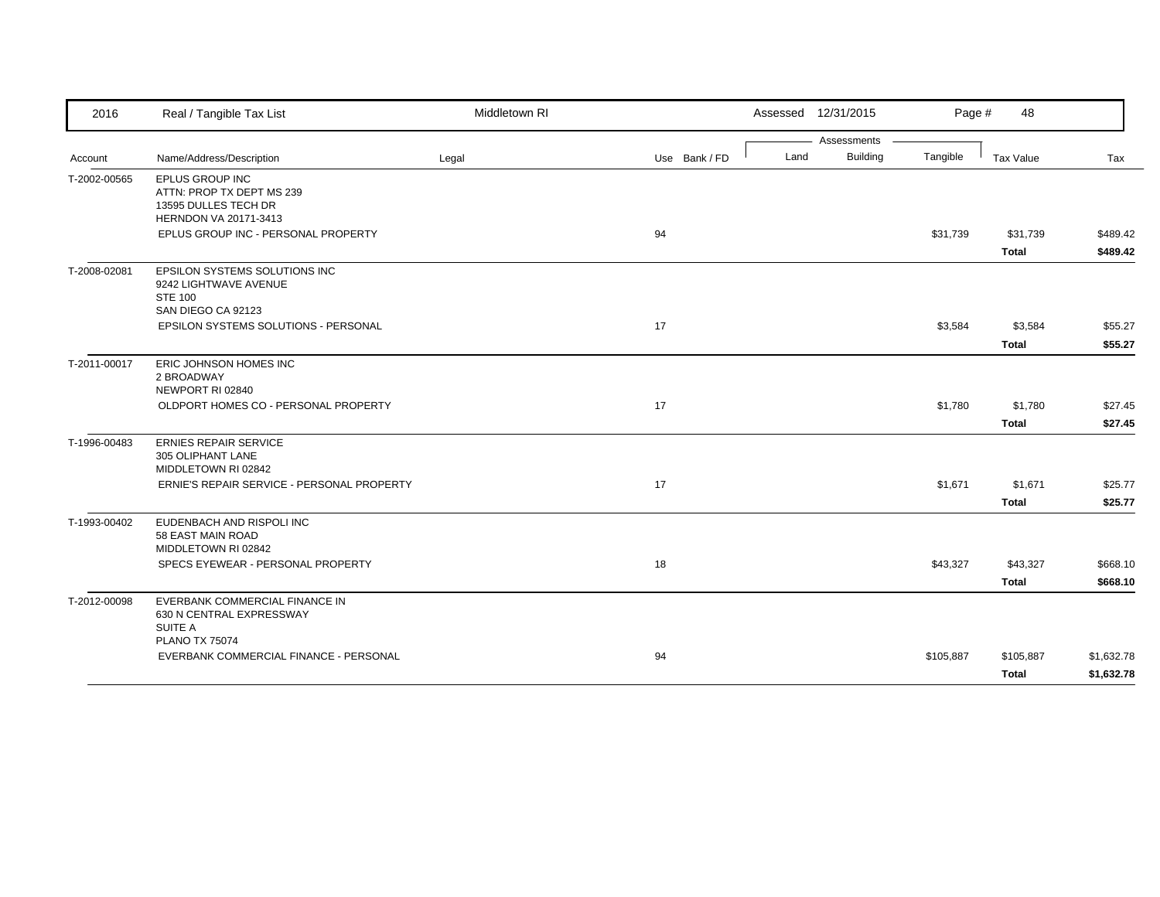| Assessments<br><b>Building</b><br>Tangible<br>Name/Address/Description<br>Use Bank / FD<br>Land<br>Tax Value<br>Legal<br>Tax<br>Account<br>T-2002-00565<br>EPLUS GROUP INC<br>ATTN: PROP TX DEPT MS 239<br>13595 DULLES TECH DR<br>HERNDON VA 20171-3413<br>94<br>EPLUS GROUP INC - PERSONAL PROPERTY<br>\$31,739<br>\$489.42<br>\$31,739<br>\$489.42<br><b>Total</b><br>EPSILON SYSTEMS SOLUTIONS INC<br>9242 LIGHTWAVE AVENUE<br><b>STE 100</b><br>SAN DIEGO CA 92123<br>17<br><b>EPSILON SYSTEMS SOLUTIONS - PERSONAL</b><br>\$3,584<br>\$3,584<br>\$55.27<br><b>Total</b><br>\$55.27<br>ERIC JOHNSON HOMES INC<br>2 BROADWAY<br>NEWPORT RI 02840<br>OLDPORT HOMES CO - PERSONAL PROPERTY<br>17<br>\$1,780<br>\$1,780<br>\$27.45<br>\$27.45<br><b>Total</b><br><b>ERNIES REPAIR SERVICE</b><br>305 OLIPHANT LANE<br>MIDDLETOWN RI 02842<br>17<br>ERNIE'S REPAIR SERVICE - PERSONAL PROPERTY<br>\$1,671<br>\$1,671<br>\$25.77<br><b>Total</b><br>\$25.77<br>EUDENBACH AND RISPOLI INC<br>58 EAST MAIN ROAD<br>MIDDLETOWN RI 02842<br>18<br>SPECS EYEWEAR - PERSONAL PROPERTY<br>\$43,327<br>\$43,327<br>\$668.10<br><b>Total</b><br>\$668.10<br>EVERBANK COMMERCIAL FINANCE IN<br>630 N CENTRAL EXPRESSWAY<br>SUITE A<br><b>PLANO TX 75074</b><br>94<br>EVERBANK COMMERCIAL FINANCE - PERSONAL<br>\$105,887<br>\$1,632.78<br>\$105,887 | 2016         | Real / Tangible Tax List | Middletown RI |  | Assessed 12/31/2015 | Page # | 48           |            |
|------------------------------------------------------------------------------------------------------------------------------------------------------------------------------------------------------------------------------------------------------------------------------------------------------------------------------------------------------------------------------------------------------------------------------------------------------------------------------------------------------------------------------------------------------------------------------------------------------------------------------------------------------------------------------------------------------------------------------------------------------------------------------------------------------------------------------------------------------------------------------------------------------------------------------------------------------------------------------------------------------------------------------------------------------------------------------------------------------------------------------------------------------------------------------------------------------------------------------------------------------------------------------------------------------------------------------------------|--------------|--------------------------|---------------|--|---------------------|--------|--------------|------------|
|                                                                                                                                                                                                                                                                                                                                                                                                                                                                                                                                                                                                                                                                                                                                                                                                                                                                                                                                                                                                                                                                                                                                                                                                                                                                                                                                          |              |                          |               |  |                     |        |              |            |
|                                                                                                                                                                                                                                                                                                                                                                                                                                                                                                                                                                                                                                                                                                                                                                                                                                                                                                                                                                                                                                                                                                                                                                                                                                                                                                                                          |              |                          |               |  |                     |        |              |            |
|                                                                                                                                                                                                                                                                                                                                                                                                                                                                                                                                                                                                                                                                                                                                                                                                                                                                                                                                                                                                                                                                                                                                                                                                                                                                                                                                          |              |                          |               |  |                     |        |              |            |
|                                                                                                                                                                                                                                                                                                                                                                                                                                                                                                                                                                                                                                                                                                                                                                                                                                                                                                                                                                                                                                                                                                                                                                                                                                                                                                                                          |              |                          |               |  |                     |        |              |            |
|                                                                                                                                                                                                                                                                                                                                                                                                                                                                                                                                                                                                                                                                                                                                                                                                                                                                                                                                                                                                                                                                                                                                                                                                                                                                                                                                          |              |                          |               |  |                     |        |              |            |
|                                                                                                                                                                                                                                                                                                                                                                                                                                                                                                                                                                                                                                                                                                                                                                                                                                                                                                                                                                                                                                                                                                                                                                                                                                                                                                                                          | T-2008-02081 |                          |               |  |                     |        |              |            |
|                                                                                                                                                                                                                                                                                                                                                                                                                                                                                                                                                                                                                                                                                                                                                                                                                                                                                                                                                                                                                                                                                                                                                                                                                                                                                                                                          |              |                          |               |  |                     |        |              |            |
|                                                                                                                                                                                                                                                                                                                                                                                                                                                                                                                                                                                                                                                                                                                                                                                                                                                                                                                                                                                                                                                                                                                                                                                                                                                                                                                                          |              |                          |               |  |                     |        |              |            |
|                                                                                                                                                                                                                                                                                                                                                                                                                                                                                                                                                                                                                                                                                                                                                                                                                                                                                                                                                                                                                                                                                                                                                                                                                                                                                                                                          | T-2011-00017 |                          |               |  |                     |        |              |            |
|                                                                                                                                                                                                                                                                                                                                                                                                                                                                                                                                                                                                                                                                                                                                                                                                                                                                                                                                                                                                                                                                                                                                                                                                                                                                                                                                          |              |                          |               |  |                     |        |              |            |
|                                                                                                                                                                                                                                                                                                                                                                                                                                                                                                                                                                                                                                                                                                                                                                                                                                                                                                                                                                                                                                                                                                                                                                                                                                                                                                                                          |              |                          |               |  |                     |        |              |            |
|                                                                                                                                                                                                                                                                                                                                                                                                                                                                                                                                                                                                                                                                                                                                                                                                                                                                                                                                                                                                                                                                                                                                                                                                                                                                                                                                          | T-1996-00483 |                          |               |  |                     |        |              |            |
|                                                                                                                                                                                                                                                                                                                                                                                                                                                                                                                                                                                                                                                                                                                                                                                                                                                                                                                                                                                                                                                                                                                                                                                                                                                                                                                                          |              |                          |               |  |                     |        |              |            |
|                                                                                                                                                                                                                                                                                                                                                                                                                                                                                                                                                                                                                                                                                                                                                                                                                                                                                                                                                                                                                                                                                                                                                                                                                                                                                                                                          |              |                          |               |  |                     |        |              |            |
|                                                                                                                                                                                                                                                                                                                                                                                                                                                                                                                                                                                                                                                                                                                                                                                                                                                                                                                                                                                                                                                                                                                                                                                                                                                                                                                                          | T-1993-00402 |                          |               |  |                     |        |              |            |
|                                                                                                                                                                                                                                                                                                                                                                                                                                                                                                                                                                                                                                                                                                                                                                                                                                                                                                                                                                                                                                                                                                                                                                                                                                                                                                                                          |              |                          |               |  |                     |        |              |            |
|                                                                                                                                                                                                                                                                                                                                                                                                                                                                                                                                                                                                                                                                                                                                                                                                                                                                                                                                                                                                                                                                                                                                                                                                                                                                                                                                          |              |                          |               |  |                     |        |              |            |
|                                                                                                                                                                                                                                                                                                                                                                                                                                                                                                                                                                                                                                                                                                                                                                                                                                                                                                                                                                                                                                                                                                                                                                                                                                                                                                                                          | T-2012-00098 |                          |               |  |                     |        |              |            |
|                                                                                                                                                                                                                                                                                                                                                                                                                                                                                                                                                                                                                                                                                                                                                                                                                                                                                                                                                                                                                                                                                                                                                                                                                                                                                                                                          |              |                          |               |  |                     |        |              |            |
|                                                                                                                                                                                                                                                                                                                                                                                                                                                                                                                                                                                                                                                                                                                                                                                                                                                                                                                                                                                                                                                                                                                                                                                                                                                                                                                                          |              |                          |               |  |                     |        | <b>Total</b> | \$1,632.78 |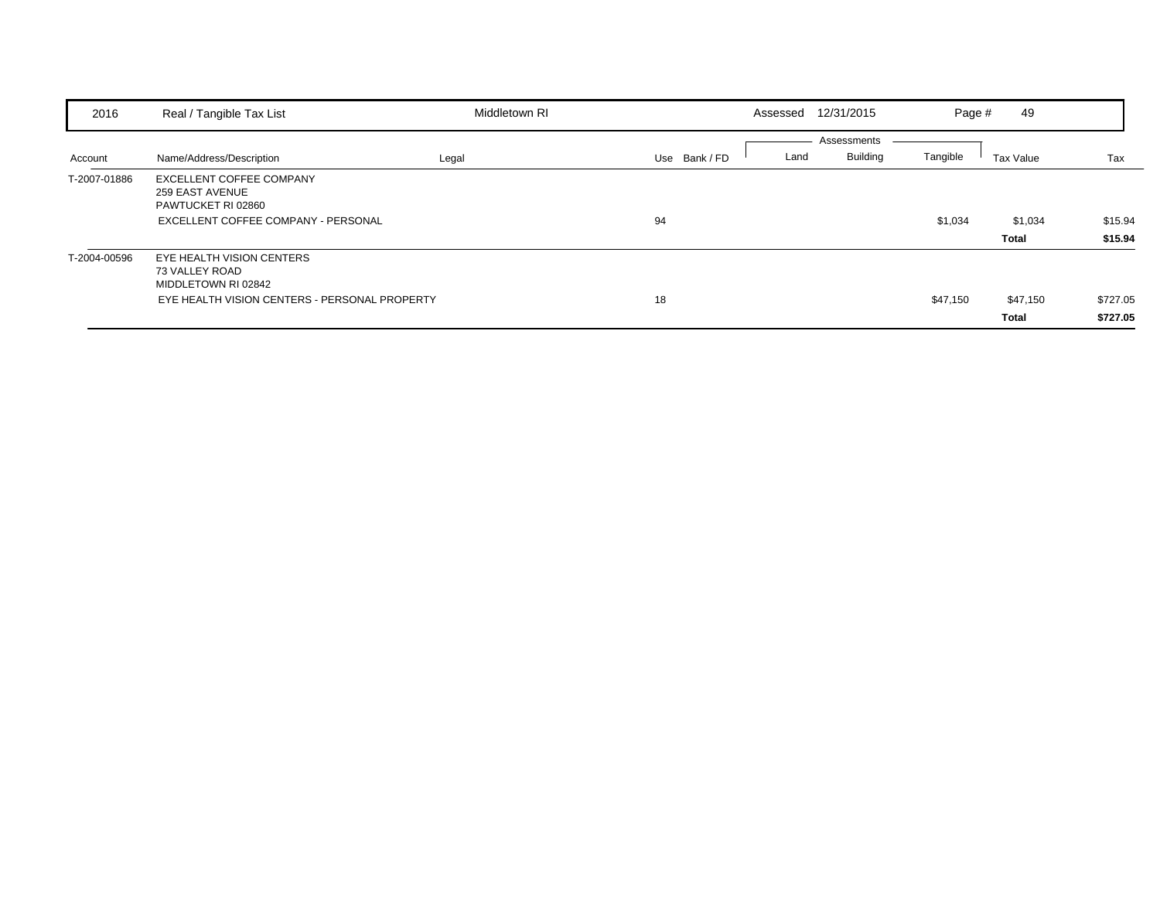| 2016         | Real / Tangible Tax List                                                                                            | Middletown RI |               | Assessed | 12/31/2015                     | Page #   | 49                       |                      |
|--------------|---------------------------------------------------------------------------------------------------------------------|---------------|---------------|----------|--------------------------------|----------|--------------------------|----------------------|
| Account      | Name/Address/Description                                                                                            | Legal         | Use Bank / FD | Land     | Assessments<br><b>Building</b> | Tangible | Tax Value                | Tax                  |
| T-2007-01886 | EXCELLENT COFFEE COMPANY<br>259 EAST AVENUE<br>PAWTUCKET RI 02860<br>EXCELLENT COFFEE COMPANY - PERSONAL            |               | 94            |          |                                | \$1,034  | \$1,034<br>Total         | \$15.94<br>\$15.94   |
| T-2004-00596 | EYE HEALTH VISION CENTERS<br>73 VALLEY ROAD<br>MIDDLETOWN RI 02842<br>EYE HEALTH VISION CENTERS - PERSONAL PROPERTY |               | 18            |          |                                | \$47,150 | \$47,150<br><b>Total</b> | \$727.05<br>\$727.05 |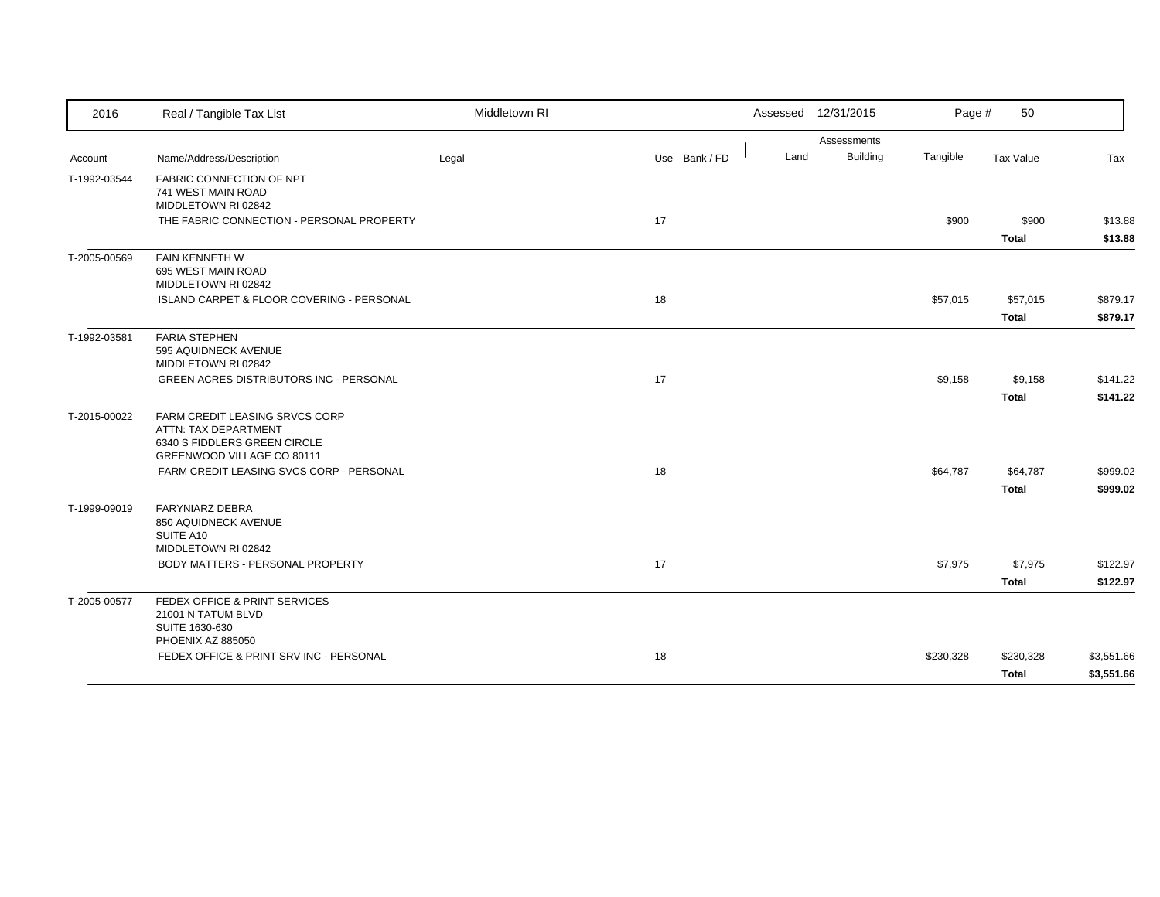| 2016         | Real / Tangible Tax List                                   | Middletown RI |               |      | Assessed 12/31/2015            | Page #    | 50           |            |
|--------------|------------------------------------------------------------|---------------|---------------|------|--------------------------------|-----------|--------------|------------|
|              | Name/Address/Description                                   | Legal         | Use Bank / FD | Land | Assessments<br><b>Building</b> | Tangible  | Tax Value    | Tax        |
| Account      |                                                            |               |               |      |                                |           |              |            |
| T-1992-03544 | <b>FABRIC CONNECTION OF NPT</b><br>741 WEST MAIN ROAD      |               |               |      |                                |           |              |            |
|              | MIDDLETOWN RI 02842                                        |               |               |      |                                |           |              |            |
|              | THE FABRIC CONNECTION - PERSONAL PROPERTY                  |               | 17            |      |                                | \$900     | \$900        | \$13.88    |
|              |                                                            |               |               |      |                                |           | <b>Total</b> | \$13.88    |
| T-2005-00569 | FAIN KENNETH W                                             |               |               |      |                                |           |              |            |
|              | 695 WEST MAIN ROAD<br>MIDDLETOWN RI 02842                  |               |               |      |                                |           |              |            |
|              | ISLAND CARPET & FLOOR COVERING - PERSONAL                  |               | 18            |      |                                | \$57,015  | \$57,015     | \$879.17   |
|              |                                                            |               |               |      |                                |           | <b>Total</b> | \$879.17   |
|              | <b>FARIA STEPHEN</b>                                       |               |               |      |                                |           |              |            |
| T-1992-03581 | 595 AQUIDNECK AVENUE                                       |               |               |      |                                |           |              |            |
|              | MIDDLETOWN RI 02842                                        |               |               |      |                                |           |              |            |
|              | <b>GREEN ACRES DISTRIBUTORS INC - PERSONAL</b>             |               | 17            |      |                                | \$9,158   | \$9,158      | \$141.22   |
|              |                                                            |               |               |      |                                |           | <b>Total</b> | \$141.22   |
| T-2015-00022 | FARM CREDIT LEASING SRVCS CORP                             |               |               |      |                                |           |              |            |
|              | ATTN: TAX DEPARTMENT                                       |               |               |      |                                |           |              |            |
|              | 6340 S FIDDLERS GREEN CIRCLE<br>GREENWOOD VILLAGE CO 80111 |               |               |      |                                |           |              |            |
|              | FARM CREDIT LEASING SVCS CORP - PERSONAL                   |               | 18            |      |                                | \$64,787  | \$64,787     | \$999.02   |
|              |                                                            |               |               |      |                                |           | <b>Total</b> | \$999.02   |
| T-1999-09019 | <b>FARYNIARZ DEBRA</b>                                     |               |               |      |                                |           |              |            |
|              | 850 AQUIDNECK AVENUE                                       |               |               |      |                                |           |              |            |
|              | SUITE A10                                                  |               |               |      |                                |           |              |            |
|              | MIDDLETOWN RI 02842                                        |               |               |      |                                |           |              |            |
|              | BODY MATTERS - PERSONAL PROPERTY                           |               | 17            |      |                                | \$7,975   | \$7,975      | \$122.97   |
|              |                                                            |               |               |      |                                |           | <b>Total</b> | \$122.97   |
| T-2005-00577 | FEDEX OFFICE & PRINT SERVICES                              |               |               |      |                                |           |              |            |
|              | 21001 N TATUM BLVD<br>SUITE 1630-630                       |               |               |      |                                |           |              |            |
|              | PHOENIX AZ 885050                                          |               |               |      |                                |           |              |            |
|              | FEDEX OFFICE & PRINT SRV INC - PERSONAL                    |               | 18            |      |                                | \$230,328 | \$230,328    | \$3,551.66 |
|              |                                                            |               |               |      |                                |           | Total        | \$3,551.66 |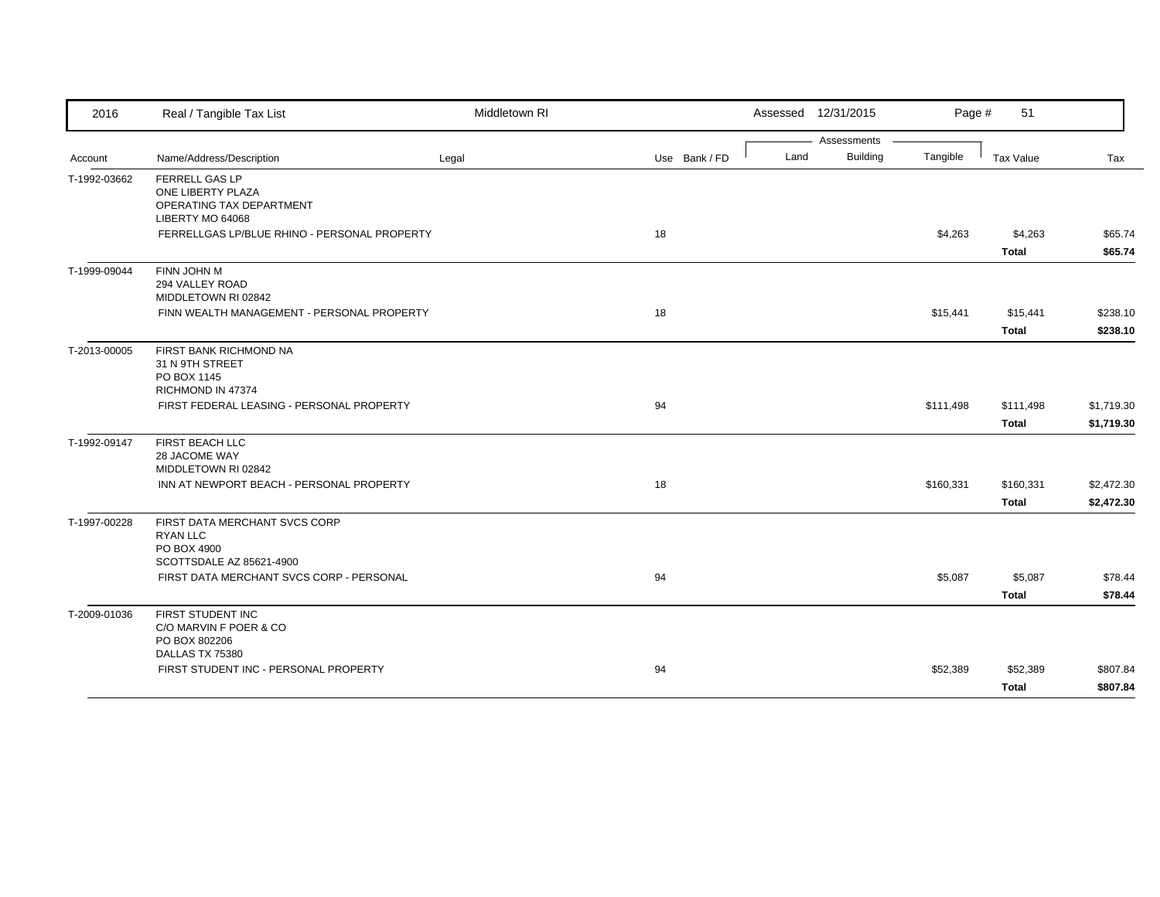| 2016         | Real / Tangible Tax List                                                                    | Middletown RI |               | Assessed 12/31/2015                    | Page #    | 51                        |                          |
|--------------|---------------------------------------------------------------------------------------------|---------------|---------------|----------------------------------------|-----------|---------------------------|--------------------------|
| Account      | Name/Address/Description                                                                    | Legal         | Use Bank / FD | Assessments<br><b>Building</b><br>Land | Tangible  | Tax Value                 | Tax                      |
| T-1992-03662 | FERRELL GAS LP<br>ONE LIBERTY PLAZA<br>OPERATING TAX DEPARTMENT<br>LIBERTY MO 64068         |               |               |                                        |           |                           |                          |
|              | FERRELLGAS LP/BLUE RHINO - PERSONAL PROPERTY                                                |               | 18            |                                        | \$4,263   | \$4,263<br><b>Total</b>   | \$65.74<br>\$65.74       |
| T-1999-09044 | FINN JOHN M<br>294 VALLEY ROAD<br>MIDDLETOWN RI 02842                                       |               |               |                                        |           |                           |                          |
|              | FINN WEALTH MANAGEMENT - PERSONAL PROPERTY                                                  |               | 18            |                                        | \$15,441  | \$15,441<br><b>Total</b>  | \$238.10<br>\$238.10     |
| T-2013-00005 | FIRST BANK RICHMOND NA<br>31 N 9TH STREET<br>PO BOX 1145<br>RICHMOND IN 47374               |               |               |                                        |           |                           |                          |
|              | FIRST FEDERAL LEASING - PERSONAL PROPERTY                                                   |               | 94            |                                        | \$111,498 | \$111,498<br><b>Total</b> | \$1,719.30<br>\$1,719.30 |
| T-1992-09147 | FIRST BEACH LLC<br>28 JACOME WAY<br>MIDDLETOWN RI 02842                                     |               |               |                                        |           |                           |                          |
|              | INN AT NEWPORT BEACH - PERSONAL PROPERTY                                                    |               | 18            |                                        | \$160,331 | \$160,331<br><b>Total</b> | \$2,472.30<br>\$2,472.30 |
| T-1997-00228 | FIRST DATA MERCHANT SVCS CORP<br><b>RYAN LLC</b><br>PO BOX 4900<br>SCOTTSDALE AZ 85621-4900 |               |               |                                        |           |                           |                          |
|              | FIRST DATA MERCHANT SVCS CORP - PERSONAL                                                    |               | 94            |                                        | \$5,087   | \$5,087<br><b>Total</b>   | \$78.44<br>\$78.44       |
| T-2009-01036 | FIRST STUDENT INC<br>C/O MARVIN F POER & CO<br>PO BOX 802206                                |               |               |                                        |           |                           |                          |
|              | DALLAS TX 75380<br>FIRST STUDENT INC - PERSONAL PROPERTY                                    |               | 94            |                                        | \$52,389  | \$52,389<br><b>Total</b>  | \$807.84<br>\$807.84     |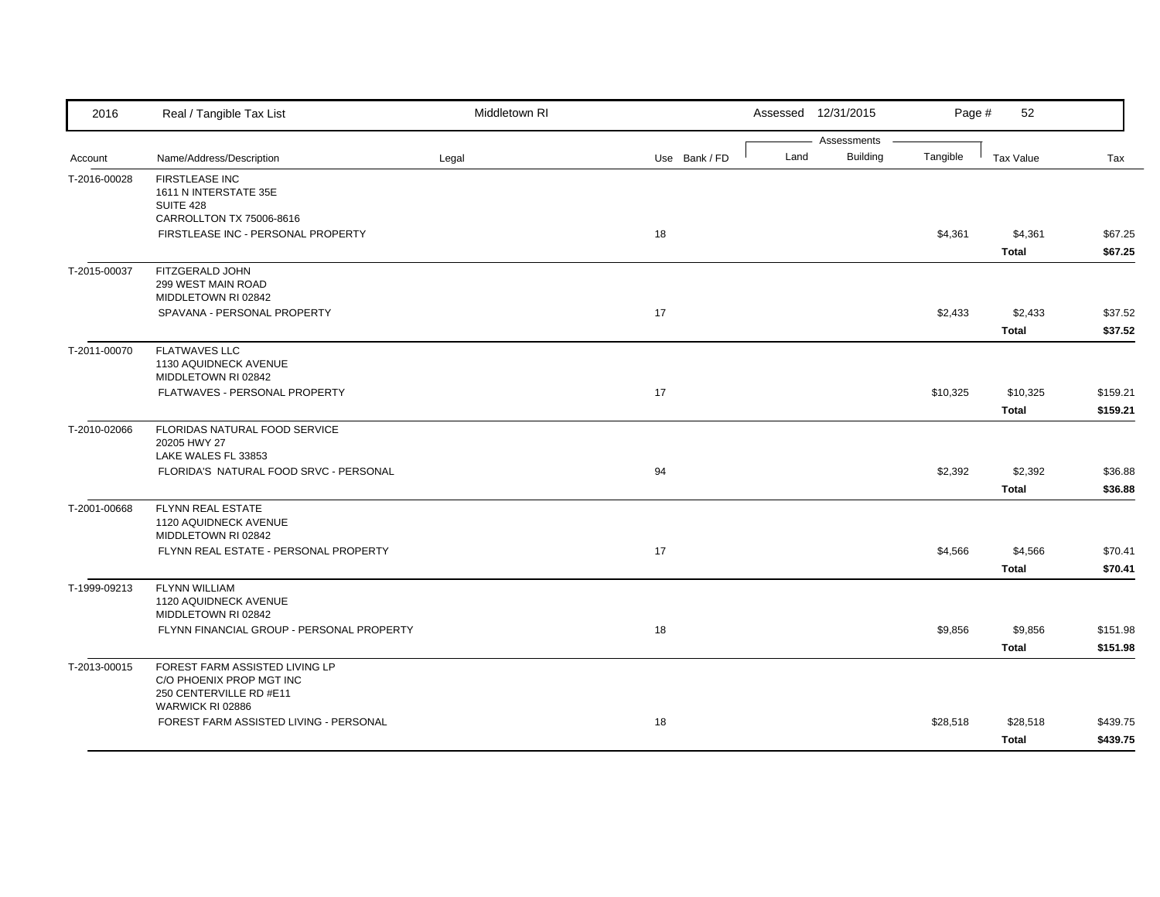| 2016         | Real / Tangible Tax List                                                                                  | Middletown RI |               | Assessed 12/31/2015 | Page #                                     | 52                       |                      |
|--------------|-----------------------------------------------------------------------------------------------------------|---------------|---------------|---------------------|--------------------------------------------|--------------------------|----------------------|
| Account      | Name/Address/Description                                                                                  | Legal         | Use Bank / FD | Land                | Assessments<br><b>Building</b><br>Tangible | <b>Tax Value</b>         | Tax                  |
| T-2016-00028 | <b>FIRSTLEASE INC</b><br>1611 N INTERSTATE 35E<br>SUITE 428                                               |               |               |                     |                                            |                          |                      |
|              | CARROLLTON TX 75006-8616<br>FIRSTLEASE INC - PERSONAL PROPERTY                                            |               | 18            |                     | \$4,361                                    | \$4,361<br><b>Total</b>  | \$67.25<br>\$67.25   |
| T-2015-00037 | FITZGERALD JOHN<br>299 WEST MAIN ROAD<br>MIDDLETOWN RI 02842                                              |               |               |                     |                                            |                          |                      |
|              | SPAVANA - PERSONAL PROPERTY                                                                               |               | 17            |                     | \$2,433                                    | \$2,433<br><b>Total</b>  | \$37.52<br>\$37.52   |
| T-2011-00070 | <b>FLATWAVES LLC</b><br>1130 AQUIDNECK AVENUE<br>MIDDLETOWN RI 02842                                      |               |               |                     |                                            |                          |                      |
|              | FLATWAVES - PERSONAL PROPERTY                                                                             |               | 17            |                     | \$10,325                                   | \$10,325<br><b>Total</b> | \$159.21<br>\$159.21 |
| T-2010-02066 | FLORIDAS NATURAL FOOD SERVICE<br>20205 HWY 27<br>LAKE WALES FL 33853                                      |               |               |                     |                                            |                          |                      |
|              | FLORIDA'S NATURAL FOOD SRVC - PERSONAL                                                                    |               | 94            |                     | \$2,392                                    | \$2,392<br><b>Total</b>  | \$36.88<br>\$36.88   |
| T-2001-00668 | <b>FLYNN REAL ESTATE</b><br>1120 AQUIDNECK AVENUE<br>MIDDLETOWN RI 02842                                  |               |               |                     |                                            |                          |                      |
|              | FLYNN REAL ESTATE - PERSONAL PROPERTY                                                                     |               | 17            |                     | \$4,566                                    | \$4,566<br><b>Total</b>  | \$70.41<br>\$70.41   |
| T-1999-09213 | <b>FLYNN WILLIAM</b><br>1120 AQUIDNECK AVENUE<br>MIDDLETOWN RI 02842                                      |               |               |                     |                                            |                          |                      |
|              | FLYNN FINANCIAL GROUP - PERSONAL PROPERTY                                                                 |               | 18            |                     | \$9,856                                    | \$9,856<br><b>Total</b>  | \$151.98<br>\$151.98 |
| T-2013-00015 | FOREST FARM ASSISTED LIVING LP<br>C/O PHOENIX PROP MGT INC<br>250 CENTERVILLE RD #E11<br>WARWICK RI 02886 |               |               |                     |                                            |                          |                      |
|              | FOREST FARM ASSISTED LIVING - PERSONAL                                                                    |               | 18            |                     | \$28,518                                   | \$28,518<br>Total        | \$439.75<br>\$439.75 |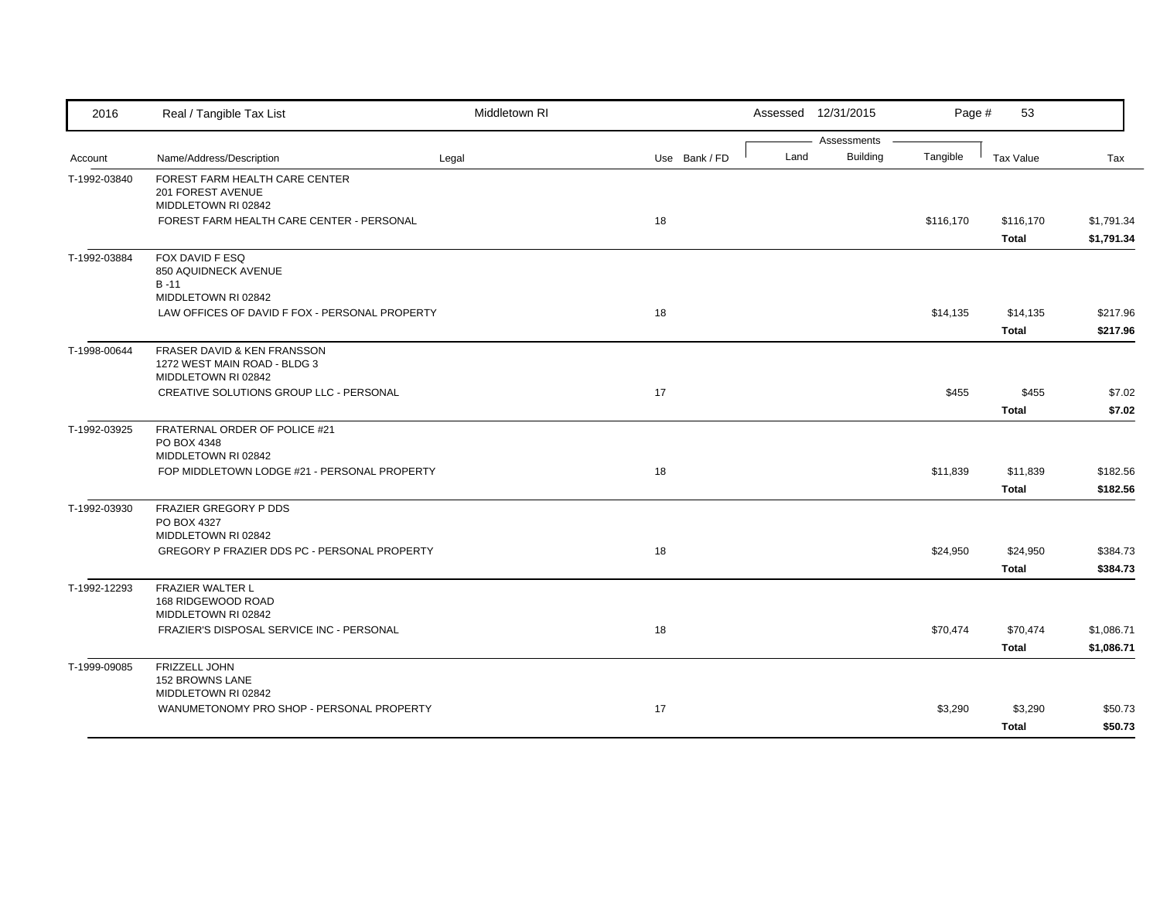| 2016         | Real / Tangible Tax List                            | Middletown RI |               |      | Assessed 12/31/2015 | Page #    | 53               |            |
|--------------|-----------------------------------------------------|---------------|---------------|------|---------------------|-----------|------------------|------------|
|              |                                                     |               |               |      | Assessments         |           |                  |            |
| Account      | Name/Address/Description                            | Legal         | Use Bank / FD | Land | <b>Building</b>     | Tangible  | <b>Tax Value</b> | Tax        |
| T-1992-03840 | FOREST FARM HEALTH CARE CENTER                      |               |               |      |                     |           |                  |            |
|              | 201 FOREST AVENUE<br>MIDDLETOWN RI 02842            |               |               |      |                     |           |                  |            |
|              | FOREST FARM HEALTH CARE CENTER - PERSONAL           |               | 18            |      |                     | \$116,170 | \$116,170        | \$1,791.34 |
|              |                                                     |               |               |      |                     |           | <b>Total</b>     | \$1,791.34 |
| T-1992-03884 | FOX DAVID F ESQ                                     |               |               |      |                     |           |                  |            |
|              | 850 AQUIDNECK AVENUE                                |               |               |      |                     |           |                  |            |
|              | $B - 11$                                            |               |               |      |                     |           |                  |            |
|              | MIDDLETOWN RI 02842                                 |               |               |      |                     |           |                  |            |
|              | LAW OFFICES OF DAVID F FOX - PERSONAL PROPERTY      |               | 18            |      |                     | \$14,135  | \$14,135         | \$217.96   |
|              |                                                     |               |               |      |                     |           | <b>Total</b>     | \$217.96   |
| T-1998-00644 | FRASER DAVID & KEN FRANSSON                         |               |               |      |                     |           |                  |            |
|              | 1272 WEST MAIN ROAD - BLDG 3<br>MIDDLETOWN RI 02842 |               |               |      |                     |           |                  |            |
|              | CREATIVE SOLUTIONS GROUP LLC - PERSONAL             |               | 17            |      |                     | \$455     | \$455            | \$7.02     |
|              |                                                     |               |               |      |                     |           | <b>Total</b>     | \$7.02     |
|              |                                                     |               |               |      |                     |           |                  |            |
| T-1992-03925 | FRATERNAL ORDER OF POLICE #21<br>PO BOX 4348        |               |               |      |                     |           |                  |            |
|              | MIDDLETOWN RI 02842                                 |               |               |      |                     |           |                  |            |
|              | FOP MIDDLETOWN LODGE #21 - PERSONAL PROPERTY        |               | 18            |      |                     | \$11,839  | \$11,839         | \$182.56   |
|              |                                                     |               |               |      |                     |           | <b>Total</b>     | \$182.56   |
| T-1992-03930 | <b>FRAZIER GREGORY P DDS</b>                        |               |               |      |                     |           |                  |            |
|              | PO BOX 4327                                         |               |               |      |                     |           |                  |            |
|              | MIDDLETOWN RI 02842                                 |               |               |      |                     |           |                  |            |
|              | GREGORY P FRAZIER DDS PC - PERSONAL PROPERTY        |               | 18            |      |                     | \$24,950  | \$24,950         | \$384.73   |
|              |                                                     |               |               |      |                     |           | <b>Total</b>     | \$384.73   |
| T-1992-12293 | <b>FRAZIER WALTER L</b>                             |               |               |      |                     |           |                  |            |
|              | 168 RIDGEWOOD ROAD<br>MIDDLETOWN RI 02842           |               |               |      |                     |           |                  |            |
|              | FRAZIER'S DISPOSAL SERVICE INC - PERSONAL           |               | 18            |      |                     | \$70,474  | \$70,474         | \$1,086.71 |
|              |                                                     |               |               |      |                     |           | <b>Total</b>     | \$1,086.71 |
|              |                                                     |               |               |      |                     |           |                  |            |
| T-1999-09085 | <b>FRIZZELL JOHN</b><br>152 BROWNS LANE             |               |               |      |                     |           |                  |            |
|              | MIDDLETOWN RI 02842                                 |               |               |      |                     |           |                  |            |
|              | WANUMETONOMY PRO SHOP - PERSONAL PROPERTY           |               | 17            |      |                     | \$3,290   | \$3,290          | \$50.73    |
|              |                                                     |               |               |      |                     |           | <b>Total</b>     | \$50.73    |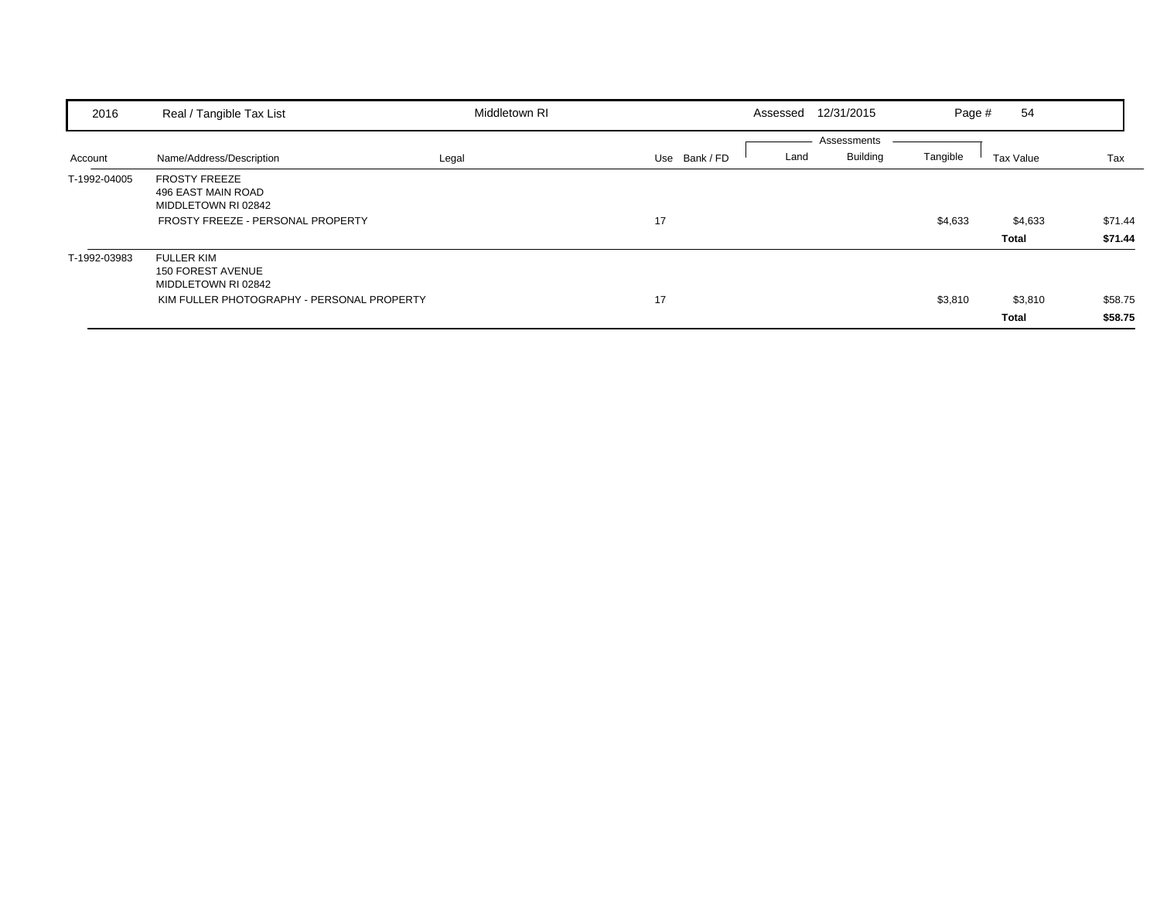| 2016         | Real / Tangible Tax List                                                                                           | Middletown RI |             | Assessed | 12/31/2015                     | Page #   | 54                      |                    |
|--------------|--------------------------------------------------------------------------------------------------------------------|---------------|-------------|----------|--------------------------------|----------|-------------------------|--------------------|
| Account      | Name/Address/Description                                                                                           | Legal         | Use Bank/FD | Land     | Assessments<br><b>Building</b> | Tangible | Tax Value               | Tax                |
| T-1992-04005 | <b>FROSTY FREEZE</b><br>496 EAST MAIN ROAD<br>MIDDLETOWN RI 02842<br>FROSTY FREEZE - PERSONAL PROPERTY             |               | 17          |          |                                | \$4,633  | \$4,633<br>Total        | \$71.44<br>\$71.44 |
| T-1992-03983 | <b>FULLER KIM</b><br><b>150 FOREST AVENUE</b><br>MIDDLETOWN RI 02842<br>KIM FULLER PHOTOGRAPHY - PERSONAL PROPERTY |               | 17          |          |                                | \$3,810  | \$3,810<br><b>Total</b> | \$58.75<br>\$58.75 |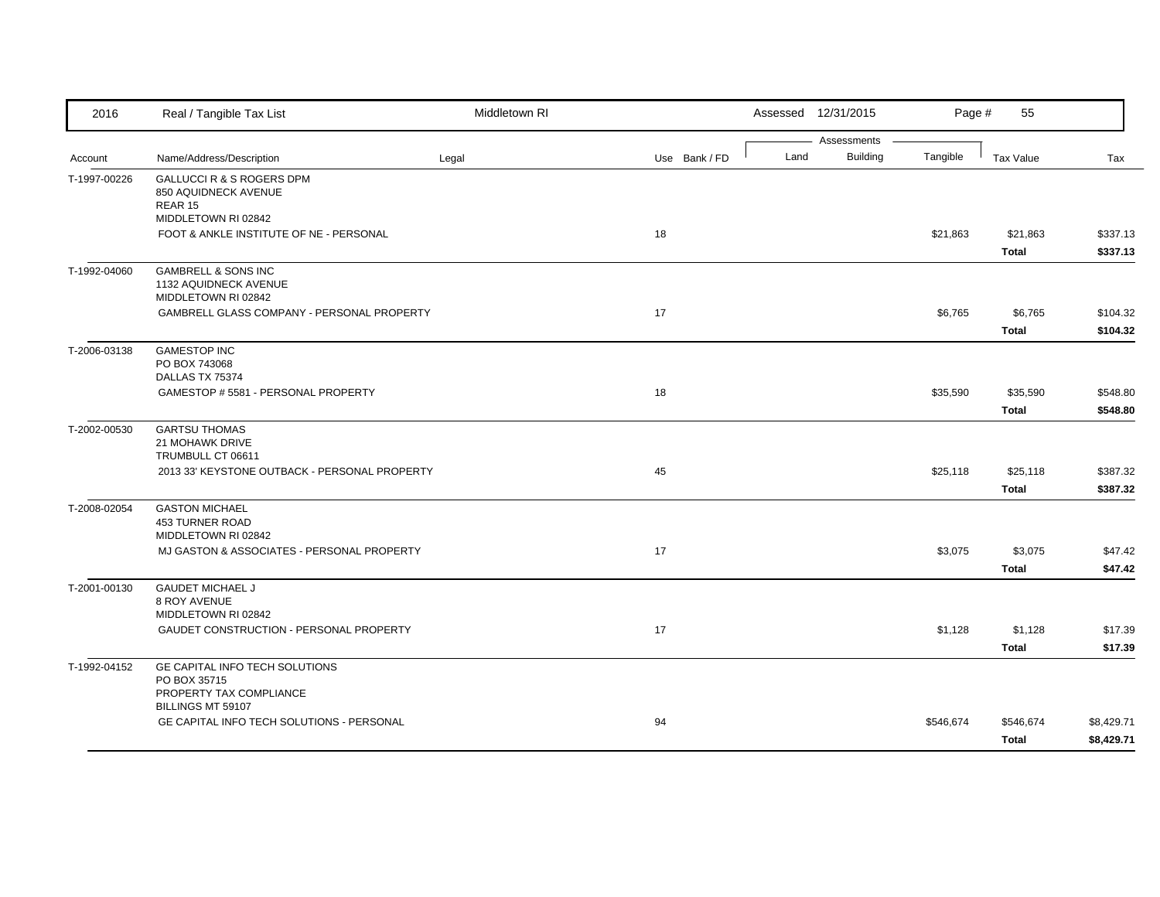| 2016         | Real / Tangible Tax List                                                       | Middletown RI |               |      | Assessed 12/31/2015            | Page #    | 55                       |                          |
|--------------|--------------------------------------------------------------------------------|---------------|---------------|------|--------------------------------|-----------|--------------------------|--------------------------|
| Account      | Name/Address/Description                                                       | Legal         | Use Bank / FD | Land | Assessments<br><b>Building</b> | Tangible  | <b>Tax Value</b>         | Tax                      |
| T-1997-00226 | GALLUCCI R & S ROGERS DPM<br>850 AQUIDNECK AVENUE<br>REAR 15                   |               |               |      |                                |           |                          |                          |
|              | MIDDLETOWN RI 02842<br>FOOT & ANKLE INSTITUTE OF NE - PERSONAL                 |               | 18            |      |                                | \$21,863  | \$21,863<br><b>Total</b> | \$337.13<br>\$337.13     |
| T-1992-04060 | <b>GAMBRELL &amp; SONS INC</b><br>1132 AQUIDNECK AVENUE<br>MIDDLETOWN RI 02842 |               |               |      |                                |           |                          |                          |
|              | GAMBRELL GLASS COMPANY - PERSONAL PROPERTY                                     |               | 17            |      |                                | \$6,765   | \$6,765<br><b>Total</b>  | \$104.32<br>\$104.32     |
| T-2006-03138 | <b>GAMESTOP INC</b><br>PO BOX 743068<br>DALLAS TX 75374                        |               |               |      |                                |           |                          |                          |
|              | GAMESTOP # 5581 - PERSONAL PROPERTY                                            |               | 18            |      |                                | \$35,590  | \$35,590<br><b>Total</b> | \$548.80<br>\$548.80     |
| T-2002-00530 | <b>GARTSU THOMAS</b><br>21 MOHAWK DRIVE<br>TRUMBULL CT 06611                   |               |               |      |                                |           |                          |                          |
|              | 2013 33' KEYSTONE OUTBACK - PERSONAL PROPERTY                                  |               | 45            |      |                                | \$25,118  | \$25,118<br><b>Total</b> | \$387.32<br>\$387.32     |
| T-2008-02054 | <b>GASTON MICHAEL</b><br>453 TURNER ROAD<br>MIDDLETOWN RI 02842                |               |               |      |                                |           |                          |                          |
|              | MJ GASTON & ASSOCIATES - PERSONAL PROPERTY                                     |               | 17            |      |                                | \$3,075   | \$3,075<br><b>Total</b>  | \$47.42<br>\$47.42       |
| T-2001-00130 | <b>GAUDET MICHAEL J</b><br>8 ROY AVENUE<br>MIDDLETOWN RI 02842                 |               |               |      |                                |           |                          |                          |
|              | GAUDET CONSTRUCTION - PERSONAL PROPERTY                                        |               | 17            |      |                                | \$1,128   | \$1,128<br><b>Total</b>  | \$17.39<br>\$17.39       |
| T-1992-04152 | GE CAPITAL INFO TECH SOLUTIONS<br>PO BOX 35715<br>PROPERTY TAX COMPLIANCE      |               |               |      |                                |           |                          |                          |
|              | BILLINGS MT 59107<br>GE CAPITAL INFO TECH SOLUTIONS - PERSONAL                 |               | 94            |      |                                | \$546,674 | \$546,674<br>Total       | \$8,429.71<br>\$8,429.71 |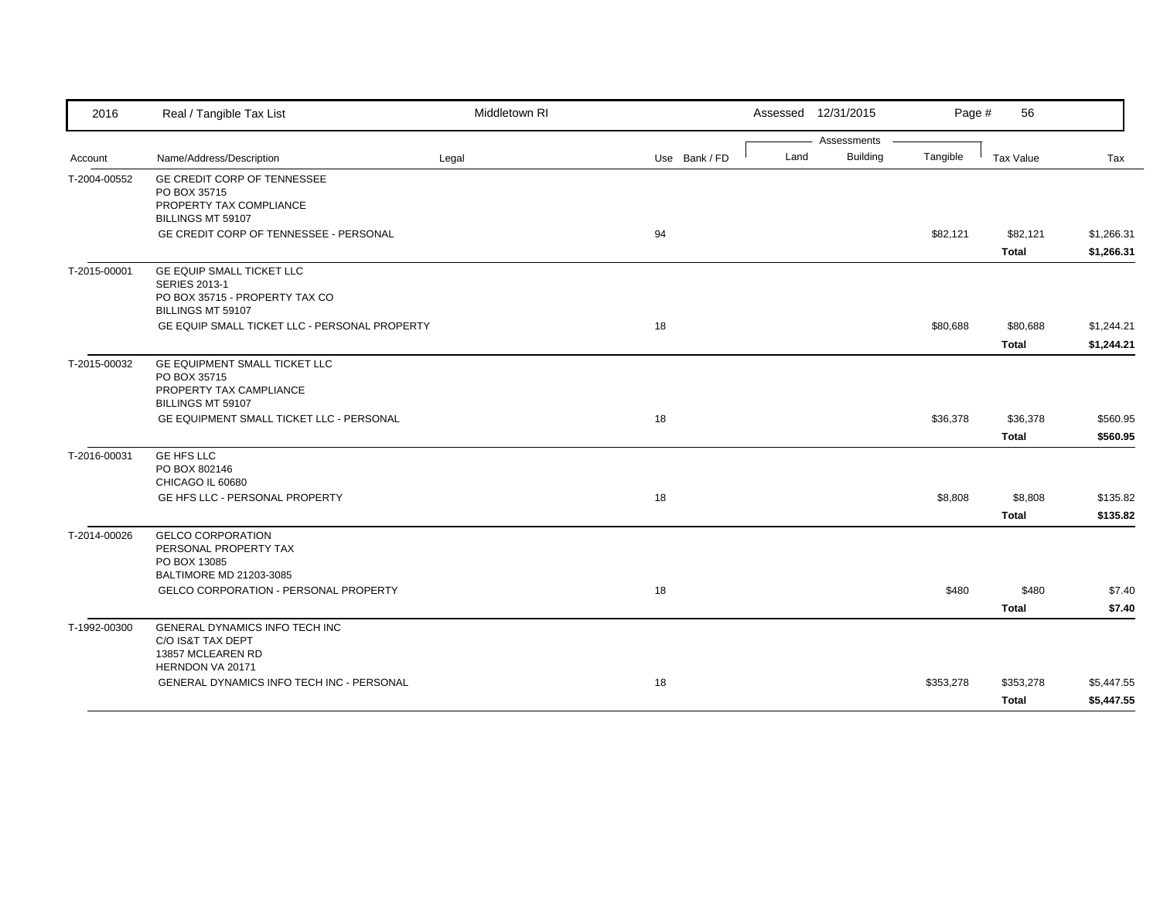| 2016         | Real / Tangible Tax List                            | Middletown RI |               | Assessed 12/31/2015 |                 | Page #    | 56           |            |
|--------------|-----------------------------------------------------|---------------|---------------|---------------------|-----------------|-----------|--------------|------------|
|              |                                                     |               |               |                     | Assessments     |           |              |            |
| Account      | Name/Address/Description                            | Legal         | Use Bank / FD | Land                | <b>Building</b> | Tangible  | Tax Value    | Tax        |
| T-2004-00552 | GE CREDIT CORP OF TENNESSEE<br>PO BOX 35715         |               |               |                     |                 |           |              |            |
|              | PROPERTY TAX COMPLIANCE                             |               |               |                     |                 |           |              |            |
|              | BILLINGS MT 59107                                   |               |               |                     |                 |           |              |            |
|              | <b>GE CREDIT CORP OF TENNESSEE - PERSONAL</b>       |               | 94            |                     |                 | \$82,121  | \$82,121     | \$1,266.31 |
|              |                                                     |               |               |                     |                 |           | <b>Total</b> | \$1,266.31 |
| T-2015-00001 | <b>GE EQUIP SMALL TICKET LLC</b>                    |               |               |                     |                 |           |              |            |
|              | <b>SERIES 2013-1</b>                                |               |               |                     |                 |           |              |            |
|              | PO BOX 35715 - PROPERTY TAX CO<br>BILLINGS MT 59107 |               |               |                     |                 |           |              |            |
|              | GE EQUIP SMALL TICKET LLC - PERSONAL PROPERTY       |               | 18            |                     |                 | \$80,688  | \$80,688     | \$1,244.21 |
|              |                                                     |               |               |                     |                 |           | <b>Total</b> | \$1,244.21 |
| T-2015-00032 | GE EQUIPMENT SMALL TICKET LLC                       |               |               |                     |                 |           |              |            |
|              | PO BOX 35715                                        |               |               |                     |                 |           |              |            |
|              | PROPERTY TAX CAMPLIANCE                             |               |               |                     |                 |           |              |            |
|              | BILLINGS MT 59107                                   |               |               |                     |                 |           |              |            |
|              | GE EQUIPMENT SMALL TICKET LLC - PERSONAL            |               | 18            |                     |                 | \$36,378  | \$36,378     | \$560.95   |
|              |                                                     |               |               |                     |                 |           | <b>Total</b> | \$560.95   |
| T-2016-00031 | <b>GE HFS LLC</b>                                   |               |               |                     |                 |           |              |            |
|              | PO BOX 802146<br>CHICAGO IL 60680                   |               |               |                     |                 |           |              |            |
|              | GE HFS LLC - PERSONAL PROPERTY                      |               | 18            |                     |                 | \$8,808   | \$8,808      | \$135.82   |
|              |                                                     |               |               |                     |                 |           | <b>Total</b> | \$135.82   |
| T-2014-00026 | <b>GELCO CORPORATION</b>                            |               |               |                     |                 |           |              |            |
|              | PERSONAL PROPERTY TAX                               |               |               |                     |                 |           |              |            |
|              | PO BOX 13085                                        |               |               |                     |                 |           |              |            |
|              | BALTIMORE MD 21203-3085                             |               |               |                     |                 |           |              |            |
|              | <b>GELCO CORPORATION - PERSONAL PROPERTY</b>        |               | 18            |                     |                 | \$480     | \$480        | \$7.40     |
|              |                                                     |               |               |                     |                 |           | <b>Total</b> | \$7.40     |
| T-1992-00300 | GENERAL DYNAMICS INFO TECH INC                      |               |               |                     |                 |           |              |            |
|              | C/O IS&T TAX DEPT<br>13857 MCLEAREN RD              |               |               |                     |                 |           |              |            |
|              | HERNDON VA 20171                                    |               |               |                     |                 |           |              |            |
|              | GENERAL DYNAMICS INFO TECH INC - PERSONAL           |               | 18            |                     |                 | \$353,278 | \$353,278    | \$5,447.55 |
|              |                                                     |               |               |                     |                 |           | Total        | \$5,447.55 |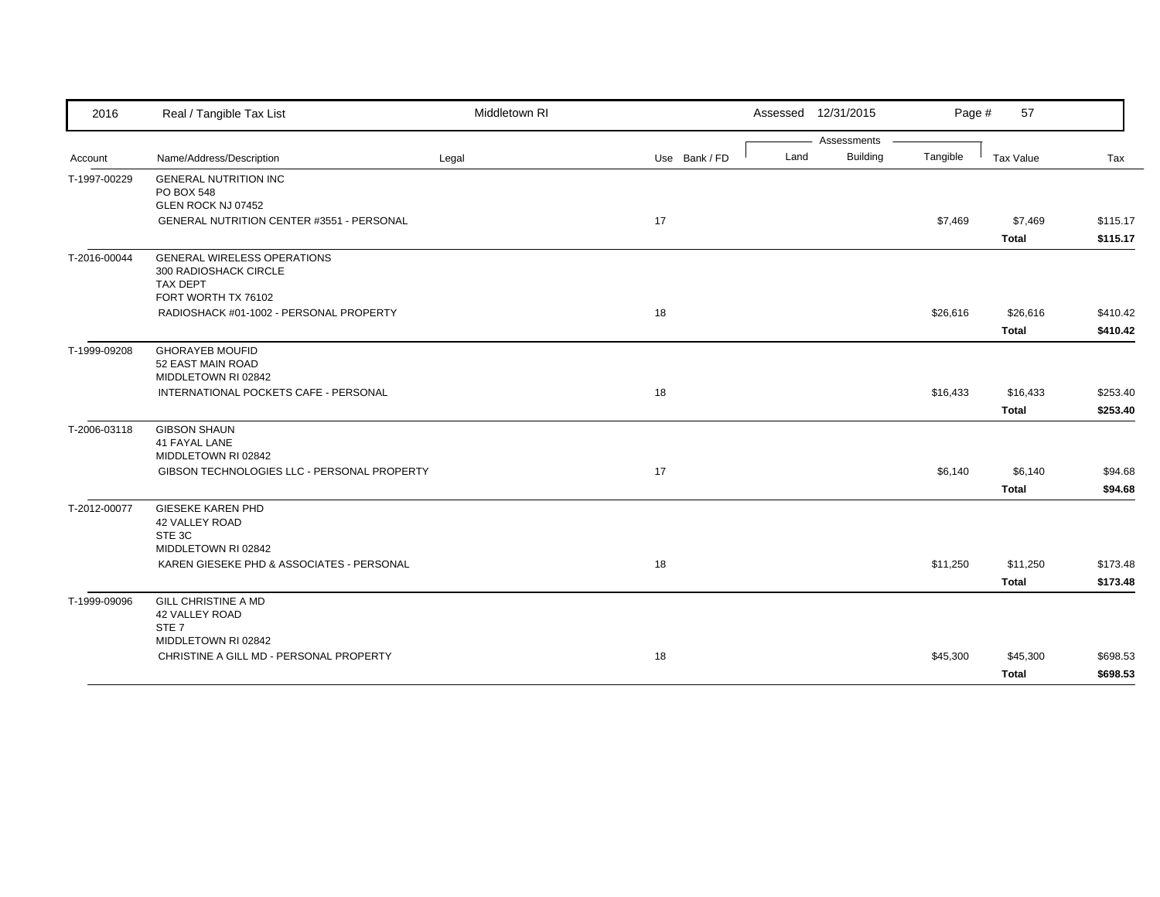| 2016         | Real / Tangible Tax List                    | Middletown RI |               | Assessed 12/31/2015     | Page #   | 57           |          |
|--------------|---------------------------------------------|---------------|---------------|-------------------------|----------|--------------|----------|
|              |                                             |               |               | Assessments             |          |              |          |
| Account      | Name/Address/Description                    | Legal         | Use Bank / FD | <b>Building</b><br>Land | Tangible | Tax Value    | Tax      |
| T-1997-00229 | <b>GENERAL NUTRITION INC</b>                |               |               |                         |          |              |          |
|              | PO BOX 548                                  |               |               |                         |          |              |          |
|              | GLEN ROCK NJ 07452                          |               |               |                         |          |              |          |
|              | GENERAL NUTRITION CENTER #3551 - PERSONAL   |               | 17            |                         | \$7,469  | \$7,469      | \$115.17 |
|              |                                             |               |               |                         |          | <b>Total</b> | \$115.17 |
| T-2016-00044 | <b>GENERAL WIRELESS OPERATIONS</b>          |               |               |                         |          |              |          |
|              | 300 RADIOSHACK CIRCLE                       |               |               |                         |          |              |          |
|              | TAX DEPT<br>FORT WORTH TX 76102             |               |               |                         |          |              |          |
|              | RADIOSHACK #01-1002 - PERSONAL PROPERTY     |               | 18            |                         |          |              | \$410.42 |
|              |                                             |               |               |                         | \$26,616 | \$26,616     |          |
|              |                                             |               |               |                         |          | <b>Total</b> | \$410.42 |
| T-1999-09208 | <b>GHORAYEB MOUFID</b>                      |               |               |                         |          |              |          |
|              | 52 EAST MAIN ROAD                           |               |               |                         |          |              |          |
|              | MIDDLETOWN RI 02842                         |               |               |                         |          |              |          |
|              | INTERNATIONAL POCKETS CAFE - PERSONAL       |               | 18            |                         | \$16,433 | \$16,433     | \$253.40 |
|              |                                             |               |               |                         |          | <b>Total</b> | \$253.40 |
| T-2006-03118 | <b>GIBSON SHAUN</b>                         |               |               |                         |          |              |          |
|              | 41 FAYAL LANE                               |               |               |                         |          |              |          |
|              | MIDDLETOWN RI 02842                         |               |               |                         |          |              |          |
|              | GIBSON TECHNOLOGIES LLC - PERSONAL PROPERTY |               | 17            |                         | \$6,140  | \$6,140      | \$94.68  |
|              |                                             |               |               |                         |          | <b>Total</b> | \$94.68  |
| T-2012-00077 | <b>GIESEKE KAREN PHD</b>                    |               |               |                         |          |              |          |
|              | 42 VALLEY ROAD                              |               |               |                         |          |              |          |
|              | STE 3C<br>MIDDLETOWN RI 02842               |               |               |                         |          |              |          |
|              |                                             |               |               |                         |          |              |          |
|              | KAREN GIESEKE PHD & ASSOCIATES - PERSONAL   |               | 18            |                         | \$11,250 | \$11,250     | \$173.48 |
|              |                                             |               |               |                         |          | <b>Total</b> | \$173.48 |
| T-1999-09096 | <b>GILL CHRISTINE A MD</b>                  |               |               |                         |          |              |          |
|              | 42 VALLEY ROAD                              |               |               |                         |          |              |          |
|              | STE <sub>7</sub><br>MIDDLETOWN RI 02842     |               |               |                         |          |              |          |
|              | CHRISTINE A GILL MD - PERSONAL PROPERTY     |               | 18            |                         | \$45,300 | \$45,300     | \$698.53 |
|              |                                             |               |               |                         |          |              |          |
|              |                                             |               |               |                         |          | <b>Total</b> | \$698.53 |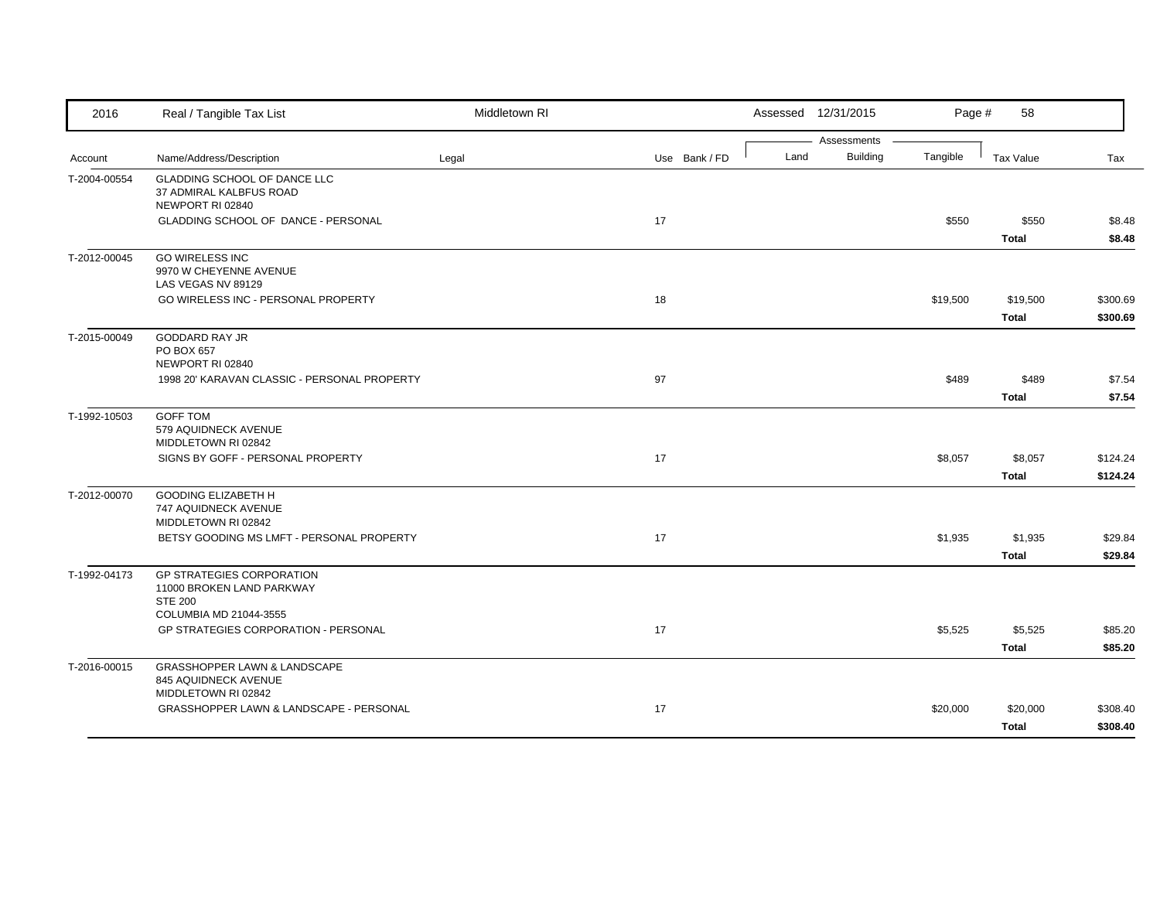| 2016         | Real / Tangible Tax List                                                               | Middletown RI |               |      | Assessed 12/31/2015            | Page #   | 58                       |                      |
|--------------|----------------------------------------------------------------------------------------|---------------|---------------|------|--------------------------------|----------|--------------------------|----------------------|
| Account      | Name/Address/Description                                                               | Legal         | Use Bank / FD | Land | Assessments<br><b>Building</b> | Tangible | <b>Tax Value</b>         | Tax                  |
| T-2004-00554 | GLADDING SCHOOL OF DANCE LLC<br>37 ADMIRAL KALBFUS ROAD<br>NEWPORT RI 02840            |               |               |      |                                |          |                          |                      |
|              | GLADDING SCHOOL OF DANCE - PERSONAL                                                    |               | 17            |      |                                | \$550    | \$550<br><b>Total</b>    | \$8.48<br>\$8.48     |
| T-2012-00045 | <b>GO WIRELESS INC</b><br>9970 W CHEYENNE AVENUE<br>LAS VEGAS NV 89129                 |               |               |      |                                |          |                          |                      |
|              | <b>GO WIRELESS INC - PERSONAL PROPERTY</b>                                             |               | 18            |      |                                | \$19,500 | \$19,500<br><b>Total</b> | \$300.69<br>\$300.69 |
| T-2015-00049 | <b>GODDARD RAY JR</b><br>PO BOX 657<br>NEWPORT RI 02840                                |               |               |      |                                |          |                          |                      |
|              | 1998 20' KARAVAN CLASSIC - PERSONAL PROPERTY                                           |               | 97            |      |                                | \$489    | \$489<br><b>Total</b>    | \$7.54<br>\$7.54     |
| T-1992-10503 | <b>GOFF TOM</b><br>579 AQUIDNECK AVENUE<br>MIDDLETOWN RI 02842                         |               |               |      |                                |          |                          |                      |
|              | SIGNS BY GOFF - PERSONAL PROPERTY                                                      |               | 17            |      |                                | \$8,057  | \$8,057<br><b>Total</b>  | \$124.24<br>\$124.24 |
| T-2012-00070 | <b>GOODING ELIZABETH H</b><br>747 AQUIDNECK AVENUE<br>MIDDLETOWN RI 02842              |               |               |      |                                |          |                          |                      |
|              | BETSY GOODING MS LMFT - PERSONAL PROPERTY                                              |               | 17            |      |                                | \$1,935  | \$1,935<br><b>Total</b>  | \$29.84<br>\$29.84   |
| T-1992-04173 | <b>GP STRATEGIES CORPORATION</b><br>11000 BROKEN LAND PARKWAY<br><b>STE 200</b>        |               |               |      |                                |          |                          |                      |
|              | COLUMBIA MD 21044-3555<br><b>GP STRATEGIES CORPORATION - PERSONAL</b>                  |               | 17            |      |                                | \$5,525  | \$5,525<br><b>Total</b>  | \$85.20<br>\$85.20   |
| T-2016-00015 | <b>GRASSHOPPER LAWN &amp; LANDSCAPE</b><br>845 AQUIDNECK AVENUE<br>MIDDLETOWN RI 02842 |               |               |      |                                |          |                          |                      |
|              | GRASSHOPPER LAWN & LANDSCAPE - PERSONAL                                                |               | 17            |      |                                | \$20,000 | \$20,000<br><b>Total</b> | \$308.40<br>\$308.40 |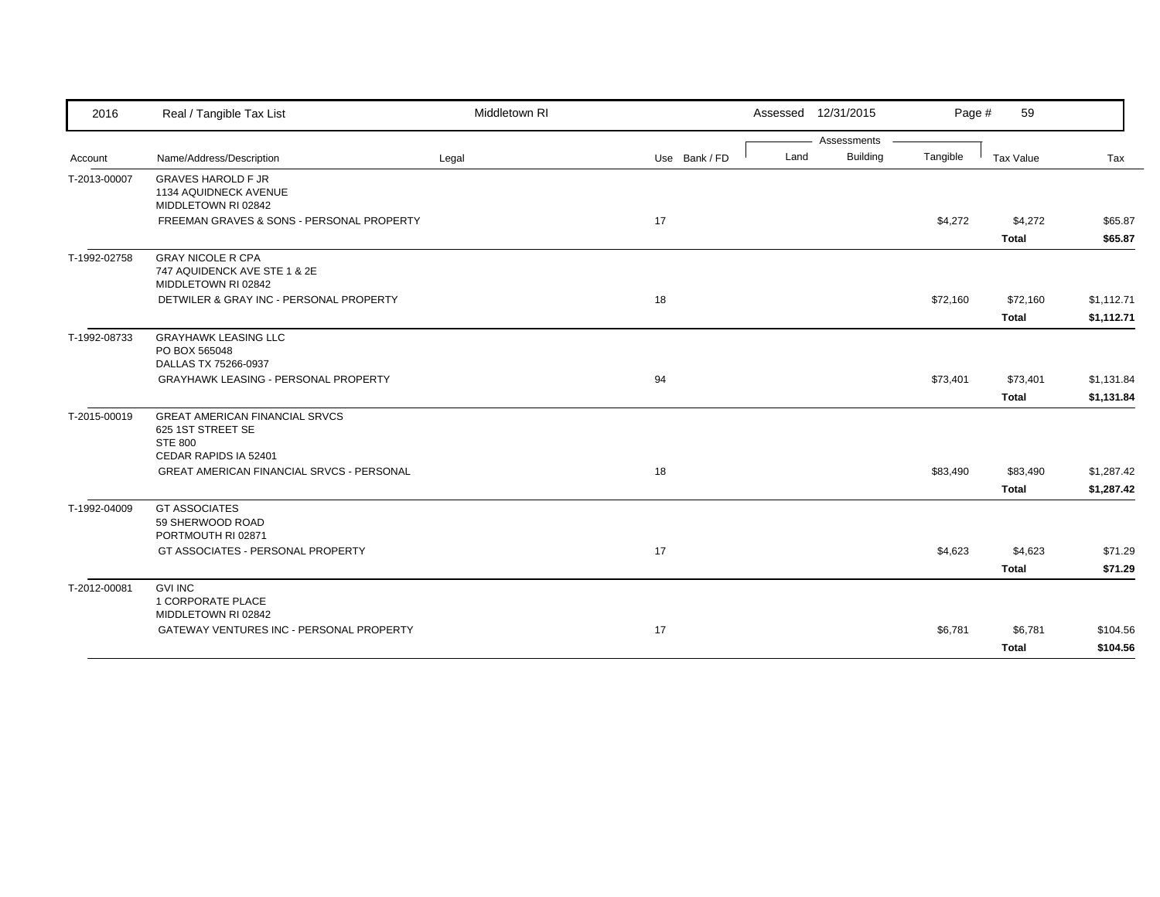| 2016         | Real / Tangible Tax List                                                                              | Middletown RI |               |      | Assessed 12/31/2015 | Page #   | 59                       |                          |
|--------------|-------------------------------------------------------------------------------------------------------|---------------|---------------|------|---------------------|----------|--------------------------|--------------------------|
|              |                                                                                                       |               |               |      | Assessments         |          |                          |                          |
| Account      | Name/Address/Description                                                                              | Legal         | Use Bank / FD | Land | <b>Building</b>     | Tangible | Tax Value                | Tax                      |
| T-2013-00007 | <b>GRAVES HAROLD F JR</b><br>1134 AQUIDNECK AVENUE<br>MIDDLETOWN RI 02842                             |               |               |      |                     |          |                          |                          |
|              | FREEMAN GRAVES & SONS - PERSONAL PROPERTY                                                             |               | 17            |      |                     | \$4,272  | \$4,272                  | \$65.87                  |
|              |                                                                                                       |               |               |      |                     |          | <b>Total</b>             | \$65.87                  |
| T-1992-02758 | <b>GRAY NICOLE R CPA</b><br>747 AQUIDENCK AVE STE 1 & 2E<br>MIDDLETOWN RI 02842                       |               |               |      |                     |          |                          |                          |
|              | DETWILER & GRAY INC - PERSONAL PROPERTY                                                               |               | 18            |      |                     | \$72,160 | \$72,160<br><b>Total</b> | \$1,112.71<br>\$1,112.71 |
| T-1992-08733 | <b>GRAYHAWK LEASING LLC</b><br>PO BOX 565048<br>DALLAS TX 75266-0937                                  |               |               |      |                     |          |                          |                          |
|              | <b>GRAYHAWK LEASING - PERSONAL PROPERTY</b>                                                           |               | 94            |      |                     | \$73,401 | \$73,401                 | \$1,131.84               |
|              |                                                                                                       |               |               |      |                     |          | <b>Total</b>             | \$1,131.84               |
| T-2015-00019 | <b>GREAT AMERICAN FINANCIAL SRVCS</b><br>625 1ST STREET SE<br><b>STE 800</b><br>CEDAR RAPIDS IA 52401 |               |               |      |                     |          |                          |                          |
|              | <b>GREAT AMERICAN FINANCIAL SRVCS - PERSONAL</b>                                                      |               | 18            |      |                     | \$83,490 | \$83,490                 | \$1,287.42               |
|              |                                                                                                       |               |               |      |                     |          | <b>Total</b>             | \$1,287.42               |
| T-1992-04009 | <b>GT ASSOCIATES</b><br>59 SHERWOOD ROAD<br>PORTMOUTH RI 02871                                        |               |               |      |                     |          |                          |                          |
|              | GT ASSOCIATES - PERSONAL PROPERTY                                                                     |               | 17            |      |                     | \$4,623  | \$4,623                  | \$71.29                  |
|              |                                                                                                       |               |               |      |                     |          | <b>Total</b>             | \$71.29                  |
| T-2012-00081 | <b>GVI INC</b><br>1 CORPORATE PLACE<br>MIDDLETOWN RI 02842                                            |               |               |      |                     |          |                          |                          |
|              | GATEWAY VENTURES INC - PERSONAL PROPERTY                                                              |               | 17            |      |                     | \$6,781  | \$6,781                  | \$104.56                 |
|              |                                                                                                       |               |               |      |                     |          | <b>Total</b>             | \$104.56                 |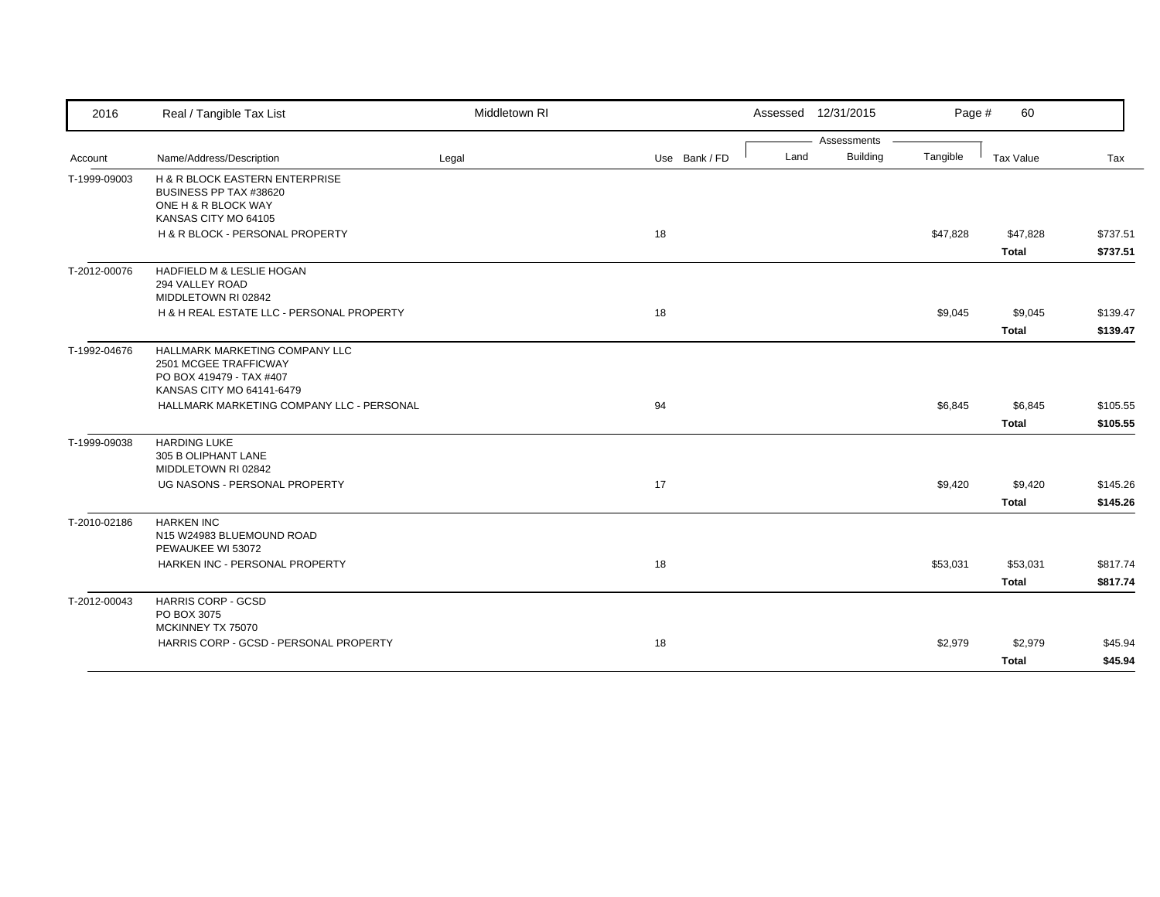| 2016         | Real / Tangible Tax List                                                                                         | Middletown RI |               |      | Assessed 12/31/2015 | Page #   | 60                       |                      |
|--------------|------------------------------------------------------------------------------------------------------------------|---------------|---------------|------|---------------------|----------|--------------------------|----------------------|
|              |                                                                                                                  |               |               |      | Assessments         |          |                          |                      |
| Account      | Name/Address/Description                                                                                         | Legal         | Use Bank / FD | Land | <b>Building</b>     | Tangible | Tax Value                | Tax                  |
| T-1999-09003 | H & R BLOCK EASTERN ENTERPRISE<br>BUSINESS PP TAX #38620<br>ONE H & R BLOCK WAY                                  |               |               |      |                     |          |                          |                      |
|              | KANSAS CITY MO 64105                                                                                             |               |               |      |                     |          |                          |                      |
|              | H & R BLOCK - PERSONAL PROPERTY                                                                                  |               | 18            |      |                     | \$47,828 | \$47,828<br><b>Total</b> | \$737.51<br>\$737.51 |
| T-2012-00076 | HADFIELD M & LESLIE HOGAN<br>294 VALLEY ROAD<br>MIDDLETOWN RI 02842                                              |               |               |      |                     |          |                          |                      |
|              | H & H REAL ESTATE LLC - PERSONAL PROPERTY                                                                        |               | 18            |      |                     | \$9,045  | \$9,045                  | \$139.47             |
|              |                                                                                                                  |               |               |      |                     |          | <b>Total</b>             | \$139.47             |
| T-1992-04676 | HALLMARK MARKETING COMPANY LLC<br>2501 MCGEE TRAFFICWAY<br>PO BOX 419479 - TAX #407<br>KANSAS CITY MO 64141-6479 |               |               |      |                     |          |                          |                      |
|              | HALLMARK MARKETING COMPANY LLC - PERSONAL                                                                        |               | 94            |      |                     | \$6,845  | \$6,845                  | \$105.55             |
|              |                                                                                                                  |               |               |      |                     |          | <b>Total</b>             | \$105.55             |
| T-1999-09038 | <b>HARDING LUKE</b><br>305 B OLIPHANT LANE<br>MIDDLETOWN RI 02842                                                |               |               |      |                     |          |                          |                      |
|              | UG NASONS - PERSONAL PROPERTY                                                                                    |               | 17            |      |                     | \$9,420  | \$9,420                  | \$145.26             |
|              |                                                                                                                  |               |               |      |                     |          | <b>Total</b>             | \$145.26             |
| T-2010-02186 | <b>HARKEN INC</b><br>N15 W24983 BLUEMOUND ROAD<br>PEWAUKEE WI 53072                                              |               |               |      |                     |          |                          |                      |
|              | HARKEN INC - PERSONAL PROPERTY                                                                                   |               | 18            |      |                     | \$53,031 | \$53,031                 | \$817.74             |
|              |                                                                                                                  |               |               |      |                     |          | <b>Total</b>             | \$817.74             |
| T-2012-00043 | <b>HARRIS CORP - GCSD</b><br>PO BOX 3075<br>MCKINNEY TX 75070                                                    |               |               |      |                     |          |                          |                      |
|              | HARRIS CORP - GCSD - PERSONAL PROPERTY                                                                           |               | 18            |      |                     | \$2,979  | \$2,979                  | \$45.94              |
|              |                                                                                                                  |               |               |      |                     |          | <b>Total</b>             | \$45.94              |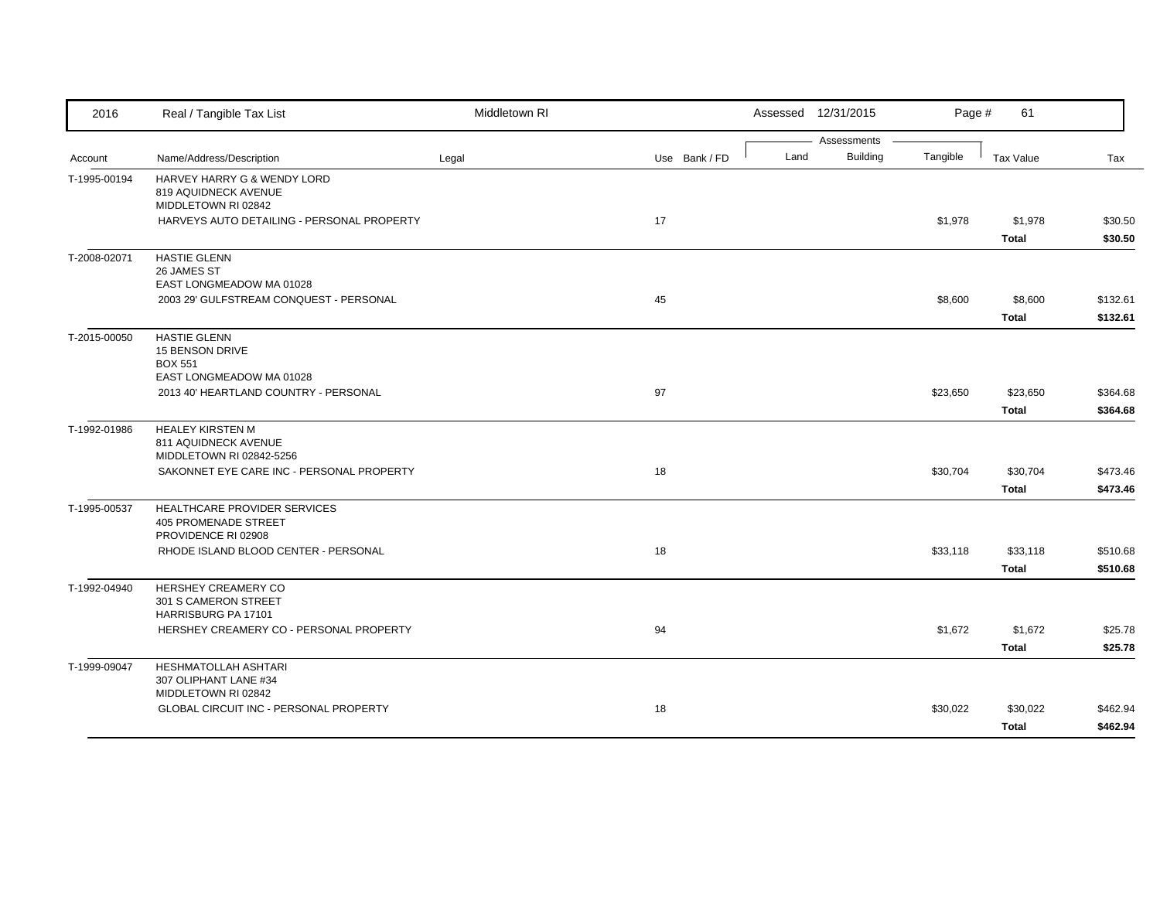| 2016         | Real / Tangible Tax List                                                             | Middletown RI |               |      | Assessed 12/31/2015            | Page #   | 61               |          |
|--------------|--------------------------------------------------------------------------------------|---------------|---------------|------|--------------------------------|----------|------------------|----------|
|              | Name/Address/Description                                                             |               |               | Land | Assessments<br><b>Building</b> | Tangible |                  |          |
| Account      |                                                                                      | Legal         | Use Bank / FD |      |                                |          | <b>Tax Value</b> | Tax      |
| T-1995-00194 | HARVEY HARRY G & WENDY LORD<br>819 AQUIDNECK AVENUE<br>MIDDLETOWN RI 02842           |               |               |      |                                |          |                  |          |
|              | HARVEYS AUTO DETAILING - PERSONAL PROPERTY                                           |               | 17            |      |                                | \$1,978  | \$1,978          | \$30.50  |
|              |                                                                                      |               |               |      |                                |          | <b>Total</b>     | \$30.50  |
| T-2008-02071 | <b>HASTIE GLENN</b><br>26 JAMES ST<br>EAST LONGMEADOW MA 01028                       |               |               |      |                                |          |                  |          |
|              | 2003 29' GULFSTREAM CONQUEST - PERSONAL                                              |               | 45            |      |                                | \$8,600  | \$8,600          | \$132.61 |
|              |                                                                                      |               |               |      |                                |          | <b>Total</b>     | \$132.61 |
| T-2015-00050 | <b>HASTIE GLENN</b><br>15 BENSON DRIVE<br><b>BOX 551</b><br>EAST LONGMEADOW MA 01028 |               |               |      |                                |          |                  |          |
|              | 2013 40' HEARTLAND COUNTRY - PERSONAL                                                |               | 97            |      |                                | \$23,650 | \$23,650         | \$364.68 |
|              |                                                                                      |               |               |      |                                |          | <b>Total</b>     | \$364.68 |
| T-1992-01986 | <b>HEALEY KIRSTEN M</b><br>811 AQUIDNECK AVENUE<br>MIDDLETOWN RI 02842-5256          |               |               |      |                                |          |                  |          |
|              | SAKONNET EYE CARE INC - PERSONAL PROPERTY                                            |               | 18            |      |                                | \$30,704 | \$30,704         | \$473.46 |
|              |                                                                                      |               |               |      |                                |          | <b>Total</b>     | \$473.46 |
| T-1995-00537 | HEALTHCARE PROVIDER SERVICES<br><b>405 PROMENADE STREET</b><br>PROVIDENCE RI 02908   |               |               |      |                                |          |                  |          |
|              | RHODE ISLAND BLOOD CENTER - PERSONAL                                                 |               | 18            |      |                                | \$33,118 | \$33,118         | \$510.68 |
|              |                                                                                      |               |               |      |                                |          | <b>Total</b>     | \$510.68 |
| T-1992-04940 | HERSHEY CREAMERY CO<br>301 S CAMERON STREET<br>HARRISBURG PA 17101                   |               |               |      |                                |          |                  |          |
|              | HERSHEY CREAMERY CO - PERSONAL PROPERTY                                              |               | 94            |      |                                | \$1,672  | \$1,672          | \$25.78  |
|              |                                                                                      |               |               |      |                                |          | <b>Total</b>     | \$25.78  |
| T-1999-09047 | HESHMATOLLAH ASHTARI<br>307 OLIPHANT LANE #34<br>MIDDLETOWN RI 02842                 |               |               |      |                                |          |                  |          |
|              | GLOBAL CIRCUIT INC - PERSONAL PROPERTY                                               |               | 18            |      |                                | \$30,022 | \$30,022         | \$462.94 |
|              |                                                                                      |               |               |      |                                |          | <b>Total</b>     | \$462.94 |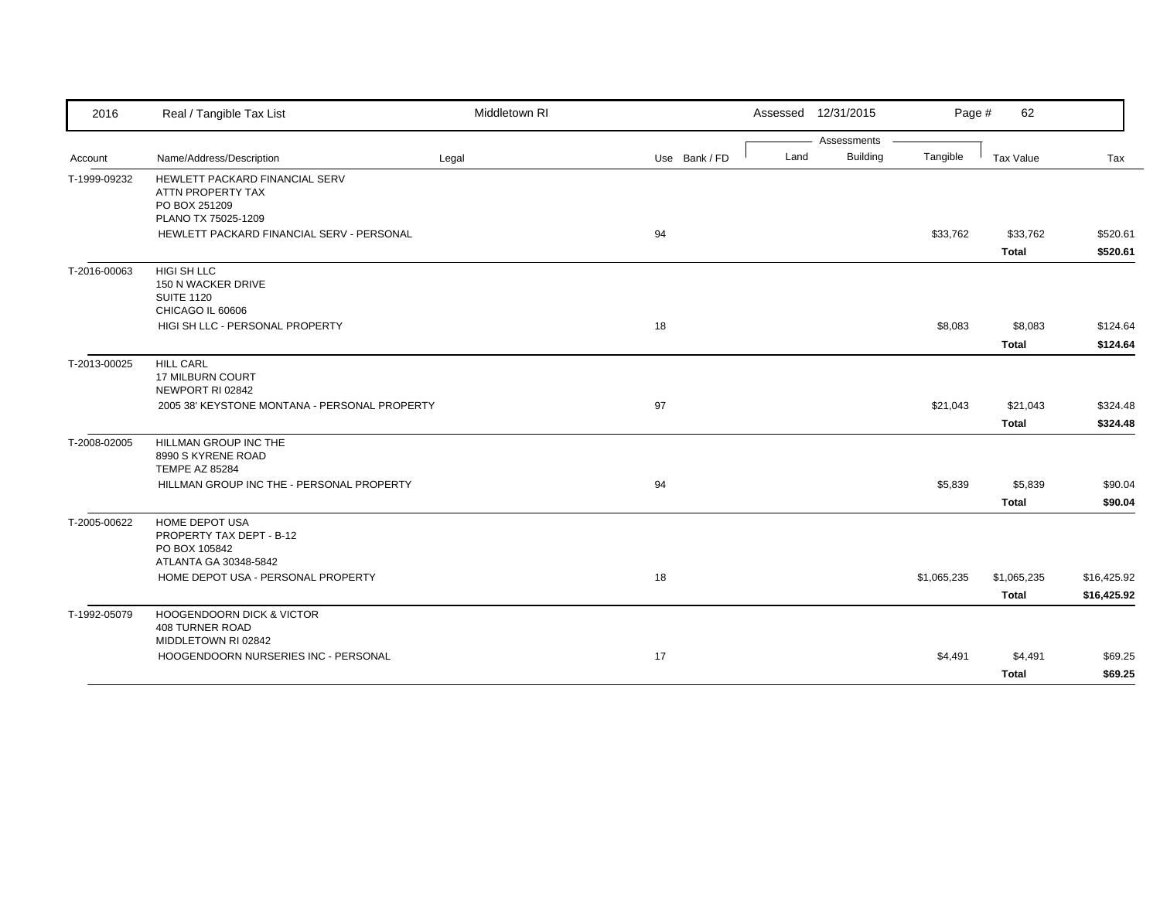| 2016         | Real / Tangible Tax List                                                                                      | Middletown RI |               |      | Assessed 12/31/2015 | Page #      | 62               |                      |
|--------------|---------------------------------------------------------------------------------------------------------------|---------------|---------------|------|---------------------|-------------|------------------|----------------------|
|              |                                                                                                               |               |               |      | Assessments         |             |                  |                      |
| Account      | Name/Address/Description                                                                                      | Legal         | Use Bank / FD | Land | Building            | Tangible    | Tax Value        | Tax                  |
| T-1999-09232 | HEWLETT PACKARD FINANCIAL SERV<br>ATTN PROPERTY TAX<br>PO BOX 251209<br>PLANO TX 75025-1209                   |               |               |      |                     |             |                  |                      |
|              | HEWLETT PACKARD FINANCIAL SERV - PERSONAL                                                                     |               | 94            |      |                     | \$33,762    | \$33,762         | \$520.61             |
|              |                                                                                                               |               |               |      |                     |             | <b>Total</b>     | \$520.61             |
| T-2016-00063 | HIGI SH LLC<br>150 N WACKER DRIVE<br><b>SUITE 1120</b><br>CHICAGO IL 60606<br>HIGI SH LLC - PERSONAL PROPERTY |               | 18            |      |                     | \$8,083     | \$8,083<br>Total | \$124.64<br>\$124.64 |
|              |                                                                                                               |               |               |      |                     |             |                  |                      |
| T-2013-00025 | <b>HILL CARL</b><br>17 MILBURN COURT<br>NEWPORT RI 02842                                                      |               |               |      |                     |             |                  |                      |
|              | 2005 38' KEYSTONE MONTANA - PERSONAL PROPERTY                                                                 |               | 97            |      |                     | \$21,043    | \$21,043         | \$324.48             |
|              |                                                                                                               |               |               |      |                     |             | Total            | \$324.48             |
| T-2008-02005 | HILLMAN GROUP INC THE<br>8990 S KYRENE ROAD<br><b>TEMPE AZ 85284</b>                                          |               |               |      |                     |             |                  |                      |
|              | HILLMAN GROUP INC THE - PERSONAL PROPERTY                                                                     |               | 94            |      |                     | \$5,839     | \$5,839          | \$90.04              |
|              |                                                                                                               |               |               |      |                     |             | <b>Total</b>     | \$90.04              |
| T-2005-00622 | <b>HOME DEPOT USA</b><br>PROPERTY TAX DEPT - B-12<br>PO BOX 105842<br>ATLANTA GA 30348-5842                   |               |               |      |                     |             |                  |                      |
|              | HOME DEPOT USA - PERSONAL PROPERTY                                                                            |               | 18            |      |                     | \$1,065,235 | \$1,065,235      | \$16,425.92          |
|              |                                                                                                               |               |               |      |                     |             | <b>Total</b>     | \$16,425.92          |
| T-1992-05079 | <b>HOOGENDOORN DICK &amp; VICTOR</b><br>408 TURNER ROAD<br>MIDDLETOWN RI 02842                                |               |               |      |                     |             |                  |                      |
|              | HOOGENDOORN NURSERIES INC - PERSONAL                                                                          |               | 17            |      |                     | \$4,491     | \$4,491          | \$69.25              |
|              |                                                                                                               |               |               |      |                     |             | <b>Total</b>     | \$69.25              |
|              |                                                                                                               |               |               |      |                     |             |                  |                      |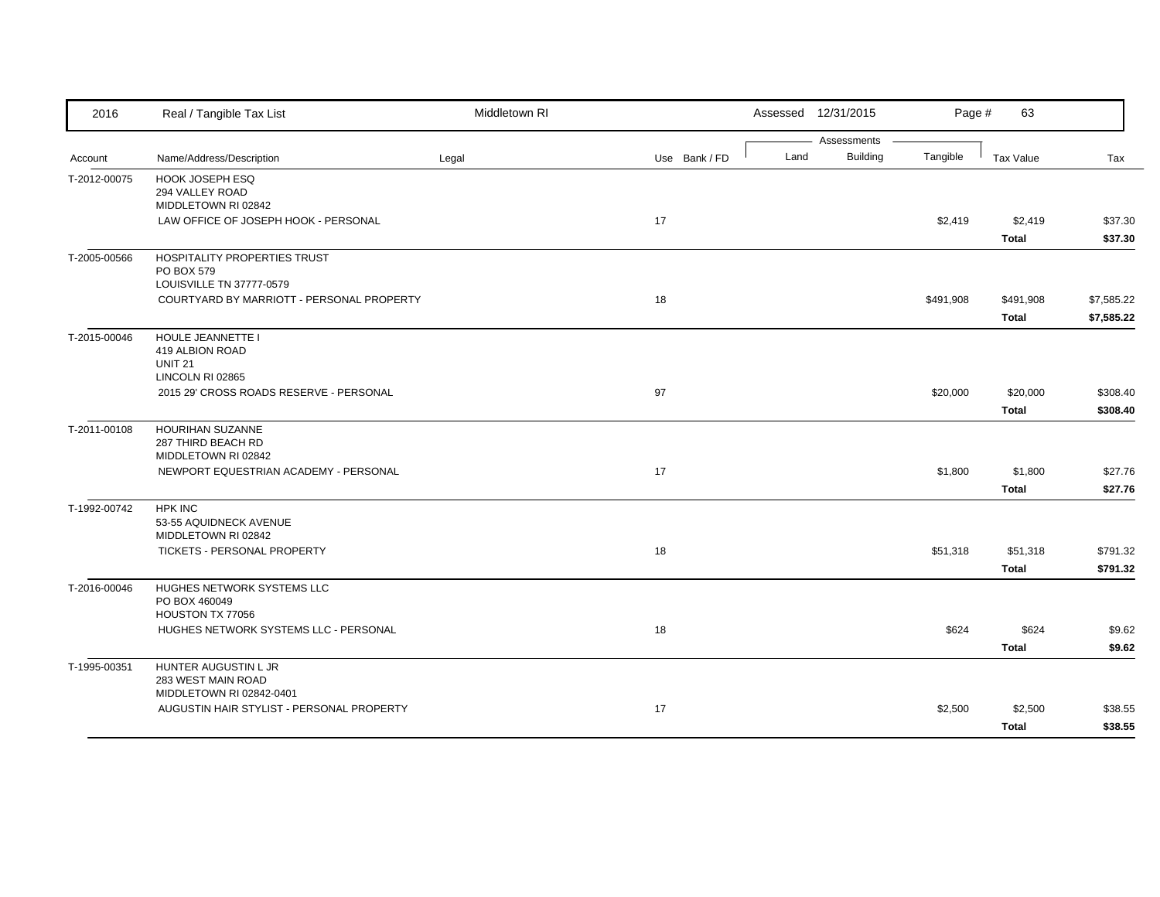| 2016         | Real / Tangible Tax List                  | Middletown RI |               |      | Assessed 12/31/2015 | Page #    | 63           |            |
|--------------|-------------------------------------------|---------------|---------------|------|---------------------|-----------|--------------|------------|
|              |                                           |               |               |      | Assessments         |           |              |            |
| Account      | Name/Address/Description                  | Legal         | Use Bank / FD | Land | <b>Building</b>     | Tangible  | Tax Value    | Tax        |
| T-2012-00075 | HOOK JOSEPH ESQ                           |               |               |      |                     |           |              |            |
|              | 294 VALLEY ROAD<br>MIDDLETOWN RI 02842    |               |               |      |                     |           |              |            |
|              | LAW OFFICE OF JOSEPH HOOK - PERSONAL      |               | 17            |      |                     | \$2,419   | \$2,419      | \$37.30    |
|              |                                           |               |               |      |                     |           | <b>Total</b> | \$37.30    |
| T-2005-00566 | HOSPITALITY PROPERTIES TRUST              |               |               |      |                     |           |              |            |
|              | PO BOX 579                                |               |               |      |                     |           |              |            |
|              | LOUISVILLE TN 37777-0579                  |               |               |      |                     |           |              |            |
|              | COURTYARD BY MARRIOTT - PERSONAL PROPERTY |               | 18            |      |                     | \$491,908 | \$491,908    | \$7,585.22 |
|              |                                           |               |               |      |                     |           | <b>Total</b> | \$7,585.22 |
| T-2015-00046 | HOULE JEANNETTE I                         |               |               |      |                     |           |              |            |
|              | 419 ALBION ROAD                           |               |               |      |                     |           |              |            |
|              | <b>UNIT 21</b>                            |               |               |      |                     |           |              |            |
|              | LINCOLN RI 02865                          |               |               |      |                     |           |              |            |
|              | 2015 29' CROSS ROADS RESERVE - PERSONAL   |               | 97            |      |                     | \$20,000  | \$20,000     | \$308.40   |
|              |                                           |               |               |      |                     |           | <b>Total</b> | \$308.40   |
| T-2011-00108 | HOURIHAN SUZANNE                          |               |               |      |                     |           |              |            |
|              | 287 THIRD BEACH RD<br>MIDDLETOWN RI 02842 |               |               |      |                     |           |              |            |
|              | NEWPORT EQUESTRIAN ACADEMY - PERSONAL     |               | 17            |      |                     | \$1,800   | \$1,800      | \$27.76    |
|              |                                           |               |               |      |                     |           | <b>Total</b> | \$27.76    |
|              |                                           |               |               |      |                     |           |              |            |
| T-1992-00742 | <b>HPK INC</b><br>53-55 AQUIDNECK AVENUE  |               |               |      |                     |           |              |            |
|              | MIDDLETOWN RI 02842                       |               |               |      |                     |           |              |            |
|              | TICKETS - PERSONAL PROPERTY               |               | 18            |      |                     | \$51,318  | \$51,318     | \$791.32   |
|              |                                           |               |               |      |                     |           | <b>Total</b> | \$791.32   |
| T-2016-00046 | HUGHES NETWORK SYSTEMS LLC                |               |               |      |                     |           |              |            |
|              | PO BOX 460049                             |               |               |      |                     |           |              |            |
|              | HOUSTON TX 77056                          |               |               |      |                     |           |              |            |
|              | HUGHES NETWORK SYSTEMS LLC - PERSONAL     |               | 18            |      |                     | \$624     | \$624        | \$9.62     |
|              |                                           |               |               |      |                     |           | <b>Total</b> | \$9.62     |
| T-1995-00351 | HUNTER AUGUSTIN L JR                      |               |               |      |                     |           |              |            |
|              | 283 WEST MAIN ROAD                        |               |               |      |                     |           |              |            |
|              | MIDDLETOWN RI 02842-0401                  |               |               |      |                     |           |              |            |
|              | AUGUSTIN HAIR STYLIST - PERSONAL PROPERTY |               | 17            |      |                     | \$2,500   | \$2,500      | \$38.55    |
|              |                                           |               |               |      |                     |           | <b>Total</b> | \$38.55    |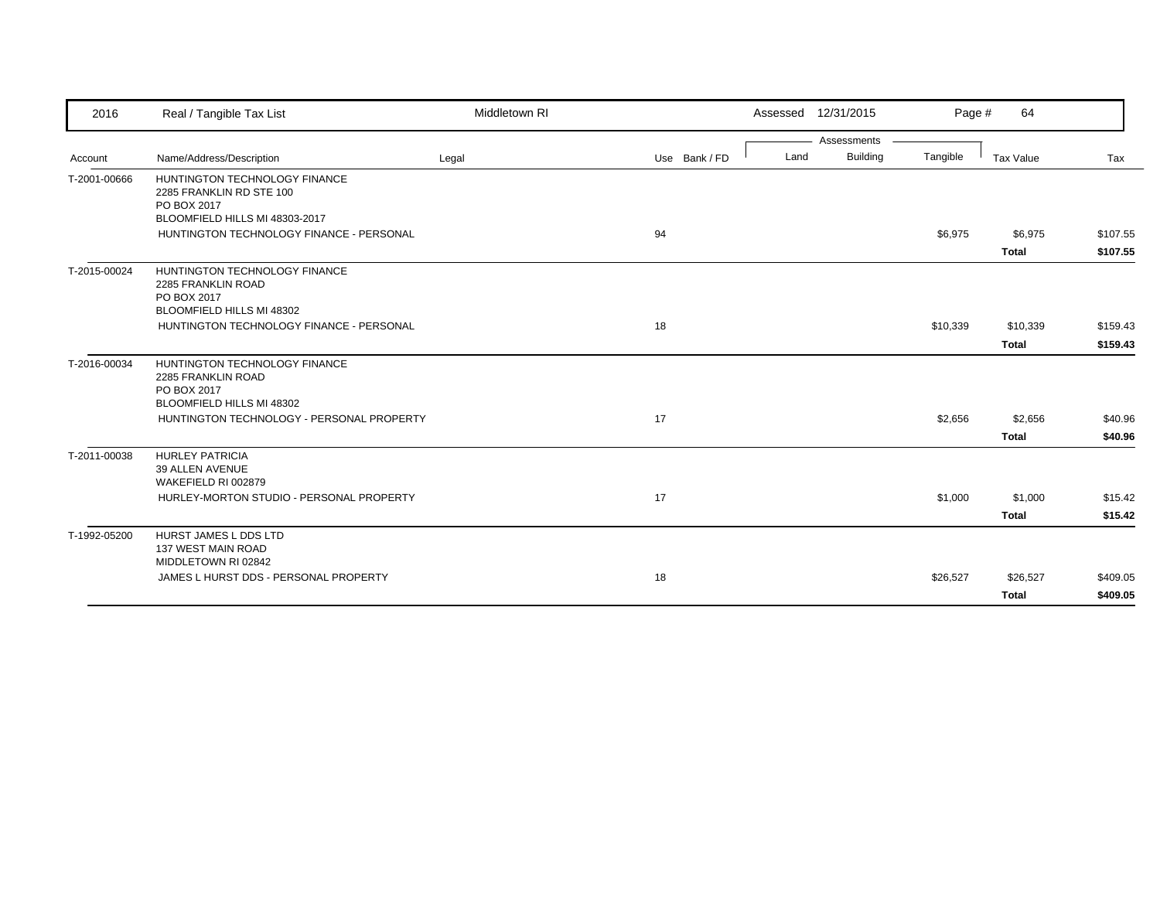| 2016         | Real / Tangible Tax List                                                                                   | Middletown RI |               |      | Assessed 12/31/2015            | Page #   | 64                       |                      |
|--------------|------------------------------------------------------------------------------------------------------------|---------------|---------------|------|--------------------------------|----------|--------------------------|----------------------|
| Account      | Name/Address/Description                                                                                   | Legal         | Use Bank / FD | Land | Assessments<br><b>Building</b> | Tangible | Tax Value                | Tax                  |
| T-2001-00666 | HUNTINGTON TECHNOLOGY FINANCE<br>2285 FRANKLIN RD STE 100<br>PO BOX 2017<br>BLOOMFIELD HILLS MI 48303-2017 |               |               |      |                                |          |                          |                      |
|              | HUNTINGTON TECHNOLOGY FINANCE - PERSONAL                                                                   |               | 94            |      |                                | \$6,975  | \$6,975<br><b>Total</b>  | \$107.55<br>\$107.55 |
| T-2015-00024 | HUNTINGTON TECHNOLOGY FINANCE<br>2285 FRANKLIN ROAD<br>PO BOX 2017<br>BLOOMFIELD HILLS MI 48302            |               |               |      |                                |          |                          |                      |
|              | HUNTINGTON TECHNOLOGY FINANCE - PERSONAL                                                                   |               | 18            |      |                                | \$10,339 | \$10,339<br><b>Total</b> | \$159.43<br>\$159.43 |
| T-2016-00034 | HUNTINGTON TECHNOLOGY FINANCE<br>2285 FRANKLIN ROAD<br>PO BOX 2017<br>BLOOMFIELD HILLS MI 48302            |               |               |      |                                |          |                          |                      |
|              | HUNTINGTON TECHNOLOGY - PERSONAL PROPERTY                                                                  |               | 17            |      |                                | \$2,656  | \$2,656<br><b>Total</b>  | \$40.96<br>\$40.96   |
| T-2011-00038 | <b>HURLEY PATRICIA</b><br>39 ALLEN AVENUE<br>WAKEFIELD RI 002879                                           |               |               |      |                                |          |                          |                      |
|              | HURLEY-MORTON STUDIO - PERSONAL PROPERTY                                                                   |               | 17            |      |                                | \$1,000  | \$1,000<br><b>Total</b>  | \$15.42<br>\$15.42   |
| T-1992-05200 | HURST JAMES L DDS LTD<br>137 WEST MAIN ROAD<br>MIDDLETOWN RI 02842                                         |               |               |      |                                |          |                          |                      |
|              | JAMES L HURST DDS - PERSONAL PROPERTY                                                                      |               | 18            |      |                                | \$26,527 | \$26,527<br><b>Total</b> | \$409.05<br>\$409.05 |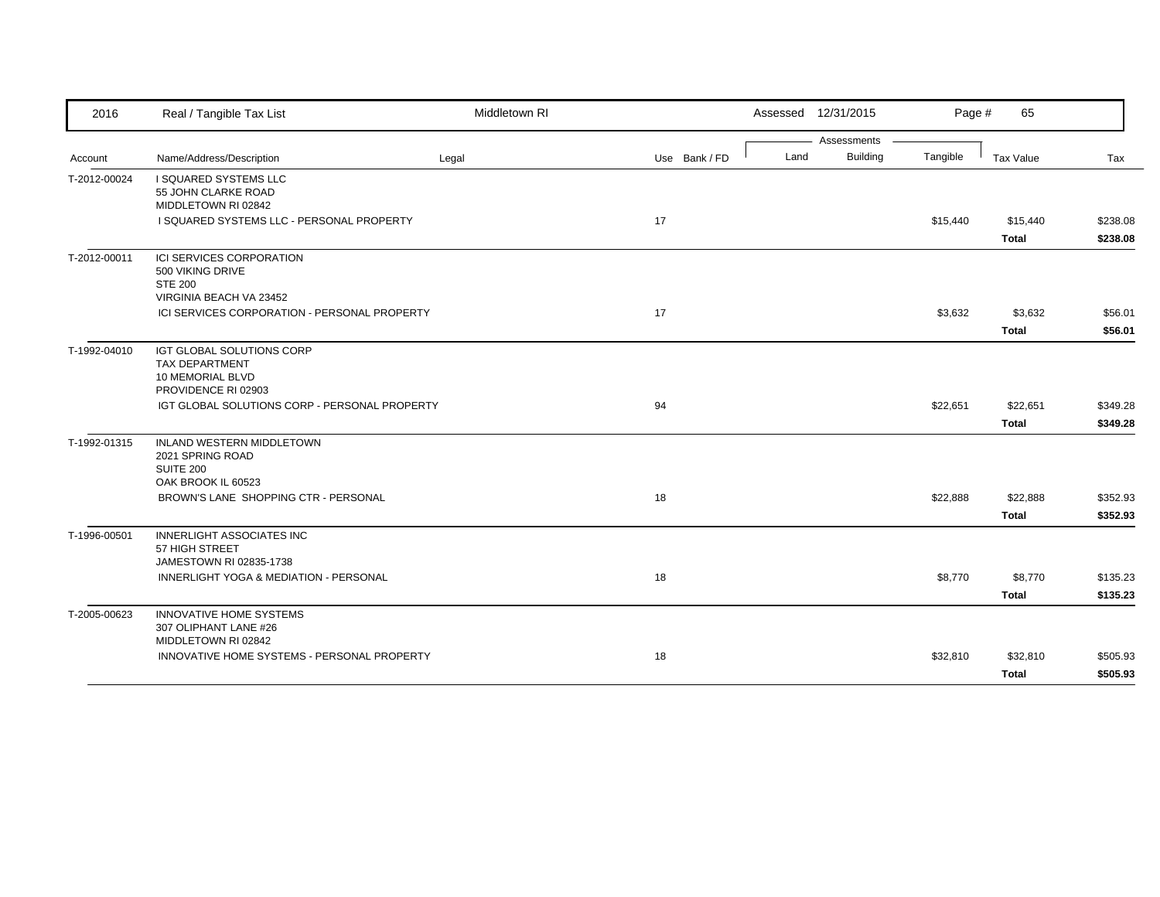| 2016         | Real / Tangible Tax List                                                                      | Middletown RI |               |      | Assessed 12/31/2015 | Page #   | 65                       |                      |
|--------------|-----------------------------------------------------------------------------------------------|---------------|---------------|------|---------------------|----------|--------------------------|----------------------|
|              |                                                                                               |               |               |      | Assessments         |          |                          |                      |
| Account      | Name/Address/Description                                                                      | Legal         | Use Bank / FD | Land | <b>Building</b>     | Tangible | Tax Value                | Tax                  |
| T-2012-00024 | I SQUARED SYSTEMS LLC<br>55 JOHN CLARKE ROAD<br>MIDDLETOWN RI 02842                           |               |               |      |                     |          |                          |                      |
|              | I SQUARED SYSTEMS LLC - PERSONAL PROPERTY                                                     |               | 17            |      |                     | \$15,440 | \$15,440                 | \$238.08             |
|              |                                                                                               |               |               |      |                     |          | Total                    | \$238.08             |
| T-2012-00011 | ICI SERVICES CORPORATION<br>500 VIKING DRIVE<br><b>STE 200</b><br>VIRGINIA BEACH VA 23452     |               |               |      |                     |          |                          |                      |
|              | ICI SERVICES CORPORATION - PERSONAL PROPERTY                                                  |               | 17            |      |                     | \$3,632  | \$3,632                  | \$56.01              |
|              |                                                                                               |               |               |      |                     |          | <b>Total</b>             | \$56.01              |
| T-1992-04010 | IGT GLOBAL SOLUTIONS CORP<br><b>TAX DEPARTMENT</b><br>10 MEMORIAL BLVD<br>PROVIDENCE RI 02903 |               |               |      |                     |          |                          |                      |
|              | IGT GLOBAL SOLUTIONS CORP - PERSONAL PROPERTY                                                 |               | 94            |      |                     | \$22,651 | \$22,651                 | \$349.28             |
|              |                                                                                               |               |               |      |                     |          | <b>Total</b>             | \$349.28             |
| T-1992-01315 | <b>INLAND WESTERN MIDDLETOWN</b><br>2021 SPRING ROAD<br><b>SUITE 200</b>                      |               |               |      |                     |          |                          |                      |
|              | OAK BROOK IL 60523<br>BROWN'S LANE SHOPPING CTR - PERSONAL                                    |               | 18            |      |                     |          |                          |                      |
|              |                                                                                               |               |               |      |                     | \$22,888 | \$22,888<br><b>Total</b> | \$352.93<br>\$352.93 |
| T-1996-00501 | <b>INNERLIGHT ASSOCIATES INC</b><br>57 HIGH STREET<br>JAMESTOWN RI 02835-1738                 |               |               |      |                     |          |                          |                      |
|              | INNERLIGHT YOGA & MEDIATION - PERSONAL                                                        |               | 18            |      |                     | \$8,770  | \$8,770                  | \$135.23             |
|              |                                                                                               |               |               |      |                     |          | <b>Total</b>             | \$135.23             |
| T-2005-00623 | <b>INNOVATIVE HOME SYSTEMS</b><br>307 OLIPHANT LANE #26<br>MIDDLETOWN RI 02842                |               |               |      |                     |          |                          |                      |
|              | INNOVATIVE HOME SYSTEMS - PERSONAL PROPERTY                                                   |               | 18            |      |                     | \$32,810 | \$32,810                 | \$505.93             |
|              |                                                                                               |               |               |      |                     |          | <b>Total</b>             | \$505.93             |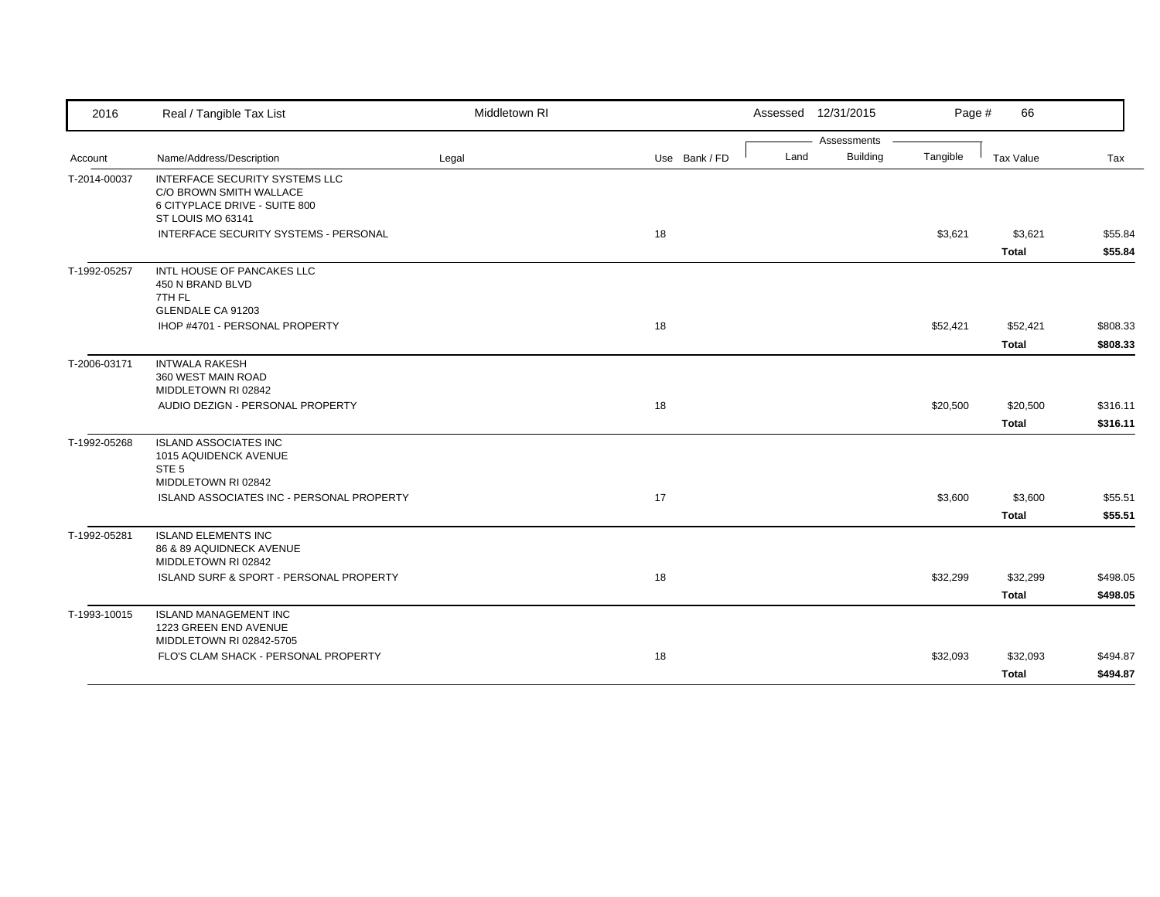| 2016         | Real / Tangible Tax List                                                                          | Middletown RI |               |      | Assessed 12/31/2015 | Page #   | 66           |          |
|--------------|---------------------------------------------------------------------------------------------------|---------------|---------------|------|---------------------|----------|--------------|----------|
|              |                                                                                                   |               |               |      | Assessments         |          |              |          |
| Account      | Name/Address/Description                                                                          | Legal         | Use Bank / FD | Land | <b>Building</b>     | Tangible | Tax Value    | Tax      |
| T-2014-00037 | <b>INTERFACE SECURITY SYSTEMS LLC</b><br>C/O BROWN SMITH WALLACE<br>6 CITYPLACE DRIVE - SUITE 800 |               |               |      |                     |          |              |          |
|              | ST LOUIS MO 63141                                                                                 |               |               |      |                     |          |              |          |
|              | INTERFACE SECURITY SYSTEMS - PERSONAL                                                             |               | 18            |      |                     | \$3,621  | \$3,621      | \$55.84  |
|              |                                                                                                   |               |               |      |                     |          | <b>Total</b> | \$55.84  |
| T-1992-05257 | INTL HOUSE OF PANCAKES LLC<br>450 N BRAND BLVD<br>7TH FL                                          |               |               |      |                     |          |              |          |
|              | GLENDALE CA 91203                                                                                 |               |               |      |                     |          |              |          |
|              | IHOP #4701 - PERSONAL PROPERTY                                                                    |               | 18            |      |                     | \$52,421 | \$52,421     | \$808.33 |
|              |                                                                                                   |               |               |      |                     |          | <b>Total</b> | \$808.33 |
| T-2006-03171 | <b>INTWALA RAKESH</b><br>360 WEST MAIN ROAD<br>MIDDLETOWN RI 02842                                |               |               |      |                     |          |              |          |
|              | AUDIO DEZIGN - PERSONAL PROPERTY                                                                  |               | 18            |      |                     | \$20,500 | \$20,500     | \$316.11 |
|              |                                                                                                   |               |               |      |                     |          | <b>Total</b> | \$316.11 |
| T-1992-05268 | <b>ISLAND ASSOCIATES INC</b><br>1015 AQUIDENCK AVENUE<br>STE <sub>5</sub>                         |               |               |      |                     |          |              |          |
|              | MIDDLETOWN RI 02842                                                                               |               |               |      |                     |          |              |          |
|              | ISLAND ASSOCIATES INC - PERSONAL PROPERTY                                                         |               | 17            |      |                     | \$3,600  | \$3,600      | \$55.51  |
|              |                                                                                                   |               |               |      |                     |          | <b>Total</b> | \$55.51  |
| T-1992-05281 | <b>ISLAND ELEMENTS INC</b><br>86 & 89 AQUIDNECK AVENUE<br>MIDDLETOWN RI 02842                     |               |               |      |                     |          |              |          |
|              | ISLAND SURF & SPORT - PERSONAL PROPERTY                                                           |               | 18            |      |                     | \$32,299 | \$32,299     | \$498.05 |
|              |                                                                                                   |               |               |      |                     |          | <b>Total</b> | \$498.05 |
| T-1993-10015 | <b>ISLAND MANAGEMENT INC</b><br>1223 GREEN END AVENUE<br>MIDDLETOWN RI 02842-5705                 |               |               |      |                     |          |              |          |
|              | FLO'S CLAM SHACK - PERSONAL PROPERTY                                                              |               | 18            |      |                     | \$32,093 | \$32,093     | \$494.87 |
|              |                                                                                                   |               |               |      |                     |          | Total        | \$494.87 |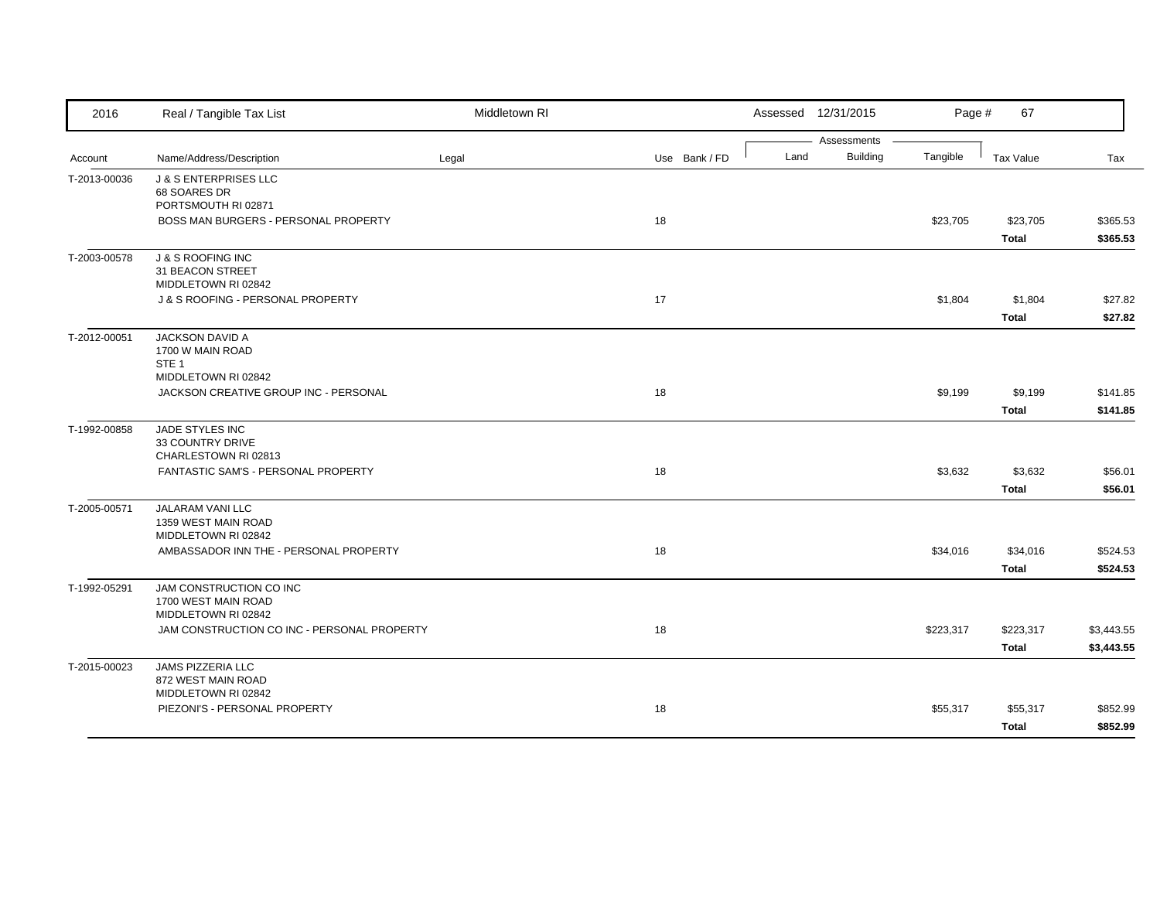| 2016         | Real / Tangible Tax List                                           | Middletown RI |               |      | Assessed 12/31/2015 | Page #    | 67               |            |
|--------------|--------------------------------------------------------------------|---------------|---------------|------|---------------------|-----------|------------------|------------|
|              |                                                                    |               |               |      | Assessments         |           |                  |            |
| Account      | Name/Address/Description                                           | Legal         | Use Bank / FD | Land | Building            | Tangible  | <b>Tax Value</b> | Tax        |
| T-2013-00036 | <b>J &amp; S ENTERPRISES LLC</b>                                   |               |               |      |                     |           |                  |            |
|              | 68 SOARES DR<br>PORTSMOUTH RI 02871                                |               |               |      |                     |           |                  |            |
|              | BOSS MAN BURGERS - PERSONAL PROPERTY                               |               | 18            |      |                     | \$23,705  | \$23,705         | \$365.53   |
|              |                                                                    |               |               |      |                     |           | <b>Total</b>     | \$365.53   |
| T-2003-00578 | <b>J &amp; S ROOFING INC</b>                                       |               |               |      |                     |           |                  |            |
|              | 31 BEACON STREET                                                   |               |               |      |                     |           |                  |            |
|              | MIDDLETOWN RI 02842                                                |               |               |      |                     |           |                  |            |
|              | J & S ROOFING - PERSONAL PROPERTY                                  |               | 17            |      |                     | \$1,804   | \$1,804          | \$27.82    |
|              |                                                                    |               |               |      |                     |           | <b>Total</b>     | \$27.82    |
| T-2012-00051 | <b>JACKSON DAVID A</b>                                             |               |               |      |                     |           |                  |            |
|              | 1700 W MAIN ROAD                                                   |               |               |      |                     |           |                  |            |
|              | STE <sub>1</sub><br>MIDDLETOWN RI 02842                            |               |               |      |                     |           |                  |            |
|              | JACKSON CREATIVE GROUP INC - PERSONAL                              |               | 18            |      |                     | \$9,199   | \$9,199          | \$141.85   |
|              |                                                                    |               |               |      |                     |           |                  |            |
|              |                                                                    |               |               |      |                     |           | <b>Total</b>     | \$141.85   |
| T-1992-00858 | JADE STYLES INC<br>33 COUNTRY DRIVE                                |               |               |      |                     |           |                  |            |
|              | CHARLESTOWN RI 02813                                               |               |               |      |                     |           |                  |            |
|              | FANTASTIC SAM'S - PERSONAL PROPERTY                                |               | 18            |      |                     | \$3,632   | \$3,632          | \$56.01    |
|              |                                                                    |               |               |      |                     |           | <b>Total</b>     | \$56.01    |
| T-2005-00571 | <b>JALARAM VANI LLC</b>                                            |               |               |      |                     |           |                  |            |
|              | 1359 WEST MAIN ROAD                                                |               |               |      |                     |           |                  |            |
|              | MIDDLETOWN RI 02842                                                |               |               |      |                     |           |                  |            |
|              | AMBASSADOR INN THE - PERSONAL PROPERTY                             |               | 18            |      |                     | \$34,016  | \$34,016         | \$524.53   |
|              |                                                                    |               |               |      |                     |           | <b>Total</b>     | \$524.53   |
| T-1992-05291 | JAM CONSTRUCTION CO INC                                            |               |               |      |                     |           |                  |            |
|              | 1700 WEST MAIN ROAD                                                |               |               |      |                     |           |                  |            |
|              | MIDDLETOWN RI 02842<br>JAM CONSTRUCTION CO INC - PERSONAL PROPERTY |               | 18            |      |                     | \$223,317 | \$223,317        | \$3,443.55 |
|              |                                                                    |               |               |      |                     |           |                  |            |
|              |                                                                    |               |               |      |                     |           | <b>Total</b>     | \$3,443.55 |
| T-2015-00023 | JAMS PIZZERIA LLC<br>872 WEST MAIN ROAD                            |               |               |      |                     |           |                  |            |
|              | MIDDLETOWN RI 02842                                                |               |               |      |                     |           |                  |            |
|              | PIEZONI'S - PERSONAL PROPERTY                                      |               | 18            |      |                     | \$55,317  | \$55,317         | \$852.99   |
|              |                                                                    |               |               |      |                     |           | <b>Total</b>     | \$852.99   |
|              |                                                                    |               |               |      |                     |           |                  |            |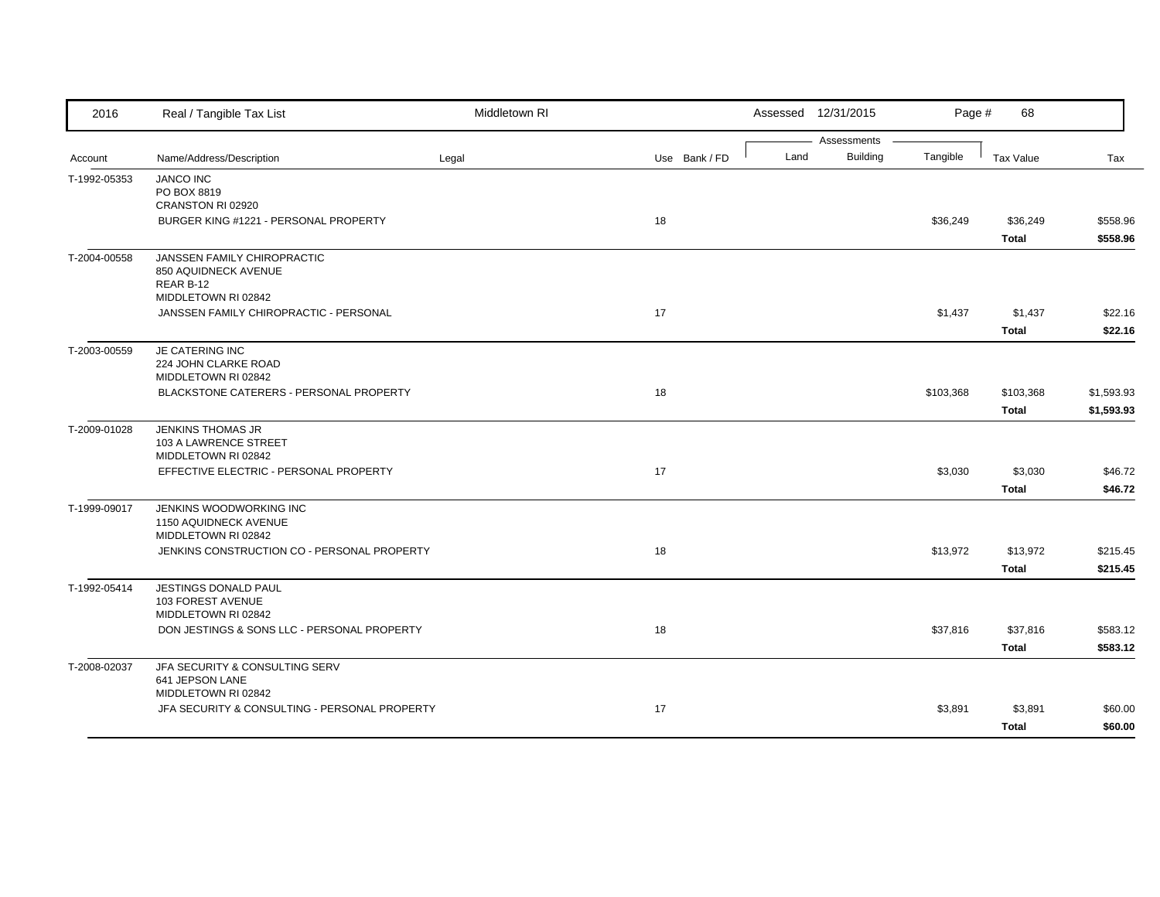| Assessments<br><b>Building</b><br>Tangible<br>Land<br>Name/Address/Description<br>Use Bank / FD<br>Tax Value<br>Tax<br>Legal<br>Account<br><b>JANCO INC</b><br>T-1992-05353<br>PO BOX 8819<br>CRANSTON RI 02920<br>BURGER KING #1221 - PERSONAL PROPERTY<br>18<br>\$36,249<br>\$36,249<br>\$558.96<br>\$558.96<br><b>Total</b><br>JANSSEN FAMILY CHIROPRACTIC<br>850 AQUIDNECK AVENUE<br>REAR B-12<br>MIDDLETOWN RI 02842<br>JANSSEN FAMILY CHIROPRACTIC - PERSONAL<br>17<br>\$1,437<br>\$22.16<br>\$1,437<br><b>Total</b><br>\$22.16<br>JE CATERING INC<br>T-2003-00559<br>224 JOHN CLARKE ROAD<br>MIDDLETOWN RI 02842<br>BLACKSTONE CATERERS - PERSONAL PROPERTY<br>18<br>\$103,368<br>\$1,593.93<br>\$103,368<br>\$1,593.93<br><b>Total</b><br>JENKINS THOMAS JR<br>103 A LAWRENCE STREET<br>MIDDLETOWN RI 02842<br>EFFECTIVE ELECTRIC - PERSONAL PROPERTY<br>17<br>\$3,030<br>\$3,030<br>\$46.72<br><b>Total</b><br>\$46.72<br>JENKINS WOODWORKING INC<br>T-1999-09017<br>1150 AQUIDNECK AVENUE<br>MIDDLETOWN RI 02842<br>18<br>JENKINS CONSTRUCTION CO - PERSONAL PROPERTY<br>\$13,972<br>\$215.45<br>\$13,972<br><b>Total</b><br>\$215.45<br><b>JESTINGS DONALD PAUL</b><br>103 FOREST AVENUE<br>MIDDLETOWN RI 02842<br>18<br>\$37,816<br>\$583.12<br>DON JESTINGS & SONS LLC - PERSONAL PROPERTY<br>\$37,816<br><b>Total</b><br>\$583.12<br>JFA SECURITY & CONSULTING SERV<br>641 JEPSON LANE<br>MIDDLETOWN RI 02842<br>JFA SECURITY & CONSULTING - PERSONAL PROPERTY<br>17<br>\$3,891<br>\$3,891<br>\$60.00 | 2016         | Real / Tangible Tax List | Middletown RI |  | Assessed 12/31/2015 | Page # | 68           |         |
|---------------------------------------------------------------------------------------------------------------------------------------------------------------------------------------------------------------------------------------------------------------------------------------------------------------------------------------------------------------------------------------------------------------------------------------------------------------------------------------------------------------------------------------------------------------------------------------------------------------------------------------------------------------------------------------------------------------------------------------------------------------------------------------------------------------------------------------------------------------------------------------------------------------------------------------------------------------------------------------------------------------------------------------------------------------------------------------------------------------------------------------------------------------------------------------------------------------------------------------------------------------------------------------------------------------------------------------------------------------------------------------------------------------------------------------------------------------------------------------------------------------------|--------------|--------------------------|---------------|--|---------------------|--------|--------------|---------|
|                                                                                                                                                                                                                                                                                                                                                                                                                                                                                                                                                                                                                                                                                                                                                                                                                                                                                                                                                                                                                                                                                                                                                                                                                                                                                                                                                                                                                                                                                                                     |              |                          |               |  |                     |        |              |         |
|                                                                                                                                                                                                                                                                                                                                                                                                                                                                                                                                                                                                                                                                                                                                                                                                                                                                                                                                                                                                                                                                                                                                                                                                                                                                                                                                                                                                                                                                                                                     |              |                          |               |  |                     |        |              |         |
|                                                                                                                                                                                                                                                                                                                                                                                                                                                                                                                                                                                                                                                                                                                                                                                                                                                                                                                                                                                                                                                                                                                                                                                                                                                                                                                                                                                                                                                                                                                     |              |                          |               |  |                     |        |              |         |
|                                                                                                                                                                                                                                                                                                                                                                                                                                                                                                                                                                                                                                                                                                                                                                                                                                                                                                                                                                                                                                                                                                                                                                                                                                                                                                                                                                                                                                                                                                                     |              |                          |               |  |                     |        |              |         |
|                                                                                                                                                                                                                                                                                                                                                                                                                                                                                                                                                                                                                                                                                                                                                                                                                                                                                                                                                                                                                                                                                                                                                                                                                                                                                                                                                                                                                                                                                                                     |              |                          |               |  |                     |        |              |         |
|                                                                                                                                                                                                                                                                                                                                                                                                                                                                                                                                                                                                                                                                                                                                                                                                                                                                                                                                                                                                                                                                                                                                                                                                                                                                                                                                                                                                                                                                                                                     |              |                          |               |  |                     |        |              |         |
|                                                                                                                                                                                                                                                                                                                                                                                                                                                                                                                                                                                                                                                                                                                                                                                                                                                                                                                                                                                                                                                                                                                                                                                                                                                                                                                                                                                                                                                                                                                     | T-2004-00558 |                          |               |  |                     |        |              |         |
|                                                                                                                                                                                                                                                                                                                                                                                                                                                                                                                                                                                                                                                                                                                                                                                                                                                                                                                                                                                                                                                                                                                                                                                                                                                                                                                                                                                                                                                                                                                     |              |                          |               |  |                     |        |              |         |
|                                                                                                                                                                                                                                                                                                                                                                                                                                                                                                                                                                                                                                                                                                                                                                                                                                                                                                                                                                                                                                                                                                                                                                                                                                                                                                                                                                                                                                                                                                                     |              |                          |               |  |                     |        |              |         |
|                                                                                                                                                                                                                                                                                                                                                                                                                                                                                                                                                                                                                                                                                                                                                                                                                                                                                                                                                                                                                                                                                                                                                                                                                                                                                                                                                                                                                                                                                                                     |              |                          |               |  |                     |        |              |         |
|                                                                                                                                                                                                                                                                                                                                                                                                                                                                                                                                                                                                                                                                                                                                                                                                                                                                                                                                                                                                                                                                                                                                                                                                                                                                                                                                                                                                                                                                                                                     |              |                          |               |  |                     |        |              |         |
|                                                                                                                                                                                                                                                                                                                                                                                                                                                                                                                                                                                                                                                                                                                                                                                                                                                                                                                                                                                                                                                                                                                                                                                                                                                                                                                                                                                                                                                                                                                     |              |                          |               |  |                     |        |              |         |
|                                                                                                                                                                                                                                                                                                                                                                                                                                                                                                                                                                                                                                                                                                                                                                                                                                                                                                                                                                                                                                                                                                                                                                                                                                                                                                                                                                                                                                                                                                                     |              |                          |               |  |                     |        |              |         |
|                                                                                                                                                                                                                                                                                                                                                                                                                                                                                                                                                                                                                                                                                                                                                                                                                                                                                                                                                                                                                                                                                                                                                                                                                                                                                                                                                                                                                                                                                                                     |              |                          |               |  |                     |        |              |         |
|                                                                                                                                                                                                                                                                                                                                                                                                                                                                                                                                                                                                                                                                                                                                                                                                                                                                                                                                                                                                                                                                                                                                                                                                                                                                                                                                                                                                                                                                                                                     |              |                          |               |  |                     |        |              |         |
|                                                                                                                                                                                                                                                                                                                                                                                                                                                                                                                                                                                                                                                                                                                                                                                                                                                                                                                                                                                                                                                                                                                                                                                                                                                                                                                                                                                                                                                                                                                     |              |                          |               |  |                     |        |              |         |
|                                                                                                                                                                                                                                                                                                                                                                                                                                                                                                                                                                                                                                                                                                                                                                                                                                                                                                                                                                                                                                                                                                                                                                                                                                                                                                                                                                                                                                                                                                                     | T-2009-01028 |                          |               |  |                     |        |              |         |
|                                                                                                                                                                                                                                                                                                                                                                                                                                                                                                                                                                                                                                                                                                                                                                                                                                                                                                                                                                                                                                                                                                                                                                                                                                                                                                                                                                                                                                                                                                                     |              |                          |               |  |                     |        |              |         |
|                                                                                                                                                                                                                                                                                                                                                                                                                                                                                                                                                                                                                                                                                                                                                                                                                                                                                                                                                                                                                                                                                                                                                                                                                                                                                                                                                                                                                                                                                                                     |              |                          |               |  |                     |        |              |         |
|                                                                                                                                                                                                                                                                                                                                                                                                                                                                                                                                                                                                                                                                                                                                                                                                                                                                                                                                                                                                                                                                                                                                                                                                                                                                                                                                                                                                                                                                                                                     |              |                          |               |  |                     |        |              |         |
|                                                                                                                                                                                                                                                                                                                                                                                                                                                                                                                                                                                                                                                                                                                                                                                                                                                                                                                                                                                                                                                                                                                                                                                                                                                                                                                                                                                                                                                                                                                     |              |                          |               |  |                     |        |              |         |
|                                                                                                                                                                                                                                                                                                                                                                                                                                                                                                                                                                                                                                                                                                                                                                                                                                                                                                                                                                                                                                                                                                                                                                                                                                                                                                                                                                                                                                                                                                                     |              |                          |               |  |                     |        |              |         |
|                                                                                                                                                                                                                                                                                                                                                                                                                                                                                                                                                                                                                                                                                                                                                                                                                                                                                                                                                                                                                                                                                                                                                                                                                                                                                                                                                                                                                                                                                                                     |              |                          |               |  |                     |        |              |         |
|                                                                                                                                                                                                                                                                                                                                                                                                                                                                                                                                                                                                                                                                                                                                                                                                                                                                                                                                                                                                                                                                                                                                                                                                                                                                                                                                                                                                                                                                                                                     |              |                          |               |  |                     |        |              |         |
|                                                                                                                                                                                                                                                                                                                                                                                                                                                                                                                                                                                                                                                                                                                                                                                                                                                                                                                                                                                                                                                                                                                                                                                                                                                                                                                                                                                                                                                                                                                     |              |                          |               |  |                     |        |              |         |
|                                                                                                                                                                                                                                                                                                                                                                                                                                                                                                                                                                                                                                                                                                                                                                                                                                                                                                                                                                                                                                                                                                                                                                                                                                                                                                                                                                                                                                                                                                                     | T-1992-05414 |                          |               |  |                     |        |              |         |
|                                                                                                                                                                                                                                                                                                                                                                                                                                                                                                                                                                                                                                                                                                                                                                                                                                                                                                                                                                                                                                                                                                                                                                                                                                                                                                                                                                                                                                                                                                                     |              |                          |               |  |                     |        |              |         |
|                                                                                                                                                                                                                                                                                                                                                                                                                                                                                                                                                                                                                                                                                                                                                                                                                                                                                                                                                                                                                                                                                                                                                                                                                                                                                                                                                                                                                                                                                                                     |              |                          |               |  |                     |        |              |         |
|                                                                                                                                                                                                                                                                                                                                                                                                                                                                                                                                                                                                                                                                                                                                                                                                                                                                                                                                                                                                                                                                                                                                                                                                                                                                                                                                                                                                                                                                                                                     |              |                          |               |  |                     |        |              |         |
|                                                                                                                                                                                                                                                                                                                                                                                                                                                                                                                                                                                                                                                                                                                                                                                                                                                                                                                                                                                                                                                                                                                                                                                                                                                                                                                                                                                                                                                                                                                     |              |                          |               |  |                     |        |              |         |
|                                                                                                                                                                                                                                                                                                                                                                                                                                                                                                                                                                                                                                                                                                                                                                                                                                                                                                                                                                                                                                                                                                                                                                                                                                                                                                                                                                                                                                                                                                                     | T-2008-02037 |                          |               |  |                     |        |              |         |
|                                                                                                                                                                                                                                                                                                                                                                                                                                                                                                                                                                                                                                                                                                                                                                                                                                                                                                                                                                                                                                                                                                                                                                                                                                                                                                                                                                                                                                                                                                                     |              |                          |               |  |                     |        |              |         |
|                                                                                                                                                                                                                                                                                                                                                                                                                                                                                                                                                                                                                                                                                                                                                                                                                                                                                                                                                                                                                                                                                                                                                                                                                                                                                                                                                                                                                                                                                                                     |              |                          |               |  |                     |        |              |         |
|                                                                                                                                                                                                                                                                                                                                                                                                                                                                                                                                                                                                                                                                                                                                                                                                                                                                                                                                                                                                                                                                                                                                                                                                                                                                                                                                                                                                                                                                                                                     |              |                          |               |  |                     |        | <b>Total</b> | \$60.00 |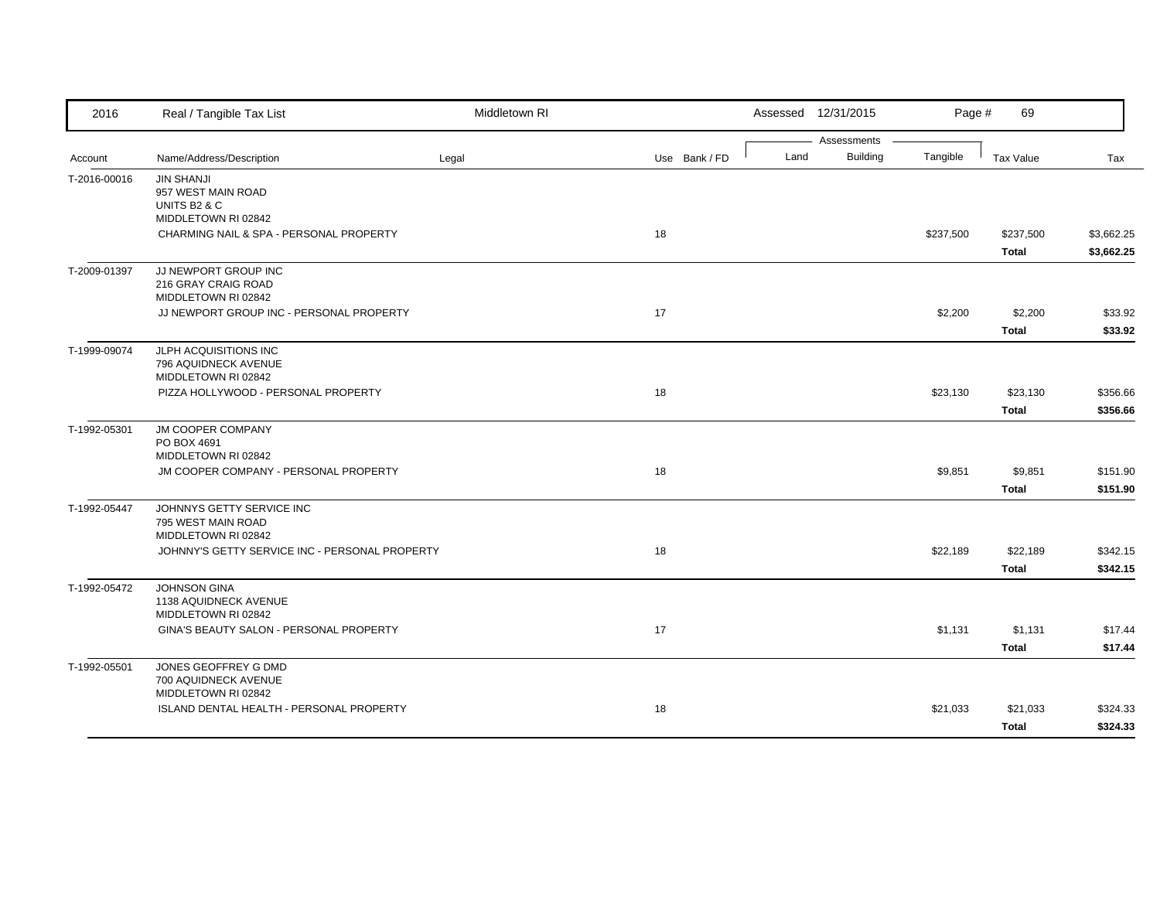| Assessments<br><b>Building</b><br>Land<br>Tangible<br>Name/Address/Description<br><b>Tax Value</b><br>Tax<br>Legal<br>Use Bank / FD<br>Account<br><b>JIN SHANJI</b><br>T-2016-00016<br>957 WEST MAIN ROAD<br>UNITS B <sub>2</sub> & C<br>MIDDLETOWN RI 02842<br>CHARMING NAIL & SPA - PERSONAL PROPERTY<br>18<br>\$237,500<br>\$237,500<br><b>Total</b><br>JJ NEWPORT GROUP INC<br>216 GRAY CRAIG ROAD<br>MIDDLETOWN RI 02842<br>JJ NEWPORT GROUP INC - PERSONAL PROPERTY<br>17<br>\$2,200<br>\$2,200<br><b>Total</b><br>JLPH ACQUISITIONS INC<br>796 AQUIDNECK AVENUE<br>MIDDLETOWN RI 02842<br>PIZZA HOLLYWOOD - PERSONAL PROPERTY<br>18<br>\$23,130<br>\$23,130<br><b>Total</b><br>T-1992-05301<br><b>JM COOPER COMPANY</b><br>PO BOX 4691<br>MIDDLETOWN RI 02842<br>18<br>\$9,851<br>JM COOPER COMPANY - PERSONAL PROPERTY<br>\$9,851<br><b>Total</b><br>JOHNNYS GETTY SERVICE INC<br>795 WEST MAIN ROAD<br>MIDDLETOWN RI 02842<br>18<br>JOHNNY'S GETTY SERVICE INC - PERSONAL PROPERTY<br>\$22,189<br>\$22,189<br><b>Total</b><br><b>JOHNSON GINA</b><br>1138 AQUIDNECK AVENUE<br>MIDDLETOWN RI 02842<br>GINA'S BEAUTY SALON - PERSONAL PROPERTY<br>17<br>\$1,131<br>\$1,131<br><b>Total</b><br>JONES GEOFFREY G DMD<br>700 AQUIDNECK AVENUE<br>MIDDLETOWN RI 02842<br>ISLAND DENTAL HEALTH - PERSONAL PROPERTY<br>18<br>\$21,033<br>\$21,033 | 2016         | Real / Tangible Tax List | Middletown RI |  | Assessed 12/31/2015 | Page # | 69           |          |
|----------------------------------------------------------------------------------------------------------------------------------------------------------------------------------------------------------------------------------------------------------------------------------------------------------------------------------------------------------------------------------------------------------------------------------------------------------------------------------------------------------------------------------------------------------------------------------------------------------------------------------------------------------------------------------------------------------------------------------------------------------------------------------------------------------------------------------------------------------------------------------------------------------------------------------------------------------------------------------------------------------------------------------------------------------------------------------------------------------------------------------------------------------------------------------------------------------------------------------------------------------------------------------------------------------------------------------------------------|--------------|--------------------------|---------------|--|---------------------|--------|--------------|----------|
| \$3,662.25<br>\$3,662.25<br>\$33.92<br>\$33.92<br>\$356.66<br>\$356.66<br>\$151.90                                                                                                                                                                                                                                                                                                                                                                                                                                                                                                                                                                                                                                                                                                                                                                                                                                                                                                                                                                                                                                                                                                                                                                                                                                                                 |              |                          |               |  |                     |        |              |          |
|                                                                                                                                                                                                                                                                                                                                                                                                                                                                                                                                                                                                                                                                                                                                                                                                                                                                                                                                                                                                                                                                                                                                                                                                                                                                                                                                                    |              |                          |               |  |                     |        |              |          |
|                                                                                                                                                                                                                                                                                                                                                                                                                                                                                                                                                                                                                                                                                                                                                                                                                                                                                                                                                                                                                                                                                                                                                                                                                                                                                                                                                    |              |                          |               |  |                     |        |              |          |
|                                                                                                                                                                                                                                                                                                                                                                                                                                                                                                                                                                                                                                                                                                                                                                                                                                                                                                                                                                                                                                                                                                                                                                                                                                                                                                                                                    |              |                          |               |  |                     |        |              |          |
|                                                                                                                                                                                                                                                                                                                                                                                                                                                                                                                                                                                                                                                                                                                                                                                                                                                                                                                                                                                                                                                                                                                                                                                                                                                                                                                                                    |              |                          |               |  |                     |        |              |          |
|                                                                                                                                                                                                                                                                                                                                                                                                                                                                                                                                                                                                                                                                                                                                                                                                                                                                                                                                                                                                                                                                                                                                                                                                                                                                                                                                                    |              |                          |               |  |                     |        |              |          |
|                                                                                                                                                                                                                                                                                                                                                                                                                                                                                                                                                                                                                                                                                                                                                                                                                                                                                                                                                                                                                                                                                                                                                                                                                                                                                                                                                    |              |                          |               |  |                     |        |              |          |
|                                                                                                                                                                                                                                                                                                                                                                                                                                                                                                                                                                                                                                                                                                                                                                                                                                                                                                                                                                                                                                                                                                                                                                                                                                                                                                                                                    | T-2009-01397 |                          |               |  |                     |        |              |          |
|                                                                                                                                                                                                                                                                                                                                                                                                                                                                                                                                                                                                                                                                                                                                                                                                                                                                                                                                                                                                                                                                                                                                                                                                                                                                                                                                                    |              |                          |               |  |                     |        |              |          |
|                                                                                                                                                                                                                                                                                                                                                                                                                                                                                                                                                                                                                                                                                                                                                                                                                                                                                                                                                                                                                                                                                                                                                                                                                                                                                                                                                    |              |                          |               |  |                     |        |              |          |
|                                                                                                                                                                                                                                                                                                                                                                                                                                                                                                                                                                                                                                                                                                                                                                                                                                                                                                                                                                                                                                                                                                                                                                                                                                                                                                                                                    |              |                          |               |  |                     |        |              |          |
|                                                                                                                                                                                                                                                                                                                                                                                                                                                                                                                                                                                                                                                                                                                                                                                                                                                                                                                                                                                                                                                                                                                                                                                                                                                                                                                                                    |              |                          |               |  |                     |        |              |          |
|                                                                                                                                                                                                                                                                                                                                                                                                                                                                                                                                                                                                                                                                                                                                                                                                                                                                                                                                                                                                                                                                                                                                                                                                                                                                                                                                                    | T-1999-09074 |                          |               |  |                     |        |              |          |
|                                                                                                                                                                                                                                                                                                                                                                                                                                                                                                                                                                                                                                                                                                                                                                                                                                                                                                                                                                                                                                                                                                                                                                                                                                                                                                                                                    |              |                          |               |  |                     |        |              |          |
|                                                                                                                                                                                                                                                                                                                                                                                                                                                                                                                                                                                                                                                                                                                                                                                                                                                                                                                                                                                                                                                                                                                                                                                                                                                                                                                                                    |              |                          |               |  |                     |        |              |          |
|                                                                                                                                                                                                                                                                                                                                                                                                                                                                                                                                                                                                                                                                                                                                                                                                                                                                                                                                                                                                                                                                                                                                                                                                                                                                                                                                                    |              |                          |               |  |                     |        |              |          |
|                                                                                                                                                                                                                                                                                                                                                                                                                                                                                                                                                                                                                                                                                                                                                                                                                                                                                                                                                                                                                                                                                                                                                                                                                                                                                                                                                    |              |                          |               |  |                     |        |              |          |
|                                                                                                                                                                                                                                                                                                                                                                                                                                                                                                                                                                                                                                                                                                                                                                                                                                                                                                                                                                                                                                                                                                                                                                                                                                                                                                                                                    |              |                          |               |  |                     |        |              |          |
|                                                                                                                                                                                                                                                                                                                                                                                                                                                                                                                                                                                                                                                                                                                                                                                                                                                                                                                                                                                                                                                                                                                                                                                                                                                                                                                                                    |              |                          |               |  |                     |        |              |          |
|                                                                                                                                                                                                                                                                                                                                                                                                                                                                                                                                                                                                                                                                                                                                                                                                                                                                                                                                                                                                                                                                                                                                                                                                                                                                                                                                                    |              |                          |               |  |                     |        |              |          |
|                                                                                                                                                                                                                                                                                                                                                                                                                                                                                                                                                                                                                                                                                                                                                                                                                                                                                                                                                                                                                                                                                                                                                                                                                                                                                                                                                    |              |                          |               |  |                     |        |              | \$151.90 |
| \$342.15<br>\$342.15<br>\$17.44<br>\$17.44<br>\$324.33                                                                                                                                                                                                                                                                                                                                                                                                                                                                                                                                                                                                                                                                                                                                                                                                                                                                                                                                                                                                                                                                                                                                                                                                                                                                                             | T-1992-05447 |                          |               |  |                     |        |              |          |
|                                                                                                                                                                                                                                                                                                                                                                                                                                                                                                                                                                                                                                                                                                                                                                                                                                                                                                                                                                                                                                                                                                                                                                                                                                                                                                                                                    |              |                          |               |  |                     |        |              |          |
|                                                                                                                                                                                                                                                                                                                                                                                                                                                                                                                                                                                                                                                                                                                                                                                                                                                                                                                                                                                                                                                                                                                                                                                                                                                                                                                                                    |              |                          |               |  |                     |        |              |          |
|                                                                                                                                                                                                                                                                                                                                                                                                                                                                                                                                                                                                                                                                                                                                                                                                                                                                                                                                                                                                                                                                                                                                                                                                                                                                                                                                                    |              |                          |               |  |                     |        |              |          |
|                                                                                                                                                                                                                                                                                                                                                                                                                                                                                                                                                                                                                                                                                                                                                                                                                                                                                                                                                                                                                                                                                                                                                                                                                                                                                                                                                    |              |                          |               |  |                     |        |              |          |
|                                                                                                                                                                                                                                                                                                                                                                                                                                                                                                                                                                                                                                                                                                                                                                                                                                                                                                                                                                                                                                                                                                                                                                                                                                                                                                                                                    | T-1992-05472 |                          |               |  |                     |        |              |          |
|                                                                                                                                                                                                                                                                                                                                                                                                                                                                                                                                                                                                                                                                                                                                                                                                                                                                                                                                                                                                                                                                                                                                                                                                                                                                                                                                                    |              |                          |               |  |                     |        |              |          |
|                                                                                                                                                                                                                                                                                                                                                                                                                                                                                                                                                                                                                                                                                                                                                                                                                                                                                                                                                                                                                                                                                                                                                                                                                                                                                                                                                    |              |                          |               |  |                     |        |              |          |
|                                                                                                                                                                                                                                                                                                                                                                                                                                                                                                                                                                                                                                                                                                                                                                                                                                                                                                                                                                                                                                                                                                                                                                                                                                                                                                                                                    |              |                          |               |  |                     |        |              |          |
|                                                                                                                                                                                                                                                                                                                                                                                                                                                                                                                                                                                                                                                                                                                                                                                                                                                                                                                                                                                                                                                                                                                                                                                                                                                                                                                                                    |              |                          |               |  |                     |        |              |          |
|                                                                                                                                                                                                                                                                                                                                                                                                                                                                                                                                                                                                                                                                                                                                                                                                                                                                                                                                                                                                                                                                                                                                                                                                                                                                                                                                                    | T-1992-05501 |                          |               |  |                     |        |              |          |
|                                                                                                                                                                                                                                                                                                                                                                                                                                                                                                                                                                                                                                                                                                                                                                                                                                                                                                                                                                                                                                                                                                                                                                                                                                                                                                                                                    |              |                          |               |  |                     |        |              |          |
|                                                                                                                                                                                                                                                                                                                                                                                                                                                                                                                                                                                                                                                                                                                                                                                                                                                                                                                                                                                                                                                                                                                                                                                                                                                                                                                                                    |              |                          |               |  |                     |        |              |          |
|                                                                                                                                                                                                                                                                                                                                                                                                                                                                                                                                                                                                                                                                                                                                                                                                                                                                                                                                                                                                                                                                                                                                                                                                                                                                                                                                                    |              |                          |               |  |                     |        | <b>Total</b> | \$324.33 |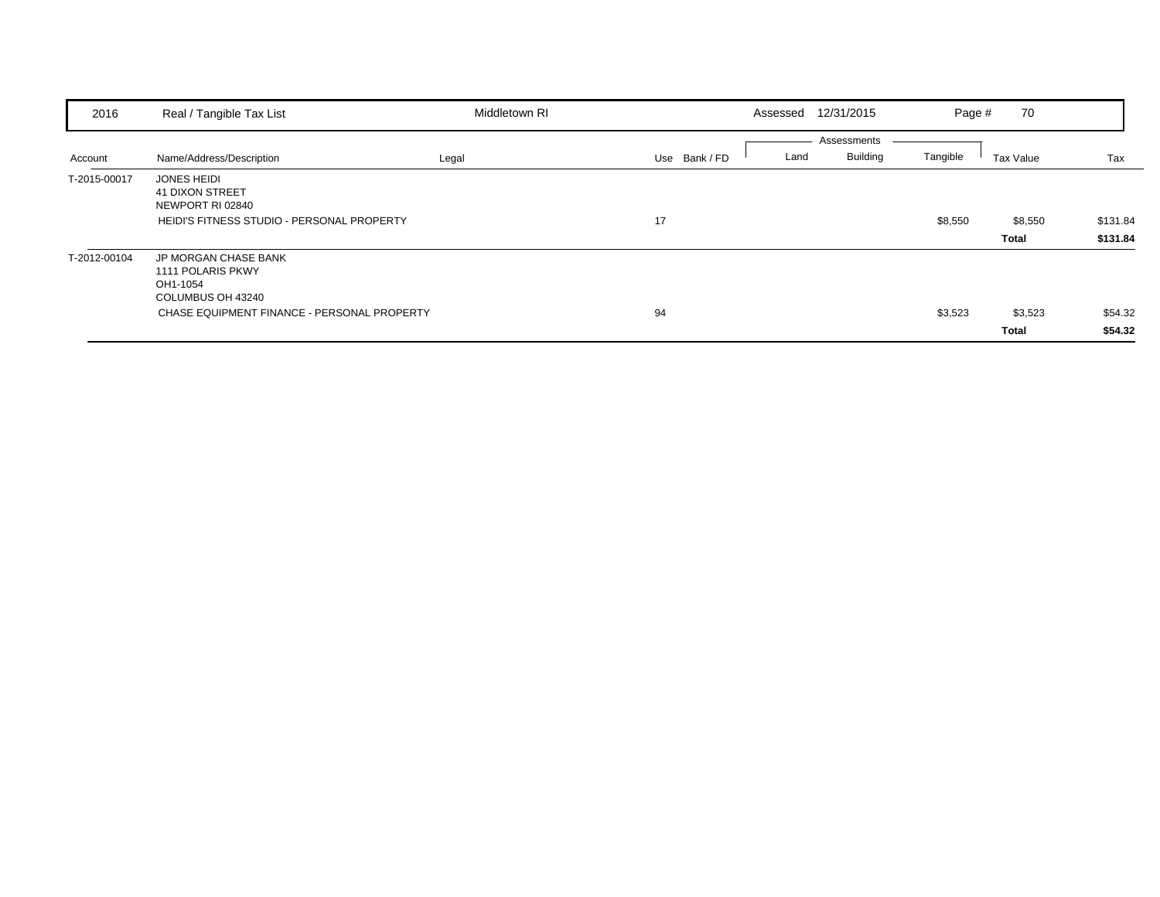| 2016         | Real / Tangible Tax List                                                                                                         | Middletown RI |               | 12/31/2015<br>Assessed                 | Page #   | 70                      |                      |
|--------------|----------------------------------------------------------------------------------------------------------------------------------|---------------|---------------|----------------------------------------|----------|-------------------------|----------------------|
| Account      | Name/Address/Description                                                                                                         | Legal         | Use Bank / FD | Assessments<br><b>Building</b><br>Land | Tangible | Tax Value               | Tax                  |
| T-2015-00017 | <b>JONES HEIDI</b><br><b>41 DIXON STREET</b><br>NEWPORT RI 02840<br>HEIDI'S FITNESS STUDIO - PERSONAL PROPERTY                   |               | 17            |                                        | \$8,550  | \$8,550<br><b>Total</b> | \$131.84<br>\$131.84 |
| T-2012-00104 | <b>JP MORGAN CHASE BANK</b><br>1111 POLARIS PKWY<br>OH1-1054<br>COLUMBUS OH 43240<br>CHASE EQUIPMENT FINANCE - PERSONAL PROPERTY |               | 94            |                                        | \$3,523  | \$3,523<br>Total        | \$54.32<br>\$54.32   |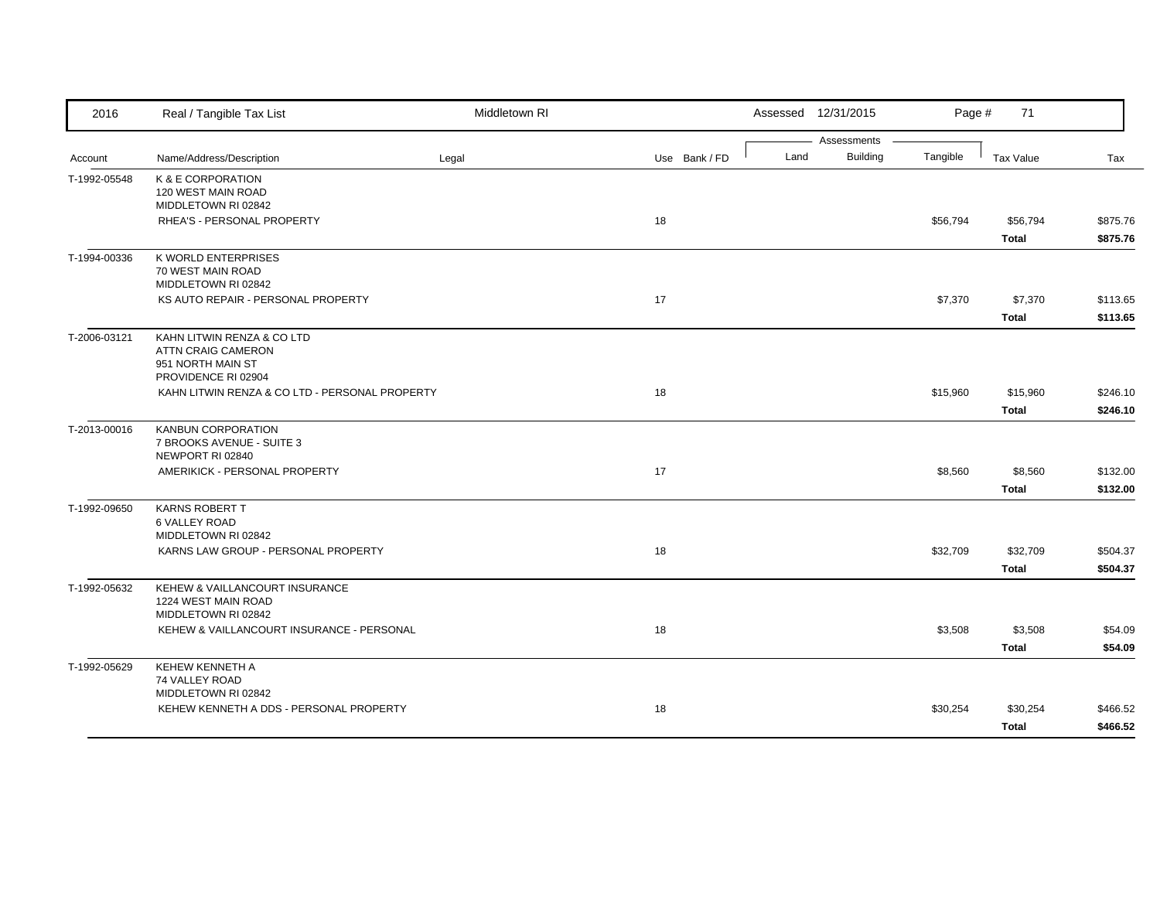| 2016         | Real / Tangible Tax List                       | Middletown RI |               |      | Assessed 12/31/2015            | Page #   | 71           |          |
|--------------|------------------------------------------------|---------------|---------------|------|--------------------------------|----------|--------------|----------|
| Account      | Name/Address/Description                       | Legal         | Use Bank / FD | Land | Assessments<br><b>Building</b> | Tangible | Tax Value    | Tax      |
|              |                                                |               |               |      |                                |          |              |          |
| T-1992-05548 | K & E CORPORATION<br>120 WEST MAIN ROAD        |               |               |      |                                |          |              |          |
|              | MIDDLETOWN RI 02842                            |               |               |      |                                |          |              |          |
|              | RHEA'S - PERSONAL PROPERTY                     |               | 18            |      |                                | \$56,794 | \$56,794     | \$875.76 |
|              |                                                |               |               |      |                                |          | Total        | \$875.76 |
| T-1994-00336 | K WORLD ENTERPRISES                            |               |               |      |                                |          |              |          |
|              | 70 WEST MAIN ROAD                              |               |               |      |                                |          |              |          |
|              | MIDDLETOWN RI 02842                            |               |               |      |                                |          |              |          |
|              | KS AUTO REPAIR - PERSONAL PROPERTY             |               | 17            |      |                                | \$7,370  | \$7,370      | \$113.65 |
|              |                                                |               |               |      |                                |          | <b>Total</b> | \$113.65 |
| T-2006-03121 | KAHN LITWIN RENZA & CO LTD                     |               |               |      |                                |          |              |          |
|              | ATTN CRAIG CAMERON                             |               |               |      |                                |          |              |          |
|              | 951 NORTH MAIN ST<br>PROVIDENCE RI 02904       |               |               |      |                                |          |              |          |
|              | KAHN LITWIN RENZA & CO LTD - PERSONAL PROPERTY |               | 18            |      |                                | \$15,960 | \$15,960     | \$246.10 |
|              |                                                |               |               |      |                                |          | <b>Total</b> | \$246.10 |
| T-2013-00016 | <b>KANBUN CORPORATION</b>                      |               |               |      |                                |          |              |          |
|              | 7 BROOKS AVENUE - SUITE 3                      |               |               |      |                                |          |              |          |
|              | NEWPORT RI 02840                               |               |               |      |                                |          |              |          |
|              | AMERIKICK - PERSONAL PROPERTY                  |               | 17            |      |                                | \$8,560  | \$8,560      | \$132.00 |
|              |                                                |               |               |      |                                |          | <b>Total</b> | \$132.00 |
| T-1992-09650 | <b>KARNS ROBERT T</b>                          |               |               |      |                                |          |              |          |
|              | 6 VALLEY ROAD                                  |               |               |      |                                |          |              |          |
|              | MIDDLETOWN RI 02842                            |               |               |      |                                |          |              |          |
|              | KARNS LAW GROUP - PERSONAL PROPERTY            |               | 18            |      |                                | \$32,709 | \$32,709     | \$504.37 |
|              |                                                |               |               |      |                                |          | <b>Total</b> | \$504.37 |
| T-1992-05632 | KEHEW & VAILLANCOURT INSURANCE                 |               |               |      |                                |          |              |          |
|              | 1224 WEST MAIN ROAD<br>MIDDLETOWN RI 02842     |               |               |      |                                |          |              |          |
|              | KEHEW & VAILLANCOURT INSURANCE - PERSONAL      |               | 18            |      |                                | \$3,508  | \$3,508      | \$54.09  |
|              |                                                |               |               |      |                                |          |              |          |
|              |                                                |               |               |      |                                |          | <b>Total</b> | \$54.09  |
| T-1992-05629 | KEHEW KENNETH A<br>74 VALLEY ROAD              |               |               |      |                                |          |              |          |
|              | MIDDLETOWN RI 02842                            |               |               |      |                                |          |              |          |
|              | KEHEW KENNETH A DDS - PERSONAL PROPERTY        |               | 18            |      |                                | \$30,254 | \$30,254     | \$466.52 |
|              |                                                |               |               |      |                                |          | <b>Total</b> | \$466.52 |
|              |                                                |               |               |      |                                |          |              |          |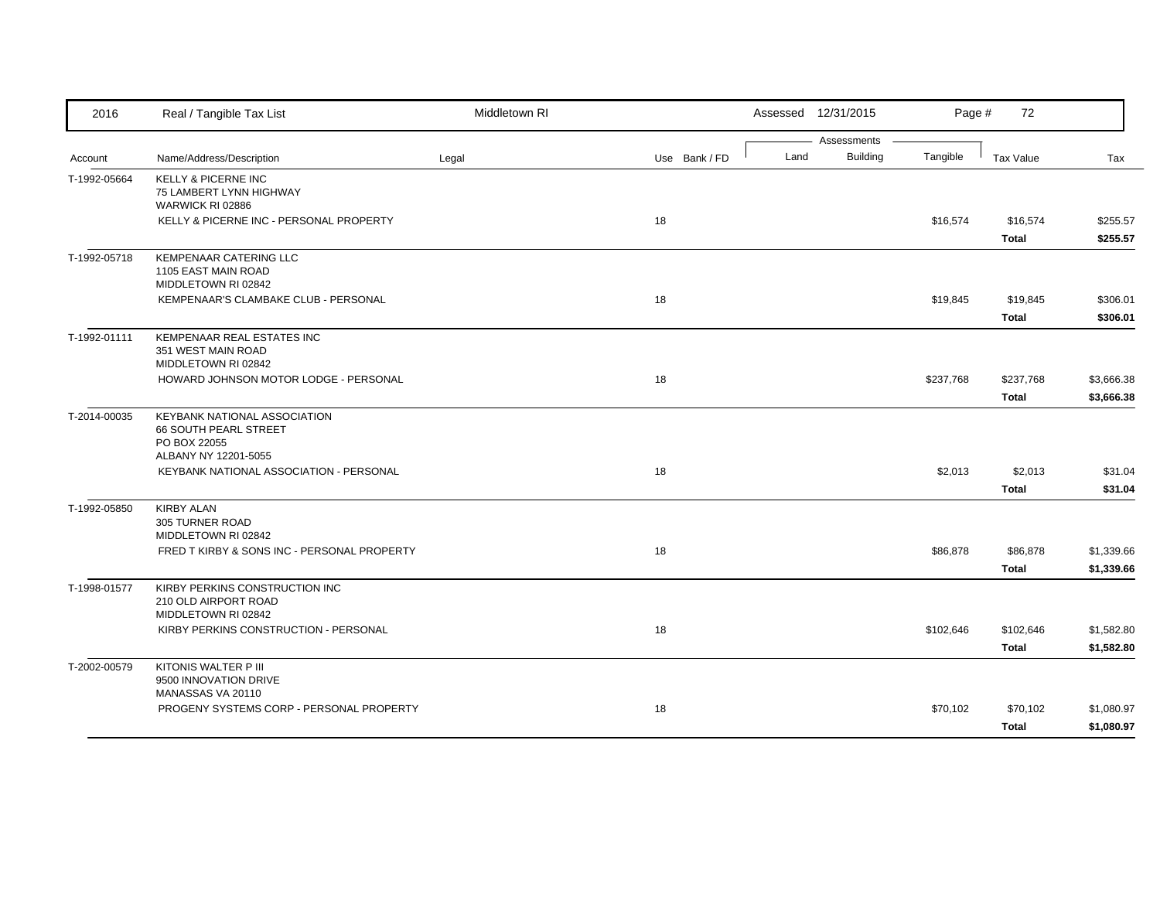| 2016         | Real / Tangible Tax List                                                      | Middletown RI |               |      | Assessed 12/31/2015            | Page #    | 72                       |                          |
|--------------|-------------------------------------------------------------------------------|---------------|---------------|------|--------------------------------|-----------|--------------------------|--------------------------|
| Account      | Name/Address/Description                                                      | Legal         | Use Bank / FD | Land | Assessments<br><b>Building</b> | Tangible  | <b>Tax Value</b>         | Tax                      |
|              |                                                                               |               |               |      |                                |           |                          |                          |
| T-1992-05664 | <b>KELLY &amp; PICERNE INC</b><br>75 LAMBERT LYNN HIGHWAY<br>WARWICK RI 02886 |               |               |      |                                |           |                          |                          |
|              | KELLY & PICERNE INC - PERSONAL PROPERTY                                       |               | 18            |      |                                | \$16,574  | \$16,574                 | \$255.57                 |
|              |                                                                               |               |               |      |                                |           | <b>Total</b>             | \$255.57                 |
| T-1992-05718 | <b>KEMPENAAR CATERING LLC</b><br>1105 EAST MAIN ROAD<br>MIDDLETOWN RI 02842   |               |               |      |                                |           |                          |                          |
|              | KEMPENAAR'S CLAMBAKE CLUB - PERSONAL                                          |               | 18            |      |                                | \$19,845  | \$19,845                 | \$306.01                 |
|              |                                                                               |               |               |      |                                |           | <b>Total</b>             | \$306.01                 |
| T-1992-01111 | KEMPENAAR REAL ESTATES INC<br>351 WEST MAIN ROAD<br>MIDDLETOWN RI 02842       |               |               |      |                                |           |                          |                          |
|              | HOWARD JOHNSON MOTOR LODGE - PERSONAL                                         |               | 18            |      |                                | \$237,768 | \$237,768                | \$3,666.38               |
|              |                                                                               |               |               |      |                                |           | <b>Total</b>             | \$3,666.38               |
| T-2014-00035 | KEYBANK NATIONAL ASSOCIATION<br>66 SOUTH PEARL STREET<br>PO BOX 22055         |               |               |      |                                |           |                          |                          |
|              | ALBANY NY 12201-5055<br>KEYBANK NATIONAL ASSOCIATION - PERSONAL               |               | 18            |      |                                | \$2,013   | \$2,013                  | \$31.04                  |
|              |                                                                               |               |               |      |                                |           | <b>Total</b>             | \$31.04                  |
| T-1992-05850 | <b>KIRBY ALAN</b><br>305 TURNER ROAD                                          |               |               |      |                                |           |                          |                          |
|              | MIDDLETOWN RI 02842                                                           |               |               |      |                                |           |                          |                          |
|              | FRED T KIRBY & SONS INC - PERSONAL PROPERTY                                   |               | 18            |      |                                | \$86,878  | \$86,878<br><b>Total</b> | \$1,339.66<br>\$1,339.66 |
| T-1998-01577 | KIRBY PERKINS CONSTRUCTION INC                                                |               |               |      |                                |           |                          |                          |
|              | 210 OLD AIRPORT ROAD                                                          |               |               |      |                                |           |                          |                          |
|              | MIDDLETOWN RI 02842                                                           |               |               |      |                                |           |                          |                          |
|              | KIRBY PERKINS CONSTRUCTION - PERSONAL                                         |               | 18            |      |                                | \$102,646 | \$102,646                | \$1,582.80               |
|              |                                                                               |               |               |      |                                |           | <b>Total</b>             | \$1,582.80               |
| T-2002-00579 | KITONIS WALTER P III<br>9500 INNOVATION DRIVE<br>MANASSAS VA 20110            |               |               |      |                                |           |                          |                          |
|              | PROGENY SYSTEMS CORP - PERSONAL PROPERTY                                      |               | 18            |      |                                | \$70,102  | \$70,102                 | \$1,080.97               |
|              |                                                                               |               |               |      |                                |           | <b>Total</b>             | \$1,080.97               |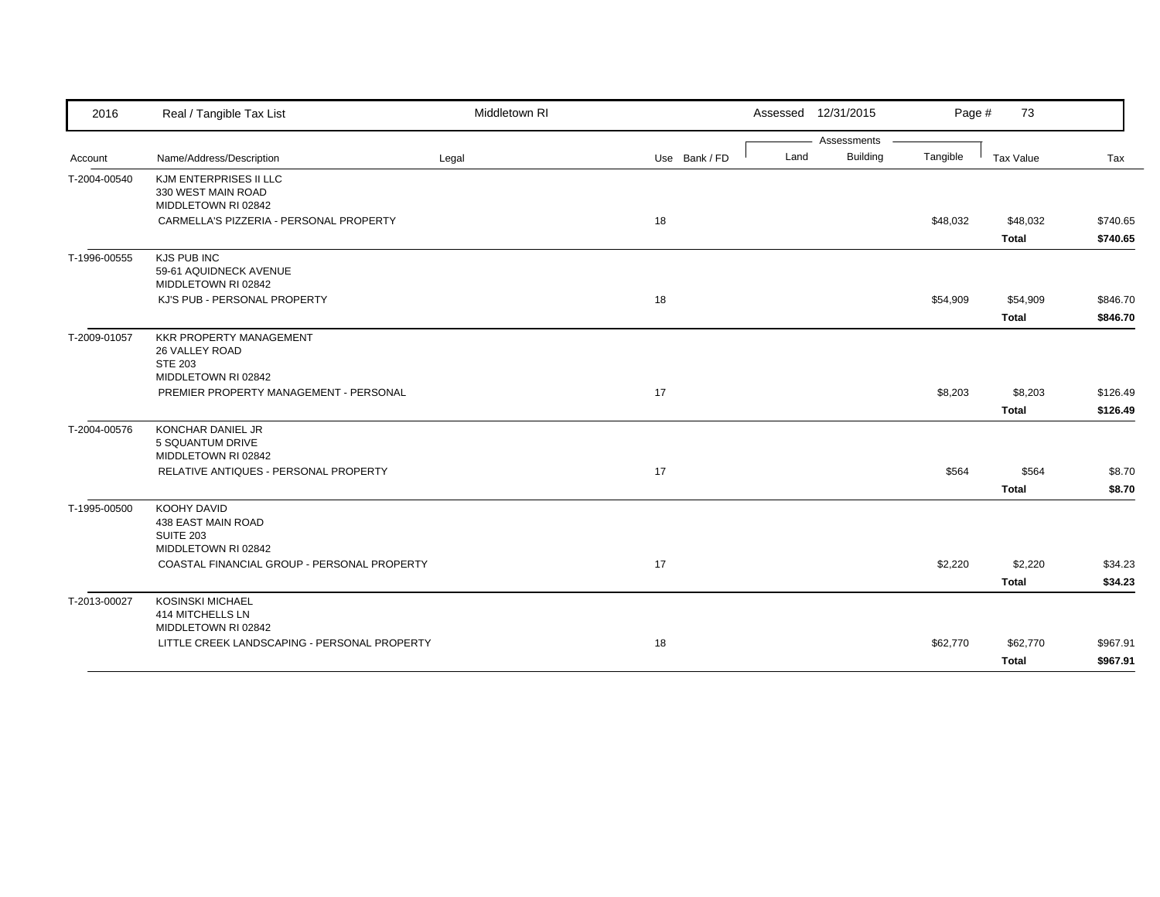| 2016         | Real / Tangible Tax List                                                     | Middletown RI |               | Assessed 12/31/2015 | Page #   | 73                       |                      |
|--------------|------------------------------------------------------------------------------|---------------|---------------|---------------------|----------|--------------------------|----------------------|
|              |                                                                              |               |               | Assessments         |          |                          |                      |
| Account      | Name/Address/Description                                                     | Legal         | Use Bank / FD | Building<br>Land    | Tangible | Tax Value                | Tax                  |
| T-2004-00540 | KJM ENTERPRISES II LLC<br>330 WEST MAIN ROAD<br>MIDDLETOWN RI 02842          |               |               |                     |          |                          |                      |
|              | CARMELLA'S PIZZERIA - PERSONAL PROPERTY                                      |               | 18            |                     | \$48,032 | \$48,032<br><b>Total</b> | \$740.65<br>\$740.65 |
| T-1996-00555 | KJS PUB INC<br>59-61 AQUIDNECK AVENUE<br>MIDDLETOWN RI 02842                 |               |               |                     |          |                          |                      |
|              | KJ'S PUB - PERSONAL PROPERTY                                                 |               | 18            |                     | \$54,909 | \$54,909<br><b>Total</b> | \$846.70<br>\$846.70 |
| T-2009-01057 | <b>KKR PROPERTY MANAGEMENT</b><br>26 VALLEY ROAD<br><b>STE 203</b>           |               |               |                     |          |                          |                      |
|              | MIDDLETOWN RI 02842<br>PREMIER PROPERTY MANAGEMENT - PERSONAL                |               | 17            |                     | \$8,203  | \$8,203<br><b>Total</b>  | \$126.49<br>\$126.49 |
| T-2004-00576 | KONCHAR DANIEL JR<br>5 SQUANTUM DRIVE<br>MIDDLETOWN RI 02842                 |               |               |                     |          |                          |                      |
|              | RELATIVE ANTIQUES - PERSONAL PROPERTY                                        |               | 17            |                     | \$564    | \$564<br><b>Total</b>    | \$8.70<br>\$8.70     |
| T-1995-00500 | KOOHY DAVID<br>438 EAST MAIN ROAD<br><b>SUITE 203</b><br>MIDDLETOWN RI 02842 |               |               |                     |          |                          |                      |
|              | COASTAL FINANCIAL GROUP - PERSONAL PROPERTY                                  |               | 17            |                     | \$2,220  | \$2,220<br><b>Total</b>  | \$34.23<br>\$34.23   |
| T-2013-00027 | <b>KOSINSKI MICHAEL</b><br>414 MITCHELLS LN<br>MIDDLETOWN RI 02842           |               |               |                     |          |                          |                      |
|              | LITTLE CREEK LANDSCAPING - PERSONAL PROPERTY                                 |               | 18            |                     | \$62,770 | \$62,770<br><b>Total</b> | \$967.91<br>\$967.91 |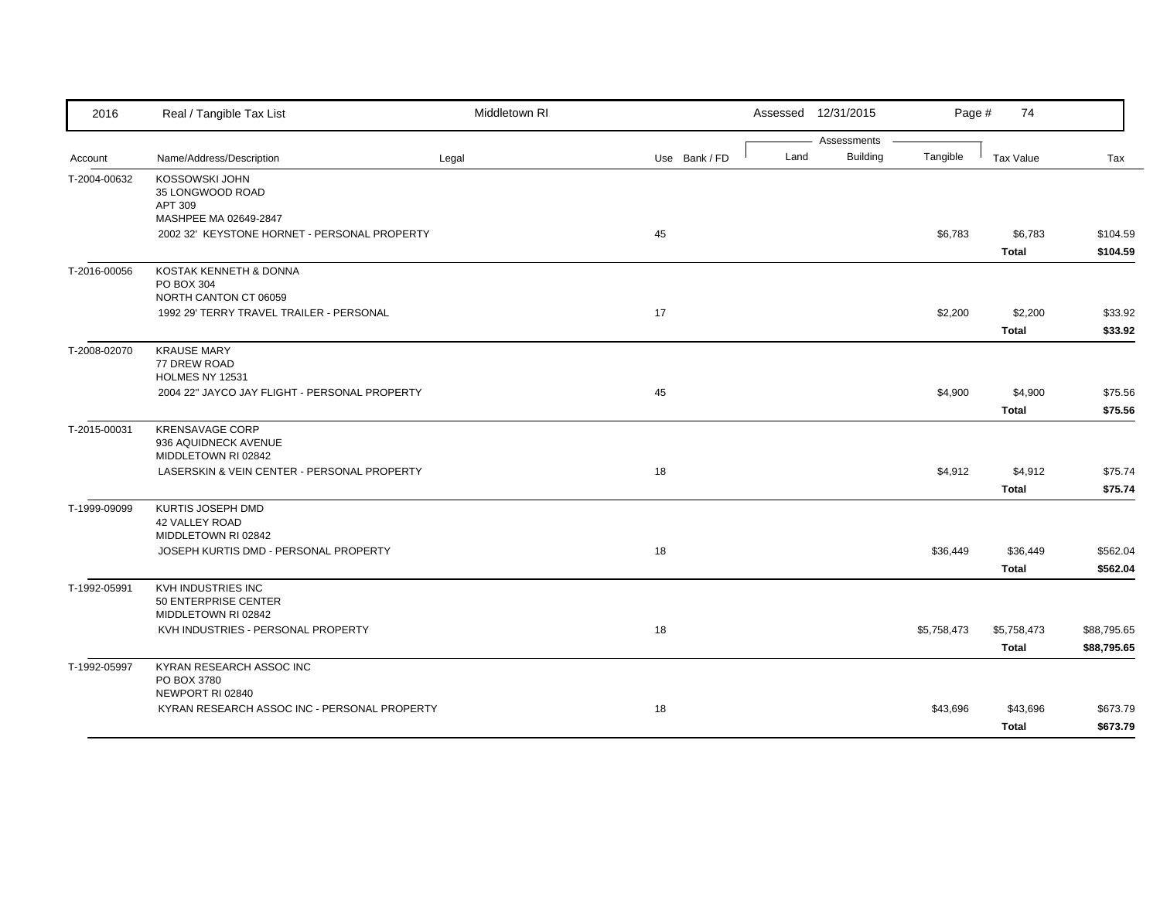| 2016         | Real / Tangible Tax List                                               | Middletown RI |               |      | Assessed 12/31/2015            | Page #      | 74                          |                            |
|--------------|------------------------------------------------------------------------|---------------|---------------|------|--------------------------------|-------------|-----------------------------|----------------------------|
| Account      | Name/Address/Description                                               | Legal         | Use Bank / FD | Land | Assessments<br><b>Building</b> | Tangible    | Tax Value                   | Tax                        |
| T-2004-00632 | KOSSOWSKI JOHN<br>35 LONGWOOD ROAD<br>APT 309<br>MASHPEE MA 02649-2847 |               |               |      |                                |             |                             |                            |
|              | 2002 32' KEYSTONE HORNET - PERSONAL PROPERTY                           |               | 45            |      |                                | \$6,783     | \$6,783<br><b>Total</b>     | \$104.59<br>\$104.59       |
| T-2016-00056 | KOSTAK KENNETH & DONNA<br>PO BOX 304<br>NORTH CANTON CT 06059          |               |               |      |                                |             |                             |                            |
|              | 1992 29' TERRY TRAVEL TRAILER - PERSONAL                               |               | 17            |      |                                | \$2,200     | \$2,200<br><b>Total</b>     | \$33.92<br>\$33.92         |
| T-2008-02070 | <b>KRAUSE MARY</b><br>77 DREW ROAD<br>HOLMES NY 12531                  |               |               |      |                                |             |                             |                            |
|              | 2004 22" JAYCO JAY FLIGHT - PERSONAL PROPERTY                          |               | 45            |      |                                | \$4,900     | \$4,900<br><b>Total</b>     | \$75.56<br>\$75.56         |
| T-2015-00031 | <b>KRENSAVAGE CORP</b><br>936 AQUIDNECK AVENUE<br>MIDDLETOWN RI 02842  |               |               |      |                                |             |                             |                            |
|              | LASERSKIN & VEIN CENTER - PERSONAL PROPERTY                            |               | 18            |      |                                | \$4,912     | \$4,912<br><b>Total</b>     | \$75.74<br>\$75.74         |
| T-1999-09099 | KURTIS JOSEPH DMD<br>42 VALLEY ROAD<br>MIDDLETOWN RI 02842             |               |               |      |                                |             |                             |                            |
|              | JOSEPH KURTIS DMD - PERSONAL PROPERTY                                  |               | 18            |      |                                | \$36,449    | \$36,449<br><b>Total</b>    | \$562.04<br>\$562.04       |
| T-1992-05991 | KVH INDUSTRIES INC<br>50 ENTERPRISE CENTER<br>MIDDLETOWN RI 02842      |               |               |      |                                |             |                             |                            |
|              | KVH INDUSTRIES - PERSONAL PROPERTY                                     |               | 18            |      |                                | \$5,758,473 | \$5,758,473<br><b>Total</b> | \$88,795.65<br>\$88,795.65 |
| T-1992-05997 | KYRAN RESEARCH ASSOC INC<br>PO BOX 3780<br>NEWPORT RI 02840            |               |               |      |                                |             |                             |                            |
|              | KYRAN RESEARCH ASSOC INC - PERSONAL PROPERTY                           |               | 18            |      |                                | \$43,696    | \$43,696<br><b>Total</b>    | \$673.79<br>\$673.79       |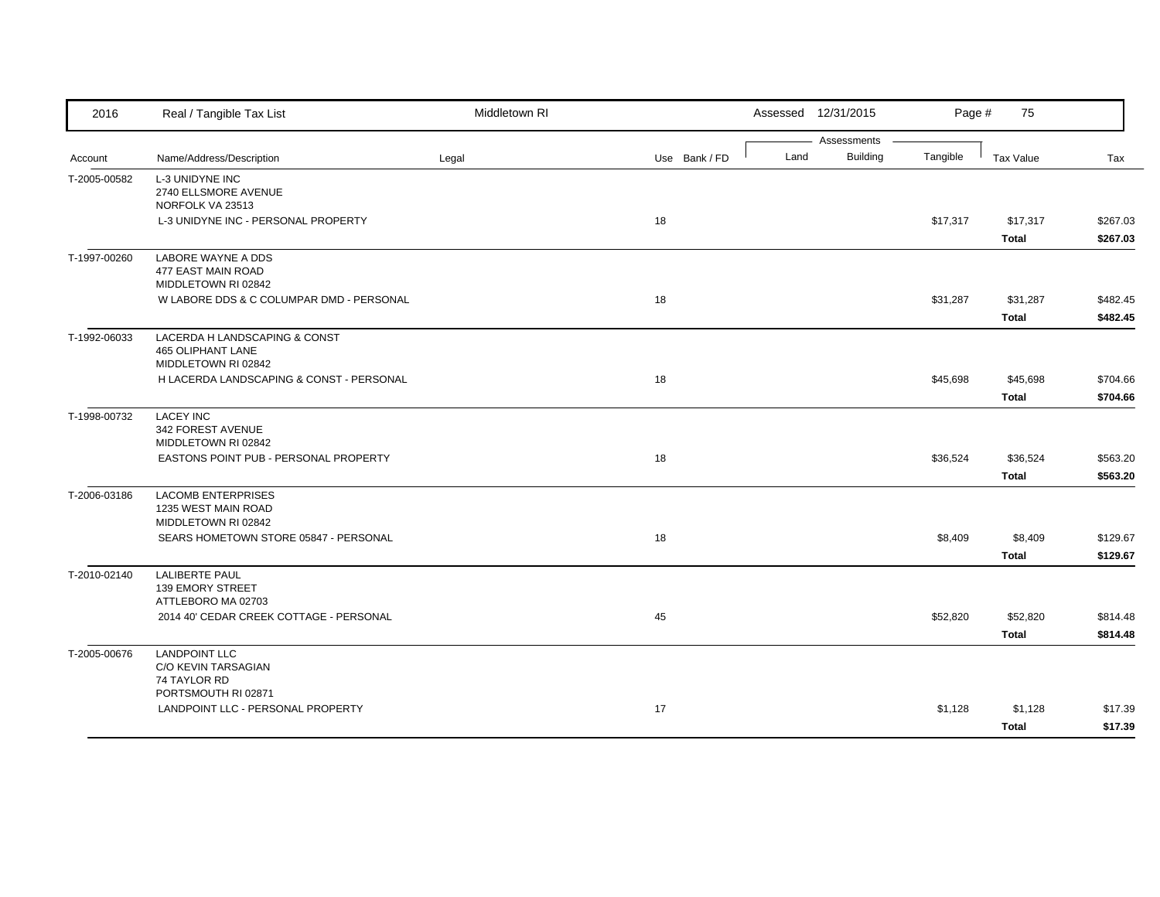| 2016         | Real / Tangible Tax List                        | Middletown RI |               | Assessed 12/31/2015 |                             | 75<br>Page #     |          |
|--------------|-------------------------------------------------|---------------|---------------|---------------------|-----------------------------|------------------|----------|
|              |                                                 |               |               |                     | Assessments                 |                  |          |
| Account      | Name/Address/Description                        | Legal         | Use Bank / FD | Land                | <b>Building</b><br>Tangible | <b>Tax Value</b> | Tax      |
| T-2005-00582 | L-3 UNIDYNE INC                                 |               |               |                     |                             |                  |          |
|              | 2740 ELLSMORE AVENUE<br>NORFOLK VA 23513        |               |               |                     |                             |                  |          |
|              | L-3 UNIDYNE INC - PERSONAL PROPERTY             |               | 18            |                     | \$17,317                    | \$17,317         | \$267.03 |
|              |                                                 |               |               |                     |                             | <b>Total</b>     | \$267.03 |
| T-1997-00260 | LABORE WAYNE A DDS                              |               |               |                     |                             |                  |          |
|              | 477 EAST MAIN ROAD                              |               |               |                     |                             |                  |          |
|              | MIDDLETOWN RI 02842                             |               |               |                     |                             |                  |          |
|              | W LABORE DDS & C COLUMPAR DMD - PERSONAL        |               | 18            |                     | \$31,287                    | \$31,287         | \$482.45 |
|              |                                                 |               |               |                     |                             | Total            | \$482.45 |
| T-1992-06033 | LACERDA H LANDSCAPING & CONST                   |               |               |                     |                             |                  |          |
|              | <b>465 OLIPHANT LANE</b><br>MIDDLETOWN RI 02842 |               |               |                     |                             |                  |          |
|              | H LACERDA LANDSCAPING & CONST - PERSONAL        |               | 18            |                     | \$45,698                    | \$45,698         | \$704.66 |
|              |                                                 |               |               |                     |                             | <b>Total</b>     | \$704.66 |
| T-1998-00732 | <b>LACEY INC</b>                                |               |               |                     |                             |                  |          |
|              | 342 FOREST AVENUE                               |               |               |                     |                             |                  |          |
|              | MIDDLETOWN RI 02842                             |               |               |                     |                             |                  |          |
|              | EASTONS POINT PUB - PERSONAL PROPERTY           |               | 18            |                     | \$36,524                    | \$36,524         | \$563.20 |
|              |                                                 |               |               |                     |                             | <b>Total</b>     | \$563.20 |
| T-2006-03186 | <b>LACOMB ENTERPRISES</b>                       |               |               |                     |                             |                  |          |
|              | 1235 WEST MAIN ROAD<br>MIDDLETOWN RI 02842      |               |               |                     |                             |                  |          |
|              | SEARS HOMETOWN STORE 05847 - PERSONAL           |               | 18            |                     | \$8,409                     | \$8,409          | \$129.67 |
|              |                                                 |               |               |                     |                             | <b>Total</b>     | \$129.67 |
|              | <b>LALIBERTE PAUL</b>                           |               |               |                     |                             |                  |          |
| T-2010-02140 | <b>139 EMORY STREET</b>                         |               |               |                     |                             |                  |          |
|              | ATTLEBORO MA 02703                              |               |               |                     |                             |                  |          |
|              | 2014 40' CEDAR CREEK COTTAGE - PERSONAL         |               | 45            |                     | \$52,820                    | \$52,820         | \$814.48 |
|              |                                                 |               |               |                     |                             | <b>Total</b>     | \$814.48 |
| T-2005-00676 | <b>LANDPOINT LLC</b>                            |               |               |                     |                             |                  |          |
|              | C/O KEVIN TARSAGIAN                             |               |               |                     |                             |                  |          |
|              | 74 TAYLOR RD<br>PORTSMOUTH RI 02871             |               |               |                     |                             |                  |          |
|              | LANDPOINT LLC - PERSONAL PROPERTY               |               | 17            |                     | \$1,128                     | \$1,128          | \$17.39  |
|              |                                                 |               |               |                     |                             | <b>Total</b>     | \$17.39  |
|              |                                                 |               |               |                     |                             |                  |          |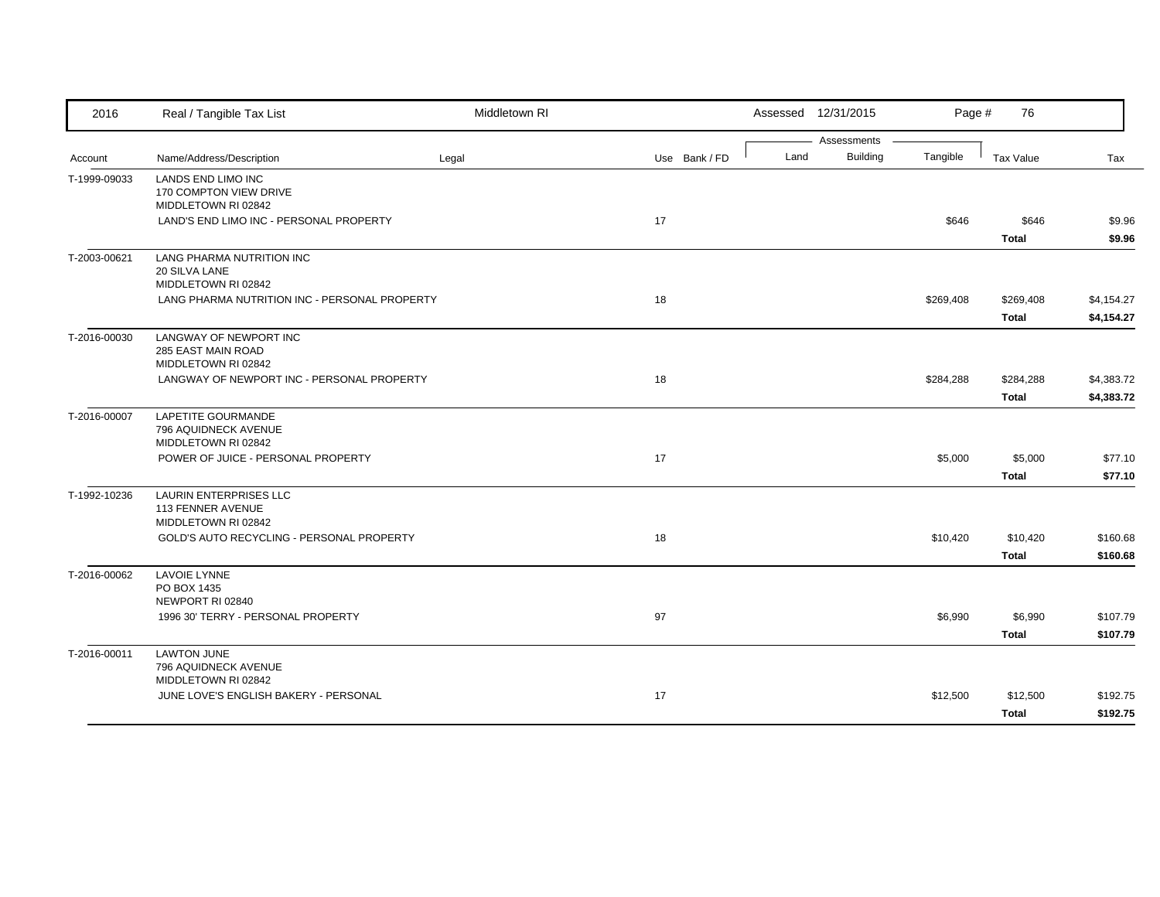| 2016         | Real / Tangible Tax List                                                  | Middletown RI |               |      | Assessed 12/31/2015     | Page #    | 76                        |                          |
|--------------|---------------------------------------------------------------------------|---------------|---------------|------|-------------------------|-----------|---------------------------|--------------------------|
| Account      | Name/Address/Description                                                  | Legal         | Use Bank / FD | Land | Assessments<br>Building | Tangible  | Tax Value                 | Tax                      |
| T-1999-09033 | LANDS END LIMO INC<br>170 COMPTON VIEW DRIVE<br>MIDDLETOWN RI 02842       |               |               |      |                         |           |                           |                          |
|              | LAND'S END LIMO INC - PERSONAL PROPERTY                                   |               | 17            |      |                         | \$646     | \$646<br><b>Total</b>     | \$9.96<br>\$9.96         |
| T-2003-00621 | LANG PHARMA NUTRITION INC<br>20 SILVA LANE<br>MIDDLETOWN RI 02842         |               |               |      |                         |           |                           |                          |
|              | LANG PHARMA NUTRITION INC - PERSONAL PROPERTY                             |               | 18            |      |                         | \$269,408 | \$269,408<br><b>Total</b> | \$4,154.27<br>\$4,154.27 |
| T-2016-00030 | LANGWAY OF NEWPORT INC<br>285 EAST MAIN ROAD<br>MIDDLETOWN RI 02842       |               |               |      |                         |           |                           |                          |
|              | LANGWAY OF NEWPORT INC - PERSONAL PROPERTY                                |               | 18            |      |                         | \$284,288 | \$284,288<br><b>Total</b> | \$4,383.72<br>\$4,383.72 |
| T-2016-00007 | <b>LAPETITE GOURMANDE</b><br>796 AQUIDNECK AVENUE<br>MIDDLETOWN RI 02842  |               |               |      |                         |           |                           |                          |
|              | POWER OF JUICE - PERSONAL PROPERTY                                        |               | 17            |      |                         | \$5,000   | \$5,000<br><b>Total</b>   | \$77.10<br>\$77.10       |
| T-1992-10236 | <b>LAURIN ENTERPRISES LLC</b><br>113 FENNER AVENUE<br>MIDDLETOWN RI 02842 |               |               |      |                         |           |                           |                          |
|              | GOLD'S AUTO RECYCLING - PERSONAL PROPERTY                                 |               | 18            |      |                         | \$10,420  | \$10,420<br><b>Total</b>  | \$160.68<br>\$160.68     |
| T-2016-00062 | <b>LAVOIE LYNNE</b><br>PO BOX 1435<br>NEWPORT RI 02840                    |               |               |      |                         |           |                           |                          |
|              | 1996 30' TERRY - PERSONAL PROPERTY                                        |               | 97            |      |                         | \$6,990   | \$6,990<br><b>Total</b>   | \$107.79<br>\$107.79     |
| T-2016-00011 | <b>LAWTON JUNE</b><br>796 AQUIDNECK AVENUE<br>MIDDLETOWN RI 02842         |               |               |      |                         |           |                           |                          |
|              | JUNE LOVE'S ENGLISH BAKERY - PERSONAL                                     |               | 17            |      |                         | \$12,500  | \$12,500<br><b>Total</b>  | \$192.75<br>\$192.75     |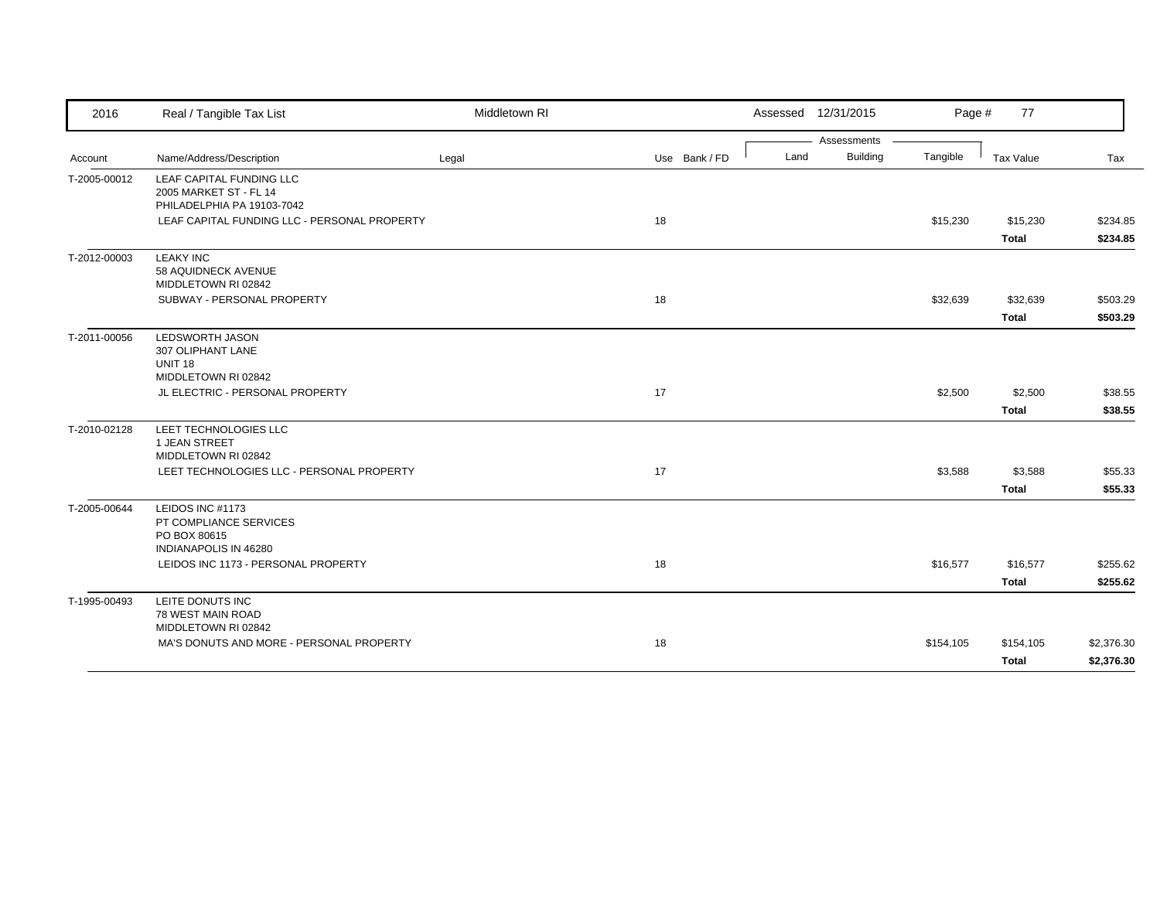| 2016         | Real / Tangible Tax List                                                                   | Middletown RI |               |      | Assessed 12/31/2015 | Page #    | 77                       |                      |
|--------------|--------------------------------------------------------------------------------------------|---------------|---------------|------|---------------------|-----------|--------------------------|----------------------|
|              |                                                                                            |               |               |      | Assessments         |           |                          |                      |
| Account      | Name/Address/Description                                                                   | Legal         | Use Bank / FD | Land | <b>Building</b>     | Tangible  | Tax Value                | Tax                  |
| T-2005-00012 | LEAF CAPITAL FUNDING LLC<br>2005 MARKET ST - FL 14<br>PHILADELPHIA PA 19103-7042           |               |               |      |                     |           |                          |                      |
|              | LEAF CAPITAL FUNDING LLC - PERSONAL PROPERTY                                               |               | 18            |      |                     | \$15,230  | \$15,230<br><b>Total</b> | \$234.85<br>\$234.85 |
| T-2012-00003 | <b>LEAKY INC</b><br>58 AQUIDNECK AVENUE<br>MIDDLETOWN RI 02842                             |               |               |      |                     |           |                          |                      |
|              | SUBWAY - PERSONAL PROPERTY                                                                 |               | 18            |      |                     | \$32,639  | \$32,639                 | \$503.29             |
|              |                                                                                            |               |               |      |                     |           | <b>Total</b>             | \$503.29             |
| T-2011-00056 | <b>LEDSWORTH JASON</b><br>307 OLIPHANT LANE<br><b>UNIT 18</b><br>MIDDLETOWN RI 02842       |               |               |      |                     |           |                          |                      |
|              | JL ELECTRIC - PERSONAL PROPERTY                                                            |               | 17            |      |                     | \$2,500   | \$2,500                  | \$38.55              |
|              |                                                                                            |               |               |      |                     |           | <b>Total</b>             | \$38.55              |
| T-2010-02128 | LEET TECHNOLOGIES LLC<br>1 JEAN STREET<br>MIDDLETOWN RI 02842                              |               |               |      |                     |           |                          |                      |
|              | LEET TECHNOLOGIES LLC - PERSONAL PROPERTY                                                  |               | 17            |      |                     | \$3,588   | \$3,588<br><b>Total</b>  | \$55.33<br>\$55.33   |
| T-2005-00644 | LEIDOS INC #1173<br>PT COMPLIANCE SERVICES<br>PO BOX 80615<br><b>INDIANAPOLIS IN 46280</b> |               |               |      |                     |           |                          |                      |
|              | LEIDOS INC 1173 - PERSONAL PROPERTY                                                        |               | 18            |      |                     | \$16,577  | \$16,577                 | \$255.62             |
|              |                                                                                            |               |               |      |                     |           | <b>Total</b>             | \$255.62             |
| T-1995-00493 | LEITE DONUTS INC<br>78 WEST MAIN ROAD<br>MIDDLETOWN RI 02842                               |               |               |      |                     |           |                          |                      |
|              | MA'S DONUTS AND MORE - PERSONAL PROPERTY                                                   |               | 18            |      |                     | \$154,105 | \$154,105                | \$2,376.30           |
|              |                                                                                            |               |               |      |                     |           | <b>Total</b>             | \$2,376.30           |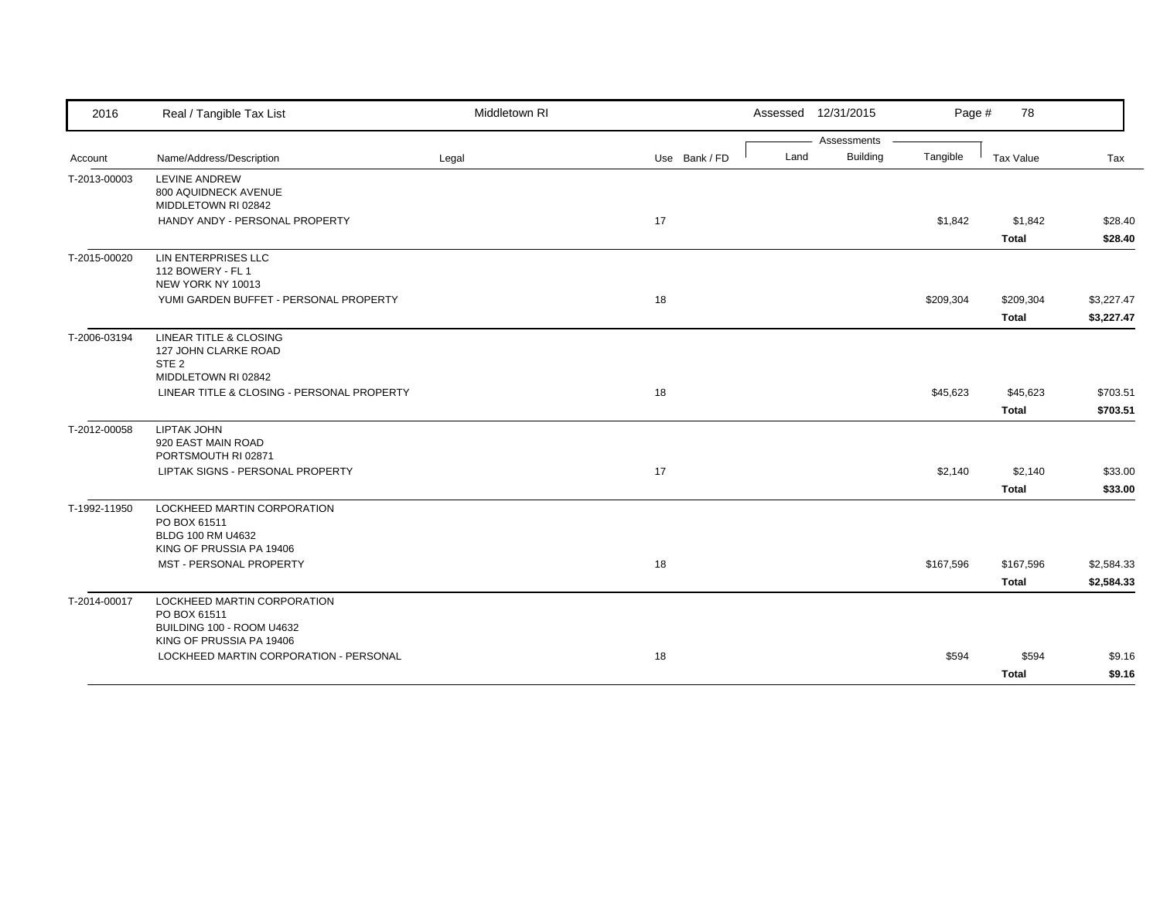| 2016         | Real / Tangible Tax List                                | Middletown RI |               |      | Assessed 12/31/2015            | Page #    | 78           |            |
|--------------|---------------------------------------------------------|---------------|---------------|------|--------------------------------|-----------|--------------|------------|
| Account      | Name/Address/Description                                | Legal         | Use Bank / FD | Land | Assessments<br><b>Building</b> | Tangible  | Tax Value    | Tax        |
|              |                                                         |               |               |      |                                |           |              |            |
| T-2013-00003 | LEVINE ANDREW<br>800 AQUIDNECK AVENUE                   |               |               |      |                                |           |              |            |
|              | MIDDLETOWN RI 02842                                     |               |               |      |                                |           |              |            |
|              | HANDY ANDY - PERSONAL PROPERTY                          |               | 17            |      |                                | \$1,842   | \$1,842      | \$28.40    |
|              |                                                         |               |               |      |                                |           | <b>Total</b> | \$28.40    |
| T-2015-00020 | LIN ENTERPRISES LLC                                     |               |               |      |                                |           |              |            |
|              | 112 BOWERY - FL 1<br>NEW YORK NY 10013                  |               |               |      |                                |           |              |            |
|              | YUMI GARDEN BUFFET - PERSONAL PROPERTY                  |               | 18            |      |                                | \$209,304 | \$209,304    | \$3,227.47 |
|              |                                                         |               |               |      |                                |           |              |            |
|              |                                                         |               |               |      |                                |           | <b>Total</b> | \$3,227.47 |
| T-2006-03194 | LINEAR TITLE & CLOSING                                  |               |               |      |                                |           |              |            |
|              | 127 JOHN CLARKE ROAD<br>STE <sub>2</sub>                |               |               |      |                                |           |              |            |
|              | MIDDLETOWN RI 02842                                     |               |               |      |                                |           |              |            |
|              | LINEAR TITLE & CLOSING - PERSONAL PROPERTY              |               | 18            |      |                                | \$45,623  | \$45,623     | \$703.51   |
|              |                                                         |               |               |      |                                |           | <b>Total</b> | \$703.51   |
| T-2012-00058 | <b>LIPTAK JOHN</b>                                      |               |               |      |                                |           |              |            |
|              | 920 EAST MAIN ROAD                                      |               |               |      |                                |           |              |            |
|              | PORTSMOUTH RI 02871<br>LIPTAK SIGNS - PERSONAL PROPERTY |               | 17            |      |                                |           |              |            |
|              |                                                         |               |               |      |                                | \$2,140   | \$2,140      | \$33.00    |
|              |                                                         |               |               |      |                                |           | <b>Total</b> | \$33.00    |
| T-1992-11950 | LOCKHEED MARTIN CORPORATION                             |               |               |      |                                |           |              |            |
|              | PO BOX 61511<br>BLDG 100 RM U4632                       |               |               |      |                                |           |              |            |
|              | KING OF PRUSSIA PA 19406                                |               |               |      |                                |           |              |            |
|              | MST - PERSONAL PROPERTY                                 |               | 18            |      |                                | \$167,596 | \$167,596    | \$2,584.33 |
|              |                                                         |               |               |      |                                |           | <b>Total</b> | \$2,584.33 |
| T-2014-00017 | LOCKHEED MARTIN CORPORATION                             |               |               |      |                                |           |              |            |
|              | PO BOX 61511                                            |               |               |      |                                |           |              |            |
|              | BUILDING 100 - ROOM U4632<br>KING OF PRUSSIA PA 19406   |               |               |      |                                |           |              |            |
|              | LOCKHEED MARTIN CORPORATION - PERSONAL                  |               | 18            |      |                                | \$594     | \$594        | \$9.16     |
|              |                                                         |               |               |      |                                |           | <b>Total</b> | \$9.16     |
|              |                                                         |               |               |      |                                |           |              |            |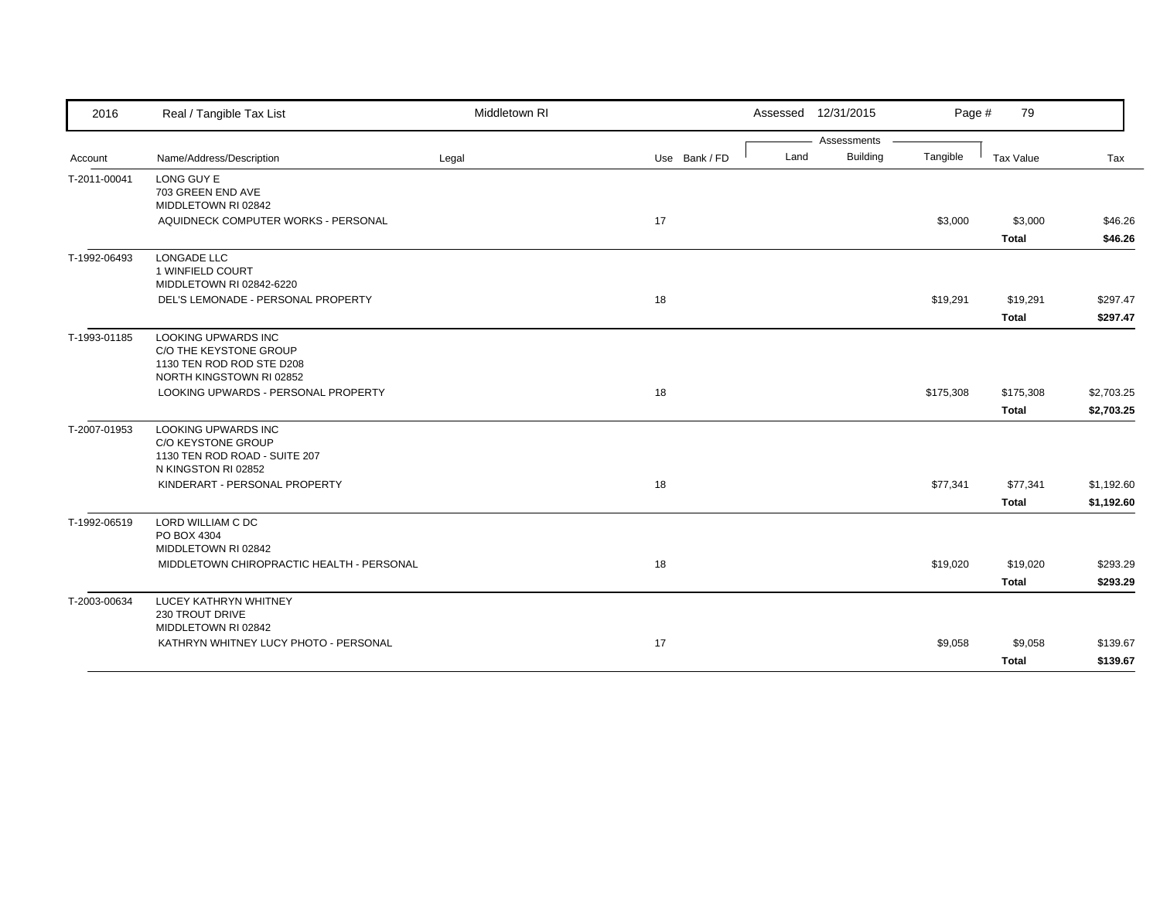| 2016         | Real / Tangible Tax List                             | Middletown RI |               |      | Assessed 12/31/2015 | Page #    | 79           |            |
|--------------|------------------------------------------------------|---------------|---------------|------|---------------------|-----------|--------------|------------|
|              |                                                      |               |               |      | Assessments         |           |              |            |
| Account      | Name/Address/Description                             | Legal         | Use Bank / FD | Land | <b>Building</b>     | Tangible  | Tax Value    | Tax        |
| T-2011-00041 | LONG GUY E                                           |               |               |      |                     |           |              |            |
|              | 703 GREEN END AVE<br>MIDDLETOWN RI 02842             |               |               |      |                     |           |              |            |
|              | AQUIDNECK COMPUTER WORKS - PERSONAL                  |               | 17            |      |                     | \$3,000   | \$3,000      | \$46.26    |
|              |                                                      |               |               |      |                     |           | <b>Total</b> | \$46.26    |
|              |                                                      |               |               |      |                     |           |              |            |
| T-1992-06493 | <b>LONGADE LLC</b><br>1 WINFIELD COURT               |               |               |      |                     |           |              |            |
|              | MIDDLETOWN RI 02842-6220                             |               |               |      |                     |           |              |            |
|              | DEL'S LEMONADE - PERSONAL PROPERTY                   |               | 18            |      |                     | \$19,291  | \$19,291     | \$297.47   |
|              |                                                      |               |               |      |                     |           | <b>Total</b> | \$297.47   |
|              |                                                      |               |               |      |                     |           |              |            |
| T-1993-01185 | <b>LOOKING UPWARDS INC</b><br>C/O THE KEYSTONE GROUP |               |               |      |                     |           |              |            |
|              | 1130 TEN ROD ROD STE D208                            |               |               |      |                     |           |              |            |
|              | NORTH KINGSTOWN RI 02852                             |               |               |      |                     |           |              |            |
|              | LOOKING UPWARDS - PERSONAL PROPERTY                  |               | 18            |      |                     | \$175,308 | \$175,308    | \$2,703.25 |
|              |                                                      |               |               |      |                     |           | <b>Total</b> | \$2,703.25 |
| T-2007-01953 | LOOKING UPWARDS INC                                  |               |               |      |                     |           |              |            |
|              | C/O KEYSTONE GROUP                                   |               |               |      |                     |           |              |            |
|              | 1130 TEN ROD ROAD - SUITE 207                        |               |               |      |                     |           |              |            |
|              | N KINGSTON RI 02852                                  |               |               |      |                     |           |              |            |
|              | KINDERART - PERSONAL PROPERTY                        |               | 18            |      |                     | \$77,341  | \$77,341     | \$1,192.60 |
|              |                                                      |               |               |      |                     |           | <b>Total</b> | \$1,192.60 |
| T-1992-06519 | LORD WILLIAM C DC                                    |               |               |      |                     |           |              |            |
|              | PO BOX 4304                                          |               |               |      |                     |           |              |            |
|              | MIDDLETOWN RI 02842                                  |               |               |      |                     |           |              |            |
|              | MIDDLETOWN CHIROPRACTIC HEALTH - PERSONAL            |               | 18            |      |                     | \$19,020  | \$19,020     | \$293.29   |
|              |                                                      |               |               |      |                     |           | <b>Total</b> | \$293.29   |
| T-2003-00634 | <b>LUCEY KATHRYN WHITNEY</b>                         |               |               |      |                     |           |              |            |
|              | 230 TROUT DRIVE                                      |               |               |      |                     |           |              |            |
|              | MIDDLETOWN RI 02842                                  |               |               |      |                     |           |              |            |
|              | KATHRYN WHITNEY LUCY PHOTO - PERSONAL                |               | 17            |      |                     | \$9,058   | \$9,058      | \$139.67   |
|              |                                                      |               |               |      |                     |           | <b>Total</b> | \$139.67   |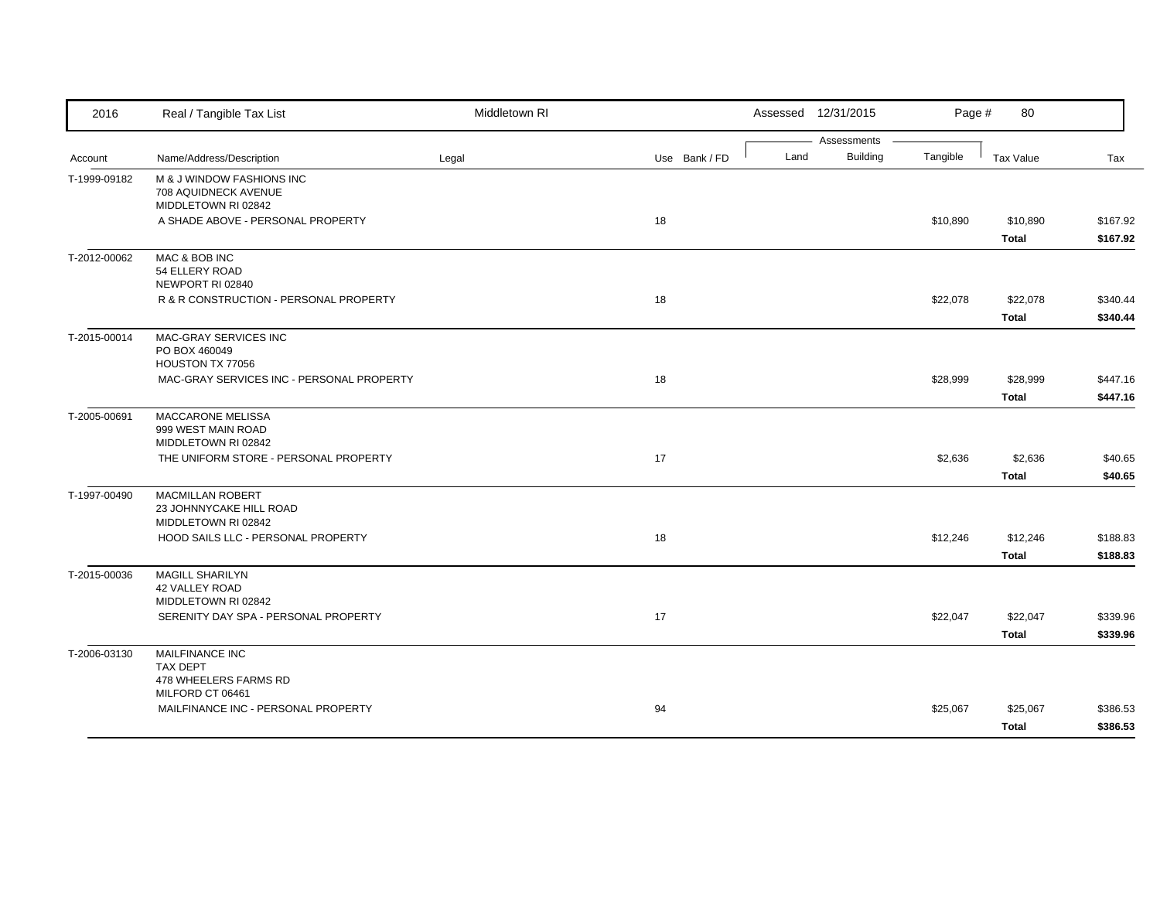| 2016         | Real / Tangible Tax List                          | Middletown RI |               |      | Assessed 12/31/2015            | Page #   | 80           |          |
|--------------|---------------------------------------------------|---------------|---------------|------|--------------------------------|----------|--------------|----------|
|              | Name/Address/Description                          |               | Use Bank / FD | Land | Assessments<br><b>Building</b> | Tangible | Tax Value    |          |
| Account      |                                                   | Legal         |               |      |                                |          |              | Tax      |
| T-1999-09182 | M & J WINDOW FASHIONS INC<br>708 AQUIDNECK AVENUE |               |               |      |                                |          |              |          |
|              | MIDDLETOWN RI 02842                               |               |               |      |                                |          |              |          |
|              | A SHADE ABOVE - PERSONAL PROPERTY                 |               | 18            |      |                                | \$10,890 | \$10,890     | \$167.92 |
|              |                                                   |               |               |      |                                |          | <b>Total</b> | \$167.92 |
| T-2012-00062 | MAC & BOB INC                                     |               |               |      |                                |          |              |          |
|              | 54 ELLERY ROAD                                    |               |               |      |                                |          |              |          |
|              | NEWPORT RI 02840                                  |               |               |      |                                |          |              |          |
|              | R & R CONSTRUCTION - PERSONAL PROPERTY            |               | 18            |      |                                | \$22,078 | \$22,078     | \$340.44 |
|              |                                                   |               |               |      |                                |          | <b>Total</b> | \$340.44 |
| T-2015-00014 | MAC-GRAY SERVICES INC                             |               |               |      |                                |          |              |          |
|              | PO BOX 460049                                     |               |               |      |                                |          |              |          |
|              | HOUSTON TX 77056                                  |               |               |      |                                |          |              |          |
|              | MAC-GRAY SERVICES INC - PERSONAL PROPERTY         |               | 18            |      |                                | \$28,999 | \$28,999     | \$447.16 |
|              |                                                   |               |               |      |                                |          | <b>Total</b> | \$447.16 |
| T-2005-00691 | <b>MACCARONE MELISSA</b>                          |               |               |      |                                |          |              |          |
|              | 999 WEST MAIN ROAD<br>MIDDLETOWN RI 02842         |               |               |      |                                |          |              |          |
|              | THE UNIFORM STORE - PERSONAL PROPERTY             |               | 17            |      |                                | \$2,636  | \$2,636      | \$40.65  |
|              |                                                   |               |               |      |                                |          | <b>Total</b> | \$40.65  |
| T-1997-00490 | <b>MACMILLAN ROBERT</b>                           |               |               |      |                                |          |              |          |
|              | 23 JOHNNYCAKE HILL ROAD                           |               |               |      |                                |          |              |          |
|              | MIDDLETOWN RI 02842                               |               |               |      |                                |          |              |          |
|              | HOOD SAILS LLC - PERSONAL PROPERTY                |               | 18            |      |                                | \$12,246 | \$12,246     | \$188.83 |
|              |                                                   |               |               |      |                                |          | <b>Total</b> | \$188.83 |
| T-2015-00036 | <b>MAGILL SHARILYN</b>                            |               |               |      |                                |          |              |          |
|              | 42 VALLEY ROAD                                    |               |               |      |                                |          |              |          |
|              | MIDDLETOWN RI 02842                               |               |               |      |                                |          |              |          |
|              | SERENITY DAY SPA - PERSONAL PROPERTY              |               | 17            |      |                                | \$22,047 | \$22,047     | \$339.96 |
|              |                                                   |               |               |      |                                |          | <b>Total</b> | \$339.96 |
| T-2006-03130 | MAILFINANCE INC                                   |               |               |      |                                |          |              |          |
|              | <b>TAX DEPT</b>                                   |               |               |      |                                |          |              |          |
|              | 478 WHEELERS FARMS RD<br>MILFORD CT 06461         |               |               |      |                                |          |              |          |
|              | MAILFINANCE INC - PERSONAL PROPERTY               |               | 94            |      |                                | \$25,067 | \$25,067     | \$386.53 |
|              |                                                   |               |               |      |                                |          |              |          |
|              |                                                   |               |               |      |                                |          | <b>Total</b> | \$386.53 |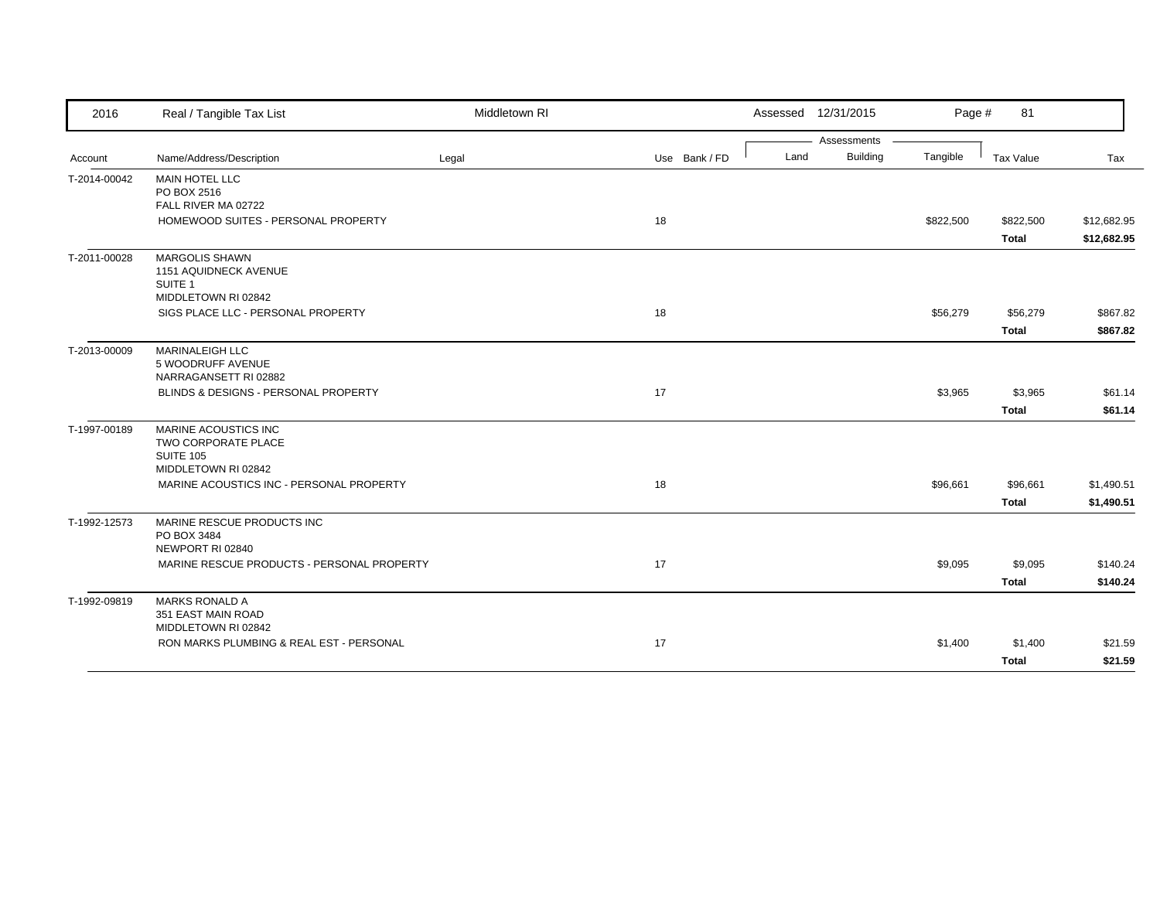| 2016         | Real / Tangible Tax List                                                                    | Middletown RI |               | Assessed 12/31/2015 |                 | Page #    | 81                        |                            |
|--------------|---------------------------------------------------------------------------------------------|---------------|---------------|---------------------|-----------------|-----------|---------------------------|----------------------------|
|              |                                                                                             |               |               |                     | Assessments     |           |                           |                            |
| Account      | Name/Address/Description                                                                    | Legal         | Use Bank / FD | Land                | <b>Building</b> | Tangible  | Tax Value                 | Tax                        |
| T-2014-00042 | <b>MAIN HOTEL LLC</b><br>PO BOX 2516                                                        |               |               |                     |                 |           |                           |                            |
|              | FALL RIVER MA 02722<br>HOMEWOOD SUITES - PERSONAL PROPERTY                                  |               | 18            |                     |                 | \$822,500 | \$822,500<br><b>Total</b> | \$12,682.95<br>\$12,682.95 |
| T-2011-00028 | <b>MARGOLIS SHAWN</b><br>1151 AQUIDNECK AVENUE<br>SUITE <sub>1</sub><br>MIDDLETOWN RI 02842 |               |               |                     |                 |           |                           |                            |
|              | SIGS PLACE LLC - PERSONAL PROPERTY                                                          |               | 18            |                     |                 | \$56,279  | \$56,279<br><b>Total</b>  | \$867.82<br>\$867.82       |
| T-2013-00009 | MARINALEIGH LLC<br>5 WOODRUFF AVENUE<br>NARRAGANSETT RI 02882                               |               |               |                     |                 |           |                           |                            |
|              | BLINDS & DESIGNS - PERSONAL PROPERTY                                                        |               | 17            |                     |                 | \$3,965   | \$3,965<br><b>Total</b>   | \$61.14                    |
| T-1997-00189 | MARINE ACOUSTICS INC<br>TWO CORPORATE PLACE<br><b>SUITE 105</b>                             |               |               |                     |                 |           |                           | \$61.14                    |
|              | MIDDLETOWN RI 02842<br>MARINE ACOUSTICS INC - PERSONAL PROPERTY                             |               | 18            |                     |                 | \$96,661  | \$96,661<br><b>Total</b>  | \$1,490.51<br>\$1,490.51   |
| T-1992-12573 | MARINE RESCUE PRODUCTS INC<br>PO BOX 3484<br>NEWPORT RI 02840                               |               |               |                     |                 |           |                           |                            |
|              | MARINE RESCUE PRODUCTS - PERSONAL PROPERTY                                                  |               | 17            |                     |                 | \$9,095   | \$9,095<br><b>Total</b>   | \$140.24<br>\$140.24       |
| T-1992-09819 | <b>MARKS RONALD A</b><br>351 EAST MAIN ROAD<br>MIDDLETOWN RI 02842                          |               |               |                     |                 |           |                           |                            |
|              | RON MARKS PLUMBING & REAL EST - PERSONAL                                                    |               | 17            |                     |                 | \$1,400   | \$1,400<br><b>Total</b>   | \$21.59<br>\$21.59         |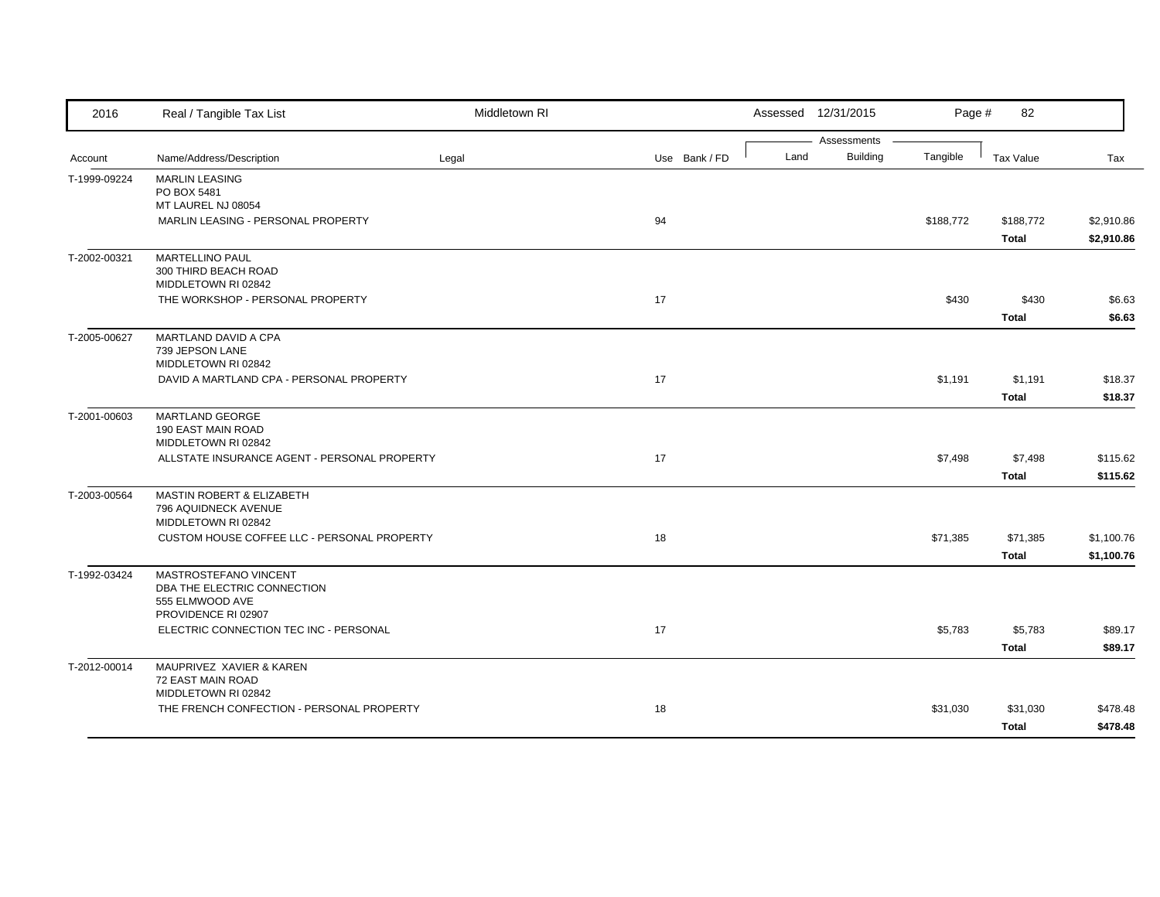| 2016         | Real / Tangible Tax List                                                 | Middletown RI |               |      | Assessed 12/31/2015            | Page #    | 82               |            |
|--------------|--------------------------------------------------------------------------|---------------|---------------|------|--------------------------------|-----------|------------------|------------|
| Account      | Name/Address/Description                                                 | Legal         | Use Bank / FD | Land | Assessments<br><b>Building</b> | Tangible  | <b>Tax Value</b> | Tax        |
|              |                                                                          |               |               |      |                                |           |                  |            |
| T-1999-09224 | <b>MARLIN LEASING</b><br>PO BOX 5481                                     |               |               |      |                                |           |                  |            |
|              | MT LAUREL NJ 08054                                                       |               |               |      |                                |           |                  |            |
|              | MARLIN LEASING - PERSONAL PROPERTY                                       |               | 94            |      |                                | \$188,772 | \$188,772        | \$2,910.86 |
|              |                                                                          |               |               |      |                                |           | <b>Total</b>     | \$2,910.86 |
| T-2002-00321 | <b>MARTELLINO PAUL</b><br>300 THIRD BEACH ROAD<br>MIDDLETOWN RI 02842    |               |               |      |                                |           |                  |            |
|              | THE WORKSHOP - PERSONAL PROPERTY                                         |               | 17            |      |                                | \$430     | \$430            | \$6.63     |
|              |                                                                          |               |               |      |                                |           | <b>Total</b>     | \$6.63     |
| T-2005-00627 | MARTLAND DAVID A CPA<br>739 JEPSON LANE<br>MIDDLETOWN RI 02842           |               |               |      |                                |           |                  |            |
|              | DAVID A MARTLAND CPA - PERSONAL PROPERTY                                 |               | 17            |      |                                | \$1,191   | \$1,191          | \$18.37    |
|              |                                                                          |               |               |      |                                |           | <b>Total</b>     | \$18.37    |
| T-2001-00603 | MARTLAND GEORGE<br>190 EAST MAIN ROAD<br>MIDDLETOWN RI 02842             |               |               |      |                                |           |                  |            |
|              | ALLSTATE INSURANCE AGENT - PERSONAL PROPERTY                             |               | 17            |      |                                | \$7,498   | \$7,498          | \$115.62   |
|              |                                                                          |               |               |      |                                |           | <b>Total</b>     | \$115.62   |
| T-2003-00564 | MASTIN ROBERT & ELIZABETH<br>796 AQUIDNECK AVENUE<br>MIDDLETOWN RI 02842 |               |               |      |                                |           |                  |            |
|              | CUSTOM HOUSE COFFEE LLC - PERSONAL PROPERTY                              |               | 18            |      |                                | \$71,385  | \$71,385         | \$1,100.76 |
|              |                                                                          |               |               |      |                                |           | <b>Total</b>     | \$1,100.76 |
| T-1992-03424 | MASTROSTEFANO VINCENT<br>DBA THE ELECTRIC CONNECTION<br>555 ELMWOOD AVE  |               |               |      |                                |           |                  |            |
|              | PROVIDENCE RI 02907<br>ELECTRIC CONNECTION TEC INC - PERSONAL            |               | 17            |      |                                | \$5,783   |                  | \$89.17    |
|              |                                                                          |               |               |      |                                |           | \$5,783          |            |
|              |                                                                          |               |               |      |                                |           | <b>Total</b>     | \$89.17    |
| T-2012-00014 | MAUPRIVEZ XAVIER & KAREN<br>72 EAST MAIN ROAD<br>MIDDLETOWN RI 02842     |               |               |      |                                |           |                  |            |
|              | THE FRENCH CONFECTION - PERSONAL PROPERTY                                |               | 18            |      |                                | \$31,030  | \$31,030         | \$478.48   |
|              |                                                                          |               |               |      |                                |           | <b>Total</b>     | \$478.48   |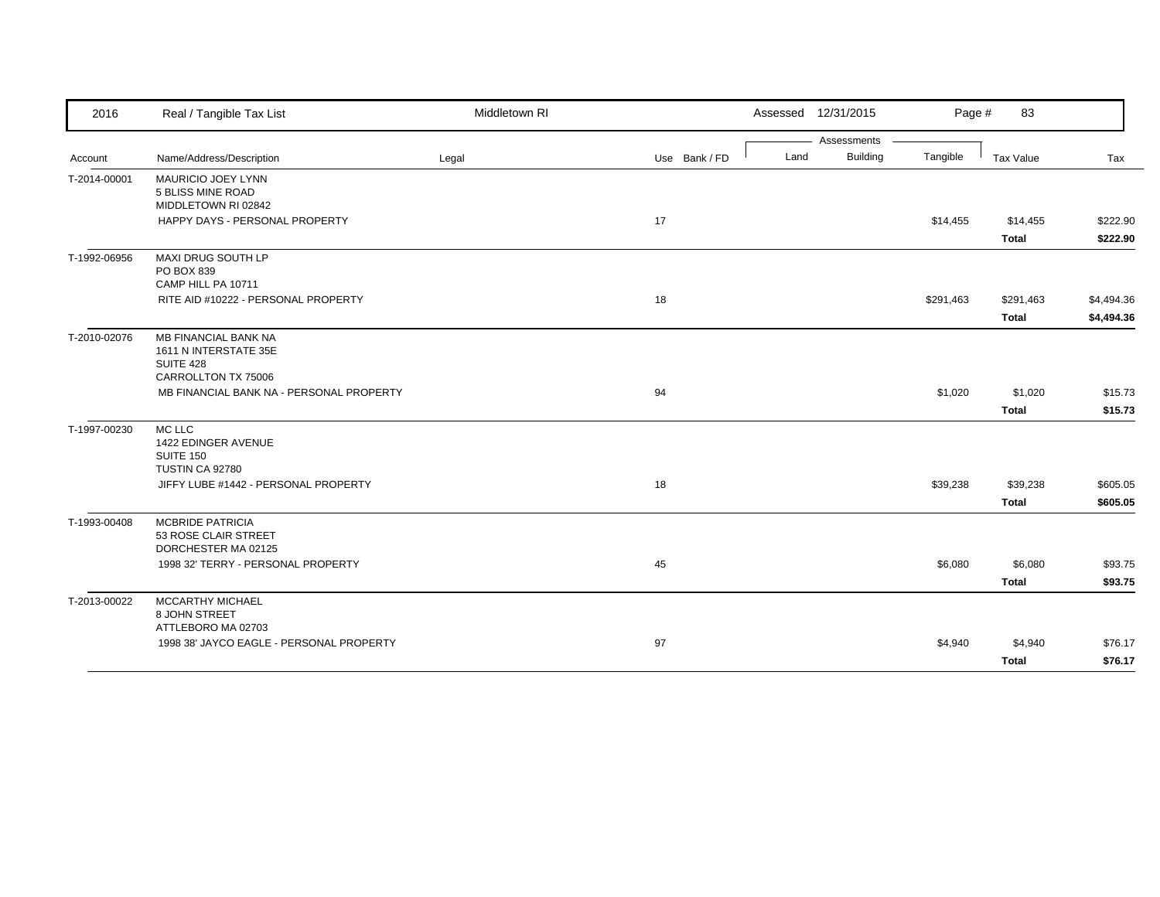| 2016         | Real / Tangible Tax List                                               | Middletown RI |               |      | Assessed 12/31/2015 | Page #    | 83           |            |
|--------------|------------------------------------------------------------------------|---------------|---------------|------|---------------------|-----------|--------------|------------|
|              |                                                                        |               |               |      | Assessments         |           |              |            |
| Account      | Name/Address/Description                                               | Legal         | Use Bank / FD | Land | <b>Building</b>     | Tangible  | Tax Value    | Tax        |
| T-2014-00001 | <b>MAURICIO JOEY LYNN</b><br>5 BLISS MINE ROAD<br>MIDDLETOWN RI 02842  |               |               |      |                     |           |              |            |
|              | HAPPY DAYS - PERSONAL PROPERTY                                         |               | 17            |      |                     | \$14,455  | \$14,455     | \$222.90   |
|              |                                                                        |               |               |      |                     |           | <b>Total</b> | \$222.90   |
| T-1992-06956 | MAXI DRUG SOUTH LP<br>PO BOX 839<br>CAMP HILL PA 10711                 |               |               |      |                     |           |              |            |
|              | RITE AID #10222 - PERSONAL PROPERTY                                    |               | 18            |      |                     | \$291,463 | \$291,463    | \$4,494.36 |
|              |                                                                        |               |               |      |                     |           | <b>Total</b> | \$4,494.36 |
| T-2010-02076 | <b>MB FINANCIAL BANK NA</b><br>1611 N INTERSTATE 35E<br>SUITE 428      |               |               |      |                     |           |              |            |
|              | CARROLLTON TX 75006                                                    |               |               |      |                     |           |              |            |
|              | MB FINANCIAL BANK NA - PERSONAL PROPERTY                               |               | 94            |      |                     | \$1,020   | \$1,020      | \$15.73    |
|              |                                                                        |               |               |      |                     |           | <b>Total</b> | \$15.73    |
| T-1997-00230 | MC LLC<br>1422 EDINGER AVENUE<br>SUITE 150                             |               |               |      |                     |           |              |            |
|              | TUSTIN CA 92780<br>JIFFY LUBE #1442 - PERSONAL PROPERTY                |               | 18            |      |                     | \$39,238  | \$39,238     | \$605.05   |
|              |                                                                        |               |               |      |                     |           | <b>Total</b> | \$605.05   |
| T-1993-00408 | <b>MCBRIDE PATRICIA</b><br>53 ROSE CLAIR STREET<br>DORCHESTER MA 02125 |               |               |      |                     |           |              |            |
|              | 1998 32' TERRY - PERSONAL PROPERTY                                     |               | 45            |      |                     | \$6,080   | \$6,080      | \$93.75    |
|              |                                                                        |               |               |      |                     |           | <b>Total</b> | \$93.75    |
| T-2013-00022 | MCCARTHY MICHAEL<br>8 JOHN STREET                                      |               |               |      |                     |           |              |            |
|              | ATTLEBORO MA 02703<br>1998 38' JAYCO EAGLE - PERSONAL PROPERTY         |               | 97            |      |                     |           |              | \$76.17    |
|              |                                                                        |               |               |      |                     | \$4,940   | \$4,940      |            |
|              |                                                                        |               |               |      |                     |           | <b>Total</b> | \$76.17    |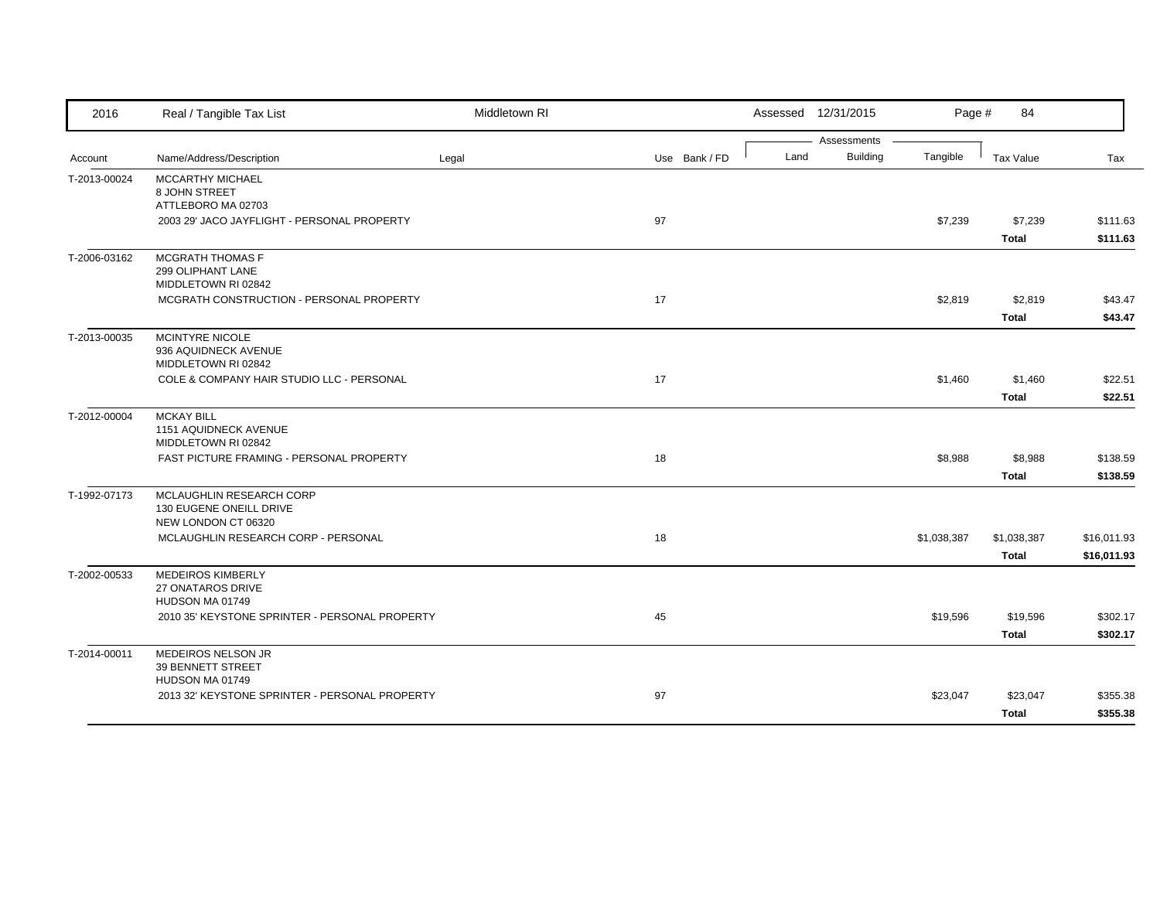| 2016         | Real / Tangible Tax List                                                   | Middletown RI |               |      | Assessed 12/31/2015            | Page #      | 84                          |                            |
|--------------|----------------------------------------------------------------------------|---------------|---------------|------|--------------------------------|-------------|-----------------------------|----------------------------|
| Account      | Name/Address/Description                                                   | Legal         | Use Bank / FD | Land | Assessments<br><b>Building</b> | Tangible    | Tax Value                   | Tax                        |
| T-2013-00024 | <b>MCCARTHY MICHAEL</b><br>8 JOHN STREET<br>ATTLEBORO MA 02703             |               |               |      |                                |             |                             |                            |
|              | 2003 29' JACO JAYFLIGHT - PERSONAL PROPERTY                                |               | 97            |      |                                | \$7,239     | \$7,239<br><b>Total</b>     | \$111.63<br>\$111.63       |
| T-2006-03162 | <b>MCGRATH THOMAS F</b><br>299 OLIPHANT LANE<br>MIDDLETOWN RI 02842        |               |               |      |                                |             |                             |                            |
|              | MCGRATH CONSTRUCTION - PERSONAL PROPERTY                                   |               | 17            |      |                                | \$2,819     | \$2,819<br><b>Total</b>     | \$43.47<br>\$43.47         |
| T-2013-00035 | MCINTYRE NICOLE<br>936 AQUIDNECK AVENUE<br>MIDDLETOWN RI 02842             |               |               |      |                                |             |                             |                            |
|              | COLE & COMPANY HAIR STUDIO LLC - PERSONAL                                  |               | 17            |      |                                | \$1,460     | \$1,460<br><b>Total</b>     | \$22.51<br>\$22.51         |
| T-2012-00004 | <b>MCKAY BILL</b><br>1151 AQUIDNECK AVENUE<br>MIDDLETOWN RI 02842          |               |               |      |                                |             |                             |                            |
|              | FAST PICTURE FRAMING - PERSONAL PROPERTY                                   |               | 18            |      |                                | \$8,988     | \$8,988<br><b>Total</b>     | \$138.59<br>\$138.59       |
| T-1992-07173 | MCLAUGHLIN RESEARCH CORP<br>130 EUGENE ONEILL DRIVE<br>NEW LONDON CT 06320 |               |               |      |                                |             |                             |                            |
|              | MCLAUGHLIN RESEARCH CORP - PERSONAL                                        |               | 18            |      |                                | \$1,038,387 | \$1,038,387<br><b>Total</b> | \$16,011.93<br>\$16,011.93 |
| T-2002-00533 | <b>MEDEIROS KIMBERLY</b><br>27 ONATAROS DRIVE<br>HUDSON MA 01749           |               |               |      |                                |             |                             |                            |
|              | 2010 35' KEYSTONE SPRINTER - PERSONAL PROPERTY                             |               | 45            |      |                                | \$19,596    | \$19,596<br><b>Total</b>    | \$302.17<br>\$302.17       |
| T-2014-00011 | MEDEIROS NELSON JR<br>39 BENNETT STREET<br>HUDSON MA 01749                 |               |               |      |                                |             |                             |                            |
|              | 2013 32' KEYSTONE SPRINTER - PERSONAL PROPERTY                             |               | 97            |      |                                | \$23,047    | \$23,047<br><b>Total</b>    | \$355.38<br>\$355.38       |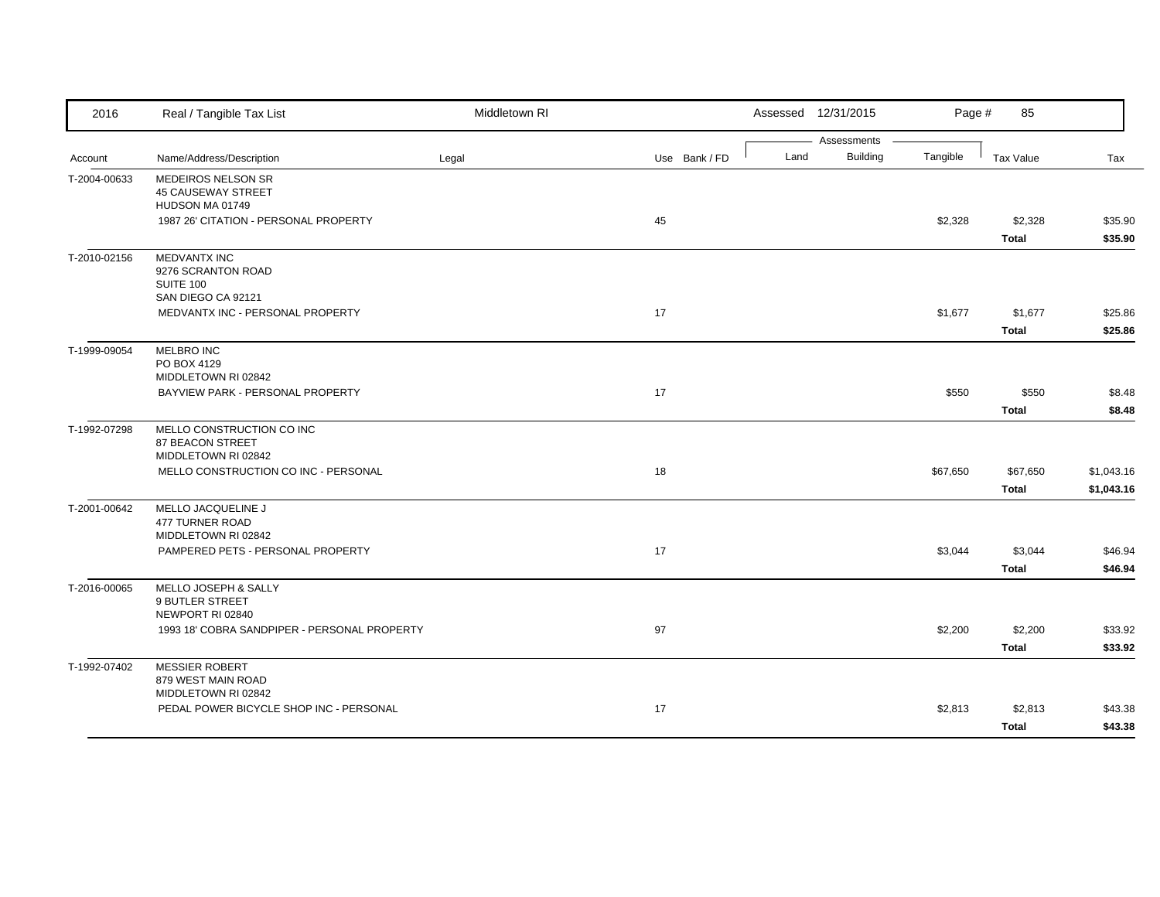| 2016         | Real / Tangible Tax List                     | Middletown RI |               |      | Assessed 12/31/2015            | Page #   | 85           |            |
|--------------|----------------------------------------------|---------------|---------------|------|--------------------------------|----------|--------------|------------|
|              |                                              |               |               |      | Assessments<br><b>Building</b> |          |              |            |
| Account      | Name/Address/Description                     | Legal         | Use Bank / FD | Land |                                | Tangible | Tax Value    | Tax        |
| T-2004-00633 | MEDEIROS NELSON SR                           |               |               |      |                                |          |              |            |
|              | <b>45 CAUSEWAY STREET</b><br>HUDSON MA 01749 |               |               |      |                                |          |              |            |
|              | 1987 26' CITATION - PERSONAL PROPERTY        |               | 45            |      |                                | \$2,328  | \$2,328      | \$35.90    |
|              |                                              |               |               |      |                                |          | <b>Total</b> | \$35.90    |
| T-2010-02156 | <b>MEDVANTX INC</b>                          |               |               |      |                                |          |              |            |
|              | 9276 SCRANTON ROAD                           |               |               |      |                                |          |              |            |
|              | SUITE 100                                    |               |               |      |                                |          |              |            |
|              | SAN DIEGO CA 92121                           |               |               |      |                                |          |              |            |
|              | MEDVANTX INC - PERSONAL PROPERTY             |               | 17            |      |                                | \$1,677  | \$1,677      | \$25.86    |
|              |                                              |               |               |      |                                |          | <b>Total</b> | \$25.86    |
| T-1999-09054 | MELBRO INC                                   |               |               |      |                                |          |              |            |
|              | PO BOX 4129                                  |               |               |      |                                |          |              |            |
|              | MIDDLETOWN RI 02842                          |               |               |      |                                |          |              |            |
|              | BAYVIEW PARK - PERSONAL PROPERTY             |               | 17            |      |                                | \$550    | \$550        | \$8.48     |
|              |                                              |               |               |      |                                |          | <b>Total</b> | \$8.48     |
| T-1992-07298 | MELLO CONSTRUCTION CO INC                    |               |               |      |                                |          |              |            |
|              | 87 BEACON STREET                             |               |               |      |                                |          |              |            |
|              | MIDDLETOWN RI 02842                          |               |               |      |                                |          |              |            |
|              | MELLO CONSTRUCTION CO INC - PERSONAL         |               | 18            |      |                                | \$67,650 | \$67,650     | \$1,043.16 |
|              |                                              |               |               |      |                                |          | <b>Total</b> | \$1,043.16 |
| T-2001-00642 | MELLO JACQUELINE J                           |               |               |      |                                |          |              |            |
|              | 477 TURNER ROAD<br>MIDDLETOWN RI 02842       |               |               |      |                                |          |              |            |
|              | PAMPERED PETS - PERSONAL PROPERTY            |               | 17            |      |                                | \$3,044  | \$3,044      | \$46.94    |
|              |                                              |               |               |      |                                |          |              |            |
|              |                                              |               |               |      |                                |          | <b>Total</b> | \$46.94    |
| T-2016-00065 | MELLO JOSEPH & SALLY                         |               |               |      |                                |          |              |            |
|              | 9 BUTLER STREET<br>NEWPORT RI 02840          |               |               |      |                                |          |              |            |
|              | 1993 18' COBRA SANDPIPER - PERSONAL PROPERTY |               | 97            |      |                                | \$2,200  | \$2,200      | \$33.92    |
|              |                                              |               |               |      |                                |          |              |            |
|              |                                              |               |               |      |                                |          | Total        | \$33.92    |
| T-1992-07402 | <b>MESSIER ROBERT</b>                        |               |               |      |                                |          |              |            |
|              | 879 WEST MAIN ROAD<br>MIDDLETOWN RI 02842    |               |               |      |                                |          |              |            |
|              | PEDAL POWER BICYCLE SHOP INC - PERSONAL      |               | 17            |      |                                | \$2,813  | \$2,813      | \$43.38    |
|              |                                              |               |               |      |                                |          | <b>Total</b> | \$43.38    |
|              |                                              |               |               |      |                                |          |              |            |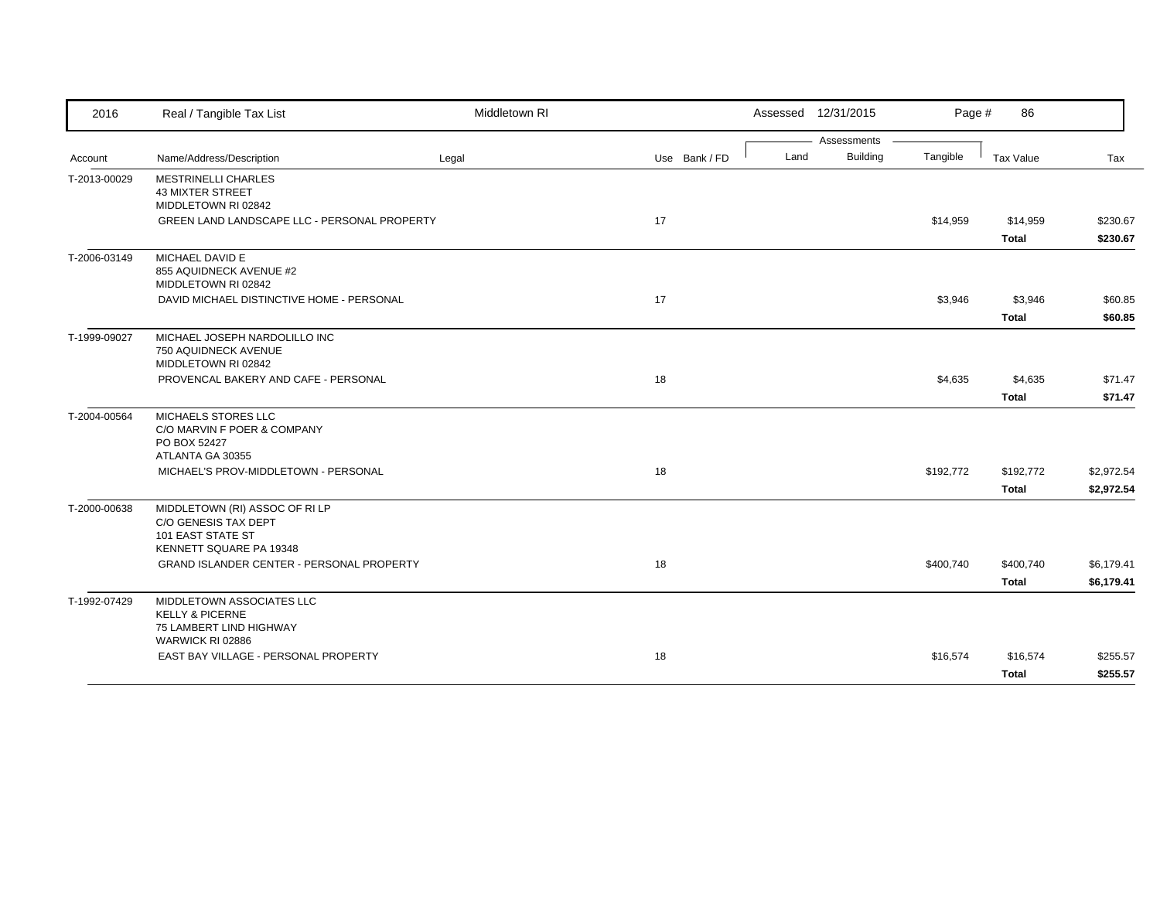| 2016         | Real / Tangible Tax List                                                                               | Middletown RI |               |      | Assessed 12/31/2015            | Page #    | 86                        |                          |
|--------------|--------------------------------------------------------------------------------------------------------|---------------|---------------|------|--------------------------------|-----------|---------------------------|--------------------------|
| Account      | Name/Address/Description                                                                               | Legal         | Use Bank / FD | Land | Assessments<br><b>Building</b> | Tangible  | Tax Value                 | Tax                      |
| T-2013-00029 | <b>MESTRINELLI CHARLES</b><br><b>43 MIXTER STREET</b>                                                  |               |               |      |                                |           |                           |                          |
|              | MIDDLETOWN RI 02842<br>GREEN LAND LANDSCAPE LLC - PERSONAL PROPERTY                                    |               | 17            |      |                                | \$14,959  | \$14,959<br><b>Total</b>  | \$230.67<br>\$230.67     |
| T-2006-03149 | MICHAEL DAVID E<br>855 AQUIDNECK AVENUE #2<br>MIDDLETOWN RI 02842                                      |               |               |      |                                |           |                           |                          |
|              | DAVID MICHAEL DISTINCTIVE HOME - PERSONAL                                                              |               | 17            |      |                                | \$3,946   | \$3,946<br><b>Total</b>   | \$60.85<br>\$60.85       |
| T-1999-09027 | MICHAEL JOSEPH NARDOLILLO INC<br>750 AQUIDNECK AVENUE<br>MIDDLETOWN RI 02842                           |               |               |      |                                |           |                           |                          |
|              | PROVENCAL BAKERY AND CAFE - PERSONAL                                                                   |               | 18            |      |                                | \$4,635   | \$4,635<br><b>Total</b>   | \$71.47<br>\$71.47       |
| T-2004-00564 | MICHAELS STORES LLC<br>C/O MARVIN F POER & COMPANY<br>PO BOX 52427<br>ATLANTA GA 30355                 |               |               |      |                                |           |                           |                          |
|              | MICHAEL'S PROV-MIDDLETOWN - PERSONAL                                                                   |               | 18            |      |                                | \$192,772 | \$192,772<br><b>Total</b> | \$2,972.54<br>\$2,972.54 |
| T-2000-00638 | MIDDLETOWN (RI) ASSOC OF RI LP<br>C/O GENESIS TAX DEPT<br>101 EAST STATE ST<br>KENNETT SQUARE PA 19348 |               |               |      |                                |           |                           |                          |
|              | <b>GRAND ISLANDER CENTER - PERSONAL PROPERTY</b>                                                       |               | 18            |      |                                | \$400,740 | \$400,740<br><b>Total</b> | \$6,179.41<br>\$6,179.41 |
| T-1992-07429 | MIDDLETOWN ASSOCIATES LLC<br><b>KELLY &amp; PICERNE</b><br>75 LAMBERT LIND HIGHWAY<br>WARWICK RI 02886 |               |               |      |                                |           |                           |                          |
|              | EAST BAY VILLAGE - PERSONAL PROPERTY                                                                   |               | 18            |      |                                | \$16,574  | \$16,574<br><b>Total</b>  | \$255.57<br>\$255.57     |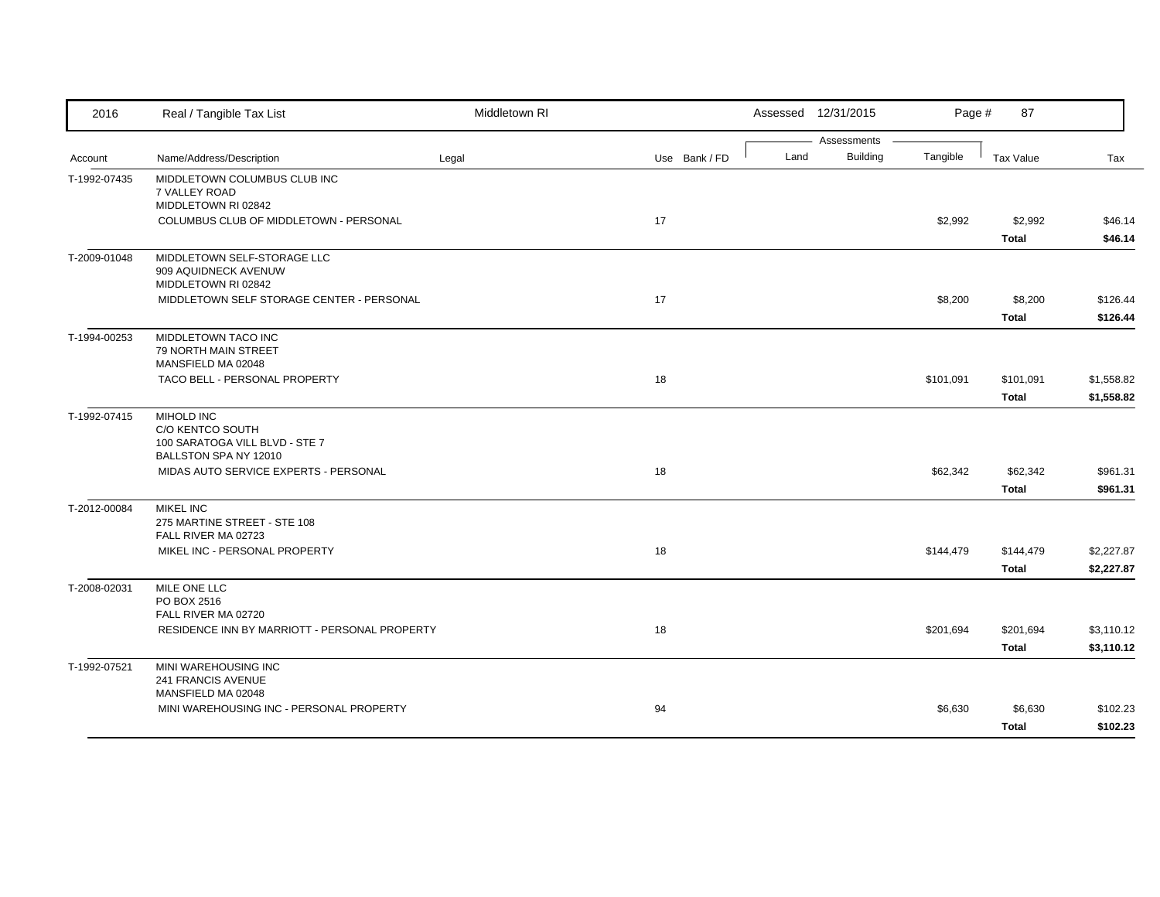| 2016         | Real / Tangible Tax List                                                                  | Middletown RI |               |      | Assessed 12/31/2015            | Page #    | 87                        |                          |
|--------------|-------------------------------------------------------------------------------------------|---------------|---------------|------|--------------------------------|-----------|---------------------------|--------------------------|
| Account      | Name/Address/Description                                                                  | Legal         | Use Bank / FD | Land | Assessments<br><b>Building</b> | Tangible  | <b>Tax Value</b>          | Tax                      |
| T-1992-07435 | MIDDLETOWN COLUMBUS CLUB INC<br>7 VALLEY ROAD<br>MIDDLETOWN RI 02842                      |               |               |      |                                |           |                           |                          |
|              | COLUMBUS CLUB OF MIDDLETOWN - PERSONAL                                                    |               | 17            |      |                                | \$2,992   | \$2,992<br><b>Total</b>   | \$46.14<br>\$46.14       |
| T-2009-01048 | MIDDLETOWN SELF-STORAGE LLC<br>909 AQUIDNECK AVENUW<br>MIDDLETOWN RI 02842                |               |               |      |                                |           |                           |                          |
|              | MIDDLETOWN SELF STORAGE CENTER - PERSONAL                                                 |               | 17            |      |                                | \$8,200   | \$8,200<br><b>Total</b>   | \$126.44<br>\$126.44     |
| T-1994-00253 | MIDDLETOWN TACO INC<br>79 NORTH MAIN STREET<br>MANSFIELD MA 02048                         |               |               |      |                                |           |                           |                          |
|              | TACO BELL - PERSONAL PROPERTY                                                             |               | 18            |      |                                | \$101,091 | \$101,091<br><b>Total</b> | \$1,558.82<br>\$1,558.82 |
| T-1992-07415 | MIHOLD INC<br>C/O KENTCO SOUTH<br>100 SARATOGA VILL BLVD - STE 7<br>BALLSTON SPA NY 12010 |               |               |      |                                |           |                           |                          |
|              | MIDAS AUTO SERVICE EXPERTS - PERSONAL                                                     |               | 18            |      |                                | \$62,342  | \$62,342<br><b>Total</b>  | \$961.31<br>\$961.31     |
| T-2012-00084 | <b>MIKEL INC</b><br>275 MARTINE STREET - STE 108<br>FALL RIVER MA 02723                   |               |               |      |                                |           |                           |                          |
|              | MIKEL INC - PERSONAL PROPERTY                                                             |               | 18            |      |                                | \$144,479 | \$144,479<br><b>Total</b> | \$2,227.87<br>\$2,227.87 |
| T-2008-02031 | MILE ONE LLC<br>PO BOX 2516<br>FALL RIVER MA 02720                                        |               |               |      |                                |           |                           |                          |
|              | RESIDENCE INN BY MARRIOTT - PERSONAL PROPERTY                                             |               | 18            |      |                                | \$201,694 | \$201,694<br><b>Total</b> | \$3,110.12<br>\$3,110.12 |
| T-1992-07521 | MINI WAREHOUSING INC<br>241 FRANCIS AVENUE<br>MANSFIELD MA 02048                          |               |               |      |                                |           |                           |                          |
|              | MINI WAREHOUSING INC - PERSONAL PROPERTY                                                  |               | 94            |      |                                | \$6,630   | \$6,630<br><b>Total</b>   | \$102.23<br>\$102.23     |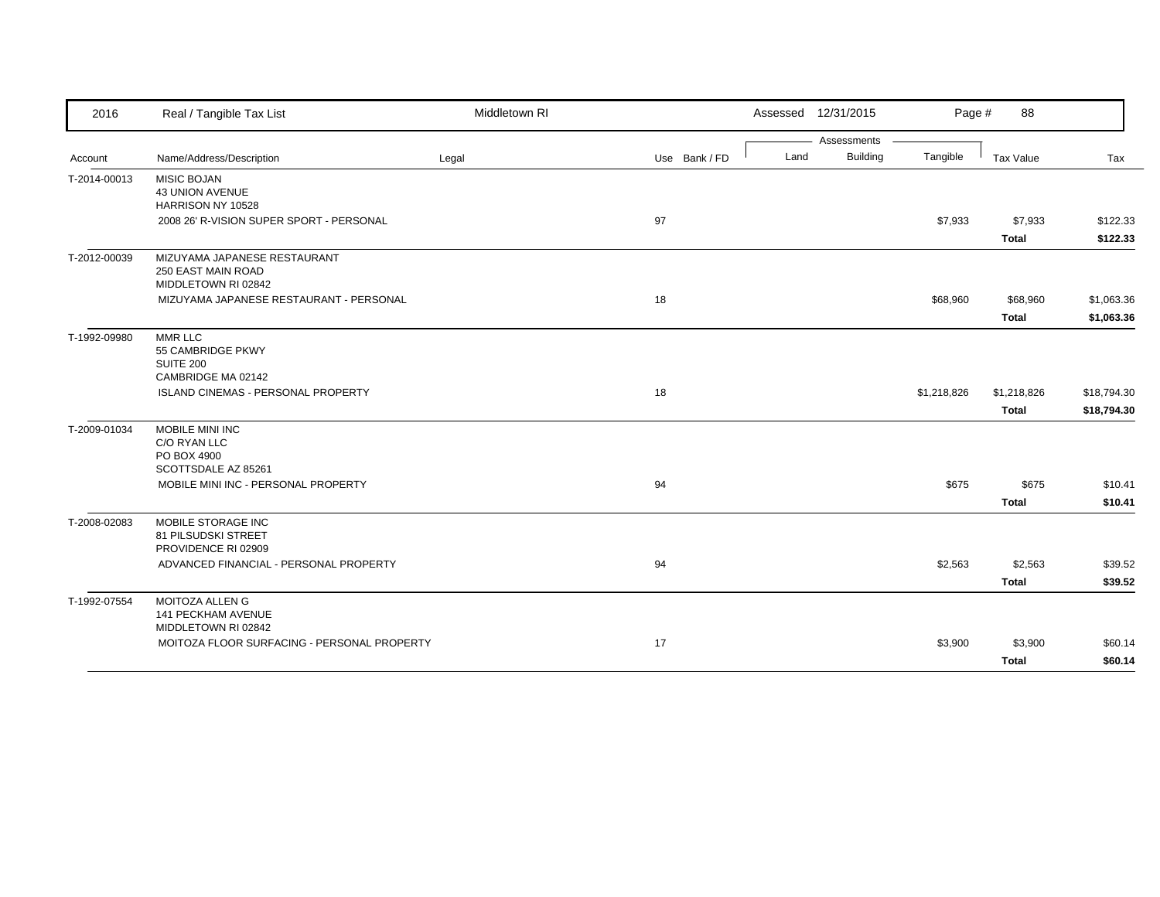| 2016         | Real / Tangible Tax List                                                  | Middletown RI |               |      | Assessed 12/31/2015 | Page #      | 88           |             |
|--------------|---------------------------------------------------------------------------|---------------|---------------|------|---------------------|-------------|--------------|-------------|
|              |                                                                           |               |               |      | Assessments         |             |              |             |
| Account      | Name/Address/Description                                                  | Legal         | Use Bank / FD | Land | <b>Building</b>     | Tangible    | Tax Value    | Tax         |
| T-2014-00013 | <b>MISIC BOJAN</b><br><b>43 UNION AVENUE</b>                              |               |               |      |                     |             |              |             |
|              | HARRISON NY 10528<br>2008 26' R-VISION SUPER SPORT - PERSONAL             |               | 97            |      |                     |             |              | \$122.33    |
|              |                                                                           |               |               |      |                     | \$7,933     | \$7,933      |             |
|              |                                                                           |               |               |      |                     |             | <b>Total</b> | \$122.33    |
| T-2012-00039 | MIZUYAMA JAPANESE RESTAURANT<br>250 EAST MAIN ROAD<br>MIDDLETOWN RI 02842 |               |               |      |                     |             |              |             |
|              | MIZUYAMA JAPANESE RESTAURANT - PERSONAL                                   |               | 18            |      |                     | \$68,960    | \$68,960     | \$1,063.36  |
|              |                                                                           |               |               |      |                     |             | Total        | \$1,063.36  |
|              |                                                                           |               |               |      |                     |             |              |             |
| T-1992-09980 | MMR LLC<br>55 CAMBRIDGE PKWY                                              |               |               |      |                     |             |              |             |
|              | SUITE 200                                                                 |               |               |      |                     |             |              |             |
|              | CAMBRIDGE MA 02142                                                        |               |               |      |                     |             |              |             |
|              | ISLAND CINEMAS - PERSONAL PROPERTY                                        |               | 18            |      |                     | \$1,218,826 | \$1,218,826  | \$18,794.30 |
|              |                                                                           |               |               |      |                     |             | <b>Total</b> | \$18,794.30 |
| T-2009-01034 | MOBILE MINI INC                                                           |               |               |      |                     |             |              |             |
|              | C/O RYAN LLC                                                              |               |               |      |                     |             |              |             |
|              | PO BOX 4900                                                               |               |               |      |                     |             |              |             |
|              | SCOTTSDALE AZ 85261                                                       |               |               |      |                     |             |              |             |
|              | MOBILE MINI INC - PERSONAL PROPERTY                                       |               | 94            |      |                     | \$675       | \$675        | \$10.41     |
|              |                                                                           |               |               |      |                     |             | <b>Total</b> | \$10.41     |
| T-2008-02083 | MOBILE STORAGE INC<br>81 PILSUDSKI STREET                                 |               |               |      |                     |             |              |             |
|              | PROVIDENCE RI 02909                                                       |               |               |      |                     |             |              |             |
|              | ADVANCED FINANCIAL - PERSONAL PROPERTY                                    |               | 94            |      |                     | \$2,563     | \$2,563      | \$39.52     |
|              |                                                                           |               |               |      |                     |             | <b>Total</b> | \$39.52     |
| T-1992-07554 | <b>MOITOZA ALLEN G</b><br>141 PECKHAM AVENUE<br>MIDDLETOWN RI 02842       |               |               |      |                     |             |              |             |
|              | MOITOZA FLOOR SURFACING - PERSONAL PROPERTY                               |               | 17            |      |                     | \$3,900     | \$3,900      | \$60.14     |
|              |                                                                           |               |               |      |                     |             |              |             |
|              |                                                                           |               |               |      |                     |             | <b>Total</b> | \$60.14     |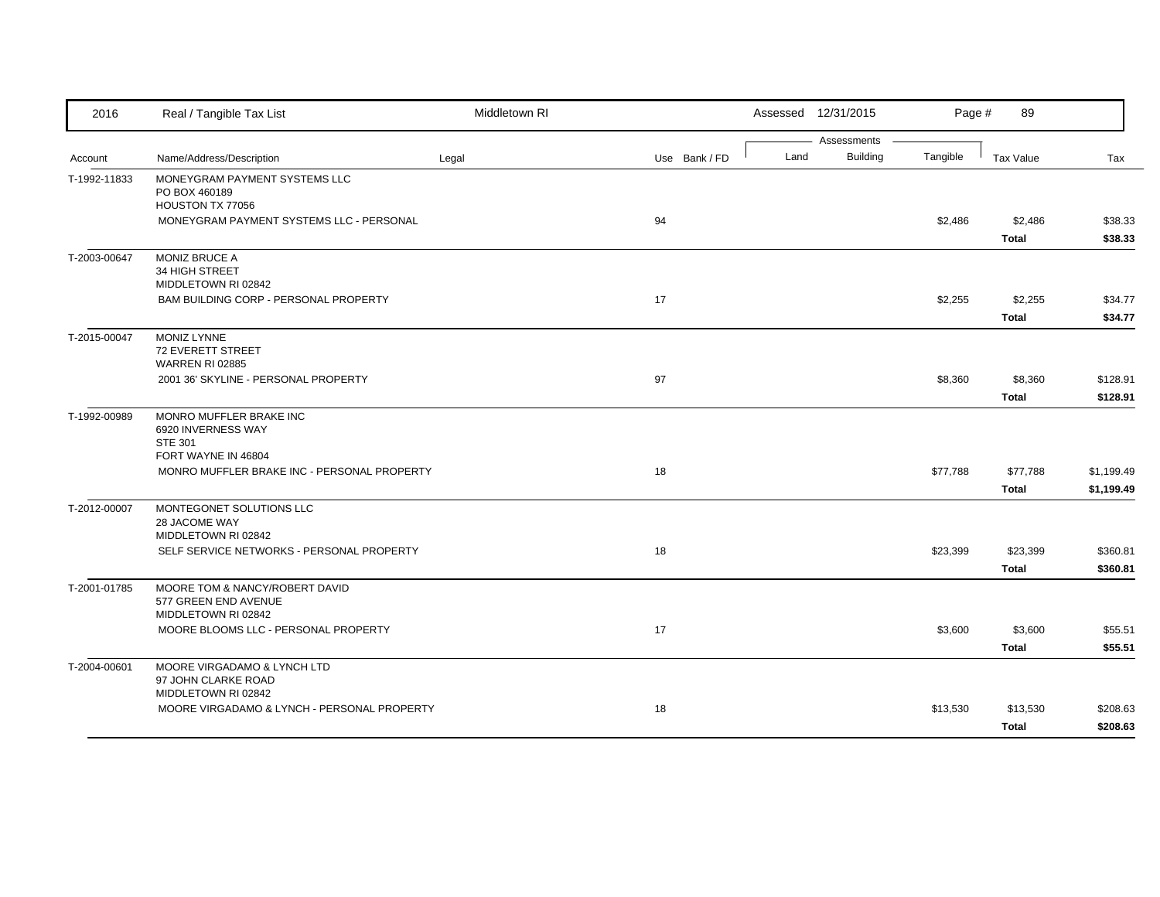| 2016         | Real / Tangible Tax List                                                      | Middletown RI |               |      | Assessed 12/31/2015            | Page #   | 89                       |                          |
|--------------|-------------------------------------------------------------------------------|---------------|---------------|------|--------------------------------|----------|--------------------------|--------------------------|
| Account      | Name/Address/Description                                                      | Legal         | Use Bank / FD | Land | Assessments<br><b>Building</b> | Tangible | <b>Tax Value</b>         | Tax                      |
| T-1992-11833 | MONEYGRAM PAYMENT SYSTEMS LLC<br>PO BOX 460189<br>HOUSTON TX 77056            |               |               |      |                                |          |                          |                          |
|              | MONEYGRAM PAYMENT SYSTEMS LLC - PERSONAL                                      |               | 94            |      |                                | \$2,486  | \$2,486<br><b>Total</b>  | \$38.33<br>\$38.33       |
| T-2003-00647 | <b>MONIZ BRUCE A</b><br>34 HIGH STREET<br>MIDDLETOWN RI 02842                 |               |               |      |                                |          |                          |                          |
|              | BAM BUILDING CORP - PERSONAL PROPERTY                                         |               | 17            |      |                                | \$2,255  | \$2,255<br><b>Total</b>  | \$34.77<br>\$34.77       |
| T-2015-00047 | MONIZ LYNNE<br><b>72 EVERETT STREET</b><br><b>WARREN RI 02885</b>             |               |               |      |                                |          |                          |                          |
|              | 2001 36' SKYLINE - PERSONAL PROPERTY                                          |               | 97            |      |                                | \$8,360  | \$8,360<br><b>Total</b>  | \$128.91<br>\$128.91     |
| T-1992-00989 | MONRO MUFFLER BRAKE INC<br>6920 INVERNESS WAY<br><b>STE 301</b>               |               |               |      |                                |          |                          |                          |
|              | FORT WAYNE IN 46804<br>MONRO MUFFLER BRAKE INC - PERSONAL PROPERTY            |               | 18            |      |                                | \$77,788 | \$77,788<br>Total        | \$1,199.49<br>\$1,199.49 |
| T-2012-00007 | MONTEGONET SOLUTIONS LLC<br>28 JACOME WAY<br>MIDDLETOWN RI 02842              |               |               |      |                                |          |                          |                          |
|              | SELF SERVICE NETWORKS - PERSONAL PROPERTY                                     |               | 18            |      |                                | \$23,399 | \$23,399<br><b>Total</b> | \$360.81<br>\$360.81     |
| T-2001-01785 | MOORE TOM & NANCY/ROBERT DAVID<br>577 GREEN END AVENUE<br>MIDDLETOWN RI 02842 |               |               |      |                                |          |                          |                          |
|              | MOORE BLOOMS LLC - PERSONAL PROPERTY                                          |               | 17            |      |                                | \$3,600  | \$3,600<br><b>Total</b>  | \$55.51<br>\$55.51       |
| T-2004-00601 | MOORE VIRGADAMO & LYNCH LTD<br>97 JOHN CLARKE ROAD<br>MIDDLETOWN RI 02842     |               |               |      |                                |          |                          |                          |
|              | MOORE VIRGADAMO & LYNCH - PERSONAL PROPERTY                                   |               | 18            |      |                                | \$13,530 | \$13,530<br><b>Total</b> | \$208.63<br>\$208.63     |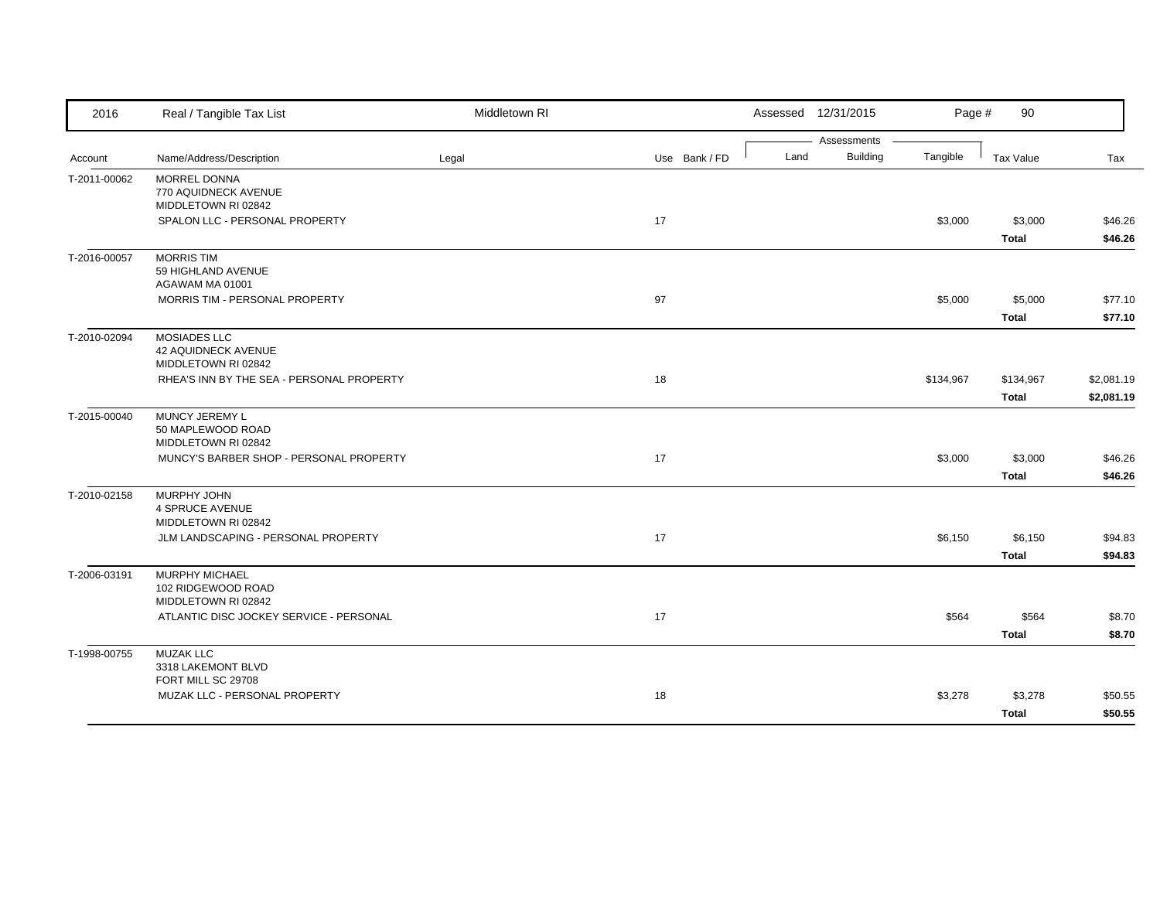| 2016         | Real / Tangible Tax List                                            | Middletown RI |               | Assessed 12/31/2015                    | Page #    | 90                        |                          |
|--------------|---------------------------------------------------------------------|---------------|---------------|----------------------------------------|-----------|---------------------------|--------------------------|
| Account      | Name/Address/Description                                            | Legal         | Use Bank / FD | Assessments<br><b>Building</b><br>Land | Tangible  | Tax Value                 | Tax                      |
| T-2011-00062 | <b>MORREL DONNA</b><br>770 AQUIDNECK AVENUE<br>MIDDLETOWN RI 02842  |               |               |                                        |           |                           |                          |
|              | SPALON LLC - PERSONAL PROPERTY                                      |               | 17            |                                        | \$3,000   | \$3,000<br><b>Total</b>   | \$46.26<br>\$46.26       |
| T-2016-00057 | <b>MORRIS TIM</b><br>59 HIGHLAND AVENUE<br>AGAWAM MA 01001          |               |               |                                        |           |                           |                          |
|              | MORRIS TIM - PERSONAL PROPERTY                                      |               | 97            |                                        | \$5,000   | \$5,000<br><b>Total</b>   | \$77.10<br>\$77.10       |
| T-2010-02094 | MOSIADES LLC<br>42 AQUIDNECK AVENUE<br>MIDDLETOWN RI 02842          |               |               |                                        |           |                           |                          |
|              | RHEA'S INN BY THE SEA - PERSONAL PROPERTY                           |               | 18            |                                        | \$134,967 | \$134,967<br><b>Total</b> | \$2,081.19<br>\$2,081.19 |
| T-2015-00040 | MUNCY JEREMY L<br>50 MAPLEWOOD ROAD<br>MIDDLETOWN RI 02842          |               |               |                                        |           |                           |                          |
|              | MUNCY'S BARBER SHOP - PERSONAL PROPERTY                             |               | 17            |                                        | \$3,000   | \$3,000<br><b>Total</b>   | \$46.26<br>\$46.26       |
| T-2010-02158 | <b>MURPHY JOHN</b><br><b>4 SPRUCE AVENUE</b><br>MIDDLETOWN RI 02842 |               |               |                                        |           |                           |                          |
|              | JLM LANDSCAPING - PERSONAL PROPERTY                                 |               | 17            |                                        | \$6,150   | \$6,150<br><b>Total</b>   | \$94.83<br>\$94.83       |
| T-2006-03191 | MURPHY MICHAEL<br>102 RIDGEWOOD ROAD<br>MIDDLETOWN RI 02842         |               |               |                                        |           |                           |                          |
|              | ATLANTIC DISC JOCKEY SERVICE - PERSONAL                             |               | 17            |                                        | \$564     | \$564<br><b>Total</b>     | \$8.70<br>\$8.70         |
| T-1998-00755 | <b>MUZAK LLC</b><br>3318 LAKEMONT BLVD                              |               |               |                                        |           |                           |                          |
|              | FORT MILL SC 29708<br>MUZAK LLC - PERSONAL PROPERTY                 |               | 18            |                                        | \$3,278   | \$3,278<br><b>Total</b>   | \$50.55<br>\$50.55       |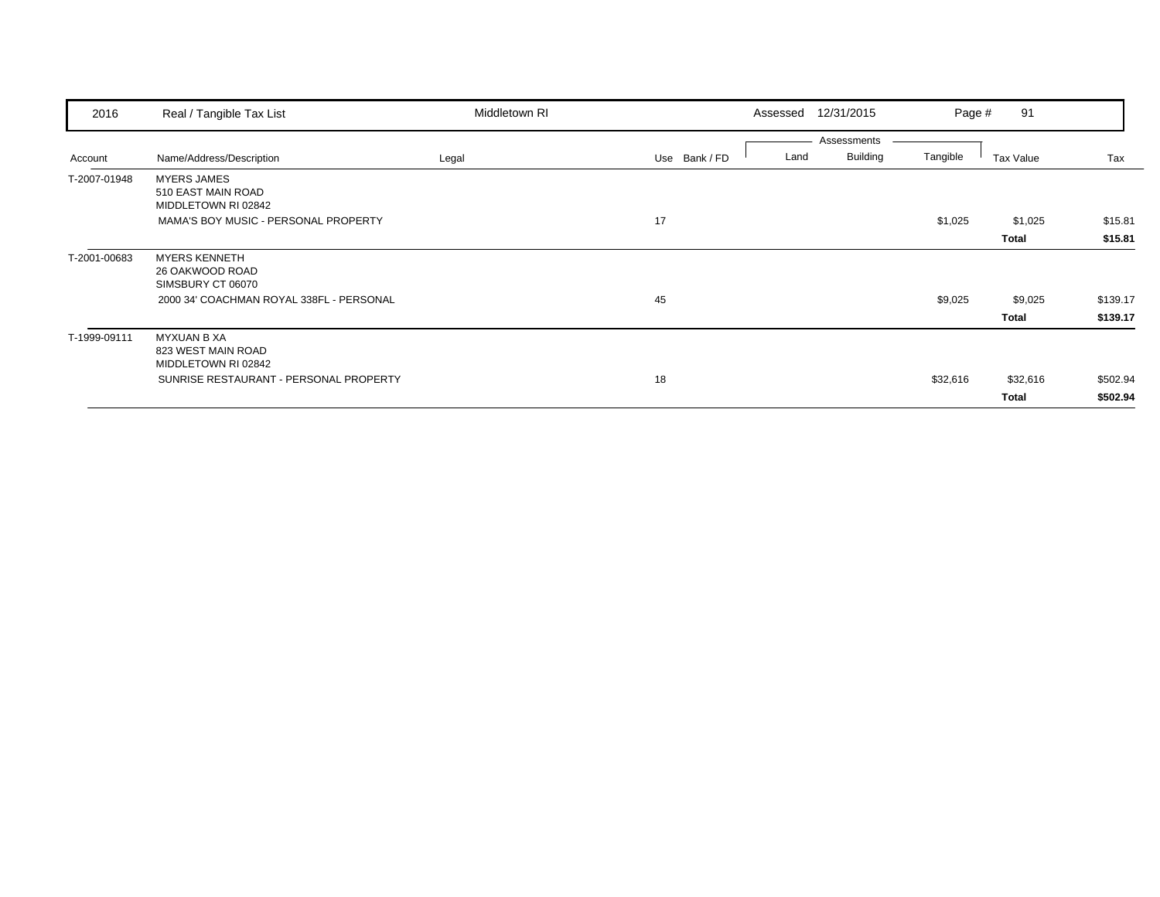| 2016         | Real / Tangible Tax List                                        | Middletown RI |               | 12/31/2015<br>Assessed                 | Page #   | 91                      |                      |
|--------------|-----------------------------------------------------------------|---------------|---------------|----------------------------------------|----------|-------------------------|----------------------|
| Account      | Name/Address/Description                                        | Legal         | Use Bank / FD | Assessments<br><b>Building</b><br>Land | Tangible | Tax Value               | Tax                  |
| T-2007-01948 | <b>MYERS JAMES</b><br>510 EAST MAIN ROAD<br>MIDDLETOWN RI 02842 |               |               |                                        |          |                         |                      |
|              | MAMA'S BOY MUSIC - PERSONAL PROPERTY                            |               | 17            |                                        | \$1,025  | \$1,025<br><b>Total</b> | \$15.81<br>\$15.81   |
| T-2001-00683 | <b>MYERS KENNETH</b><br>26 OAKWOOD ROAD<br>SIMSBURY CT 06070    |               |               |                                        |          |                         |                      |
|              | 2000 34' COACHMAN ROYAL 338FL - PERSONAL                        |               | 45            |                                        | \$9,025  | \$9,025<br><b>Total</b> | \$139.17<br>\$139.17 |
| T-1999-09111 | <b>MYXUAN B XA</b><br>823 WEST MAIN ROAD<br>MIDDLETOWN RI 02842 |               |               |                                        |          |                         |                      |
|              | SUNRISE RESTAURANT - PERSONAL PROPERTY                          |               | 18            |                                        | \$32,616 | \$32,616                | \$502.94             |
|              |                                                                 |               |               |                                        |          | <b>Total</b>            | \$502.94             |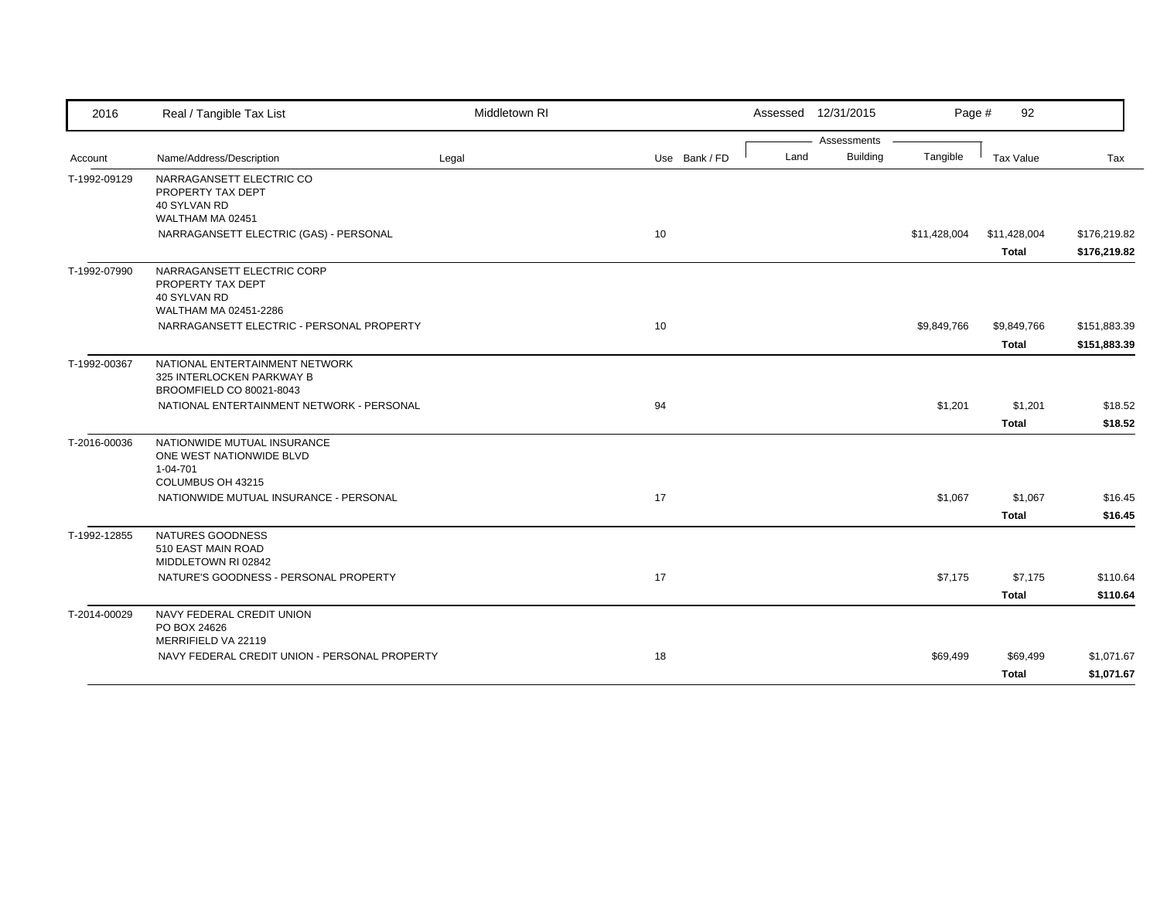| 2016         | Real / Tangible Tax List                                | Middletown RI |               |      | Assessed 12/31/2015            | Page #       | 92           |              |
|--------------|---------------------------------------------------------|---------------|---------------|------|--------------------------------|--------------|--------------|--------------|
|              | Name/Address/Description                                |               | Use Bank / FD | Land | Assessments<br><b>Building</b> | Tangible     | Tax Value    | Tax          |
| Account      |                                                         | Legal         |               |      |                                |              |              |              |
| T-1992-09129 | NARRAGANSETT ELECTRIC CO<br>PROPERTY TAX DEPT           |               |               |      |                                |              |              |              |
|              | 40 SYLVAN RD                                            |               |               |      |                                |              |              |              |
|              | WALTHAM MA 02451                                        |               |               |      |                                |              |              |              |
|              | NARRAGANSETT ELECTRIC (GAS) - PERSONAL                  |               | 10            |      |                                | \$11,428,004 | \$11,428,004 | \$176,219.82 |
|              |                                                         |               |               |      |                                |              | <b>Total</b> | \$176,219.82 |
| T-1992-07990 | NARRAGANSETT ELECTRIC CORP                              |               |               |      |                                |              |              |              |
|              | PROPERTY TAX DEPT                                       |               |               |      |                                |              |              |              |
|              | 40 SYLVAN RD<br>WALTHAM MA 02451-2286                   |               |               |      |                                |              |              |              |
|              | NARRAGANSETT ELECTRIC - PERSONAL PROPERTY               |               | 10            |      |                                | \$9,849,766  | \$9,849,766  | \$151,883.39 |
|              |                                                         |               |               |      |                                |              |              |              |
|              |                                                         |               |               |      |                                |              | <b>Total</b> | \$151,883.39 |
| T-1992-00367 | NATIONAL ENTERTAINMENT NETWORK                          |               |               |      |                                |              |              |              |
|              | 325 INTERLOCKEN PARKWAY B<br>BROOMFIELD CO 80021-8043   |               |               |      |                                |              |              |              |
|              | NATIONAL ENTERTAINMENT NETWORK - PERSONAL               |               | 94            |      |                                | \$1,201      | \$1,201      | \$18.52      |
|              |                                                         |               |               |      |                                |              | <b>Total</b> | \$18.52      |
|              |                                                         |               |               |      |                                |              |              |              |
| T-2016-00036 | NATIONWIDE MUTUAL INSURANCE<br>ONE WEST NATIONWIDE BLVD |               |               |      |                                |              |              |              |
|              | 1-04-701                                                |               |               |      |                                |              |              |              |
|              | COLUMBUS OH 43215                                       |               |               |      |                                |              |              |              |
|              | NATIONWIDE MUTUAL INSURANCE - PERSONAL                  |               | 17            |      |                                | \$1,067      | \$1,067      | \$16.45      |
|              |                                                         |               |               |      |                                |              | <b>Total</b> | \$16.45      |
| T-1992-12855 | NATURES GOODNESS                                        |               |               |      |                                |              |              |              |
|              | 510 EAST MAIN ROAD                                      |               |               |      |                                |              |              |              |
|              | MIDDLETOWN RI 02842                                     |               |               |      |                                |              |              |              |
|              | NATURE'S GOODNESS - PERSONAL PROPERTY                   |               | 17            |      |                                | \$7,175      | \$7,175      | \$110.64     |
|              |                                                         |               |               |      |                                |              | <b>Total</b> | \$110.64     |
| T-2014-00029 | NAVY FEDERAL CREDIT UNION                               |               |               |      |                                |              |              |              |
|              | PO BOX 24626<br>MERRIFIELD VA 22119                     |               |               |      |                                |              |              |              |
|              | NAVY FEDERAL CREDIT UNION - PERSONAL PROPERTY           |               | 18            |      |                                | \$69,499     | \$69,499     | \$1,071.67   |
|              |                                                         |               |               |      |                                |              |              |              |
|              |                                                         |               |               |      |                                |              | <b>Total</b> | \$1,071.67   |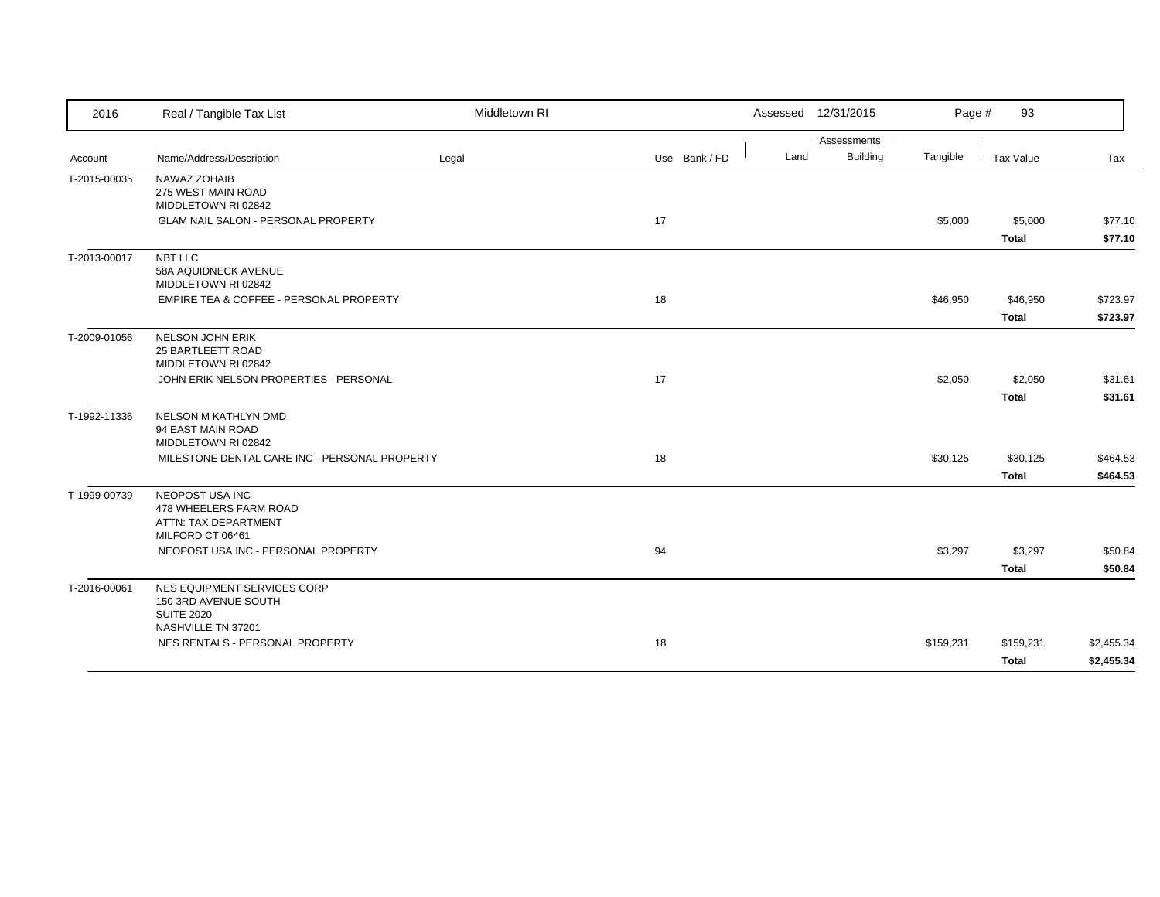| 2016         | Real / Tangible Tax List                                                                       | Middletown RI |               | Assessed 12/31/2015 |             | Page #    | 93                       |                          |
|--------------|------------------------------------------------------------------------------------------------|---------------|---------------|---------------------|-------------|-----------|--------------------------|--------------------------|
|              |                                                                                                |               |               |                     | Assessments |           |                          |                          |
| Account      | Name/Address/Description                                                                       | Legal         | Use Bank / FD | Land                | Building    | Tangible  | Tax Value                | Tax                      |
| T-2015-00035 | NAWAZ ZOHAIB<br>275 WEST MAIN ROAD<br>MIDDLETOWN RI 02842                                      |               |               |                     |             |           |                          |                          |
|              | GLAM NAIL SALON - PERSONAL PROPERTY                                                            |               | 17            |                     |             | \$5,000   | \$5,000<br><b>Total</b>  | \$77.10<br>\$77.10       |
| T-2013-00017 | NBT LLC<br>58A AQUIDNECK AVENUE<br>MIDDLETOWN RI 02842                                         |               |               |                     |             |           |                          |                          |
|              | EMPIRE TEA & COFFEE - PERSONAL PROPERTY                                                        |               | 18            |                     |             | \$46,950  | \$46,950<br>Total        | \$723.97<br>\$723.97     |
| T-2009-01056 | NELSON JOHN ERIK<br>25 BARTLEETT ROAD<br>MIDDLETOWN RI 02842                                   |               |               |                     |             |           |                          |                          |
|              | JOHN ERIK NELSON PROPERTIES - PERSONAL                                                         |               | 17            |                     |             | \$2,050   | \$2,050<br><b>Total</b>  | \$31.61<br>\$31.61       |
| T-1992-11336 | NELSON M KATHLYN DMD<br>94 EAST MAIN ROAD<br>MIDDLETOWN RI 02842                               |               |               |                     |             |           |                          |                          |
|              | MILESTONE DENTAL CARE INC - PERSONAL PROPERTY                                                  |               | 18            |                     |             | \$30,125  | \$30,125<br><b>Total</b> | \$464.53<br>\$464.53     |
| T-1999-00739 | NEOPOST USA INC<br>478 WHEELERS FARM ROAD<br>ATTN: TAX DEPARTMENT<br>MILFORD CT 06461          |               |               |                     |             |           |                          |                          |
|              | NEOPOST USA INC - PERSONAL PROPERTY                                                            |               | 94            |                     |             | \$3,297   | \$3,297<br><b>Total</b>  | \$50.84<br>\$50.84       |
| T-2016-00061 | NES EQUIPMENT SERVICES CORP<br>150 3RD AVENUE SOUTH<br><b>SUITE 2020</b><br>NASHVILLE TN 37201 |               |               |                     |             |           |                          |                          |
|              | NES RENTALS - PERSONAL PROPERTY                                                                |               | 18            |                     |             | \$159,231 | \$159,231<br>Total       | \$2,455.34<br>\$2,455.34 |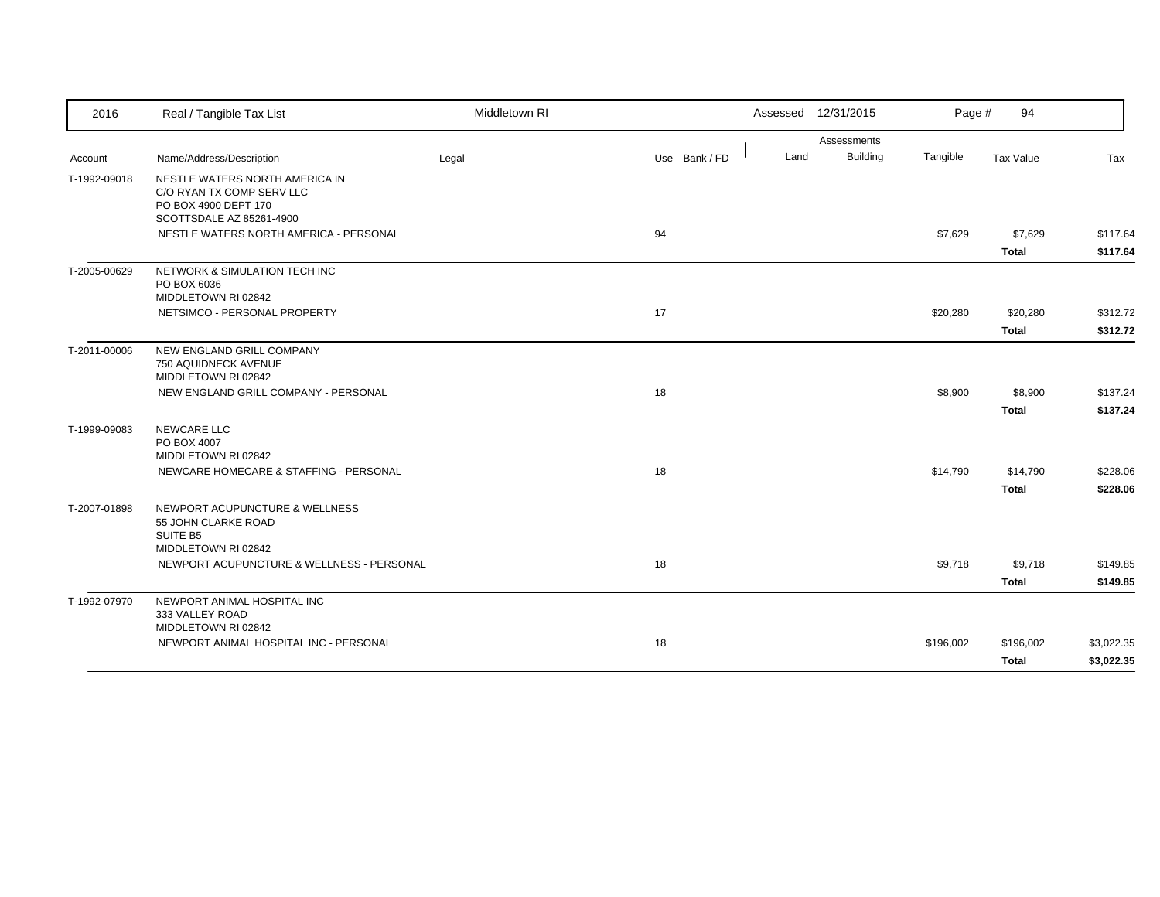| 2016         | Real / Tangible Tax List                                                                                        | Middletown RI |               | Assessed 12/31/2015 |                 | Page #    | 94           |            |
|--------------|-----------------------------------------------------------------------------------------------------------------|---------------|---------------|---------------------|-----------------|-----------|--------------|------------|
|              |                                                                                                                 |               |               |                     | Assessments     |           |              |            |
| Account      | Name/Address/Description                                                                                        | Legal         | Use Bank / FD | Land                | <b>Building</b> | Tangible  | Tax Value    | Tax        |
| T-1992-09018 | NESTLE WATERS NORTH AMERICA IN<br>C/O RYAN TX COMP SERV LLC<br>PO BOX 4900 DEPT 170<br>SCOTTSDALE AZ 85261-4900 |               |               |                     |                 |           |              |            |
|              | NESTLE WATERS NORTH AMERICA - PERSONAL                                                                          |               | 94            |                     |                 | \$7,629   | \$7,629      | \$117.64   |
|              |                                                                                                                 |               |               |                     |                 |           | <b>Total</b> | \$117.64   |
| T-2005-00629 | NETWORK & SIMULATION TECH INC<br>PO BOX 6036<br>MIDDLETOWN RI 02842                                             |               |               |                     |                 |           |              |            |
|              | NETSIMCO - PERSONAL PROPERTY                                                                                    |               | 17            |                     |                 | \$20,280  | \$20,280     | \$312.72   |
|              |                                                                                                                 |               |               |                     |                 |           | <b>Total</b> | \$312.72   |
| T-2011-00006 | NEW ENGLAND GRILL COMPANY<br>750 AQUIDNECK AVENUE<br>MIDDLETOWN RI 02842                                        |               |               |                     |                 |           |              |            |
|              | NEW ENGLAND GRILL COMPANY - PERSONAL                                                                            |               | 18            |                     |                 | \$8,900   | \$8,900      | \$137.24   |
|              |                                                                                                                 |               |               |                     |                 |           | <b>Total</b> | \$137.24   |
| T-1999-09083 | NEWCARE LLC<br>PO BOX 4007<br>MIDDLETOWN RI 02842                                                               |               |               |                     |                 |           |              |            |
|              | NEWCARE HOMECARE & STAFFING - PERSONAL                                                                          |               | 18            |                     |                 | \$14,790  | \$14,790     | \$228.06   |
|              |                                                                                                                 |               |               |                     |                 |           | <b>Total</b> | \$228.06   |
| T-2007-01898 | NEWPORT ACUPUNCTURE & WELLNESS<br>55 JOHN CLARKE ROAD<br>SUITE B5<br>MIDDLETOWN RI 02842                        |               |               |                     |                 |           |              |            |
|              | NEWPORT ACUPUNCTURE & WELLNESS - PERSONAL                                                                       |               | 18            |                     |                 | \$9,718   | \$9,718      | \$149.85   |
|              |                                                                                                                 |               |               |                     |                 |           | <b>Total</b> | \$149.85   |
|              | NEWPORT ANIMAL HOSPITAL INC                                                                                     |               |               |                     |                 |           |              |            |
| T-1992-07970 | 333 VALLEY ROAD<br>MIDDLETOWN RI 02842                                                                          |               |               |                     |                 |           |              |            |
|              | NEWPORT ANIMAL HOSPITAL INC - PERSONAL                                                                          |               | 18            |                     |                 | \$196,002 | \$196,002    | \$3,022.35 |
|              |                                                                                                                 |               |               |                     |                 |           | Total        | \$3,022.35 |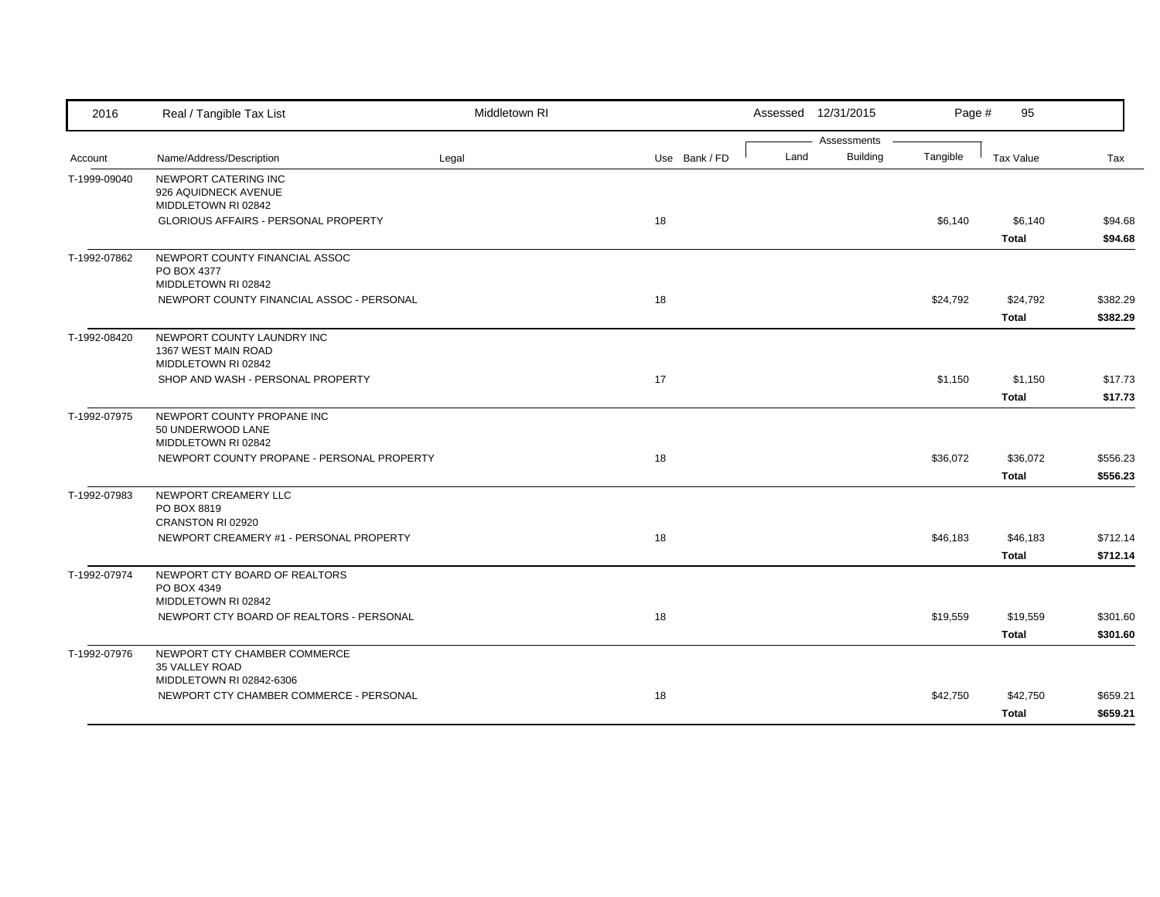| 2016         | Real / Tangible Tax List                                                   | Middletown RI |               |      | Assessed 12/31/2015            | Page #   | 95                       |                      |
|--------------|----------------------------------------------------------------------------|---------------|---------------|------|--------------------------------|----------|--------------------------|----------------------|
| Account      | Name/Address/Description                                                   | Legal         | Use Bank / FD | Land | Assessments<br><b>Building</b> | Tangible | Tax Value                | Tax                  |
| T-1999-09040 | NEWPORT CATERING INC<br>926 AQUIDNECK AVENUE<br>MIDDLETOWN RI 02842        |               |               |      |                                |          |                          |                      |
|              | GLORIOUS AFFAIRS - PERSONAL PROPERTY                                       |               | 18            |      |                                | \$6,140  | \$6,140<br><b>Total</b>  | \$94.68<br>\$94.68   |
| T-1992-07862 | NEWPORT COUNTY FINANCIAL ASSOC<br>PO BOX 4377<br>MIDDLETOWN RI 02842       |               |               |      |                                |          |                          |                      |
|              | NEWPORT COUNTY FINANCIAL ASSOC - PERSONAL                                  |               | 18            |      |                                | \$24,792 | \$24,792<br><b>Total</b> | \$382.29<br>\$382.29 |
| T-1992-08420 | NEWPORT COUNTY LAUNDRY INC<br>1367 WEST MAIN ROAD<br>MIDDLETOWN RI 02842   |               |               |      |                                |          |                          |                      |
|              | SHOP AND WASH - PERSONAL PROPERTY                                          |               | 17            |      |                                | \$1,150  | \$1,150<br><b>Total</b>  | \$17.73<br>\$17.73   |
| T-1992-07975 | NEWPORT COUNTY PROPANE INC<br>50 UNDERWOOD LANE<br>MIDDLETOWN RI 02842     |               |               |      |                                |          |                          |                      |
|              | NEWPORT COUNTY PROPANE - PERSONAL PROPERTY                                 |               | 18            |      |                                | \$36,072 | \$36,072<br><b>Total</b> | \$556.23<br>\$556.23 |
| T-1992-07983 | NEWPORT CREAMERY LLC<br>PO BOX 8819<br>CRANSTON RI 02920                   |               |               |      |                                |          |                          |                      |
|              | NEWPORT CREAMERY #1 - PERSONAL PROPERTY                                    |               | 18            |      |                                | \$46,183 | \$46,183<br><b>Total</b> | \$712.14<br>\$712.14 |
| T-1992-07974 | NEWPORT CTY BOARD OF REALTORS<br>PO BOX 4349<br>MIDDLETOWN RI 02842        |               |               |      |                                |          |                          |                      |
|              | NEWPORT CTY BOARD OF REALTORS - PERSONAL                                   |               | 18            |      |                                | \$19,559 | \$19,559<br><b>Total</b> | \$301.60<br>\$301.60 |
| T-1992-07976 | NEWPORT CTY CHAMBER COMMERCE<br>35 VALLEY ROAD<br>MIDDLETOWN RI 02842-6306 |               |               |      |                                |          |                          |                      |
|              | NEWPORT CTY CHAMBER COMMERCE - PERSONAL                                    |               | 18            |      |                                | \$42,750 | \$42,750<br><b>Total</b> | \$659.21<br>\$659.21 |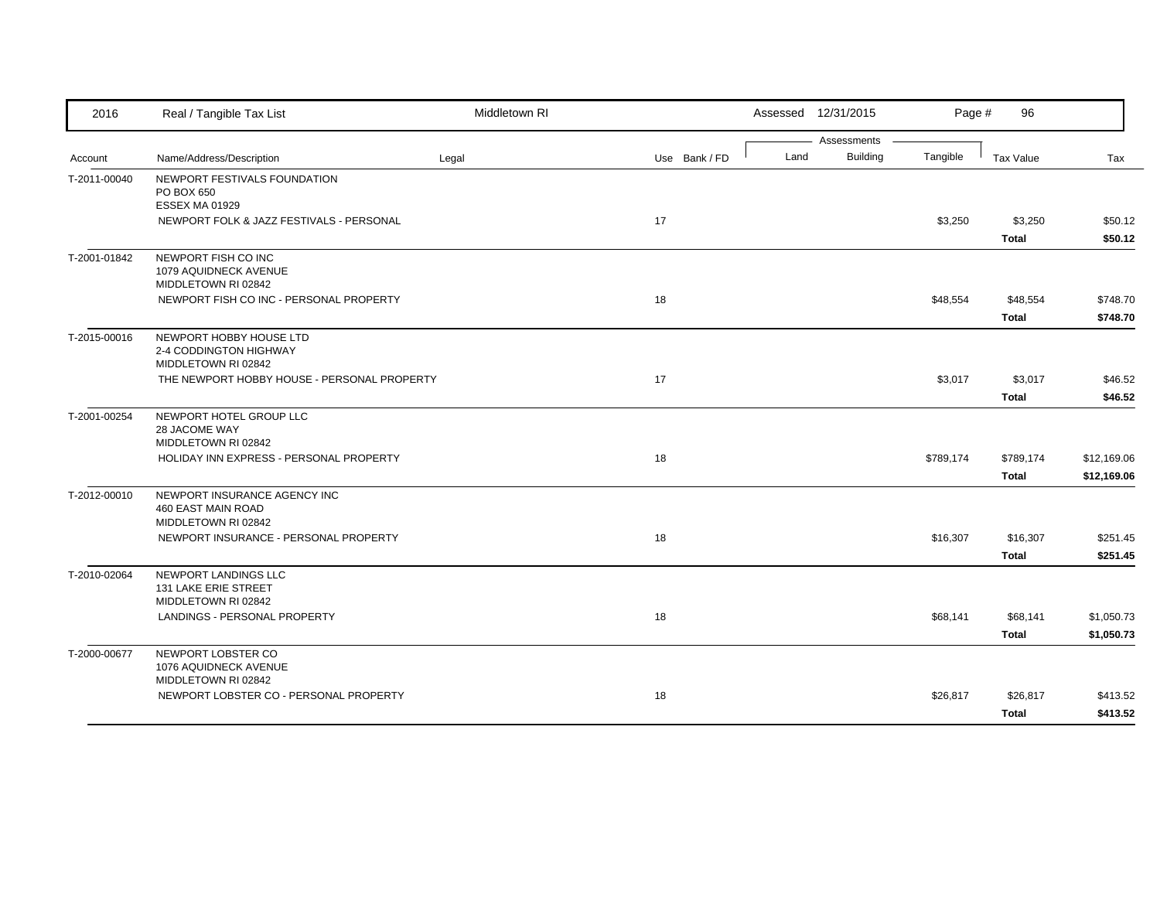| 2016         | Real / Tangible Tax List                                                         | Middletown RI |    |               |      | Assessed 12/31/2015            | Page #    | 96                        |                            |
|--------------|----------------------------------------------------------------------------------|---------------|----|---------------|------|--------------------------------|-----------|---------------------------|----------------------------|
| Account      | Name/Address/Description                                                         | Legal         |    | Use Bank / FD | Land | Assessments<br><b>Building</b> | Tangible  | Tax Value                 | Tax                        |
| T-2011-00040 | NEWPORT FESTIVALS FOUNDATION<br>PO BOX 650<br><b>ESSEX MA 01929</b>              |               |    |               |      |                                |           |                           |                            |
|              | NEWPORT FOLK & JAZZ FESTIVALS - PERSONAL                                         |               | 17 |               |      |                                | \$3,250   | \$3,250<br><b>Total</b>   | \$50.12<br>\$50.12         |
| T-2001-01842 | NEWPORT FISH CO INC<br>1079 AQUIDNECK AVENUE<br>MIDDLETOWN RI 02842              |               |    |               |      |                                |           |                           |                            |
|              | NEWPORT FISH CO INC - PERSONAL PROPERTY                                          |               | 18 |               |      |                                | \$48,554  | \$48,554<br><b>Total</b>  | \$748.70<br>\$748.70       |
| T-2015-00016 | NEWPORT HOBBY HOUSE LTD<br>2-4 CODDINGTON HIGHWAY<br>MIDDLETOWN RI 02842         |               |    |               |      |                                |           |                           |                            |
|              | THE NEWPORT HOBBY HOUSE - PERSONAL PROPERTY                                      |               | 17 |               |      |                                | \$3,017   | \$3,017<br><b>Total</b>   | \$46.52<br>\$46.52         |
| T-2001-00254 | NEWPORT HOTEL GROUP LLC<br>28 JACOME WAY                                         |               |    |               |      |                                |           |                           |                            |
|              | MIDDLETOWN RI 02842<br>HOLIDAY INN EXPRESS - PERSONAL PROPERTY                   |               | 18 |               |      |                                | \$789,174 | \$789,174<br><b>Total</b> | \$12,169.06<br>\$12,169.06 |
| T-2012-00010 | NEWPORT INSURANCE AGENCY INC<br><b>460 EAST MAIN ROAD</b><br>MIDDLETOWN RI 02842 |               |    |               |      |                                |           |                           |                            |
|              | NEWPORT INSURANCE - PERSONAL PROPERTY                                            |               | 18 |               |      |                                | \$16,307  | \$16,307<br><b>Total</b>  | \$251.45<br>\$251.45       |
| T-2010-02064 | NEWPORT LANDINGS LLC<br>131 LAKE ERIE STREET<br>MIDDLETOWN RI 02842              |               |    |               |      |                                |           |                           |                            |
|              | LANDINGS - PERSONAL PROPERTY                                                     |               | 18 |               |      |                                | \$68,141  | \$68,141<br><b>Total</b>  | \$1,050.73<br>\$1,050.73   |
| T-2000-00677 | NEWPORT LOBSTER CO<br>1076 AQUIDNECK AVENUE<br>MIDDLETOWN RI 02842               |               |    |               |      |                                |           |                           |                            |
|              | NEWPORT LOBSTER CO - PERSONAL PROPERTY                                           |               | 18 |               |      |                                | \$26,817  | \$26,817<br><b>Total</b>  | \$413.52<br>\$413.52       |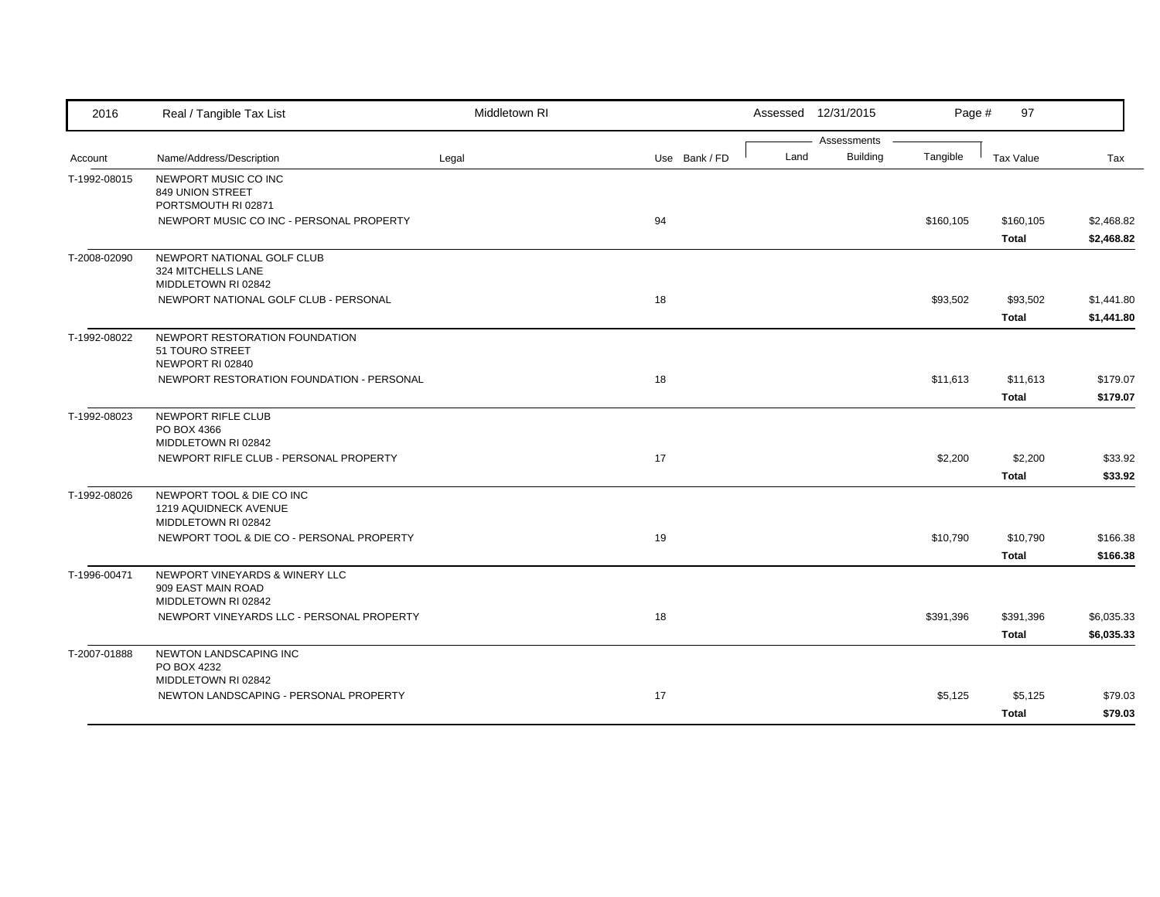| 2016         | Real / Tangible Tax List                                                    | Middletown RI |               |      | Assessed 12/31/2015            | Page #    | 97                        |                          |
|--------------|-----------------------------------------------------------------------------|---------------|---------------|------|--------------------------------|-----------|---------------------------|--------------------------|
| Account      | Name/Address/Description                                                    | Legal         | Use Bank / FD | Land | Assessments<br><b>Building</b> | Tangible  | Tax Value                 | Tax                      |
| T-1992-08015 | NEWPORT MUSIC CO INC<br>849 UNION STREET<br>PORTSMOUTH RI 02871             |               |               |      |                                |           |                           |                          |
|              | NEWPORT MUSIC CO INC - PERSONAL PROPERTY                                    |               | 94            |      |                                | \$160,105 | \$160,105<br><b>Total</b> | \$2,468.82<br>\$2,468.82 |
| T-2008-02090 | NEWPORT NATIONAL GOLF CLUB<br>324 MITCHELLS LANE<br>MIDDLETOWN RI 02842     |               |               |      |                                |           |                           |                          |
|              | NEWPORT NATIONAL GOLF CLUB - PERSONAL                                       |               | 18            |      |                                | \$93,502  | \$93,502<br><b>Total</b>  | \$1,441.80<br>\$1,441.80 |
| T-1992-08022 | NEWPORT RESTORATION FOUNDATION<br>51 TOURO STREET<br>NEWPORT RI 02840       |               |               |      |                                |           |                           |                          |
|              | NEWPORT RESTORATION FOUNDATION - PERSONAL                                   |               | 18            |      |                                | \$11,613  | \$11,613<br><b>Total</b>  | \$179.07<br>\$179.07     |
| T-1992-08023 | NEWPORT RIFLE CLUB<br>PO BOX 4366<br>MIDDLETOWN RI 02842                    |               |               |      |                                |           |                           |                          |
|              | NEWPORT RIFLE CLUB - PERSONAL PROPERTY                                      |               | 17            |      |                                | \$2,200   | \$2,200<br><b>Total</b>   | \$33.92<br>\$33.92       |
| T-1992-08026 | NEWPORT TOOL & DIE CO INC<br>1219 AQUIDNECK AVENUE<br>MIDDLETOWN RI 02842   |               |               |      |                                |           |                           |                          |
|              | NEWPORT TOOL & DIE CO - PERSONAL PROPERTY                                   |               | 19            |      |                                | \$10,790  | \$10,790<br><b>Total</b>  | \$166.38<br>\$166.38     |
| T-1996-00471 | NEWPORT VINEYARDS & WINERY LLC<br>909 EAST MAIN ROAD<br>MIDDLETOWN RI 02842 |               |               |      |                                |           |                           |                          |
|              | NEWPORT VINEYARDS LLC - PERSONAL PROPERTY                                   |               | 18            |      |                                | \$391,396 | \$391,396<br><b>Total</b> | \$6,035.33<br>\$6,035.33 |
| T-2007-01888 | NEWTON LANDSCAPING INC<br>PO BOX 4232<br>MIDDLETOWN RI 02842                |               |               |      |                                |           |                           |                          |
|              | NEWTON LANDSCAPING - PERSONAL PROPERTY                                      |               | 17            |      |                                | \$5,125   | \$5,125<br><b>Total</b>   | \$79.03<br>\$79.03       |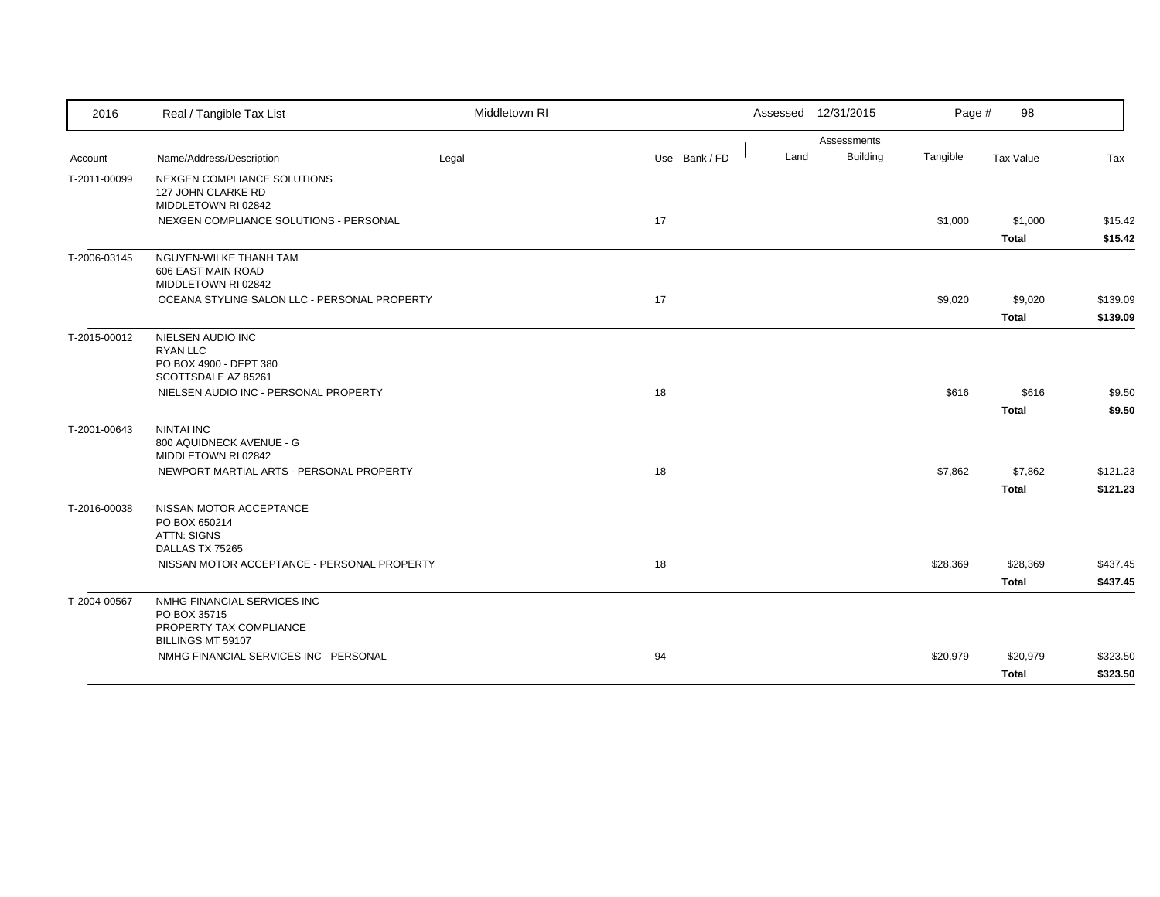| 2016         | Real / Tangible Tax List                        | Middletown RI |               |      | Assessed 12/31/2015 | Page #   | 98           |          |
|--------------|-------------------------------------------------|---------------|---------------|------|---------------------|----------|--------------|----------|
|              |                                                 |               |               |      | Assessments         |          |              |          |
| Account      | Name/Address/Description                        | Legal         | Use Bank / FD | Land | <b>Building</b>     | Tangible | Tax Value    | Tax      |
| T-2011-00099 | NEXGEN COMPLIANCE SOLUTIONS                     |               |               |      |                     |          |              |          |
|              | 127 JOHN CLARKE RD<br>MIDDLETOWN RI 02842       |               |               |      |                     |          |              |          |
|              | NEXGEN COMPLIANCE SOLUTIONS - PERSONAL          |               | 17            |      |                     | \$1,000  | \$1,000      | \$15.42  |
|              |                                                 |               |               |      |                     |          |              |          |
|              |                                                 |               |               |      |                     |          | Total        | \$15.42  |
| T-2006-03145 | NGUYEN-WILKE THANH TAM                          |               |               |      |                     |          |              |          |
|              | 606 EAST MAIN ROAD<br>MIDDLETOWN RI 02842       |               |               |      |                     |          |              |          |
|              | OCEANA STYLING SALON LLC - PERSONAL PROPERTY    |               | 17            |      |                     |          |              |          |
|              |                                                 |               |               |      |                     | \$9,020  | \$9,020      | \$139.09 |
|              |                                                 |               |               |      |                     |          | Total        | \$139.09 |
| T-2015-00012 | NIELSEN AUDIO INC                               |               |               |      |                     |          |              |          |
|              | RYAN LLC                                        |               |               |      |                     |          |              |          |
|              | PO BOX 4900 - DEPT 380<br>SCOTTSDALE AZ 85261   |               |               |      |                     |          |              |          |
|              | NIELSEN AUDIO INC - PERSONAL PROPERTY           |               | 18            |      |                     | \$616    | \$616        | \$9.50   |
|              |                                                 |               |               |      |                     |          |              |          |
|              |                                                 |               |               |      |                     |          | <b>Total</b> | \$9.50   |
| T-2001-00643 | <b>NINTAI INC</b>                               |               |               |      |                     |          |              |          |
|              | 800 AQUIDNECK AVENUE - G<br>MIDDLETOWN RI 02842 |               |               |      |                     |          |              |          |
|              | NEWPORT MARTIAL ARTS - PERSONAL PROPERTY        |               | 18            |      |                     | \$7,862  | \$7,862      | \$121.23 |
|              |                                                 |               |               |      |                     |          |              |          |
|              |                                                 |               |               |      |                     |          | <b>Total</b> | \$121.23 |
| T-2016-00038 | NISSAN MOTOR ACCEPTANCE                         |               |               |      |                     |          |              |          |
|              | PO BOX 650214                                   |               |               |      |                     |          |              |          |
|              | <b>ATTN: SIGNS</b><br>DALLAS TX 75265           |               |               |      |                     |          |              |          |
|              | NISSAN MOTOR ACCEPTANCE - PERSONAL PROPERTY     |               | 18            |      |                     | \$28,369 | \$28,369     | \$437.45 |
|              |                                                 |               |               |      |                     |          |              |          |
|              |                                                 |               |               |      |                     |          | <b>Total</b> | \$437.45 |
| T-2004-00567 | NMHG FINANCIAL SERVICES INC                     |               |               |      |                     |          |              |          |
|              | PO BOX 35715<br>PROPERTY TAX COMPLIANCE         |               |               |      |                     |          |              |          |
|              | BILLINGS MT 59107                               |               |               |      |                     |          |              |          |
|              | NMHG FINANCIAL SERVICES INC - PERSONAL          |               | 94            |      |                     | \$20,979 | \$20,979     | \$323.50 |
|              |                                                 |               |               |      |                     |          |              | \$323.50 |
|              |                                                 |               |               |      |                     |          | Total        |          |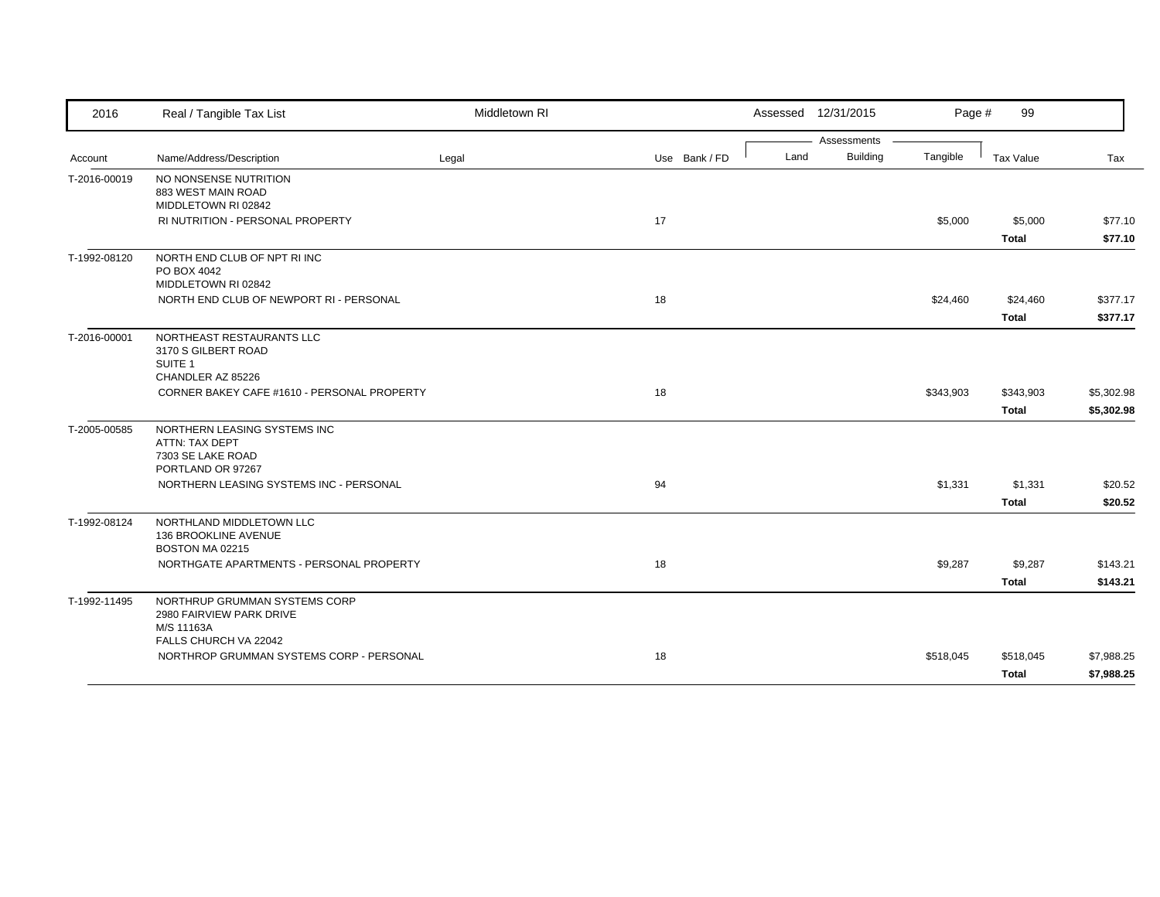| 2016         | Real / Tangible Tax List                                                                    | Middletown RI |               |      | Assessed 12/31/2015 | Page #    | 99           |            |
|--------------|---------------------------------------------------------------------------------------------|---------------|---------------|------|---------------------|-----------|--------------|------------|
|              |                                                                                             |               |               |      | Assessments         |           |              |            |
| Account      | Name/Address/Description                                                                    | Legal         | Use Bank / FD | Land | <b>Building</b>     | Tangible  | Tax Value    | Tax        |
| T-2016-00019 | NO NONSENSE NUTRITION<br>883 WEST MAIN ROAD<br>MIDDLETOWN RI 02842                          |               |               |      |                     |           |              |            |
|              | <b>RI NUTRITION - PERSONAL PROPERTY</b>                                                     |               | 17            |      |                     | \$5,000   | \$5,000      | \$77.10    |
|              |                                                                                             |               |               |      |                     |           | <b>Total</b> | \$77.10    |
| T-1992-08120 | NORTH END CLUB OF NPT RIINC<br>PO BOX 4042<br>MIDDLETOWN RI 02842                           |               |               |      |                     |           |              |            |
|              | NORTH END CLUB OF NEWPORT RI - PERSONAL                                                     |               | 18            |      |                     | \$24,460  | \$24,460     | \$377.17   |
|              |                                                                                             |               |               |      |                     |           | <b>Total</b> | \$377.17   |
| T-2016-00001 | NORTHEAST RESTAURANTS LLC<br>3170 S GILBERT ROAD<br>SUITE <sub>1</sub><br>CHANDLER AZ 85226 |               |               |      |                     |           |              |            |
|              | CORNER BAKEY CAFE #1610 - PERSONAL PROPERTY                                                 |               | 18            |      |                     | \$343,903 | \$343,903    | \$5,302.98 |
|              |                                                                                             |               |               |      |                     |           | <b>Total</b> | \$5,302.98 |
| T-2005-00585 | NORTHERN LEASING SYSTEMS INC<br>ATTN: TAX DEPT<br>7303 SE LAKE ROAD<br>PORTLAND OR 97267    |               |               |      |                     |           |              |            |
|              | NORTHERN LEASING SYSTEMS INC - PERSONAL                                                     |               | 94            |      |                     | \$1,331   | \$1,331      | \$20.52    |
|              |                                                                                             |               |               |      |                     |           | <b>Total</b> | \$20.52    |
| T-1992-08124 | NORTHLAND MIDDLETOWN LLC<br>136 BROOKLINE AVENUE<br>BOSTON MA 02215                         |               |               |      |                     |           |              |            |
|              | NORTHGATE APARTMENTS - PERSONAL PROPERTY                                                    |               | 18            |      |                     | \$9,287   | \$9,287      | \$143.21   |
|              |                                                                                             |               |               |      |                     |           | <b>Total</b> | \$143.21   |
| T-1992-11495 | NORTHRUP GRUMMAN SYSTEMS CORP<br>2980 FAIRVIEW PARK DRIVE<br>M/S 11163A                     |               |               |      |                     |           |              |            |
|              | FALLS CHURCH VA 22042<br>NORTHROP GRUMMAN SYSTEMS CORP - PERSONAL                           |               | 18            |      |                     | \$518,045 | \$518,045    | \$7,988.25 |
|              |                                                                                             |               |               |      |                     |           | <b>Total</b> | \$7,988.25 |
|              |                                                                                             |               |               |      |                     |           |              |            |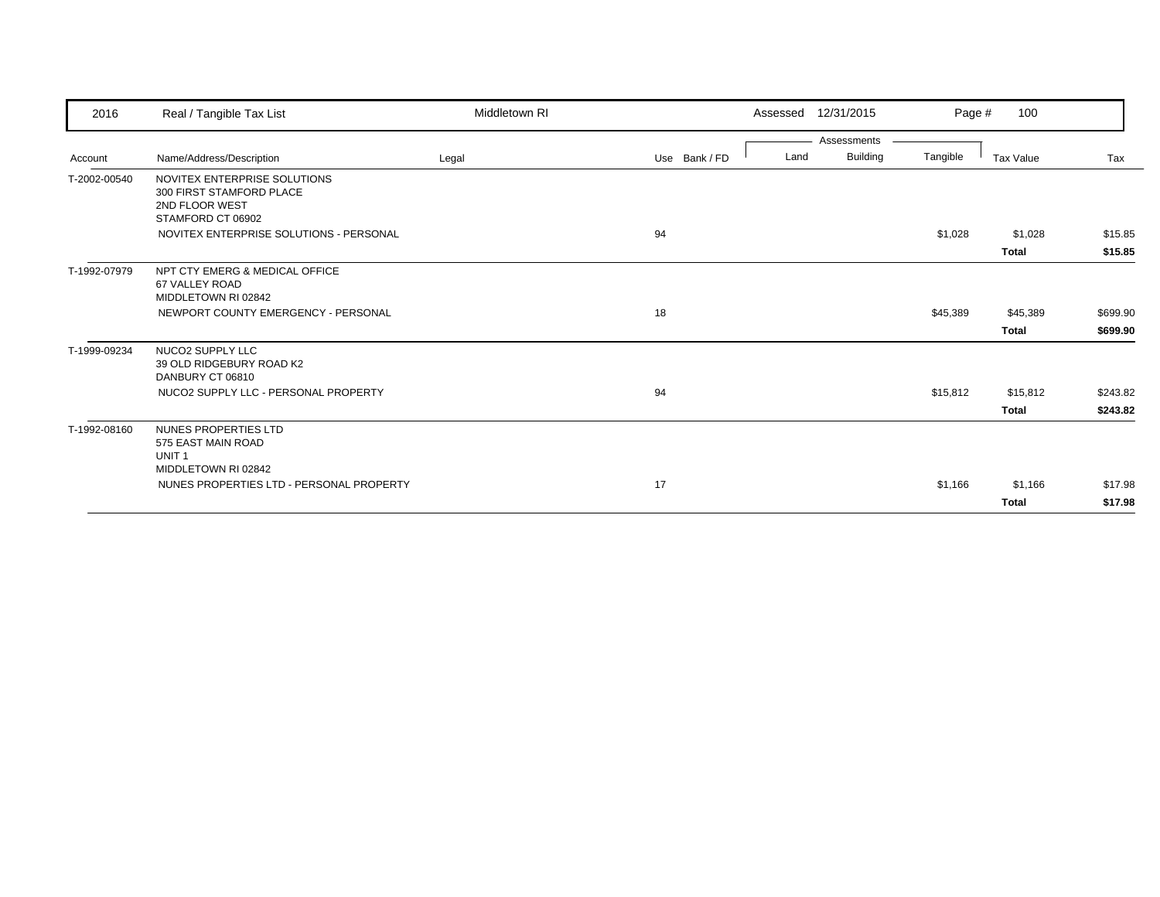| 2016         | Real / Tangible Tax List                                                               | Middletown RI |               | Assessed | 12/31/2015  | Page #   | 100          |          |
|--------------|----------------------------------------------------------------------------------------|---------------|---------------|----------|-------------|----------|--------------|----------|
|              |                                                                                        |               |               |          | Assessments |          |              |          |
| Account      | Name/Address/Description                                                               | Legal         | Use Bank / FD | Land     | Building    | Tangible | Tax Value    | Tax      |
| T-2002-00540 | NOVITEX ENTERPRISE SOLUTIONS<br>300 FIRST STAMFORD PLACE<br>2ND FLOOR WEST             |               |               |          |             |          |              |          |
|              | STAMFORD CT 06902<br>NOVITEX ENTERPRISE SOLUTIONS - PERSONAL                           |               | 94            |          |             | \$1,028  | \$1,028      | \$15.85  |
|              |                                                                                        |               |               |          |             |          | <b>Total</b> | \$15.85  |
| T-1992-07979 | NPT CTY EMERG & MEDICAL OFFICE<br>67 VALLEY ROAD<br>MIDDLETOWN RI 02842                |               |               |          |             |          |              |          |
|              | NEWPORT COUNTY EMERGENCY - PERSONAL                                                    |               | 18            |          |             | \$45,389 | \$45,389     | \$699.90 |
|              |                                                                                        |               |               |          |             |          | <b>Total</b> | \$699.90 |
| T-1999-09234 | NUCO2 SUPPLY LLC<br>39 OLD RIDGEBURY ROAD K2<br>DANBURY CT 06810                       |               |               |          |             |          |              |          |
|              | NUCO2 SUPPLY LLC - PERSONAL PROPERTY                                                   |               | 94            |          |             | \$15,812 | \$15,812     | \$243.82 |
|              |                                                                                        |               |               |          |             |          | <b>Total</b> | \$243.82 |
| T-1992-08160 | NUNES PROPERTIES LTD<br>575 EAST MAIN ROAD<br>UNIT <sub>1</sub><br>MIDDLETOWN RI 02842 |               |               |          |             |          |              |          |
|              | NUNES PROPERTIES LTD - PERSONAL PROPERTY                                               |               | 17            |          |             | \$1,166  | \$1,166      | \$17.98  |
|              |                                                                                        |               |               |          |             |          | <b>Total</b> | \$17.98  |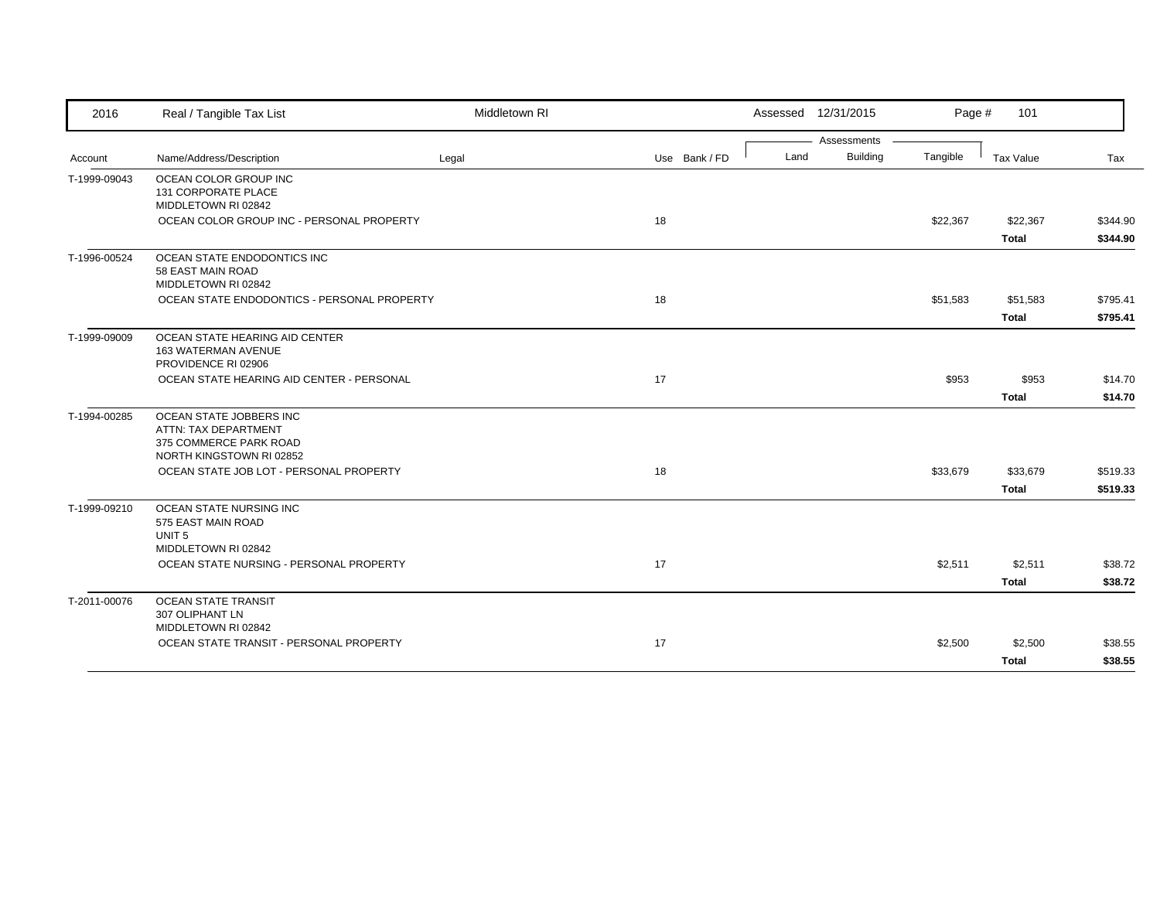| 2016         | Real / Tangible Tax List                                                                              | Middletown RI |               |  | Assessed 12/31/2015 |                                | Page #   | 101                      |                      |
|--------------|-------------------------------------------------------------------------------------------------------|---------------|---------------|--|---------------------|--------------------------------|----------|--------------------------|----------------------|
| Account      | Name/Address/Description                                                                              | Legal         | Use Bank / FD |  | Land                | Assessments<br><b>Building</b> | Tangible | Tax Value                | Tax                  |
| T-1999-09043 | OCEAN COLOR GROUP INC<br>131 CORPORATE PLACE<br>MIDDLETOWN RI 02842                                   |               |               |  |                     |                                |          |                          |                      |
|              | OCEAN COLOR GROUP INC - PERSONAL PROPERTY                                                             |               | 18            |  |                     |                                | \$22,367 | \$22,367<br><b>Total</b> | \$344.90<br>\$344.90 |
| T-1996-00524 | OCEAN STATE ENDODONTICS INC<br>58 EAST MAIN ROAD<br>MIDDLETOWN RI 02842                               |               |               |  |                     |                                |          |                          |                      |
|              | OCEAN STATE ENDODONTICS - PERSONAL PROPERTY                                                           |               | 18            |  |                     |                                | \$51,583 | \$51,583<br>Total        | \$795.41<br>\$795.41 |
| T-1999-09009 | OCEAN STATE HEARING AID CENTER<br><b>163 WATERMAN AVENUE</b><br>PROVIDENCE RI 02906                   |               |               |  |                     |                                |          |                          |                      |
|              | OCEAN STATE HEARING AID CENTER - PERSONAL                                                             |               | 17            |  |                     |                                | \$953    | \$953<br><b>Total</b>    | \$14.70<br>\$14.70   |
| T-1994-00285 | OCEAN STATE JOBBERS INC<br>ATTN: TAX DEPARTMENT<br>375 COMMERCE PARK ROAD<br>NORTH KINGSTOWN RI 02852 |               |               |  |                     |                                |          |                          |                      |
|              | OCEAN STATE JOB LOT - PERSONAL PROPERTY                                                               |               | 18            |  |                     |                                | \$33,679 | \$33,679<br><b>Total</b> | \$519.33<br>\$519.33 |
| T-1999-09210 | OCEAN STATE NURSING INC<br>575 EAST MAIN ROAD<br>UNIT <sub>5</sub><br>MIDDLETOWN RI 02842             |               |               |  |                     |                                |          |                          |                      |
|              | OCEAN STATE NURSING - PERSONAL PROPERTY                                                               |               | 17            |  |                     |                                | \$2,511  | \$2,511<br><b>Total</b>  | \$38.72<br>\$38.72   |
| T-2011-00076 | <b>OCEAN STATE TRANSIT</b><br>307 OLIPHANT LN<br>MIDDLETOWN RI 02842                                  |               |               |  |                     |                                |          |                          |                      |
|              | OCEAN STATE TRANSIT - PERSONAL PROPERTY                                                               |               | 17            |  |                     |                                | \$2,500  | \$2,500<br><b>Total</b>  | \$38.55<br>\$38.55   |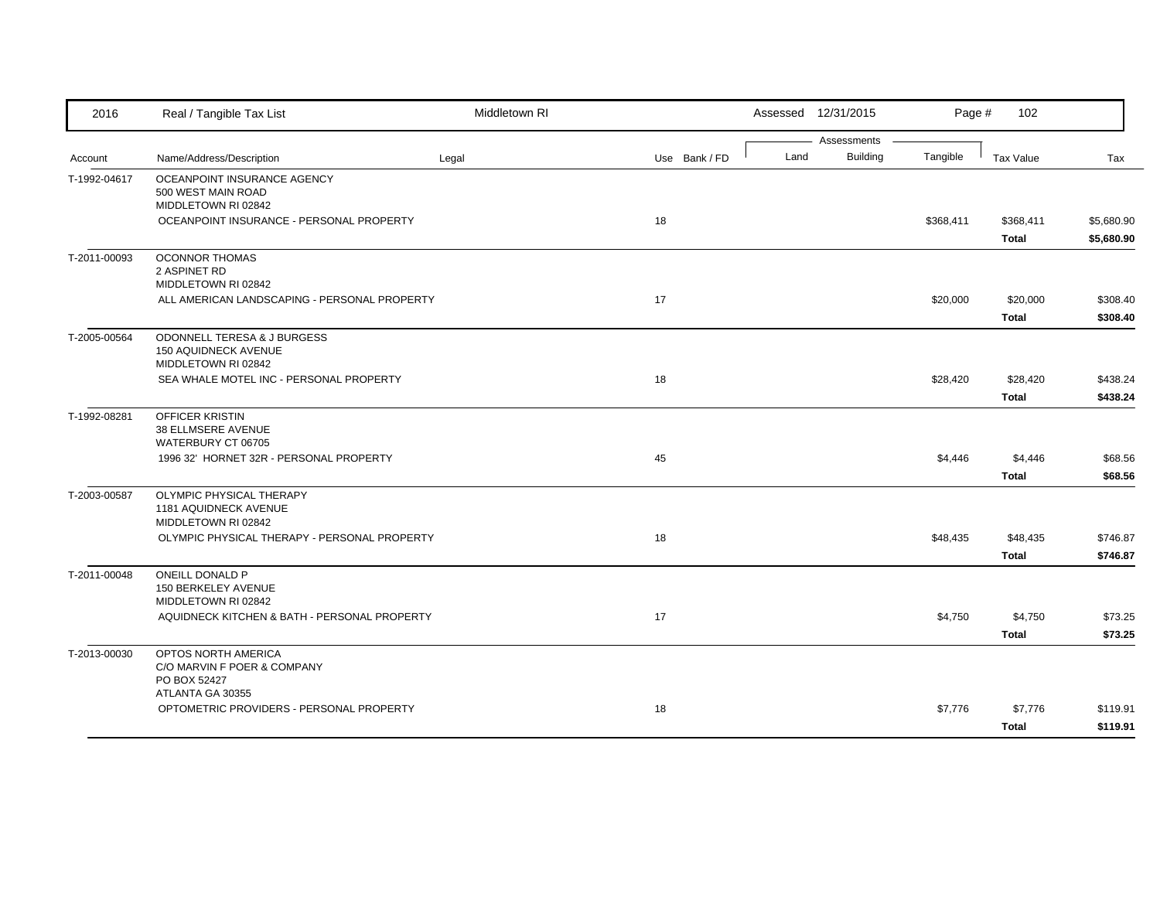| 2016         | Real / Tangible Tax List                                                   | Middletown RI |               |      | Assessed 12/31/2015 | Page #    | 102                       |                          |
|--------------|----------------------------------------------------------------------------|---------------|---------------|------|---------------------|-----------|---------------------------|--------------------------|
|              |                                                                            |               |               |      | Assessments         |           |                           |                          |
| Account      | Name/Address/Description                                                   | Legal         | Use Bank / FD | Land | <b>Building</b>     | Tangible  | Tax Value                 | Tax                      |
| T-1992-04617 | OCEANPOINT INSURANCE AGENCY<br>500 WEST MAIN ROAD<br>MIDDLETOWN RI 02842   |               |               |      |                     |           |                           |                          |
|              | OCEANPOINT INSURANCE - PERSONAL PROPERTY                                   |               | 18            |      |                     | \$368,411 | \$368,411<br><b>Total</b> | \$5,680.90<br>\$5,680.90 |
| T-2011-00093 | <b>OCONNOR THOMAS</b><br>2 ASPINET RD<br>MIDDLETOWN RI 02842               |               |               |      |                     |           |                           |                          |
|              | ALL AMERICAN LANDSCAPING - PERSONAL PROPERTY                               |               | 17            |      |                     | \$20,000  | \$20,000<br><b>Total</b>  | \$308.40<br>\$308.40     |
| T-2005-00564 | ODONNELL TERESA & J BURGESS<br>150 AQUIDNECK AVENUE<br>MIDDLETOWN RI 02842 |               |               |      |                     |           |                           |                          |
|              | SEA WHALE MOTEL INC - PERSONAL PROPERTY                                    |               | 18            |      |                     | \$28,420  | \$28,420<br><b>Total</b>  | \$438.24<br>\$438.24     |
| T-1992-08281 | <b>OFFICER KRISTIN</b><br>38 ELLMSERE AVENUE<br>WATERBURY CT 06705         |               |               |      |                     |           |                           |                          |
|              | 1996 32' HORNET 32R - PERSONAL PROPERTY                                    |               | 45            |      |                     | \$4,446   | \$4,446<br><b>Total</b>   | \$68.56<br>\$68.56       |
| T-2003-00587 | OLYMPIC PHYSICAL THERAPY<br>1181 AQUIDNECK AVENUE<br>MIDDLETOWN RI 02842   |               |               |      |                     |           |                           |                          |
|              | OLYMPIC PHYSICAL THERAPY - PERSONAL PROPERTY                               |               | 18            |      |                     | \$48,435  | \$48,435<br><b>Total</b>  | \$746.87<br>\$746.87     |
| T-2011-00048 | ONEILL DONALD P<br>150 BERKELEY AVENUE<br>MIDDLETOWN RI 02842              |               |               |      |                     |           |                           |                          |
|              | AQUIDNECK KITCHEN & BATH - PERSONAL PROPERTY                               |               | 17            |      |                     | \$4,750   | \$4,750<br><b>Total</b>   | \$73.25<br>\$73.25       |
| T-2013-00030 | OPTOS NORTH AMERICA<br>C/O MARVIN F POER & COMPANY<br>PO BOX 52427         |               |               |      |                     |           |                           |                          |
|              | ATLANTA GA 30355<br>OPTOMETRIC PROVIDERS - PERSONAL PROPERTY               |               | 18            |      |                     | \$7,776   | \$7,776<br><b>Total</b>   | \$119.91<br>\$119.91     |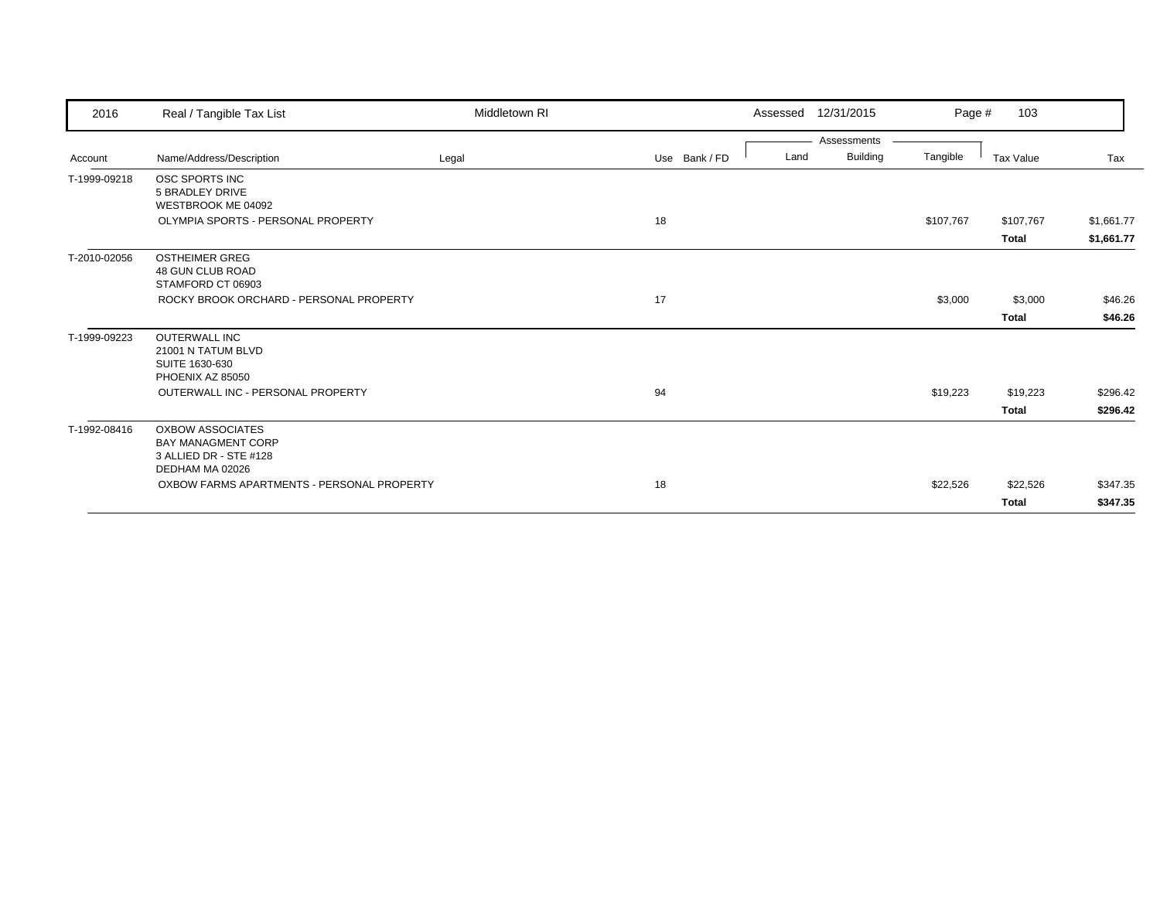| 2016         | Real / Tangible Tax List                                                                          | Middletown RI |               |      | Assessed 12/31/2015            | Page #    | 103                       |                          |
|--------------|---------------------------------------------------------------------------------------------------|---------------|---------------|------|--------------------------------|-----------|---------------------------|--------------------------|
| Account      | Name/Address/Description                                                                          | Legal         | Use Bank / FD | Land | Assessments<br><b>Building</b> | Tangible  | Tax Value                 | Tax                      |
| T-1999-09218 | OSC SPORTS INC<br><b>5 BRADLEY DRIVE</b><br>WESTBROOK ME 04092                                    |               |               |      |                                |           |                           |                          |
|              | OLYMPIA SPORTS - PERSONAL PROPERTY                                                                |               | 18            |      |                                | \$107,767 | \$107,767<br><b>Total</b> | \$1,661.77<br>\$1,661.77 |
| T-2010-02056 | <b>OSTHEIMER GREG</b><br>48 GUN CLUB ROAD<br>STAMFORD CT 06903                                    |               |               |      |                                |           |                           |                          |
|              | ROCKY BROOK ORCHARD - PERSONAL PROPERTY                                                           |               | 17            |      |                                | \$3,000   | \$3,000<br><b>Total</b>   | \$46.26<br>\$46.26       |
| T-1999-09223 | <b>OUTERWALL INC</b><br>21001 N TATUM BLVD<br>SUITE 1630-630<br>PHOENIX AZ 85050                  |               |               |      |                                |           |                           |                          |
|              | OUTERWALL INC - PERSONAL PROPERTY                                                                 |               | 94            |      |                                | \$19,223  | \$19,223<br><b>Total</b>  | \$296.42<br>\$296.42     |
| T-1992-08416 | <b>OXBOW ASSOCIATES</b><br><b>BAY MANAGMENT CORP</b><br>3 ALLIED DR - STE #128<br>DEDHAM MA 02026 |               |               |      |                                |           |                           |                          |
|              | OXBOW FARMS APARTMENTS - PERSONAL PROPERTY                                                        |               | 18            |      |                                | \$22,526  | \$22,526<br><b>Total</b>  | \$347.35<br>\$347.35     |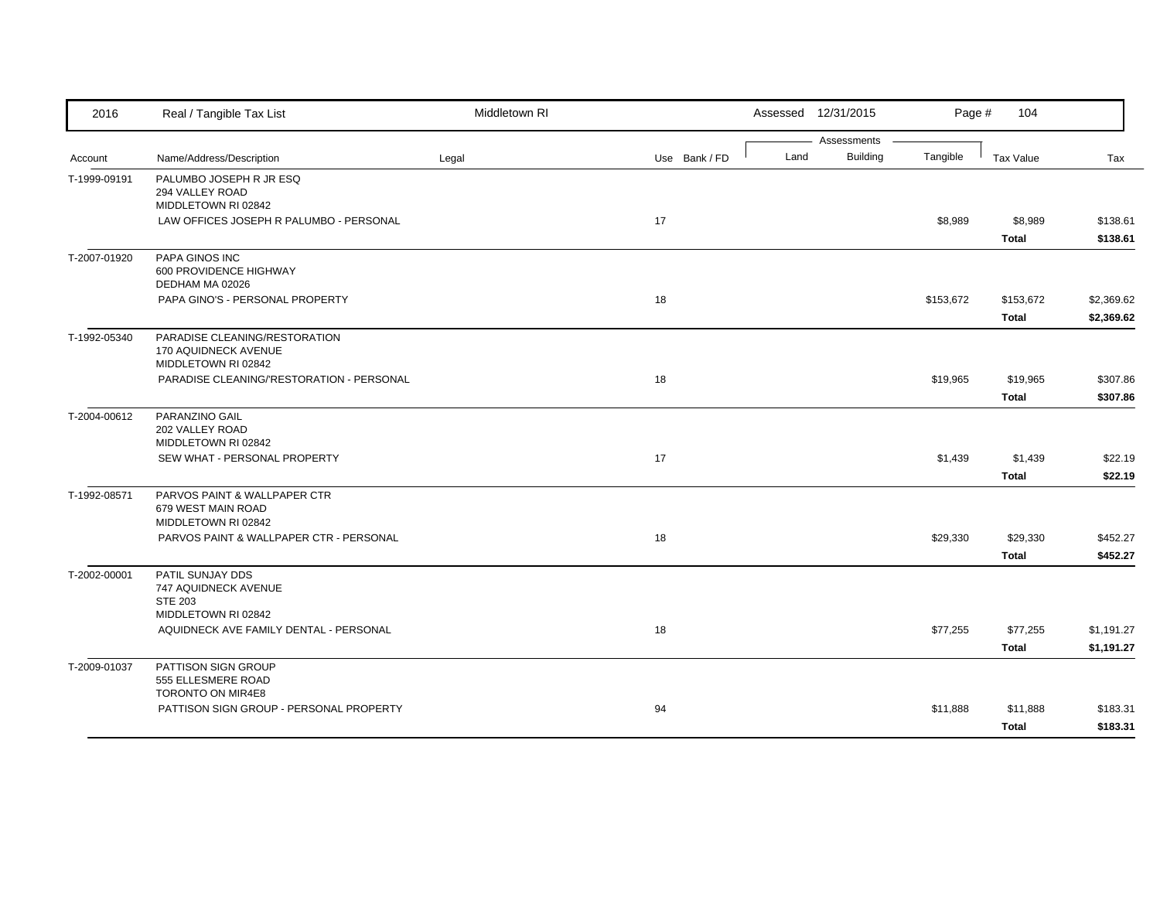| 2016         | Real / Tangible Tax List                                         | Middletown RI |               |      | Assessed 12/31/2015     | Page #    | 104          |            |
|--------------|------------------------------------------------------------------|---------------|---------------|------|-------------------------|-----------|--------------|------------|
| Account      | Name/Address/Description                                         | Legal         | Use Bank / FD | Land | Assessments<br>Building | Tangible  | Tax Value    | Tax        |
|              |                                                                  |               |               |      |                         |           |              |            |
| T-1999-09191 | PALUMBO JOSEPH R JR ESQ<br>294 VALLEY ROAD                       |               |               |      |                         |           |              |            |
|              | MIDDLETOWN RI 02842                                              |               |               |      |                         |           |              |            |
|              | LAW OFFICES JOSEPH R PALUMBO - PERSONAL                          |               | 17            |      |                         | \$8,989   | \$8,989      | \$138.61   |
|              |                                                                  |               |               |      |                         |           | <b>Total</b> | \$138.61   |
| T-2007-01920 | PAPA GINOS INC                                                   |               |               |      |                         |           |              |            |
|              | 600 PROVIDENCE HIGHWAY                                           |               |               |      |                         |           |              |            |
|              | DEDHAM MA 02026                                                  |               |               |      |                         |           |              |            |
|              | PAPA GINO'S - PERSONAL PROPERTY                                  |               | 18            |      |                         | \$153,672 | \$153,672    | \$2,369.62 |
|              |                                                                  |               |               |      |                         |           | Total        | \$2,369.62 |
| T-1992-05340 | PARADISE CLEANING/RESTORATION                                    |               |               |      |                         |           |              |            |
|              | 170 AQUIDNECK AVENUE                                             |               |               |      |                         |           |              |            |
|              | MIDDLETOWN RI 02842<br>PARADISE CLEANING/'RESTORATION - PERSONAL |               | 18            |      |                         | \$19,965  | \$19,965     | \$307.86   |
|              |                                                                  |               |               |      |                         |           | <b>Total</b> | \$307.86   |
|              |                                                                  |               |               |      |                         |           |              |            |
| T-2004-00612 | PARANZINO GAIL<br>202 VALLEY ROAD                                |               |               |      |                         |           |              |            |
|              | MIDDLETOWN RI 02842                                              |               |               |      |                         |           |              |            |
|              | SEW WHAT - PERSONAL PROPERTY                                     |               | 17            |      |                         | \$1,439   | \$1,439      | \$22.19    |
|              |                                                                  |               |               |      |                         |           | <b>Total</b> | \$22.19    |
| T-1992-08571 | PARVOS PAINT & WALLPAPER CTR                                     |               |               |      |                         |           |              |            |
|              | 679 WEST MAIN ROAD                                               |               |               |      |                         |           |              |            |
|              | MIDDLETOWN RI 02842                                              |               |               |      |                         |           |              |            |
|              | PARVOS PAINT & WALLPAPER CTR - PERSONAL                          |               | 18            |      |                         | \$29,330  | \$29,330     | \$452.27   |
|              |                                                                  |               |               |      |                         |           | <b>Total</b> | \$452.27   |
| T-2002-00001 | PATIL SUNJAY DDS                                                 |               |               |      |                         |           |              |            |
|              | 747 AQUIDNECK AVENUE<br><b>STE 203</b>                           |               |               |      |                         |           |              |            |
|              | MIDDLETOWN RI 02842                                              |               |               |      |                         |           |              |            |
|              | AQUIDNECK AVE FAMILY DENTAL - PERSONAL                           |               | 18            |      |                         | \$77,255  | \$77,255     | \$1,191.27 |
|              |                                                                  |               |               |      |                         |           | Total        | \$1,191.27 |
|              | PATTISON SIGN GROUP                                              |               |               |      |                         |           |              |            |
| T-2009-01037 | 555 ELLESMERE ROAD                                               |               |               |      |                         |           |              |            |
|              | TORONTO ON MIR4E8                                                |               |               |      |                         |           |              |            |
|              | PATTISON SIGN GROUP - PERSONAL PROPERTY                          |               | 94            |      |                         | \$11,888  | \$11,888     | \$183.31   |
|              |                                                                  |               |               |      |                         |           | <b>Total</b> | \$183.31   |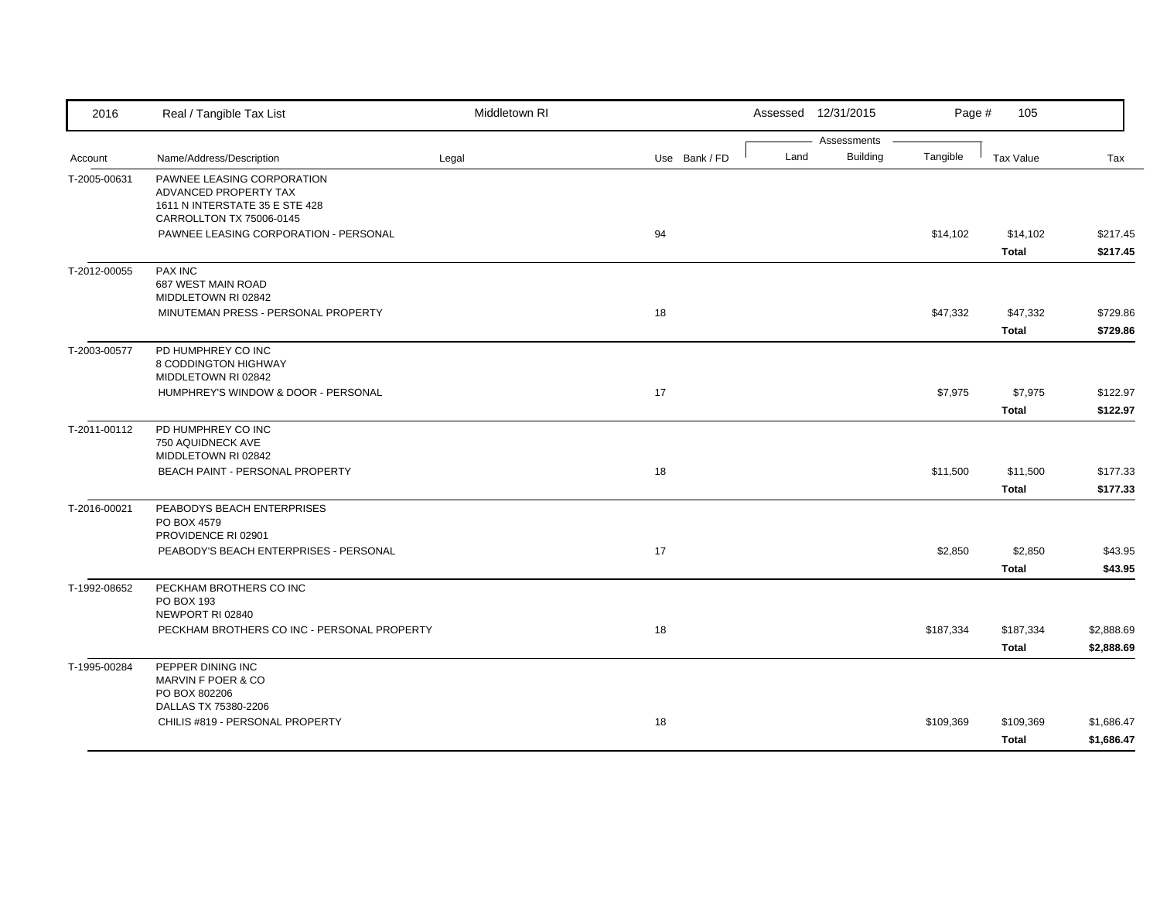| 2016         | Real / Tangible Tax List                                                                                          | Middletown RI |               |      | Assessed 12/31/2015            | Page #    | 105                       |                          |
|--------------|-------------------------------------------------------------------------------------------------------------------|---------------|---------------|------|--------------------------------|-----------|---------------------------|--------------------------|
| Account      | Name/Address/Description                                                                                          | Legal         | Use Bank / FD | Land | Assessments<br><b>Building</b> | Tangible  | <b>Tax Value</b>          | Tax                      |
| T-2005-00631 | PAWNEE LEASING CORPORATION<br>ADVANCED PROPERTY TAX<br>1611 N INTERSTATE 35 E STE 428<br>CARROLLTON TX 75006-0145 |               |               |      |                                |           |                           |                          |
|              | PAWNEE LEASING CORPORATION - PERSONAL                                                                             |               | 94            |      |                                | \$14,102  | \$14,102<br><b>Total</b>  | \$217.45<br>\$217.45     |
| T-2012-00055 | <b>PAX INC</b><br>687 WEST MAIN ROAD<br>MIDDLETOWN RI 02842                                                       |               |               |      |                                |           |                           |                          |
|              | MINUTEMAN PRESS - PERSONAL PROPERTY                                                                               |               | 18            |      |                                | \$47,332  | \$47,332<br><b>Total</b>  | \$729.86<br>\$729.86     |
| T-2003-00577 | PD HUMPHREY CO INC<br>8 CODDINGTON HIGHWAY<br>MIDDLETOWN RI 02842                                                 |               |               |      |                                |           |                           |                          |
|              | HUMPHREY'S WINDOW & DOOR - PERSONAL                                                                               |               | 17            |      |                                | \$7,975   | \$7,975<br><b>Total</b>   | \$122.97<br>\$122.97     |
| T-2011-00112 | PD HUMPHREY CO INC<br>750 AQUIDNECK AVE<br>MIDDLETOWN RI 02842                                                    |               |               |      |                                |           |                           |                          |
|              | BEACH PAINT - PERSONAL PROPERTY                                                                                   |               | 18            |      |                                | \$11,500  | \$11,500<br><b>Total</b>  | \$177.33<br>\$177.33     |
| T-2016-00021 | PEABODYS BEACH ENTERPRISES<br>PO BOX 4579<br>PROVIDENCE RI 02901                                                  |               |               |      |                                |           |                           |                          |
|              | PEABODY'S BEACH ENTERPRISES - PERSONAL                                                                            |               | 17            |      |                                | \$2,850   | \$2,850<br><b>Total</b>   | \$43.95<br>\$43.95       |
| T-1992-08652 | PECKHAM BROTHERS CO INC<br>PO BOX 193<br>NEWPORT RI 02840                                                         |               |               |      |                                |           |                           |                          |
|              | PECKHAM BROTHERS CO INC - PERSONAL PROPERTY                                                                       |               | 18            |      |                                | \$187,334 | \$187,334<br><b>Total</b> | \$2,888.69<br>\$2,888.69 |
| T-1995-00284 | PEPPER DINING INC<br>MARVIN F POER & CO<br>PO BOX 802206                                                          |               |               |      |                                |           |                           |                          |
|              | DALLAS TX 75380-2206<br>CHILIS #819 - PERSONAL PROPERTY                                                           |               | 18            |      |                                | \$109,369 | \$109,369<br>Total        | \$1,686.47<br>\$1,686.47 |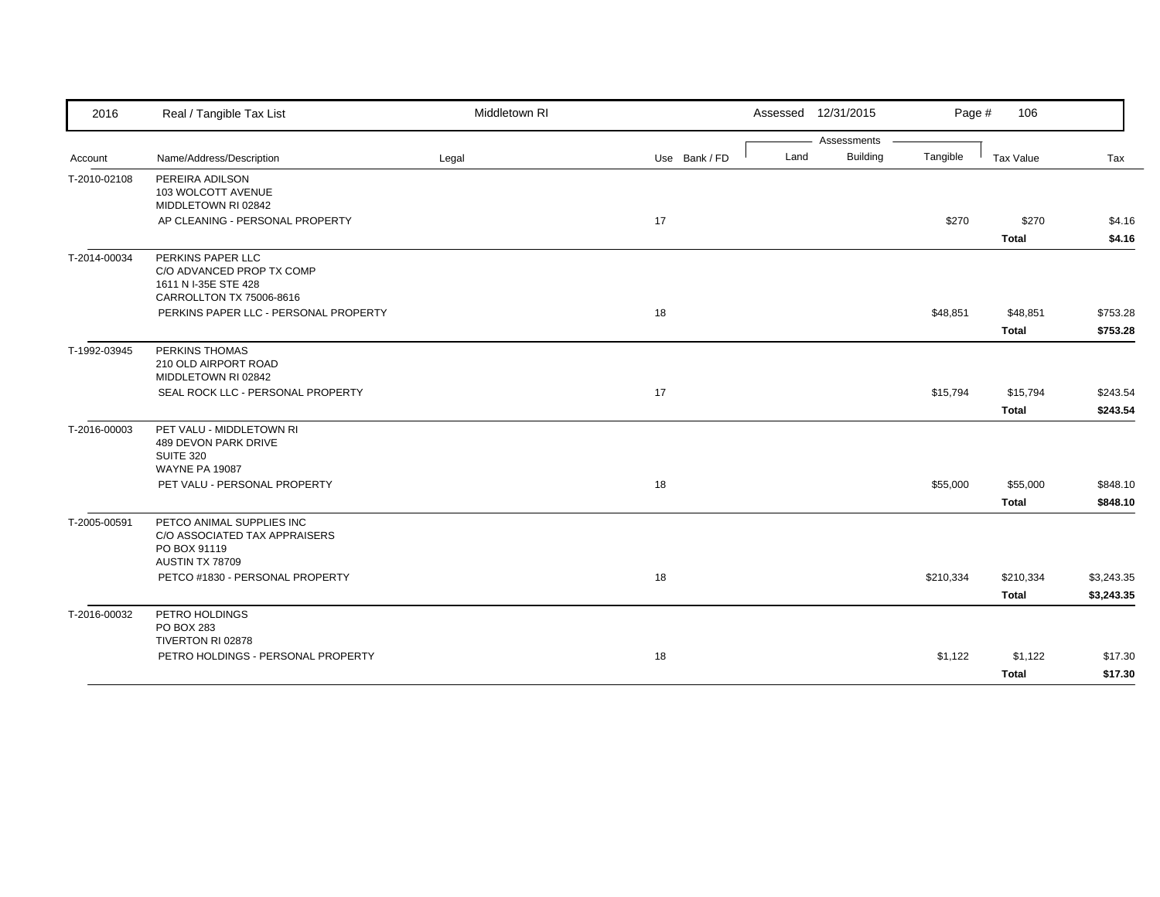| 2016         | Real / Tangible Tax List                                                                           | Middletown RI |               |      | Assessed 12/31/2015 | Page #    | 106          |            |
|--------------|----------------------------------------------------------------------------------------------------|---------------|---------------|------|---------------------|-----------|--------------|------------|
|              |                                                                                                    |               |               |      | Assessments         |           |              |            |
| Account      | Name/Address/Description                                                                           | Legal         | Use Bank / FD | Land | <b>Building</b>     | Tangible  | Tax Value    | Tax        |
| T-2010-02108 | PEREIRA ADILSON<br>103 WOLCOTT AVENUE<br>MIDDLETOWN RI 02842                                       |               |               |      |                     |           |              |            |
|              | AP CLEANING - PERSONAL PROPERTY                                                                    |               | 17            |      |                     | \$270     | \$270        | \$4.16     |
|              |                                                                                                    |               |               |      |                     |           | <b>Total</b> | \$4.16     |
| T-2014-00034 | PERKINS PAPER LLC<br>C/O ADVANCED PROP TX COMP<br>1611 N I-35E STE 428<br>CARROLLTON TX 75006-8616 |               |               |      |                     |           |              |            |
|              | PERKINS PAPER LLC - PERSONAL PROPERTY                                                              |               | 18            |      |                     | \$48,851  | \$48,851     | \$753.28   |
|              |                                                                                                    |               |               |      |                     |           | <b>Total</b> | \$753.28   |
| T-1992-03945 | PERKINS THOMAS<br>210 OLD AIRPORT ROAD<br>MIDDLETOWN RI 02842                                      |               |               |      |                     |           |              |            |
|              | SEAL ROCK LLC - PERSONAL PROPERTY                                                                  |               | 17            |      |                     | \$15,794  | \$15,794     | \$243.54   |
|              |                                                                                                    |               |               |      |                     |           | <b>Total</b> | \$243.54   |
| T-2016-00003 | PET VALU - MIDDLETOWN RI<br>489 DEVON PARK DRIVE<br>SUITE 320<br><b>WAYNE PA 19087</b>             |               |               |      |                     |           |              |            |
|              | PET VALU - PERSONAL PROPERTY                                                                       |               | 18            |      |                     | \$55,000  | \$55,000     | \$848.10   |
|              |                                                                                                    |               |               |      |                     |           | <b>Total</b> | \$848.10   |
| T-2005-00591 | PETCO ANIMAL SUPPLIES INC<br>C/O ASSOCIATED TAX APPRAISERS<br>PO BOX 91119<br>AUSTIN TX 78709      |               |               |      |                     |           |              |            |
|              | PETCO #1830 - PERSONAL PROPERTY                                                                    |               | 18            |      |                     | \$210,334 | \$210,334    | \$3,243.35 |
|              |                                                                                                    |               |               |      |                     |           | <b>Total</b> | \$3,243.35 |
| T-2016-00032 | PETRO HOLDINGS<br>PO BOX 283<br>TIVERTON RI 02878                                                  |               |               |      |                     |           |              |            |
|              | PETRO HOLDINGS - PERSONAL PROPERTY                                                                 |               | 18            |      |                     | \$1,122   | \$1,122      | \$17.30    |
|              |                                                                                                    |               |               |      |                     |           | <b>Total</b> | \$17.30    |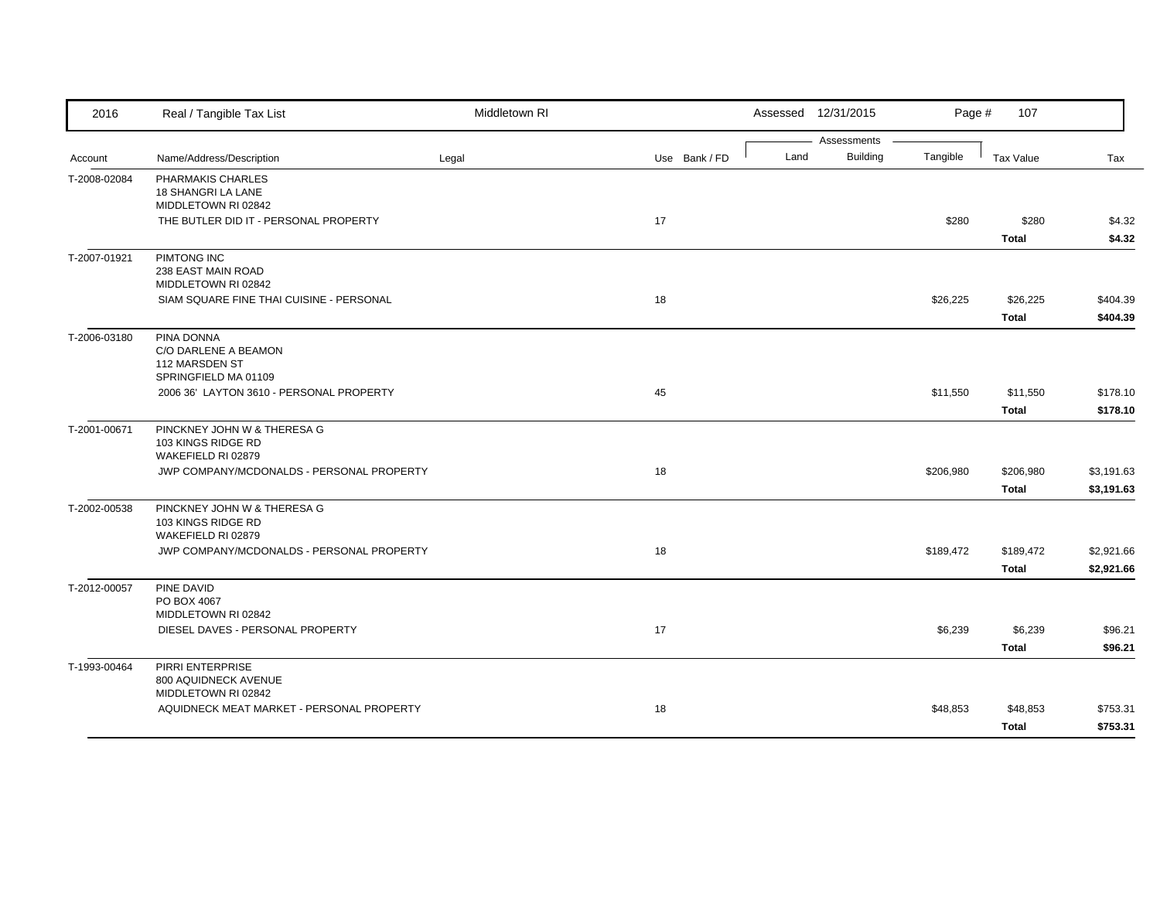| 2016         | Real / Tangible Tax List                    | Middletown RI |               |      | Assessed 12/31/2015 | Page #    | 107          |            |
|--------------|---------------------------------------------|---------------|---------------|------|---------------------|-----------|--------------|------------|
|              |                                             |               |               | Land | Assessments         |           |              |            |
| Account      | Name/Address/Description                    | Legal         | Use Bank / FD |      | <b>Building</b>     | Tangible  | Tax Value    | Tax        |
| T-2008-02084 | PHARMAKIS CHARLES<br>18 SHANGRI LA LANE     |               |               |      |                     |           |              |            |
|              | MIDDLETOWN RI 02842                         |               |               |      |                     |           |              |            |
|              | THE BUTLER DID IT - PERSONAL PROPERTY       |               | 17            |      |                     | \$280     | \$280        | \$4.32     |
|              |                                             |               |               |      |                     |           | <b>Total</b> | \$4.32     |
| T-2007-01921 | PIMTONG INC                                 |               |               |      |                     |           |              |            |
|              | 238 EAST MAIN ROAD                          |               |               |      |                     |           |              |            |
|              | MIDDLETOWN RI 02842                         |               |               |      |                     |           |              |            |
|              | SIAM SQUARE FINE THAI CUISINE - PERSONAL    |               | 18            |      |                     | \$26,225  | \$26,225     | \$404.39   |
|              |                                             |               |               |      |                     |           | <b>Total</b> | \$404.39   |
| T-2006-03180 | PINA DONNA                                  |               |               |      |                     |           |              |            |
|              | C/O DARLENE A BEAMON                        |               |               |      |                     |           |              |            |
|              | 112 MARSDEN ST<br>SPRINGFIELD MA 01109      |               |               |      |                     |           |              |            |
|              | 2006 36' LAYTON 3610 - PERSONAL PROPERTY    |               | 45            |      |                     | \$11,550  | \$11,550     | \$178.10   |
|              |                                             |               |               |      |                     |           | <b>Total</b> | \$178.10   |
|              | PINCKNEY JOHN W & THERESA G                 |               |               |      |                     |           |              |            |
| T-2001-00671 | 103 KINGS RIDGE RD                          |               |               |      |                     |           |              |            |
|              | WAKEFIELD RI 02879                          |               |               |      |                     |           |              |            |
|              | JWP COMPANY/MCDONALDS - PERSONAL PROPERTY   |               | 18            |      |                     | \$206,980 | \$206,980    | \$3,191.63 |
|              |                                             |               |               |      |                     |           | <b>Total</b> | \$3,191.63 |
| T-2002-00538 | PINCKNEY JOHN W & THERESA G                 |               |               |      |                     |           |              |            |
|              | 103 KINGS RIDGE RD                          |               |               |      |                     |           |              |            |
|              | WAKEFIELD RI 02879                          |               |               |      |                     |           |              |            |
|              | JWP COMPANY/MCDONALDS - PERSONAL PROPERTY   |               | 18            |      |                     | \$189,472 | \$189,472    | \$2,921.66 |
|              |                                             |               |               |      |                     |           | <b>Total</b> | \$2,921.66 |
| T-2012-00057 | PINE DAVID                                  |               |               |      |                     |           |              |            |
|              | PO BOX 4067                                 |               |               |      |                     |           |              |            |
|              | MIDDLETOWN RI 02842                         |               | 17            |      |                     |           |              |            |
|              | DIESEL DAVES - PERSONAL PROPERTY            |               |               |      |                     | \$6,239   | \$6,239      | \$96.21    |
|              |                                             |               |               |      |                     |           | <b>Total</b> | \$96.21    |
| T-1993-00464 | PIRRI ENTERPRISE                            |               |               |      |                     |           |              |            |
|              | 800 AQUIDNECK AVENUE<br>MIDDLETOWN RI 02842 |               |               |      |                     |           |              |            |
|              | AQUIDNECK MEAT MARKET - PERSONAL PROPERTY   |               | 18            |      |                     | \$48,853  | \$48,853     | \$753.31   |
|              |                                             |               |               |      |                     |           | <b>Total</b> | \$753.31   |
|              |                                             |               |               |      |                     |           |              |            |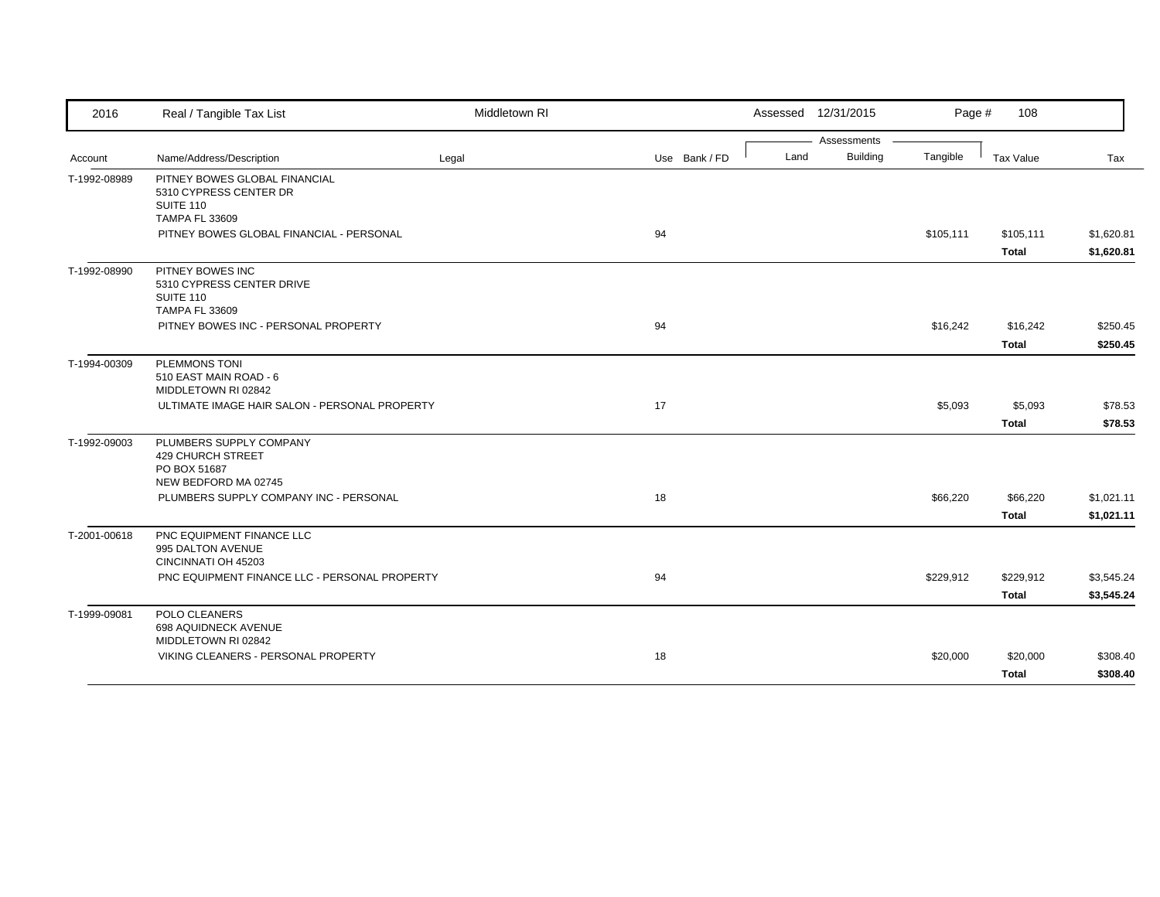| 2016         | Real / Tangible Tax List                                             | Middletown RI |               |      | Assessed 12/31/2015            | Page #    | 108          |                          |
|--------------|----------------------------------------------------------------------|---------------|---------------|------|--------------------------------|-----------|--------------|--------------------------|
|              |                                                                      |               |               | Land | Assessments<br><b>Building</b> |           |              |                          |
| Account      | Name/Address/Description                                             | Legal         | Use Bank / FD |      |                                | Tangible  | Tax Value    | Tax                      |
| T-1992-08989 | PITNEY BOWES GLOBAL FINANCIAL<br>5310 CYPRESS CENTER DR              |               |               |      |                                |           |              |                          |
|              | SUITE 110                                                            |               |               |      |                                |           |              |                          |
|              | <b>TAMPA FL 33609</b><br>PITNEY BOWES GLOBAL FINANCIAL - PERSONAL    |               | 94            |      |                                | \$105,111 | \$105,111    |                          |
|              |                                                                      |               |               |      |                                |           | <b>Total</b> | \$1,620.81<br>\$1,620.81 |
| T-1992-08990 | PITNEY BOWES INC<br>5310 CYPRESS CENTER DRIVE                        |               |               |      |                                |           |              |                          |
|              | SUITE 110<br><b>TAMPA FL 33609</b>                                   |               |               |      |                                |           |              |                          |
|              | PITNEY BOWES INC - PERSONAL PROPERTY                                 |               | 94            |      |                                | \$16,242  | \$16,242     | \$250.45                 |
|              |                                                                      |               |               |      |                                |           | <b>Total</b> | \$250.45                 |
| T-1994-00309 | <b>PLEMMONS TONI</b>                                                 |               |               |      |                                |           |              |                          |
|              | 510 EAST MAIN ROAD - 6<br>MIDDLETOWN RI 02842                        |               |               |      |                                |           |              |                          |
|              | ULTIMATE IMAGE HAIR SALON - PERSONAL PROPERTY                        |               | 17            |      |                                | \$5,093   | \$5,093      | \$78.53                  |
|              |                                                                      |               |               |      |                                |           | <b>Total</b> | \$78.53                  |
| T-1992-09003 | PLUMBERS SUPPLY COMPANY                                              |               |               |      |                                |           |              |                          |
|              | <b>429 CHURCH STREET</b>                                             |               |               |      |                                |           |              |                          |
|              | PO BOX 51687<br>NEW BEDFORD MA 02745                                 |               |               |      |                                |           |              |                          |
|              | PLUMBERS SUPPLY COMPANY INC - PERSONAL                               |               | 18            |      |                                | \$66,220  | \$66,220     | \$1,021.11               |
|              |                                                                      |               |               |      |                                |           | <b>Total</b> | \$1,021.11               |
| T-2001-00618 | PNC EQUIPMENT FINANCE LLC                                            |               |               |      |                                |           |              |                          |
|              | 995 DALTON AVENUE                                                    |               |               |      |                                |           |              |                          |
|              | CINCINNATI OH 45203<br>PNC EQUIPMENT FINANCE LLC - PERSONAL PROPERTY |               | 94            |      |                                | \$229,912 | \$229,912    | \$3,545.24               |
|              |                                                                      |               |               |      |                                |           | <b>Total</b> | \$3,545.24               |
| T-1999-09081 | POLO CLEANERS                                                        |               |               |      |                                |           |              |                          |
|              | 698 AQUIDNECK AVENUE                                                 |               |               |      |                                |           |              |                          |
|              | MIDDLETOWN RI 02842<br>VIKING CLEANERS - PERSONAL PROPERTY           |               | 18            |      |                                | \$20,000  | \$20,000     | \$308.40                 |
|              |                                                                      |               |               |      |                                |           | Total        | \$308.40                 |
|              |                                                                      |               |               |      |                                |           |              |                          |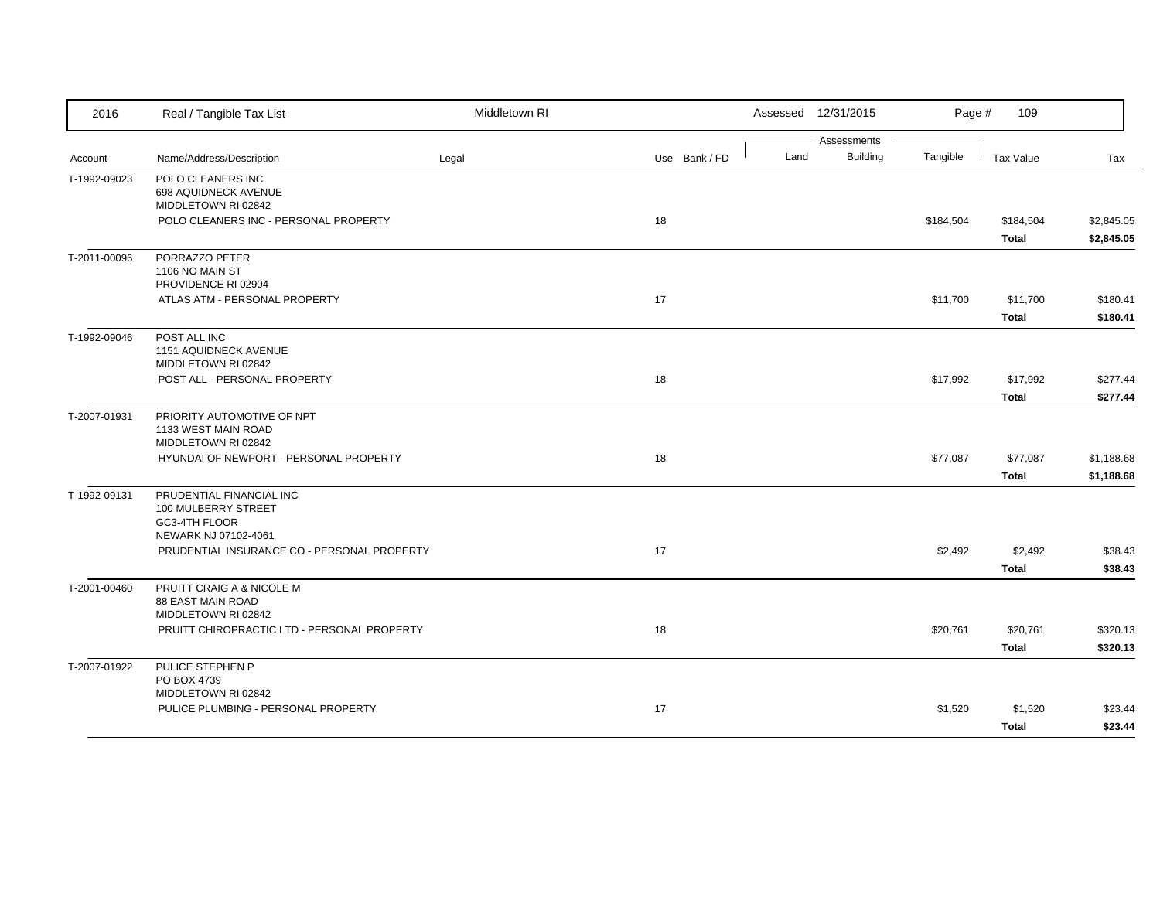| 2016         | Real / Tangible Tax List                                                                        | Middletown RI |               |      | Assessed 12/31/2015            | Page #    | 109                       |                          |
|--------------|-------------------------------------------------------------------------------------------------|---------------|---------------|------|--------------------------------|-----------|---------------------------|--------------------------|
| Account      | Name/Address/Description                                                                        | Legal         | Use Bank / FD | Land | Assessments<br><b>Building</b> | Tangible  | Tax Value                 | Tax                      |
| T-1992-09023 | POLO CLEANERS INC<br>698 AQUIDNECK AVENUE<br>MIDDLETOWN RI 02842                                |               |               |      |                                |           |                           |                          |
|              | POLO CLEANERS INC - PERSONAL PROPERTY                                                           |               | 18            |      |                                | \$184,504 | \$184,504<br><b>Total</b> | \$2,845.05<br>\$2,845.05 |
| T-2011-00096 | PORRAZZO PETER<br>1106 NO MAIN ST<br>PROVIDENCE RI 02904                                        |               |               |      |                                |           |                           |                          |
|              | ATLAS ATM - PERSONAL PROPERTY                                                                   |               | 17            |      |                                | \$11,700  | \$11,700<br><b>Total</b>  | \$180.41<br>\$180.41     |
| T-1992-09046 | POST ALL INC<br>1151 AQUIDNECK AVENUE<br>MIDDLETOWN RI 02842                                    |               |               |      |                                |           |                           |                          |
|              | POST ALL - PERSONAL PROPERTY                                                                    |               | 18            |      |                                | \$17,992  | \$17,992<br><b>Total</b>  | \$277.44<br>\$277.44     |
| T-2007-01931 | PRIORITY AUTOMOTIVE OF NPT<br>1133 WEST MAIN ROAD<br>MIDDLETOWN RI 02842                        |               |               |      |                                |           |                           |                          |
|              | HYUNDAI OF NEWPORT - PERSONAL PROPERTY                                                          |               | 18            |      |                                | \$77,087  | \$77,087<br><b>Total</b>  | \$1,188.68<br>\$1,188.68 |
| T-1992-09131 | PRUDENTIAL FINANCIAL INC<br>100 MULBERRY STREET<br><b>GC3-4TH FLOOR</b><br>NEWARK NJ 07102-4061 |               |               |      |                                |           |                           |                          |
|              | PRUDENTIAL INSURANCE CO - PERSONAL PROPERTY                                                     |               | 17            |      |                                | \$2,492   | \$2,492<br><b>Total</b>   | \$38.43<br>\$38.43       |
| T-2001-00460 | PRUITT CRAIG A & NICOLE M<br>88 EAST MAIN ROAD<br>MIDDLETOWN RI 02842                           |               |               |      |                                |           |                           |                          |
|              | PRUITT CHIROPRACTIC LTD - PERSONAL PROPERTY                                                     |               | 18            |      |                                | \$20,761  | \$20,761<br><b>Total</b>  | \$320.13<br>\$320.13     |
| T-2007-01922 | PULICE STEPHEN P<br>PO BOX 4739<br>MIDDLETOWN RI 02842                                          |               |               |      |                                |           |                           |                          |
|              | PULICE PLUMBING - PERSONAL PROPERTY                                                             |               | 17            |      |                                | \$1,520   | \$1,520<br><b>Total</b>   | \$23.44<br>\$23.44       |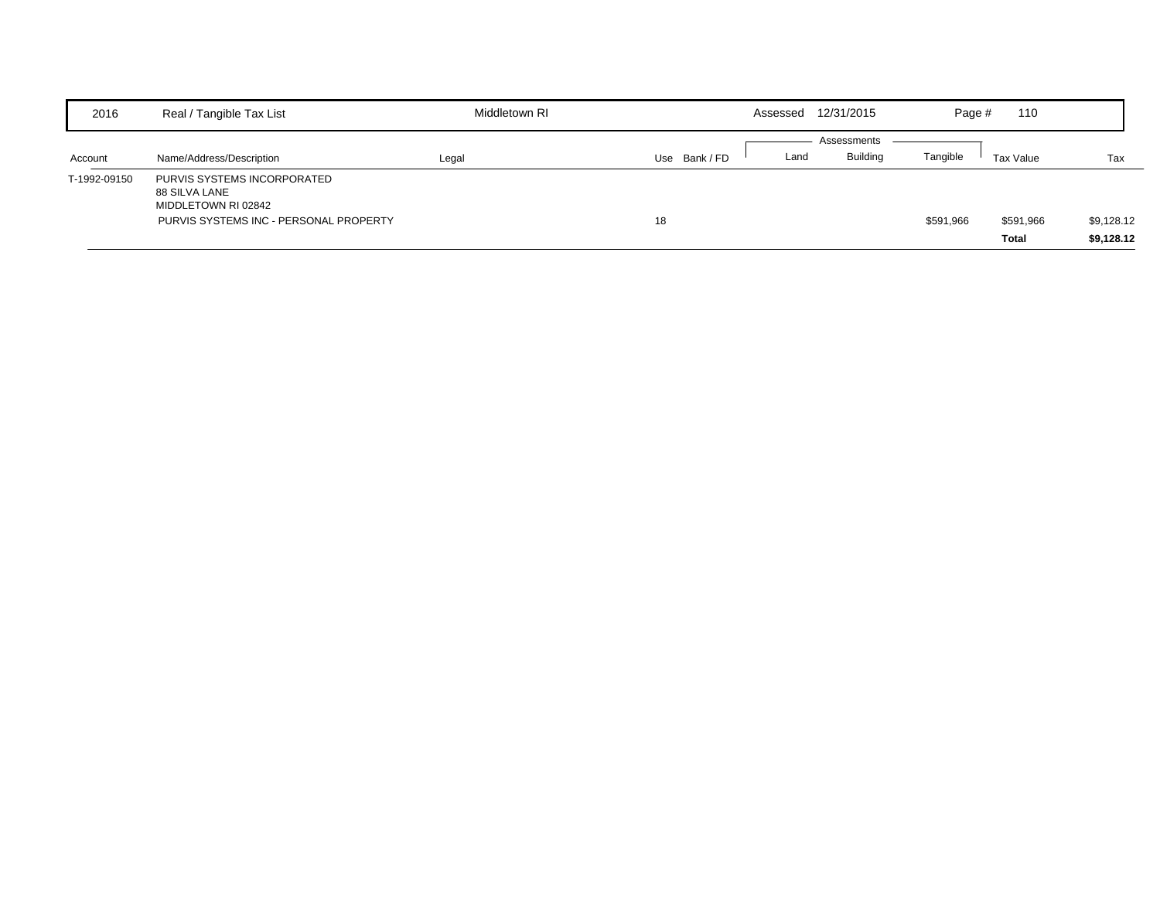| 2016         | Real / Tangible Tax List                                                                                      | Middletown RI |             | Assessed | 12/31/2015                     | Page #    | 110                       |                          |
|--------------|---------------------------------------------------------------------------------------------------------------|---------------|-------------|----------|--------------------------------|-----------|---------------------------|--------------------------|
| Account      | Name/Address/Description                                                                                      | Legal         | Use Bank/FD | Land     | Assessments<br><b>Building</b> | Tangible  | Tax Value                 | Tax                      |
| T-1992-09150 | PURVIS SYSTEMS INCORPORATED<br>88 SILVA LANE<br>MIDDLETOWN RI 02842<br>PURVIS SYSTEMS INC - PERSONAL PROPERTY |               | 18          |          |                                | \$591,966 | \$591,966<br><b>Total</b> | \$9,128.12<br>\$9,128.12 |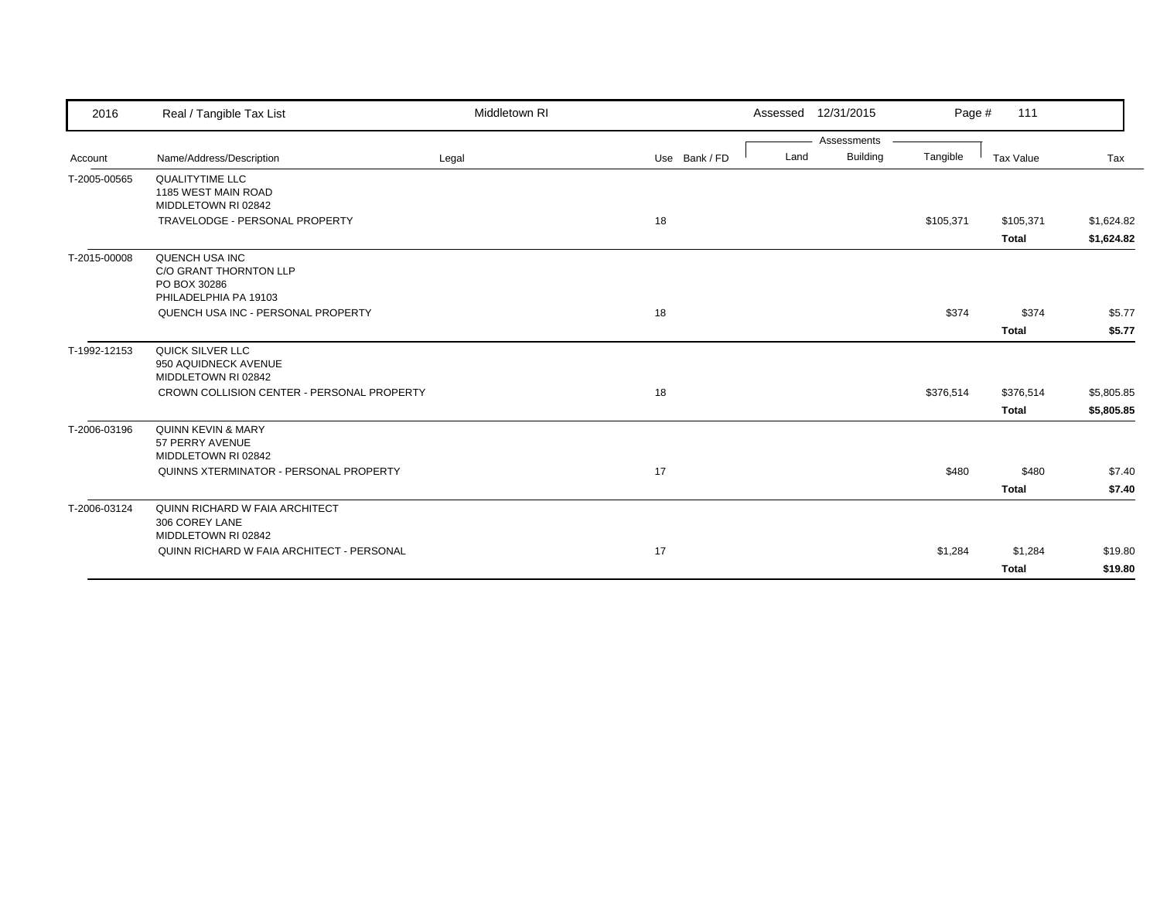| 2016         | Real / Tangible Tax List                                                          | Middletown RI |               | Assessed | 12/31/2015                     | Page #    | 111                       |                          |
|--------------|-----------------------------------------------------------------------------------|---------------|---------------|----------|--------------------------------|-----------|---------------------------|--------------------------|
| Account      | Name/Address/Description                                                          | Legal         | Use Bank / FD | Land     | Assessments<br><b>Building</b> | Tangible  | Tax Value                 | Tax                      |
| T-2005-00565 | <b>QUALITYTIME LLC</b><br>1185 WEST MAIN ROAD<br>MIDDLETOWN RI 02842              |               |               |          |                                |           |                           |                          |
|              | TRAVELODGE - PERSONAL PROPERTY                                                    |               | 18            |          |                                | \$105,371 | \$105,371<br><b>Total</b> | \$1,624.82<br>\$1,624.82 |
| T-2015-00008 | QUENCH USA INC<br>C/O GRANT THORNTON LLP<br>PO BOX 30286<br>PHILADELPHIA PA 19103 |               |               |          |                                |           |                           |                          |
|              | QUENCH USA INC - PERSONAL PROPERTY                                                |               | 18            |          |                                | \$374     | \$374<br><b>Total</b>     | \$5.77<br>\$5.77         |
| T-1992-12153 | QUICK SILVER LLC<br>950 AQUIDNECK AVENUE<br>MIDDLETOWN RI 02842                   |               |               |          |                                |           |                           |                          |
|              | CROWN COLLISION CENTER - PERSONAL PROPERTY                                        |               | 18            |          |                                | \$376,514 | \$376,514<br><b>Total</b> | \$5,805.85<br>\$5,805.85 |
| T-2006-03196 | <b>QUINN KEVIN &amp; MARY</b><br>57 PERRY AVENUE<br>MIDDLETOWN RI 02842           |               |               |          |                                |           |                           |                          |
|              | QUINNS XTERMINATOR - PERSONAL PROPERTY                                            |               | 17            |          |                                | \$480     | \$480<br><b>Total</b>     | \$7.40<br>\$7.40         |
| T-2006-03124 | QUINN RICHARD W FAIA ARCHITECT<br>306 COREY LANE<br>MIDDLETOWN RI 02842           |               |               |          |                                |           |                           |                          |
|              | QUINN RICHARD W FAIA ARCHITECT - PERSONAL                                         |               | 17            |          |                                | \$1,284   | \$1,284<br><b>Total</b>   | \$19.80<br>\$19.80       |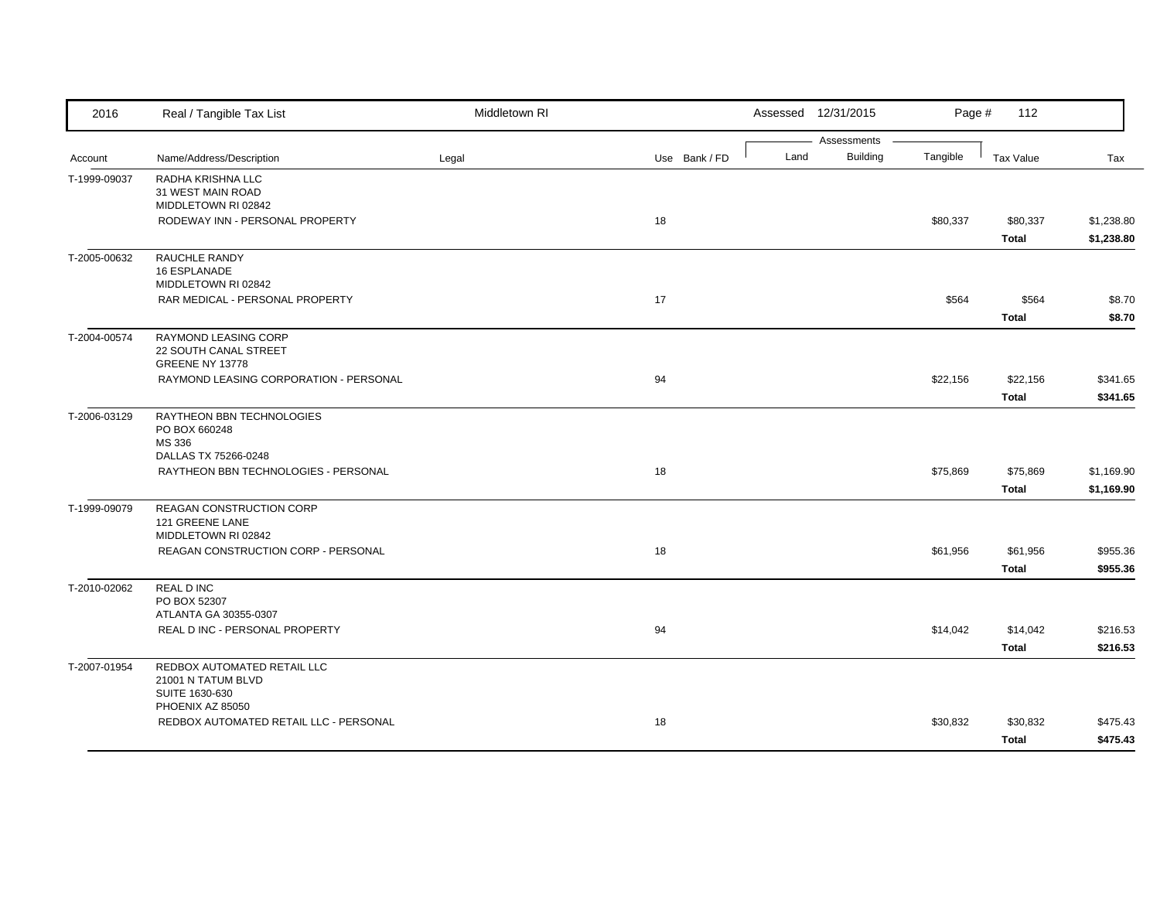| 2016         | Real / Tangible Tax List                                            | Middletown RI |               |      | Assessed 12/31/2015            | Page #   | 112                      |                          |
|--------------|---------------------------------------------------------------------|---------------|---------------|------|--------------------------------|----------|--------------------------|--------------------------|
| Account      | Name/Address/Description                                            | Legal         | Use Bank / FD | Land | Assessments<br><b>Building</b> | Tangible | <b>Tax Value</b>         | Tax                      |
| T-1999-09037 | RADHA KRISHNA LLC<br>31 WEST MAIN ROAD<br>MIDDLETOWN RI 02842       |               |               |      |                                |          |                          |                          |
|              | RODEWAY INN - PERSONAL PROPERTY                                     |               | 18            |      |                                | \$80,337 | \$80,337<br><b>Total</b> | \$1,238.80<br>\$1,238.80 |
| T-2005-00632 | RAUCHLE RANDY<br>16 ESPLANADE<br>MIDDLETOWN RI 02842                |               |               |      |                                |          |                          |                          |
|              | RAR MEDICAL - PERSONAL PROPERTY                                     |               | 17            |      |                                | \$564    | \$564<br><b>Total</b>    | \$8.70<br>\$8.70         |
| T-2004-00574 | RAYMOND LEASING CORP<br>22 SOUTH CANAL STREET<br>GREENE NY 13778    |               |               |      |                                |          |                          |                          |
|              | RAYMOND LEASING CORPORATION - PERSONAL                              |               | 94            |      |                                | \$22,156 | \$22,156<br><b>Total</b> | \$341.65<br>\$341.65     |
| T-2006-03129 | RAYTHEON BBN TECHNOLOGIES<br>PO BOX 660248<br>MS 336                |               |               |      |                                |          |                          |                          |
|              | DALLAS TX 75266-0248<br>RAYTHEON BBN TECHNOLOGIES - PERSONAL        |               | 18            |      |                                | \$75,869 | \$75,869<br><b>Total</b> | \$1,169.90<br>\$1,169.90 |
| T-1999-09079 | REAGAN CONSTRUCTION CORP<br>121 GREENE LANE<br>MIDDLETOWN RI 02842  |               |               |      |                                |          |                          |                          |
|              | REAGAN CONSTRUCTION CORP - PERSONAL                                 |               | 18            |      |                                | \$61,956 | \$61,956<br><b>Total</b> | \$955.36<br>\$955.36     |
| T-2010-02062 | <b>REAL D INC</b><br>PO BOX 52307<br>ATLANTA GA 30355-0307          |               |               |      |                                |          |                          |                          |
|              | REAL D INC - PERSONAL PROPERTY                                      |               | 94            |      |                                | \$14,042 | \$14,042<br><b>Total</b> | \$216.53<br>\$216.53     |
| T-2007-01954 | REDBOX AUTOMATED RETAIL LLC<br>21001 N TATUM BLVD<br>SUITE 1630-630 |               |               |      |                                |          |                          |                          |
|              | PHOENIX AZ 85050<br>REDBOX AUTOMATED RETAIL LLC - PERSONAL          |               | 18            |      |                                | \$30,832 | \$30,832<br>Total        | \$475.43<br>\$475.43     |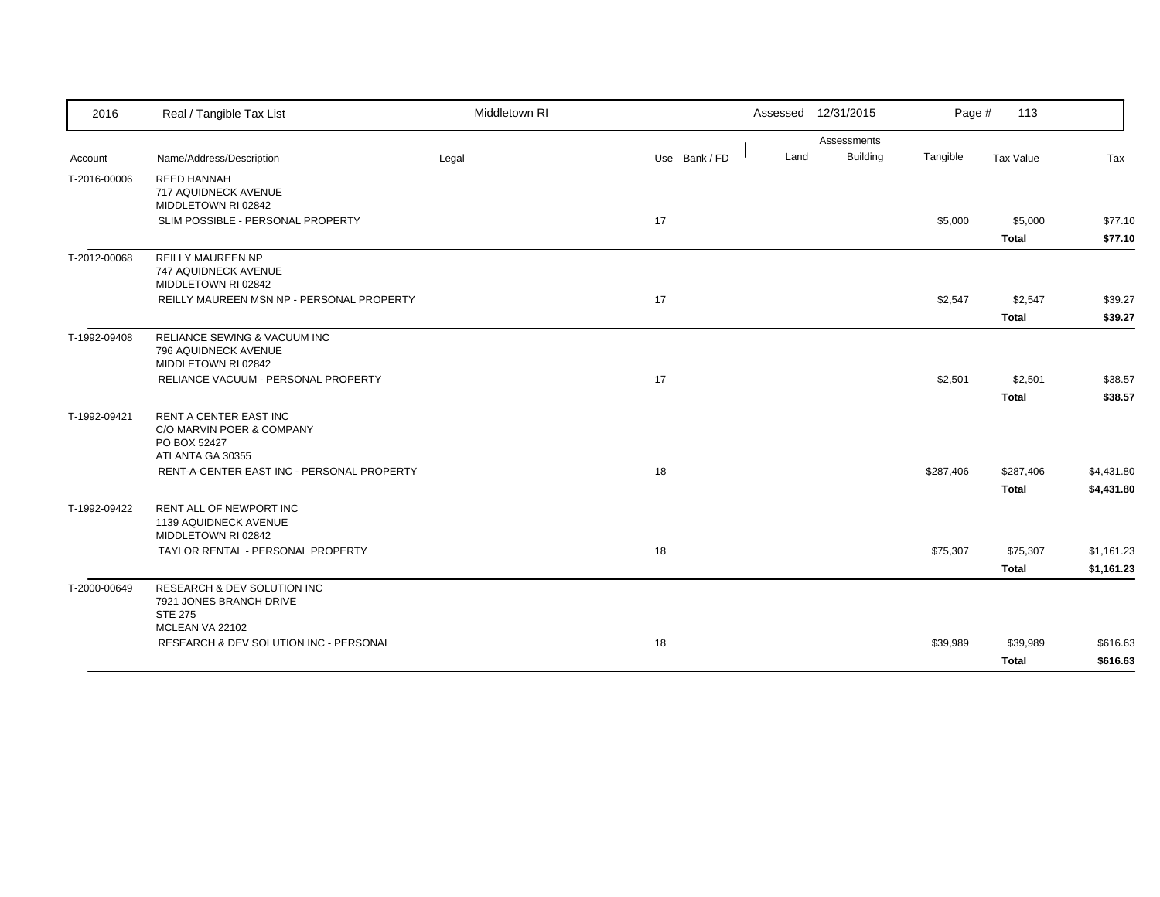| 2016         | Real / Tangible Tax List                                                                       | Middletown RI |               | Assessed 12/31/2015 |             | Page #    | 113                       |                          |
|--------------|------------------------------------------------------------------------------------------------|---------------|---------------|---------------------|-------------|-----------|---------------------------|--------------------------|
|              |                                                                                                |               |               |                     | Assessments |           |                           |                          |
| Account      | Name/Address/Description                                                                       | Legal         | Use Bank / FD | Land                | Building    | Tangible  | Tax Value                 | Tax                      |
| T-2016-00006 | <b>REED HANNAH</b><br>717 AQUIDNECK AVENUE<br>MIDDLETOWN RI 02842                              |               |               |                     |             |           |                           |                          |
|              | SLIM POSSIBLE - PERSONAL PROPERTY                                                              |               | 17            |                     |             | \$5,000   | \$5,000<br><b>Total</b>   | \$77.10<br>\$77.10       |
| T-2012-00068 | <b>REILLY MAUREEN NP</b><br>747 AQUIDNECK AVENUE<br>MIDDLETOWN RI 02842                        |               |               |                     |             |           |                           |                          |
|              | REILLY MAUREEN MSN NP - PERSONAL PROPERTY                                                      |               | 17            |                     |             | \$2,547   | \$2,547                   | \$39.27                  |
|              |                                                                                                |               |               |                     |             |           | <b>Total</b>              | \$39.27                  |
| T-1992-09408 | RELIANCE SEWING & VACUUM INC<br>796 AQUIDNECK AVENUE<br>MIDDLETOWN RI 02842                    |               |               |                     |             |           |                           |                          |
|              | RELIANCE VACUUM - PERSONAL PROPERTY                                                            |               | 17            |                     |             | \$2,501   | \$2,501                   | \$38.57                  |
|              |                                                                                                |               |               |                     |             |           | <b>Total</b>              | \$38.57                  |
| T-1992-09421 | <b>RENT A CENTER EAST INC</b><br>C/O MARVIN POER & COMPANY<br>PO BOX 52427<br>ATLANTA GA 30355 |               |               |                     |             |           |                           |                          |
|              | RENT-A-CENTER EAST INC - PERSONAL PROPERTY                                                     |               | 18            |                     |             | \$287,406 | \$287,406<br><b>Total</b> | \$4,431.80<br>\$4,431.80 |
| T-1992-09422 | RENT ALL OF NEWPORT INC<br>1139 AQUIDNECK AVENUE<br>MIDDLETOWN RI 02842                        |               |               |                     |             |           |                           |                          |
|              | TAYLOR RENTAL - PERSONAL PROPERTY                                                              |               | 18            |                     |             | \$75,307  | \$75,307                  | \$1,161.23               |
|              |                                                                                                |               |               |                     |             |           | <b>Total</b>              | \$1,161.23               |
| T-2000-00649 | <b>RESEARCH &amp; DEV SOLUTION INC</b><br>7921 JONES BRANCH DRIVE<br><b>STE 275</b>            |               |               |                     |             |           |                           |                          |
|              | MCLEAN VA 22102<br>RESEARCH & DEV SOLUTION INC - PERSONAL                                      |               | 18            |                     |             | \$39,989  | \$39,989                  | \$616.63                 |
|              |                                                                                                |               |               |                     |             |           | <b>Total</b>              | \$616.63                 |
|              |                                                                                                |               |               |                     |             |           |                           |                          |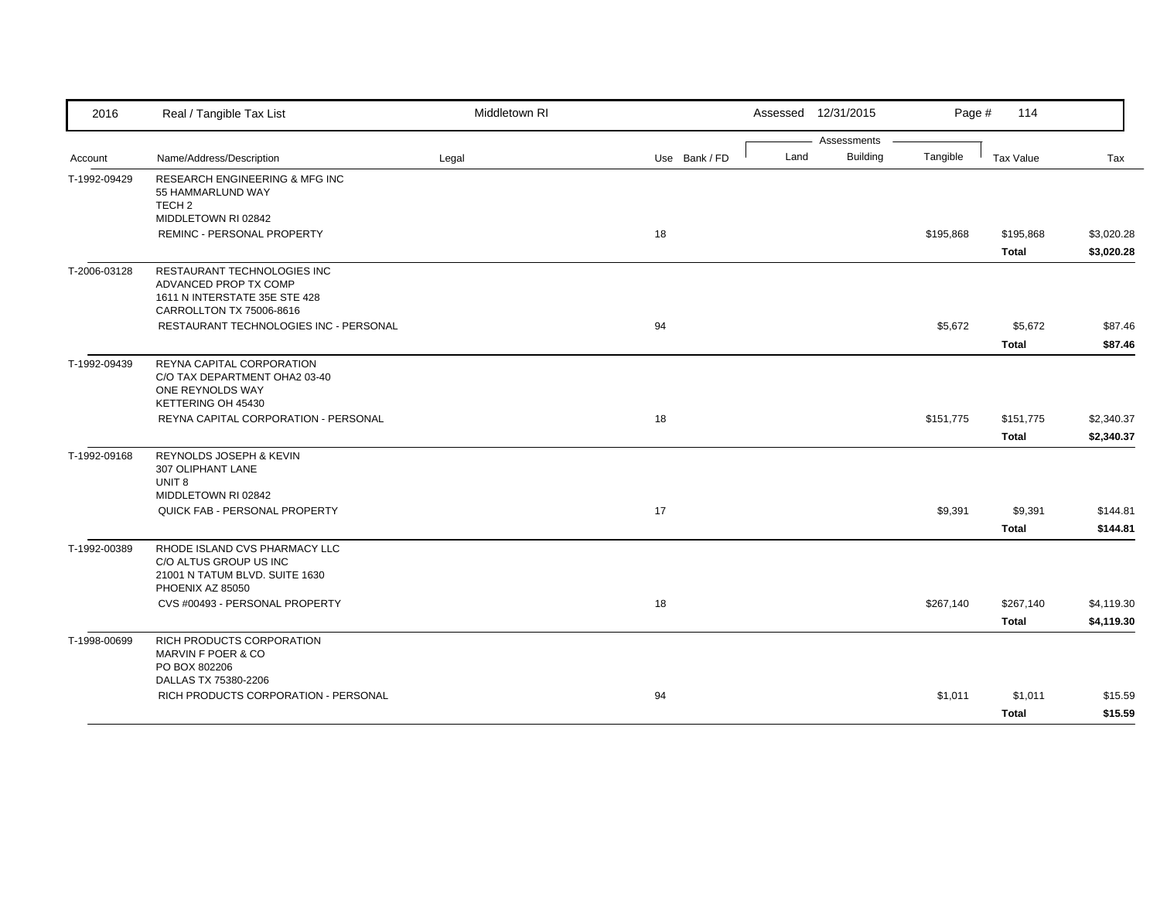| 2016         | Real / Tangible Tax List                                                                                          | Middletown RI |               |      | Assessed 12/31/2015            | Page #    | 114                       |                          |
|--------------|-------------------------------------------------------------------------------------------------------------------|---------------|---------------|------|--------------------------------|-----------|---------------------------|--------------------------|
| Account      | Name/Address/Description                                                                                          | Legal         | Use Bank / FD | Land | Assessments<br><b>Building</b> | Tangible  | Tax Value                 | Tax                      |
| T-1992-09429 | <b>RESEARCH ENGINEERING &amp; MFG INC</b><br>55 HAMMARLUND WAY<br>TECH <sub>2</sub><br>MIDDLETOWN RI 02842        |               |               |      |                                |           |                           |                          |
|              | REMINC - PERSONAL PROPERTY                                                                                        |               | 18            |      |                                | \$195,868 | \$195,868<br><b>Total</b> | \$3,020.28<br>\$3,020.28 |
| T-2006-03128 | RESTAURANT TECHNOLOGIES INC<br>ADVANCED PROP TX COMP<br>1611 N INTERSTATE 35E STE 428<br>CARROLLTON TX 75006-8616 |               |               |      |                                |           |                           |                          |
|              | RESTAURANT TECHNOLOGIES INC - PERSONAL                                                                            |               | 94            |      |                                | \$5,672   | \$5,672<br><b>Total</b>   | \$87.46<br>\$87.46       |
| T-1992-09439 | REYNA CAPITAL CORPORATION<br>C/O TAX DEPARTMENT OHA2 03-40<br>ONE REYNOLDS WAY<br>KETTERING OH 45430              |               |               |      |                                |           |                           |                          |
|              | REYNA CAPITAL CORPORATION - PERSONAL                                                                              |               | 18            |      |                                | \$151,775 | \$151,775<br><b>Total</b> | \$2,340.37<br>\$2,340.37 |
| T-1992-09168 | REYNOLDS JOSEPH & KEVIN<br>307 OLIPHANT LANE<br>UNIT <sub>8</sub><br>MIDDLETOWN RI 02842                          |               |               |      |                                |           |                           |                          |
|              | QUICK FAB - PERSONAL PROPERTY                                                                                     |               | 17            |      |                                | \$9,391   | \$9,391<br><b>Total</b>   | \$144.81<br>\$144.81     |
| T-1992-00389 | RHODE ISLAND CVS PHARMACY LLC<br>C/O ALTUS GROUP US INC<br>21001 N TATUM BLVD. SUITE 1630<br>PHOENIX AZ 85050     |               |               |      |                                |           |                           |                          |
|              | CVS #00493 - PERSONAL PROPERTY                                                                                    |               | 18            |      |                                | \$267,140 | \$267,140<br><b>Total</b> | \$4,119.30<br>\$4,119.30 |
| T-1998-00699 | RICH PRODUCTS CORPORATION<br>MARVIN F POER & CO<br>PO BOX 802206<br>DALLAS TX 75380-2206                          |               |               |      |                                |           |                           |                          |
|              | RICH PRODUCTS CORPORATION - PERSONAL                                                                              |               | 94            |      |                                | \$1,011   | \$1,011<br><b>Total</b>   | \$15.59<br>\$15.59       |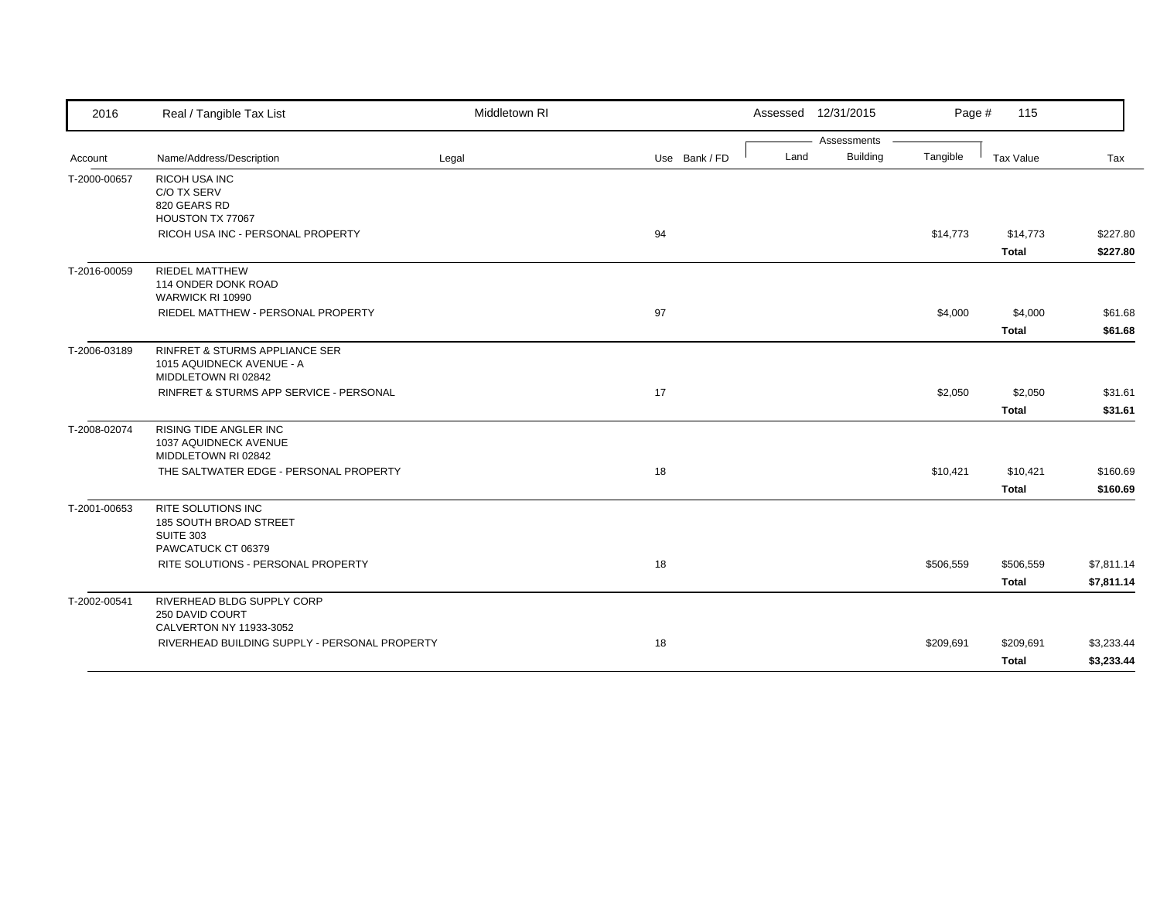| 2016         | Real / Tangible Tax List                                                                      | Middletown RI |               | Assessed 12/31/2015 |                 | Page #    | 115                       |                          |
|--------------|-----------------------------------------------------------------------------------------------|---------------|---------------|---------------------|-----------------|-----------|---------------------------|--------------------------|
|              |                                                                                               |               |               |                     | Assessments     |           |                           |                          |
| Account      | Name/Address/Description                                                                      | Legal         | Use Bank / FD | Land                | <b>Building</b> | Tangible  | Tax Value                 | Tax                      |
| T-2000-00657 | RICOH USA INC<br>C/O TX SERV<br>820 GEARS RD<br>HOUSTON TX 77067                              |               |               |                     |                 |           |                           |                          |
|              | RICOH USA INC - PERSONAL PROPERTY                                                             |               | 94            |                     |                 | \$14,773  | \$14,773<br><b>Total</b>  | \$227.80<br>\$227.80     |
| T-2016-00059 | <b>RIEDEL MATTHEW</b><br>114 ONDER DONK ROAD<br>WARWICK RI 10990                              |               |               |                     |                 |           |                           |                          |
|              | RIEDEL MATTHEW - PERSONAL PROPERTY                                                            |               | 97            |                     |                 | \$4,000   | \$4,000<br><b>Total</b>   | \$61.68<br>\$61.68       |
| T-2006-03189 | <b>RINFRET &amp; STURMS APPLIANCE SER</b><br>1015 AQUIDNECK AVENUE - A<br>MIDDLETOWN RI 02842 |               |               |                     |                 |           |                           |                          |
|              | RINFRET & STURMS APP SERVICE - PERSONAL                                                       |               | 17            |                     |                 | \$2,050   | \$2,050<br><b>Total</b>   | \$31.61<br>\$31.61       |
| T-2008-02074 | RISING TIDE ANGLER INC<br>1037 AQUIDNECK AVENUE<br>MIDDLETOWN RI 02842                        |               |               |                     |                 |           |                           |                          |
|              | THE SALTWATER EDGE - PERSONAL PROPERTY                                                        |               | 18            |                     |                 | \$10,421  | \$10,421<br><b>Total</b>  | \$160.69<br>\$160.69     |
| T-2001-00653 | <b>RITE SOLUTIONS INC</b><br>185 SOUTH BROAD STREET<br><b>SUITE 303</b><br>PAWCATUCK CT 06379 |               |               |                     |                 |           |                           |                          |
|              | RITE SOLUTIONS - PERSONAL PROPERTY                                                            |               | 18            |                     |                 | \$506,559 | \$506,559<br><b>Total</b> | \$7,811.14<br>\$7,811.14 |
| T-2002-00541 | RIVERHEAD BLDG SUPPLY CORP<br>250 DAVID COURT<br>CALVERTON NY 11933-3052                      |               |               |                     |                 |           |                           |                          |
|              | RIVERHEAD BUILDING SUPPLY - PERSONAL PROPERTY                                                 |               | 18            |                     |                 | \$209,691 | \$209,691<br>Total        | \$3,233.44<br>\$3,233.44 |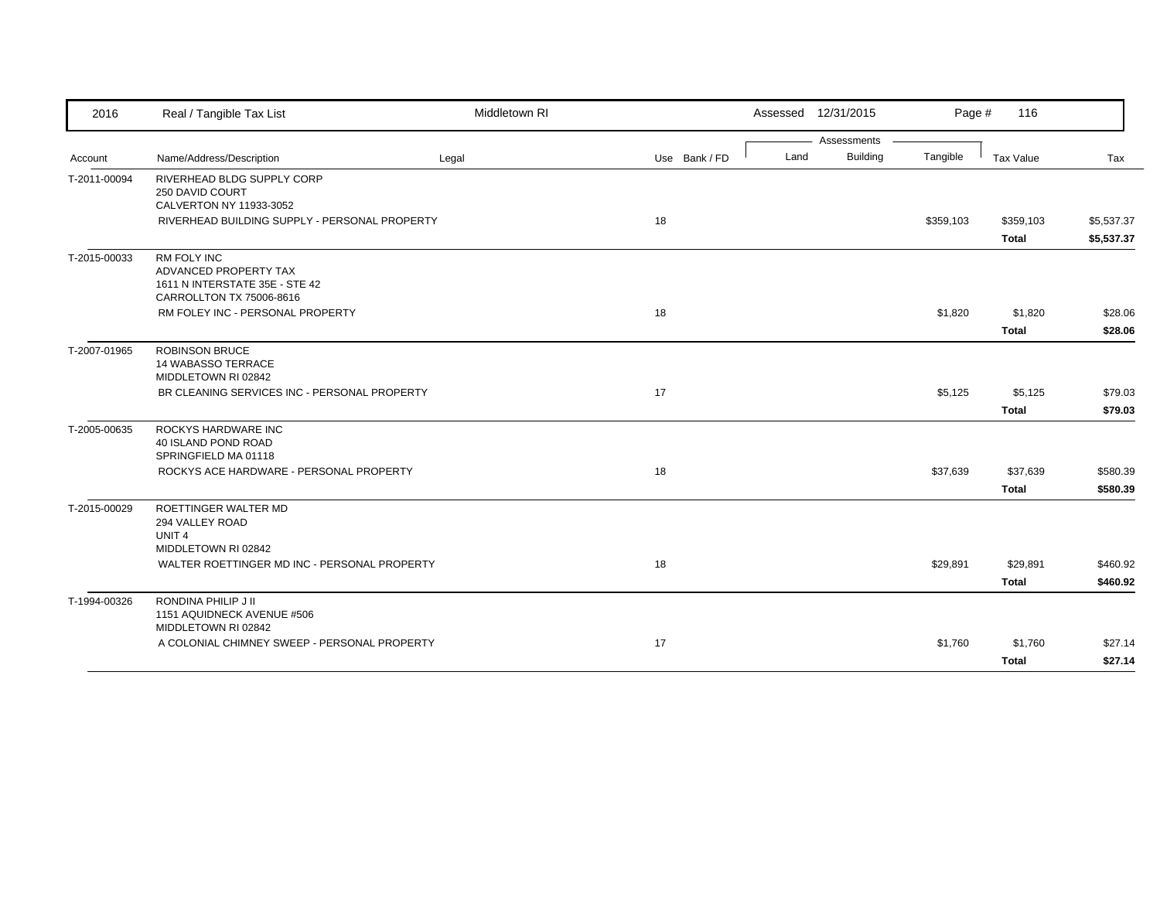| 2016         | Real / Tangible Tax List                                                                                  | Middletown RI |               |      | Assessed 12/31/2015 | Page #    | 116                       |                          |
|--------------|-----------------------------------------------------------------------------------------------------------|---------------|---------------|------|---------------------|-----------|---------------------------|--------------------------|
|              |                                                                                                           |               |               |      | Assessments         |           |                           |                          |
| Account      | Name/Address/Description                                                                                  | Legal         | Use Bank / FD | Land | <b>Building</b>     | Tangible  | Tax Value                 | Tax                      |
| T-2011-00094 | RIVERHEAD BLDG SUPPLY CORP<br>250 DAVID COURT<br>CALVERTON NY 11933-3052                                  |               |               |      |                     |           |                           |                          |
|              | RIVERHEAD BUILDING SUPPLY - PERSONAL PROPERTY                                                             |               | 18            |      |                     | \$359,103 | \$359,103<br><b>Total</b> | \$5,537.37<br>\$5,537.37 |
| T-2015-00033 | <b>RM FOLY INC</b><br>ADVANCED PROPERTY TAX<br>1611 N INTERSTATE 35E - STE 42<br>CARROLLTON TX 75006-8616 |               |               |      |                     |           |                           |                          |
|              | RM FOLEY INC - PERSONAL PROPERTY                                                                          |               | 18            |      |                     | \$1,820   | \$1,820<br><b>Total</b>   | \$28.06<br>\$28.06       |
| T-2007-01965 | <b>ROBINSON BRUCE</b><br><b>14 WABASSO TERRACE</b><br>MIDDLETOWN RI 02842                                 |               |               |      |                     |           |                           |                          |
|              | BR CLEANING SERVICES INC - PERSONAL PROPERTY                                                              |               | 17            |      |                     | \$5,125   | \$5,125                   | \$79.03                  |
|              |                                                                                                           |               |               |      |                     |           | <b>Total</b>              | \$79.03                  |
| T-2005-00635 | ROCKYS HARDWARE INC<br>40 ISLAND POND ROAD<br>SPRINGFIELD MA 01118                                        |               |               |      |                     |           |                           |                          |
|              | ROCKYS ACE HARDWARE - PERSONAL PROPERTY                                                                   |               | 18            |      |                     | \$37,639  | \$37,639<br><b>Total</b>  | \$580.39<br>\$580.39     |
| T-2015-00029 | <b>ROETTINGER WALTER MD</b><br>294 VALLEY ROAD<br>UNIT <sub>4</sub>                                       |               |               |      |                     |           |                           |                          |
|              | MIDDLETOWN RI 02842<br>WALTER ROETTINGER MD INC - PERSONAL PROPERTY                                       |               | 18            |      |                     | \$29,891  | \$29,891                  | \$460.92                 |
|              |                                                                                                           |               |               |      |                     |           | <b>Total</b>              | \$460.92                 |
| T-1994-00326 | RONDINA PHILIP J II<br>1151 AQUIDNECK AVENUE #506<br>MIDDLETOWN RI 02842                                  |               |               |      |                     |           |                           |                          |
|              | A COLONIAL CHIMNEY SWEEP - PERSONAL PROPERTY                                                              |               | 17            |      |                     | \$1,760   | \$1,760                   | \$27.14                  |
|              |                                                                                                           |               |               |      |                     |           | <b>Total</b>              | \$27.14                  |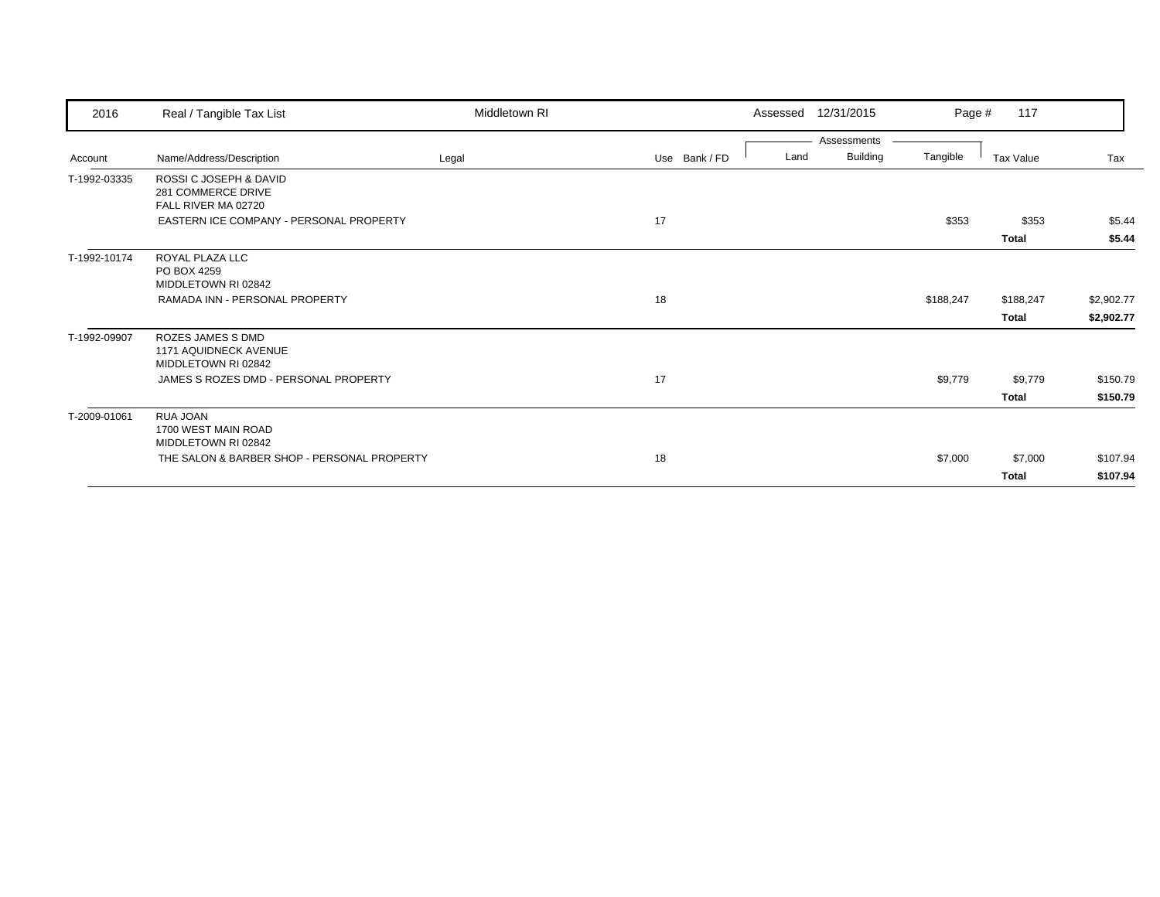| 2016         | Real / Tangible Tax List                                                 | Middletown RI |               | 12/31/2015<br>Assessed          | Page #    | 117                       |                          |
|--------------|--------------------------------------------------------------------------|---------------|---------------|---------------------------------|-----------|---------------------------|--------------------------|
| Account      | Name/Address/Description                                                 | Legal         | Use Bank / FD | Assessments<br>Building<br>Land | Tangible  | Tax Value                 | Tax                      |
| T-1992-03335 | ROSSI C JOSEPH & DAVID<br>281 COMMERCE DRIVE<br>FALL RIVER MA 02720      |               |               |                                 |           |                           |                          |
|              | EASTERN ICE COMPANY - PERSONAL PROPERTY                                  |               | 17            |                                 | \$353     | \$353<br><b>Total</b>     | \$5.44<br>\$5.44         |
| T-1992-10174 | ROYAL PLAZA LLC<br>PO BOX 4259<br>MIDDLETOWN RI 02842                    |               |               |                                 |           |                           |                          |
|              | RAMADA INN - PERSONAL PROPERTY                                           |               | 18            |                                 | \$188,247 | \$188,247<br><b>Total</b> | \$2,902.77<br>\$2,902.77 |
| T-1992-09907 | ROZES JAMES S DMD<br><b>1171 AQUIDNECK AVENUE</b><br>MIDDLETOWN RI 02842 |               |               |                                 |           |                           |                          |
|              | JAMES S ROZES DMD - PERSONAL PROPERTY                                    |               | 17            |                                 | \$9,779   | \$9,779<br><b>Total</b>   | \$150.79<br>\$150.79     |
| T-2009-01061 | RUA JOAN<br>1700 WEST MAIN ROAD<br>MIDDLETOWN RI 02842                   |               |               |                                 |           |                           |                          |
|              | THE SALON & BARBER SHOP - PERSONAL PROPERTY                              |               | 18            |                                 | \$7,000   | \$7,000<br><b>Total</b>   | \$107.94<br>\$107.94     |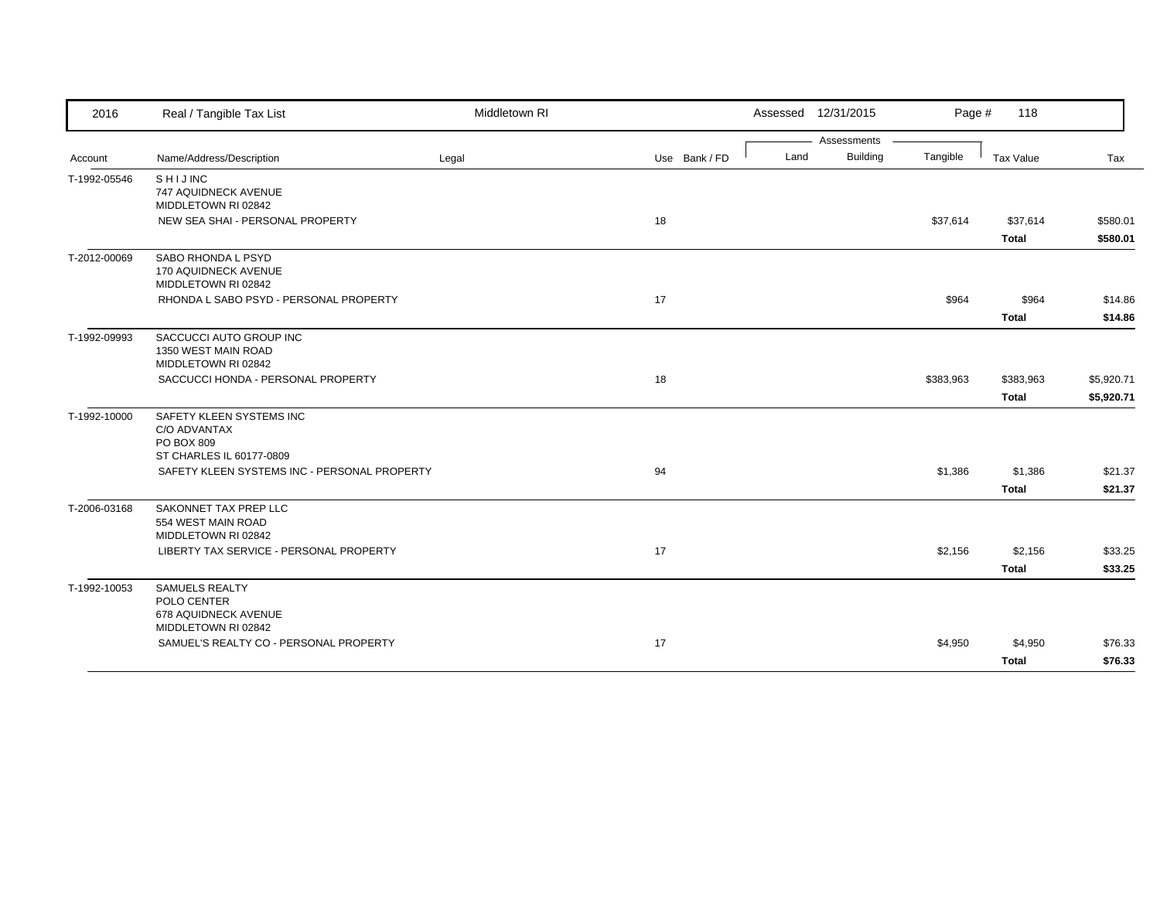| 2016         | Real / Tangible Tax List                                                            | Middletown RI |               |      | Assessed 12/31/2015 | Page #    | 118                       |                          |
|--------------|-------------------------------------------------------------------------------------|---------------|---------------|------|---------------------|-----------|---------------------------|--------------------------|
|              |                                                                                     |               |               |      | Assessments         |           |                           |                          |
| Account      | Name/Address/Description                                                            | Legal         | Use Bank / FD | Land | Building            | Tangible  | Tax Value                 | Tax                      |
| T-1992-05546 | SHIJINC<br>747 AQUIDNECK AVENUE<br>MIDDLETOWN RI 02842                              |               |               |      |                     |           |                           |                          |
|              | NEW SEA SHAI - PERSONAL PROPERTY                                                    |               | 18            |      |                     | \$37,614  | \$37,614<br><b>Total</b>  | \$580.01<br>\$580.01     |
| T-2012-00069 | SABO RHONDA L PSYD<br>170 AQUIDNECK AVENUE<br>MIDDLETOWN RI 02842                   |               |               |      |                     |           |                           |                          |
|              | RHONDA L SABO PSYD - PERSONAL PROPERTY                                              |               | 17            |      |                     | \$964     | \$964<br><b>Total</b>     | \$14.86<br>\$14.86       |
| T-1992-09993 | SACCUCCI AUTO GROUP INC<br>1350 WEST MAIN ROAD<br>MIDDLETOWN RI 02842               |               |               |      |                     |           |                           |                          |
|              | SACCUCCI HONDA - PERSONAL PROPERTY                                                  |               | 18            |      |                     | \$383,963 | \$383,963<br><b>Total</b> | \$5,920.71<br>\$5,920.71 |
| T-1992-10000 | SAFETY KLEEN SYSTEMS INC<br>C/O ADVANTAX<br>PO BOX 809<br>ST CHARLES IL 60177-0809  |               |               |      |                     |           |                           |                          |
|              | SAFETY KLEEN SYSTEMS INC - PERSONAL PROPERTY                                        |               | 94            |      |                     | \$1,386   | \$1,386<br><b>Total</b>   | \$21.37<br>\$21.37       |
| T-2006-03168 | SAKONNET TAX PREP LLC<br>554 WEST MAIN ROAD<br>MIDDLETOWN RI 02842                  |               |               |      |                     |           |                           |                          |
|              | LIBERTY TAX SERVICE - PERSONAL PROPERTY                                             |               | 17            |      |                     | \$2,156   | \$2,156<br><b>Total</b>   | \$33.25<br>\$33.25       |
| T-1992-10053 | <b>SAMUELS REALTY</b><br>POLO CENTER<br>678 AQUIDNECK AVENUE<br>MIDDLETOWN RI 02842 |               |               |      |                     |           |                           |                          |
|              | SAMUEL'S REALTY CO - PERSONAL PROPERTY                                              |               | 17            |      |                     | \$4,950   | \$4,950<br><b>Total</b>   | \$76.33<br>\$76.33       |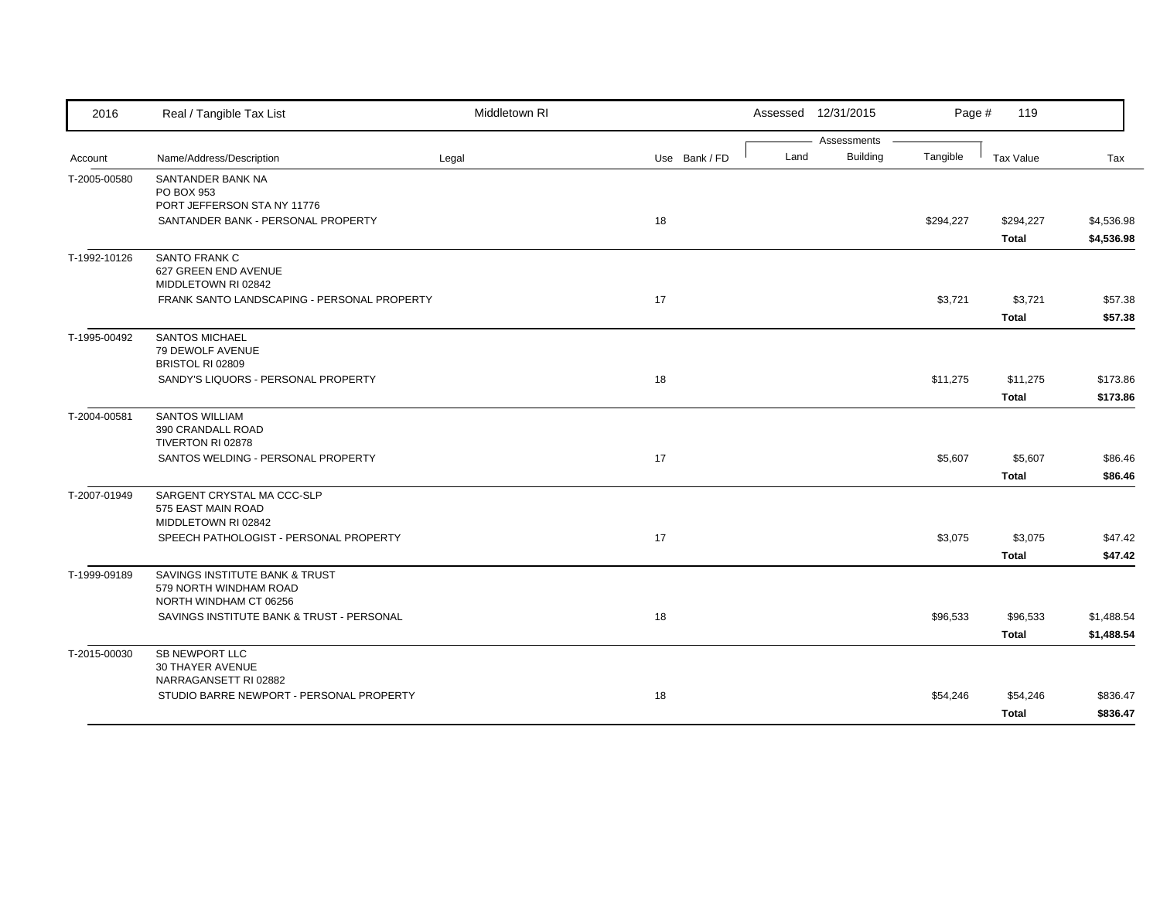| 2016         | Real / Tangible Tax List                         | Middletown RI |               | Assessed 12/31/2015     | Page #    | 119                     |                    |
|--------------|--------------------------------------------------|---------------|---------------|-------------------------|-----------|-------------------------|--------------------|
|              |                                                  |               |               | Assessments             |           |                         |                    |
| Account      | Name/Address/Description                         | Legal         | Use Bank / FD | <b>Building</b><br>Land | Tangible  | Tax Value               | Tax                |
| T-2005-00580 | SANTANDER BANK NA                                |               |               |                         |           |                         |                    |
|              | PO BOX 953<br>PORT JEFFERSON STA NY 11776        |               |               |                         |           |                         |                    |
|              | SANTANDER BANK - PERSONAL PROPERTY               |               | 18            |                         | \$294,227 | \$294,227               | \$4,536.98         |
|              |                                                  |               |               |                         |           | <b>Total</b>            | \$4,536.98         |
| T-1992-10126 | SANTO FRANK C                                    |               |               |                         |           |                         |                    |
|              | 627 GREEN END AVENUE                             |               |               |                         |           |                         |                    |
|              | MIDDLETOWN RI 02842                              |               | 17            |                         |           |                         |                    |
|              | FRANK SANTO LANDSCAPING - PERSONAL PROPERTY      |               |               |                         | \$3,721   | \$3,721<br><b>Total</b> | \$57.38<br>\$57.38 |
| T-1995-00492 | <b>SANTOS MICHAEL</b>                            |               |               |                         |           |                         |                    |
|              | 79 DEWOLF AVENUE                                 |               |               |                         |           |                         |                    |
|              | BRISTOL RI 02809                                 |               |               |                         |           |                         |                    |
|              | SANDY'S LIQUORS - PERSONAL PROPERTY              |               | 18            |                         | \$11,275  | \$11,275                | \$173.86           |
|              |                                                  |               |               |                         |           | <b>Total</b>            | \$173.86           |
| T-2004-00581 | <b>SANTOS WILLIAM</b>                            |               |               |                         |           |                         |                    |
|              | 390 CRANDALL ROAD<br>TIVERTON RI 02878           |               |               |                         |           |                         |                    |
|              | SANTOS WELDING - PERSONAL PROPERTY               |               | 17            |                         | \$5,607   | \$5,607                 | \$86.46            |
|              |                                                  |               |               |                         |           | <b>Total</b>            | \$86.46            |
| T-2007-01949 | SARGENT CRYSTAL MA CCC-SLP                       |               |               |                         |           |                         |                    |
|              | 575 EAST MAIN ROAD                               |               |               |                         |           |                         |                    |
|              | MIDDLETOWN RI 02842                              |               |               |                         |           |                         |                    |
|              | SPEECH PATHOLOGIST - PERSONAL PROPERTY           |               | 17            |                         | \$3,075   | \$3,075                 | \$47.42            |
|              |                                                  |               |               |                         |           | <b>Total</b>            | \$47.42            |
| T-1999-09189 | SAVINGS INSTITUTE BANK & TRUST                   |               |               |                         |           |                         |                    |
|              | 579 NORTH WINDHAM ROAD<br>NORTH WINDHAM CT 06256 |               |               |                         |           |                         |                    |
|              | SAVINGS INSTITUTE BANK & TRUST - PERSONAL        |               | 18            |                         | \$96,533  | \$96,533                | \$1,488.54         |
|              |                                                  |               |               |                         |           | <b>Total</b>            | \$1,488.54         |
| T-2015-00030 | SB NEWPORT LLC                                   |               |               |                         |           |                         |                    |
|              | 30 THAYER AVENUE                                 |               |               |                         |           |                         |                    |
|              | NARRAGANSETT RI 02882                            |               |               |                         |           |                         |                    |
|              | STUDIO BARRE NEWPORT - PERSONAL PROPERTY         |               | 18            |                         | \$54,246  | \$54,246                | \$836.47           |
|              |                                                  |               |               |                         |           | <b>Total</b>            | \$836.47           |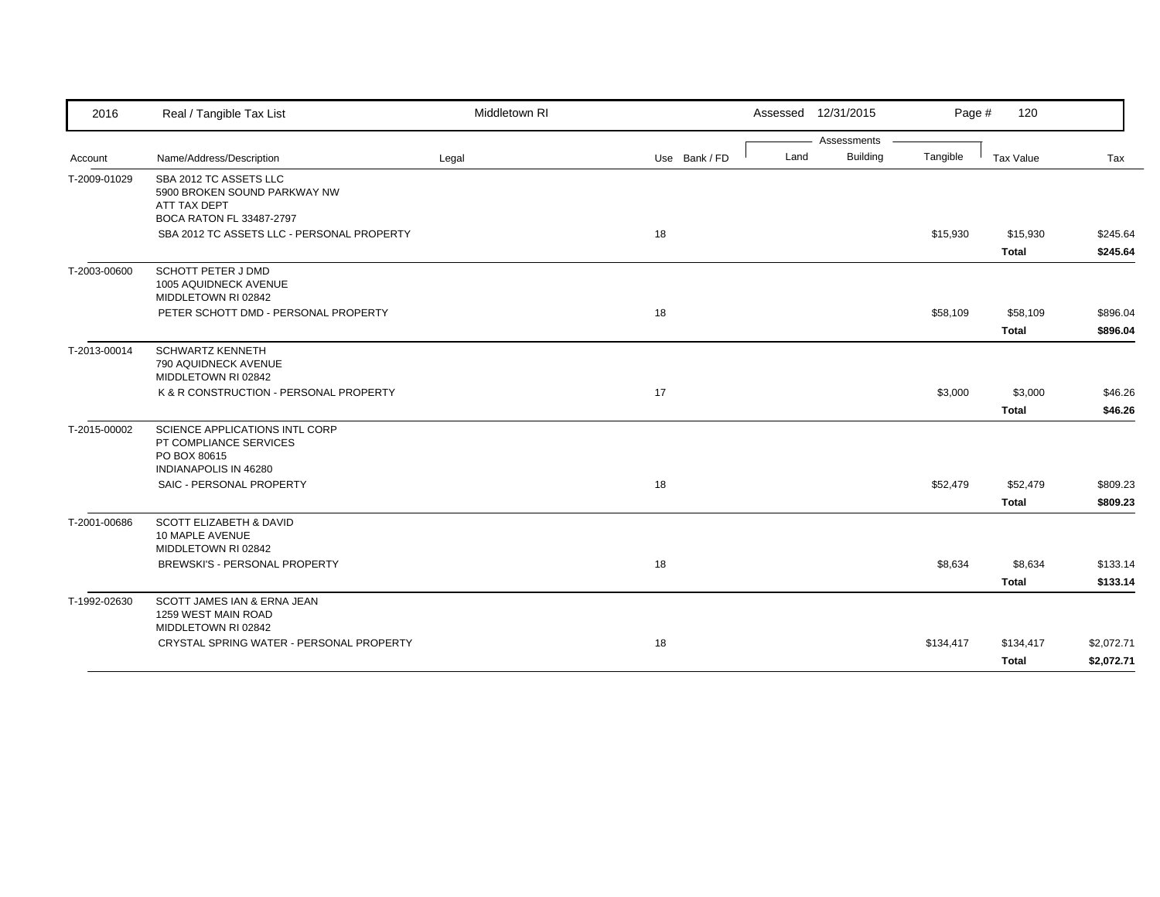| 2016         | Real / Tangible Tax List                                                     | Middletown RI |               |      | Assessed 12/31/2015 | Page #    | 120               |                      |
|--------------|------------------------------------------------------------------------------|---------------|---------------|------|---------------------|-----------|-------------------|----------------------|
|              |                                                                              |               |               |      | Assessments         |           |                   |                      |
| Account      | Name/Address/Description                                                     | Legal         | Use Bank / FD | Land | Building            | Tangible  | Tax Value         | Tax                  |
| T-2009-01029 | SBA 2012 TC ASSETS LLC<br>5900 BROKEN SOUND PARKWAY NW<br>ATT TAX DEPT       |               |               |      |                     |           |                   |                      |
|              | <b>BOCA RATON FL 33487-2797</b>                                              |               |               |      |                     |           |                   |                      |
|              | SBA 2012 TC ASSETS LLC - PERSONAL PROPERTY                                   |               | 18            |      |                     | \$15,930  | \$15,930<br>Total | \$245.64<br>\$245.64 |
| T-2003-00600 | <b>SCHOTT PETER J DMD</b><br>1005 AQUIDNECK AVENUE<br>MIDDLETOWN RI 02842    |               |               |      |                     |           |                   |                      |
|              | PETER SCHOTT DMD - PERSONAL PROPERTY                                         |               | 18            |      |                     | \$58,109  | \$58,109          | \$896.04             |
|              |                                                                              |               |               |      |                     |           | <b>Total</b>      | \$896.04             |
| T-2013-00014 | <b>SCHWARTZ KENNETH</b><br>790 AQUIDNECK AVENUE<br>MIDDLETOWN RI 02842       |               |               |      |                     |           |                   |                      |
|              | K & R CONSTRUCTION - PERSONAL PROPERTY                                       |               | 17            |      |                     | \$3,000   | \$3,000           | \$46.26              |
|              |                                                                              |               |               |      |                     |           | <b>Total</b>      | \$46.26              |
| T-2015-00002 | SCIENCE APPLICATIONS INTL CORP<br>PT COMPLIANCE SERVICES<br>PO BOX 80615     |               |               |      |                     |           |                   |                      |
|              | INDIANAPOLIS IN 46280<br>SAIC - PERSONAL PROPERTY                            |               | 18            |      |                     | \$52,479  | \$52,479          | \$809.23             |
|              |                                                                              |               |               |      |                     |           | <b>Total</b>      | \$809.23             |
| T-2001-00686 | <b>SCOTT ELIZABETH &amp; DAVID</b><br>10 MAPLE AVENUE<br>MIDDLETOWN RI 02842 |               |               |      |                     |           |                   |                      |
|              | BREWSKI'S - PERSONAL PROPERTY                                                |               | 18            |      |                     | \$8,634   | \$8,634           | \$133.14             |
|              |                                                                              |               |               |      |                     |           | <b>Total</b>      | \$133.14             |
| T-1992-02630 | SCOTT JAMES IAN & ERNA JEAN<br>1259 WEST MAIN ROAD<br>MIDDLETOWN RI 02842    |               |               |      |                     |           |                   |                      |
|              | CRYSTAL SPRING WATER - PERSONAL PROPERTY                                     |               | 18            |      |                     | \$134,417 | \$134,417         | \$2,072.71           |
|              |                                                                              |               |               |      |                     |           | <b>Total</b>      | \$2,072.71           |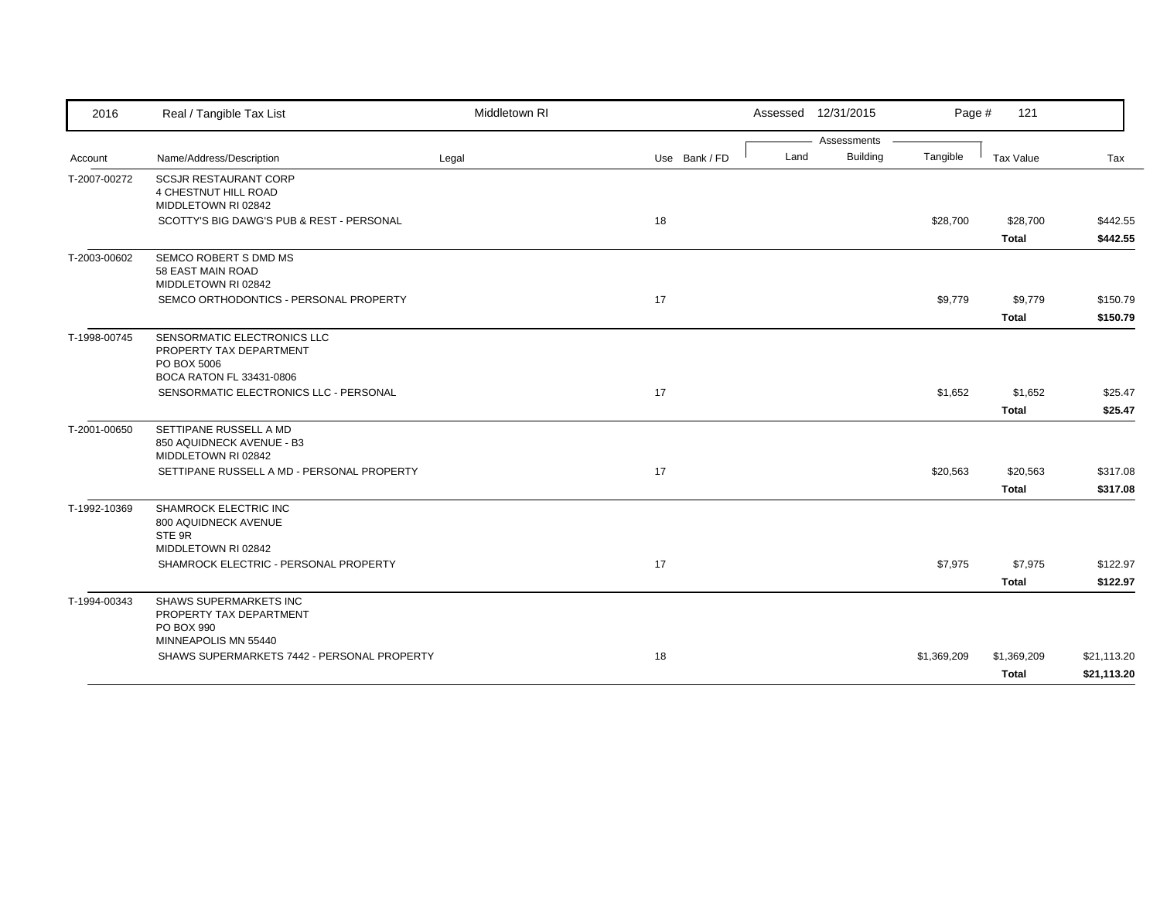| 2016         | Real / Tangible Tax List                                                                          | Middletown RI |               |      | Assessed 12/31/2015 | Page #      | 121                         |                            |
|--------------|---------------------------------------------------------------------------------------------------|---------------|---------------|------|---------------------|-------------|-----------------------------|----------------------------|
|              |                                                                                                   |               |               |      | Assessments         |             |                             |                            |
| Account      | Name/Address/Description                                                                          | Legal         | Use Bank / FD | Land | <b>Building</b>     | Tangible    | Tax Value                   | Tax                        |
| T-2007-00272 | <b>SCSJR RESTAURANT CORP</b><br>4 CHESTNUT HILL ROAD<br>MIDDLETOWN RI 02842                       |               |               |      |                     |             |                             |                            |
|              | SCOTTY'S BIG DAWG'S PUB & REST - PERSONAL                                                         |               | 18            |      |                     | \$28,700    | \$28,700                    | \$442.55                   |
|              |                                                                                                   |               |               |      |                     |             | <b>Total</b>                | \$442.55                   |
| T-2003-00602 | SEMCO ROBERT S DMD MS<br>58 EAST MAIN ROAD<br>MIDDLETOWN RI 02842                                 |               |               |      |                     |             |                             |                            |
|              | SEMCO ORTHODONTICS - PERSONAL PROPERTY                                                            |               | 17            |      |                     | \$9,779     | \$9,779                     | \$150.79                   |
|              |                                                                                                   |               |               |      |                     |             | <b>Total</b>                | \$150.79                   |
| T-1998-00745 | SENSORMATIC ELECTRONICS LLC<br>PROPERTY TAX DEPARTMENT<br>PO BOX 5006<br>BOCA RATON FL 33431-0806 |               |               |      |                     |             |                             |                            |
|              | SENSORMATIC ELECTRONICS LLC - PERSONAL                                                            |               | 17            |      |                     | \$1,652     | \$1,652                     | \$25.47                    |
|              |                                                                                                   |               |               |      |                     |             | <b>Total</b>                | \$25.47                    |
| T-2001-00650 | SETTIPANE RUSSELL A MD<br>850 AQUIDNECK AVENUE - B3<br>MIDDLETOWN RI 02842                        |               |               |      |                     |             |                             |                            |
|              | SETTIPANE RUSSELL A MD - PERSONAL PROPERTY                                                        |               | 17            |      |                     | \$20,563    | \$20,563                    | \$317.08                   |
|              |                                                                                                   |               |               |      |                     |             | <b>Total</b>                | \$317.08                   |
| T-1992-10369 | SHAMROCK ELECTRIC INC<br>800 AQUIDNECK AVENUE<br>STE 9R<br>MIDDLETOWN RI 02842                    |               |               |      |                     |             |                             |                            |
|              | SHAMROCK ELECTRIC - PERSONAL PROPERTY                                                             |               | 17            |      |                     | \$7,975     | \$7,975                     | \$122.97                   |
|              |                                                                                                   |               |               |      |                     |             | <b>Total</b>                | \$122.97                   |
| T-1994-00343 | <b>SHAWS SUPERMARKETS INC</b><br>PROPERTY TAX DEPARTMENT<br>PO BOX 990<br>MINNEAPOLIS MN 55440    |               |               |      |                     |             |                             |                            |
|              | SHAWS SUPERMARKETS 7442 - PERSONAL PROPERTY                                                       |               | 18            |      |                     | \$1,369,209 | \$1,369,209<br><b>Total</b> | \$21,113.20<br>\$21,113.20 |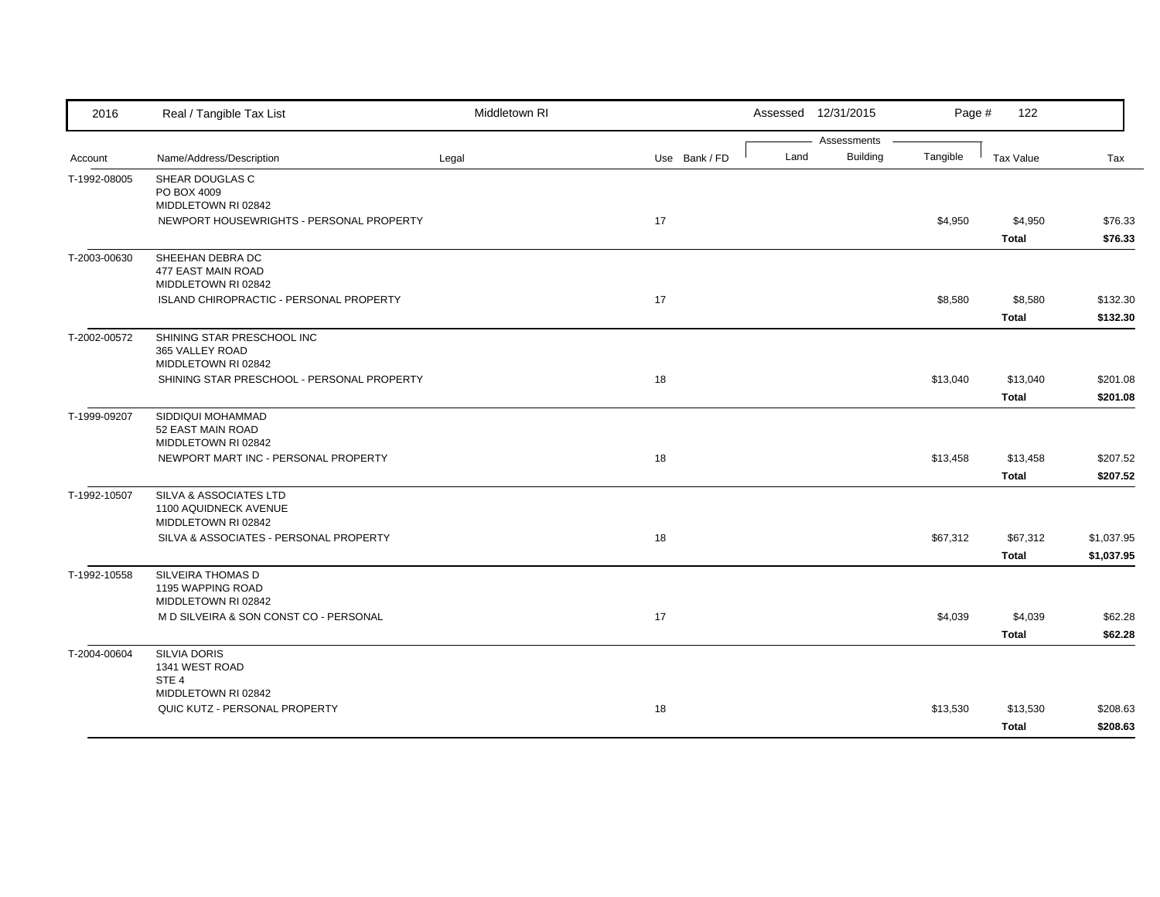| 2016         | Real / Tangible Tax List                                      | Middletown RI |               |      | Assessed 12/31/2015            | Page #   | 122          |            |
|--------------|---------------------------------------------------------------|---------------|---------------|------|--------------------------------|----------|--------------|------------|
|              |                                                               |               |               | Land | Assessments<br><b>Building</b> | Tangible |              |            |
| Account      | Name/Address/Description                                      | Legal         | Use Bank / FD |      |                                |          | Tax Value    | Tax        |
| T-1992-08005 | SHEAR DOUGLAS C<br>PO BOX 4009                                |               |               |      |                                |          |              |            |
|              | MIDDLETOWN RI 02842                                           |               |               |      |                                |          |              |            |
|              | NEWPORT HOUSEWRIGHTS - PERSONAL PROPERTY                      |               | 17            |      |                                | \$4,950  | \$4,950      | \$76.33    |
|              |                                                               |               |               |      |                                |          | <b>Total</b> | \$76.33    |
| T-2003-00630 | SHEEHAN DEBRA DC                                              |               |               |      |                                |          |              |            |
|              | 477 EAST MAIN ROAD                                            |               |               |      |                                |          |              |            |
|              | MIDDLETOWN RI 02842                                           |               |               |      |                                |          |              |            |
|              | ISLAND CHIROPRACTIC - PERSONAL PROPERTY                       |               | 17            |      |                                | \$8,580  | \$8,580      | \$132.30   |
|              |                                                               |               |               |      |                                |          | <b>Total</b> | \$132.30   |
| T-2002-00572 | SHINING STAR PRESCHOOL INC                                    |               |               |      |                                |          |              |            |
|              | 365 VALLEY ROAD<br>MIDDLETOWN RI 02842                        |               |               |      |                                |          |              |            |
|              | SHINING STAR PRESCHOOL - PERSONAL PROPERTY                    |               | 18            |      |                                | \$13,040 | \$13,040     | \$201.08   |
|              |                                                               |               |               |      |                                |          | <b>Total</b> | \$201.08   |
| T-1999-09207 | SIDDIQUI MOHAMMAD                                             |               |               |      |                                |          |              |            |
|              | 52 EAST MAIN ROAD                                             |               |               |      |                                |          |              |            |
|              | MIDDLETOWN RI 02842                                           |               |               |      |                                |          |              |            |
|              | NEWPORT MART INC - PERSONAL PROPERTY                          |               | 18            |      |                                | \$13,458 | \$13,458     | \$207.52   |
|              |                                                               |               |               |      |                                |          | <b>Total</b> | \$207.52   |
| T-1992-10507 | SILVA & ASSOCIATES LTD                                        |               |               |      |                                |          |              |            |
|              | 1100 AQUIDNECK AVENUE                                         |               |               |      |                                |          |              |            |
|              | MIDDLETOWN RI 02842<br>SILVA & ASSOCIATES - PERSONAL PROPERTY |               | 18            |      |                                | \$67,312 | \$67,312     | \$1,037.95 |
|              |                                                               |               |               |      |                                |          |              | \$1,037.95 |
|              |                                                               |               |               |      |                                |          | <b>Total</b> |            |
| T-1992-10558 | SILVEIRA THOMAS D<br>1195 WAPPING ROAD                        |               |               |      |                                |          |              |            |
|              | MIDDLETOWN RI 02842                                           |               |               |      |                                |          |              |            |
|              | M D SILVEIRA & SON CONST CO - PERSONAL                        |               | 17            |      |                                | \$4,039  | \$4,039      | \$62.28    |
|              |                                                               |               |               |      |                                |          | <b>Total</b> | \$62.28    |
| T-2004-00604 | <b>SILVIA DORIS</b>                                           |               |               |      |                                |          |              |            |
|              | 1341 WEST ROAD                                                |               |               |      |                                |          |              |            |
|              | STE <sub>4</sub><br>MIDDLETOWN RI 02842                       |               |               |      |                                |          |              |            |
|              | QUIC KUTZ - PERSONAL PROPERTY                                 |               | 18            |      |                                | \$13,530 | \$13,530     | \$208.63   |
|              |                                                               |               |               |      |                                |          |              | \$208.63   |
|              |                                                               |               |               |      |                                |          | <b>Total</b> |            |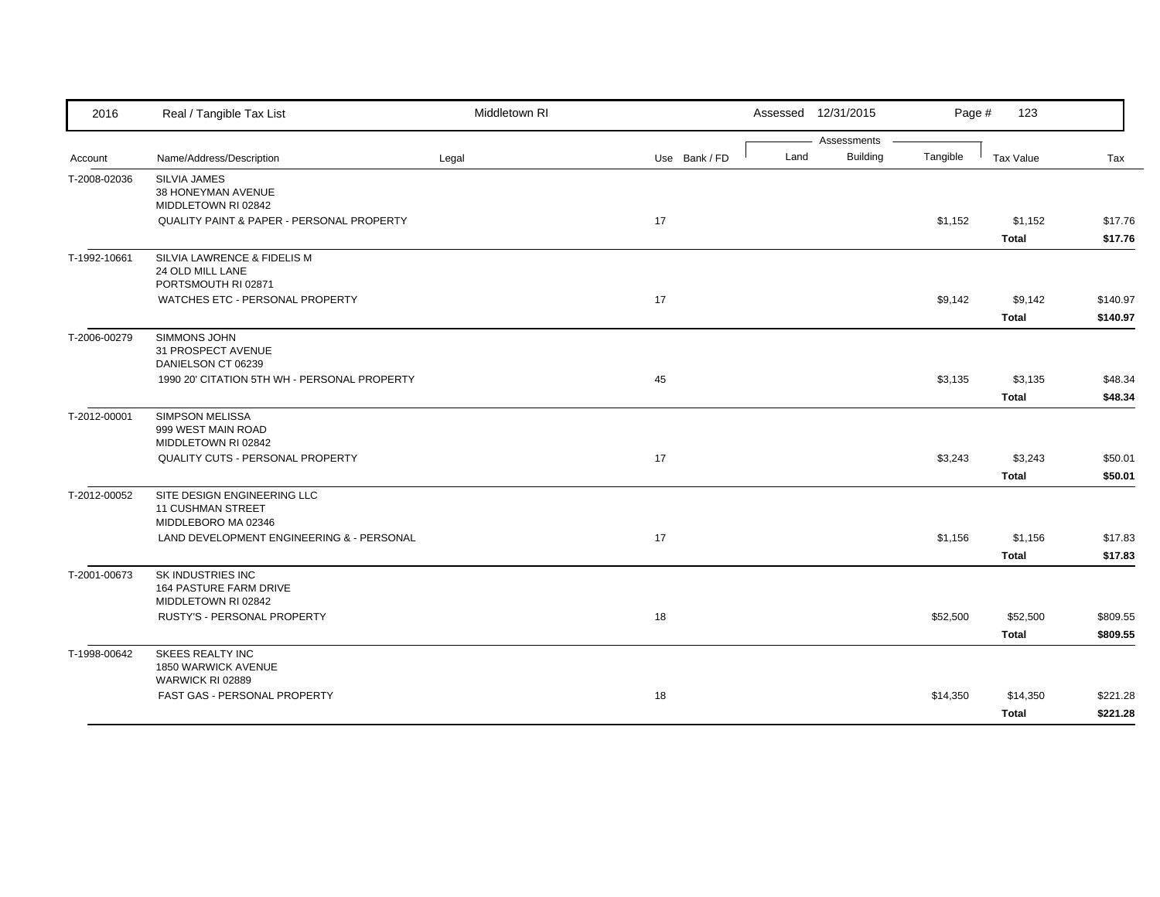| 2016         | Real / Tangible Tax List                                                       | Middletown RI |               | Assessed 12/31/2015 |                                | Page #   | 123                      |                      |
|--------------|--------------------------------------------------------------------------------|---------------|---------------|---------------------|--------------------------------|----------|--------------------------|----------------------|
| Account      | Name/Address/Description                                                       | Legal         | Use Bank / FD | Land                | Assessments<br><b>Building</b> | Tangible | Tax Value                | Tax                  |
| T-2008-02036 | <b>SILVIA JAMES</b><br>38 HONEYMAN AVENUE<br>MIDDLETOWN RI 02842               |               |               |                     |                                |          |                          |                      |
|              | <b>QUALITY PAINT &amp; PAPER - PERSONAL PROPERTY</b>                           |               | 17            |                     |                                | \$1,152  | \$1,152<br><b>Total</b>  | \$17.76<br>\$17.76   |
| T-1992-10661 | SILVIA LAWRENCE & FIDELIS M<br>24 OLD MILL LANE<br>PORTSMOUTH RI 02871         |               |               |                     |                                |          |                          |                      |
|              | WATCHES ETC - PERSONAL PROPERTY                                                |               | 17            |                     |                                | \$9,142  | \$9,142<br><b>Total</b>  | \$140.97<br>\$140.97 |
| T-2006-00279 | SIMMONS JOHN<br>31 PROSPECT AVENUE<br>DANIELSON CT 06239                       |               |               |                     |                                |          |                          |                      |
|              | 1990 20' CITATION 5TH WH - PERSONAL PROPERTY                                   |               | 45            |                     |                                | \$3,135  | \$3,135<br><b>Total</b>  | \$48.34<br>\$48.34   |
| T-2012-00001 | <b>SIMPSON MELISSA</b><br>999 WEST MAIN ROAD<br>MIDDLETOWN RI 02842            |               |               |                     |                                |          |                          |                      |
|              | QUALITY CUTS - PERSONAL PROPERTY                                               |               | 17            |                     |                                | \$3,243  | \$3,243<br><b>Total</b>  | \$50.01<br>\$50.01   |
| T-2012-00052 | SITE DESIGN ENGINEERING LLC<br><b>11 CUSHMAN STREET</b><br>MIDDLEBORO MA 02346 |               |               |                     |                                |          |                          |                      |
|              | LAND DEVELOPMENT ENGINEERING & - PERSONAL                                      |               | 17            |                     |                                | \$1,156  | \$1,156<br><b>Total</b>  | \$17.83<br>\$17.83   |
| T-2001-00673 | SK INDUSTRIES INC<br><b>164 PASTURE FARM DRIVE</b><br>MIDDLETOWN RI 02842      |               |               |                     |                                |          |                          |                      |
|              | RUSTY'S - PERSONAL PROPERTY                                                    |               | 18            |                     |                                | \$52,500 | \$52,500<br><b>Total</b> | \$809.55<br>\$809.55 |
| T-1998-00642 | <b>SKEES REALTY INC</b><br>1850 WARWICK AVENUE<br>WARWICK RI 02889             |               |               |                     |                                |          |                          |                      |
|              | FAST GAS - PERSONAL PROPERTY                                                   |               | 18            |                     |                                | \$14,350 | \$14,350<br><b>Total</b> | \$221.28<br>\$221.28 |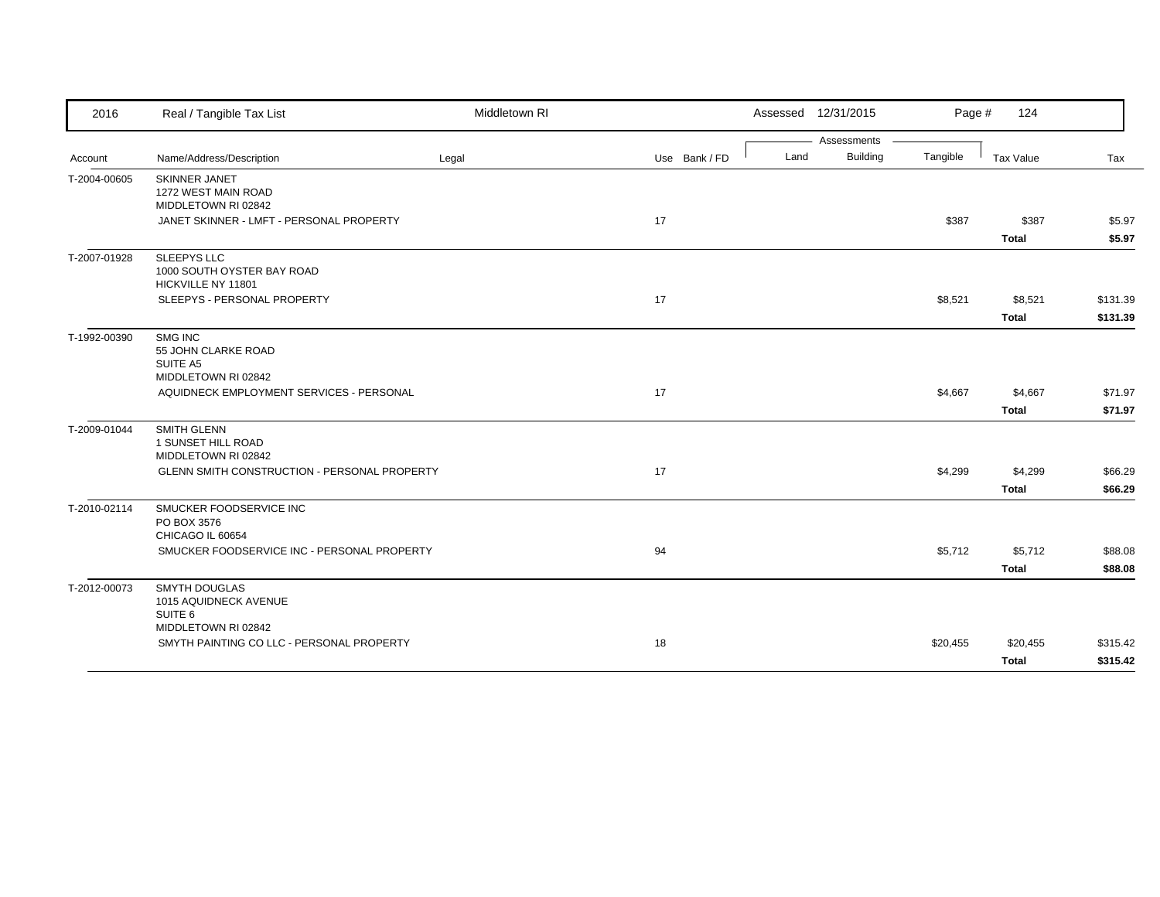| 2016         | Real / Tangible Tax List                                               | Middletown RI |               |      | Assessed 12/31/2015            | Page #   | 124                      |                      |
|--------------|------------------------------------------------------------------------|---------------|---------------|------|--------------------------------|----------|--------------------------|----------------------|
| Account      | Name/Address/Description                                               | Legal         | Use Bank / FD | Land | Assessments<br><b>Building</b> | Tangible | Tax Value                | Tax                  |
| T-2004-00605 | <b>SKINNER JANET</b><br>1272 WEST MAIN ROAD<br>MIDDLETOWN RI 02842     |               |               |      |                                |          |                          |                      |
|              | JANET SKINNER - LMFT - PERSONAL PROPERTY                               |               | 17            |      |                                | \$387    | \$387<br><b>Total</b>    | \$5.97<br>\$5.97     |
| T-2007-01928 | <b>SLEEPYS LLC</b><br>1000 SOUTH OYSTER BAY ROAD<br>HICKVILLE NY 11801 |               |               |      |                                |          |                          |                      |
|              | SLEEPYS - PERSONAL PROPERTY                                            |               | 17            |      |                                | \$8,521  | \$8,521<br><b>Total</b>  | \$131.39<br>\$131.39 |
| T-1992-00390 | SMG INC<br>55 JOHN CLARKE ROAD<br>SUITE A5<br>MIDDLETOWN RI 02842      |               |               |      |                                |          |                          |                      |
|              | AQUIDNECK EMPLOYMENT SERVICES - PERSONAL                               |               | 17            |      |                                | \$4,667  | \$4,667<br><b>Total</b>  | \$71.97<br>\$71.97   |
| T-2009-01044 | <b>SMITH GLENN</b><br>1 SUNSET HILL ROAD<br>MIDDLETOWN RI 02842        |               |               |      |                                |          |                          |                      |
|              | GLENN SMITH CONSTRUCTION - PERSONAL PROPERTY                           |               | 17            |      |                                | \$4,299  | \$4,299<br><b>Total</b>  | \$66.29<br>\$66.29   |
| T-2010-02114 | SMUCKER FOODSERVICE INC<br>PO BOX 3576<br>CHICAGO IL 60654             |               |               |      |                                |          |                          |                      |
|              | SMUCKER FOODSERVICE INC - PERSONAL PROPERTY                            |               | 94            |      |                                | \$5,712  | \$5,712<br>Total         | \$88.08<br>\$88.08   |
| T-2012-00073 | <b>SMYTH DOUGLAS</b><br>1015 AQUIDNECK AVENUE<br>SUITE <sub>6</sub>    |               |               |      |                                |          |                          |                      |
|              | MIDDLETOWN RI 02842<br>SMYTH PAINTING CO LLC - PERSONAL PROPERTY       |               | 18            |      |                                | \$20,455 | \$20,455<br><b>Total</b> | \$315.42<br>\$315.42 |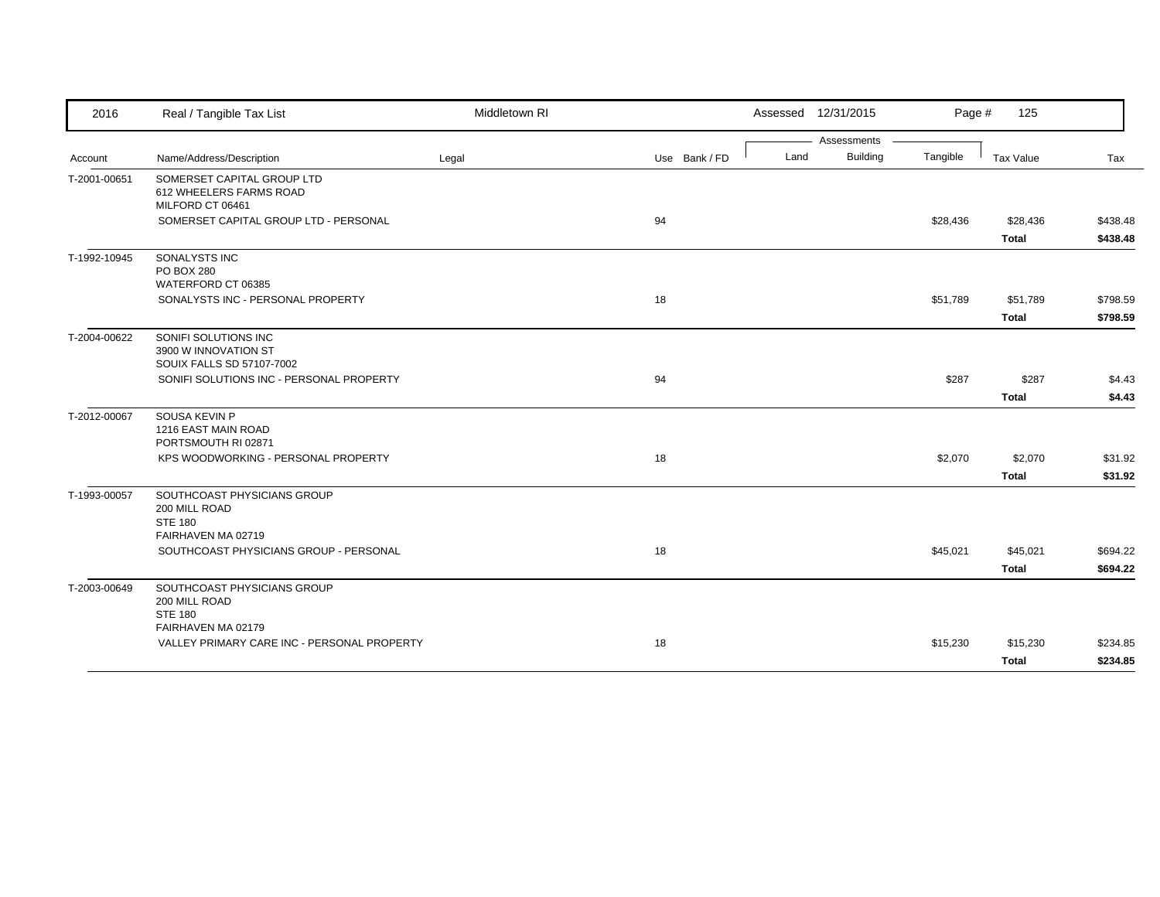| 2016         | Real / Tangible Tax List                                                             | Middletown RI |               | Assessed 12/31/2015 |                 | Page #   | 125          |          |
|--------------|--------------------------------------------------------------------------------------|---------------|---------------|---------------------|-----------------|----------|--------------|----------|
|              |                                                                                      |               |               |                     | Assessments     |          |              |          |
| Account      | Name/Address/Description                                                             | Legal         | Use Bank / FD | Land                | <b>Building</b> | Tangible | Tax Value    | Tax      |
| T-2001-00651 | SOMERSET CAPITAL GROUP LTD<br>612 WHEELERS FARMS ROAD<br>MILFORD CT 06461            |               |               |                     |                 |          |              |          |
|              | SOMERSET CAPITAL GROUP LTD - PERSONAL                                                |               | 94            |                     |                 | \$28,436 | \$28,436     | \$438.48 |
|              |                                                                                      |               |               |                     |                 |          | <b>Total</b> | \$438.48 |
| T-1992-10945 | SONALYSTS INC<br><b>PO BOX 280</b><br>WATERFORD CT 06385                             |               |               |                     |                 |          |              |          |
|              | SONALYSTS INC - PERSONAL PROPERTY                                                    |               | 18            |                     |                 | \$51,789 | \$51,789     | \$798.59 |
|              |                                                                                      |               |               |                     |                 |          | <b>Total</b> | \$798.59 |
| T-2004-00622 | SONIFI SOLUTIONS INC<br>3900 W INNOVATION ST<br>SOUIX FALLS SD 57107-7002            |               |               |                     |                 |          |              |          |
|              | SONIFI SOLUTIONS INC - PERSONAL PROPERTY                                             |               | 94            |                     |                 | \$287    | \$287        | \$4.43   |
|              |                                                                                      |               |               |                     |                 |          | <b>Total</b> | \$4.43   |
| T-2012-00067 | SOUSA KEVIN P<br>1216 EAST MAIN ROAD<br>PORTSMOUTH RI 02871                          |               |               |                     |                 |          |              |          |
|              | KPS WOODWORKING - PERSONAL PROPERTY                                                  |               | 18            |                     |                 | \$2,070  | \$2,070      | \$31.92  |
|              |                                                                                      |               |               |                     |                 |          | <b>Total</b> | \$31.92  |
| T-1993-00057 | SOUTHCOAST PHYSICIANS GROUP<br>200 MILL ROAD<br><b>STE 180</b><br>FAIRHAVEN MA 02719 |               |               |                     |                 |          |              |          |
|              | SOUTHCOAST PHYSICIANS GROUP - PERSONAL                                               |               | 18            |                     |                 | \$45,021 | \$45,021     | \$694.22 |
|              |                                                                                      |               |               |                     |                 |          | <b>Total</b> | \$694.22 |
| T-2003-00649 | SOUTHCOAST PHYSICIANS GROUP<br>200 MILL ROAD<br><b>STE 180</b><br>FAIRHAVEN MA 02179 |               |               |                     |                 |          |              |          |
|              | VALLEY PRIMARY CARE INC - PERSONAL PROPERTY                                          |               | 18            |                     |                 | \$15,230 | \$15,230     | \$234.85 |
|              |                                                                                      |               |               |                     |                 |          | <b>Total</b> | \$234.85 |
|              |                                                                                      |               |               |                     |                 |          |              |          |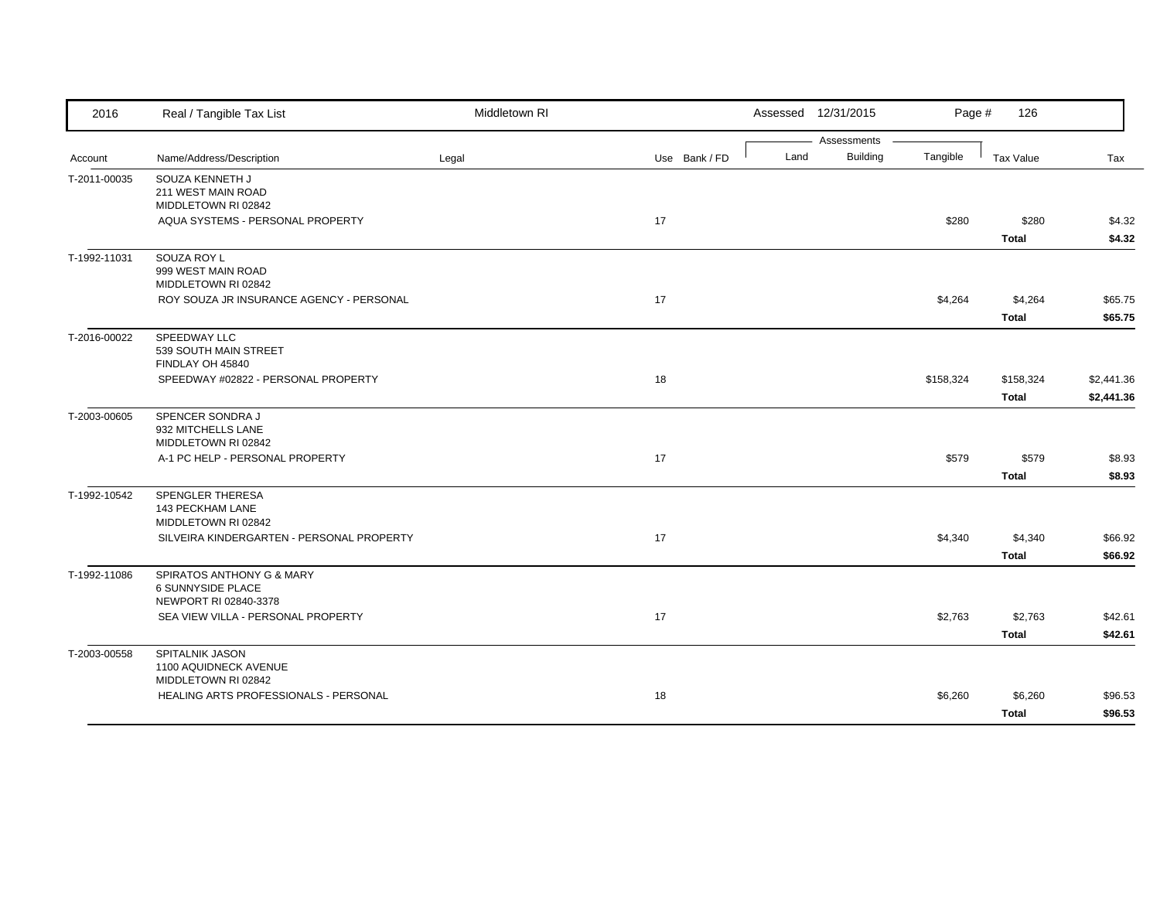| 2016         | Real / Tangible Tax List                                                       | Middletown RI |               |      | Assessed 12/31/2015            | Page #    | 126                       |                          |
|--------------|--------------------------------------------------------------------------------|---------------|---------------|------|--------------------------------|-----------|---------------------------|--------------------------|
| Account      | Name/Address/Description                                                       | Legal         | Use Bank / FD | Land | Assessments<br><b>Building</b> | Tangible  | <b>Tax Value</b>          | Tax                      |
| T-2011-00035 | SOUZA KENNETH J<br>211 WEST MAIN ROAD<br>MIDDLETOWN RI 02842                   |               |               |      |                                |           |                           |                          |
|              | AQUA SYSTEMS - PERSONAL PROPERTY                                               |               | 17            |      |                                | \$280     | \$280<br><b>Total</b>     | \$4.32<br>\$4.32         |
| T-1992-11031 | SOUZA ROY L<br>999 WEST MAIN ROAD<br>MIDDLETOWN RI 02842                       |               |               |      |                                |           |                           |                          |
|              | ROY SOUZA JR INSURANCE AGENCY - PERSONAL                                       |               | 17            |      |                                | \$4,264   | \$4,264<br><b>Total</b>   | \$65.75<br>\$65.75       |
| T-2016-00022 | SPEEDWAY LLC<br>539 SOUTH MAIN STREET<br>FINDLAY OH 45840                      |               |               |      |                                |           |                           |                          |
|              | SPEEDWAY #02822 - PERSONAL PROPERTY                                            |               | 18            |      |                                | \$158,324 | \$158,324<br><b>Total</b> | \$2,441.36<br>\$2,441.36 |
| T-2003-00605 | SPENCER SONDRA J<br>932 MITCHELLS LANE<br>MIDDLETOWN RI 02842                  |               |               |      |                                |           |                           |                          |
|              | A-1 PC HELP - PERSONAL PROPERTY                                                |               | 17            |      |                                | \$579     | \$579<br><b>Total</b>     | \$8.93<br>\$8.93         |
| T-1992-10542 | SPENGLER THERESA<br>143 PECKHAM LANE<br>MIDDLETOWN RI 02842                    |               |               |      |                                |           |                           |                          |
|              | SILVEIRA KINDERGARTEN - PERSONAL PROPERTY                                      |               | 17            |      |                                | \$4,340   | \$4,340<br><b>Total</b>   | \$66.92<br>\$66.92       |
| T-1992-11086 | SPIRATOS ANTHONY G & MARY<br><b>6 SUNNYSIDE PLACE</b><br>NEWPORT RI 02840-3378 |               |               |      |                                |           |                           |                          |
|              | SEA VIEW VILLA - PERSONAL PROPERTY                                             |               | 17            |      |                                | \$2,763   | \$2,763<br><b>Total</b>   | \$42.61<br>\$42.61       |
| T-2003-00558 | SPITALNIK JASON<br>1100 AQUIDNECK AVENUE<br>MIDDLETOWN RI 02842                |               |               |      |                                |           |                           |                          |
|              | HEALING ARTS PROFESSIONALS - PERSONAL                                          |               | 18            |      |                                | \$6,260   | \$6,260                   | \$96.53                  |
|              |                                                                                |               |               |      |                                |           | <b>Total</b>              | \$96.53                  |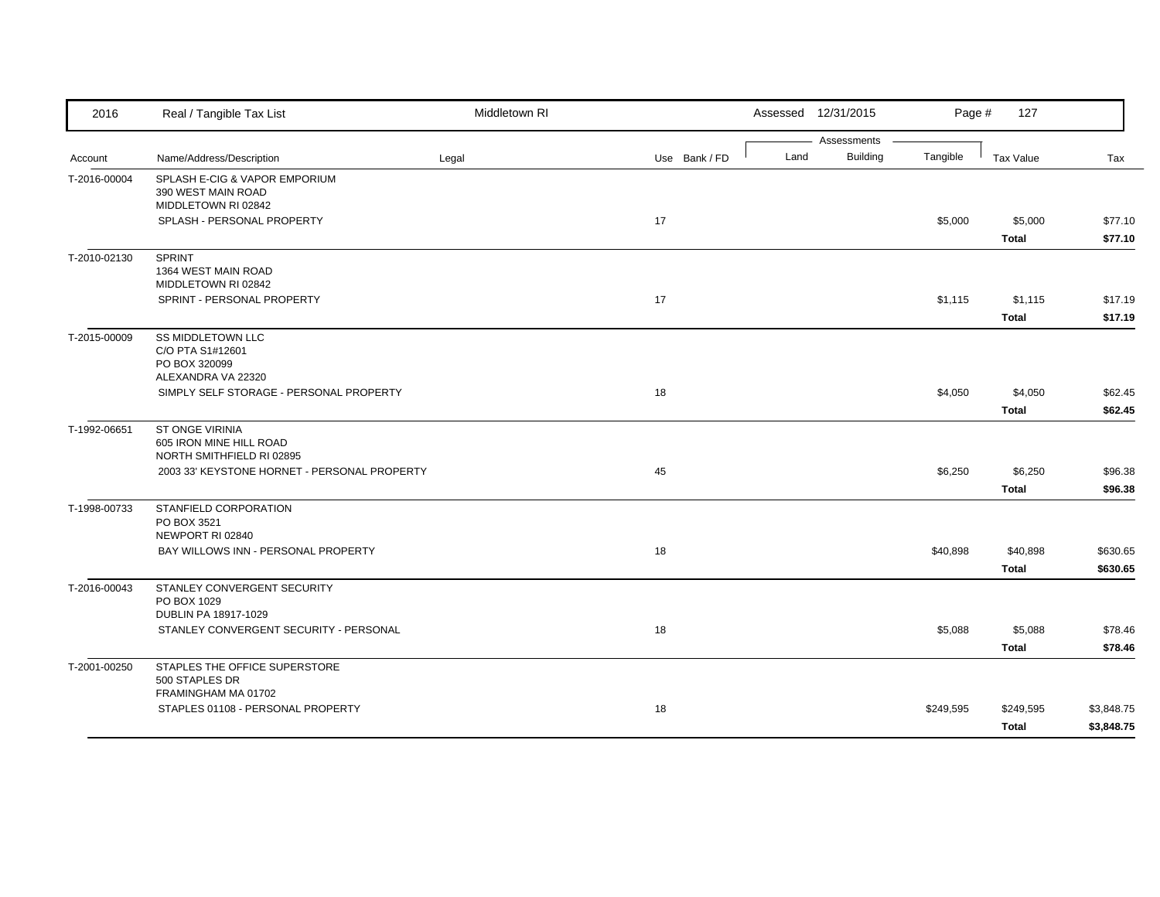| 2016         | Real / Tangible Tax List                                                            | Middletown RI |               | Assessed 12/31/2015                    | Page #    | 127                       |                          |
|--------------|-------------------------------------------------------------------------------------|---------------|---------------|----------------------------------------|-----------|---------------------------|--------------------------|
| Account      | Name/Address/Description                                                            | Legal         | Use Bank / FD | Assessments<br>Land<br><b>Building</b> | Tangible  | Tax Value                 | Tax                      |
| T-2016-00004 | SPLASH E-CIG & VAPOR EMPORIUM<br>390 WEST MAIN ROAD                                 |               |               |                                        |           |                           |                          |
|              | MIDDLETOWN RI 02842<br>SPLASH - PERSONAL PROPERTY                                   |               | 17            |                                        | \$5,000   | \$5,000<br><b>Total</b>   | \$77.10<br>\$77.10       |
| T-2010-02130 | <b>SPRINT</b><br>1364 WEST MAIN ROAD<br>MIDDLETOWN RI 02842                         |               |               |                                        |           |                           |                          |
|              | SPRINT - PERSONAL PROPERTY                                                          |               | 17            |                                        | \$1,115   | \$1,115<br><b>Total</b>   | \$17.19<br>\$17.19       |
| T-2015-00009 | <b>SS MIDDLETOWN LLC</b><br>C/O PTA S1#12601<br>PO BOX 320099<br>ALEXANDRA VA 22320 |               |               |                                        |           |                           |                          |
|              | SIMPLY SELF STORAGE - PERSONAL PROPERTY                                             |               | 18            |                                        | \$4,050   | \$4,050<br><b>Total</b>   | \$62.45<br>\$62.45       |
| T-1992-06651 | <b>ST ONGE VIRINIA</b><br>605 IRON MINE HILL ROAD<br>NORTH SMITHFIELD RI 02895      |               |               |                                        |           |                           |                          |
|              | 2003 33' KEYSTONE HORNET - PERSONAL PROPERTY                                        |               | 45            |                                        | \$6,250   | \$6,250<br><b>Total</b>   | \$96.38<br>\$96.38       |
| T-1998-00733 | STANFIELD CORPORATION<br>PO BOX 3521<br>NEWPORT RI 02840                            |               |               |                                        |           |                           |                          |
|              | BAY WILLOWS INN - PERSONAL PROPERTY                                                 |               | 18            |                                        | \$40,898  | \$40,898<br><b>Total</b>  | \$630.65<br>\$630.65     |
| T-2016-00043 | STANLEY CONVERGENT SECURITY<br>PO BOX 1029<br>DUBLIN PA 18917-1029                  |               |               |                                        |           |                           |                          |
|              | STANLEY CONVERGENT SECURITY - PERSONAL                                              |               | 18            |                                        | \$5,088   | \$5,088<br><b>Total</b>   | \$78.46<br>\$78.46       |
| T-2001-00250 | STAPLES THE OFFICE SUPERSTORE<br>500 STAPLES DR<br>FRAMINGHAM MA 01702              |               |               |                                        |           |                           |                          |
|              | STAPLES 01108 - PERSONAL PROPERTY                                                   |               | 18            |                                        | \$249,595 | \$249,595<br><b>Total</b> | \$3,848.75<br>\$3,848.75 |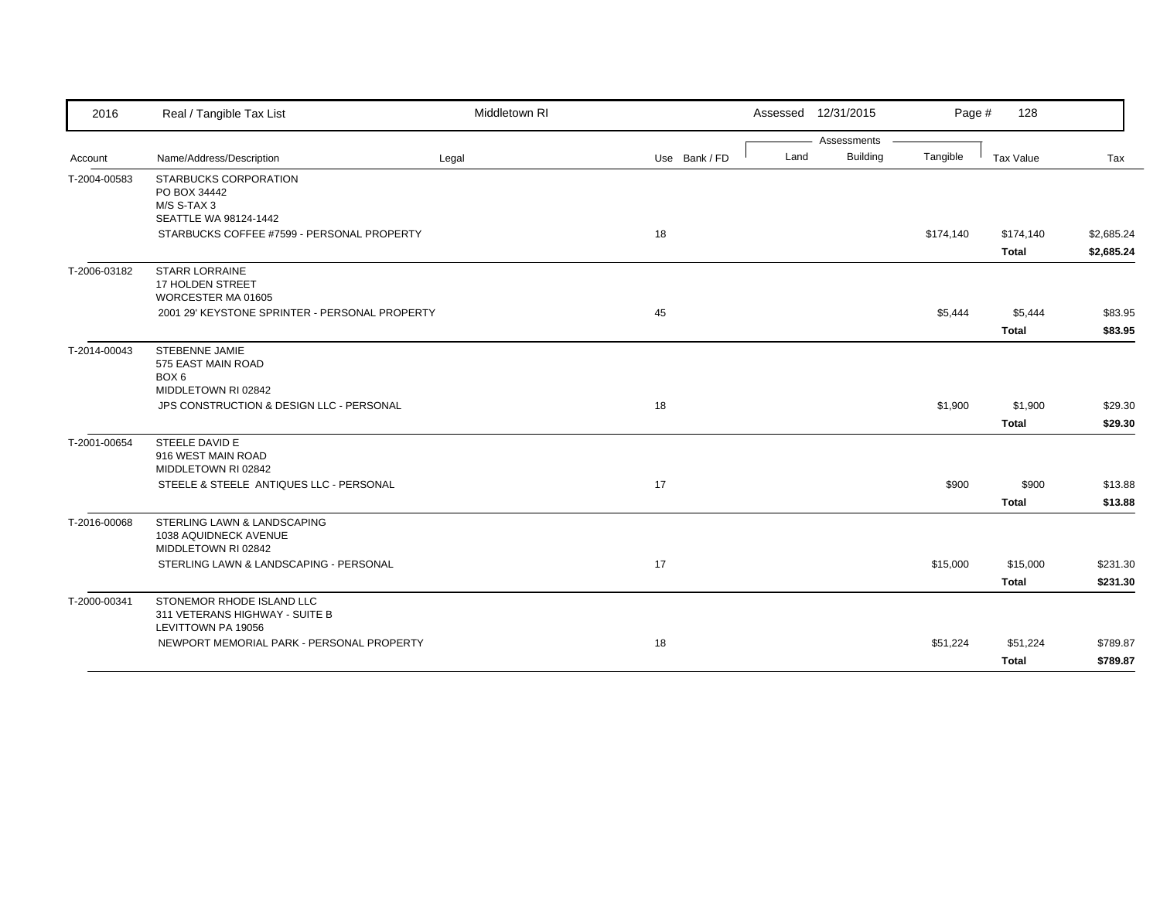| 2016         | Real / Tangible Tax List                                                          | Middletown RI |               |      | Assessed 12/31/2015            | Page #    | 128                       |                          |
|--------------|-----------------------------------------------------------------------------------|---------------|---------------|------|--------------------------------|-----------|---------------------------|--------------------------|
| Account      | Name/Address/Description                                                          | Legal         | Use Bank / FD | Land | Assessments<br><b>Building</b> | Tangible  | Tax Value                 | Tax                      |
| T-2004-00583 | STARBUCKS CORPORATION<br>PO BOX 34442<br>M/S S-TAX 3<br>SEATTLE WA 98124-1442     |               |               |      |                                |           |                           |                          |
|              | STARBUCKS COFFEE #7599 - PERSONAL PROPERTY                                        |               | 18            |      |                                | \$174,140 | \$174,140<br><b>Total</b> | \$2,685.24<br>\$2,685.24 |
| T-2006-03182 | <b>STARR LORRAINE</b><br>17 HOLDEN STREET<br>WORCESTER MA 01605                   |               |               |      |                                |           |                           |                          |
|              | 2001 29' KEYSTONE SPRINTER - PERSONAL PROPERTY                                    |               | 45            |      |                                | \$5,444   | \$5,444<br><b>Total</b>   | \$83.95<br>\$83.95       |
| T-2014-00043 | STEBENNE JAMIE<br>575 EAST MAIN ROAD<br>BOX <sub>6</sub><br>MIDDLETOWN RI 02842   |               |               |      |                                |           |                           |                          |
|              | JPS CONSTRUCTION & DESIGN LLC - PERSONAL                                          |               | 18            |      |                                | \$1,900   | \$1,900<br><b>Total</b>   | \$29.30<br>\$29.30       |
| T-2001-00654 | STEELE DAVID E<br>916 WEST MAIN ROAD<br>MIDDLETOWN RI 02842                       |               |               |      |                                |           |                           |                          |
|              | STEELE & STEELE ANTIQUES LLC - PERSONAL                                           |               | 17            |      |                                | \$900     | \$900<br><b>Total</b>     | \$13.88<br>\$13.88       |
| T-2016-00068 | STERLING LAWN & LANDSCAPING<br>1038 AQUIDNECK AVENUE<br>MIDDLETOWN RI 02842       |               |               |      |                                |           |                           |                          |
|              | STERLING LAWN & LANDSCAPING - PERSONAL                                            |               | 17            |      |                                | \$15,000  | \$15,000<br><b>Total</b>  | \$231.30<br>\$231.30     |
| T-2000-00341 | STONEMOR RHODE ISLAND LLC<br>311 VETERANS HIGHWAY - SUITE B<br>LEVITTOWN PA 19056 |               |               |      |                                |           |                           |                          |
|              | NEWPORT MEMORIAL PARK - PERSONAL PROPERTY                                         |               | 18            |      |                                | \$51,224  | \$51,224<br><b>Total</b>  | \$789.87<br>\$789.87     |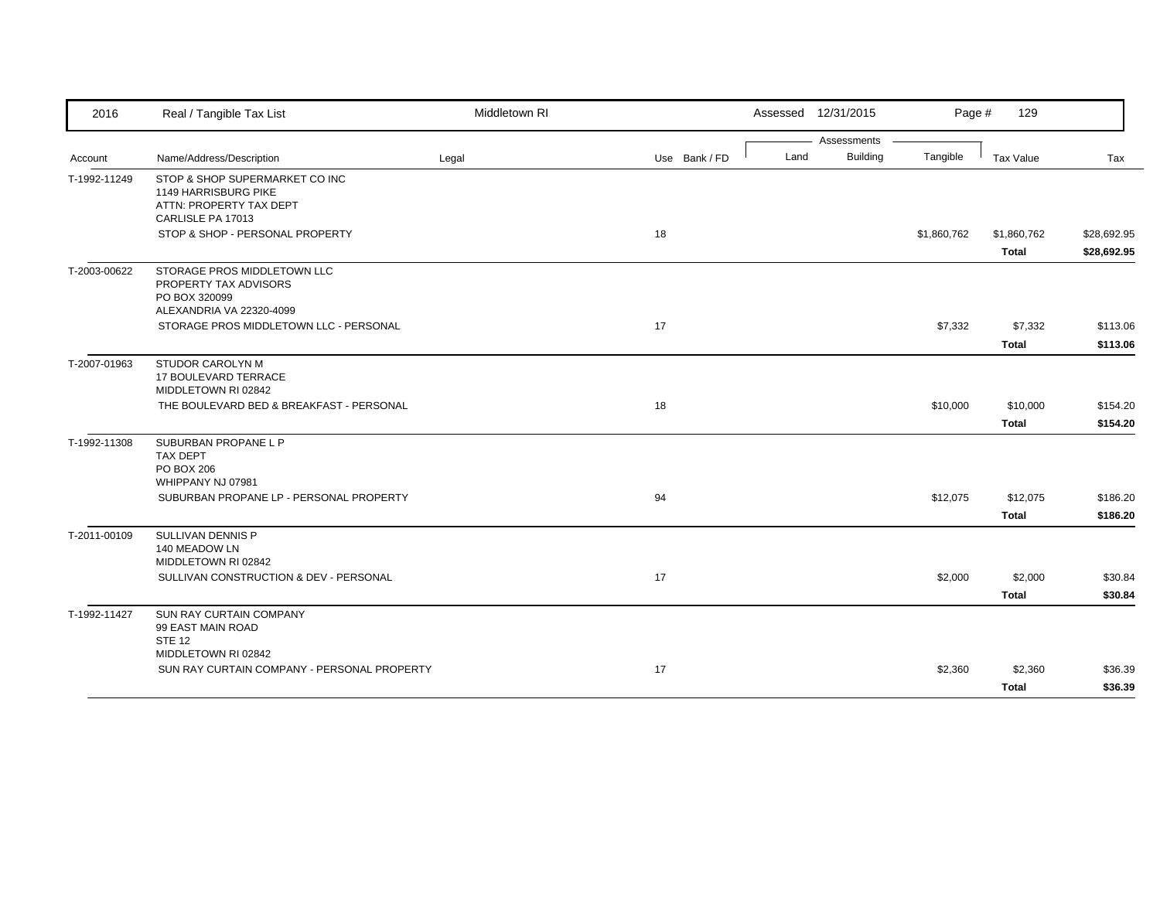| 2016         | Real / Tangible Tax List                                                                               | Middletown RI |               |      | Assessed 12/31/2015 | Page #      | 129                         |                            |
|--------------|--------------------------------------------------------------------------------------------------------|---------------|---------------|------|---------------------|-------------|-----------------------------|----------------------------|
|              |                                                                                                        |               |               |      | Assessments         |             |                             |                            |
| Account      | Name/Address/Description                                                                               | Legal         | Use Bank / FD | Land | <b>Building</b>     | Tangible    | Tax Value                   | Tax                        |
| T-1992-11249 | STOP & SHOP SUPERMARKET CO INC<br>1149 HARRISBURG PIKE<br>ATTN: PROPERTY TAX DEPT<br>CARLISLE PA 17013 |               |               |      |                     |             |                             |                            |
|              | STOP & SHOP - PERSONAL PROPERTY                                                                        |               | 18            |      |                     | \$1,860,762 | \$1,860,762<br><b>Total</b> | \$28,692.95<br>\$28,692.95 |
| T-2003-00622 | STORAGE PROS MIDDLETOWN LLC<br>PROPERTY TAX ADVISORS<br>PO BOX 320099<br>ALEXANDRIA VA 22320-4099      |               |               |      |                     |             |                             |                            |
|              | STORAGE PROS MIDDLETOWN LLC - PERSONAL                                                                 |               | 17            |      |                     | \$7,332     | \$7,332<br><b>Total</b>     | \$113.06<br>\$113.06       |
| T-2007-01963 | STUDOR CAROLYN M<br>17 BOULEVARD TERRACE<br>MIDDLETOWN RI 02842                                        |               |               |      |                     |             |                             |                            |
|              | THE BOULEVARD BED & BREAKFAST - PERSONAL                                                               |               | 18            |      |                     | \$10,000    | \$10,000<br><b>Total</b>    | \$154.20<br>\$154.20       |
| T-1992-11308 | SUBURBAN PROPANE L P<br>TAX DEPT<br>PO BOX 206                                                         |               |               |      |                     |             |                             |                            |
|              | WHIPPANY NJ 07981<br>SUBURBAN PROPANE LP - PERSONAL PROPERTY                                           |               | 94            |      |                     | \$12,075    | \$12,075<br><b>Total</b>    | \$186.20<br>\$186.20       |
| T-2011-00109 | SULLIVAN DENNIS P<br>140 MEADOW LN<br>MIDDLETOWN RI 02842                                              |               |               |      |                     |             |                             |                            |
|              | SULLIVAN CONSTRUCTION & DEV - PERSONAL                                                                 |               | 17            |      |                     | \$2,000     | \$2,000<br><b>Total</b>     | \$30.84<br>\$30.84         |
| T-1992-11427 | SUN RAY CURTAIN COMPANY<br>99 EAST MAIN ROAD<br><b>STE 12</b>                                          |               |               |      |                     |             |                             |                            |
|              | MIDDLETOWN RI 02842<br>SUN RAY CURTAIN COMPANY - PERSONAL PROPERTY                                     |               | 17            |      |                     | \$2,360     | \$2,360<br><b>Total</b>     | \$36.39<br>\$36.39         |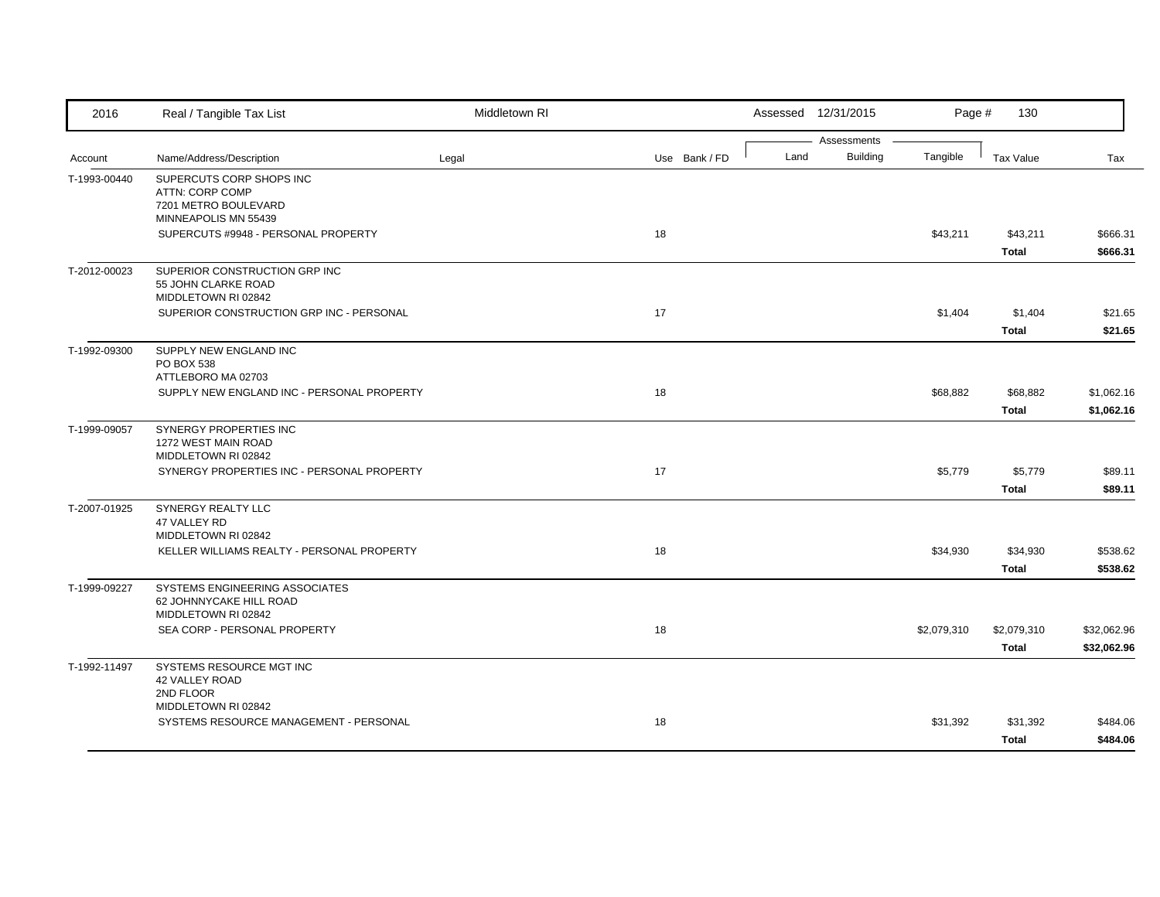| 2016         | Real / Tangible Tax List                                                                    | Middletown RI |               |      | Assessed 12/31/2015            | Page #      | 130                         |                            |
|--------------|---------------------------------------------------------------------------------------------|---------------|---------------|------|--------------------------------|-------------|-----------------------------|----------------------------|
| Account      | Name/Address/Description                                                                    | Legal         | Use Bank / FD | Land | Assessments<br><b>Building</b> | Tangible    | <b>Tax Value</b>            | Tax                        |
| T-1993-00440 | SUPERCUTS CORP SHOPS INC<br>ATTN: CORP COMP<br>7201 METRO BOULEVARD<br>MINNEAPOLIS MN 55439 |               |               |      |                                |             |                             |                            |
|              | SUPERCUTS #9948 - PERSONAL PROPERTY                                                         |               | 18            |      |                                | \$43,211    | \$43,211<br><b>Total</b>    | \$666.31<br>\$666.31       |
| T-2012-00023 | SUPERIOR CONSTRUCTION GRP INC<br>55 JOHN CLARKE ROAD<br>MIDDLETOWN RI 02842                 |               |               |      |                                |             |                             |                            |
|              | SUPERIOR CONSTRUCTION GRP INC - PERSONAL                                                    |               | 17            |      |                                | \$1,404     | \$1,404<br><b>Total</b>     | \$21.65<br>\$21.65         |
| T-1992-09300 | SUPPLY NEW ENGLAND INC<br>PO BOX 538<br>ATTLEBORO MA 02703                                  |               |               |      |                                |             |                             |                            |
|              | SUPPLY NEW ENGLAND INC - PERSONAL PROPERTY                                                  |               | 18            |      |                                | \$68,882    | \$68,882<br><b>Total</b>    | \$1,062.16<br>\$1,062.16   |
| T-1999-09057 | SYNERGY PROPERTIES INC<br>1272 WEST MAIN ROAD<br>MIDDLETOWN RI 02842                        |               |               |      |                                |             |                             |                            |
|              | SYNERGY PROPERTIES INC - PERSONAL PROPERTY                                                  |               | 17            |      |                                | \$5,779     | \$5,779<br><b>Total</b>     | \$89.11<br>\$89.11         |
| T-2007-01925 | SYNERGY REALTY LLC<br>47 VALLEY RD<br>MIDDLETOWN RI 02842                                   |               |               |      |                                |             |                             |                            |
|              | KELLER WILLIAMS REALTY - PERSONAL PROPERTY                                                  |               | 18            |      |                                | \$34,930    | \$34,930<br><b>Total</b>    | \$538.62<br>\$538.62       |
| T-1999-09227 | SYSTEMS ENGINEERING ASSOCIATES<br>62 JOHNNYCAKE HILL ROAD<br>MIDDLETOWN RI 02842            |               |               |      |                                |             |                             |                            |
|              | SEA CORP - PERSONAL PROPERTY                                                                |               | 18            |      |                                | \$2,079,310 | \$2,079,310<br><b>Total</b> | \$32,062.96<br>\$32,062.96 |
| T-1992-11497 | SYSTEMS RESOURCE MGT INC<br>42 VALLEY ROAD<br>2ND FLOOR                                     |               |               |      |                                |             |                             |                            |
|              | MIDDLETOWN RI 02842<br>SYSTEMS RESOURCE MANAGEMENT - PERSONAL                               |               | 18            |      |                                | \$31,392    | \$31,392<br><b>Total</b>    | \$484.06<br>\$484.06       |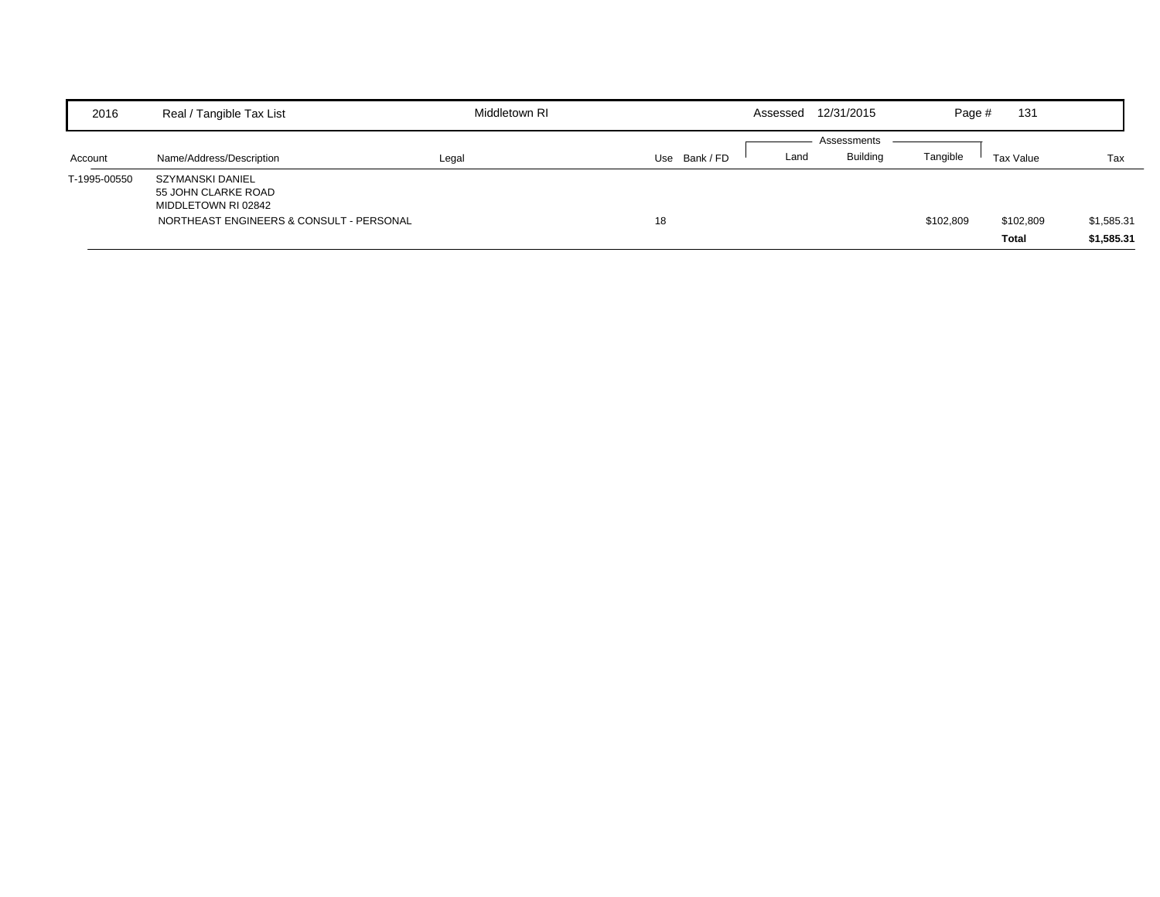| 2016         | Real / Tangible Tax List                                                                                   | Middletown RI |               | Assessed | 12/31/2015                     | Page #    | 131                       |                          |
|--------------|------------------------------------------------------------------------------------------------------------|---------------|---------------|----------|--------------------------------|-----------|---------------------------|--------------------------|
| Account      | Name/Address/Description                                                                                   | Legal         | Use Bank / FD | Land     | Assessments<br><b>Building</b> | Tangible  | Tax Value                 | Tax                      |
| T-1995-00550 | SZYMANSKI DANIEL<br>55 JOHN CLARKE ROAD<br>MIDDLETOWN RI 02842<br>NORTHEAST ENGINEERS & CONSULT - PERSONAL |               | 18            |          |                                | \$102,809 | \$102,809<br><b>Total</b> | \$1,585.31<br>\$1,585.31 |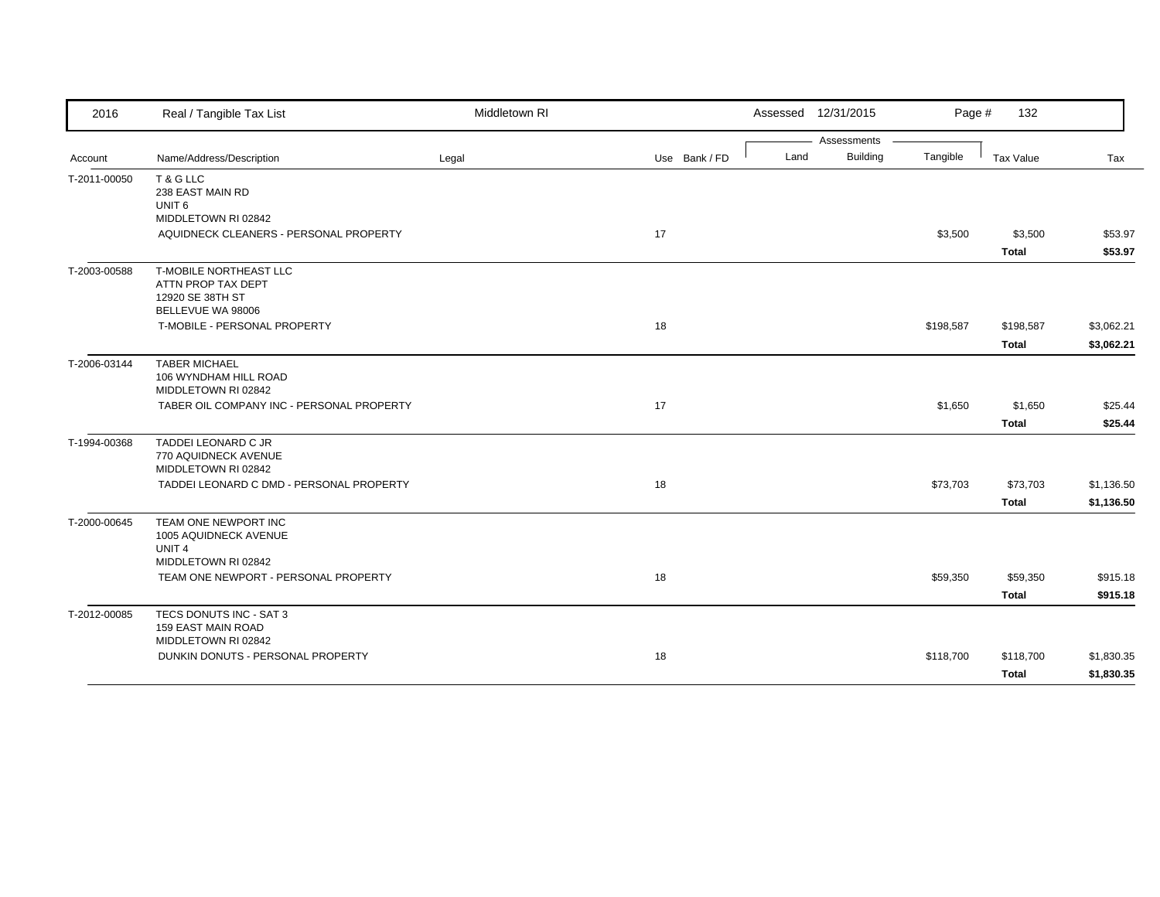| 2016         | Real / Tangible Tax List                                                                     | Middletown RI |               |      | Assessed 12/31/2015 | Page #    | 132          |            |
|--------------|----------------------------------------------------------------------------------------------|---------------|---------------|------|---------------------|-----------|--------------|------------|
|              |                                                                                              |               |               |      | Assessments         |           |              |            |
| Account      | Name/Address/Description                                                                     | Legal         | Use Bank / FD | Land | <b>Building</b>     | Tangible  | Tax Value    | Tax        |
| T-2011-00050 | T & G LLC<br>238 EAST MAIN RD<br>UNIT <sub>6</sub>                                           |               |               |      |                     |           |              |            |
|              | MIDDLETOWN RI 02842                                                                          |               |               |      |                     |           |              |            |
|              | AQUIDNECK CLEANERS - PERSONAL PROPERTY                                                       |               | 17            |      |                     | \$3,500   | \$3,500      | \$53.97    |
|              |                                                                                              |               |               |      |                     |           | <b>Total</b> | \$53.97    |
| T-2003-00588 | <b>T-MOBILE NORTHEAST LLC</b><br>ATTN PROP TAX DEPT<br>12920 SE 38TH ST<br>BELLEVUE WA 98006 |               |               |      |                     |           |              |            |
|              | T-MOBILE - PERSONAL PROPERTY                                                                 |               | 18            |      |                     | \$198,587 | \$198,587    | \$3,062.21 |
|              |                                                                                              |               |               |      |                     |           | <b>Total</b> | \$3,062.21 |
| T-2006-03144 | <b>TABER MICHAEL</b><br>106 WYNDHAM HILL ROAD<br>MIDDLETOWN RI 02842                         |               |               |      |                     |           |              |            |
|              | TABER OIL COMPANY INC - PERSONAL PROPERTY                                                    |               | 17            |      |                     | \$1,650   | \$1,650      | \$25.44    |
|              |                                                                                              |               |               |      |                     |           | <b>Total</b> | \$25.44    |
| T-1994-00368 | TADDEI LEONARD C JR<br>770 AQUIDNECK AVENUE<br>MIDDLETOWN RI 02842                           |               |               |      |                     |           |              |            |
|              | TADDEI LEONARD C DMD - PERSONAL PROPERTY                                                     |               | 18            |      |                     | \$73,703  | \$73,703     | \$1,136.50 |
|              |                                                                                              |               |               |      |                     |           | <b>Total</b> | \$1,136.50 |
| T-2000-00645 | TEAM ONE NEWPORT INC<br>1005 AQUIDNECK AVENUE<br>UNIT <sub>4</sub><br>MIDDLETOWN RI 02842    |               |               |      |                     |           |              |            |
|              | TEAM ONE NEWPORT - PERSONAL PROPERTY                                                         |               | 18            |      |                     | \$59,350  | \$59,350     | \$915.18   |
|              |                                                                                              |               |               |      |                     |           | <b>Total</b> | \$915.18   |
|              | TECS DONUTS INC - SAT 3                                                                      |               |               |      |                     |           |              |            |
| T-2012-00085 | 159 EAST MAIN ROAD<br>MIDDLETOWN RI 02842                                                    |               |               |      |                     |           |              |            |
|              | DUNKIN DONUTS - PERSONAL PROPERTY                                                            |               | 18            |      |                     | \$118,700 | \$118,700    | \$1,830.35 |
|              |                                                                                              |               |               |      |                     |           | <b>Total</b> | \$1,830.35 |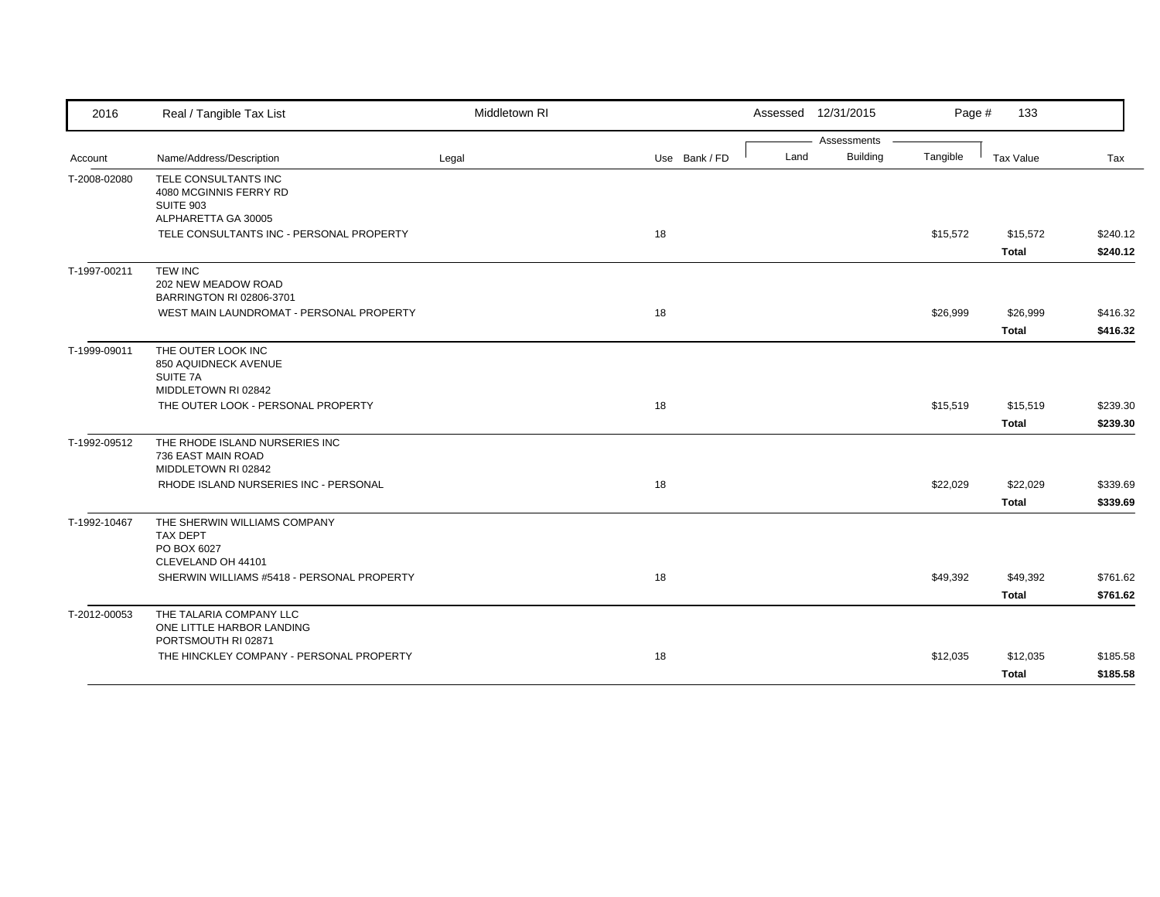| 2016         | Real / Tangible Tax List                                                             | Middletown RI |               | Assessed 12/31/2015 |                 | Page #   | 133          |          |
|--------------|--------------------------------------------------------------------------------------|---------------|---------------|---------------------|-----------------|----------|--------------|----------|
|              |                                                                                      |               |               |                     | Assessments     |          |              |          |
| Account      | Name/Address/Description                                                             | Legal         | Use Bank / FD | Land                | <b>Building</b> | Tangible | Tax Value    | Tax      |
| T-2008-02080 | TELE CONSULTANTS INC<br>4080 MCGINNIS FERRY RD<br>SUITE 903                          |               |               |                     |                 |          |              |          |
|              | ALPHARETTA GA 30005                                                                  |               |               |                     |                 |          |              |          |
|              | TELE CONSULTANTS INC - PERSONAL PROPERTY                                             |               | 18            |                     |                 | \$15,572 | \$15,572     | \$240.12 |
|              |                                                                                      |               |               |                     |                 |          | <b>Total</b> | \$240.12 |
| T-1997-00211 | <b>TEW INC</b><br>202 NEW MEADOW ROAD<br>BARRINGTON RI 02806-3701                    |               |               |                     |                 |          |              |          |
|              | WEST MAIN LAUNDROMAT - PERSONAL PROPERTY                                             |               | 18            |                     |                 | \$26,999 | \$26,999     | \$416.32 |
|              |                                                                                      |               |               |                     |                 |          | <b>Total</b> | \$416.32 |
| T-1999-09011 | THE OUTER LOOK INC<br>850 AQUIDNECK AVENUE<br>SUITE 7A<br>MIDDLETOWN RI 02842        |               |               |                     |                 |          |              |          |
|              | THE OUTER LOOK - PERSONAL PROPERTY                                                   |               | 18            |                     |                 | \$15,519 | \$15,519     | \$239.30 |
|              |                                                                                      |               |               |                     |                 |          | <b>Total</b> | \$239.30 |
| T-1992-09512 | THE RHODE ISLAND NURSERIES INC<br>736 EAST MAIN ROAD<br>MIDDLETOWN RI 02842          |               |               |                     |                 |          |              |          |
|              | RHODE ISLAND NURSERIES INC - PERSONAL                                                |               | 18            |                     |                 | \$22,029 | \$22,029     | \$339.69 |
|              |                                                                                      |               |               |                     |                 |          | <b>Total</b> | \$339.69 |
| T-1992-10467 | THE SHERWIN WILLIAMS COMPANY<br><b>TAX DEPT</b><br>PO BOX 6027<br>CLEVELAND OH 44101 |               |               |                     |                 |          |              |          |
|              | SHERWIN WILLIAMS #5418 - PERSONAL PROPERTY                                           |               | 18            |                     |                 | \$49,392 | \$49,392     | \$761.62 |
|              |                                                                                      |               |               |                     |                 |          | <b>Total</b> | \$761.62 |
| T-2012-00053 | THE TALARIA COMPANY LLC                                                              |               |               |                     |                 |          |              |          |
|              | ONE LITTLE HARBOR LANDING<br>PORTSMOUTH RI 02871                                     |               |               |                     |                 |          |              |          |
|              | THE HINCKLEY COMPANY - PERSONAL PROPERTY                                             |               | 18            |                     |                 | \$12,035 | \$12,035     | \$185.58 |
|              |                                                                                      |               |               |                     |                 |          | <b>Total</b> | \$185.58 |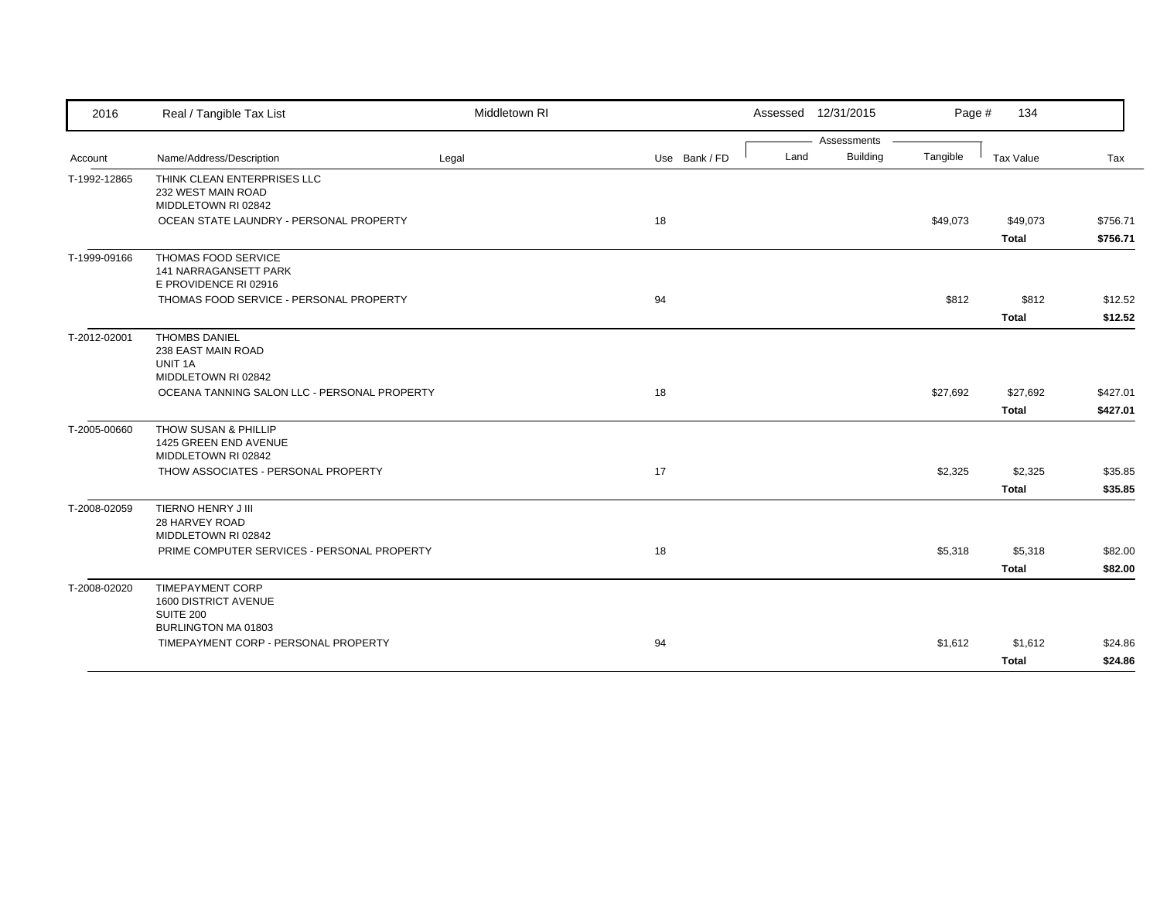| 2016         | Real / Tangible Tax List                                                     | Middletown RI |               |      | Assessed 12/31/2015 | Page #   | 134                      |                      |
|--------------|------------------------------------------------------------------------------|---------------|---------------|------|---------------------|----------|--------------------------|----------------------|
|              |                                                                              |               |               |      | Assessments         |          |                          |                      |
| Account      | Name/Address/Description                                                     | Legal         | Use Bank / FD | Land | <b>Building</b>     | Tangible | Tax Value                | Tax                  |
| T-1992-12865 | THINK CLEAN ENTERPRISES LLC<br>232 WEST MAIN ROAD<br>MIDDLETOWN RI 02842     |               |               |      |                     |          |                          |                      |
|              | OCEAN STATE LAUNDRY - PERSONAL PROPERTY                                      |               | 18            |      |                     | \$49,073 | \$49,073<br><b>Total</b> | \$756.71<br>\$756.71 |
| T-1999-09166 | THOMAS FOOD SERVICE<br>141 NARRAGANSETT PARK<br>E PROVIDENCE RI 02916        |               |               |      |                     |          |                          |                      |
|              | THOMAS FOOD SERVICE - PERSONAL PROPERTY                                      |               | 94            |      |                     | \$812    | \$812<br><b>Total</b>    | \$12.52<br>\$12.52   |
| T-2012-02001 | <b>THOMBS DANIEL</b><br>238 EAST MAIN ROAD<br>UNIT 1A<br>MIDDLETOWN RI 02842 |               |               |      |                     |          |                          |                      |
|              | OCEANA TANNING SALON LLC - PERSONAL PROPERTY                                 |               | 18            |      |                     | \$27,692 | \$27,692<br><b>Total</b> | \$427.01<br>\$427.01 |
| T-2005-00660 | THOW SUSAN & PHILLIP<br>1425 GREEN END AVENUE<br>MIDDLETOWN RI 02842         |               |               |      |                     |          |                          |                      |
|              | THOW ASSOCIATES - PERSONAL PROPERTY                                          |               | 17            |      |                     | \$2,325  | \$2,325<br><b>Total</b>  | \$35.85<br>\$35.85   |
| T-2008-02059 | TIERNO HENRY J III<br>28 HARVEY ROAD<br>MIDDLETOWN RI 02842                  |               |               |      |                     |          |                          |                      |
|              | PRIME COMPUTER SERVICES - PERSONAL PROPERTY                                  |               | 18            |      |                     | \$5,318  | \$5,318<br><b>Total</b>  | \$82.00<br>\$82.00   |
| T-2008-02020 | <b>TIMEPAYMENT CORP</b><br>1600 DISTRICT AVENUE<br><b>SUITE 200</b>          |               |               |      |                     |          |                          |                      |
|              | BURLINGTON MA 01803<br>TIMEPAYMENT CORP - PERSONAL PROPERTY                  |               | 94            |      |                     | \$1,612  | \$1,612<br><b>Total</b>  | \$24.86<br>\$24.86   |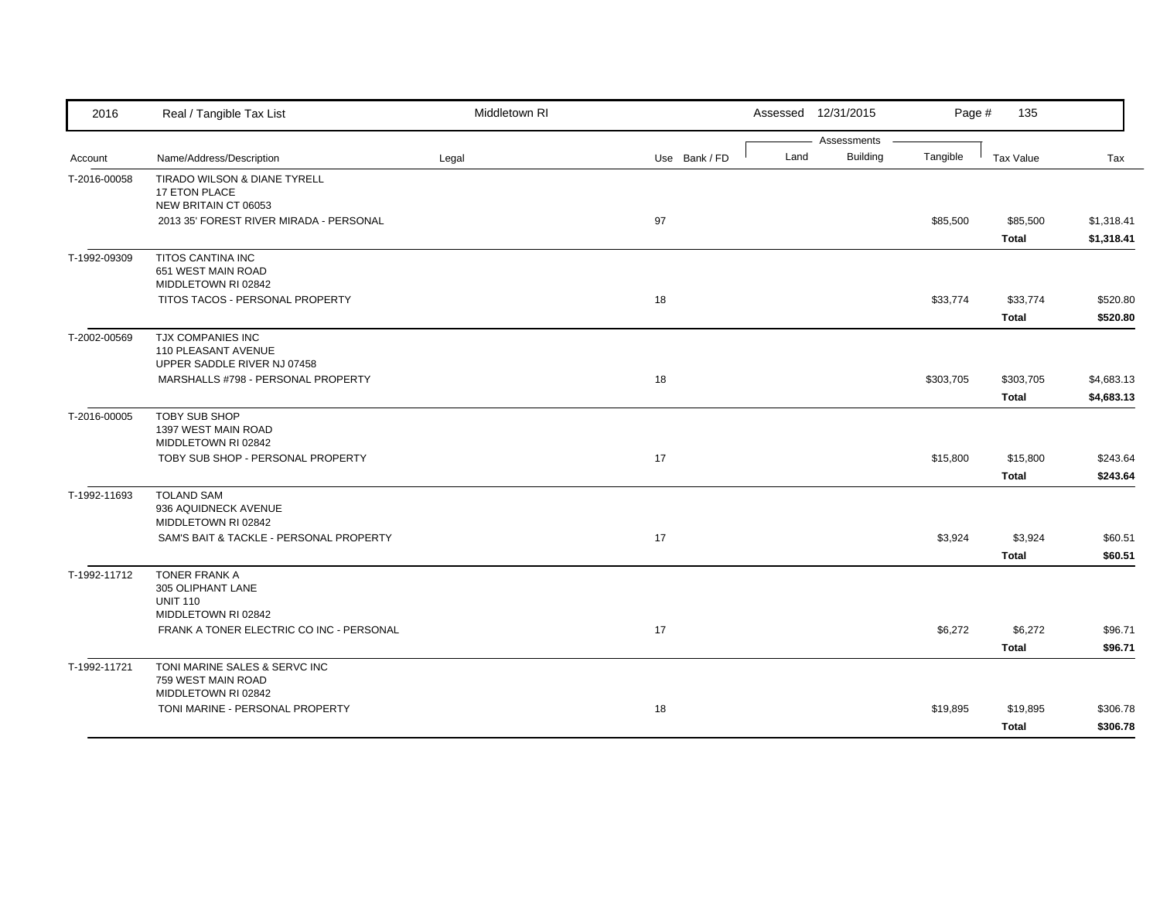| 2016         | Real / Tangible Tax List                                                   | Middletown RI |               |      | Assessed 12/31/2015            | Page #    | 135              |            |
|--------------|----------------------------------------------------------------------------|---------------|---------------|------|--------------------------------|-----------|------------------|------------|
| Account      | Name/Address/Description                                                   | Legal         | Use Bank / FD | Land | Assessments<br><b>Building</b> | Tangible  | <b>Tax Value</b> | Tax        |
| T-2016-00058 | TIRADO WILSON & DIANE TYRELL<br>17 ETON PLACE                              |               |               |      |                                |           |                  |            |
|              | NEW BRITAIN CT 06053                                                       |               |               |      |                                |           |                  |            |
|              | 2013 35' FOREST RIVER MIRADA - PERSONAL                                    |               | 97            |      |                                | \$85,500  | \$85,500         | \$1,318.41 |
|              |                                                                            |               |               |      |                                |           | <b>Total</b>     | \$1,318.41 |
| T-1992-09309 | TITOS CANTINA INC<br>651 WEST MAIN ROAD<br>MIDDLETOWN RI 02842             |               |               |      |                                |           |                  |            |
|              | TITOS TACOS - PERSONAL PROPERTY                                            |               | 18            |      |                                | \$33,774  | \$33,774         | \$520.80   |
|              |                                                                            |               |               |      |                                |           | <b>Total</b>     | \$520.80   |
| T-2002-00569 | TJX COMPANIES INC<br>110 PLEASANT AVENUE<br>UPPER SADDLE RIVER NJ 07458    |               |               |      |                                |           |                  |            |
|              | MARSHALLS #798 - PERSONAL PROPERTY                                         |               | 18            |      |                                | \$303,705 | \$303,705        | \$4,683.13 |
|              |                                                                            |               |               |      |                                |           | <b>Total</b>     | \$4,683.13 |
| T-2016-00005 | <b>TOBY SUB SHOP</b><br>1397 WEST MAIN ROAD<br>MIDDLETOWN RI 02842         |               |               |      |                                |           |                  |            |
|              | TOBY SUB SHOP - PERSONAL PROPERTY                                          |               | 17            |      |                                | \$15,800  | \$15,800         | \$243.64   |
|              |                                                                            |               |               |      |                                |           | <b>Total</b>     | \$243.64   |
| T-1992-11693 | <b>TOLAND SAM</b><br>936 AQUIDNECK AVENUE<br>MIDDLETOWN RI 02842           |               |               |      |                                |           |                  |            |
|              | SAM'S BAIT & TACKLE - PERSONAL PROPERTY                                    |               | 17            |      |                                | \$3,924   | \$3,924          | \$60.51    |
|              |                                                                            |               |               |      |                                |           | <b>Total</b>     | \$60.51    |
| T-1992-11712 | <b>TONER FRANK A</b><br>305 OLIPHANT LANE<br><b>UNIT 110</b>               |               |               |      |                                |           |                  |            |
|              | MIDDLETOWN RI 02842                                                        |               |               |      |                                |           |                  |            |
|              | FRANK A TONER ELECTRIC CO INC - PERSONAL                                   |               | 17            |      |                                | \$6,272   | \$6,272          | \$96.71    |
|              |                                                                            |               |               |      |                                |           | <b>Total</b>     | \$96.71    |
| T-1992-11721 | TONI MARINE SALES & SERVC INC<br>759 WEST MAIN ROAD<br>MIDDLETOWN RI 02842 |               |               |      |                                |           |                  |            |
|              | TONI MARINE - PERSONAL PROPERTY                                            |               | 18            |      |                                | \$19,895  | \$19,895         | \$306.78   |
|              |                                                                            |               |               |      |                                |           | <b>Total</b>     | \$306.78   |
|              |                                                                            |               |               |      |                                |           |                  |            |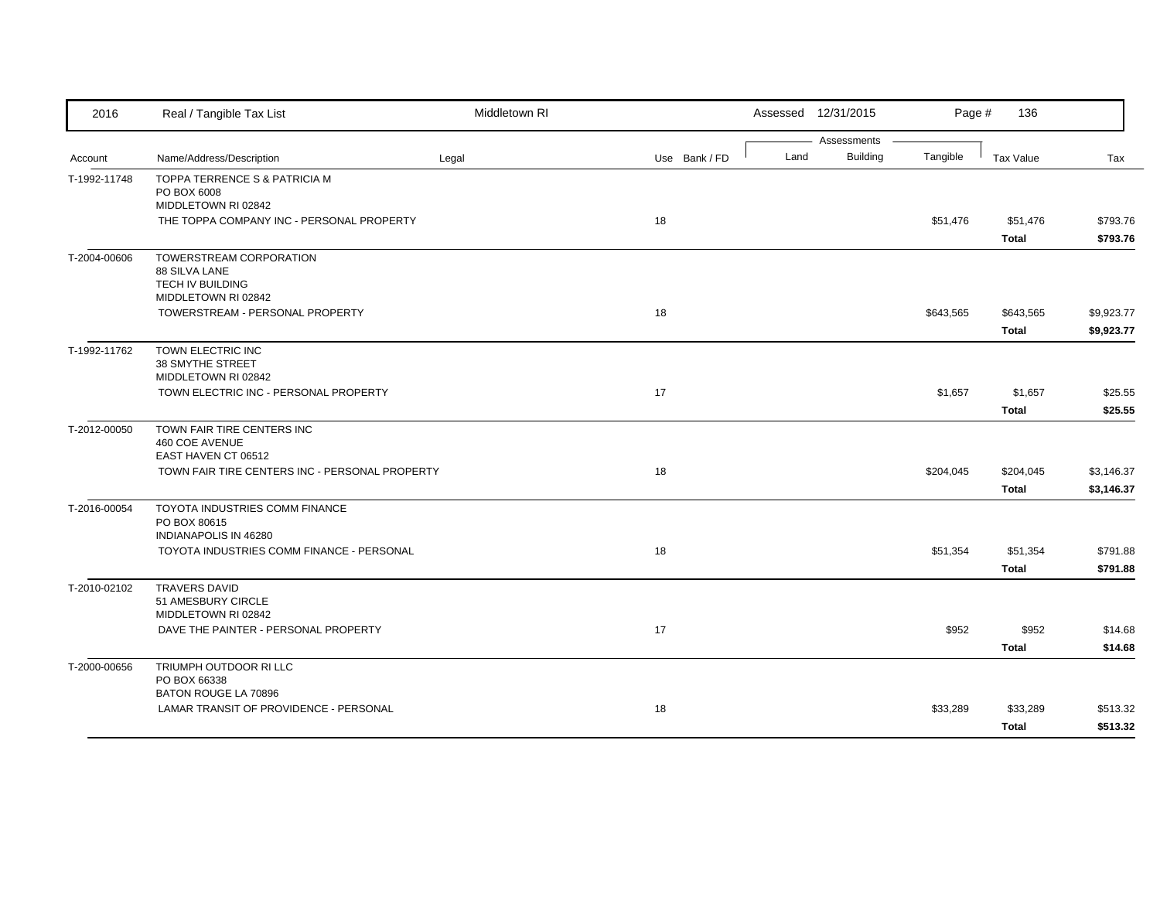| 2016         | Real / Tangible Tax List                                     | Middletown RI |               |      | Assessed 12/31/2015     | Page #    | 136              |            |
|--------------|--------------------------------------------------------------|---------------|---------------|------|-------------------------|-----------|------------------|------------|
|              |                                                              |               |               |      | Assessments<br>Building |           |                  |            |
| Account      | Name/Address/Description                                     | Legal         | Use Bank / FD | Land |                         | Tangible  | <b>Tax Value</b> | Tax        |
| T-1992-11748 | TOPPA TERRENCE S & PATRICIA M<br>PO BOX 6008                 |               |               |      |                         |           |                  |            |
|              | MIDDLETOWN RI 02842                                          |               |               |      |                         |           |                  |            |
|              | THE TOPPA COMPANY INC - PERSONAL PROPERTY                    |               | 18            |      |                         | \$51,476  | \$51,476         | \$793.76   |
|              |                                                              |               |               |      |                         |           | <b>Total</b>     | \$793.76   |
| T-2004-00606 | TOWERSTREAM CORPORATION                                      |               |               |      |                         |           |                  |            |
|              | 88 SILVA LANE                                                |               |               |      |                         |           |                  |            |
|              | TECH IV BUILDING                                             |               |               |      |                         |           |                  |            |
|              | MIDDLETOWN RI 02842                                          |               |               |      |                         |           |                  |            |
|              | TOWERSTREAM - PERSONAL PROPERTY                              |               | 18            |      |                         | \$643,565 | \$643,565        | \$9,923.77 |
|              |                                                              |               |               |      |                         |           | <b>Total</b>     | \$9,923.77 |
| T-1992-11762 | TOWN ELECTRIC INC                                            |               |               |      |                         |           |                  |            |
|              | 38 SMYTHE STREET                                             |               |               |      |                         |           |                  |            |
|              | MIDDLETOWN RI 02842<br>TOWN ELECTRIC INC - PERSONAL PROPERTY |               | 17            |      |                         | \$1,657   | \$1,657          | \$25.55    |
|              |                                                              |               |               |      |                         |           |                  |            |
|              |                                                              |               |               |      |                         |           | <b>Total</b>     | \$25.55    |
| T-2012-00050 | TOWN FAIR TIRE CENTERS INC                                   |               |               |      |                         |           |                  |            |
|              | 460 COE AVENUE<br>EAST HAVEN CT 06512                        |               |               |      |                         |           |                  |            |
|              | TOWN FAIR TIRE CENTERS INC - PERSONAL PROPERTY               |               | 18            |      |                         | \$204,045 | \$204,045        | \$3,146.37 |
|              |                                                              |               |               |      |                         |           | <b>Total</b>     | \$3,146.37 |
|              |                                                              |               |               |      |                         |           |                  |            |
| T-2016-00054 | TOYOTA INDUSTRIES COMM FINANCE<br>PO BOX 80615               |               |               |      |                         |           |                  |            |
|              | INDIANAPOLIS IN 46280                                        |               |               |      |                         |           |                  |            |
|              | TOYOTA INDUSTRIES COMM FINANCE - PERSONAL                    |               | 18            |      |                         | \$51,354  | \$51,354         | \$791.88   |
|              |                                                              |               |               |      |                         |           | <b>Total</b>     | \$791.88   |
| T-2010-02102 | <b>TRAVERS DAVID</b>                                         |               |               |      |                         |           |                  |            |
|              | 51 AMESBURY CIRCLE                                           |               |               |      |                         |           |                  |            |
|              | MIDDLETOWN RI 02842                                          |               |               |      |                         |           |                  |            |
|              | DAVE THE PAINTER - PERSONAL PROPERTY                         |               | 17            |      |                         | \$952     | \$952            | \$14.68    |
|              |                                                              |               |               |      |                         |           | <b>Total</b>     | \$14.68    |
| T-2000-00656 | TRIUMPH OUTDOOR RI LLC                                       |               |               |      |                         |           |                  |            |
|              | PO BOX 66338                                                 |               |               |      |                         |           |                  |            |
|              | BATON ROUGE LA 70896                                         |               |               |      |                         |           |                  |            |
|              | LAMAR TRANSIT OF PROVIDENCE - PERSONAL                       |               | 18            |      |                         | \$33,289  | \$33,289         | \$513.32   |
|              |                                                              |               |               |      |                         |           | <b>Total</b>     | \$513.32   |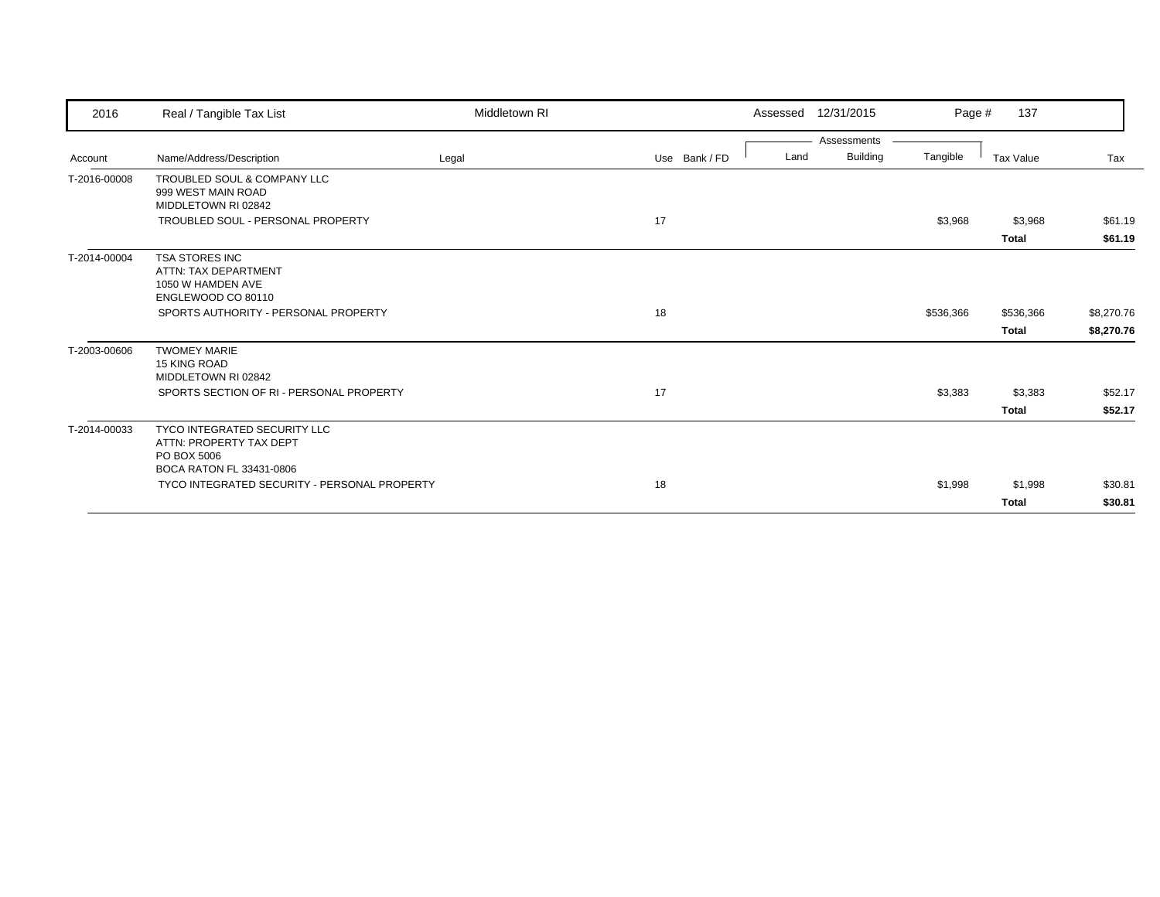| 2016         | Real / Tangible Tax List                     | Middletown RI |               | Assessed | 12/31/2015              | Page #    | 137              |            |
|--------------|----------------------------------------------|---------------|---------------|----------|-------------------------|-----------|------------------|------------|
| Account      | Name/Address/Description                     | Legal         | Use Bank / FD | Land     | Assessments<br>Building | Tangible  | <b>Tax Value</b> | Tax        |
| T-2016-00008 | TROUBLED SOUL & COMPANY LLC                  |               |               |          |                         |           |                  |            |
|              | 999 WEST MAIN ROAD                           |               |               |          |                         |           |                  |            |
|              | MIDDLETOWN RI 02842                          |               |               |          |                         |           |                  |            |
|              | TROUBLED SOUL - PERSONAL PROPERTY            |               | 17            |          |                         | \$3,968   | \$3,968          | \$61.19    |
|              |                                              |               |               |          |                         |           | <b>Total</b>     | \$61.19    |
| T-2014-00004 | <b>TSA STORES INC</b>                        |               |               |          |                         |           |                  |            |
|              | ATTN: TAX DEPARTMENT                         |               |               |          |                         |           |                  |            |
|              | 1050 W HAMDEN AVE<br>ENGLEWOOD CO 80110      |               |               |          |                         |           |                  |            |
|              |                                              |               |               |          |                         |           |                  |            |
|              | SPORTS AUTHORITY - PERSONAL PROPERTY         |               | 18            |          |                         | \$536,366 | \$536,366        | \$8,270.76 |
|              |                                              |               |               |          |                         |           | <b>Total</b>     | \$8,270.76 |
| T-2003-00606 | <b>TWOMEY MARIE</b>                          |               |               |          |                         |           |                  |            |
|              | 15 KING ROAD                                 |               |               |          |                         |           |                  |            |
|              | MIDDLETOWN RI 02842                          |               |               |          |                         |           |                  |            |
|              | SPORTS SECTION OF RI - PERSONAL PROPERTY     |               | 17            |          |                         | \$3,383   | \$3,383          | \$52.17    |
|              |                                              |               |               |          |                         |           | <b>Total</b>     | \$52.17    |
| T-2014-00033 | TYCO INTEGRATED SECURITY LLC                 |               |               |          |                         |           |                  |            |
|              | ATTN: PROPERTY TAX DEPT                      |               |               |          |                         |           |                  |            |
|              | PO BOX 5006<br>BOCA RATON FL 33431-0806      |               |               |          |                         |           |                  |            |
|              | TYCO INTEGRATED SECURITY - PERSONAL PROPERTY |               | 18            |          |                         | \$1,998   | \$1,998          | \$30.81    |
|              |                                              |               |               |          |                         |           | <b>Total</b>     | \$30.81    |
|              |                                              |               |               |          |                         |           |                  |            |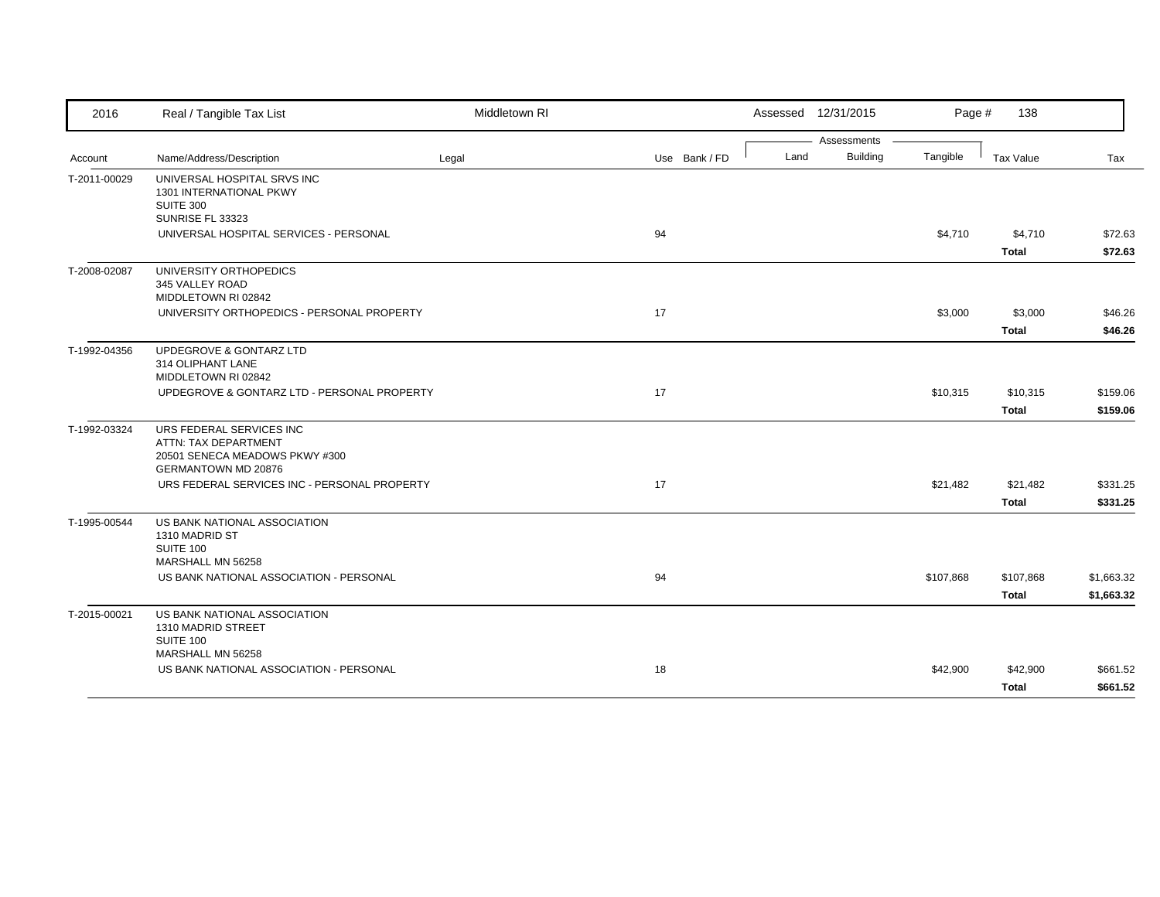| 2016         | Real / Tangible Tax List                                                                                         | Middletown RI |               |      | Assessed 12/31/2015            | Page #    | 138                       |                          |
|--------------|------------------------------------------------------------------------------------------------------------------|---------------|---------------|------|--------------------------------|-----------|---------------------------|--------------------------|
| Account      | Name/Address/Description                                                                                         | Legal         | Use Bank / FD | Land | Assessments<br><b>Building</b> | Tangible  | Tax Value                 | Tax                      |
| T-2011-00029 | UNIVERSAL HOSPITAL SRVS INC<br>1301 INTERNATIONAL PKWY<br><b>SUITE 300</b><br>SUNRISE FL 33323                   |               |               |      |                                |           |                           |                          |
|              | UNIVERSAL HOSPITAL SERVICES - PERSONAL                                                                           |               | 94            |      |                                | \$4,710   | \$4,710<br><b>Total</b>   | \$72.63<br>\$72.63       |
| T-2008-02087 | UNIVERSITY ORTHOPEDICS<br>345 VALLEY ROAD<br>MIDDLETOWN RI 02842                                                 |               |               |      |                                |           |                           |                          |
|              | UNIVERSITY ORTHOPEDICS - PERSONAL PROPERTY                                                                       |               | 17            |      |                                | \$3,000   | \$3,000<br><b>Total</b>   | \$46.26<br>\$46.26       |
| T-1992-04356 | UPDEGROVE & GONTARZ LTD<br>314 OLIPHANT LANE<br>MIDDLETOWN RI 02842                                              |               |               |      |                                |           |                           |                          |
|              | UPDEGROVE & GONTARZ LTD - PERSONAL PROPERTY                                                                      |               | 17            |      |                                | \$10,315  | \$10,315<br><b>Total</b>  | \$159.06<br>\$159.06     |
| T-1992-03324 | URS FEDERAL SERVICES INC<br>ATTN: TAX DEPARTMENT<br>20501 SENECA MEADOWS PKWY #300<br><b>GERMANTOWN MD 20876</b> |               |               |      |                                |           |                           |                          |
|              | URS FEDERAL SERVICES INC - PERSONAL PROPERTY                                                                     |               | 17            |      |                                | \$21,482  | \$21,482<br><b>Total</b>  | \$331.25<br>\$331.25     |
| T-1995-00544 | US BANK NATIONAL ASSOCIATION<br>1310 MADRID ST<br>SUITE 100<br>MARSHALL MN 56258                                 |               |               |      |                                |           |                           |                          |
|              | US BANK NATIONAL ASSOCIATION - PERSONAL                                                                          |               | 94            |      |                                | \$107,868 | \$107,868<br><b>Total</b> | \$1,663.32<br>\$1,663.32 |
| T-2015-00021 | US BANK NATIONAL ASSOCIATION<br>1310 MADRID STREET<br><b>SUITE 100</b>                                           |               |               |      |                                |           |                           |                          |
|              | MARSHALL MN 56258<br>US BANK NATIONAL ASSOCIATION - PERSONAL                                                     |               | 18            |      |                                | \$42,900  | \$42,900<br><b>Total</b>  | \$661.52<br>\$661.52     |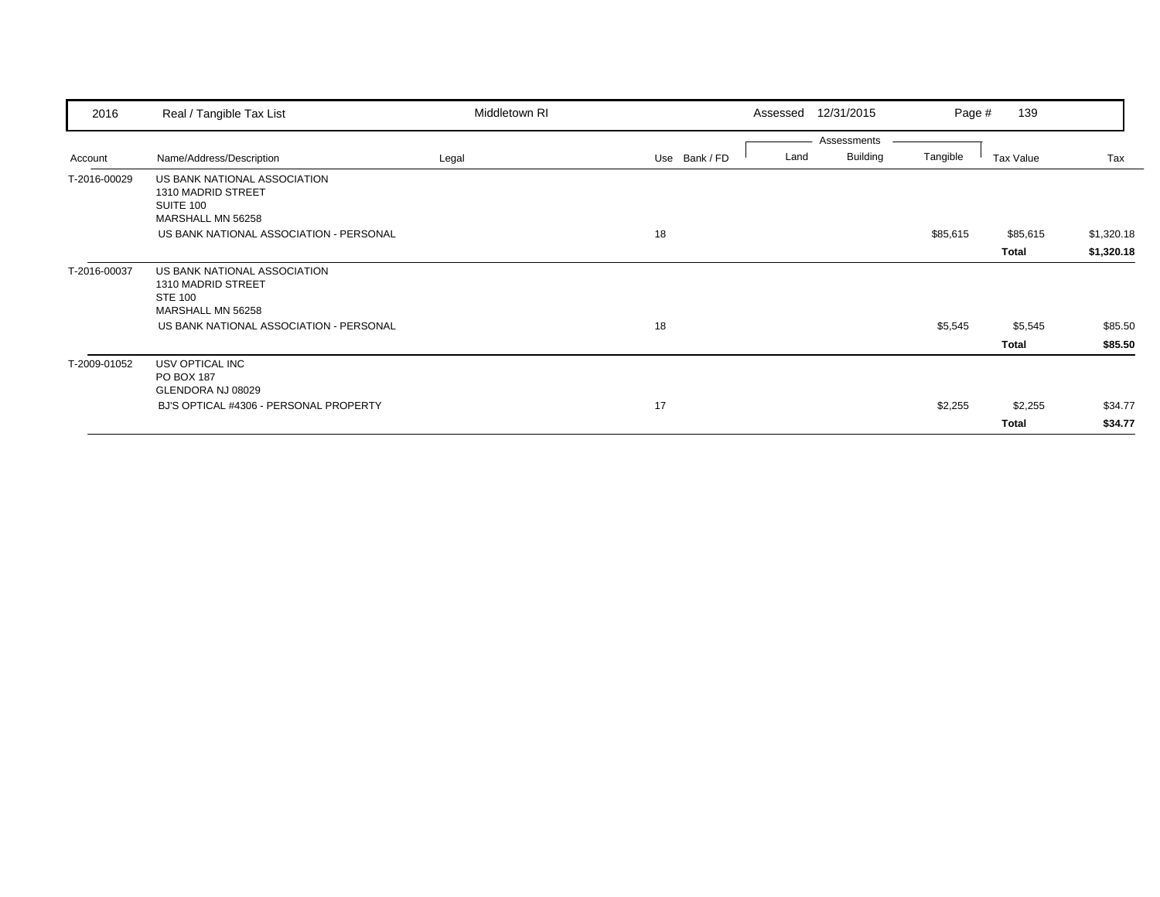| 2016         | Real / Tangible Tax List                                                             | Middletown RI |               | Assessed | 12/31/2015      | Page #   | 139          |            |
|--------------|--------------------------------------------------------------------------------------|---------------|---------------|----------|-----------------|----------|--------------|------------|
|              |                                                                                      |               |               |          | Assessments     |          |              |            |
| Account      | Name/Address/Description                                                             | Legal         | Use Bank / FD | Land     | <b>Building</b> | Tangible | Tax Value    | Tax        |
| T-2016-00029 | US BANK NATIONAL ASSOCIATION<br>1310 MADRID STREET<br>SUITE 100<br>MARSHALL MN 56258 |               |               |          |                 |          |              |            |
|              | US BANK NATIONAL ASSOCIATION - PERSONAL                                              |               | 18            |          |                 | \$85,615 | \$85,615     | \$1,320.18 |
|              |                                                                                      |               |               |          |                 |          | Total        | \$1,320.18 |
| T-2016-00037 | US BANK NATIONAL ASSOCIATION<br>1310 MADRID STREET<br><b>STE 100</b>                 |               |               |          |                 |          |              |            |
|              | MARSHALL MN 56258<br>US BANK NATIONAL ASSOCIATION - PERSONAL                         |               | 18            |          |                 | \$5,545  | \$5,545      | \$85.50    |
|              |                                                                                      |               |               |          |                 |          | Total        | \$85.50    |
| T-2009-01052 | USV OPTICAL INC<br>PO BOX 187<br>GLENDORA NJ 08029                                   |               |               |          |                 |          |              |            |
|              | BJ'S OPTICAL #4306 - PERSONAL PROPERTY                                               |               | 17            |          |                 | \$2,255  | \$2,255      | \$34.77    |
|              |                                                                                      |               |               |          |                 |          | <b>Total</b> | \$34.77    |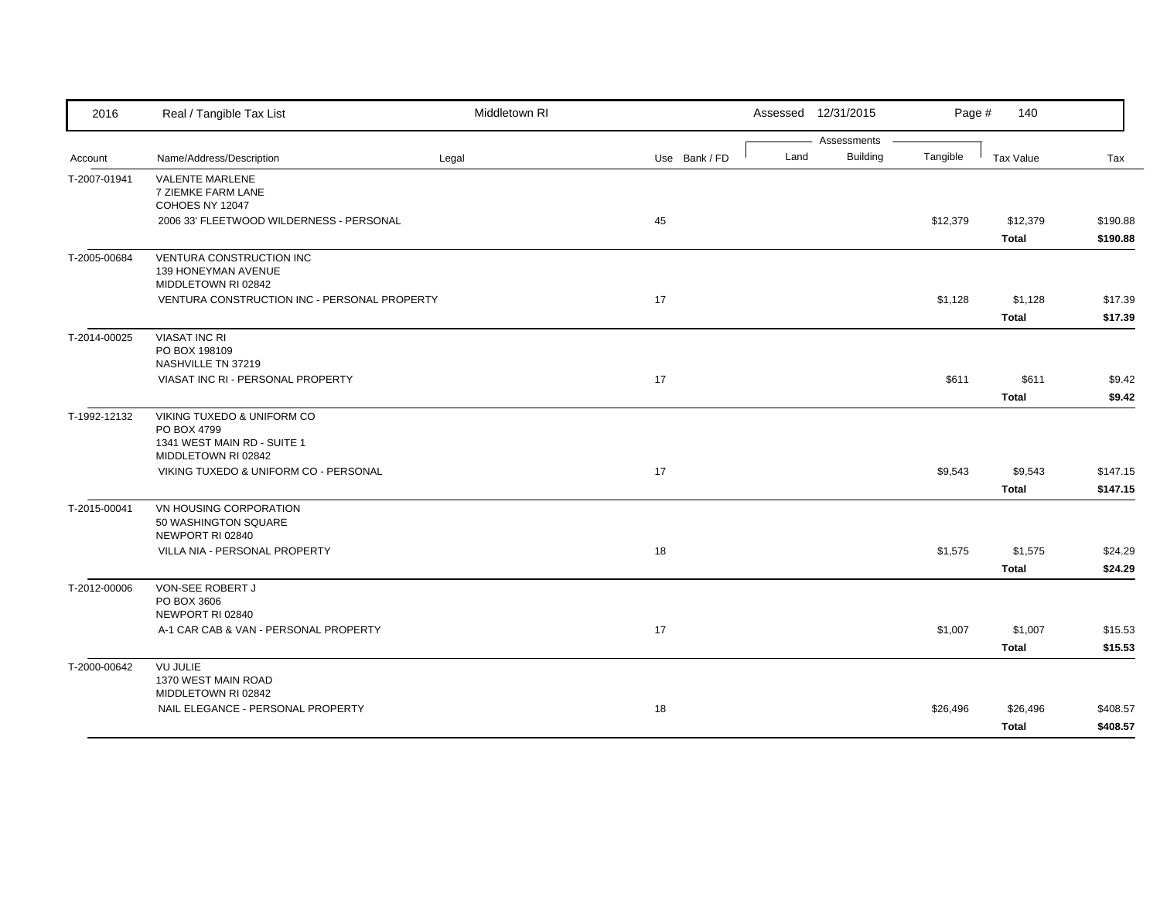| Assessments<br><b>Building</b><br>Tangible<br>Land<br>Name/Address/Description<br>Legal<br>Use Bank / FD<br>Tax Value<br>Tax<br>Account<br><b>VALENTE MARLENE</b><br>T-2007-01941<br>7 ZIEMKE FARM LANE<br>COHOES NY 12047<br>2006 33' FLEETWOOD WILDERNESS - PERSONAL<br>45<br>\$12,379<br>\$12,379<br><b>Total</b><br>VENTURA CONSTRUCTION INC<br>139 HONEYMAN AVENUE<br>MIDDLETOWN RI 02842<br>VENTURA CONSTRUCTION INC - PERSONAL PROPERTY<br>17<br>\$1,128<br>\$1,128<br>Total<br><b>VIASAT INC RI</b><br>T-2014-00025<br>PO BOX 198109<br>NASHVILLE TN 37219<br>VIASAT INC RI - PERSONAL PROPERTY<br>17<br>\$611<br>\$611<br><b>Total</b><br>VIKING TUXEDO & UNIFORM CO<br>PO BOX 4799<br>1341 WEST MAIN RD - SUITE 1<br>MIDDLETOWN RI 02842<br>17<br>VIKING TUXEDO & UNIFORM CO - PERSONAL<br>\$9,543<br>\$9,543<br><b>Total</b><br>T-2015-00041<br>VN HOUSING CORPORATION<br>50 WASHINGTON SQUARE<br>NEWPORT RI 02840<br>VILLA NIA - PERSONAL PROPERTY<br>18<br>\$1,575<br>\$1,575<br><b>Total</b><br>VON-SEE ROBERT J<br>PO BOX 3606<br>NEWPORT RI 02840<br>A-1 CAR CAB & VAN - PERSONAL PROPERTY<br>17<br>\$1,007<br>\$1,007<br><b>Total</b><br><b>VU JULIE</b><br>1370 WEST MAIN ROAD<br>MIDDLETOWN RI 02842<br>NAIL ELEGANCE - PERSONAL PROPERTY<br>18<br>\$26,496<br>\$26,496<br><b>Total</b> | 2016         | Real / Tangible Tax List | Middletown RI |  | Assessed 12/31/2015 | Page # | 140 |  |
|------------------------------------------------------------------------------------------------------------------------------------------------------------------------------------------------------------------------------------------------------------------------------------------------------------------------------------------------------------------------------------------------------------------------------------------------------------------------------------------------------------------------------------------------------------------------------------------------------------------------------------------------------------------------------------------------------------------------------------------------------------------------------------------------------------------------------------------------------------------------------------------------------------------------------------------------------------------------------------------------------------------------------------------------------------------------------------------------------------------------------------------------------------------------------------------------------------------------------------------------------------------------------------------------------------|--------------|--------------------------|---------------|--|---------------------|--------|-----|--|
|                                                                                                                                                                                                                                                                                                                                                                                                                                                                                                                                                                                                                                                                                                                                                                                                                                                                                                                                                                                                                                                                                                                                                                                                                                                                                                            |              |                          |               |  |                     |        |     |  |
| \$190.88<br>\$190.88<br>\$17.39<br>\$17.39<br>\$9.42<br>\$9.42<br>\$147.15<br>\$147.15                                                                                                                                                                                                                                                                                                                                                                                                                                                                                                                                                                                                                                                                                                                                                                                                                                                                                                                                                                                                                                                                                                                                                                                                                     |              |                          |               |  |                     |        |     |  |
|                                                                                                                                                                                                                                                                                                                                                                                                                                                                                                                                                                                                                                                                                                                                                                                                                                                                                                                                                                                                                                                                                                                                                                                                                                                                                                            |              |                          |               |  |                     |        |     |  |
|                                                                                                                                                                                                                                                                                                                                                                                                                                                                                                                                                                                                                                                                                                                                                                                                                                                                                                                                                                                                                                                                                                                                                                                                                                                                                                            |              |                          |               |  |                     |        |     |  |
|                                                                                                                                                                                                                                                                                                                                                                                                                                                                                                                                                                                                                                                                                                                                                                                                                                                                                                                                                                                                                                                                                                                                                                                                                                                                                                            |              |                          |               |  |                     |        |     |  |
|                                                                                                                                                                                                                                                                                                                                                                                                                                                                                                                                                                                                                                                                                                                                                                                                                                                                                                                                                                                                                                                                                                                                                                                                                                                                                                            |              |                          |               |  |                     |        |     |  |
|                                                                                                                                                                                                                                                                                                                                                                                                                                                                                                                                                                                                                                                                                                                                                                                                                                                                                                                                                                                                                                                                                                                                                                                                                                                                                                            | T-2005-00684 |                          |               |  |                     |        |     |  |
|                                                                                                                                                                                                                                                                                                                                                                                                                                                                                                                                                                                                                                                                                                                                                                                                                                                                                                                                                                                                                                                                                                                                                                                                                                                                                                            |              |                          |               |  |                     |        |     |  |
|                                                                                                                                                                                                                                                                                                                                                                                                                                                                                                                                                                                                                                                                                                                                                                                                                                                                                                                                                                                                                                                                                                                                                                                                                                                                                                            |              |                          |               |  |                     |        |     |  |
|                                                                                                                                                                                                                                                                                                                                                                                                                                                                                                                                                                                                                                                                                                                                                                                                                                                                                                                                                                                                                                                                                                                                                                                                                                                                                                            |              |                          |               |  |                     |        |     |  |
|                                                                                                                                                                                                                                                                                                                                                                                                                                                                                                                                                                                                                                                                                                                                                                                                                                                                                                                                                                                                                                                                                                                                                                                                                                                                                                            |              |                          |               |  |                     |        |     |  |
|                                                                                                                                                                                                                                                                                                                                                                                                                                                                                                                                                                                                                                                                                                                                                                                                                                                                                                                                                                                                                                                                                                                                                                                                                                                                                                            |              |                          |               |  |                     |        |     |  |
|                                                                                                                                                                                                                                                                                                                                                                                                                                                                                                                                                                                                                                                                                                                                                                                                                                                                                                                                                                                                                                                                                                                                                                                                                                                                                                            |              |                          |               |  |                     |        |     |  |
|                                                                                                                                                                                                                                                                                                                                                                                                                                                                                                                                                                                                                                                                                                                                                                                                                                                                                                                                                                                                                                                                                                                                                                                                                                                                                                            |              |                          |               |  |                     |        |     |  |
|                                                                                                                                                                                                                                                                                                                                                                                                                                                                                                                                                                                                                                                                                                                                                                                                                                                                                                                                                                                                                                                                                                                                                                                                                                                                                                            |              |                          |               |  |                     |        |     |  |
|                                                                                                                                                                                                                                                                                                                                                                                                                                                                                                                                                                                                                                                                                                                                                                                                                                                                                                                                                                                                                                                                                                                                                                                                                                                                                                            | T-1992-12132 |                          |               |  |                     |        |     |  |
|                                                                                                                                                                                                                                                                                                                                                                                                                                                                                                                                                                                                                                                                                                                                                                                                                                                                                                                                                                                                                                                                                                                                                                                                                                                                                                            |              |                          |               |  |                     |        |     |  |
|                                                                                                                                                                                                                                                                                                                                                                                                                                                                                                                                                                                                                                                                                                                                                                                                                                                                                                                                                                                                                                                                                                                                                                                                                                                                                                            |              |                          |               |  |                     |        |     |  |
|                                                                                                                                                                                                                                                                                                                                                                                                                                                                                                                                                                                                                                                                                                                                                                                                                                                                                                                                                                                                                                                                                                                                                                                                                                                                                                            |              |                          |               |  |                     |        |     |  |
|                                                                                                                                                                                                                                                                                                                                                                                                                                                                                                                                                                                                                                                                                                                                                                                                                                                                                                                                                                                                                                                                                                                                                                                                                                                                                                            |              |                          |               |  |                     |        |     |  |
|                                                                                                                                                                                                                                                                                                                                                                                                                                                                                                                                                                                                                                                                                                                                                                                                                                                                                                                                                                                                                                                                                                                                                                                                                                                                                                            |              |                          |               |  |                     |        |     |  |
| \$24.29<br>\$24.29<br>\$15.53<br>\$15.53<br>\$408.57<br>\$408.57                                                                                                                                                                                                                                                                                                                                                                                                                                                                                                                                                                                                                                                                                                                                                                                                                                                                                                                                                                                                                                                                                                                                                                                                                                           |              |                          |               |  |                     |        |     |  |
|                                                                                                                                                                                                                                                                                                                                                                                                                                                                                                                                                                                                                                                                                                                                                                                                                                                                                                                                                                                                                                                                                                                                                                                                                                                                                                            |              |                          |               |  |                     |        |     |  |
|                                                                                                                                                                                                                                                                                                                                                                                                                                                                                                                                                                                                                                                                                                                                                                                                                                                                                                                                                                                                                                                                                                                                                                                                                                                                                                            |              |                          |               |  |                     |        |     |  |
|                                                                                                                                                                                                                                                                                                                                                                                                                                                                                                                                                                                                                                                                                                                                                                                                                                                                                                                                                                                                                                                                                                                                                                                                                                                                                                            |              |                          |               |  |                     |        |     |  |
|                                                                                                                                                                                                                                                                                                                                                                                                                                                                                                                                                                                                                                                                                                                                                                                                                                                                                                                                                                                                                                                                                                                                                                                                                                                                                                            | T-2012-00006 |                          |               |  |                     |        |     |  |
|                                                                                                                                                                                                                                                                                                                                                                                                                                                                                                                                                                                                                                                                                                                                                                                                                                                                                                                                                                                                                                                                                                                                                                                                                                                                                                            |              |                          |               |  |                     |        |     |  |
|                                                                                                                                                                                                                                                                                                                                                                                                                                                                                                                                                                                                                                                                                                                                                                                                                                                                                                                                                                                                                                                                                                                                                                                                                                                                                                            |              |                          |               |  |                     |        |     |  |
|                                                                                                                                                                                                                                                                                                                                                                                                                                                                                                                                                                                                                                                                                                                                                                                                                                                                                                                                                                                                                                                                                                                                                                                                                                                                                                            |              |                          |               |  |                     |        |     |  |
|                                                                                                                                                                                                                                                                                                                                                                                                                                                                                                                                                                                                                                                                                                                                                                                                                                                                                                                                                                                                                                                                                                                                                                                                                                                                                                            |              |                          |               |  |                     |        |     |  |
|                                                                                                                                                                                                                                                                                                                                                                                                                                                                                                                                                                                                                                                                                                                                                                                                                                                                                                                                                                                                                                                                                                                                                                                                                                                                                                            | T-2000-00642 |                          |               |  |                     |        |     |  |
|                                                                                                                                                                                                                                                                                                                                                                                                                                                                                                                                                                                                                                                                                                                                                                                                                                                                                                                                                                                                                                                                                                                                                                                                                                                                                                            |              |                          |               |  |                     |        |     |  |
|                                                                                                                                                                                                                                                                                                                                                                                                                                                                                                                                                                                                                                                                                                                                                                                                                                                                                                                                                                                                                                                                                                                                                                                                                                                                                                            |              |                          |               |  |                     |        |     |  |
|                                                                                                                                                                                                                                                                                                                                                                                                                                                                                                                                                                                                                                                                                                                                                                                                                                                                                                                                                                                                                                                                                                                                                                                                                                                                                                            |              |                          |               |  |                     |        |     |  |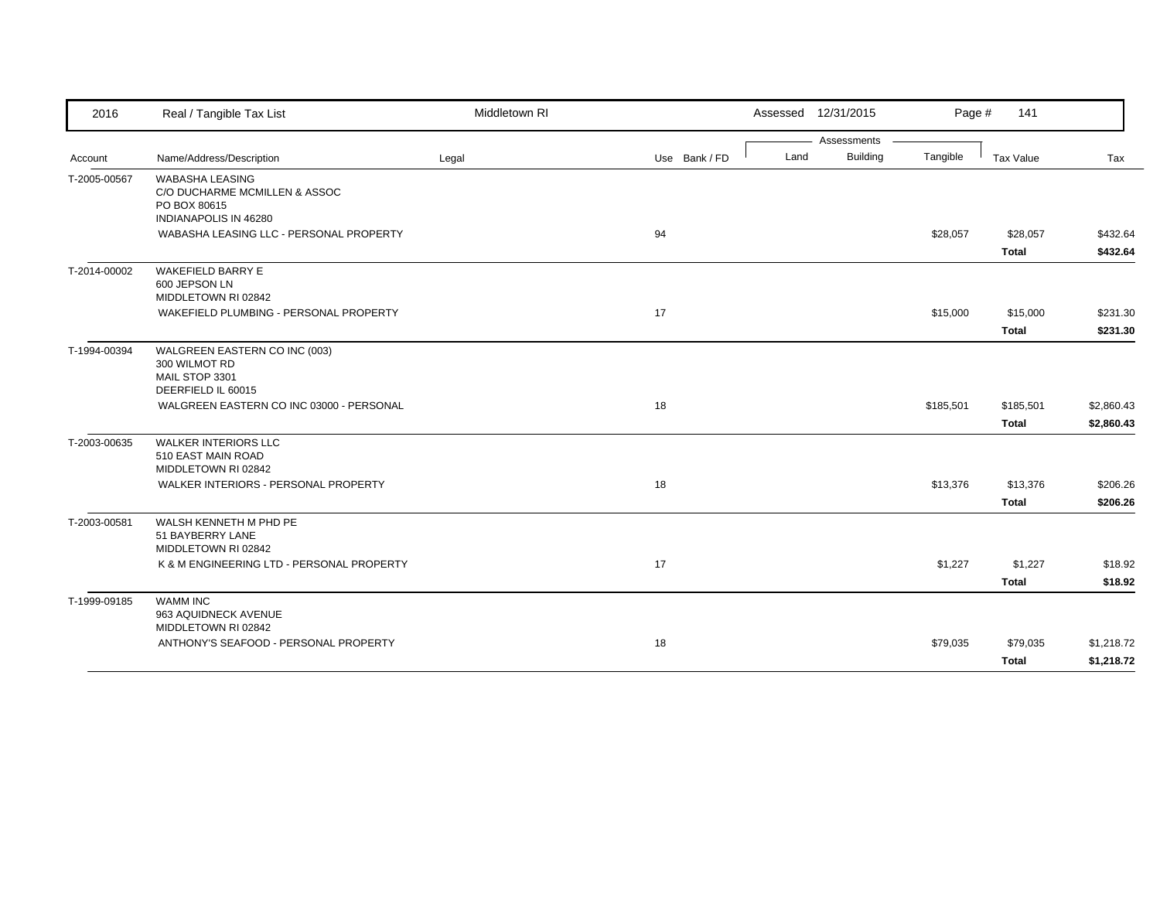| 2016         | Real / Tangible Tax List                                                                         | Middletown RI |               | Assessed 12/31/2015 |                      | Page #<br>141 |            |
|--------------|--------------------------------------------------------------------------------------------------|---------------|---------------|---------------------|----------------------|---------------|------------|
|              |                                                                                                  |               |               |                     | Assessments          |               |            |
| Account      | Name/Address/Description                                                                         | Legal         | Use Bank / FD | Land                | Building<br>Tangible | Tax Value     | Tax        |
| T-2005-00567 | <b>WABASHA LEASING</b><br>C/O DUCHARME MCMILLEN & ASSOC<br>PO BOX 80615<br>INDIANAPOLIS IN 46280 |               |               |                     |                      |               |            |
|              | WABASHA LEASING LLC - PERSONAL PROPERTY                                                          |               | 94            |                     | \$28,057             | \$28,057      | \$432.64   |
|              |                                                                                                  |               |               |                     |                      | <b>Total</b>  | \$432.64   |
| T-2014-00002 | <b>WAKEFIELD BARRY E</b><br>600 JEPSON LN<br>MIDDLETOWN RI 02842                                 |               |               |                     |                      |               |            |
|              | WAKEFIELD PLUMBING - PERSONAL PROPERTY                                                           |               | 17            |                     | \$15,000             | \$15,000      | \$231.30   |
|              |                                                                                                  |               |               |                     |                      | <b>Total</b>  | \$231.30   |
| T-1994-00394 | WALGREEN EASTERN CO INC (003)<br>300 WILMOT RD<br>MAIL STOP 3301<br>DEERFIELD IL 60015           |               |               |                     |                      |               |            |
|              | WALGREEN EASTERN CO INC 03000 - PERSONAL                                                         |               | 18            |                     | \$185,501            | \$185,501     | \$2,860.43 |
|              |                                                                                                  |               |               |                     |                      | Total         | \$2,860.43 |
| T-2003-00635 | <b>WALKER INTERIORS LLC</b><br>510 EAST MAIN ROAD<br>MIDDLETOWN RI 02842                         |               |               |                     |                      |               |            |
|              | WALKER INTERIORS - PERSONAL PROPERTY                                                             |               | 18            |                     | \$13,376             | \$13,376      | \$206.26   |
|              |                                                                                                  |               |               |                     |                      | Total         | \$206.26   |
| T-2003-00581 | WALSH KENNETH M PHD PE<br>51 BAYBERRY LANE<br>MIDDLETOWN RI 02842                                |               |               |                     |                      |               |            |
|              | K & M ENGINEERING LTD - PERSONAL PROPERTY                                                        |               | 17            |                     | \$1,227              | \$1,227       | \$18.92    |
|              |                                                                                                  |               |               |                     |                      | <b>Total</b>  | \$18.92    |
| T-1999-09185 | <b>WAMM INC</b><br>963 AQUIDNECK AVENUE<br>MIDDLETOWN RI 02842                                   |               |               |                     |                      |               |            |
|              | ANTHONY'S SEAFOOD - PERSONAL PROPERTY                                                            |               | 18            |                     | \$79,035             | \$79,035      | \$1,218.72 |
|              |                                                                                                  |               |               |                     |                      | Total         | \$1,218.72 |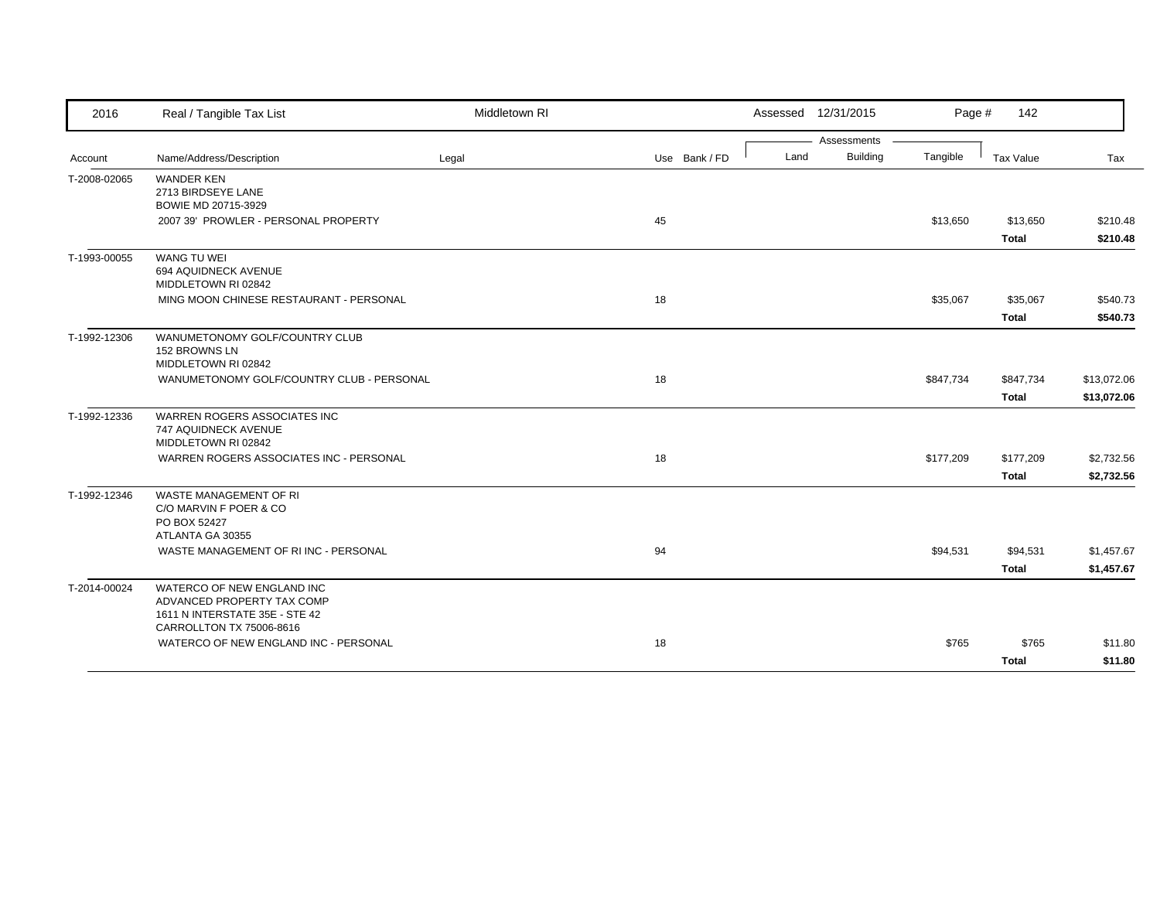| 2016         | Real / Tangible Tax List                                                                                               | Middletown RI |               | Assessed 12/31/2015 |                 | Page #    | 142                      |                      |
|--------------|------------------------------------------------------------------------------------------------------------------------|---------------|---------------|---------------------|-----------------|-----------|--------------------------|----------------------|
|              |                                                                                                                        |               |               |                     | Assessments     |           |                          |                      |
| Account      | Name/Address/Description                                                                                               | Legal         | Use Bank / FD | Land                | <b>Building</b> | Tangible  | Tax Value                | Tax                  |
| T-2008-02065 | <b>WANDER KEN</b><br>2713 BIRDSEYE LANE<br>BOWIE MD 20715-3929                                                         |               |               |                     |                 |           |                          |                      |
|              | 2007 39' PROWLER - PERSONAL PROPERTY                                                                                   |               | 45            |                     |                 | \$13,650  | \$13,650<br><b>Total</b> | \$210.48<br>\$210.48 |
| T-1993-00055 | <b>WANG TU WEI</b><br>694 AQUIDNECK AVENUE<br>MIDDLETOWN RI 02842                                                      |               |               |                     |                 |           |                          |                      |
|              | MING MOON CHINESE RESTAURANT - PERSONAL                                                                                |               | 18            |                     |                 | \$35,067  | \$35,067                 | \$540.73             |
|              |                                                                                                                        |               |               |                     |                 |           | <b>Total</b>             | \$540.73             |
| T-1992-12306 | WANUMETONOMY GOLF/COUNTRY CLUB<br>152 BROWNS LN<br>MIDDLETOWN RI 02842                                                 |               |               |                     |                 |           |                          |                      |
|              | WANUMETONOMY GOLF/COUNTRY CLUB - PERSONAL                                                                              |               | 18            |                     |                 | \$847,734 | \$847,734                | \$13,072.06          |
|              |                                                                                                                        |               |               |                     |                 |           | <b>Total</b>             | \$13,072.06          |
| T-1992-12336 | WARREN ROGERS ASSOCIATES INC<br>747 AQUIDNECK AVENUE<br>MIDDLETOWN RI 02842                                            |               |               |                     |                 |           |                          |                      |
|              | WARREN ROGERS ASSOCIATES INC - PERSONAL                                                                                |               | 18            |                     |                 | \$177,209 | \$177,209                | \$2,732.56           |
|              |                                                                                                                        |               |               |                     |                 |           | <b>Total</b>             | \$2,732.56           |
| T-1992-12346 | <b>WASTE MANAGEMENT OF RI</b><br>C/O MARVIN F POER & CO<br>PO BOX 52427<br>ATLANTA GA 30355                            |               |               |                     |                 |           |                          |                      |
|              | WASTE MANAGEMENT OF RIINC - PERSONAL                                                                                   |               | 94            |                     |                 | \$94,531  | \$94,531                 | \$1,457.67           |
|              |                                                                                                                        |               |               |                     |                 |           | Total                    | \$1,457.67           |
| T-2014-00024 | WATERCO OF NEW ENGLAND INC<br>ADVANCED PROPERTY TAX COMP<br>1611 N INTERSTATE 35E - STE 42<br>CARROLLTON TX 75006-8616 |               |               |                     |                 |           |                          |                      |
|              | WATERCO OF NEW ENGLAND INC - PERSONAL                                                                                  |               | 18            |                     |                 | \$765     | \$765                    | \$11.80              |
|              |                                                                                                                        |               |               |                     |                 |           | Total                    | \$11.80              |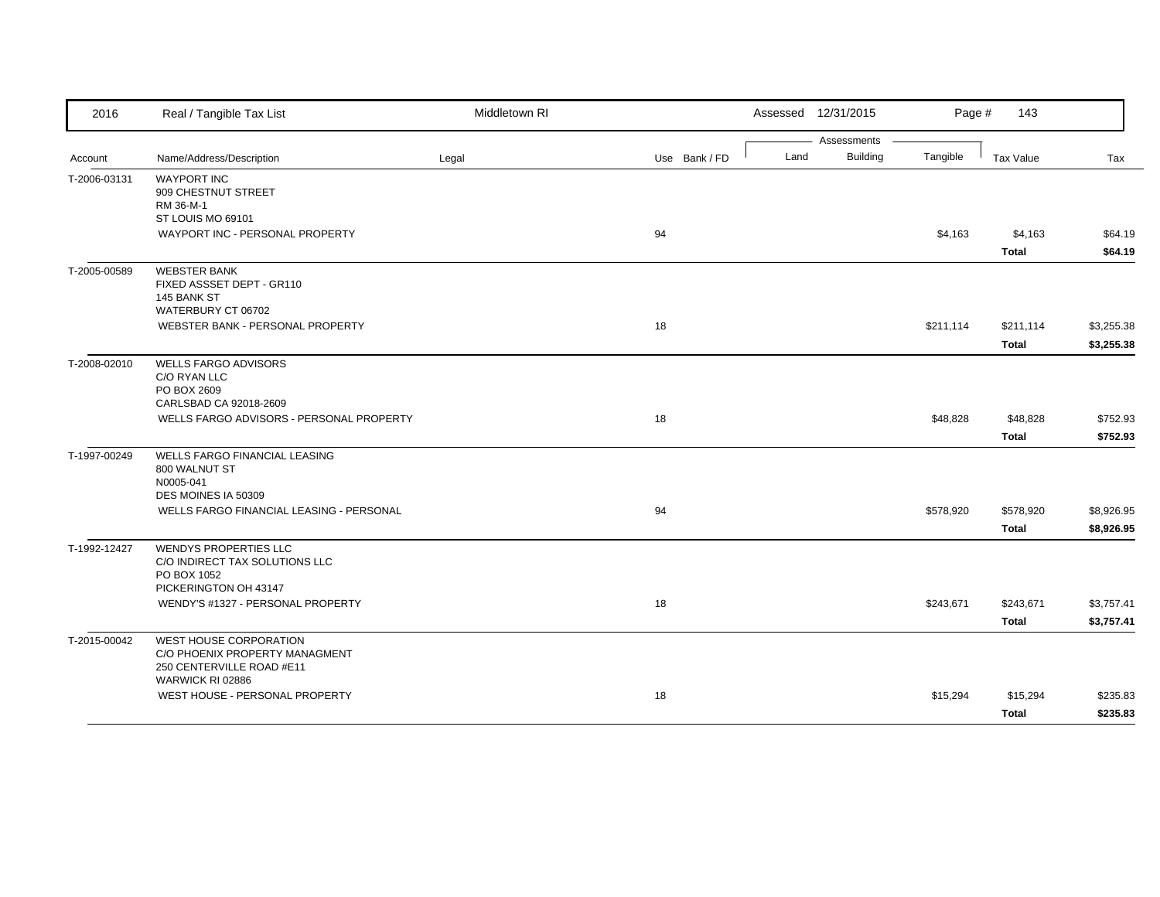| 2016         | Real / Tangible Tax List                                                                                  | Middletown RI |               |      | Assessed 12/31/2015            | Page #    | 143                       |                          |
|--------------|-----------------------------------------------------------------------------------------------------------|---------------|---------------|------|--------------------------------|-----------|---------------------------|--------------------------|
| Account      | Name/Address/Description                                                                                  | Legal         | Use Bank / FD | Land | Assessments<br><b>Building</b> | Tangible  | Tax Value                 | Tax                      |
| T-2006-03131 | <b>WAYPORT INC</b><br>909 CHESTNUT STREET<br>RM 36-M-1<br>ST LOUIS MO 69101                               |               |               |      |                                |           |                           |                          |
|              | WAYPORT INC - PERSONAL PROPERTY                                                                           |               | 94            |      |                                | \$4,163   | \$4,163<br><b>Total</b>   | \$64.19<br>\$64.19       |
| T-2005-00589 | <b>WEBSTER BANK</b><br>FIXED ASSSET DEPT - GR110<br>145 BANK ST<br>WATERBURY CT 06702                     |               |               |      |                                |           |                           |                          |
|              | WEBSTER BANK - PERSONAL PROPERTY                                                                          |               | 18            |      |                                | \$211,114 | \$211,114<br><b>Total</b> | \$3,255.38<br>\$3,255.38 |
| T-2008-02010 | <b>WELLS FARGO ADVISORS</b><br>C/O RYAN LLC<br>PO BOX 2609<br>CARLSBAD CA 92018-2609                      |               |               |      |                                |           |                           |                          |
|              | WELLS FARGO ADVISORS - PERSONAL PROPERTY                                                                  |               | 18            |      |                                | \$48,828  | \$48,828<br><b>Total</b>  | \$752.93<br>\$752.93     |
| T-1997-00249 | WELLS FARGO FINANCIAL LEASING<br>800 WALNUT ST<br>N0005-041<br>DES MOINES IA 50309                        |               |               |      |                                |           |                           |                          |
|              | WELLS FARGO FINANCIAL LEASING - PERSONAL                                                                  |               | 94            |      |                                | \$578,920 | \$578,920<br><b>Total</b> | \$8,926.95<br>\$8,926.95 |
| T-1992-12427 | <b>WENDYS PROPERTIES LLC</b><br>C/O INDIRECT TAX SOLUTIONS LLC<br>PO BOX 1052<br>PICKERINGTON OH 43147    |               |               |      |                                |           |                           |                          |
|              | WENDY'S #1327 - PERSONAL PROPERTY                                                                         |               | 18            |      |                                | \$243,671 | \$243,671<br><b>Total</b> | \$3,757.41<br>\$3,757.41 |
| T-2015-00042 | WEST HOUSE CORPORATION<br>C/O PHOENIX PROPERTY MANAGMENT<br>250 CENTERVILLE ROAD #E11<br>WARWICK RI 02886 |               |               |      |                                |           |                           |                          |
|              | WEST HOUSE - PERSONAL PROPERTY                                                                            |               | 18            |      |                                | \$15,294  | \$15,294<br><b>Total</b>  | \$235.83<br>\$235.83     |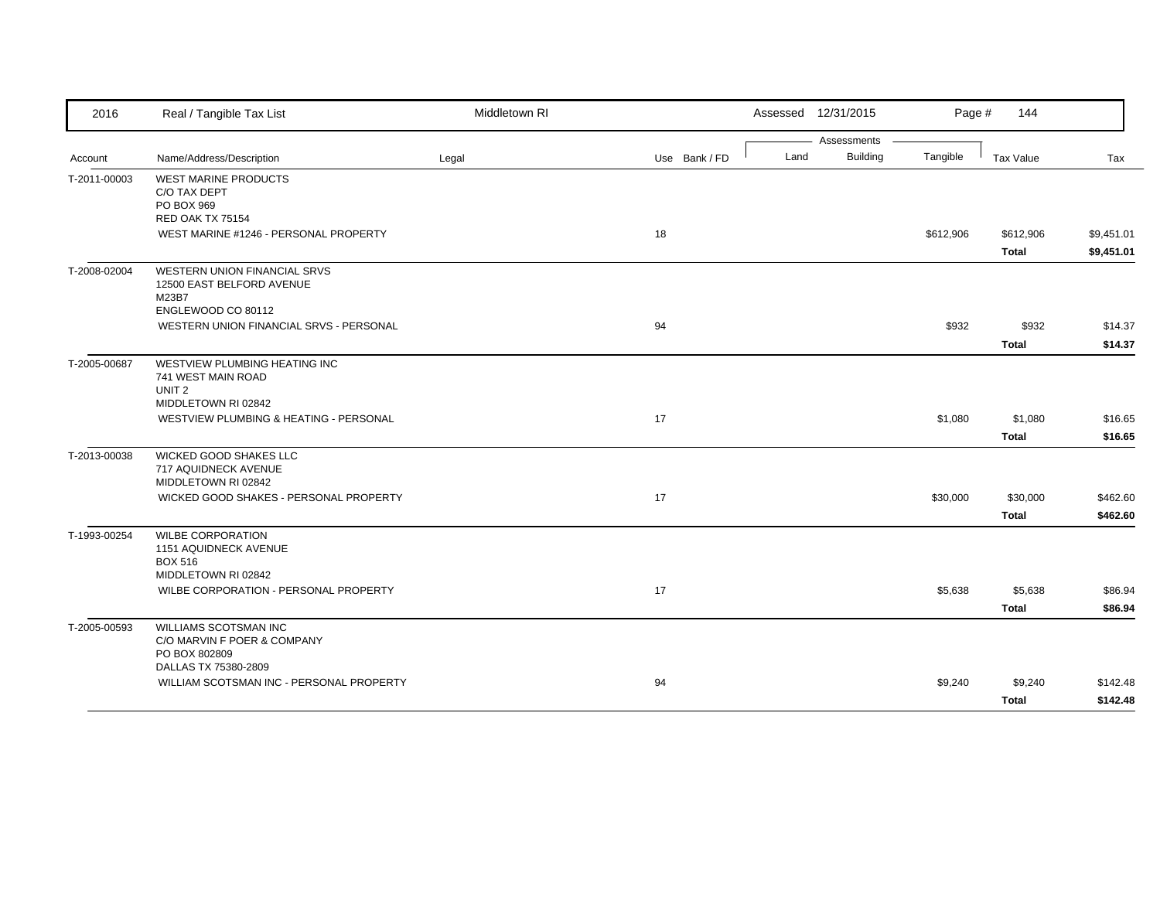| 2016         | Real / Tangible Tax List                                                                        | Middletown RI |               | Assessed 12/31/2015                    | Page #    | 144                       |                          |
|--------------|-------------------------------------------------------------------------------------------------|---------------|---------------|----------------------------------------|-----------|---------------------------|--------------------------|
| Account      | Name/Address/Description                                                                        | Legal         | Use Bank / FD | Assessments<br><b>Building</b><br>Land | Tangible  | Tax Value                 | Tax                      |
| T-2011-00003 | <b>WEST MARINE PRODUCTS</b><br>C/O TAX DEPT<br>PO BOX 969<br>RED OAK TX 75154                   |               |               |                                        |           |                           |                          |
|              | WEST MARINE #1246 - PERSONAL PROPERTY                                                           |               | 18            |                                        | \$612,906 | \$612,906<br><b>Total</b> | \$9,451.01<br>\$9,451.01 |
| T-2008-02004 | WESTERN UNION FINANCIAL SRVS<br>12500 EAST BELFORD AVENUE<br>M23B7<br>ENGLEWOOD CO 80112        |               |               |                                        |           |                           |                          |
|              | WESTERN UNION FINANCIAL SRVS - PERSONAL                                                         |               | 94            |                                        | \$932     | \$932<br><b>Total</b>     | \$14.37<br>\$14.37       |
| T-2005-00687 | WESTVIEW PLUMBING HEATING INC<br>741 WEST MAIN ROAD<br>UNIT <sub>2</sub><br>MIDDLETOWN RI 02842 |               |               |                                        |           |                           |                          |
|              | WESTVIEW PLUMBING & HEATING - PERSONAL                                                          |               | 17            |                                        | \$1,080   | \$1,080<br><b>Total</b>   | \$16.65<br>\$16.65       |
| T-2013-00038 | WICKED GOOD SHAKES LLC<br>717 AQUIDNECK AVENUE<br>MIDDLETOWN RI 02842                           |               |               |                                        |           |                           |                          |
|              | WICKED GOOD SHAKES - PERSONAL PROPERTY                                                          |               | 17            |                                        | \$30,000  | \$30,000<br><b>Total</b>  | \$462.60<br>\$462.60     |
| T-1993-00254 | <b>WILBE CORPORATION</b><br>1151 AQUIDNECK AVENUE<br><b>BOX 516</b>                             |               |               |                                        |           |                           |                          |
|              | MIDDLETOWN RI 02842<br>WILBE CORPORATION - PERSONAL PROPERTY                                    |               | 17            |                                        | \$5,638   | \$5,638<br><b>Total</b>   | \$86.94<br>\$86.94       |
| T-2005-00593 | WILLIAMS SCOTSMAN INC<br>C/O MARVIN F POER & COMPANY<br>PO BOX 802809                           |               |               |                                        |           |                           |                          |
|              | DALLAS TX 75380-2809<br>WILLIAM SCOTSMAN INC - PERSONAL PROPERTY                                |               | 94            |                                        | \$9,240   | \$9,240<br>Total          | \$142.48<br>\$142.48     |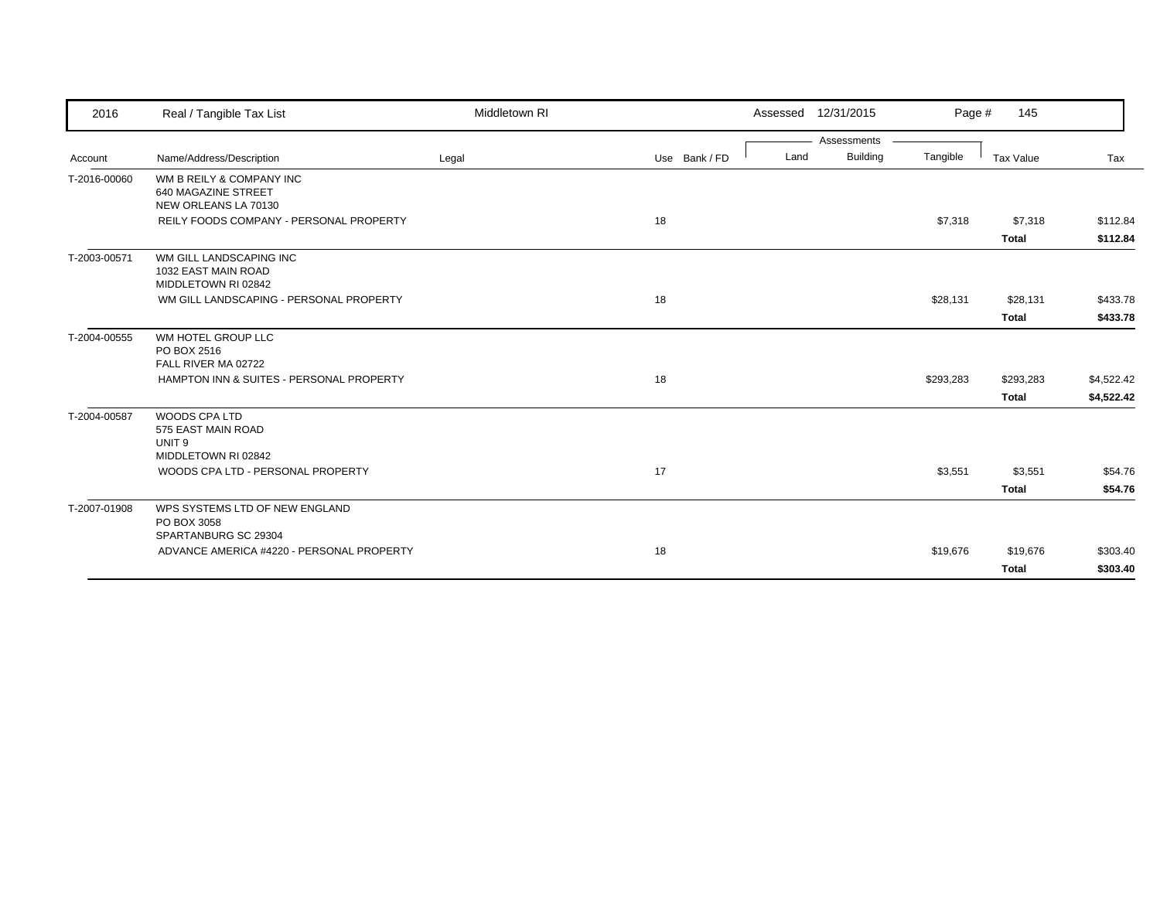| 2016         | Real / Tangible Tax List                                                                                           | Middletown RI |               | Assessed 12/31/2015                    | Page #    | 145          |            |
|--------------|--------------------------------------------------------------------------------------------------------------------|---------------|---------------|----------------------------------------|-----------|--------------|------------|
| Account      | Name/Address/Description                                                                                           | Legal         | Use Bank / FD | Assessments<br><b>Building</b><br>Land | Tangible  | Tax Value    | Tax        |
| T-2016-00060 | WM B REILY & COMPANY INC<br>640 MAGAZINE STREET<br>NEW ORLEANS LA 70130<br>REILY FOODS COMPANY - PERSONAL PROPERTY |               | 18            |                                        | \$7,318   | \$7,318      | \$112.84   |
|              |                                                                                                                    |               |               |                                        |           | <b>Total</b> | \$112.84   |
| T-2003-00571 | WM GILL LANDSCAPING INC<br>1032 EAST MAIN ROAD<br>MIDDLETOWN RI 02842                                              |               |               |                                        |           |              |            |
|              | WM GILL LANDSCAPING - PERSONAL PROPERTY                                                                            |               | 18            |                                        | \$28,131  | \$28,131     | \$433.78   |
|              |                                                                                                                    |               |               |                                        |           | <b>Total</b> | \$433.78   |
| T-2004-00555 | WM HOTEL GROUP LLC<br>PO BOX 2516<br>FALL RIVER MA 02722                                                           |               |               |                                        |           |              |            |
|              | HAMPTON INN & SUITES - PERSONAL PROPERTY                                                                           |               | 18            |                                        | \$293,283 | \$293,283    | \$4,522.42 |
|              |                                                                                                                    |               |               |                                        |           | <b>Total</b> | \$4,522.42 |
| T-2004-00587 | WOODS CPA LTD<br>575 EAST MAIN ROAD<br>UNIT <sub>9</sub>                                                           |               |               |                                        |           |              |            |
|              | MIDDLETOWN RI 02842<br>WOODS CPA LTD - PERSONAL PROPERTY                                                           |               | 17            |                                        | \$3,551   | \$3,551      | \$54.76    |
|              |                                                                                                                    |               |               |                                        |           | <b>Total</b> | \$54.76    |
| T-2007-01908 | WPS SYSTEMS LTD OF NEW ENGLAND<br>PO BOX 3058                                                                      |               |               |                                        |           |              |            |
|              | SPARTANBURG SC 29304<br>ADVANCE AMERICA #4220 - PERSONAL PROPERTY                                                  |               | 18            |                                        | \$19,676  | \$19,676     | \$303.40   |
|              |                                                                                                                    |               |               |                                        |           | Total        | \$303.40   |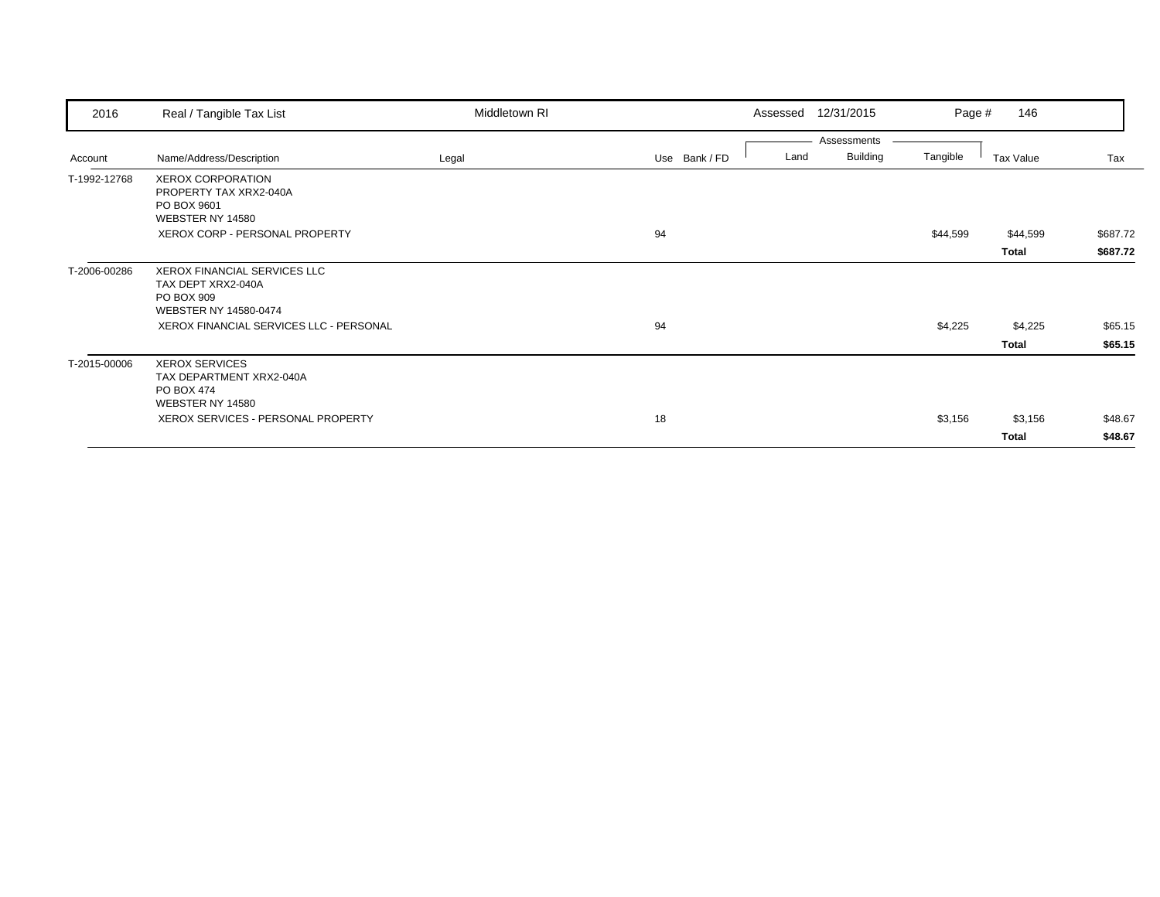| 2016         | Real / Tangible Tax List                                                                  | Middletown RI |               | Assessed | 12/31/2015      | Page #   | 146       |          |
|--------------|-------------------------------------------------------------------------------------------|---------------|---------------|----------|-----------------|----------|-----------|----------|
|              |                                                                                           |               |               |          | Assessments     |          |           |          |
| Account      | Name/Address/Description                                                                  | Legal         | Use Bank / FD | Land     | <b>Building</b> | Tangible | Tax Value | Tax      |
| T-1992-12768 | <b>XEROX CORPORATION</b><br>PROPERTY TAX XRX2-040A<br>PO BOX 9601<br>WEBSTER NY 14580     |               |               |          |                 |          |           |          |
|              | XEROX CORP - PERSONAL PROPERTY                                                            |               | 94            |          |                 | \$44,599 | \$44,599  | \$687.72 |
|              |                                                                                           |               |               |          |                 |          | Total     | \$687.72 |
| T-2006-00286 | XEROX FINANCIAL SERVICES LLC<br>TAX DEPT XRX2-040A<br>PO BOX 909<br>WEBSTER NY 14580-0474 |               |               |          |                 |          |           |          |
|              | XEROX FINANCIAL SERVICES LLC - PERSONAL                                                   |               | 94            |          |                 | \$4,225  | \$4,225   | \$65.15  |
|              |                                                                                           |               |               |          |                 |          | Total     | \$65.15  |
| T-2015-00006 | <b>XEROX SERVICES</b><br>TAX DEPARTMENT XRX2-040A<br>PO BOX 474<br>WEBSTER NY 14580       |               |               |          |                 |          |           |          |
|              | XEROX SERVICES - PERSONAL PROPERTY                                                        |               | 18            |          |                 | \$3,156  | \$3,156   | \$48.67  |
|              |                                                                                           |               |               |          |                 |          | Total     | \$48.67  |